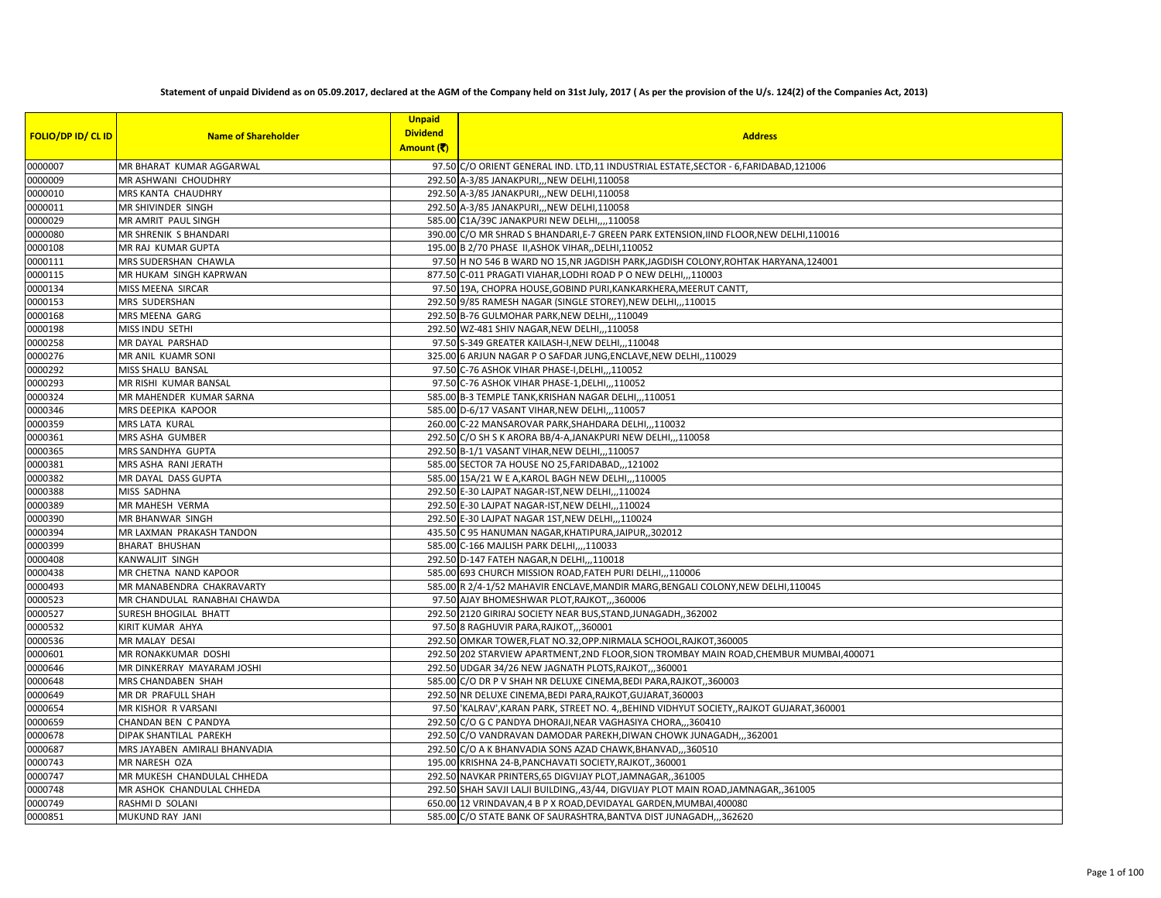## **Statement of unpaid Dividend as on 05.09.2017, declared at the AGM of the Company held on 31st July, 2017 ( As per the provision of the U/s. 124(2) of the Companies Act, 2013)**

| <b>FOLIO/DP ID/ CL ID</b> | <b>Name of Shareholder</b>    | <b>Unpaid</b><br><b>Dividend</b><br>Amount (そ) | <b>Address</b>                                                                            |
|---------------------------|-------------------------------|------------------------------------------------|-------------------------------------------------------------------------------------------|
| 0000007                   | MR BHARAT KUMAR AGGARWAL      |                                                | 97.50 C/O ORIENT GENERAL IND. LTD,11 INDUSTRIAL ESTATE, SECTOR - 6, FARIDABAD, 121006     |
| 0000009                   | MR ASHWANI CHOUDHRY           |                                                | 292.50 A-3/85 JANAKPURI,,,NEW DELHI,110058                                                |
| 0000010                   | MRS KANTA CHAUDHRY            |                                                | 292.50 A-3/85 JANAKPURI,,,NEW DELHI,110058                                                |
| 0000011                   | MR SHIVINDER SINGH            |                                                | 292.50 A-3/85 JANAKPURI,,,NEW DELHI,110058                                                |
| 0000029                   | MR AMRIT PAUL SINGH           |                                                | 585.00 C1A/39C JANAKPURI NEW DELHI,,,,110058                                              |
| 0000080                   | MR SHRENIK S BHANDARI         |                                                | 390.00 C/O MR SHRAD S BHANDARI, E-7 GREEN PARK EXTENSION, IIND FLOOR, NEW DELHI, 110016   |
| 0000108                   | MR RAJ KUMAR GUPTA            |                                                | 195.00 B 2/70 PHASE II, ASHOK VIHAR, , DELHI, 110052                                      |
| 0000111                   | MRS SUDERSHAN CHAWLA          |                                                | 97.50 H NO 546 B WARD NO 15, NR JAGDISH PARK, JAGDISH COLONY, ROHTAK HARYANA, 124001      |
| 0000115                   | MR HUKAM SINGH KAPRWAN        |                                                | 877.50 C-011 PRAGATI VIAHAR, LODHI ROAD P O NEW DELHI,,,110003                            |
| 0000134                   | MISS MEENA SIRCAR             |                                                | 97.50 19A, CHOPRA HOUSE, GOBIND PURI, KANKARKHERA, MEERUT CANTT,                          |
| 0000153                   | MRS SUDERSHAN                 |                                                | 292.50 9/85 RAMESH NAGAR (SINGLE STOREY), NEW DELHI,,,110015                              |
| 0000168                   | MRS MEENA GARG                |                                                | 292.50 B-76 GULMOHAR PARK, NEW DELHI,, 110049                                             |
| 0000198                   | MISS INDU SETHI               |                                                | 292.50 WZ-481 SHIV NAGAR, NEW DELHI,,,110058                                              |
| 0000258                   | MR DAYAL PARSHAD              |                                                | 97.50 S-349 GREATER KAILASH-I, NEW DELHI, ,, 110048                                       |
| 0000276                   | MR ANIL KUAMR SONI            |                                                | 325.00 6 ARJUN NAGAR P O SAFDAR JUNG, ENCLAVE, NEW DELHI, , 110029                        |
| 0000292                   | MISS SHALU BANSAL             |                                                | 97.50 C-76 ASHOK VIHAR PHASE-I, DELHI, ,, 110052                                          |
| 0000293                   | MR RISHI KUMAR BANSAL         |                                                | 97.50 C-76 ASHOK VIHAR PHASE-1, DELHI,, 110052                                            |
| 0000324                   | MR MAHENDER KUMAR SARNA       |                                                | 585.00 B-3 TEMPLE TANK, KRISHAN NAGAR DELHI,,, 110051                                     |
| 0000346                   | MRS DEEPIKA KAPOOR            |                                                | 585.00 D-6/17 VASANT VIHAR, NEW DELHI,,,110057                                            |
| 0000359                   | MRS LATA KURAL                |                                                | 260.00 C-22 MANSAROVAR PARK, SHAHDARA DELHI,, ,110032                                     |
| 0000361                   | MRS ASHA GUMBER               |                                                | 292.50 C/O SH S K ARORA BB/4-A, JANAKPURI NEW DELHI,, 110058                              |
| 0000365                   | MRS SANDHYA GUPTA             |                                                | 292.50 B-1/1 VASANT VIHAR, NEW DELHI,,,110057                                             |
| 0000381                   | MRS ASHA RANI JERATH          |                                                | 585.00 SECTOR 7A HOUSE NO 25, FARIDABAD,, , 121002                                        |
| 0000382                   | MR DAYAL DASS GUPTA           |                                                | 585.00 15A/21 W E A, KAROL BAGH NEW DELHI, , , 110005                                     |
| 0000388                   | MISS SADHNA                   |                                                | 292.50 E-30 LAJPAT NAGAR-IST, NEW DELHI,,,110024                                          |
| 0000389                   | MR MAHESH VERMA               |                                                | 292.50 E-30 LAJPAT NAGAR-IST, NEW DELHI,,,110024                                          |
| 0000390                   | MR BHANWAR SINGH              |                                                | 292.50 E-30 LAJPAT NAGAR 1ST, NEW DELHI,,,110024                                          |
| 0000394                   | MR LAXMAN PRAKASH TANDON      |                                                | 435.50 C 95 HANUMAN NAGAR, KHATIPURA, JAIPUR, 302012                                      |
| 0000399                   | <b>BHARAT BHUSHAN</b>         |                                                | 585.00 C-166 MAJLISH PARK DELHI,,,,110033                                                 |
| 0000408                   | KANWALJIT SINGH               |                                                | 292.50 D-147 FATEH NAGAR, N DELHI,,,110018                                                |
| 0000438                   | MR CHETNA NAND KAPOOR         |                                                | 585.00 693 CHURCH MISSION ROAD, FATEH PURI DELHI,,,110006                                 |
| 0000493                   | MR MANABENDRA CHAKRAVARTY     |                                                | 585.00 R 2/4-1/52 MAHAVIR ENCLAVE, MANDIR MARG, BENGALI COLONY, NEW DELHI, 110045         |
| 0000523                   | MR CHANDULAL RANABHAI CHAWDA  |                                                | 97.50 AJAY BHOMESHWAR PLOT, RAJKOT, ,,360006                                              |
| 0000527                   | SURESH BHOGILAL BHATT         |                                                | 292.50 2120 GIRIRAJ SOCIETY NEAR BUS, STAND, JUNAGADH, 362002                             |
| 0000532                   | KIRIT KUMAR AHYA              |                                                | 97.50 8 RAGHUVIR PARA, RAJKOT,, 360001                                                    |
| 0000536                   | MR MALAY DESAI                |                                                | 292.50 OMKAR TOWER, FLAT NO.32, OPP. NIRMALA SCHOOL, RAJKOT, 360005                       |
| 0000601                   | MR RONAKKUMAR DOSHI           |                                                | 292.50 202 STARVIEW APARTMENT, 2ND FLOOR, SION TROMBAY MAIN ROAD, CHEMBUR MUMBAI, 400071  |
| 0000646                   | MR DINKERRAY MAYARAM JOSHI    |                                                | 292.50 UDGAR 34/26 NEW JAGNATH PLOTS, RAJKOT, ,,360001                                    |
| 0000648                   | MRS CHANDABEN SHAH            |                                                | 585.00 C/O DR P V SHAH NR DELUXE CINEMA, BEDI PARA, RAJKOT, 360003                        |
| 0000649                   | MR DR PRAFULL SHAH            |                                                | 292.50 NR DELUXE CINEMA, BEDI PARA, RAJKOT, GUJARAT, 360003                               |
| 0000654                   | MR KISHOR R VARSANI           |                                                | 97.50 KALRAV', KARAN PARK, STREET NO. 4,, BEHIND VIDHYUT SOCIETY,, RAJKOT GUJARAT, 360001 |
| 0000659                   | CHANDAN BEN C PANDYA          |                                                | 292.50 C/O G C PANDYA DHORAJI, NEAR VAGHASIYA CHORA,,,360410                              |
| 0000678                   | DIPAK SHANTILAL PAREKH        |                                                | 292.50 C/O VANDRAVAN DAMODAR PAREKH, DIWAN CHOWK JUNAGADH,,,362001                        |
| 0000687                   | MRS JAYABEN AMIRALI BHANVADIA |                                                | 292.50 C/O A K BHANVADIA SONS AZAD CHAWK, BHANVAD,, 360510                                |
| 0000743                   | MR NARESH OZA                 |                                                | 195.00 KRISHNA 24-B, PANCHAVATI SOCIETY, RAJKOT, ,360001                                  |
| 0000747                   | MR MUKESH CHANDULAL CHHEDA    |                                                | 292.50 NAVKAR PRINTERS, 65 DIGVIJAY PLOT, JAMNAGAR, , 361005                              |
| 0000748                   | MR ASHOK CHANDULAL CHHEDA     |                                                | 292.50 SHAH SAVJI LALJI BUILDING,,43/44, DIGVIJAY PLOT MAIN ROAD,JAMNAGAR,,361005         |
| 0000749                   | RASHMI D SOLANI               |                                                | 650.00 12 VRINDAVAN,4 B P X ROAD, DEVIDAYAL GARDEN, MUMBAI, 400080                        |
| 0000851                   | MUKUND RAY JANI               |                                                | 585.00 C/O STATE BANK OF SAURASHTRA, BANTVA DIST JUNAGADH,, 362620                        |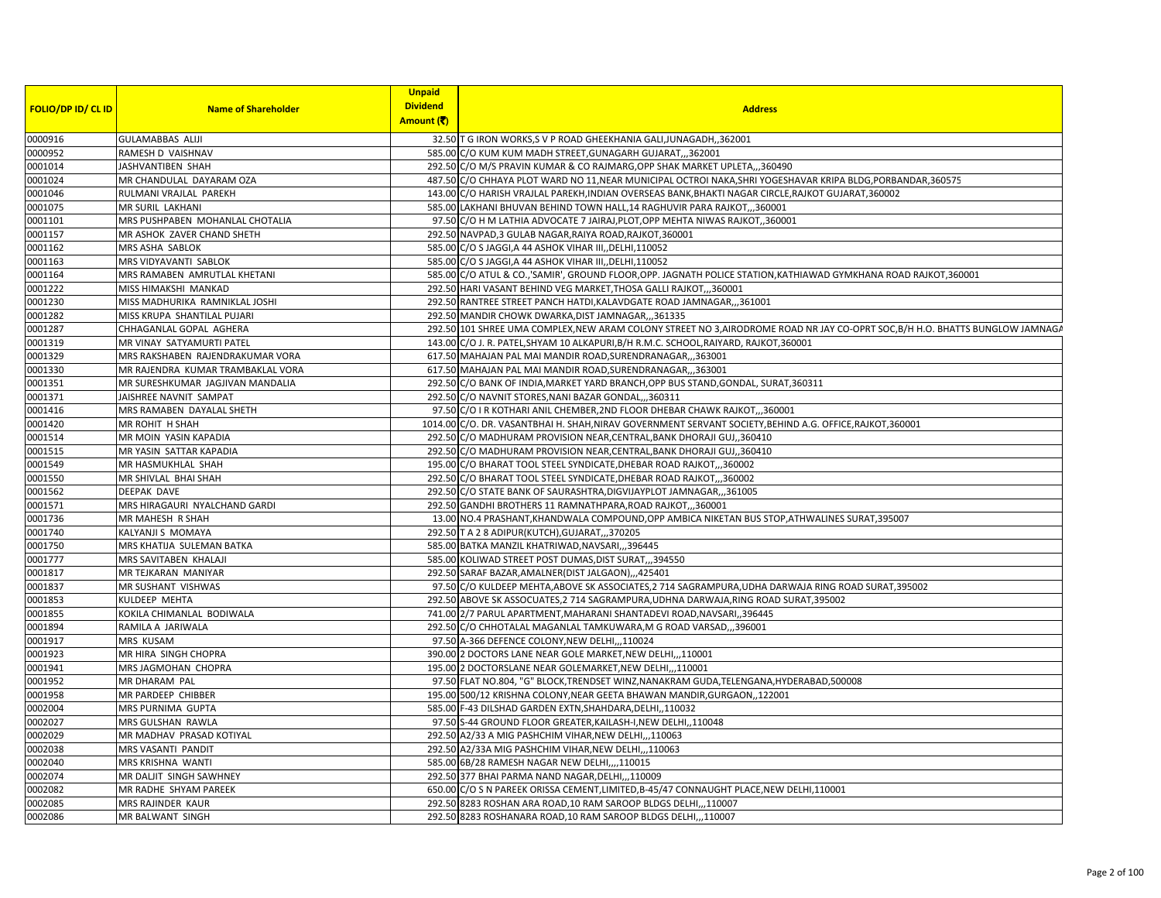|                           |                                   | <b>Unpaid</b>                 |                                                                                                                               |
|---------------------------|-----------------------------------|-------------------------------|-------------------------------------------------------------------------------------------------------------------------------|
| <b>FOLIO/DP ID/ CL ID</b> | <b>Name of Shareholder</b>        | <b>Dividend</b><br>Amount (そ) | <b>Address</b>                                                                                                                |
|                           |                                   |                               |                                                                                                                               |
| 0000916                   | <b>GULAMABBAS ALIJI</b>           |                               | 32.50 T G IRON WORKS, S V P ROAD GHEEKHANIA GALI, JUNAGADH, 362001                                                            |
| 0000952                   | RAMESH D VAISHNAV                 |                               | 585.00 C/O KUM KUM MADH STREET, GUNAGARH GUJARAT,, 362001                                                                     |
| 0001014                   | JASHVANTIBEN SHAH                 |                               | 292.50 C/O M/S PRAVIN KUMAR & CO RAJMARG, OPP SHAK MARKET UPLETA, ,,360490                                                    |
| 0001024                   | MR CHANDULAL DAYARAM OZA          |                               | 487.50 C/O CHHAYA PLOT WARD NO 11, NEAR MUNICIPAL OCTROI NAKA, SHRI YOGESHAVAR KRIPA BLDG, PORBANDAR, 360575                  |
| 0001046                   | RULMANI VRAJLAL PAREKH            |                               | 143.00 C/O HARISH VRAJLAL PAREKH, INDIAN OVERSEAS BANK, BHAKTI NAGAR CIRCLE, RAJKOT GUJARAT, 360002                           |
| 0001075                   | MR SURIL LAKHANI                  |                               | 585.00 LAKHANI BHUVAN BEHIND TOWN HALL,14 RAGHUVIR PARA RAJKOT,,,360001                                                       |
| 0001101                   | MRS PUSHPABEN MOHANLAL CHOTALIA   |                               | 97.50 C/O H M LATHIA ADVOCATE 7 JAIRAJ, PLOT, OPP MEHTA NIWAS RAJKOT, 360001                                                  |
| 0001157                   | MR ASHOK ZAVER CHAND SHETH        |                               | 292.50 NAVPAD, 3 GULAB NAGAR, RAIYA ROAD, RAJKOT, 360001                                                                      |
| 0001162                   | MRS ASHA SABLOK                   |                               | 585.00 C/O S JAGGI, A 44 ASHOK VIHAR III, DELHI, 110052                                                                       |
| 0001163                   | MRS VIDYAVANTI SABLOK             |                               | 585.00 C/O S JAGGI, A 44 ASHOK VIHAR III, DELHI, 110052                                                                       |
| 0001164                   | MRS RAMABEN AMRUTLAL KHETANI      |                               | 585.00 C/O ATUL & CO., SAMIR', GROUND FLOOR, OPP. JAGNATH POLICE STATION, KATHIAWAD GYMKHANA ROAD RAJKOT, 360001              |
| 0001222                   | MISS HIMAKSHI MANKAD              |                               | 292.50 HARI VASANT BEHIND VEG MARKET, THOSA GALLI RAJKOT,, 360001                                                             |
| 0001230                   | MISS MADHURIKA RAMNIKLAL JOSHI    |                               | 292.50 RANTREE STREET PANCH HATDI, KALAVDGATE ROAD JAMNAGAR,, ,361001                                                         |
| 0001282                   | MISS KRUPA SHANTILAL PUJARI       |                               | 292.50 MANDIR CHOWK DWARKA, DIST JAMNAGAR,,,361335                                                                            |
| 0001287                   | CHHAGANLAL GOPAL AGHERA           |                               | 292.50 101 SHREE UMA COMPLEX, NEW ARAM COLONY STREET NO 3, AIRODROME ROAD NR JAY CO-OPRT SOC, B/H H.O. BHATTS BUNGLOW JAMNAGA |
| 0001319                   | MR VINAY SATYAMURTI PATEL         |                               | 143.00 C/O J. R. PATEL, SHYAM 10 ALKAPURI, B/H R.M.C. SCHOOL, RAIYARD, RAJKOT, 360001                                         |
| 0001329                   | MRS RAKSHABEN RAJENDRAKUMAR VORA  |                               | 617.50 MAHAJAN PAL MAI MANDIR ROAD, SURENDRANAGAR,,,363001                                                                    |
| 0001330                   | MR RAJENDRA KUMAR TRAMBAKLAL VORA |                               | 617.50 MAHAJAN PAL MAI MANDIR ROAD, SURENDRANAGAR,,,363001                                                                    |
| 0001351                   | MR SURESHKUMAR JAGJIVAN MANDALIA  |                               | 292.50 C/O BANK OF INDIA, MARKET YARD BRANCH, OPP BUS STAND, GONDAL, SURAT, 360311                                            |
| 0001371                   | JAISHREE NAVNIT SAMPAT            |                               | 292.50 C/O NAVNIT STORES, NANI BAZAR GONDAL,, 360311                                                                          |
| 0001416                   | MRS RAMABEN DAYALAL SHETH         |                               | 97.50 C/O I R KOTHARI ANIL CHEMBER, 2ND FLOOR DHEBAR CHAWK RAJKOT, ,,360001                                                   |
| 0001420                   | MR ROHIT H SHAH                   |                               | 1014.00 C/O. DR. VASANTBHAI H. SHAH, NIRAV GOVERNMENT SERVANT SOCIETY, BEHIND A.G. OFFICE, RAJKOT, 360001                     |
| 0001514                   | MR MOIN YASIN KAPADIA             |                               | 292.50 C/O MADHURAM PROVISION NEAR, CENTRAL, BANK DHORAJI GUJ, 360410                                                         |
| 0001515                   | MR YASIN SATTAR KAPADIA           |                               | 292.50 C/O MADHURAM PROVISION NEAR, CENTRAL, BANK DHORAJI GUJ, 360410                                                         |
| 0001549                   | MR HASMUKHLAL SHAH                |                               | 195.00 C/O BHARAT TOOL STEEL SYNDICATE, DHEBAR ROAD RAJKOT,, 360002                                                           |
| 0001550                   | MR SHIVLAL BHAI SHAH              |                               | 292.50 C/O BHARAT TOOL STEEL SYNDICATE, DHEBAR ROAD RAJKOT,, 360002                                                           |
| 0001562                   | DEEPAK DAVE                       |                               | 292.50 C/O STATE BANK OF SAURASHTRA, DIGVIJAYPLOT JAMNAGAR,, 361005                                                           |
| 0001571                   | MRS HIRAGAURI NYALCHAND GARDI     |                               | 292.50 GANDHI BROTHERS 11 RAMNATHPARA, ROAD RAJKOT,, 360001                                                                   |
| 0001736                   | MR MAHESH R SHAH                  |                               | 13.00 NO.4 PRASHANT, KHANDWALA COMPOUND, OPP AMBICA NIKETAN BUS STOP, ATHWALINES SURAT, 395007                                |
| 0001740                   | KALYANJI S MOMAYA                 |                               | 292.50 T A 2 8 ADIPUR(KUTCH), GUJARAT,, 370205                                                                                |
| 0001750                   | MRS KHATIJA SULEMAN BATKA         |                               | 585.00 BATKA MANZIL KHATRIWAD, NAVSARI, ,,396445                                                                              |
| 0001777                   | MRS SAVITABEN KHALAJI             |                               | 585.00 KOLIWAD STREET POST DUMAS, DIST SURAT,, 394550                                                                         |
| 0001817                   | MR TEJKARAN MANIYAR               |                               |                                                                                                                               |
|                           | MR SUSHANT VISHWAS                |                               | 292.50 SARAF BAZAR, AMALNER (DIST JALGAON),,,425401                                                                           |
| 0001837                   |                                   |                               | 97.50 C/O KULDEEP MEHTA, ABOVE SK ASSOCIATES, 2 714 SAGRAMPURA, UDHA DARWAJA RING ROAD SURAT, 395002                          |
| 0001853                   | KULDEEP MEHTA                     |                               | 292.50 ABOVE SK ASSOCUATES, 2 714 SAGRAMPURA, UDHNA DARWAJA, RING ROAD SURAT, 395002                                          |
| 0001855                   | KOKILA CHIMANLAL BODIWALA         |                               | 741.00 2/7 PARUL APARTMENT, MAHARANI SHANTADEVI ROAD, NAVSARI, ,396445                                                        |
| 0001894                   | RAMILA A JARIWALA                 |                               | 292.50 C/O CHHOTALAL MAGANLAL TAMKUWARA, M G ROAD VARSAD,,,396001                                                             |
| 0001917                   | MRS KUSAM                         |                               | 97.50 A-366 DEFENCE COLONY, NEW DELHI, ,, 110024                                                                              |
| 0001923                   | MR HIRA SINGH CHOPRA              |                               | 390.00 2 DOCTORS LANE NEAR GOLE MARKET, NEW DELHI,,,110001                                                                    |
| 0001941                   | MRS JAGMOHAN CHOPRA               |                               | 195.00 2 DOCTORSLANE NEAR GOLEMARKET, NEW DELHI,,,110001                                                                      |
| 0001952                   | MR DHARAM PAL                     |                               | 97.50 FLAT NO.804, "G" BLOCK, TRENDSET WINZ, NANAKRAM GUDA, TELENGANA, HYDERABAD, 500008                                      |
| 0001958                   | MR PARDEEP CHIBBER                |                               | 195.00 500/12 KRISHNA COLONY, NEAR GEETA BHAWAN MANDIR, GURGAON, ,122001                                                      |
| 0002004                   | MRS PURNIMA GUPTA                 |                               | 585.00 F-43 DILSHAD GARDEN EXTN, SHAHDARA, DELHI, , 110032                                                                    |
| 0002027                   | MRS GULSHAN RAWLA                 |                               | 97.50 S-44 GROUND FLOOR GREATER, KAILASH-I, NEW DELHI, 110048                                                                 |
| 0002029                   | MR MADHAV PRASAD KOTIYAL          |                               | 292.50 A2/33 A MIG PASHCHIM VIHAR, NEW DELHI,, 110063                                                                         |
| 0002038                   | MRS VASANTI PANDIT                |                               | 292.50 A2/33A MIG PASHCHIM VIHAR, NEW DELHI,, 110063                                                                          |
| 0002040                   | <b>MRS KRISHNA WANTI</b>          |                               | 585.00 6B/28 RAMESH NAGAR NEW DELHI,  110015                                                                                  |
| 0002074                   | MR DALJIT SINGH SAWHNEY           |                               | 292.50 377 BHAI PARMA NAND NAGAR, DELHI,,,110009                                                                              |
| 0002082                   | MR RADHE SHYAM PAREEK             |                               | 650.00 C/O S N PAREEK ORISSA CEMENT, LIMITED, B-45/47 CONNAUGHT PLACE, NEW DELHI, 110001                                      |
| 0002085                   | MRS RAJINDER KAUR                 |                               | 292.50 8283 ROSHAN ARA ROAD, 10 RAM SAROOP BLDGS DELHI,,,110007                                                               |
| 0002086                   | MR BALWANT SINGH                  |                               | 292.50 8283 ROSHANARA ROAD, 10 RAM SAROOP BLDGS DELHI,,,110007                                                                |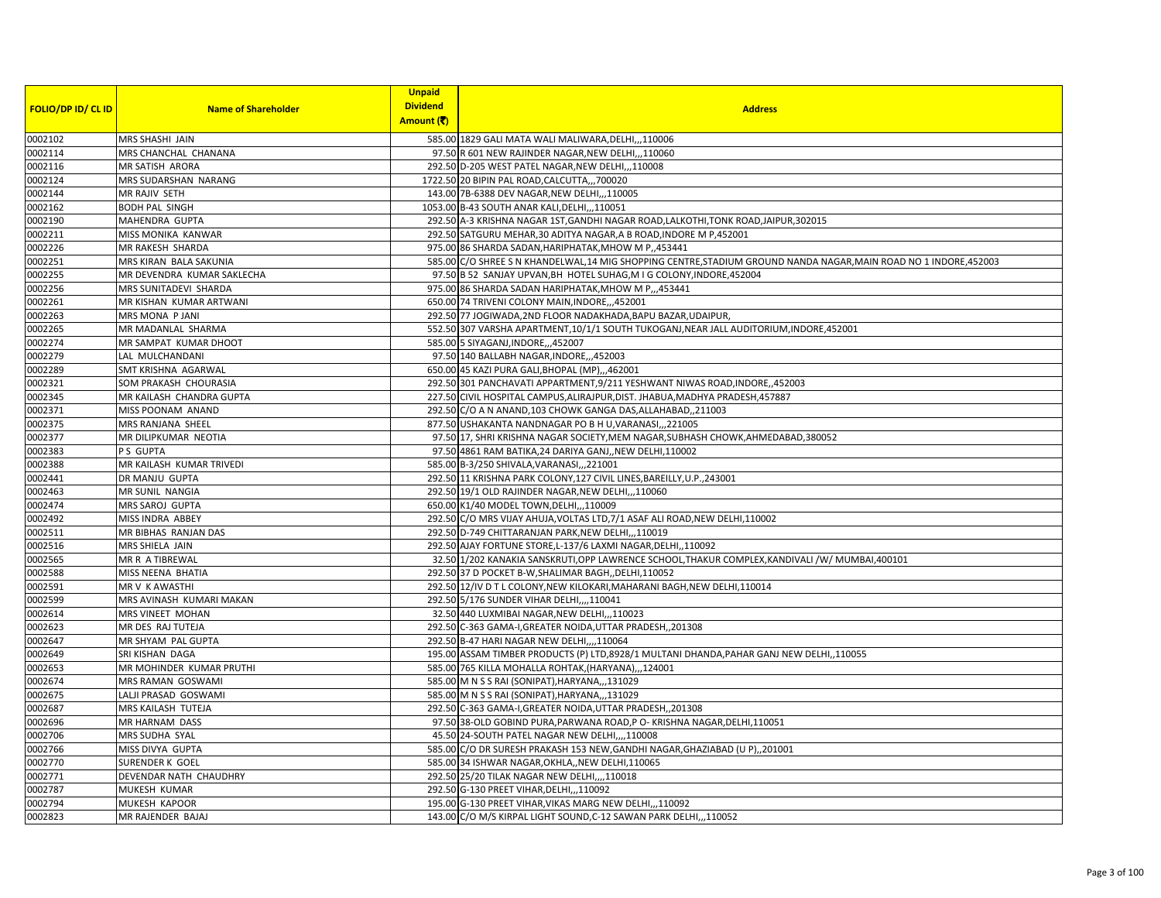| <b>FOLIO/DP ID/ CL ID</b> | <b>Name of Shareholder</b> | <b>Unpaid</b><br><b>Dividend</b> | <b>Address</b>                                                                                                     |
|---------------------------|----------------------------|----------------------------------|--------------------------------------------------------------------------------------------------------------------|
|                           |                            | Amount (そ)                       |                                                                                                                    |
| 0002102                   | MRS SHASHI JAIN            |                                  | 585.00 1829 GALI MATA WALI MALIWARA, DELHI,,,110006                                                                |
| 0002114                   | MRS CHANCHAL CHANANA       |                                  | 97.50 R 601 NEW RAJINDER NAGAR, NEW DELHI,,,110060                                                                 |
| 0002116                   | <b>MR SATISH ARORA</b>     |                                  | 292.50 D-205 WEST PATEL NAGAR, NEW DELHI,,,110008                                                                  |
| 0002124                   | MRS SUDARSHAN NARANG       |                                  | 1722.50 20 BIPIN PAL ROAD, CALCUTTA,,, 700020                                                                      |
| 0002144                   | MR RAJIV SETH              |                                  | 143.00 7B-6388 DEV NAGAR, NEW DELHI,, 110005                                                                       |
| 0002162                   | <b>BODH PAL SINGH</b>      |                                  | 1053.00 B-43 SOUTH ANAR KALI, DELHI,, , 110051                                                                     |
| 0002190                   | MAHENDRA GUPTA             |                                  | 292.50 A-3 KRISHNA NAGAR 1ST, GANDHI NAGAR ROAD, LALKOTHI, TONK ROAD, JAIPUR, 302015                               |
| 0002211                   | MISS MONIKA KANWAR         |                                  | 292.50 SATGURU MEHAR, 30 ADITYA NAGAR, A B ROAD, INDORE M P,452001                                                 |
| 0002226                   | MR RAKESH SHARDA           |                                  | 975.00 86 SHARDA SADAN, HARIPHATAK, MHOW M P,, 453441                                                              |
| 0002251                   | MRS KIRAN BALA SAKUNIA     |                                  | 585.00 C/O SHREE S N KHANDELWAL, 14 MIG SHOPPING CENTRE, STADIUM GROUND NANDA NAGAR, MAIN ROAD NO 1 INDORE, 452003 |
| 0002255                   | MR DEVENDRA KUMAR SAKLECHA |                                  | 97.50 B 52 SANJAY UPVAN, BH HOTEL SUHAG, M I G COLONY, INDORE, 452004                                              |
| 0002256                   | MRS SUNITADEVI SHARDA      |                                  | 975.00 86 SHARDA SADAN HARIPHATAK, MHOW M P., 453441                                                               |
| 0002261                   | MR KISHAN KUMAR ARTWANI    |                                  | 650.00 74 TRIVENI COLONY MAIN, INDORE, ,,452001                                                                    |
| 0002263                   | MRS MONA P JANI            |                                  | 292.50 77 JOGIWADA, 2ND FLOOR NADAKHADA, BAPU BAZAR, UDAIPUR,                                                      |
| 0002265                   | MR MADANLAL SHARMA         |                                  | 552.50 307 VARSHA APARTMENT,10/1/1 SOUTH TUKOGANJ,NEAR JALL AUDITORIUM,INDORE,452001                               |
| 0002274                   | MR SAMPAT KUMAR DHOOT      |                                  | 585.00 5 SIYAGANJ, INDORE, ., 452007                                                                               |
| 0002279                   | LAL MULCHANDANI            |                                  | 97.50 140 BALLABH NAGAR, INDORE, ,,452003                                                                          |
| 0002289                   | SMT KRISHNA AGARWAL        |                                  | 650.00 45 KAZI PURA GALI, BHOPAL (MP), , 462001                                                                    |
| 0002321                   | SOM PRAKASH CHOURASIA      |                                  | 292.50 301 PANCHAVATI APPARTMENT, 9/211 YESHWANT NIWAS ROAD, INDORE, 452003                                        |
| 0002345                   | MR KAILASH CHANDRA GUPTA   |                                  | 227.50 CIVIL HOSPITAL CAMPUS, ALIRAJPUR, DIST. JHABUA, MADHYA PRADESH, 457887                                      |
| 0002371                   | MISS POONAM ANAND          |                                  | 292.50 C/O A N ANAND, 103 CHOWK GANGA DAS, ALLAHABAD, , 211003                                                     |
| 0002375                   | MRS RANJANA SHEEL          |                                  | 877.50 USHAKANTA NANDNAGAR PO B H U, VARANASI,,,221005                                                             |
| 0002377                   | MR DILIPKUMAR NEOTIA       |                                  | 97.50 17, SHRI KRISHNA NAGAR SOCIETY, MEM NAGAR, SUBHASH CHOWK, AHMEDABAD, 380052                                  |
| 0002383                   | P S GUPTA                  |                                  | 97.50 4861 RAM BATIKA, 24 DARIYA GANJ,, NEW DELHI, 110002                                                          |
| 0002388                   | MR KAILASH KUMAR TRIVEDI   |                                  | 585.00 B-3/250 SHIVALA, VARANASI, ,, 221001                                                                        |
| 0002441                   | DR MANJU GUPTA             |                                  | 292.50 11 KRISHNA PARK COLONY, 127 CIVIL LINES, BAREILLY, U.P., 243001                                             |
| 0002463                   | MR SUNIL NANGIA            |                                  | 292.50 19/1 OLD RAJINDER NAGAR, NEW DELHI,, 110060                                                                 |
| 0002474                   | MRS SAROJ GUPTA            |                                  | 650.00 K1/40 MODEL TOWN, DELHI, ,, 110009                                                                          |
| 0002492                   | MISS INDRA ABBEY           |                                  | 292.50 C/O MRS VIJAY AHUJA, VOLTAS LTD, 7/1 ASAF ALI ROAD, NEW DELHI, 110002                                       |
| 0002511                   | MR BIBHAS RANJAN DAS       |                                  | 292.50 D-749 CHITTARANJAN PARK, NEW DELHI,,,110019                                                                 |
| 0002516                   | MRS SHIELA JAIN            |                                  | 292.50 AJAY FORTUNE STORE, L-137/6 LAXMI NAGAR, DELHI,, 110092                                                     |
| 0002565                   | MR R A TIBREWAL            |                                  | 32.50 1/202 KANAKIA SANSKRUTI, OPP LAWRENCE SCHOOL, THAKUR COMPLEX, KANDIVALI /W/ MUMBAI, 400101                   |
| 0002588                   | MISS NEENA BHATIA          |                                  | 292.50 37 D POCKET B-W, SHALIMAR BAGH, , DELHI, 110052                                                             |
| 0002591                   | MR V K AWASTHI             |                                  | 292.50 12/IV D T L COLONY, NEW KILOKARI, MAHARANI BAGH, NEW DELHI, 110014                                          |
| 0002599                   | MRS AVINASH KUMARI MAKAN   |                                  | 292.50 5/176 SUNDER VIHAR DELHI,,,,110041                                                                          |
| 0002614                   | MRS VINEET MOHAN           |                                  | 32.50 440 LUXMIBAI NAGAR, NEW DELHI, ,, 110023                                                                     |
| 0002623                   | MR DES RAJ TUTEJA          |                                  | 292.50 C-363 GAMA-I, GREATER NOIDA, UTTAR PRADESH, 201308                                                          |
| 0002647                   | MR SHYAM PAL GUPTA         |                                  | 292.50 B-47 HARI NAGAR NEW DELHI,,,,110064                                                                         |
| 0002649                   | SRI KISHAN DAGA            |                                  | 195.00 ASSAM TIMBER PRODUCTS (P) LTD,8928/1 MULTANI DHANDA, PAHAR GANJ NEW DELHI, ,110055                          |
| 0002653                   | MR MOHINDER KUMAR PRUTHI   |                                  | 585.00 765 KILLA MOHALLA ROHTAK, (HARYANA),,,124001                                                                |
| 0002674                   | MRS RAMAN GOSWAMI          |                                  | 585.00 M N S S RAI (SONIPAT), HARYANA, , 131029                                                                    |
| 0002675                   | LALJI PRASAD GOSWAMI       |                                  | 585.00 M N S S RAI (SONIPAT), HARYANA,,,131029                                                                     |
| 0002687                   | MRS KAILASH TUTEJA         |                                  | 292.50 C-363 GAMA-I, GREATER NOIDA, UTTAR PRADESH, 201308                                                          |
| 0002696                   | MR HARNAM DASS             |                                  | 97.50 38-OLD GOBIND PURA, PARWANA ROAD, PO-KRISHNA NAGAR, DELHI, 110051                                            |
| 0002706                   | MRS SUDHA SYAL             |                                  | 45.50 24-SOUTH PATEL NAGAR NEW DELHI,,,,110008                                                                     |
| 0002766                   | MISS DIVYA GUPTA           |                                  | 585.00 C/O DR SURESH PRAKASH 153 NEW, GANDHI NAGAR, GHAZIABAD (U P), 201001                                        |
| 0002770                   | <b>SURENDER K GOEL</b>     |                                  | 585.00 34 ISHWAR NAGAR, OKHLA,, NEW DELHI, 110065                                                                  |
| 0002771                   | DEVENDAR NATH CHAUDHRY     |                                  | 292.50 25/20 TILAK NAGAR NEW DELHI,,,,110018                                                                       |
| 0002787                   | MUKESH KUMAR               |                                  | 292.50 G-130 PREET VIHAR, DELHI,, , 110092                                                                         |
| 0002794                   | MUKESH KAPOOR              |                                  | 195.00 G-130 PREET VIHAR, VIKAS MARG NEW DELHI,,,110092                                                            |
| 0002823                   | MR RAJENDER BAJAJ          |                                  | 143.00 C/O M/S KIRPAL LIGHT SOUND, C-12 SAWAN PARK DELHI,,,110052                                                  |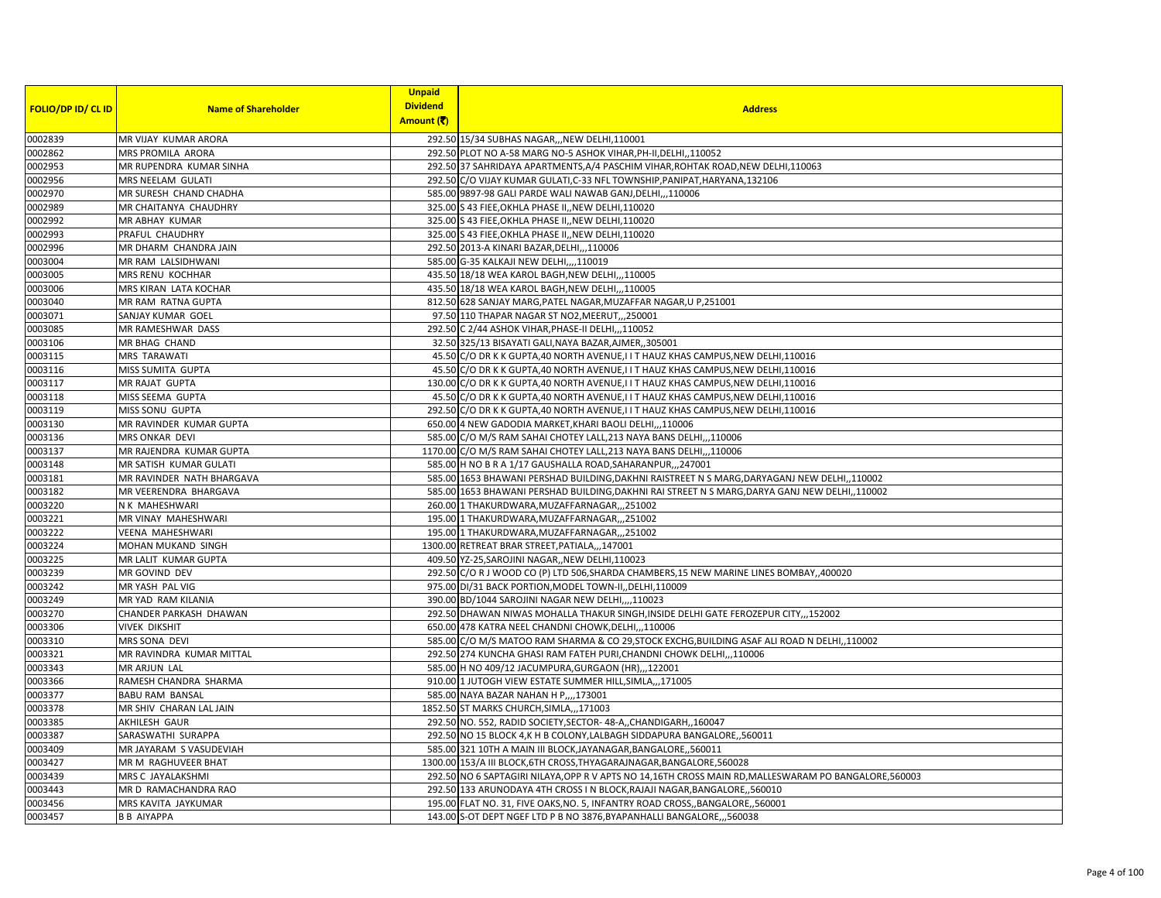| FOLIO/DP ID/ CL ID | <b>Name of Shareholder</b> | <b>Unpaid</b><br><b>Dividend</b> | <b>Address</b>                                                                                         |
|--------------------|----------------------------|----------------------------------|--------------------------------------------------------------------------------------------------------|
|                    |                            | Amount (そ)                       |                                                                                                        |
| 0002839            | MR VIJAY KUMAR ARORA       |                                  | 292.50 15/34 SUBHAS NAGAR,,,NEW DELHI,110001                                                           |
| 0002862            | MRS PROMILA ARORA          |                                  | 292.50 PLOT NO A-58 MARG NO-5 ASHOK VIHAR, PH-II, DELHI, 110052                                        |
| 0002953            | MR RUPENDRA KUMAR SINHA    |                                  | 292.50 37 SAHRIDAYA APARTMENTS, A/4 PASCHIM VIHAR, ROHTAK ROAD, NEW DELHI, 110063                      |
| 0002956            | MRS NEELAM GULATI          |                                  | 292.50 C/O VIJAY KUMAR GULATI, C-33 NFL TOWNSHIP, PANIPAT, HARYANA, 132106                             |
| 0002970            | MR SURESH CHAND CHADHA     |                                  | 585.00 9897-98 GALI PARDE WALI NAWAB GANJ, DELHI,,,110006                                              |
| 0002989            | MR CHAITANYA CHAUDHRY      |                                  | 325.00 S 43 FIEE, OKHLA PHASE II, NEW DELHI, 110020                                                    |
| 0002992            | MR ABHAY KUMAR             |                                  | 325.00 S 43 FIEE, OKHLA PHASE II, NEW DELHI, 110020                                                    |
| 0002993            | PRAFUL CHAUDHRY            |                                  | 325.00 S 43 FIEE, OKHLA PHASE II, NEW DELHI, 110020                                                    |
| 0002996            | MR DHARM CHANDRA JAIN      |                                  | 292.50 2013-A KINARI BAZAR, DELHI,,, 110006                                                            |
| 0003004            | MR RAM LALSIDHWANI         |                                  | 585.00 G-35 KALKAJI NEW DELHI,,,,110019                                                                |
| 0003005            | MRS RENU KOCHHAR           |                                  | 435.50 18/18 WEA KAROL BAGH, NEW DELHI,, 110005                                                        |
| 0003006            | MRS KIRAN LATA KOCHAR      |                                  | 435.50 18/18 WEA KAROL BAGH, NEW DELHI, , 110005                                                       |
| 0003040            | MR RAM RATNA GUPTA         |                                  | 812.50 628 SANJAY MARG, PATEL NAGAR, MUZAFFAR NAGAR, U P, 251001                                       |
| 0003071            | SANJAY KUMAR GOEL          |                                  | 97.50 110 THAPAR NAGAR ST NO2, MEERUT, ,,250001                                                        |
| 0003085            | MR RAMESHWAR DASS          |                                  | 292.50 C 2/44 ASHOK VIHAR, PHASE-II DELHI,,,110052                                                     |
| 0003106            | MR BHAG CHAND              |                                  | 32.50 325/13 BISAYATI GALI, NAYA BAZAR, AJMER, , 305001                                                |
| 0003115            | MRS TARAWATI               |                                  | 45.50 C/O DR K K GUPTA,40 NORTH AVENUE, I I T HAUZ KHAS CAMPUS, NEW DELHI,110016                       |
| 0003116            | MISS SUMITA GUPTA          |                                  | 45.50 C/O DR K K GUPTA,40 NORTH AVENUE,I I T HAUZ KHAS CAMPUS, NEW DELHI, 110016                       |
| 0003117            | MR RAJAT GUPTA             |                                  | 130.00 C/O DR K K GUPTA,40 NORTH AVENUE,I I T HAUZ KHAS CAMPUS, NEW DELHI,110016                       |
| 0003118            | MISS SEEMA GUPTA           |                                  | 45.50 C/O DR K K GUPTA,40 NORTH AVENUE, I I T HAUZ KHAS CAMPUS, NEW DELHI, 110016                      |
| 0003119            | <b>MISS SONU GUPTA</b>     |                                  | 292.50 C/O DR K K GUPTA,40 NORTH AVENUE,I I T HAUZ KHAS CAMPUS, NEW DELHI,110016                       |
| 0003130            | MR RAVINDER KUMAR GUPTA    |                                  | 650.00 4 NEW GADODIA MARKET, KHARI BAOLI DELHI,,,110006                                                |
| 0003136            | MRS ONKAR DEVI             |                                  | 585.00 C/O M/S RAM SAHAI CHOTEY LALL, 213 NAYA BANS DELHI,, 110006                                     |
| 0003137            | MR RAJENDRA KUMAR GUPTA    |                                  | 1170.00 C/O M/S RAM SAHAI CHOTEY LALL, 213 NAYA BANS DELHI,,, 110006                                   |
| 0003148            | MR SATISH KUMAR GULATI     |                                  | 585.00 H NO B R A 1/17 GAUSHALLA ROAD, SAHARANPUR, ,, 247001                                           |
| 0003181            | MR RAVINDER NATH BHARGAVA  |                                  | 585.00 1653 BHAWANI PERSHAD BUILDING, DAKHNI RAISTREET N S MARG, DARYAGANJ NEW DELHI, ,110002          |
| 0003182            | MR VEERENDRA BHARGAVA      |                                  | 585.00 1653 BHAWANI PERSHAD BUILDING, DAKHNI RAI STREET N S MARG, DARYA GANJ NEW DELHI,, 110002        |
| 0003220            | N K MAHESHWARI             |                                  | 260.00 1 THAKURDWARA, MUZAFFARNAGAR, ,,251002                                                          |
| 0003221            | MR VINAY MAHESHWARI        |                                  | 195.00 1 THAKURDWARA, MUZAFFARNAGAR, ,,251002                                                          |
| 0003222            | <b>VEENA MAHESHWARI</b>    |                                  | 195.00 1 THAKURDWARA, MUZAFFARNAGAR, ,,251002                                                          |
| 0003224            | MOHAN MUKAND SINGH         |                                  | 1300.00 RETREAT BRAR STREET, PATIALA,,,147001                                                          |
| 0003225            | MR LALIT KUMAR GUPTA       |                                  | 409.50 YZ-25, SAROJINI NAGAR, , NEW DELHI, 110023                                                      |
| 0003239            | MR GOVIND DEV              |                                  | 292.50 C/O R J WOOD CO (P) LTD 506, SHARDA CHAMBERS, 15 NEW MARINE LINES BOMBAY, 400020                |
| 0003242            | MR YASH PAL VIG            |                                  | 975.00 DI/31 BACK PORTION, MODEL TOWN-II, DELHI, 110009                                                |
| 0003249            | MR YAD RAM KILANIA         |                                  | 390.00 BD/1044 SAROJINI NAGAR NEW DELHI,,,,110023                                                      |
| 0003270            | CHANDER PARKASH DHAWAN     |                                  | 292.50 DHAWAN NIWAS MOHALLA THAKUR SINGH, INSIDE DELHI GATE FEROZEPUR CITY,,,152002                    |
| 0003306            | <b>VIVEK DIKSHIT</b>       |                                  | 650.00 478 KATRA NEEL CHANDNI CHOWK, DELHI,, 110006                                                    |
| 0003310            | MRS SONA DEVI              |                                  | 585.00 C/O M/S MATOO RAM SHARMA & CO 29, STOCK EXCHG, BUILDING ASAF ALI ROAD N DELHI,, 110002          |
| 0003321            | MR RAVINDRA KUMAR MITTAL   |                                  | 292.50 274 KUNCHA GHASI RAM FATEH PURI, CHANDNI CHOWK DELHI,,110006                                    |
| 0003343            | MR ARJUN LAL               |                                  | 585.00 H NO 409/12 JACUMPURA, GURGAON (HR),,,122001                                                    |
| 0003366            | RAMESH CHANDRA SHARMA      |                                  | 910.00 1 JUTOGH VIEW ESTATE SUMMER HILL, SIMLA,,, 171005                                               |
| 0003377            | <b>BABU RAM BANSAL</b>     |                                  | 585.00 NAYA BAZAR NAHAN H P,,,,173001                                                                  |
| 0003378            | MR SHIV CHARAN LAL JAIN    |                                  | 1852.50 ST MARKS CHURCH, SIMLA,,, 171003                                                               |
| 0003385            | AKHILESH GAUR              |                                  | 292.50 NO. 552, RADID SOCIETY, SECTOR-48-A,, CHANDIGARH,, 160047                                       |
| 0003387            | SARASWATHI SURAPPA         |                                  | 292.50 NO 15 BLOCK 4, K H B COLONY, LALBAGH SIDDAPURA BANGALORE, ,560011                               |
| 0003409            | MR JAYARAM S VASUDEVIAH    |                                  | 585.00 321 10TH A MAIN III BLOCK, JAYANAGAR, BANGALORE,, 560011                                        |
| 0003427            | MR M RAGHUVEER BHAT        |                                  | 1300.00 153/A III BLOCK,6TH CROSS,THYAGARAJNAGAR,BANGALORE,560028                                      |
| 0003439            | MRS C JAYALAKSHMI          |                                  | 292.50 NO 6 SAPTAGIRI NILAYA, OPP R V APTS NO 14, 16TH CROSS MAIN RD, MALLESWARAM PO BANGALORE, 560003 |
| 0003443            | MR D RAMACHANDRA RAO       |                                  | 292.50 133 ARUNODAYA 4TH CROSS I N BLOCK, RAJAJI NAGAR, BANGALORE, ,560010                             |
| 0003456            | MRS KAVITA JAYKUMAR        |                                  | 195.00 FLAT NO. 31, FIVE OAKS, NO. 5, INFANTRY ROAD CROSS, BANGALORE, 560001                           |
| 0003457            | <b>B B AIYAPPA</b>         |                                  | 143.00 S-OT DEPT NGEF LTD P B NO 3876, BYAPANHALLI BANGALORE, ., 560038                                |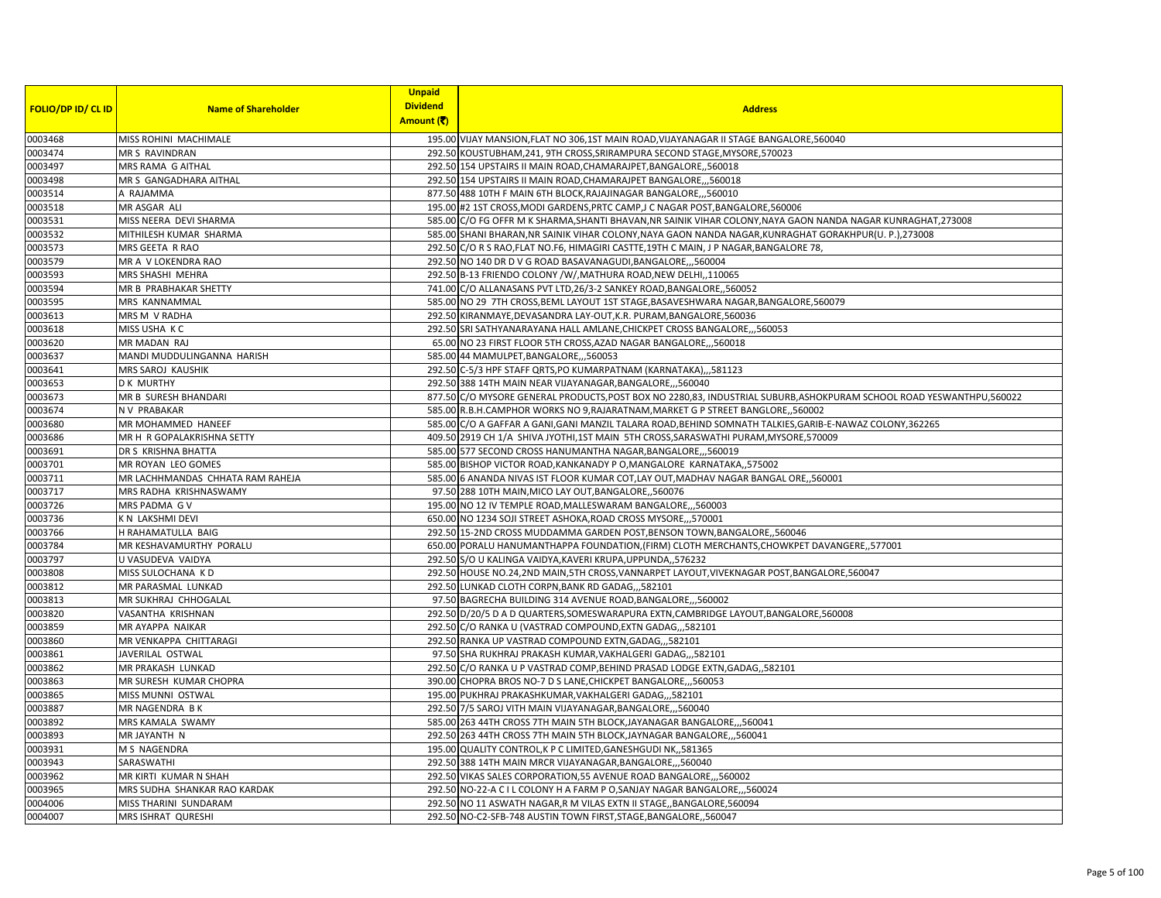|                           |                                  | <b>Unpaid</b>   |                                                                                                                       |
|---------------------------|----------------------------------|-----------------|-----------------------------------------------------------------------------------------------------------------------|
| <b>FOLIO/DP ID/ CL ID</b> | <b>Name of Shareholder</b>       | <b>Dividend</b> | <b>Address</b>                                                                                                        |
|                           |                                  | Amount (そ)      |                                                                                                                       |
| 0003468                   | MISS ROHINI MACHIMALE            |                 | 195.00 VIJAY MANSION, FLAT NO 306, 1ST MAIN ROAD, VIJAYANAGAR II STAGE BANGALORE, 560040                              |
| 0003474                   | MR S RAVINDRAN                   |                 | 292.50 KOUSTUBHAM, 241, 9TH CROSS, SRIRAMPURA SECOND STAGE, MYSORE, 570023                                            |
| 0003497                   | MRS RAMA G AITHAL                |                 | 292.50 154 UPSTAIRS II MAIN ROAD, CHAMARAJPET, BANGALORE,, 560018                                                     |
| 0003498                   | MR S GANGADHARA AITHAL           |                 | 292.50 154 UPSTAIRS II MAIN ROAD, CHAMARAJPET BANGALORE,,,560018                                                      |
| 0003514                   | A RAJAMMA                        |                 | 877.50 488 10TH F MAIN 6TH BLOCK, RAJAJINAGAR BANGALORE,,,560010                                                      |
| 0003518                   | MR ASGAR ALI                     |                 | 195.00 #2 1ST CROSS, MODI GARDENS, PRTC CAMP, J C NAGAR POST, BANGALORE, 560006                                       |
| 0003531                   | MISS NEERA DEVI SHARMA           |                 | 585.00 C/O FG OFFR M K SHARMA, SHANTI BHAVAN, NR SAINIK VIHAR COLONY, NAYA GAON NANDA NAGAR KUNRAGHAT, 273008         |
| 0003532                   | MITHILESH KUMAR SHARMA           |                 | 585.00 SHANI BHARAN, NR SAINIK VIHAR COLONY, NAYA GAON NANDA NAGAR, KUNRAGHAT GORAKHPUR(U. P.), 273008                |
| 0003573                   | MRS GEETA R RAO                  |                 | 292.50 C/O R S RAO, FLAT NO.F6, HIMAGIRI CASTTE, 19TH C MAIN, J P NAGAR, BANGALORE 78,                                |
| 0003579                   | MR A V LOKENDRA RAO              |                 | 292.50 NO 140 DR D V G ROAD BASAVANAGUDI, BANGALORE,,,560004                                                          |
| 0003593                   | MRS SHASHI MEHRA                 |                 | 292.50 B-13 FRIENDO COLONY / W/, MATHURA ROAD, NEW DELHI, 110065                                                      |
| 0003594                   | MR B PRABHAKAR SHETTY            |                 | 741.00 C/O ALLANASANS PVT LTD, 26/3-2 SANKEY ROAD, BANGALORE, ,560052                                                 |
| 0003595                   | MRS KANNAMMAL                    |                 | 585.00 NO 29 7TH CROSS, BEML LAYOUT 1ST STAGE, BASAVESHWARA NAGAR, BANGALORE, 560079                                  |
| 0003613                   | MRS M V RADHA                    |                 | 292.50 KIRANMAYE, DEVASANDRA LAY-OUT, K.R. PURAM, BANGALORE, 560036                                                   |
| 0003618                   | MISS USHA KC                     |                 | 292.50 SRI SATHYANARAYANA HALL AMLANE, CHICKPET CROSS BANGALORE, ,,560053                                             |
| 0003620                   | MR MADAN RAJ                     |                 | 65.00 NO 23 FIRST FLOOR 5TH CROSS, AZAD NAGAR BANGALORE,,,560018                                                      |
| 0003637                   | MANDI MUDDULINGANNA HARISH       |                 | 585.00 44 MAMULPET, BANGALORE, ,,560053                                                                               |
| 0003641                   | MRS SAROJ KAUSHIK                |                 | 292.50 C-5/3 HPF STAFF QRTS, PO KUMARPATNAM (KARNATAKA),,,581123                                                      |
| 0003653                   | <b>D K MURTHY</b>                |                 | 292.50 388 14TH MAIN NEAR VIJAYANAGAR, BANGALORE, ,,560040                                                            |
| 0003673                   | MR B SURESH BHANDARI             |                 | 877.50 C/O MYSORE GENERAL PRODUCTS, POST BOX NO 2280,83, INDUSTRIAL SUBURB, ASHOKPURAM SCHOOL ROAD YESWANTHPU, 560022 |
| 0003674                   | N V PRABAKAR                     |                 | 585.00 R.B.H.CAMPHOR WORKS NO 9, RAJARATNAM, MARKET G P STREET BANGLORE, 560002                                       |
| 0003680                   | MR MOHAMMED HANEEF               |                 | 585.00 C/O A GAFFAR A GANI, GANI MANZIL TALARA ROAD, BEHIND SOMNATH TALKIES, GARIB-E-NAWAZ COLONY, 362265             |
| 0003686                   | MR H R GOPALAKRISHNA SETTY       |                 | 409.50 2919 CH 1/A SHIVA JYOTHI,1ST MAIN 5TH CROSS, SARASWATHI PURAM, MYSORE, 570009                                  |
| 0003691                   | DR S KRISHNA BHATTA              |                 | 585.00 577 SECOND CROSS HANUMANTHA NAGAR, BANGALORE,,,560019                                                          |
| 0003701                   | MR ROYAN LEO GOMES               |                 | 585.00 BISHOP VICTOR ROAD, KANKANADY PO, MANGALORE KARNATAKA,, 575002                                                 |
| 0003711                   | MR LACHHMANDAS CHHATA RAM RAHEJA |                 | 585.00 6 ANANDA NIVAS IST FLOOR KUMAR COT, LAY OUT, MADHAV NAGAR BANGAL ORE, ,560001                                  |
| 0003717                   | MRS RADHA KRISHNASWAMY           |                 | 97.50 288 10TH MAIN, MICO LAY OUT, BANGALORE, ,560076                                                                 |
| 0003726                   | MRS PADMA GV                     |                 | 195.00 NO 12 IV TEMPLE ROAD, MALLESWARAM BANGALORE, ,,560003                                                          |
| 0003736                   | K N LAKSHMI DEVI                 |                 | 650.00 NO 1234 SOJI STREET ASHOKA, ROAD CROSS MYSORE,,,570001                                                         |
| 0003766                   | H RAHAMATULLA BAIG               |                 | 292.50 15-2ND CROSS MUDDAMMA GARDEN POST, BENSON TOWN, BANGALORE, 560046                                              |
| 0003784                   | MR KESHAVAMURTHY PORALU          |                 | 650.00 PORALU HANUMANTHAPPA FOUNDATION, (FIRM) CLOTH MERCHANTS, CHOWKPET DAVANGERE, ,577001                           |
| 0003797                   | U VASUDEVA VAIDYA                |                 | 292.50 S/O U KALINGA VAIDYA, KAVERI KRUPA, UPPUNDA, ,576232                                                           |
| 0003808                   | MISS SULOCHANA KD                |                 | 292.50 HOUSE NO.24,2ND MAIN,5TH CROSS, VANNARPET LAYOUT, VIVEKNAGAR POST, BANGALORE, 560047                           |
| 0003812                   | MR PARASMAL LUNKAD               |                 | 292.50 LUNKAD CLOTH CORPN, BANK RD GADAG,,,582101                                                                     |
| 0003813                   | MR SUKHRAJ CHHOGALAL             |                 | 97.50 BAGRECHA BUILDING 314 AVENUE ROAD, BANGALORE,,,560002                                                           |
| 0003820                   | VASANTHA KRISHNAN                |                 | 292.50 D/20/5 D A D QUARTERS, SOMESWARAPURA EXTN, CAMBRIDGE LAYOUT, BANGALORE, 560008                                 |
| 0003859                   | MR AYAPPA NAIKAR                 |                 | 292.50 C/O RANKA U (VASTRAD COMPOUND, EXTN GADAG,,, 582101                                                            |
| 0003860                   | MR VENKAPPA CHITTARAGI           |                 | 292.50 RANKA UP VASTRAD COMPOUND EXTN, GADAG,,, 582101                                                                |
| 0003861                   | JAVERILAL OSTWAL                 |                 | 97.50 SHA RUKHRAJ PRAKASH KUMAR, VAKHALGERI GADAG,,,582101                                                            |
| 0003862                   | MR PRAKASH LUNKAD                |                 | 292.50 C/O RANKA U P VASTRAD COMP, BEHIND PRASAD LODGE EXTN, GADAG, 582101                                            |
| 0003863                   | MR SURESH KUMAR CHOPRA           |                 | 390.00 CHOPRA BROS NO-7 D S LANE, CHICKPET BANGALORE560053                                                            |
| 0003865                   | MISS MUNNI OSTWAL                |                 | 195.00 PUKHRAJ PRAKASHKUMAR, VAKHALGERI GADAG,,,582101                                                                |
| 0003887                   | MR NAGENDRA B K                  |                 | 292.50 7/5 SAROJ VITH MAIN VIJAYANAGAR, BANGALORE, ,,560040                                                           |
| 0003892                   | MRS KAMALA SWAMY                 |                 | 585.00 263 44TH CROSS 7TH MAIN 5TH BLOCK, JAYANAGAR BANGALORE, , 560041                                               |
| 0003893                   | MR JAYANTH N                     |                 | 292.50 263 44TH CROSS 7TH MAIN 5TH BLOCK, JAYNAGAR BANGALORE, , 560041                                                |
| 0003931                   | M S NAGENDRA                     |                 | 195.00 QUALITY CONTROL, K P C LIMITED, GANESHGUDI NK,, 581365                                                         |
| 0003943                   | SARASWATHI                       |                 | 292.50 388 14TH MAIN MRCR VIJAYANAGAR, BANGALORE, ,, 560040                                                           |
| 0003962                   | MR KIRTI KUMAR N SHAH            |                 | 292.50 VIKAS SALES CORPORATION, 55 AVENUE ROAD BANGALORE,,,560002                                                     |
| 0003965                   | MRS SUDHA SHANKAR RAO KARDAK     |                 | 292.50 NO-22-A C I L COLONY H A FARM P O, SANJAY NAGAR BANGALORE, ,560024                                             |
| 0004006                   | MISS THARINI SUNDARAM            |                 | 292.50 NO 11 ASWATH NAGAR,R M VILAS EXTN II STAGE,, BANGALORE, 560094                                                 |
| 0004007                   | MRS ISHRAT QURESHI               |                 | 292.50 NO-C2-SFB-748 AUSTIN TOWN FIRST, STAGE, BANGALORE,, 560047                                                     |
|                           |                                  |                 |                                                                                                                       |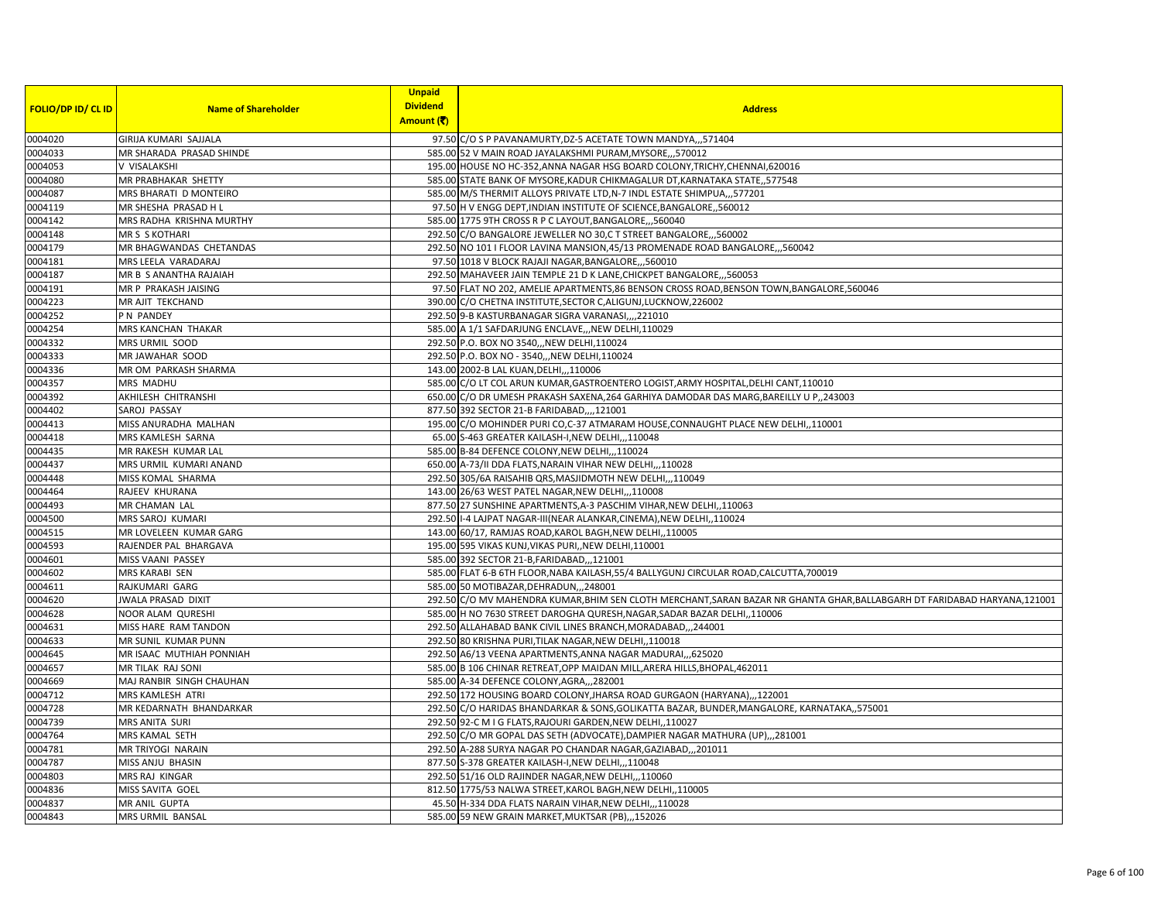| <b>FOLIO/DP ID/ CL ID</b> | <b>Name of Shareholder</b> | <b>Unpaid</b><br><b>Dividend</b><br>Amount (そ) | <b>Address</b>                                                                                                         |
|---------------------------|----------------------------|------------------------------------------------|------------------------------------------------------------------------------------------------------------------------|
| 0004020                   | GIRIJA KUMARI SAJJALA      |                                                | 97.50 C/O S P PAVANAMURTY, DZ-5 ACETATE TOWN MANDYA,,,571404                                                           |
| 0004033                   | MR SHARADA PRASAD SHINDE   |                                                | 585.00 52 V MAIN ROAD JAYALAKSHMI PURAM, MYSORE,,,570012                                                               |
| 0004053                   | V VISALAKSHI               |                                                | 195.00 HOUSE NO HC-352, ANNA NAGAR HSG BOARD COLONY, TRICHY, CHENNAI, 620016                                           |
| 0004080                   | MR PRABHAKAR SHETTY        |                                                | 585.00 STATE BANK OF MYSORE, KADUR CHIKMAGALUR DT, KARNATAKA STATE, ,577548                                            |
| 0004087                   | MRS BHARATI D MONTEIRO     |                                                | 585.00 M/S THERMIT ALLOYS PRIVATE LTD, N-7 INDL ESTATE SHIMPUA,,,577201                                                |
| 0004119                   | MR SHESHA PRASAD H L       |                                                | 97.50 H V ENGG DEPT, INDIAN INSTITUTE OF SCIENCE, BANGALORE,, 560012                                                   |
| 0004142                   | MRS RADHA KRISHNA MURTHY   |                                                | 585.00 1775 9TH CROSS R P C LAYOUT, BANGALORE, ,,560040                                                                |
| 0004148                   | <b>MR S S KOTHARI</b>      |                                                | 292.50 C/O BANGALORE JEWELLER NO 30,C T STREET BANGALORE,,,560002                                                      |
| 0004179                   | MR BHAGWANDAS CHETANDAS    |                                                | 292.50 NO 101 I FLOOR LAVINA MANSION, 45/13 PROMENADE ROAD BANGALORE, ,,560042                                         |
| 0004181                   | MRS LEELA VARADARAJ        |                                                | 97.50 1018 V BLOCK RAJAJI NAGAR, BANGALORE, ,,560010                                                                   |
| 0004187                   | MR B S ANANTHA RAJAIAH     |                                                | 292.50 MAHAVEER JAIN TEMPLE 21 D K LANE, CHICKPET BANGALORE, ,,560053                                                  |
| 0004191                   | MR P PRAKASH JAISING       |                                                | 97.50 FLAT NO 202, AMELIE APARTMENTS, 86 BENSON CROSS ROAD, BENSON TOWN, BANGALORE, 560046                             |
| 0004223                   | MR AJIT TEKCHAND           |                                                | 390.00 C/O CHETNA INSTITUTE, SECTOR C, ALIGUNJ, LUCKNOW, 226002                                                        |
| 0004252                   | P N PANDEY                 |                                                | 292.50 9-B KASTURBANAGAR SIGRA VARANASI,,,,221010                                                                      |
| 0004254                   | MRS KANCHAN THAKAR         |                                                | 585.00 A 1/1 SAFDARJUNG ENCLAVE,,,NEW DELHI,110029                                                                     |
| 0004332                   | MRS URMIL SOOD             |                                                | 292.50 P.O. BOX NO 3540, NEW DELHI, 110024                                                                             |
| 0004333                   | MR JAWAHAR SOOD            |                                                | 292.50 P.O. BOX NO - 3540,,, NEW DELHI, 110024                                                                         |
| 0004336                   | MR OM PARKASH SHARMA       |                                                | 143.00 2002-B LAL KUAN, DELHI, ,, 110006                                                                               |
| 0004357                   | <b>MRS MADHU</b>           |                                                | 585.00 C/O LT COL ARUN KUMAR, GASTROENTERO LOGIST, ARMY HOSPITAL, DELHI CANT, 110010                                   |
| 0004392                   | AKHILESH CHITRANSHI        |                                                | 650.00 C/O DR UMESH PRAKASH SAXENA, 264 GARHIYA DAMODAR DAS MARG, BAREILLY U P,, 243003                                |
| 0004402                   | SAROJ PASSAY               |                                                | 877.50 392 SECTOR 21-B FARIDABAD,,,,121001                                                                             |
| 0004413                   | MISS ANURADHA MALHAN       |                                                | 195.00 C/O MOHINDER PURI CO,C-37 ATMARAM HOUSE, CONNAUGHT PLACE NEW DELHI,,110001                                      |
| 0004418                   | MRS KAMLESH SARNA          |                                                | 65.00 S-463 GREATER KAILASH-I, NEW DELHI,,, 110048                                                                     |
| 0004435                   | MR RAKESH KUMAR LAL        |                                                | 585.00 B-84 DEFENCE COLONY, NEW DELHI,, 110024                                                                         |
| 0004437                   | MRS URMIL KUMARI ANAND     |                                                | 650.00 A-73/II DDA FLATS, NARAIN VIHAR NEW DELHI,,,110028                                                              |
| 0004448                   | MISS KOMAL SHARMA          |                                                | 292.50 305/6A RAISAHIB QRS, MASJIDMOTH NEW DELHI,, 110049                                                              |
| 0004464                   | RAJEEV KHURANA             |                                                | 143.00 26/63 WEST PATEL NAGAR, NEW DELHI,,,110008                                                                      |
| 0004493                   | MR CHAMAN LAL              |                                                | 877.50 27 SUNSHINE APARTMENTS, A-3 PASCHIM VIHAR, NEW DELHI, 110063                                                    |
| 0004500                   | MRS SAROJ KUMARI           |                                                | 292.50 I-4 LAJPAT NAGAR-III(NEAR ALANKAR, CINEMA), NEW DELHI,, 110024                                                  |
| 0004515                   | MR LOVELEEN KUMAR GARG     |                                                | 143.00 60/17, RAMJAS ROAD, KAROL BAGH, NEW DELHI, , 110005                                                             |
| 0004593                   | RAJENDER PAL BHARGAVA      |                                                | 195.00 595 VIKAS KUNJ, VIKAS PURI, NEW DELHI, 110001                                                                   |
| 0004601                   | MISS VAANI PASSEY          |                                                | 585.00 392 SECTOR 21-B, FARIDABAD, ,, 121001                                                                           |
| 0004602                   | MRS KARABI SEN             |                                                | 585.00 FLAT 6-B 6TH FLOOR, NABA KAILASH, 55/4 BALLYGUNJ CIRCULAR ROAD, CALCUTTA, 700019                                |
| 0004611                   | RAJKUMARI GARG             |                                                | 585.00 50 MOTIBAZAR, DEHRADUN, ,, 248001                                                                               |
| 0004620                   | <b>JWALA PRASAD DIXIT</b>  |                                                | 292.50 C/O MV MAHENDRA KUMAR,BHIM SEN CLOTH MERCHANT,SARAN BAZAR NR GHANTA GHAR,BALLABGARH DT FARIDABAD HARYANA,121001 |
| 0004628                   | NOOR ALAM QURESHI          |                                                | 585.00 H NO 7630 STREET DAROGHA QURESH, NAGAR, SADAR BAZAR DELHI, ,110006                                              |
| 0004631                   | MISS HARE RAM TANDON       |                                                | 292.50 ALLAHABAD BANK CIVIL LINES BRANCH, MORADABAD,,,244001                                                           |
| 0004633                   | MR SUNIL KUMAR PUNN        |                                                | 292.50 80 KRISHNA PURI, TILAK NAGAR, NEW DELHI, 110018                                                                 |
| 0004645                   | MR ISAAC MUTHIAH PONNIAH   |                                                | 292.50 A6/13 VEENA APARTMENTS, ANNA NAGAR MADURAI, ,,625020                                                            |
| 0004657                   | MR TILAK RAJ SONI          |                                                | 585.00 B 106 CHINAR RETREAT, OPP MAIDAN MILL, ARERA HILLS, BHOPAL, 462011                                              |
| 0004669                   | MAJ RANBIR SINGH CHAUHAN   |                                                | 585.00 A-34 DEFENCE COLONY, AGRA, ,, 282001                                                                            |
| 0004712                   | MRS KAMLESH ATRI           |                                                | 292.50 172 HOUSING BOARD COLONY, JHARSA ROAD GURGAON (HARYANA),, 122001                                                |
| 0004728                   | MR KEDARNATH BHANDARKAR    |                                                | 292.50 C/O HARIDAS BHANDARKAR & SONS, GOLIKATTA BAZAR, BUNDER, MANGALORE, KARNATAKA,, 575001                           |
| 0004739                   | MRS ANITA SURI             |                                                | 292.50 92-C M I G FLATS, RAJOURI GARDEN, NEW DELHI, , 110027                                                           |
| 0004764                   | MRS KAMAL SETH             |                                                | 292.50 C/O MR GOPAL DAS SETH (ADVOCATE), DAMPIER NAGAR MATHURA (UP),,,281001                                           |
| 0004781                   | MR TRIYOGI NARAIN          |                                                | 292.50 A-288 SURYA NAGAR PO CHANDAR NAGAR, GAZIABAD,, 201011                                                           |
| 0004787                   | MISS ANJU BHASIN           |                                                | 877.50 S-378 GREATER KAILASH-I, NEW DELHI, ,, 110048                                                                   |
| 0004803                   | MRS RAJ KINGAR             |                                                | 292.50 51/16 OLD RAJINDER NAGAR, NEW DELHI,,,110060                                                                    |
| 0004836                   | MISS SAVITA GOEL           |                                                | 812.50 1775/53 NALWA STREET, KAROL BAGH, NEW DELHI, 110005                                                             |
| 0004837                   | MR ANIL GUPTA              |                                                | 45.50 H-334 DDA FLATS NARAIN VIHAR, NEW DELHI,, 110028                                                                 |
| 0004843                   | MRS URMIL BANSAL           |                                                | 585.00 59 NEW GRAIN MARKET, MUKTSAR (PB),,,152026                                                                      |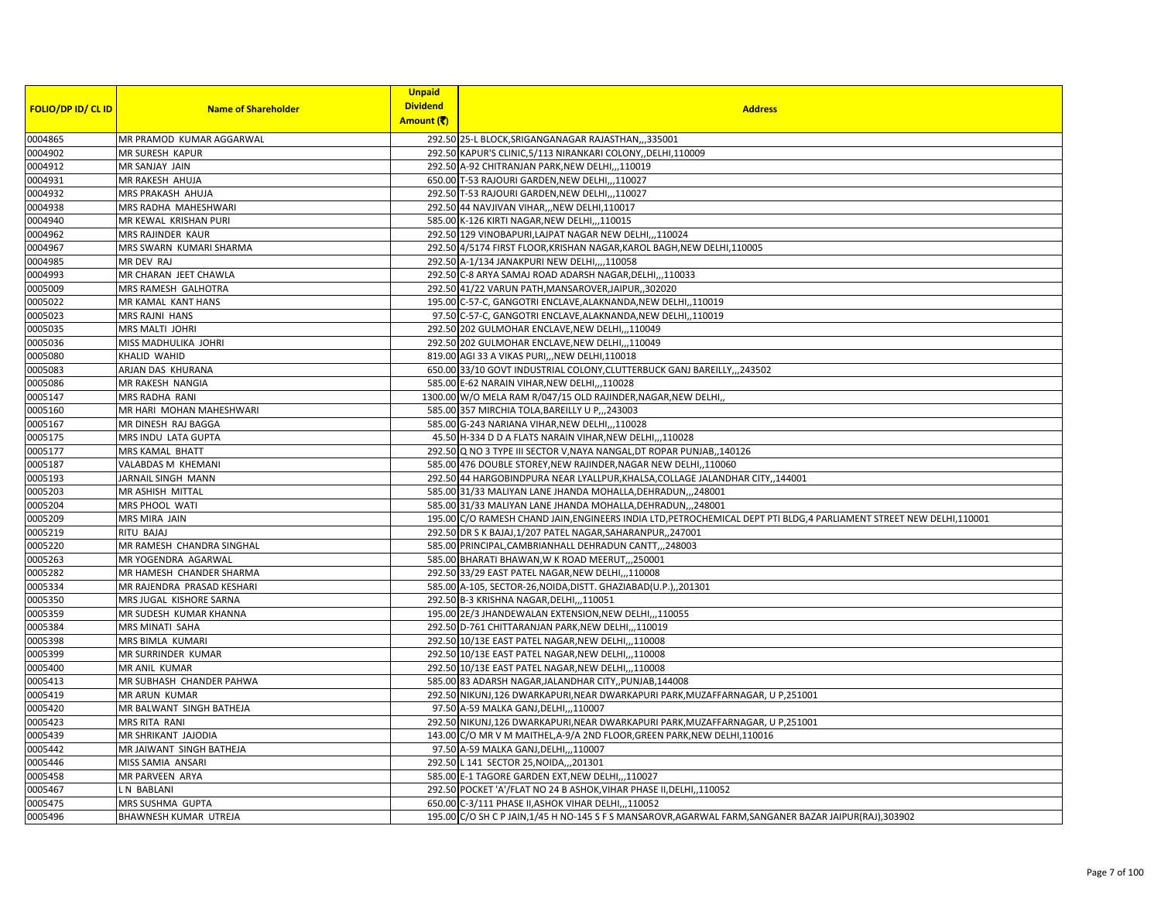| <b>FOLIO/DP ID/ CL ID</b> | <b>Name of Shareholder</b>                | <b>Unpaid</b><br><b>Dividend</b> | <b>Address</b>                                                                                                        |
|---------------------------|-------------------------------------------|----------------------------------|-----------------------------------------------------------------------------------------------------------------------|
|                           |                                           | Amount (そ)                       |                                                                                                                       |
| 0004865                   | MR PRAMOD KUMAR AGGARWAL                  |                                  | 292.50 25-L BLOCK, SRIGANGANAGAR RAJASTHAN, ,, 335001                                                                 |
| 0004902                   | <b>MR SURESH KAPUR</b>                    |                                  | 292.50 KAPUR'S CLINIC, 5/113 NIRANKARI COLONY, DELHI, 110009                                                          |
| 0004912                   | MR SANJAY JAIN                            |                                  | 292.50 A-92 CHITRANJAN PARK, NEW DELHI, , 110019                                                                      |
| 0004931                   | MR RAKESH AHUJA                           |                                  | 650.00 T-53 RAJOURI GARDEN, NEW DELHI,,,110027                                                                        |
| 0004932                   | MRS PRAKASH AHUJA                         |                                  | 292.50 T-53 RAJOURI GARDEN, NEW DELHI,,,110027                                                                        |
| 0004938                   | MRS RADHA MAHESHWARI                      |                                  | 292.50 44 NAVJIVAN VIHAR, ,NEW DELHI, 110017                                                                          |
| 0004940                   | MR KEWAL KRISHAN PURI                     |                                  | 585.00 K-126 KIRTI NAGAR, NEW DELHI,,,110015                                                                          |
| 0004962                   | MRS RAJINDER KAUR                         |                                  | 292.50 129 VINOBAPURI, LAJPAT NAGAR NEW DELHI,, ,110024                                                               |
| 0004967                   | MRS SWARN KUMARI SHARMA                   |                                  | 292.50 4/5174 FIRST FLOOR, KRISHAN NAGAR, KAROL BAGH, NEW DELHI, 110005                                               |
| 0004985                   | MR DEV RAJ                                |                                  | 292.50 A-1/134 JANAKPURI NEW DELHI,,,,110058                                                                          |
| 0004993                   | MR CHARAN JEET CHAWLA                     |                                  | 292.50 C-8 ARYA SAMAJ ROAD ADARSH NAGAR, DELHI,, 110033                                                               |
| 0005009                   | MRS RAMESH GALHOTRA                       |                                  | 292.50 41/22 VARUN PATH, MANSAROVER, JAIPUR, 302020                                                                   |
| 0005022                   | MR KAMAL KANT HANS                        |                                  | 195.00 C-57-C, GANGOTRI ENCLAVE, ALAKNANDA, NEW DELHI, , 110019                                                       |
| 0005023                   | MRS RAJNI HANS                            |                                  | 97.50 C-57-C, GANGOTRI ENCLAVE, ALAKNANDA, NEW DELHI,, 110019                                                         |
| 0005035                   | <b>MRS MALTI JOHRI</b>                    |                                  | 292.50 202 GULMOHAR ENCLAVE, NEW DELHI,,,110049                                                                       |
| 0005036                   | MISS MADHULIKA JOHRI                      |                                  | 292.50 202 GULMOHAR ENCLAVE, NEW DELHI,,,110049                                                                       |
| 0005080                   | KHALID WAHID                              |                                  | 819.00 AGI 33 A VIKAS PURI,,, NEW DELHI, 110018                                                                       |
| 0005083                   | ARJAN DAS KHURANA                         |                                  | 650.00 33/10 GOVT INDUSTRIAL COLONY, CLUTTERBUCK GANJ BAREILLY, , 243502                                              |
| 0005086                   | MR RAKESH NANGIA                          |                                  | 585.00 E-62 NARAIN VIHAR, NEW DELHI, , 110028                                                                         |
| 0005147                   | <b>MRS RADHA RANI</b>                     |                                  | 1300.00 W/O MELA RAM R/047/15 OLD RAJINDER, NAGAR, NEW DELHI,                                                         |
| 0005160                   | MR HARI MOHAN MAHESHWARI                  |                                  | 585.00 357 MIRCHIA TOLA, BAREILLY U P., 243003                                                                        |
| 0005167                   | MR DINESH RAJ BAGGA                       |                                  | 585.00 G-243 NARIANA VIHAR, NEW DELHI,,,110028                                                                        |
| 0005175                   | MRS INDU LATA GUPTA                       |                                  | 45.50 H-334 D D A FLATS NARAIN VIHAR, NEW DELHI, , 110028                                                             |
| 0005177                   | MRS KAMAL BHATT                           |                                  | 292.50 Q NO 3 TYPE III SECTOR V, NAYA NANGAL, DT ROPAR PUNJAB,, 140126                                                |
| 0005187                   | VALABDAS M KHEMANI                        |                                  | 585.00 476 DOUBLE STOREY, NEW RAJINDER, NAGAR NEW DELHI, 110060                                                       |
| 0005193                   | JARNAIL SINGH MANN                        |                                  | 292.50 44 HARGOBINDPURA NEAR LYALLPUR, KHALSA, COLLAGE JALANDHAR CITY, , 144001                                       |
| 0005203                   | MR ASHISH MITTAL                          |                                  | 585.00 31/33 MALIYAN LANE JHANDA MOHALLA, DEHRADUN,,,248001                                                           |
| 0005204                   | MRS PHOOL WATI                            |                                  | 585.00 31/33 MALIYAN LANE JHANDA MOHALLA, DEHRADUN, ,,248001                                                          |
| 0005209                   | MRS MIRA JAIN                             |                                  | 195.00 C/O RAMESH CHAND JAIN, ENGINEERS INDIA LTD, PETROCHEMICAL DEPT PTI BLDG, 4 PARLIAMENT STREET NEW DELHI, 110001 |
| 0005219                   | RITU BAJAJ                                |                                  | 292.50 DR S K BAJAJ,1/207 PATEL NAGAR,SAHARANPUR,,247001                                                              |
| 0005220                   | MR RAMESH CHANDRA SINGHAL                 |                                  | 585.00 PRINCIPAL, CAMBRIANHALL DEHRADUN CANTT,,,248003                                                                |
| 0005263                   | MR YOGENDRA AGARWAL                       |                                  | 585.00 BHARATI BHAWAN, W K ROAD MEERUT, ,250001                                                                       |
| 0005282                   | MR HAMESH CHANDER SHARMA                  |                                  | 292.50 33/29 EAST PATEL NAGAR, NEW DELHI,,,110008                                                                     |
| 0005334                   | MR RAJENDRA PRASAD KESHARI                |                                  | 585.00 A-105, SECTOR-26, NOIDA, DISTT. GHAZIABAD(U.P.), 201301                                                        |
| 0005350                   | MRS JUGAL KISHORE SARNA                   |                                  | 292.50 B-3 KRISHNA NAGAR, DELHI,, 110051                                                                              |
| 0005359                   | MR SUDESH KUMAR KHANNA                    |                                  | 195.00 2E/3 JHANDEWALAN EXTENSION, NEW DELHI,,,110055                                                                 |
| 0005384                   | MRS MINATI SAHA                           |                                  | 292.50 D-761 CHITTARANJAN PARK, NEW DELHI,, , 110019                                                                  |
| 0005398                   | MRS BIMLA KUMARI                          |                                  | 292.50 10/13E EAST PATEL NAGAR, NEW DELHI,,,110008                                                                    |
| 0005399                   | MR SURRINDER KUMAR                        |                                  | 292.50 10/13E EAST PATEL NAGAR, NEW DELHI,,,110008                                                                    |
| 0005400                   | MR ANIL KUMAR                             |                                  | 292.50 10/13E EAST PATEL NAGAR, NEW DELHI,,,110008                                                                    |
| 0005413                   | MR SUBHASH CHANDER PAHWA                  |                                  | 585.00 83 ADARSH NAGAR, JALANDHAR CITY, PUNJAB, 144008                                                                |
| 0005419                   | <b>MR ARUN KUMAR</b>                      |                                  | 292.50 NIKUNJ,126 DWARKAPURI, NEAR DWARKAPURI PARK, MUZAFFARNAGAR, U P,251001                                         |
| 0005420                   | MR BALWANT SINGH BATHEJA                  |                                  | 97.50 A-59 MALKA GANJ, DELHI, ,, 110007                                                                               |
| 0005423                   | <b>MRS RITA RANI</b>                      |                                  | 292.50 NIKUNJ,126 DWARKAPURI, NEAR DWARKAPURI PARK, MUZAFFARNAGAR, U P,251001                                         |
| 0005439                   | MR SHRIKANT JAJODIA                       |                                  | 143.00 C/O MR V M MAITHEL, A-9/A 2ND FLOOR, GREEN PARK, NEW DELHI, 110016                                             |
| 0005442                   | MR JAIWANT SINGH BATHEJA                  |                                  | 97.50 A-59 MALKA GANJ, DELHI,,,110007                                                                                 |
| 0005446                   | MISS SAMIA ANSARI                         |                                  |                                                                                                                       |
| 0005458                   | MR PARVEEN ARYA                           |                                  | 292.50 L 141 SECTOR 25, NOIDA,,, 201301<br>585.00 E-1 TAGORE GARDEN EXT, NEW DELHI,,,110027                           |
| 0005467                   | LN BABLANI                                |                                  | 292.50 POCKET 'A'/FLAT NO 24 B ASHOK, VIHAR PHASE II, DELHI, 110052                                                   |
|                           |                                           |                                  |                                                                                                                       |
| 0005475<br>0005496        | MRS SUSHMA GUPTA<br>BHAWNESH KUMAR UTREJA |                                  | 650.00 C-3/111 PHASE II, ASHOK VIHAR DELHI,, 110052                                                                   |
|                           |                                           |                                  | 195.00 C/O SH C P JAIN, 1/45 H NO-145 S F S MANSAROVR, AGARWAL FARM, SANGANER BAZAR JAIPUR(RAJ), 303902               |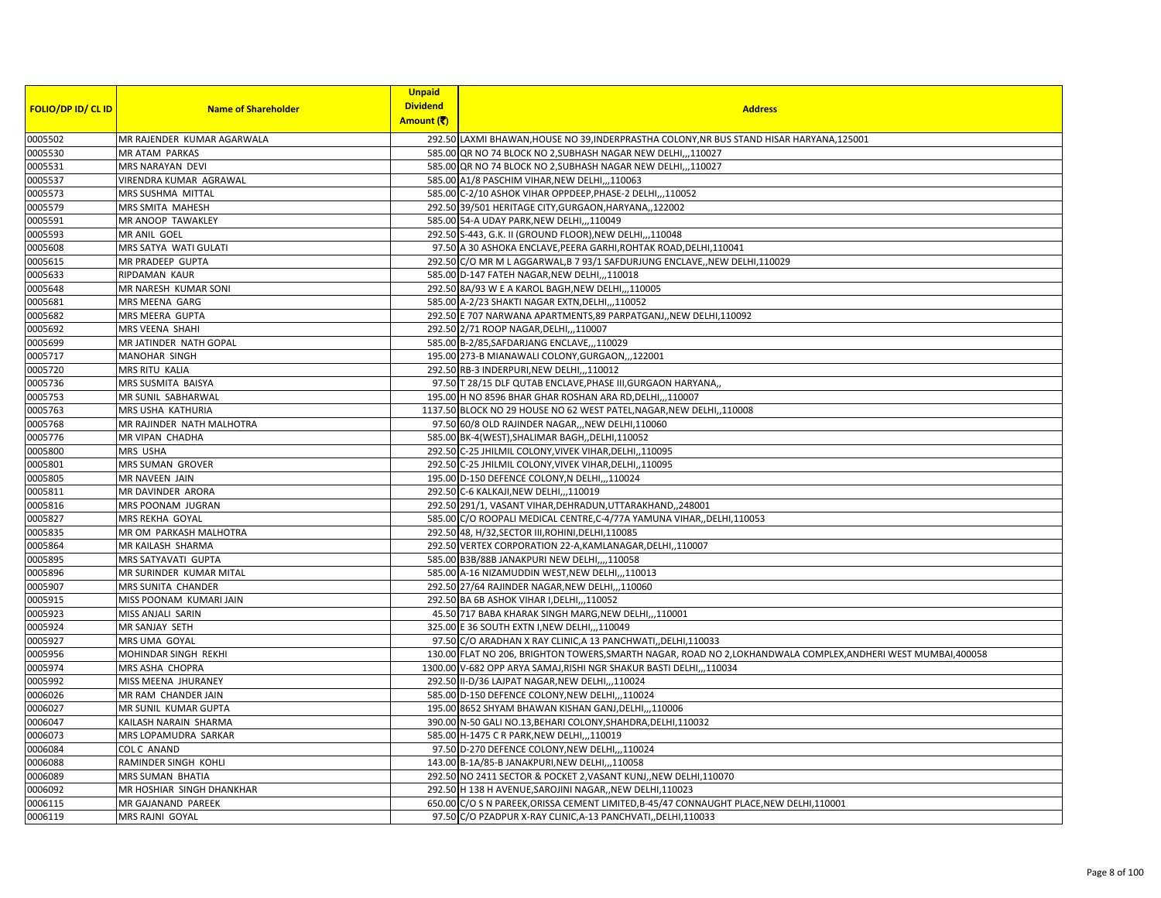|                           |                            | <b>Unpaid</b>   |                                                                                                                |
|---------------------------|----------------------------|-----------------|----------------------------------------------------------------------------------------------------------------|
| <b>FOLIO/DP ID/ CL ID</b> | <b>Name of Shareholder</b> | <b>Dividend</b> | <b>Address</b>                                                                                                 |
|                           |                            | Amount (そ)      |                                                                                                                |
| 0005502                   | MR RAJENDER KUMAR AGARWALA |                 | 292.50 LAXMI BHAWAN, HOUSE NO 39, INDERPRASTHA COLONY, NR BUS STAND HISAR HARYANA, 125001                      |
| 0005530                   | MR ATAM PARKAS             |                 | 585.00 QR NO 74 BLOCK NO 2, SUBHASH NAGAR NEW DELHI,,,110027                                                   |
| 0005531                   | MRS NARAYAN DEVI           |                 | 585.00 QR NO 74 BLOCK NO 2, SUBHASH NAGAR NEW DELHI,,,110027                                                   |
| 0005537                   | VIRENDRA KUMAR AGRAWAL     |                 | 585.00 A1/8 PASCHIM VIHAR, NEW DELHI,,,110063                                                                  |
| 0005573                   | MRS SUSHMA MITTAL          |                 | 585.00 C-2/10 ASHOK VIHAR OPPDEEP, PHASE-2 DELHI,,,110052                                                      |
| 0005579                   | MRS SMITA MAHESH           |                 | 292.50 39/501 HERITAGE CITY, GURGAON, HARYANA,, 122002                                                         |
| 0005591                   | MR ANOOP TAWAKLEY          |                 | 585.00 54-A UDAY PARK, NEW DELHI, ,, 110049                                                                    |
| 0005593                   | MR ANIL GOEL               |                 | 292.50 S-443, G.K. II (GROUND FLOOR), NEW DELHI,, ,110048                                                      |
| 0005608                   | MRS SATYA WATI GULATI      |                 | 97.50 A 30 ASHOKA ENCLAVE, PEERA GARHI, ROHTAK ROAD, DELHI, 110041                                             |
| 0005615                   | MR PRADEEP GUPTA           |                 | 292.50 C/O MR M L AGGARWAL, B 7 93/1 SAFDURJUNG ENCLAVE, NEW DELHI, 110029                                     |
| 0005633                   | RIPDAMAN KAUR              |                 | 585.00 D-147 FATEH NAGAR, NEW DELHI,,,110018                                                                   |
| 0005648                   | MR NARESH KUMAR SONI       |                 | 292.50 8A/93 W E A KAROL BAGH, NEW DELHI,,,110005                                                              |
| 0005681                   | MRS MEENA GARG             |                 | 585.00 A-2/23 SHAKTI NAGAR EXTN, DELHI,, 110052                                                                |
| 0005682                   | MRS MEERA GUPTA            |                 | 292.50 E 707 NARWANA APARTMENTS, 89 PARPATGANJ, NEW DELHI, 110092                                              |
| 0005692                   | MRS VEENA SHAHI            |                 | 292.50 2/71 ROOP NAGAR, DELHI,,, 110007                                                                        |
| 0005699                   | MR JATINDER NATH GOPAL     |                 | 585.00 B-2/85, SAFDARJANG ENCLAVE, ,, 110029                                                                   |
| 0005717                   | MANOHAR SINGH              |                 | 195.00 273-B MIANAWALI COLONY, GURGAON,, ,122001                                                               |
| 0005720                   | MRS RITU KALIA             |                 | 292.50 RB-3 INDERPURI, NEW DELHI,,,110012                                                                      |
| 0005736                   | MRS SUSMITA BAISYA         |                 | 97.50 T 28/15 DLF QUTAB ENCLAVE, PHASE III, GURGAON HARYANA,                                                   |
| 0005753                   | MR SUNIL SABHARWAL         |                 | 195.00 H NO 8596 BHAR GHAR ROSHAN ARA RD, DELHI,,,110007                                                       |
| 0005763                   | MRS USHA KATHURIA          |                 | 1137.50 BLOCK NO 29 HOUSE NO 62 WEST PATEL, NAGAR, NEW DELHI, 110008                                           |
| 0005768                   | MR RAJINDER NATH MALHOTRA  |                 | 97.50 60/8 OLD RAJINDER NAGAR,,,NEW DELHI,110060                                                               |
| 0005776                   | MR VIPAN CHADHA            |                 | 585.00 BK-4(WEST), SHALIMAR BAGH, , DELHI, 110052                                                              |
| 0005800                   | MRS USHA                   |                 | 292.50 C-25 JHILMIL COLONY, VIVEK VIHAR, DELHI, , 110095                                                       |
| 0005801                   | MRS SUMAN GROVER           |                 | 292.50 C-25 JHILMIL COLONY, VIVEK VIHAR, DELHI, 110095                                                         |
| 0005805                   | MR NAVEEN JAIN             |                 | 195.00 D-150 DEFENCE COLONY, N DELHI,,,110024                                                                  |
| 0005811                   | MR DAVINDER ARORA          |                 | 292.50 C-6 KALKAJI, NEW DELHI, ,, 110019                                                                       |
| 0005816                   | MRS POONAM JUGRAN          |                 | 292.50 291/1, VASANT VIHAR, DEHRADUN, UTTARAKHAND,, 248001                                                     |
| 0005827                   | MRS REKHA GOYAL            |                 | 585.00 C/O ROOPALI MEDICAL CENTRE, C-4/77A YAMUNA VIHAR, DELHI, 110053                                         |
| 0005835                   | MR OM PARKASH MALHOTRA     |                 | 292.50 48, H/32, SECTOR III, ROHINI, DELHI, 110085                                                             |
| 0005864                   | MR KAILASH SHARMA          |                 | 292.50 VERTEX CORPORATION 22-A, KAMLANAGAR, DELHI, , 110007                                                    |
| 0005895                   | MRS SATYAVATI GUPTA        |                 | 585.00 B3B/88B JANAKPURI NEW DELHI,,,,110058                                                                   |
| 0005896                   | MR SURINDER KUMAR MITAL    |                 | 585.00 A-16 NIZAMUDDIN WEST, NEW DELHI, ,, 110013                                                              |
| 0005907                   | MRS SUNITA CHANDER         |                 | 292.50 27/64 RAJINDER NAGAR, NEW DELHI,,,110060                                                                |
| 0005915                   | MISS POONAM KUMARI JAIN    |                 | 292.50 BA 6B ASHOK VIHAR I, DELHI, ,, 110052                                                                   |
| 0005923                   | MISS ANJALI SARIN          |                 | 45.50 717 BABA KHARAK SINGH MARG, NEW DELHI,,,110001                                                           |
| 0005924                   | MR SANJAY SETH             |                 | 325.00 E 36 SOUTH EXTN I, NEW DELHI, ,, 110049                                                                 |
| 0005927                   | MRS UMA GOYAL              |                 | 97.50 C/O ARADHAN X RAY CLINIC, A 13 PANCHWATI, DELHI, 110033                                                  |
| 0005956                   | MOHINDAR SINGH REKHI       |                 | 130.00 FLAT NO 206, BRIGHTON TOWERS, SMARTH NAGAR, ROAD NO 2, LOKHANDWALA COMPLEX, ANDHERI WEST MUMBAI, 400058 |
| 0005974                   | MRS ASHA CHOPRA            |                 | 1300.00 V-682 OPP ARYA SAMAJ, RISHI NGR SHAKUR BASTI DELHI,,,110034                                            |
| 0005992                   | MISS MEENA JHURANEY        |                 | 292.50 II-D/36 LAJPAT NAGAR, NEW DELHI, ,,110024                                                               |
| 0006026                   | MR RAM CHANDER JAIN        |                 | 585.00 D-150 DEFENCE COLONY, NEW DELHI,, ,110024                                                               |
| 0006027                   | MR SUNIL KUMAR GUPTA       |                 | 195.00 8652 SHYAM BHAWAN KISHAN GANJ, DELHI,,,110006                                                           |
| 0006047                   | KAILASH NARAIN SHARMA      |                 | 390.00 N-50 GALI NO.13, BEHARI COLONY, SHAHDRA, DELHI, 110032                                                  |
| 0006073                   | MRS LOPAMUDRA SARKAR       |                 | 585.00 H-1475 C R PARK, NEW DELHI, , 110019                                                                    |
| 0006084                   | COL C ANAND                |                 | 97.50 D-270 DEFENCE COLONY, NEW DELHI, ,, 110024                                                               |
| 0006088                   | RAMINDER SINGH KOHLI       |                 | 143.00 B-1A/85-B JANAKPURI, NEW DELHI,,,110058                                                                 |
| 0006089                   | MRS SUMAN BHATIA           |                 | 292.50 NO 2411 SECTOR & POCKET 2, VASANT KUNJ,, NEW DELHI, 110070                                              |
| 0006092                   | MR HOSHIAR SINGH DHANKHAR  |                 | 292.50 H 138 H AVENUE, SAROJINI NAGAR, , NEW DELHI, 110023                                                     |
| 0006115                   | MR GAJANAND PAREEK         |                 | 650.00 C/O S N PAREEK, ORISSA CEMENT LIMITED, B-45/47 CONNAUGHT PLACE, NEW DELHI, 110001                       |
| 0006119                   | MRS RAJNI GOYAL            |                 | 97.50 C/O PZADPUR X-RAY CLINIC, A-13 PANCHVATI, DELHI, 110033                                                  |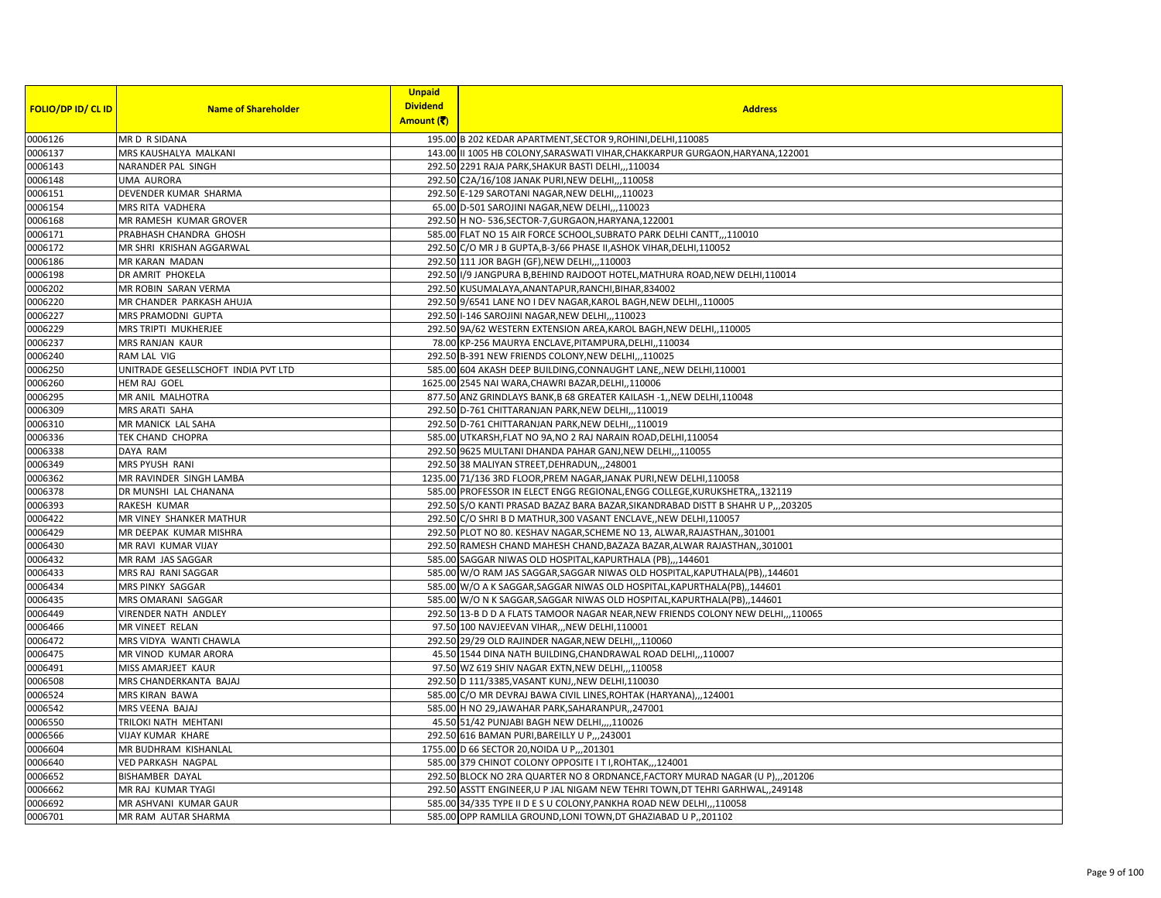|                           |                                     | <b>Unpaid</b><br><b>Dividend</b> |                                                                                   |
|---------------------------|-------------------------------------|----------------------------------|-----------------------------------------------------------------------------------|
| <b>FOLIO/DP ID/ CL ID</b> | <b>Name of Shareholder</b>          | Amount (そ)                       | <b>Address</b>                                                                    |
| 0006126                   | MR D R SIDANA                       |                                  | 195.00 B 202 KEDAR APARTMENT, SECTOR 9, ROHINI, DELHI, 110085                     |
| 0006137                   | MRS KAUSHALYA MALKANI               |                                  | 143.00   II 1005 HB COLONY, SARASWATI VIHAR, CHAKKARPUR GURGAON, HARYANA, 122001  |
| 0006143                   | NARANDER PAL SINGH                  |                                  | 292.50 2291 RAJA PARK, SHAKUR BASTI DELHI,, , 110034                              |
| 0006148                   | <b>UMA AURORA</b>                   |                                  | 292.50 C2A/16/108 JANAK PURI, NEW DELHI,, 110058                                  |
| 0006151                   | DEVENDER KUMAR SHARMA               |                                  | 292.50 E-129 SAROTANI NAGAR, NEW DELHI,,,110023                                   |
| 0006154                   | MRS RITA VADHERA                    |                                  | 65.00 D-501 SAROJINI NAGAR, NEW DELHI,,,110023                                    |
| 0006168                   | MR RAMESH KUMAR GROVER              |                                  | 292.50 H NO-536, SECTOR-7, GURGAON, HARYANA, 122001                               |
| 0006171                   | PRABHASH CHANDRA GHOSH              |                                  | 585.00 FLAT NO 15 AIR FORCE SCHOOL, SUBRATO PARK DELHI CANTT,,,110010             |
| 0006172                   | MR SHRI KRISHAN AGGARWAL            |                                  | 292.50 C/O MR J B GUPTA, B-3/66 PHASE II, ASHOK VIHAR, DELHI, 110052              |
| 0006186                   | MR KARAN MADAN                      |                                  | 292.50 111 JOR BAGH (GF), NEW DELHI, ,, 110003                                    |
| 0006198                   | DR AMRIT PHOKELA                    |                                  | 292.50 I/9 JANGPURA B, BEHIND RAJDOOT HOTEL, MATHURA ROAD, NEW DELHI, 110014      |
| 0006202                   | MR ROBIN SARAN VERMA                |                                  | 292.50 KUSUMALAYA, ANANTAPUR, RANCHI, BIHAR, 834002                               |
| 0006220                   | MR CHANDER PARKASH AHUJA            |                                  | 292.50 9/6541 LANE NO I DEV NAGAR, KAROL BAGH, NEW DELHI, 110005                  |
| 0006227                   | MRS PRAMODNI GUPTA                  |                                  | 292.50 I-146 SAROJINI NAGAR, NEW DELHI,,,110023                                   |
| 0006229                   | MRS TRIPTI MUKHERJEE                |                                  | 292.50 9A/62 WESTERN EXTENSION AREA, KAROL BAGH, NEW DELHI, 110005                |
| 0006237                   | MRS RANJAN KAUR                     |                                  | 78.00 KP-256 MAURYA ENCLAVE, PITAMPURA, DELHI, ,110034                            |
| 0006240                   | RAM LAL VIG                         |                                  | 292.50 B-391 NEW FRIENDS COLONY, NEW DELHI,,,110025                               |
| 0006250                   | UNITRADE GESELLSCHOFT INDIA PVT LTD |                                  | 585.00 604 AKASH DEEP BUILDING, CONNAUGHT LANE,, NEW DELHI, 110001                |
| 0006260                   | HEM RAJ GOEL                        |                                  | 1625.00 2545 NAI WARA, CHAWRI BAZAR, DELHI, , 110006                              |
| 0006295                   | MR ANIL MALHOTRA                    |                                  | 877.50 ANZ GRINDLAYS BANK, B 68 GREATER KAILASH -1,, NEW DELHI, 110048            |
| 0006309                   | MRS ARATI SAHA                      |                                  | 292.50 D-761 CHITTARANJAN PARK, NEW DELHI,,, 110019                               |
| 0006310                   | MR MANICK LAL SAHA                  |                                  | 292.50 D-761 CHITTARANJAN PARK, NEW DELHI,, , 110019                              |
| 0006336                   | TEK CHAND CHOPRA                    |                                  | 585.00 UTKARSH, FLAT NO 9A, NO 2 RAJ NARAIN ROAD, DELHI, 110054                   |
| 0006338                   | DAYA RAM                            |                                  | 292.50 9625 MULTANI DHANDA PAHAR GANJ, NEW DELHI,,,110055                         |
| 0006349                   | <b>MRS PYUSH RANI</b>               |                                  | 292.50 38 MALIYAN STREET, DEHRADUN, ,, 248001                                     |
| 0006362                   | MR RAVINDER SINGH LAMBA             |                                  | 1235.00 71/136 3RD FLOOR, PREM NAGAR, JANAK PURI, NEW DELHI, 110058               |
| 0006378                   | DR MUNSHI LAL CHANANA               |                                  | 585.00 PROFESSOR IN ELECT ENGG REGIONAL, ENGG COLLEGE, KURUKSHETRA,, 132119       |
| 0006393                   | <b>RAKESH KUMAR</b>                 |                                  | 292.50 S/O KANTI PRASAD BAZAZ BARA BAZAR, SIKANDRABAD DISTT B SHAHR U P,, 203205  |
| 0006422                   | MR VINEY SHANKER MATHUR             |                                  | 292.50 C/O SHRI B D MATHUR, 300 VASANT ENCLAVE,, NEW DELHI, 110057                |
| 0006429                   | MR DEEPAK KUMAR MISHRA              |                                  | 292.50 PLOT NO 80. KESHAV NAGAR, SCHEME NO 13, ALWAR, RAJASTHAN, 301001           |
| 0006430                   | MR RAVI KUMAR VIJAY                 |                                  | 292.50 RAMESH CHAND MAHESH CHAND, BAZAZA BAZAR, ALWAR RAJASTHAN, ,301001          |
| 0006432                   | MR RAM JAS SAGGAR                   |                                  | 585.00 SAGGAR NIWAS OLD HOSPITAL, KAPURTHALA (PB),,,144601                        |
| 0006433                   | MRS RAJ RANI SAGGAR                 |                                  | 585.00 W/O RAM JAS SAGGAR, SAGGAR NIWAS OLD HOSPITAL, KAPUTHALA (PB), , 144601    |
| 0006434                   | MRS PINKY SAGGAR                    |                                  | 585.00 W/O A K SAGGAR, SAGGAR NIWAS OLD HOSPITAL, KAPURTHALA (PB), 144601         |
| 0006435                   | MRS OMARANI SAGGAR                  |                                  | 585.00 W/O N K SAGGAR, SAGGAR NIWAS OLD HOSPITAL, KAPURTHALA (PB), 144601         |
| 0006449                   | <b>VIRENDER NATH ANDLEY</b>         |                                  | 292.50 13-B D D A FLATS TAMOOR NAGAR NEAR, NEW FRIENDS COLONY NEW DELHI, ,,110065 |
| 0006466                   | MR VINEET RELAN                     |                                  | 97.50 100 NAVJEEVAN VIHAR,,,NEW DELHI,110001                                      |
| 0006472                   | MRS VIDYA WANTI CHAWLA              |                                  | 292.50 29/29 OLD RAJINDER NAGAR, NEW DELHI,,,110060                               |
| 0006475                   | MR VINOD KUMAR ARORA                |                                  | 45.50 1544 DINA NATH BUILDING, CHANDRAWAL ROAD DELHI,,, 110007                    |
| 0006491                   | MISS AMARJEET KAUR                  |                                  | 97.50 WZ 619 SHIV NAGAR EXTN, NEW DELHI,,,110058                                  |
| 0006508                   | MRS CHANDERKANTA BAJAJ              |                                  | 292.50 D 111/3385, VASANT KUNJ,, NEW DELHI, 110030                                |
| 0006524                   | MRS KIRAN BAWA                      |                                  | 585.00 C/O MR DEVRAJ BAWA CIVIL LINES, ROHTAK (HARYANA),,,124001                  |
| 0006542                   | MRS VEENA BAJAJ                     |                                  | 585.00 H NO 29, JAWAHAR PARK, SAHARANPUR, , 247001                                |
| 0006550                   | TRILOKI NATH MEHTANI                |                                  | 45.50 51/42 PUNJABI BAGH NEW DELHI,,,,110026                                      |
| 0006566                   | <b>VIJAY KUMAR KHARE</b>            |                                  | 292.50 616 BAMAN PURI, BAREILLY U P,, 243001                                      |
| 0006604                   | MR BUDHRAM KISHANLAL                |                                  | 1755.00 D 66 SECTOR 20, NOIDA U P., 201301                                        |
| 0006640                   | VED PARKASH NAGPAL                  |                                  | 585.00 379 CHINOT COLONY OPPOSITE I T I, ROHTAK,,,124001                          |
| 0006652                   | <b>BISHAMBER DAYAL</b>              |                                  | 292.50 BLOCK NO 2RA QUARTER NO 8 ORDNANCE, FACTORY MURAD NAGAR (U P), , 201206    |
| 0006662                   | MR RAJ KUMAR TYAGI                  |                                  | 292.50 ASSTT ENGINEER, U P JAL NIGAM NEW TEHRI TOWN, DT TEHRI GARHWAL, 249148     |
| 0006692                   | MR ASHVANI KUMAR GAUR               |                                  | 585.00 34/335 TYPE II D E S U COLONY, PANKHA ROAD NEW DELHI,, 110058              |
| 0006701                   | MR RAM AUTAR SHARMA                 |                                  | 585.00 OPP RAMLILA GROUND, LONI TOWN, DT GHAZIABAD U P., 201102                   |
|                           |                                     |                                  |                                                                                   |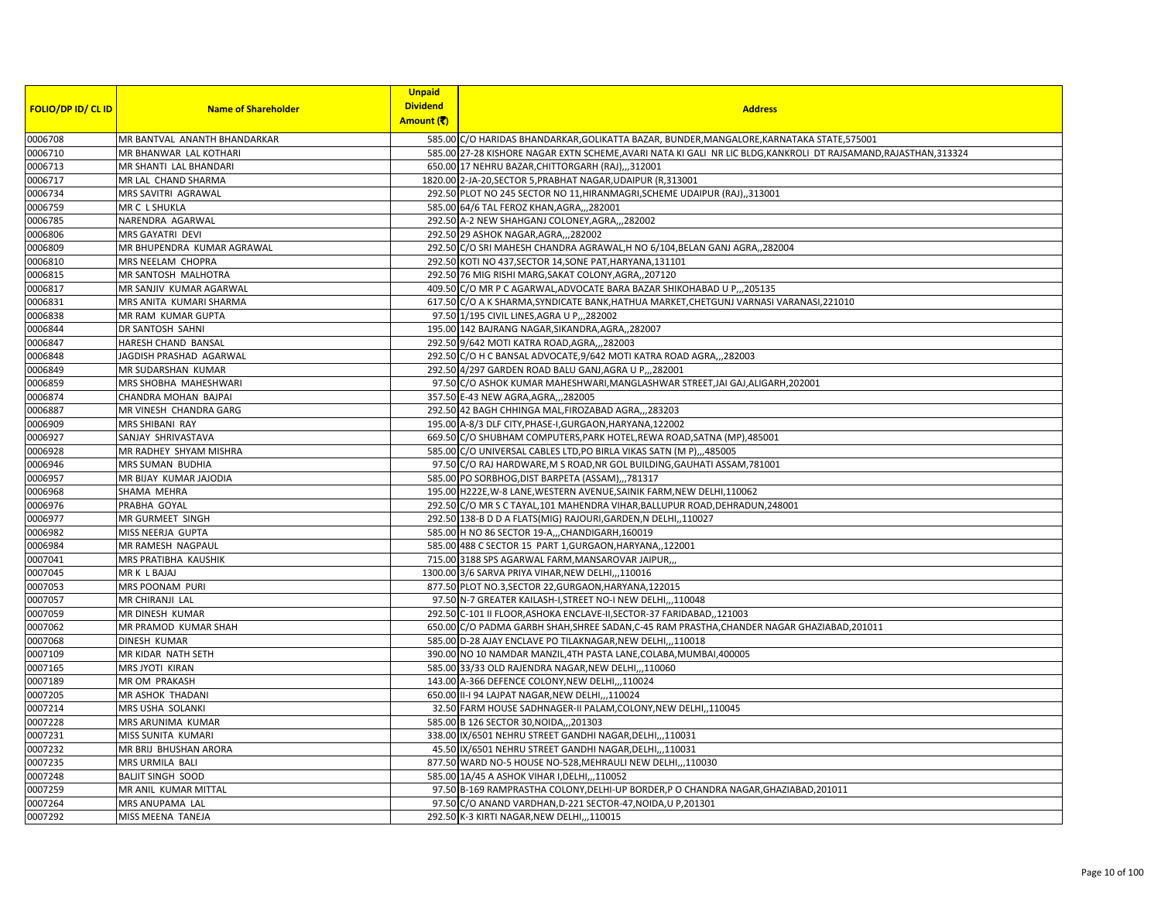|                           |                              | <b>Unpaid</b>   |                                                                                                                  |
|---------------------------|------------------------------|-----------------|------------------------------------------------------------------------------------------------------------------|
| <b>FOLIO/DP ID/ CL ID</b> | <b>Name of Shareholder</b>   | <b>Dividend</b> | <b>Address</b>                                                                                                   |
|                           |                              | Amount (そ)      |                                                                                                                  |
| 0006708                   | MR BANTVAL ANANTH BHANDARKAR |                 | 585.00 C/O HARIDAS BHANDARKAR, GOLIKATTA BAZAR, BUNDER, MANGALORE, KARNATAKA STATE, 575001                       |
| 0006710                   | MR BHANWAR LAL KOTHARI       |                 | 585.00 27-28 KISHORE NAGAR EXTN SCHEME, AVARI NATA KI GALI NR LIC BLDG, KANKROLI DT RAJSAMAND, RAJASTHAN, 313324 |
| 0006713                   | MR SHANTI LAL BHANDARI       |                 | 650.00 17 NEHRU BAZAR, CHITTORGARH (RAJ),,,312001                                                                |
| 0006717                   | MR LAL CHAND SHARMA          |                 | 1820.00 2-JA-20, SECTOR 5, PRABHAT NAGAR, UDAIPUR (R, 313001                                                     |
| 0006734                   | MRS SAVITRI AGRAWAL          |                 | 292.50 PLOT NO 245 SECTOR NO 11, HIRANMAGRI, SCHEME UDAIPUR (RAJ), 313001                                        |
| 0006759                   | MR C L SHUKLA                |                 | 585.00 64/6 TAL FEROZ KHAN, AGRA, ,, 282001                                                                      |
| 0006785                   | NARENDRA AGARWAL             |                 | 292.50 A-2 NEW SHAHGANJ COLONEY, AGRA,, 282002                                                                   |
| 0006806                   | MRS GAYATRI DEVI             |                 | 292.50 29 ASHOK NAGAR, AGRA, ,, 282002                                                                           |
| 0006809                   | MR BHUPENDRA KUMAR AGRAWAL   |                 | 292.50 C/O SRI MAHESH CHANDRA AGRAWAL, H NO 6/104, BELAN GANJ AGRA, 282004                                       |
| 0006810                   | MRS NEELAM CHOPRA            |                 | 292.50 KOTI NO 437, SECTOR 14, SONE PAT, HARYANA, 131101                                                         |
| 0006815                   | MR SANTOSH MALHOTRA          |                 | 292.50 76 MIG RISHI MARG, SAKAT COLONY, AGRA,, 207120                                                            |
| 0006817                   | MR SANJIV KUMAR AGARWAL      |                 | 409.50 C/O MR P C AGARWAL, ADVOCATE BARA BAZAR SHIKOHABAD U P,, 205135                                           |
| 0006831                   | MRS ANITA KUMARI SHARMA      |                 | 617.50 C/O A K SHARMA, SYNDICATE BANK, HATHUA MARKET, CHETGUNJ VARNASI VARANASI, 221010                          |
| 0006838                   | MR RAM KUMAR GUPTA           |                 | 97.50 1/195 CIVIL LINES, AGRA U P., 282002                                                                       |
| 0006844                   | DR SANTOSH SAHNI             |                 | 195.00 142 BAJRANG NAGAR, SIKANDRA, AGRA, , 282007                                                               |
| 0006847                   | HARESH CHAND BANSAL          |                 | 292.50 9/642 MOTI KATRA ROAD, AGRA,, 282003                                                                      |
| 0006848                   | JAGDISH PRASHAD AGARWAL      |                 | 292.50 C/O H C BANSAL ADVOCATE, 9/642 MOTI KATRA ROAD AGRA,, 282003                                              |
| 0006849                   | MR SUDARSHAN KUMAR           |                 | 292.50 4/297 GARDEN ROAD BALU GANJ, AGRA U P., 282001                                                            |
| 0006859                   | MRS SHOBHA MAHESHWARI        |                 | 97.50 C/O ASHOK KUMAR MAHESHWARI, MANGLASHWAR STREET, JAI GAJ, ALIGARH, 202001                                   |
| 0006874                   | CHANDRA MOHAN BAJPAI         |                 | 357.50 E-43 NEW AGRA, AGRA, ,, 282005                                                                            |
| 0006887                   | MR VINESH CHANDRA GARG       |                 | 292.50 42 BAGH CHHINGA MAL, FIROZABAD AGRA,,, 283203                                                             |
| 0006909                   | MRS SHIBANI RAY              |                 | 195.00 A-8/3 DLF CITY, PHASE-I, GURGAON, HARYANA, 122002                                                         |
| 0006927                   | SANJAY SHRIVASTAVA           |                 | 669.50 C/O SHUBHAM COMPUTERS, PARK HOTEL, REWA ROAD, SATNA (MP), 485001                                          |
| 0006928                   | MR RADHEY SHYAM MISHRA       |                 | 585.00 C/O UNIVERSAL CABLES LTD, PO BIRLA VIKAS SATN (M P),,,485005                                              |
| 0006946                   | <b>MRS SUMAN BUDHIA</b>      |                 | 97.50 C/O RAJ HARDWARE, M S ROAD, NR GOL BUILDING, GAUHATI ASSAM, 781001                                         |
| 0006957                   | MR BIJAY KUMAR JAJODIA       |                 | 585.00 PO SORBHOG, DIST BARPETA (ASSAM),,,781317                                                                 |
| 0006968                   | SHAMA MEHRA                  |                 | 195.00 H222E, W-8 LANE, WESTERN AVENUE, SAINIK FARM, NEW DELHI, 110062                                           |
| 0006976                   | PRABHA GOYAL                 |                 | 292.50 C/O MR S C TAYAL, 101 MAHENDRA VIHAR, BALLUPUR ROAD, DEHRADUN, 248001                                     |
| 0006977                   | MR GURMEET SINGH             |                 | 292.50 138-B D D A FLATS(MIG) RAJOURI, GARDEN, N DELHI, 110027                                                   |
| 0006982                   | MISS NEERJA GUPTA            |                 | 585.00 H NO 86 SECTOR 19-A,,,CHANDIGARH,160019                                                                   |
| 0006984                   | MR RAMESH NAGPAUL            |                 | 585.00 488 C SECTOR 15 PART 1, GURGAON, HARYANA, , 122001                                                        |
| 0007041                   | MRS PRATIBHA KAUSHIK         |                 | 715.00 3188 SPS AGARWAL FARM, MANSAROVAR JAIPUR,,,                                                               |
| 0007045                   | MR K L BAJAJ                 |                 | 1300.00 3/6 SARVA PRIYA VIHAR, NEW DELHI, ,, 110016                                                              |
| 0007053                   | MRS POONAM PURI              |                 | 877.50 PLOT NO.3, SECTOR 22, GURGAON, HARYANA, 122015                                                            |
| 0007057                   | MR CHIRANJI LAL              |                 | 97.50 N-7 GREATER KAILASH-I, STREET NO-I NEW DELHI,,,110048                                                      |
| 0007059                   | <b>MR DINESH KUMAR</b>       |                 | 292.50 C-101 II FLOOR, ASHOKA ENCLAVE-II, SECTOR-37 FARIDABAD, 121003                                            |
| 0007062                   | MR PRAMOD KUMAR SHAH         |                 | 650.00 C/O PADMA GARBH SHAH, SHREE SADAN, C-45 RAM PRASTHA, CHANDER NAGAR GHAZIABAD, 201011                      |
| 0007068                   | <b>DINESH KUMAR</b>          |                 | 585.00 D-28 AJAY ENCLAVE PO TILAKNAGAR, NEW DELHI,,,110018                                                       |
| 0007109                   | MR KIDAR NATH SETH           |                 | 390.00 NO 10 NAMDAR MANZIL,4TH PASTA LANE, COLABA, MUMBAI, 400005                                                |
| 0007165                   | MRS JYOTI KIRAN              |                 | 585.00 33/33 OLD RAJENDRA NAGAR, NEW DELHI,,,110060                                                              |
| 0007189                   | MR OM PRAKASH                |                 | 143.00 A-366 DEFENCE COLONY, NEW DELHI, ,, 110024                                                                |
| 0007205                   | MR ASHOK THADANI             |                 | 650.00 II-I 94 LAJPAT NAGAR, NEW DELHI,,,110024                                                                  |
| 0007214                   | MRS USHA SOLANKI             |                 | 32.50 FARM HOUSE SADHNAGER-II PALAM, COLONY, NEW DELHI,, 110045                                                  |
| 0007228                   | MRS ARUNIMA KUMAR            |                 | 585.00 B 126 SECTOR 30, NOIDA, ,, 201303                                                                         |
| 0007231                   | MISS SUNITA KUMARI           |                 | 338.00 IX/6501 NEHRU STREET GANDHI NAGAR, DELHI,,,110031                                                         |
| 0007232                   | MR BRIJ BHUSHAN ARORA        |                 | 45.50 IX/6501 NEHRU STREET GANDHI NAGAR, DELHI,,, 110031                                                         |
| 0007235                   | MRS URMILA BALI              |                 | 877.50 WARD NO-5 HOUSE NO-528, MEHRAULI NEW DELHI,,,110030                                                       |
| 0007248                   | <b>BALJIT SINGH SOOD</b>     |                 | 585.00 1A/45 A ASHOK VIHAR I, DELHI, ,, 110052                                                                   |
| 0007259                   | MR ANIL KUMAR MITTAL         |                 | 97.50 B-169 RAMPRASTHA COLONY, DELHI-UP BORDER, P O CHANDRA NAGAR, GHAZIABAD, 201011                             |
| 0007264                   | MRS ANUPAMA LAL              |                 | 97.50 C/O ANAND VARDHAN, D-221 SECTOR-47, NOIDA, U P, 201301                                                     |
| 0007292                   | MISS MEENA TANEJA            |                 | 292.50 K-3 KIRTI NAGAR, NEW DELHI,,,110015                                                                       |
|                           |                              |                 |                                                                                                                  |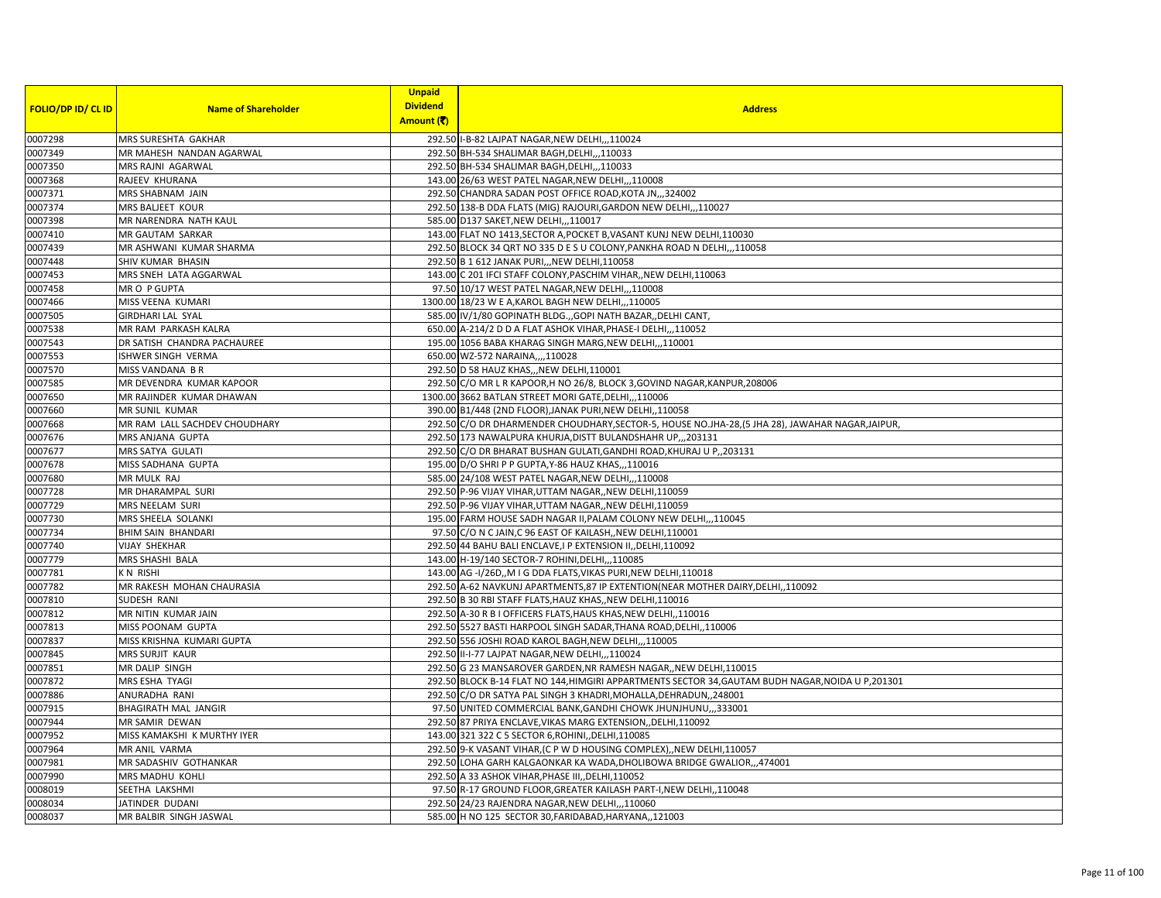|                           |                               | <b>Unpaid</b>   |                                                                                                    |
|---------------------------|-------------------------------|-----------------|----------------------------------------------------------------------------------------------------|
| <b>FOLIO/DP ID/ CL ID</b> | <b>Name of Shareholder</b>    | <b>Dividend</b> | <b>Address</b>                                                                                     |
|                           |                               | Amount (そ)      |                                                                                                    |
| 0007298                   | MRS SURESHTA GAKHAR           |                 | 292.50 I-B-82 LAJPAT NAGAR, NEW DELHI,,,110024                                                     |
| 0007349                   | MR MAHESH NANDAN AGARWAL      |                 | 292.50 BH-534 SHALIMAR BAGH, DELHI,,, 110033                                                       |
| 0007350                   | MRS RAJNI AGARWAL             |                 | 292.50 BH-534 SHALIMAR BAGH, DELHI,, 110033                                                        |
| 0007368                   | RAJEEV KHURANA                |                 | 143.00 26/63 WEST PATEL NAGAR, NEW DELHI,,,110008                                                  |
| 0007371                   | MRS SHABNAM JAIN              |                 | 292.50 CHANDRA SADAN POST OFFICE ROAD, KOTA JN,,,324002                                            |
| 0007374                   | <b>MRS BALJEET KOUR</b>       |                 | 292.50 138-B DDA FLATS (MIG) RAJOURI, GARDON NEW DELHI,,,110027                                    |
| 0007398                   | MR NARENDRA NATH KAUL         |                 | 585.00 D137 SAKET, NEW DELHI,,,110017                                                              |
| 0007410                   | MR GAUTAM SARKAR              |                 | 143.00 FLAT NO 1413, SECTOR A, POCKET B, VASANT KUNJ NEW DELHI, 110030                             |
| 0007439                   | MR ASHWANI KUMAR SHARMA       |                 | 292.50 BLOCK 34 QRT NO 335 D E S U COLONY, PANKHA ROAD N DELHI,, 110058                            |
| 0007448                   | SHIV KUMAR BHASIN             |                 | 292.50 B 1 612 JANAK PURI,,, NEW DELHI, 110058                                                     |
| 0007453                   | MRS SNEH LATA AGGARWAL        |                 | 143.00 C 201 IFCI STAFF COLONY, PASCHIM VIHAR, , NEW DELHI, 110063                                 |
| 0007458                   | MRO P GUPTA                   |                 | 97.50 10/17 WEST PATEL NAGAR, NEW DELHI, ,,110008                                                  |
| 0007466                   | MISS VEENA KUMARI             |                 | 1300.00 18/23 W E A, KAROL BAGH NEW DELHI, ,, 110005                                               |
| 0007505                   | <b>GIRDHARI LAL SYAL</b>      |                 | 585.00 IV/1/80 GOPINATH BLDG., GOPI NATH BAZAR, DELHI CANT,                                        |
| 0007538                   | MR RAM PARKASH KALRA          |                 | 650.00 A-214/2 D D A FLAT ASHOK VIHAR, PHASE-I DELHI,,, 110052                                     |
| 0007543                   | DR SATISH CHANDRA PACHAUREE   |                 | 195.00 1056 BABA KHARAG SINGH MARG, NEW DELHI,,,110001                                             |
| 0007553                   | ISHWER SINGH VERMA            |                 | 650.00 WZ-572 NARAINA,,,,110028                                                                    |
| 0007570                   | MISS VANDANA BR               |                 | 292.50 D 58 HAUZ KHAS, "NEW DELHI, 110001                                                          |
| 0007585                   | MR DEVENDRA KUMAR KAPOOR      |                 | 292.50 C/O MR L R KAPOOR, H NO 26/8, BLOCK 3, GOVIND NAGAR, KANPUR, 208006                         |
| 0007650                   | MR RAJINDER KUMAR DHAWAN      |                 | 1300.00 3662 BATLAN STREET MORI GATE, DELHI,, 110006                                               |
| 0007660                   | MR SUNIL KUMAR                |                 | 390.00 B1/448 (2ND FLOOR), JANAK PURI, NEW DELHI, ,110058                                          |
| 0007668                   | MR RAM LALL SACHDEV CHOUDHARY |                 | 292.50 C/O DR DHARMENDER CHOUDHARY, SECTOR-5, HOUSE NO.JHA-28, (5 JHA 28), JAWAHAR NAGAR, JAIPUR,  |
| 0007676                   | MRS ANJANA GUPTA              |                 | 292.50 173 NAWALPURA KHURJA, DISTT BULANDSHAHR UP,,,203131                                         |
| 0007677                   | MRS SATYA GULATI              |                 | 292.50 C/O DR BHARAT BUSHAN GULATI, GANDHI ROAD, KHURAJ U P,, 203131                               |
| 0007678                   | MISS SADHANA GUPTA            |                 | 195.00 D/O SHRI P P GUPTA, Y-86 HAUZ KHAS,,,110016                                                 |
| 0007680                   | MR MULK RAJ                   |                 | 585.00 24/108 WEST PATEL NAGAR, NEW DELHI,,,110008                                                 |
| 0007728                   | MR DHARAMPAL SURI             |                 | 292.50 P-96 VIJAY VIHAR, UTTAM NAGAR, NEW DELHI, 110059                                            |
| 0007729                   | MRS NEELAM SURI               |                 | 292.50 P-96 VIJAY VIHAR, UTTAM NAGAR,, NEW DELHI, 110059                                           |
| 0007730                   | MRS SHEELA SOLANKI            |                 | 195.00 FARM HOUSE SADH NAGAR II, PALAM COLONY NEW DELHI,,,110045                                   |
| 0007734                   | <b>BHIM SAIN BHANDARI</b>     |                 | 97.50 C/O N C JAIN, C 96 EAST OF KAILASH, NEW DELHI, 110001                                        |
| 0007740                   | <b>VIJAY SHEKHAR</b>          |                 | 292.50 44 BAHU BALI ENCLAVE, I P EXTENSION II, DELHI, 110092                                       |
| 0007779                   | MRS SHASHI BALA               |                 | 143.00 H-19/140 SECTOR-7 ROHINI, DELHI, ,, 110085                                                  |
| 0007781                   | <b>KN RISHI</b>               |                 | 143.00 AG - I/26D,, M I G DDA FLATS, VIKAS PURI, NEW DELHI, 110018                                 |
| 0007782                   | MR RAKESH MOHAN CHAURASIA     |                 | 292.50 A-62 NAVKUNJ APARTMENTS, 87 IP EXTENTION (NEAR MOTHER DAIRY, DELHI, ,110092                 |
| 0007810                   | SUDESH RANI                   |                 | 292.50 B 30 RBI STAFF FLATS, HAUZ KHAS,, NEW DELHI, 110016                                         |
| 0007812                   | MR NITIN KUMAR JAIN           |                 | 292.50 A-30 R B I OFFICERS FLATS, HAUS KHAS, NEW DELHI, , 110016                                   |
| 0007813                   | MISS POONAM GUPTA             |                 | 292.50 5527 BASTI HARPOOL SINGH SADAR, THANA ROAD, DELHI, 110006                                   |
| 0007837                   | MISS KRISHNA KUMARI GUPTA     |                 | 292.50 556 JOSHI ROAD KAROL BAGH, NEW DELHI, 110005                                                |
| 0007845                   | MRS SURJIT KAUR               |                 | 292.50 II-I-77 LAJPAT NAGAR, NEW DELHI,,,110024                                                    |
| 0007851                   | MR DALIP SINGH                |                 | 292.50 G 23 MANSAROVER GARDEN, NR RAMESH NAGAR, NEW DELHI, 110015                                  |
| 0007872                   | MRS ESHA TYAGI                |                 | 292.50 BLOCK B-14 FLAT NO 144, HIMGIRI APPARTMENTS SECTOR 34, GAUTAM BUDH NAGAR, NOIDA U P, 201301 |
| 0007886                   | ANURADHA RANI                 |                 | 292.50 C/O DR SATYA PAL SINGH 3 KHADRI, MOHALLA, DEHRADUN, 248001                                  |
| 0007915                   | BHAGIRATH MAL JANGIR          |                 | 97.50 UNITED COMMERCIAL BANK, GANDHI CHOWK JHUNJHUNU,, 333001                                      |
| 0007944                   | MR SAMIR DEWAN                |                 | 292.50 87 PRIYA ENCLAVE, VIKAS MARG EXTENSION, DELHI, 110092                                       |
| 0007952                   | MISS KAMAKSHI K MURTHY IYER   |                 | 143.00 321 322 C 5 SECTOR 6, ROHINI, DELHI, 110085                                                 |
| 0007964                   | MR ANIL VARMA                 |                 | 292.50 9-K VASANT VIHAR, (C P W D HOUSING COMPLEX), NEW DELHI, 110057                              |
| 0007981                   | MR SADASHIV GOTHANKAR         |                 | 292.50 LOHA GARH KALGAONKAR KA WADA, DHOLIBOWA BRIDGE GWALIOR,,,474001                             |
| 0007990                   | MRS MADHU KOHLI               |                 | 292.50 A 33 ASHOK VIHAR, PHASE III, DELHI, 110052                                                  |
| 0008019                   | SEETHA LAKSHMI                |                 | 97.50 R-17 GROUND FLOOR, GREATER KAILASH PART-I, NEW DELHI, , 110048                               |
| 0008034                   | JATINDER DUDANI               |                 | 292.50 24/23 RAJENDRA NAGAR, NEW DELHI,,,110060                                                    |
| 0008037                   | MR BALBIR SINGH JASWAL        |                 | 585.00 H NO 125 SECTOR 30, FARIDABAD, HARYANA,, 121003                                             |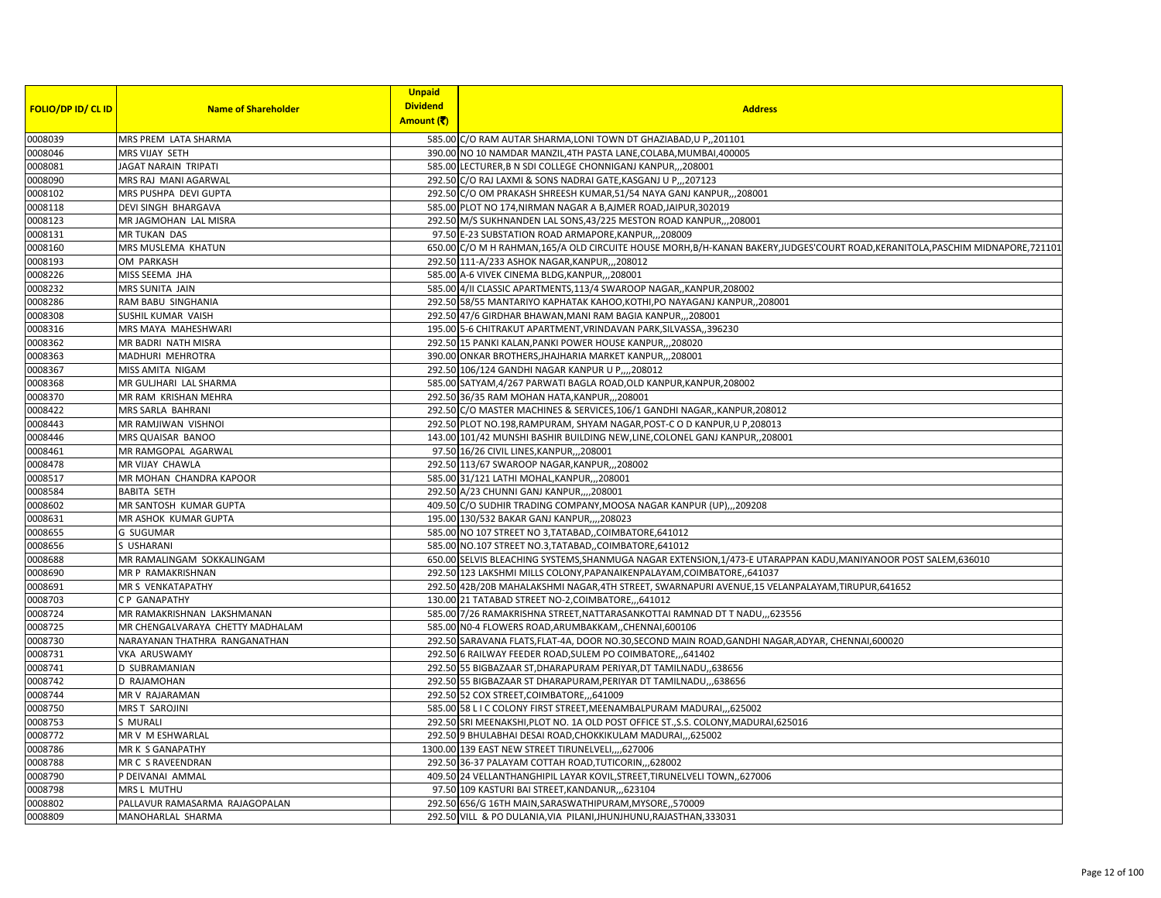| <b>FOLIO/DP ID/ CL ID</b> | <b>Name of Shareholder</b>       | <b>Unpaid</b><br><b>Dividend</b> | <b>Address</b>                                                                                                             |
|---------------------------|----------------------------------|----------------------------------|----------------------------------------------------------------------------------------------------------------------------|
|                           |                                  | Amount (そ)                       |                                                                                                                            |
| 0008039                   | MRS PREM LATA SHARMA             |                                  | 585.00 C/O RAM AUTAR SHARMA, LONI TOWN DT GHAZIABAD, U P,, 201101                                                          |
| 0008046                   | MRS VIJAY SETH                   |                                  | 390.00 NO 10 NAMDAR MANZIL,4TH PASTA LANE, COLABA, MUMBAI, 400005                                                          |
| 0008081                   | JAGAT NARAIN TRIPATI             |                                  | 585.00 LECTURER, B N SDI COLLEGE CHONNIGANJ KANPUR208001                                                                   |
| 0008090                   | MRS RAJ MANI AGARWAL             |                                  | 292.50 C/O RAJ LAXMI & SONS NADRAI GATE, KASGANJ U P., 207123                                                              |
| 0008102                   | MRS PUSHPA DEVI GUPTA            |                                  | 292.50 C/O OM PRAKASH SHREESH KUMAR,51/54 NAYA GANJ KANPUR,,,208001                                                        |
| 0008118                   | <b>DEVI SINGH BHARGAVA</b>       |                                  | 585.00 PLOT NO 174, NIRMAN NAGAR A B, AJMER ROAD, JAIPUR, 302019                                                           |
| 0008123                   | MR JAGMOHAN LAL MISRA            |                                  | 292.50 M/S SUKHNANDEN LAL SONS, 43/225 MESTON ROAD KANPUR,, 208001                                                         |
| 0008131                   | <b>MR TUKAN DAS</b>              |                                  | 97.50 E-23 SUBSTATION ROAD ARMAPORE, KANPUR, ,, 208009                                                                     |
| 0008160                   | MRS MUSLEMA KHATUN               |                                  | 650.00 C/O M H RAHMAN,165/A OLD CIRCUITE HOUSE MORH,B/H-KANAN BAKERY,JUDGES'COURT ROAD,KERANITOLA,PASCHIM MIDNAPORE,721101 |
| 0008193                   | OM PARKASH                       |                                  | 292.50 111-A/233 ASHOK NAGAR, KANPUR, ,, 208012                                                                            |
| 0008226                   | MISS SEEMA JHA                   |                                  | 585.00 A-6 VIVEK CINEMA BLDG, KANPUR, ,, 208001                                                                            |
| 0008232                   | MRS SUNITA JAIN                  |                                  | 585.00 4/II CLASSIC APARTMENTS, 113/4 SWAROOP NAGAR, KANPUR, 208002                                                        |
| 0008286                   | RAM BABU SINGHANIA               |                                  | 292.50 58/55 MANTARIYO KAPHATAK KAHOO, KOTHI, PO NAYAGANJ KANPUR,, 208001                                                  |
| 0008308                   | SUSHIL KUMAR VAISH               |                                  | 292.50 47/6 GIRDHAR BHAWAN, MANI RAM BAGIA KANPUR,,,208001                                                                 |
| 0008316                   | MRS MAYA MAHESHWARI              |                                  | 195.00 5-6 CHITRAKUT APARTMENT, VRINDAVAN PARK, SILVASSA,, 396230                                                          |
| 0008362                   | MR BADRI NATH MISRA              |                                  | 292.50 15 PANKI KALAN, PANKI POWER HOUSE KANPUR,  208020                                                                   |
| 0008363                   | MADHURI MEHROTRA                 |                                  | 390.00 ONKAR BROTHERS, JHAJHARIA MARKET KANPUR,, 208001                                                                    |
| 0008367                   | MISS AMITA NIGAM                 |                                  | 292.50 106/124 GANDHI NAGAR KANPUR U P,,,,208012                                                                           |
| 0008368                   | MR GULJHARI LAL SHARMA           |                                  | 585.00 SATYAM,4/267 PARWATI BAGLA ROAD,OLD KANPUR,KANPUR,208002                                                            |
| 0008370                   | MR RAM KRISHAN MEHRA             |                                  | 292.50 36/35 RAM MOHAN HATA, KANPUR, ,, 208001                                                                             |
| 0008422                   | MRS SARLA BAHRANI                |                                  | 292.50 C/O MASTER MACHINES & SERVICES, 106/1 GANDHI NAGAR, , KANPUR, 208012                                                |
| 0008443                   | MR RAMJIWAN VISHNOI              |                                  | 292.50 PLOT NO.198, RAMPURAM, SHYAM NAGAR, POST-C O D KANPUR, U P, 208013                                                  |
| 0008446                   | MRS QUAISAR BANOO                |                                  | 143.00 101/42 MUNSHI BASHIR BUILDING NEW, LINE, COLONEL GANJ KANPUR, 208001                                                |
| 0008461                   | MR RAMGOPAL AGARWAL              |                                  | 97.50 16/26 CIVIL LINES, KANPUR, ,, 208001                                                                                 |
| 0008478                   | MR VIJAY CHAWLA                  |                                  | 292.50 113/67 SWAROOP NAGAR, KANPUR, ,, 208002                                                                             |
| 0008517                   | MR MOHAN CHANDRA KAPOOR          |                                  | 585.00 31/121 LATHI MOHAL, KANPUR,,,208001                                                                                 |
| 0008584                   | <b>BABITA SETH</b>               |                                  | 292.50 A/23 CHUNNI GANJ KANPUR,,,,208001                                                                                   |
| 0008602                   | MR SANTOSH KUMAR GUPTA           |                                  | 409.50 C/O SUDHIR TRADING COMPANY, MOOSA NAGAR KANPUR (UP),,,209208                                                        |
| 0008631                   | MR ASHOK KUMAR GUPTA             |                                  | 195.00 130/532 BAKAR GANJ KANPUR,,,,208023                                                                                 |
| 0008655                   | <b>G SUGUMAR</b>                 |                                  | 585.00 NO 107 STREET NO 3, TATABAD, COIMBATORE, 641012                                                                     |
| 0008656                   | S USHARANI                       |                                  | 585.00 NO.107 STREET NO.3, TATABAD, COIMBATORE, 641012                                                                     |
| 0008688                   | MR RAMALINGAM SOKKALINGAM        |                                  | 650.00 SELVIS BLEACHING SYSTEMS, SHANMUGA NAGAR EXTENSION, 1/473-E UTARAPPAN KADU, MANIYANOOR POST SALEM, 636010           |
| 0008690                   | MR P RAMAKRISHNAN                |                                  | 292.50 123 LAKSHMI MILLS COLONY, PAPANAIKENPALAYAM, COIMBATORE,, 641037                                                    |
| 0008691                   | MR S VENKATAPATHY                |                                  | 292.50 42B/20B MAHALAKSHMI NAGAR, 4TH STREET, SWARNAPURI AVENUE, 15 VELANPALAYAM, TIRUPUR, 641652                          |
| 0008703                   | CP GANAPATHY                     |                                  | 130.00 21 TATABAD STREET NO-2, COIMBATORE,  641012                                                                         |
| 0008724                   | MR RAMAKRISHNAN LAKSHMANAN       |                                  | 585.00 7/26 RAMAKRISHNA STREET, NATTARASANKOTTAI RAMNAD DT T NADU,,,623556                                                 |
| 0008725                   | MR CHENGALVARAYA CHETTY MADHALAM |                                  | 585.00 NO-4 FLOWERS ROAD, ARUMBAKKAM, , CHENNAI, 600106                                                                    |
| 0008730                   | NARAYANAN THATHRA RANGANATHAN    |                                  | 292.50 SARAVANA FLATS, FLAT-4A, DOOR NO.30, SECOND MAIN ROAD, GANDHI NAGAR, ADYAR, CHENNAI, 600020                         |
| 0008731                   | VKA ARUSWAMY                     |                                  | 292.50 6 RAILWAY FEEDER ROAD, SULEM PO COIMBATORE, ,,641402                                                                |
| 0008741                   | D SUBRAMANIAN                    |                                  | 292.50 55 BIGBAZAAR ST, DHARAPURAM PERIYAR, DT TAMILNADU,, 638656                                                          |
| 0008742                   | D RAJAMOHAN                      |                                  | 292.50 55 BIGBAZAAR ST DHARAPURAM, PERIYAR DT TAMILNADU,, 638656                                                           |
| 0008744                   | MR V RAJARAMAN                   |                                  | 292.50 52 COX STREET, COIMBATORE, ,,641009                                                                                 |
| 0008750                   | <b>MRS T SAROJINI</b>            |                                  | 585.00 58 L I C COLONY FIRST STREET, MEENAMBALPURAM MADURAI, ,,625002                                                      |
| 0008753                   | S MURALI                         |                                  | 292.50 SRI MEENAKSHI, PLOT NO. 1A OLD POST OFFICE ST., S.S. COLONY, MADURAI, 625016                                        |
| 0008772                   | MR V M ESHWARLAL                 |                                  | 292.50 9 BHULABHAI DESAI ROAD, CHOKKIKULAM MADURAI, ,,625002                                                               |
| 0008786                   | MR K S GANAPATHY                 |                                  | 1300.00 139 EAST NEW STREET TIRUNELVELI,  627006                                                                           |
| 0008788                   | MR C S RAVEENDRAN                |                                  | 292.50 36-37 PALAYAM COTTAH ROAD, TUTICORIN, ,,628002                                                                      |
| 0008790                   | P DEIVANAI AMMAL                 |                                  | 409.50 24 VELLANTHANGHIPIL LAYAR KOVIL, STREET, TIRUNELVELI TOWN, 627006                                                   |
| 0008798                   | MRS L MUTHU                      |                                  | 97.50 109 KASTURI BAI STREET, KANDANUR, ,,623104                                                                           |
| 0008802                   | PALLAVUR RAMASARMA RAJAGOPALAN   |                                  | 292.50 656/G 16TH MAIN, SARASWATHIPURAM, MYSORE, ,570009                                                                   |
| 0008809                   | MANOHARLAL SHARMA                |                                  | 292.50 VILL & PO DULANIA, VIA PILANI, JHUNJHUNU, RAJASTHAN, 333031                                                         |
|                           |                                  |                                  |                                                                                                                            |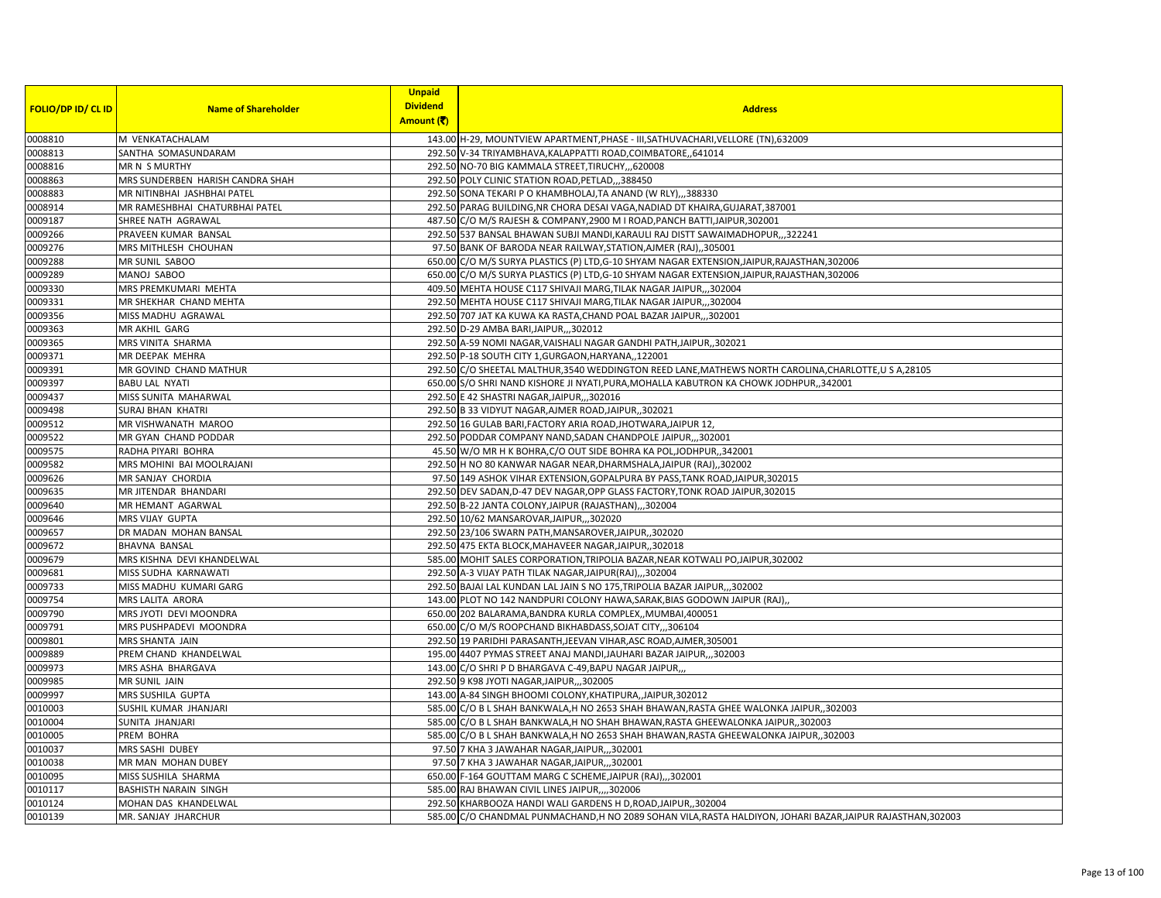|                           |                                  | <b>Unpaid</b>   |                                                                                                              |
|---------------------------|----------------------------------|-----------------|--------------------------------------------------------------------------------------------------------------|
| <b>FOLIO/DP ID/ CL ID</b> | <b>Name of Shareholder</b>       | <b>Dividend</b> | <b>Address</b>                                                                                               |
|                           |                                  | Amount (そ)      |                                                                                                              |
| 0008810                   | M VENKATACHALAM                  |                 | 143.00 H-29, MOUNTVIEW APARTMENT, PHASE - III, SATHUVACHARI, VELLORE (TN), 632009                            |
| 0008813                   | SANTHA SOMASUNDARAM              |                 | 292.50 V-34 TRIYAMBHAVA, KALAPPATTI ROAD, COIMBATORE, 641014                                                 |
| 0008816                   | MR N S MURTHY                    |                 | 292.50 NO-70 BIG KAMMALA STREET, TIRUCHY, ,,620008                                                           |
| 0008863                   | MRS SUNDERBEN HARISH CANDRA SHAH |                 | 292.50 POLY CLINIC STATION ROAD, PETLAD,,,388450                                                             |
| 0008883                   | MR NITINBHAI JASHBHAI PATEL      |                 | 292.50 SONA TEKARI P O KHAMBHOLAJ, TA ANAND (W RLY),,,388330                                                 |
| 0008914                   | MR RAMESHBHAI CHATURBHAI PATEL   |                 | 292.50 PARAG BUILDING, NR CHORA DESAI VAGA, NADIAD DT KHAIRA, GUJARAT, 387001                                |
| 0009187                   | SHREE NATH AGRAWAL               |                 | 487.50 C/O M/S RAJESH & COMPANY, 2900 M I ROAD, PANCH BATTI, JAIPUR, 302001                                  |
| 0009266                   | PRAVEEN KUMAR BANSAL             |                 | 292.50 537 BANSAL BHAWAN SUBJI MANDI, KARAULI RAJ DISTT SAWAIMADHOPUR,,,322241                               |
| 0009276                   | MRS MITHLESH CHOUHAN             |                 | 97.50 BANK OF BARODA NEAR RAILWAY, STATION, AJMER (RAJ), ,305001                                             |
| 0009288                   | MR SUNIL SABOO                   |                 | 650.00 C/O M/S SURYA PLASTICS (P) LTD, G-10 SHYAM NAGAR EXTENSION, JAIPUR, RAJASTHAN, 302006                 |
| 0009289                   | MANOJ SABOO                      |                 | 650.00 C/O M/S SURYA PLASTICS (P) LTD, G-10 SHYAM NAGAR EXTENSION, JAIPUR, RAJASTHAN, 302006                 |
| 0009330                   | MRS PREMKUMARI MEHTA             |                 | 409.50 MEHTA HOUSE C117 SHIVAJI MARG, TILAK NAGAR JAIPUR,,,302004                                            |
| 0009331                   | MR SHEKHAR CHAND MEHTA           |                 | 292.50 MEHTA HOUSE C117 SHIVAJI MARG, TILAK NAGAR JAIPUR,, 302004                                            |
| 0009356                   | MISS MADHU AGRAWAL               |                 | 292.50 707 JAT KA KUWA KA RASTA, CHAND POAL BAZAR JAIPUR,, 302001                                            |
| 0009363                   | MR AKHIL GARG                    |                 | 292.50 D-29 AMBA BARI, JAIPUR, ,, 302012                                                                     |
| 0009365                   | MRS VINITA SHARMA                |                 | 292.50 A-59 NOMI NAGAR, VAISHALI NAGAR GANDHI PATH, JAIPUR, 302021                                           |
| 0009371                   | MR DEEPAK MEHRA                  |                 | 292.50 P-18 SOUTH CITY 1, GURGAON, HARYANA, , 122001                                                         |
| 0009391                   | MR GOVIND CHAND MATHUR           |                 | 292.50 C/O SHEETAL MALTHUR, 3540 WEDDINGTON REED LANE, MATHEWS NORTH CAROLINA, CHARLOTTE, U S A, 28105       |
| 0009397                   | <b>BABU LAL NYATI</b>            |                 | 650.00 S/O SHRI NAND KISHORE JI NYATI, PURA, MOHALLA KABUTRON KA CHOWK JODHPUR,, 342001                      |
| 0009437                   | MISS SUNITA MAHARWAL             |                 | 292.50 E 42 SHASTRI NAGAR, JAIPUR, ,, 302016                                                                 |
| 0009498                   | <b>SURAJ BHAN KHATRI</b>         |                 | 292.50 B 33 VIDYUT NAGAR, AJMER ROAD, JAIPUR, 302021                                                         |
| 0009512                   | MR VISHWANATH MAROO              |                 | 292.50 16 GULAB BARI, FACTORY ARIA ROAD, JHOTWARA, JAIPUR 12                                                 |
| 0009522                   | MR GYAN CHAND PODDAR             |                 | 292.50 PODDAR COMPANY NAND, SADAN CHANDPOLE JAIPUR302001                                                     |
| 0009575                   | RADHA PIYARI BOHRA               |                 | 45.50 W/O MR H K BOHRA, C/O OUT SIDE BOHRA KA POL, JODHPUR, 342001                                           |
| 0009582                   | MRS MOHINI BAI MOOLRAJANI        |                 | 292.50 H NO 80 KANWAR NAGAR NEAR, DHARMSHALA, JAIPUR (RAJ),,302002                                           |
| 0009626                   | MR SANJAY CHORDIA                |                 | 97.50 149 ASHOK VIHAR EXTENSION, GOPALPURA BY PASS, TANK ROAD, JAIPUR, 302015                                |
| 0009635                   | MR JITENDAR BHANDARI             |                 | 292.50 DEV SADAN, D-47 DEV NAGAR, OPP GLASS FACTORY, TONK ROAD JAIPUR, 302015                                |
| 0009640                   | MR HEMANT AGARWAL                |                 | 292.50 B-22 JANTA COLONY, JAIPUR (RAJASTHAN),,,302004                                                        |
| 0009646                   | MRS VIJAY GUPTA                  |                 | 292.50 10/62 MANSAROVAR, JAIPUR, ,, 302020                                                                   |
| 0009657                   | DR MADAN MOHAN BANSAL            |                 | 292.50 23/106 SWARN PATH, MANSAROVER, JAIPUR, 302020                                                         |
| 0009672                   | <b>BHAVNA BANSAL</b>             |                 | 292.50 475 EKTA BLOCK, MAHAVEER NAGAR, JAIPUR, 302018                                                        |
| 0009679                   | MRS KISHNA DEVI KHANDELWAL       |                 | 585.00 MOHIT SALES CORPORATION, TRIPOLIA BAZAR, NEAR KOTWALI PO, JAIPUR, 302002                              |
| 0009681                   | MISS SUDHA KARNAWATI             |                 | 292.50 A-3 VIJAY PATH TILAK NAGAR, JAIPUR(RAJ),,,302004                                                      |
| 0009733                   | MISS MADHU KUMARI GARG           |                 | 292.50 BAJAI LAL KUNDAN LAL JAIN S NO 175, TRIPOLIA BAZAR JAIPUR,, 302002                                    |
| 0009754                   | MRS LALITA ARORA                 |                 | 143.00 PLOT NO 142 NANDPURI COLONY HAWA, SARAK, BIAS GODOWN JAIPUR (RAJ),                                    |
| 0009790                   | MRS JYOTI DEVI MOONDRA           |                 | 650.00 202 BALARAMA, BANDRA KURLA COMPLEX, MUMBAI, 400051                                                    |
| 0009791                   | MRS PUSHPADEVI MOONDRA           |                 | 650.00 C/O M/S ROOPCHAND BIKHABDASS, SOJAT CITY,,,306104                                                     |
| 0009801                   | MRS SHANTA JAIN                  |                 | 292.50 19 PARIDHI PARASANTH, JEEVAN VIHAR, ASC ROAD, AJMER, 305001                                           |
| 0009889                   | PREM CHAND KHANDELWAL            |                 | 195.00 4407 PYMAS STREET ANAJ MANDI, JAUHARI BAZAR JAIPUR,, 302003                                           |
| 0009973                   | MRS ASHA BHARGAVA                |                 | 143.00 C/O SHRI P D BHARGAVA C-49, BAPU NAGAR JAIPUR,                                                        |
| 0009985                   | MR SUNIL JAIN                    |                 | 292.50 9 K98 JYOTI NAGAR, JAIPUR, ,,302005                                                                   |
| 0009997                   | MRS SUSHILA GUPTA                |                 | 143.00 A-84 SINGH BHOOMI COLONY, KHATIPURA, , JAIPUR, 302012                                                 |
| 0010003                   | SUSHIL KUMAR JHANJARI            |                 | 585.00 C/O B L SHAH BANKWALA, H NO 2653 SHAH BHAWAN, RASTA GHEE WALONKA JAIPUR, 302003                       |
| 0010004                   | SUNITA JHANJARI                  |                 | 585.00 C/O B L SHAH BANKWALA, H NO SHAH BHAWAN, RASTA GHEEWALONKA JAIPUR, 302003                             |
| 0010005                   | PREM BOHRA                       |                 | 585.00 C/O B L SHAH BANKWALA, H NO 2653 SHAH BHAWAN, RASTA GHEEWALONKA JAIPUR, 302003                        |
| 0010037                   | MRS SASHI DUBEY                  |                 | 97.50 7 KHA 3 JAWAHAR NAGAR, JAIPUR, ,, 302001                                                               |
| 0010038                   | MR MAN MOHAN DUBEY               |                 | 97.50 7 KHA 3 JAWAHAR NAGAR, JAIPUR, ,,302001                                                                |
| 0010095                   | MISS SUSHILA SHARMA              |                 | 650.00 F-164 GOUTTAM MARG C SCHEME, JAIPUR (RAJ),, 302001                                                    |
| 0010117                   | BASHISTH NARAIN SINGH            |                 | 585.00 RAJ BHAWAN CIVIL LINES JAIPUR,  302006                                                                |
| 0010124                   | MOHAN DAS KHANDELWAL             |                 | 292.50 KHARBOOZA HANDI WALI GARDENS H D, ROAD, JAIPUR, 302004                                                |
| 0010139                   | MR. SANJAY JHARCHUR              |                 | 585.00 C/O CHANDMAL PUNMACHAND, H NO 2089 SOHAN VILA, RASTA HALDIYON, JOHARI BAZAR, JAIPUR RAJASTHAN, 302003 |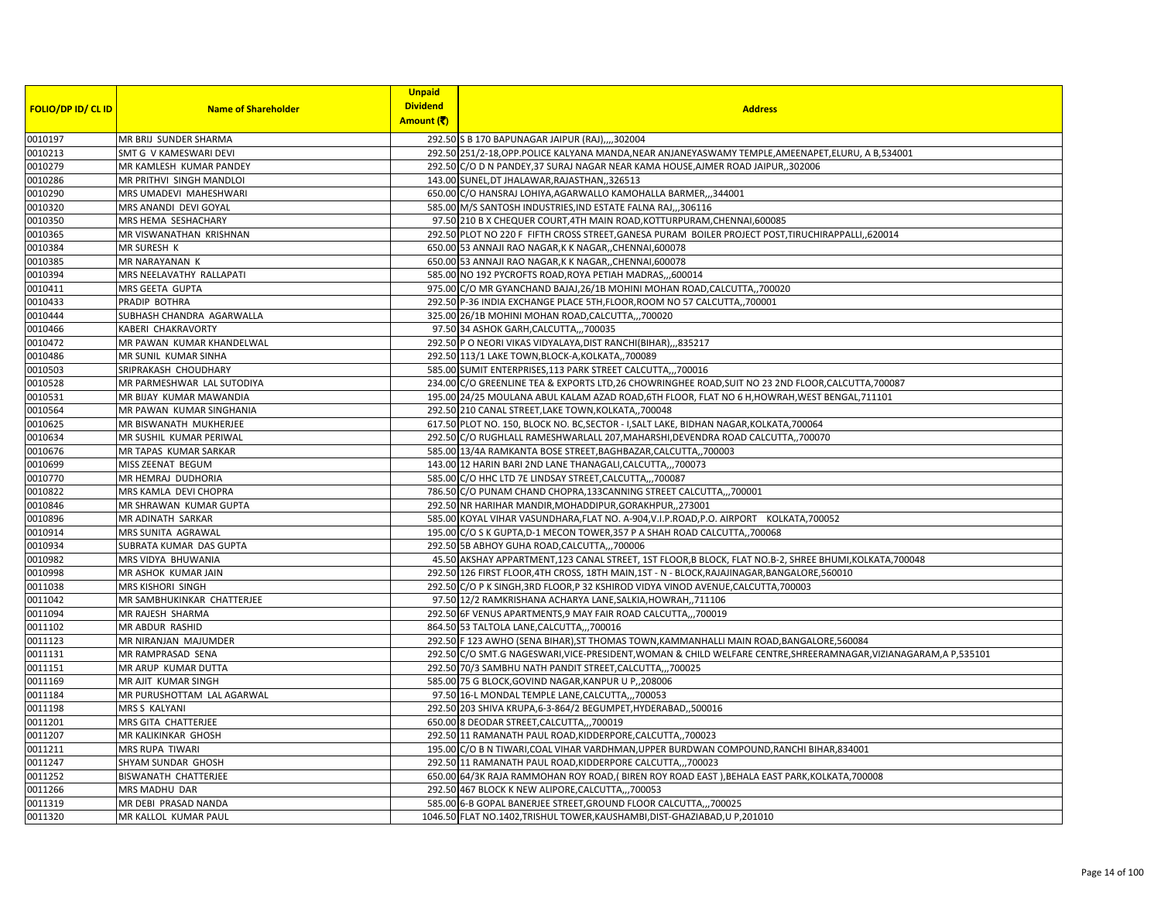|                           |                            | <b>Unpaid</b>   |                                                                                                                   |
|---------------------------|----------------------------|-----------------|-------------------------------------------------------------------------------------------------------------------|
| <b>FOLIO/DP ID/ CL ID</b> | <b>Name of Shareholder</b> | <b>Dividend</b> | <b>Address</b>                                                                                                    |
|                           |                            | Amount (そ)      |                                                                                                                   |
| 0010197                   | MR BRIJ SUNDER SHARMA      |                 | 292.50 S B 170 BAPUNAGAR JAIPUR (RAJ),,,,302004                                                                   |
| 0010213                   | SMT G V KAMESWARI DEVI     |                 | 292.50 251/2-18, OPP. POLICE KALYANA MANDA, NEAR ANJANEYASWAMY TEMPLE, AMEENAPET, ELURU, A B, 534001              |
| 0010279                   | MR KAMLESH KUMAR PANDEY    |                 | 292.50 C/O D N PANDEY, 37 SURAJ NAGAR NEAR KAMA HOUSE, AJMER ROAD JAIPUR, 302006                                  |
| 0010286                   | MR PRITHVI SINGH MANDLOI   |                 | 143.00 SUNEL, DT JHALAWAR, RAJASTHAN, ,326513                                                                     |
| 0010290                   | MRS UMADEVI MAHESHWARI     |                 | 650.00 C/O HANSRAJ LOHIYA, AGARWALLO KAMOHALLA BARMER,, 344001                                                    |
| 0010320                   | MRS ANANDI DEVI GOYAL      |                 | 585.00 M/S SANTOSH INDUSTRIES, IND ESTATE FALNA RAJ,,,306116                                                      |
| 0010350                   | MRS HEMA SESHACHARY        |                 | 97.50 210 B X CHEQUER COURT, 4TH MAIN ROAD, KOTTURPURAM, CHENNAI, 600085                                          |
| 0010365                   | MR VISWANATHAN KRISHNAN    |                 | 292.50 PLOT NO 220 F FIFTH CROSS STREET, GANESA PURAM BOILER PROJECT POST, TIRUCHIRAPPALLI, 620014                |
| 0010384                   | MR SURESH K                |                 | 650.00 53 ANNAJI RAO NAGAR, K K NAGAR, CHENNAI, 600078                                                            |
| 0010385                   | MR NARAYANAN K             |                 | 650.00 53 ANNAJI RAO NAGAR, K K NAGAR, , CHENNAI, 600078                                                          |
| 0010394                   | MRS NEELAVATHY RALLAPATI   |                 | 585.00 NO 192 PYCROFTS ROAD, ROYA PETIAH MADRAS,,,600014                                                          |
| 0010411                   | MRS GEETA GUPTA            |                 | 975.00 C/O MR GYANCHAND BAJAJ, 26/1B MOHINI MOHAN ROAD, CALCUTTA, 700020                                          |
| 0010433                   | PRADIP BOTHRA              |                 | 292.50 P-36 INDIA EXCHANGE PLACE 5TH, FLOOR, ROOM NO 57 CALCUTTA, 700001                                          |
| 0010444                   | SUBHASH CHANDRA AGARWALLA  |                 | 325.00 26/1B MOHINI MOHAN ROAD, CALCUTTA,  700020                                                                 |
| 0010466                   | KABERI CHAKRAVORTY         |                 | 97.50 34 ASHOK GARH, CALCUTTA,,, 700035                                                                           |
| 0010472                   | MR PAWAN KUMAR KHANDELWAL  |                 | 292.50 P O NEORI VIKAS VIDYALAYA, DIST RANCHI(BIHAR),,,835217                                                     |
| 0010486                   | MR SUNIL KUMAR SINHA       |                 | 292.50 113/1 LAKE TOWN, BLOCK-A, KOLKATA,, 700089                                                                 |
| 0010503                   | SRIPRAKASH CHOUDHARY       |                 | 585.00 SUMIT ENTERPRISES, 113 PARK STREET CALCUTTA,,,700016                                                       |
| 0010528                   | MR PARMESHWAR LAL SUTODIYA |                 | 234.00 C/O GREENLINE TEA & EXPORTS LTD, 26 CHOWRINGHEE ROAD, SUIT NO 23 2ND FLOOR, CALCUTTA, 700087               |
| 0010531                   | MR BIJAY KUMAR MAWANDIA    |                 | 195.00 24/25 MOULANA ABUL KALAM AZAD ROAD, 6TH FLOOR, FLAT NO 6 H, HOWRAH, WEST BENGAL, 711101                    |
| 0010564                   | MR PAWAN KUMAR SINGHANIA   |                 | 292.50 210 CANAL STREET, LAKE TOWN, KOLKATA,, 700048                                                              |
| 0010625                   | MR BISWANATH MUKHERJEE     |                 | 617.50 PLOT NO. 150, BLOCK NO. BC, SECTOR - I, SALT LAKE, BIDHAN NAGAR, KOLKATA, 700064                           |
| 0010634                   | MR SUSHIL KUMAR PERIWAL    |                 | 292.50 C/O RUGHLALL RAMESHWARLALL 207, MAHARSHI, DEVENDRA ROAD CALCUTTA,, 700070                                  |
| 0010676                   | MR TAPAS KUMAR SARKAR      |                 | 585.00 13/4A RAMKANTA BOSE STREET, BAGHBAZAR, CALCUTTA,, 700003                                                   |
| 0010699                   | MISS ZEENAT BEGUM          |                 | 143.00 12 HARIN BARI 2ND LANE THANAGALI, CALCUTTA,,,700073                                                        |
| 0010770                   | MR HEMRAJ DUDHORIA         |                 | 585.00 C/O HHC LTD 7E LINDSAY STREET, CALCUTTA,,, 700087                                                          |
| 0010822                   | MRS KAMLA DEVI CHOPRA      |                 | 786.50 C/O PUNAM CHAND CHOPRA,133CANNING STREET CALCUTTA,,,700001                                                 |
| 0010846                   | MR SHRAWAN KUMAR GUPTA     |                 | 292.50 NR HARIHAR MANDIR, MOHADDIPUR, GORAKHPUR, 273001                                                           |
| 0010896                   | MR ADINATH SARKAR          |                 | 585.00 KOYAL VIHAR VASUNDHARA, FLAT NO. A-904, V.I.P.ROAD, P.O. AIRPORT KOLKATA, 700052                           |
| 0010914                   | MRS SUNITA AGRAWAL         |                 | 195.00 C/O S K GUPTA, D-1 MECON TOWER, 357 P A SHAH ROAD CALCUTTA,, 700068                                        |
| 0010934                   | SUBRATA KUMAR DAS GUPTA    |                 | 292.50 5B ABHOY GUHA ROAD, CALCUTTA,,,700006                                                                      |
| 0010982                   | MRS VIDYA BHUWANIA         |                 | 45.50 AKSHAY APPARTMENT, 123 CANAL STREET, 1ST FLOOR, B BLOCK, FLAT NO.B-2, SHREE BHUMI, KOLKATA, 700048          |
| 0010998                   | MR ASHOK KUMAR JAIN        |                 | 292.50 126 FIRST FLOOR,4TH CROSS, 18TH MAIN,1ST - N - BLOCK,RAJAJINAGAR,BANGALORE,560010                          |
| 0011038                   | MRS KISHORI SINGH          |                 | 292.50 C/O P K SINGH, 3RD FLOOR, P 32 KSHIROD VIDYA VINOD AVENUE, CALCUTTA, 700003                                |
| 0011042                   | MR SAMBHUKINKAR CHATTERJEE |                 | 97.50 12/2 RAMKRISHANA ACHARYA LANE, SALKIA, HOWRAH, ,711106                                                      |
| 0011094                   | MR RAJESH SHARMA           |                 | 292.50 6F VENUS APARTMENTS, 9 MAY FAIR ROAD CALCUTTA,,,700019                                                     |
| 0011102                   | MR ABDUR RASHID            |                 | 864.50 53 TALTOLA LANE, CALCUTTA,,, 700016                                                                        |
| 0011123                   | MR NIRANJAN MAJUMDER       |                 | 292.50 F 123 AWHO (SENA BIHAR), ST THOMAS TOWN, KAMMANHALLI MAIN ROAD, BANGALORE, 560084                          |
| 0011131                   | MR RAMPRASAD SENA          |                 | 292.50 C/O SMT.G NAGESWARI, VICE-PRESIDENT, WOMAN & CHILD WELFARE CENTRE, SHREERAMNAGAR, VIZIANAGARAM, A P,535101 |
| 0011151                   | MR ARUP KUMAR DUTTA        |                 | 292.50 70/3 SAMBHU NATH PANDIT STREET, CALCUTTA,,, 700025                                                         |
| 0011169                   | MR AJIT KUMAR SINGH        |                 | 585.00 75 G BLOCK, GOVIND NAGAR, KANPUR U P., 208006                                                              |
| 0011184                   | MR PURUSHOTTAM LAL AGARWAL |                 | 97.50 16-L MONDAL TEMPLE LANE, CALCUTTA,,, 700053                                                                 |
| 0011198                   | MRS S KALYANI              |                 | 292.50 203 SHIVA KRUPA, 6-3-864/2 BEGUMPET, HYDERABAD, ,500016                                                    |
| 0011201                   | MRS GITA CHATTERJEE        |                 | 650.00 8 DEODAR STREET, CALCUTTA,,, 700019                                                                        |
| 0011207                   | MR KALIKINKAR GHOSH        |                 | 292.50 11 RAMANATH PAUL ROAD, KIDDERPORE, CALCUTTA, 700023                                                        |
| 0011211                   | MRS RUPA TIWARI            |                 | 195.00 C/O B N TIWARI, COAL VIHAR VARDHMAN, UPPER BURDWAN COMPOUND, RANCHI BIHAR, 834001                          |
| 0011247                   | SHYAM SUNDAR GHOSH         |                 | 292.50 11 RAMANATH PAUL ROAD, KIDDERPORE CALCUTTA,,,700023                                                        |
| 0011252                   | BISWANATH CHATTERJEE       |                 | 650.00 64/3K RAJA RAMMOHAN ROY ROAD, (BIREN ROY ROAD EAST), BEHALA EAST PARK, KOLKATA, 700008                     |
| 0011266                   | MRS MADHU DAR              |                 | 292.50 467 BLOCK K NEW ALIPORE, CALCUTTA,,, 700053                                                                |
| 0011319                   | MR DEBI PRASAD NANDA       |                 | 585.00 6-B GOPAL BANERJEE STREET, GROUND FLOOR CALCUTTA,,,700025                                                  |
| 0011320                   | MR KALLOL KUMAR PAUL       |                 | 1046.50 FLAT NO.1402, TRISHUL TOWER, KAUSHAMBI, DIST-GHAZIABAD, U P, 201010                                       |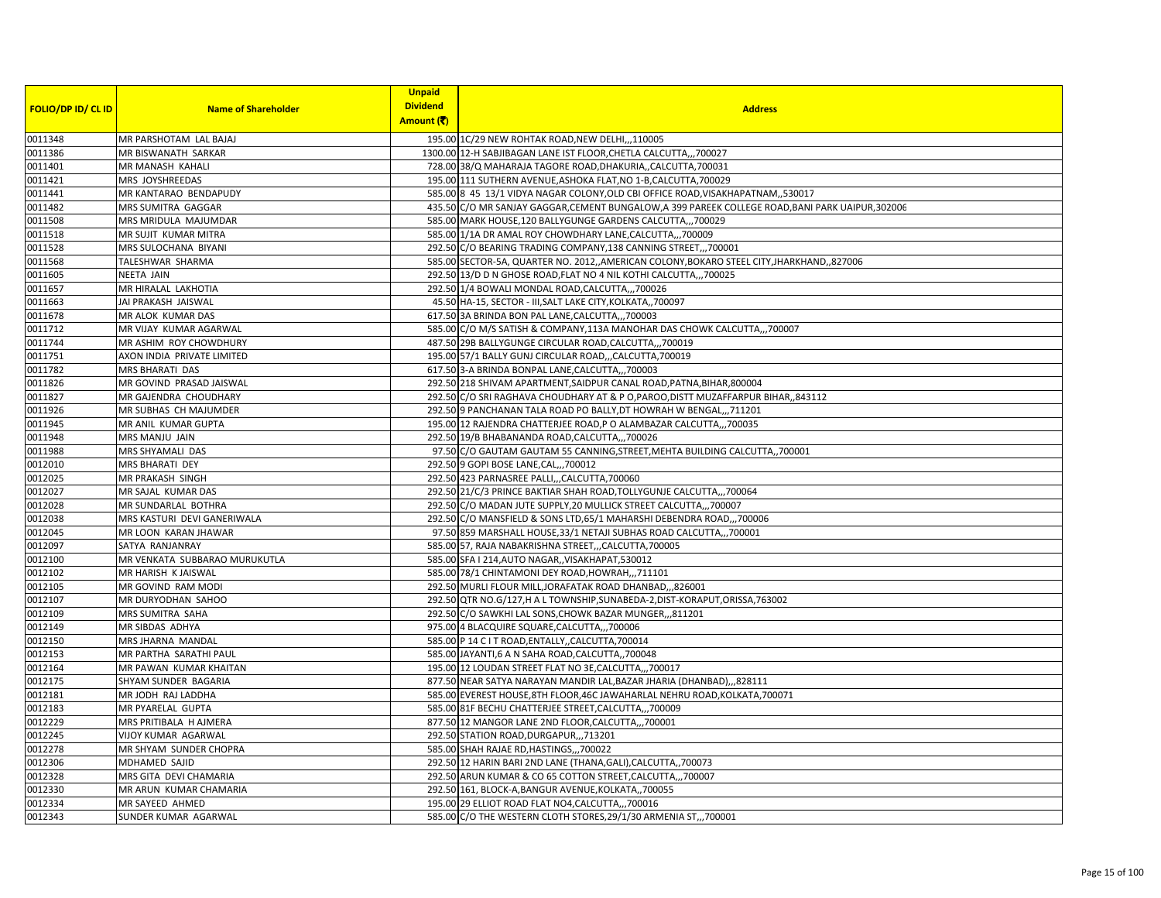|                           |                               | <b>Unpaid</b>                 |                                                                                                   |
|---------------------------|-------------------------------|-------------------------------|---------------------------------------------------------------------------------------------------|
| <b>FOLIO/DP ID/ CL ID</b> | <b>Name of Shareholder</b>    | <b>Dividend</b><br>Amount (そ) | <b>Address</b>                                                                                    |
| 0011348                   | MR PARSHOTAM LAL BAJAJ        |                               | 195.00 1C/29 NEW ROHTAK ROAD, NEW DELHI, ,, 110005                                                |
| 0011386                   | MR BISWANATH SARKAR           |                               | 1300.00 12-H SABJIBAGAN LANE IST FLOOR, CHETLA CALCUTTA,,,700027                                  |
| 0011401                   | MR MANASH KAHALI              |                               | 728.00 38/Q MAHARAJA TAGORE ROAD, DHAKURIA,, CALCUTTA, 700031                                     |
| 0011421                   | MRS JOYSHREEDAS               |                               | 195.00 111 SUTHERN AVENUE, ASHOKA FLAT, NO 1-B, CALCUTTA, 700029                                  |
| 0011441                   | MR KANTARAO BENDAPUDY         |                               | 585.00 8 45 13/1 VIDYA NAGAR COLONY, OLD CBI OFFICE ROAD, VISAKHAPATNAM, 530017                   |
| 0011482                   | MRS SUMITRA GAGGAR            |                               | 435.50 C/O MR SANJAY GAGGAR, CEMENT BUNGALOW, A 399 PAREEK COLLEGE ROAD, BANI PARK UAIPUR, 302006 |
| 0011508                   | MRS MRIDULA MAJUMDAR          |                               | 585.00 MARK HOUSE, 120 BALLYGUNGE GARDENS CALCUTTA,,,700029                                       |
| 0011518                   | MR SUJIT KUMAR MITRA          |                               | 585.00 1/1A DR AMAL ROY CHOWDHARY LANE, CALCUTTA,,, 700009                                        |
| 0011528                   | MRS SULOCHANA BIYANI          |                               | 292.50 C/O BEARING TRADING COMPANY, 138 CANNING STREET,,,700001                                   |
| 0011568                   | TALESHWAR SHARMA              |                               | 585.00 SECTOR-5A, QUARTER NO. 2012, AMERICAN COLONY, BOKARO STEEL CITY, JHARKHAND, ,827006        |
| 0011605                   | <b>NEETA JAIN</b>             |                               | 292.50 13/D D N GHOSE ROAD, FLAT NO 4 NIL KOTHI CALCUTTA,, 700025                                 |
| 0011657                   | MR HIRALAL LAKHOTIA           |                               | 292.50 1/4 BOWALI MONDAL ROAD, CALCUTTA,,,700026                                                  |
| 0011663                   | JAI PRAKASH JAISWAL           |                               | 45.50 HA-15, SECTOR - III, SALT LAKE CITY, KOLKATA,, 700097                                       |
| 0011678                   | MR ALOK KUMAR DAS             |                               | 617.50 3A BRINDA BON PAL LANE, CALCUTTA,,, 700003                                                 |
| 0011712                   | MR VIJAY KUMAR AGARWAL        |                               | 585.00 C/O M/S SATISH & COMPANY,113A MANOHAR DAS CHOWK CALCUTTA,,,700007                          |
| 0011744                   | MR ASHIM ROY CHOWDHURY        |                               | 487.50 29B BALLYGUNGE CIRCULAR ROAD, CALCUTTA,,,700019                                            |
| 0011751                   | AXON INDIA PRIVATE LIMITED    |                               | 195.00 57/1 BALLY GUNJ CIRCULAR ROAD,,,CALCUTTA,700019                                            |
| 0011782                   | MRS BHARATI DAS               |                               | 617.50 3-A BRINDA BONPAL LANE, CALCUTTA,,, 700003                                                 |
| 0011826                   | MR GOVIND PRASAD JAISWAL      |                               | 292.50 218 SHIVAM APARTMENT, SAIDPUR CANAL ROAD, PATNA, BIHAR, 800004                             |
| 0011827                   | MR GAJENDRA CHOUDHARY         |                               | 292.50 C/O SRI RAGHAVA CHOUDHARY AT & P O, PAROO, DISTT MUZAFFARPUR BIHAR, 843112                 |
| 0011926                   | MR SUBHAS CH MAJUMDER         |                               | 292.50 9 PANCHANAN TALA ROAD PO BALLY, DT HOWRAH W BENGAL,,,711201                                |
| 0011945                   | MR ANIL KUMAR GUPTA           |                               | 195.00 12 RAJENDRA CHATTERJEE ROAD, P O ALAMBAZAR CALCUTTA,,,700035                               |
| 0011948                   | MRS MANJU JAIN                |                               | 292.50 19/B BHABANANDA ROAD, CALCUTTA,,,700026                                                    |
| 0011988                   | MRS SHYAMALI DAS              |                               | 97.50 C/O GAUTAM GAUTAM 55 CANNING, STREET, MEHTA BUILDING CALCUTTA,, 700001                      |
| 0012010                   | <b>MRS BHARATI DEY</b>        |                               | 292.50 9 GOPI BOSE LANE, CAL,,, 700012                                                            |
| 0012025                   | MR PRAKASH SINGH              |                               | 292.50 423 PARNASREE PALLI,,,CALCUTTA,700060                                                      |
| 0012027                   | MR SAJAL KUMAR DAS            |                               | 292.50 21/C/3 PRINCE BAKTIAR SHAH ROAD, TOLLYGUNJE CALCUTTA,, 700064                              |
| 0012028                   | MR SUNDARLAL BOTHRA           |                               | 292.50 C/O MADAN JUTE SUPPLY, 20 MULLICK STREET CALCUTTA,,,700007                                 |
| 0012038                   | MRS KASTURI DEVI GANERIWALA   |                               | 292.50 C/O MANSFIELD & SONS LTD, 65/1 MAHARSHI DEBENDRA ROAD,,,700006                             |
| 0012045                   | MR LOON KARAN JHAWAR          |                               | 97.50 859 MARSHALL HOUSE, 33/1 NETAJI SUBHAS ROAD CALCUTTA,,, 700001                              |
| 0012097                   | SATYA RANJANRAY               |                               | 585.00 57, RAJA NABAKRISHNA STREET,,,CALCUTTA,700005                                              |
| 0012100                   | MR VENKATA SUBBARAO MURUKUTLA |                               | 585.00 SFA I 214, AUTO NAGAR,, VISAKHAPAT, 530012                                                 |
| 0012102                   | MR HARISH K JAISWAL           |                               | 585.00 78/1 CHINTAMONI DEY ROAD, HOWRAH,,,711101                                                  |
| 0012105                   | MR GOVIND RAM MODI            |                               | 292.50 MURLI FLOUR MILL, JORAFATAK ROAD DHANBAD, ,,826001                                         |
| 0012107                   | MR DURYODHAN SAHOO            |                               | 292.50 QTR NO.G/127, H A L TOWNSHIP, SUNABEDA-2, DIST-KORAPUT, ORISSA, 763002                     |
| 0012109                   | MRS SUMITRA SAHA              |                               | 292.50 C/O SAWKHI LAL SONS, CHOWK BAZAR MUNGER, ,,811201                                          |
| 0012149                   | MR SIBDAS ADHYA               |                               | 975.00 4 BLACQUIRE SQUARE, CALCUTTA,,,700006                                                      |
| 0012150                   | MRS JHARNA MANDAL             |                               | 585.00 P 14 C I T ROAD, ENTALLY, CALCUTTA, 700014                                                 |
| 0012153                   | MR PARTHA SARATHI PAUL        |                               | 585.00 JAYANTI,6 A N SAHA ROAD, CALCUTTA,, 700048                                                 |
| 0012164                   | MR PAWAN KUMAR KHAITAN        |                               | 195.00 12 LOUDAN STREET FLAT NO 3E, CALCUTTA,,, 700017                                            |
| 0012175                   | SHYAM SUNDER BAGARIA          |                               | 877.50 NEAR SATYA NARAYAN MANDIR LAL, BAZAR JHARIA (DHANBAD),,,828111                             |
| 0012181                   | MR JODH RAJ LADDHA            |                               | 585.00 EVEREST HOUSE, 8TH FLOOR, 46C JAWAHARLAL NEHRU ROAD, KOLKATA, 700071                       |
| 0012183                   | MR PYARELAL GUPTA             |                               | 585.00 81F BECHU CHATTERJEE STREET, CALCUTTA,,, 700009                                            |
| 0012229                   | MRS PRITIBALA H AJMERA        |                               | 877.50 12 MANGOR LANE 2ND FLOOR, CALCUTTA,,, 700001                                               |
| 0012245                   | VIJOY KUMAR AGARWAL           |                               | 292.50 STATION ROAD, DURGAPUR, ,, 713201                                                          |
| 0012278                   | MR SHYAM SUNDER CHOPRA        |                               | 585.00 SHAH RAJAE RD, HASTINGS, ,, 700022                                                         |
| 0012306                   | MDHAMED SAJID                 |                               | 292.50 12 HARIN BARI 2ND LANE (THANA, GALI), CALCUTTA,, 700073                                    |
| 0012328                   | MRS GITA DEVI CHAMARIA        |                               | 292.50 ARUN KUMAR & CO 65 COTTON STREET, CALCUTTA,,, 700007                                       |
| 0012330                   | MR ARUN KUMAR CHAMARIA        |                               | 292.50 161, BLOCK-A, BANGUR AVENUE, KOLKATA,, 700055                                              |
| 0012334                   | MR SAYEED AHMED               |                               | 195.00 29 ELLIOT ROAD FLAT NO4, CALCUTTA,,, 700016                                                |
| 0012343                   | SUNDER KUMAR AGARWAL          |                               | 585.00 C/O THE WESTERN CLOTH STORES, 29/1/30 ARMENIA ST,, 700001                                  |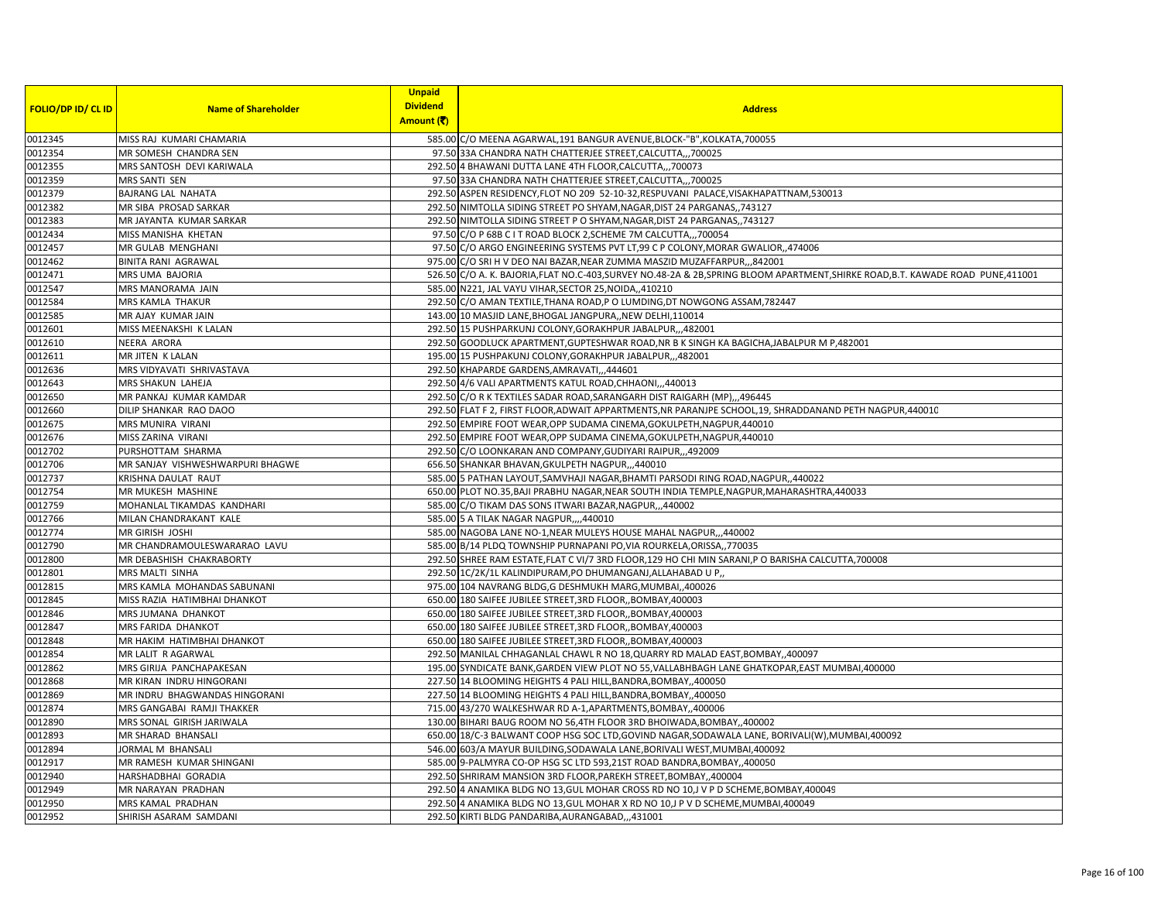|                           |                                  | <b>Unpaid</b>   |                                                                                                                                   |
|---------------------------|----------------------------------|-----------------|-----------------------------------------------------------------------------------------------------------------------------------|
| <b>FOLIO/DP ID/ CL ID</b> | <b>Name of Shareholder</b>       | <b>Dividend</b> | <b>Address</b>                                                                                                                    |
|                           |                                  | Amount (そ)      |                                                                                                                                   |
| 0012345                   | MISS RAJ KUMARI CHAMARIA         |                 | 585.00 C/O MEENA AGARWAL, 191 BANGUR AVENUE, BLOCK-"B", KOLKATA, 700055                                                           |
| 0012354                   | MR SOMESH CHANDRA SEN            |                 | 97.50 33A CHANDRA NATH CHATTERJEE STREET, CALCUTTA,, 700025                                                                       |
| 0012355                   | MRS SANTOSH DEVI KARIWALA        |                 | 292.50 4 BHAWANI DUTTA LANE 4TH FLOOR, CALCUTTA,, 700073                                                                          |
| 0012359                   | MRS SANTI SEN                    |                 | 97.50 33A CHANDRA NATH CHATTERJEE STREET, CALCUTTA,,, 700025                                                                      |
| 0012379                   | <b>BAJRANG LAL NAHATA</b>        |                 | 292.50 ASPEN RESIDENCY, FLOT NO 209 52-10-32, RESPUVANI PALACE, VISAKHAPATTNAM, 530013                                            |
| 0012382                   | MR SIBA PROSAD SARKAR            |                 | 292.50 NIMTOLLA SIDING STREET PO SHYAM, NAGAR, DIST 24 PARGANAS,, 743127                                                          |
| 0012383                   | MR JAYANTA KUMAR SARKAR          |                 | 292.50 NIMTOLLA SIDING STREET P O SHYAM, NAGAR, DIST 24 PARGANAS, , 743127                                                        |
| 0012434                   | MISS MANISHA KHETAN              |                 | 97.50 C/O P 68B C I T ROAD BLOCK 2, SCHEME 7M CALCUTTA,,, 700054                                                                  |
| 0012457                   | MR GULAB MENGHANI                |                 | 97.50 C/O ARGO ENGINEERING SYSTEMS PVT LT,99 C P COLONY, MORAR GWALIOR, 474006                                                    |
| 0012462                   | <b>BINITA RANI AGRAWAL</b>       |                 | 975.00 C/O SRI H V DEO NAI BAZAR, NEAR ZUMMA MASZID MUZAFFARPUR, ,,842001                                                         |
| 0012471                   | MRS UMA BAJORIA                  |                 | 526.50 C/O A. K. BAJORIA, FLAT NO.C-403, SURVEY NO.48-2A & 2B, SPRING BLOOM APARTMENT, SHIRKE ROAD, B.T. KAWADE ROAD PUNE, 411001 |
| 0012547                   | MRS MANORAMA JAIN                |                 | 585.00 N221, JAL VAYU VIHAR, SECTOR 25, NOIDA, 410210                                                                             |
| 0012584                   | MRS KAMLA THAKUR                 |                 | 292.50 C/O AMAN TEXTILE, THANA ROAD, P O LUMDING, DT NOWGONG ASSAM, 782447                                                        |
| 0012585                   | MR AJAY KUMAR JAIN               |                 | 143.00 10 MASJID LANE, BHOGAL JANGPURA,, NEW DELHI, 110014                                                                        |
| 0012601                   | MISS MEENAKSHI K LALAN           |                 | 292.50 15 PUSHPARKUNJ COLONY, GORAKHPUR JABALPUR,, 482001                                                                         |
| 0012610                   | <b>NEERA ARORA</b>               |                 | 292.50 GOODLUCK APARTMENT, GUPTESHWAR ROAD, NR B K SINGH KA BAGICHA, JABALPUR M P, 482001                                         |
| 0012611                   | MR JITEN K LALAN                 |                 | 195.00 15 PUSHPAKUNJ COLONY, GORAKHPUR JABALPUR,,,482001                                                                          |
| 0012636                   | MRS VIDYAVATI SHRIVASTAVA        |                 | 292.50 KHAPARDE GARDENS, AMRAVATI,, 444601                                                                                        |
| 0012643                   | <b>MRS SHAKUN LAHEJA</b>         |                 | 292.50 4/6 VALI APARTMENTS KATUL ROAD, CHHAONI,,,440013                                                                           |
| 0012650                   | MR PANKAJ KUMAR KAMDAR           |                 | 292.50 C/O R K TEXTILES SADAR ROAD, SARANGARH DIST RAIGARH (MP),,,496445                                                          |
| 0012660                   | DILIP SHANKAR RAO DAOO           |                 | 292.50 FLAT F 2, FIRST FLOOR, ADWAIT APPARTMENTS, NR PARANJPE SCHOOL, 19, SHRADDANAND PETH NAGPUR, 440010                         |
| 0012675                   | MRS MUNIRA VIRANI                |                 | 292.50 EMPIRE FOOT WEAR, OPP SUDAMA CINEMA, GOKULPETH, NAGPUR, 440010                                                             |
| 0012676                   | MISS ZARINA VIRANI               |                 | 292.50 EMPIRE FOOT WEAR, OPP SUDAMA CINEMA, GOKULPETH, NAGPUR, 440010                                                             |
| 0012702                   | PURSHOTTAM SHARMA                |                 | 292.50 C/O LOONKARAN AND COMPANY, GUDIYARI RAIPUR, ,,492009                                                                       |
| 0012706                   | MR SANJAY VISHWESHWARPURI BHAGWE |                 | 656.50 SHANKAR BHAVAN, GKULPETH NAGPUR,,,440010                                                                                   |
| 0012737                   | KRISHNA DAULAT RAUT              |                 | 585.00 5 PATHAN LAYOUT, SAMVHAJI NAGAR, BHAMTI PARSODI RING ROAD, NAGPUR, 440022                                                  |
| 0012754                   | MR MUKESH MASHINE                |                 | 650.00 PLOT NO.35, BAJI PRABHU NAGAR, NEAR SOUTH INDIA TEMPLE, NAGPUR, MAHARASHTRA, 440033                                        |
| 0012759                   | MOHANLAL TIKAMDAS KANDHARI       |                 | 585.00 C/O TIKAM DAS SONS ITWARI BAZAR, NAGPUR,,,440002                                                                           |
| 0012766                   | MILAN CHANDRAKANT KALE           |                 | 585.00 5 A TILAK NAGAR NAGPUR,,,,440010                                                                                           |
| 0012774                   | MR GIRISH JOSHI                  |                 | 585.00 NAGOBA LANE NO-1, NEAR MULEYS HOUSE MAHAL NAGPUR,,,440002                                                                  |
| 0012790                   | MR CHANDRAMOULESWARARAO LAVU     |                 | 585.00 B/14 PLDQ TOWNSHIP PURNAPANI PO, VIA ROURKELA, ORISSA, 770035                                                              |
| 0012800                   | MR DEBASHISH CHAKRABORTY         |                 | 292.50 SHREE RAM ESTATE, FLAT C VI/7 3RD FLOOR, 129 HO CHI MIN SARANI, PO BARISHA CALCUTTA, 700008                                |
| 0012801                   | MRS MALTI SINHA                  |                 | 292.50 1C/2K/1L KALINDIPURAM, PO DHUMANGANJ, ALLAHABAD U P,                                                                       |
| 0012815                   | MRS KAMLA MOHANDAS SABUNANI      |                 | 975.00 104 NAVRANG BLDG, G DESHMUKH MARG, MUMBAI, ,400026                                                                         |
| 0012845                   | MISS RAZIA HATIMBHAI DHANKOT     |                 | 650.00 180 SAIFEE JUBILEE STREET, 3RD FLOOR, BOMBAY, 400003                                                                       |
| 0012846                   | MRS JUMANA DHANKOT               |                 | 650.00 180 SAIFEE JUBILEE STREET, 3RD FLOOR, BOMBAY, 400003                                                                       |
| 0012847                   | MRS FARIDA DHANKOT               |                 | 650.00 180 SAIFEE JUBILEE STREET, 3RD FLOOR,, BOMBAY, 400003                                                                      |
| 0012848                   | MR HAKIM HATIMBHAI DHANKOT       |                 | 650.00 180 SAIFEE JUBILEE STREET, 3RD FLOOR, BOMBAY, 400003                                                                       |
| 0012854                   | MR LALIT R AGARWAL               |                 | 292.50 MANILAL CHHAGANLAL CHAWL R NO 18, QUARRY RD MALAD EAST, BOMBAY, ,400097                                                    |
| 0012862                   | MRS GIRIJA PANCHAPAKESAN         |                 | 195.00 SYNDICATE BANK, GARDEN VIEW PLOT NO 55, VALLABHBAGH LANE GHATKOPAR, EAST MUMBAI, 400000                                    |
| 0012868                   | MR KIRAN INDRU HINGORANI         |                 | 227.50 14 BLOOMING HEIGHTS 4 PALI HILL, BANDRA, BOMBAY, 400050                                                                    |
| 0012869                   | MR INDRU BHAGWANDAS HINGORANI    |                 | 227.50 14 BLOOMING HEIGHTS 4 PALI HILL, BANDRA, BOMBAY, ,400050                                                                   |
| 0012874                   | MRS GANGABAI RAMJI THAKKER       |                 | 715.00 43/270 WALKESHWAR RD A-1, APARTMENTS, BOMBAY, ,400006                                                                      |
| 0012890                   | MRS SONAL GIRISH JARIWALA        |                 | 130.00 BIHARI BAUG ROOM NO 56,4TH FLOOR 3RD BHOIWADA, BOMBAY, 400002                                                              |
| 0012893                   | <b>MR SHARAD BHANSALI</b>        |                 | 650.00 18/C-3 BALWANT COOP HSG SOC LTD, GOVIND NAGAR, SODAWALA LANE, BORIVALI(W), MUMBAI, 400092                                  |
| 0012894                   | JORMAL M BHANSALI                |                 | 546.00 603/A MAYUR BUILDING, SODAWALA LANE, BORIVALI WEST, MUMBAI, 400092                                                         |
| 0012917                   | MR RAMESH KUMAR SHINGANI         |                 | 585.00 9-PALMYRA CO-OP HSG SC LTD 593,21ST ROAD BANDRA, BOMBAY, 400050                                                            |
| 0012940                   | HARSHADBHAI GORADIA              |                 | 292.50 SHRIRAM MANSION 3RD FLOOR, PAREKH STREET, BOMBAY,, 400004                                                                  |
| 0012949                   | MR NARAYAN PRADHAN               |                 | 292.50 4 ANAMIKA BLDG NO 13, GUL MOHAR CROSS RD NO 10, J V P D SCHEME, BOMBAY, 400049                                             |
| 0012950                   | MRS KAMAL PRADHAN                |                 | 292.50 4 ANAMIKA BLDG NO 13, GUL MOHAR X RD NO 10, J P V D SCHEME, MUMBAI, 400049                                                 |
| 0012952                   | SHIRISH ASARAM SAMDANI           |                 | 292.50 KIRTI BLDG PANDARIBA, AURANGABAD,,,431001                                                                                  |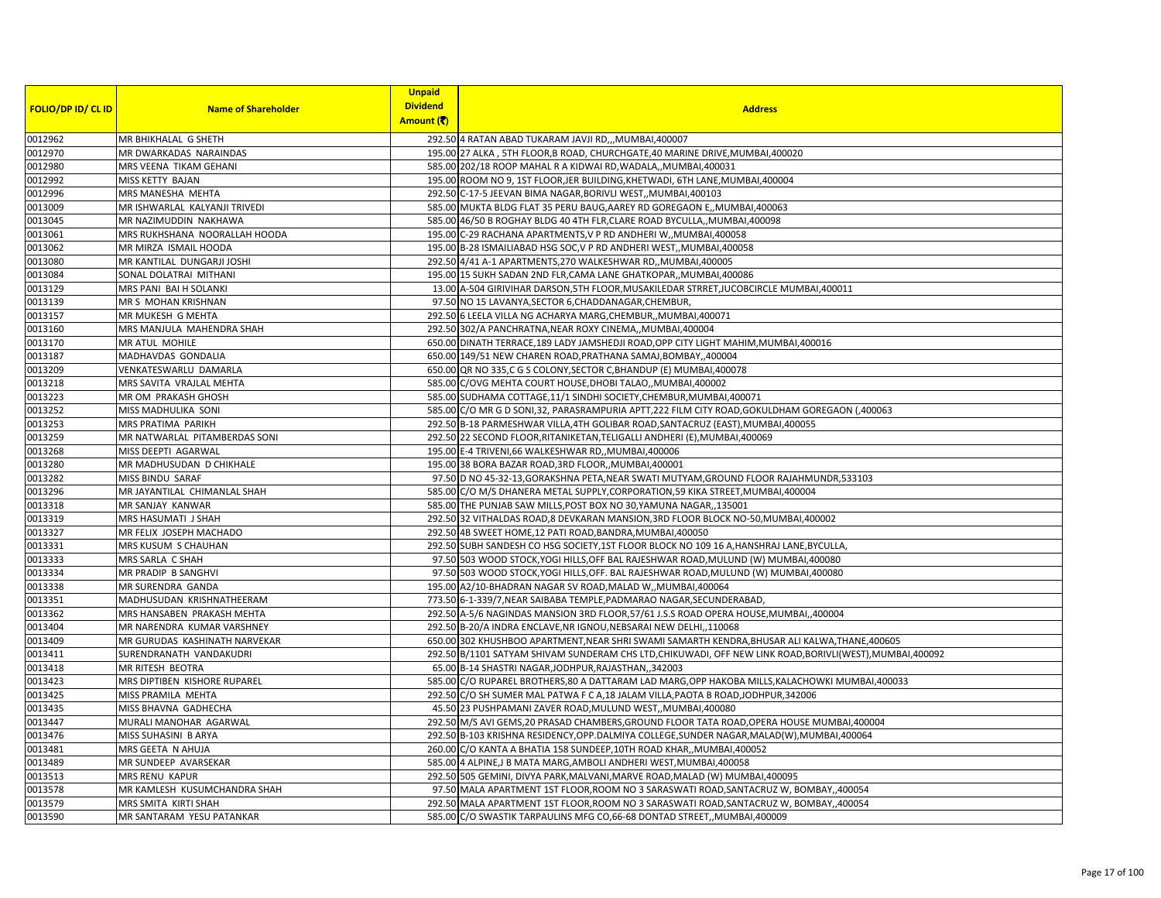|                           |                               | <b>Unpaid</b>   |                                                                                                            |
|---------------------------|-------------------------------|-----------------|------------------------------------------------------------------------------------------------------------|
| <b>FOLIO/DP ID/ CL ID</b> | <b>Name of Shareholder</b>    | <b>Dividend</b> | <b>Address</b>                                                                                             |
|                           |                               | Amount (そ)      |                                                                                                            |
| 0012962                   | MR BHIKHALAL G SHETH          |                 | 292.50 4 RATAN ABAD TUKARAM JAVJI RD,,,MUMBAI,400007                                                       |
| 0012970                   | MR DWARKADAS NARAINDAS        |                 | 195.00 27 ALKA, 5TH FLOOR, B ROAD, CHURCHGATE, 40 MARINE DRIVE, MUMBAI, 400020                             |
| 0012980                   | MRS VEENA TIKAM GEHANI        |                 | 585.00 202/18 ROOP MAHAL R A KIDWAI RD, WADALA, MUMBAI, 400031                                             |
| 0012992                   | MISS KETTY BAJAN              |                 | 195.00 ROOM NO 9, 1ST FLOOR, JER BUILDING, KHETWADI, 6TH LANE, MUMBAI, 400004                              |
| 0012996                   | MRS MANESHA MEHTA             |                 | 292.50 C-17-5 JEEVAN BIMA NAGAR, BORIVLI WEST,, MUMBAI, 400103                                             |
| 0013009                   | MR ISHWARLAL KALYANJI TRIVEDI |                 | 585.00 MUKTA BLDG FLAT 35 PERU BAUG, AAREY RD GOREGAON E,, MUMBAI, 400063                                  |
| 0013045                   | MR NAZIMUDDIN NAKHAWA         |                 | 585.00 46/50 B ROGHAY BLDG 40 4TH FLR, CLARE ROAD BYCULLA,, MUMBAI, 400098                                 |
| 0013061                   | MRS RUKHSHANA NOORALLAH HOODA |                 | 195.00 C-29 RACHANA APARTMENTS, V P RD ANDHERI W, MUMBAI, 400058                                           |
| 0013062                   | MR MIRZA ISMAIL HOODA         |                 | 195.00 B-28 ISMAILIABAD HSG SOC, V P RD ANDHERI WEST, MUMBAI, 400058                                       |
| 0013080                   | MR KANTILAL DUNGARJI JOSHI    |                 | 292.50 4/41 A-1 APARTMENTS, 270 WALKESHWAR RD,, MUMBAI, 400005                                             |
| 0013084                   | SONAL DOLATRAI MITHANI        |                 | 195.00 15 SUKH SADAN 2ND FLR, CAMA LANE GHATKOPAR, MUMBAI, 400086                                          |
| 0013129                   | MRS PANI BAI H SOLANKI        |                 | 13.00 A-504 GIRIVIHAR DARSON, 5TH FLOOR, MUSAKILEDAR STRRET, JUCOBCIRCLE MUMBAI, 400011                    |
| 0013139                   | MR S MOHAN KRISHNAN           |                 | 97.50 NO 15 LAVANYA, SECTOR 6, CHADDANAGAR, CHEMBUR,                                                       |
| 0013157                   | MR MUKESH G MEHTA             |                 | 292.50 6 LEELA VILLA NG ACHARYA MARG, CHEMBUR,, MUMBAI, 400071                                             |
| 0013160                   | MRS MANJULA MAHENDRA SHAH     |                 | 292.50 302/A PANCHRATNA, NEAR ROXY CINEMA,, MUMBAI, 400004                                                 |
| 0013170                   | MR ATUL MOHILE                |                 | 650.00 DINATH TERRACE, 189 LADY JAMSHEDJI ROAD, OPP CITY LIGHT MAHIM, MUMBAI, 400016                       |
| 0013187                   | MADHAVDAS GONDALIA            |                 | 650.00 149/51 NEW CHAREN ROAD, PRATHANA SAMAJ, BOMBAY,, 400004                                             |
| 0013209                   | VENKATESWARLU DAMARLA         |                 | 650.00 QR NO 335,C G S COLONY, SECTOR C, BHANDUP (E) MUMBAI, 400078                                        |
| 0013218                   | MRS SAVITA VRAJLAL MEHTA      |                 | 585.00 C/OVG MEHTA COURT HOUSE, DHOBI TALAO,, MUMBAI, 400002                                               |
| 0013223                   | MR OM PRAKASH GHOSH           |                 | 585.00 SUDHAMA COTTAGE, 11/1 SINDHI SOCIETY, CHEMBUR, MUMBAI, 400071                                       |
| 0013252                   | MISS MADHULIKA SONI           |                 | 585.00 C/O MR G D SONI, 32, PARASRAMPURIA APTT, 222 FILM CITY ROAD, GOKULDHAM GOREGAON (,400063            |
| 0013253                   | MRS PRATIMA PARIKH            |                 | 292.50 B-18 PARMESHWAR VILLA, 4TH GOLIBAR ROAD, SANTACRUZ (EAST), MUMBAI, 400055                           |
| 0013259                   | MR NATWARLAL PITAMBERDAS SONI |                 | 292.50 22 SECOND FLOOR, RITANIKETAN, TELIGALLI ANDHERI (E), MUMBAI, 400069                                 |
| 0013268                   | MISS DEEPTI AGARWAL           |                 | 195.00 E-4 TRIVENI,66 WALKESHWAR RD,, MUMBAI,400006                                                        |
| 0013280                   | MR MADHUSUDAN D CHIKHALE      |                 | 195.00 38 BORA BAZAR ROAD, 3RD FLOOR, , MUMBAI, 400001                                                     |
| 0013282                   | MISS BINDU SARAF              |                 | 97.50 D NO 45-32-13, GORAKSHNA PETA, NEAR SWATI MUTYAM, GROUND FLOOR RAJAHMUNDR, 533103                    |
| 0013296                   | MR JAYANTILAL CHIMANLAL SHAH  |                 | 585.00 C/O M/S DHANERA METAL SUPPLY, CORPORATION, 59 KIKA STREET, MUMBAI, 400004                           |
| 0013318                   | MR SANJAY KANWAR              |                 | 585.00 THE PUNJAB SAW MILLS, POST BOX NO 30, YAMUNA NAGAR,, 135001                                         |
| 0013319                   | MRS HASUMATI J SHAH           |                 | 292.50 32 VITHALDAS ROAD,8 DEVKARAN MANSION, 3RD FLOOR BLOCK NO-50, MUMBAI, 400002                         |
| 0013327                   | MR FELIX JOSEPH MACHADO       |                 | 292.50 4B SWEET HOME, 12 PATI ROAD, BANDRA, MUMBAI, 400050                                                 |
| 0013331                   | MRS KUSUM S CHAUHAN           |                 | 292.50 SUBH SANDESH CO HSG SOCIETY, 1ST FLOOR BLOCK NO 109 16 A, HANSHRAJ LANE, BYCULLA,                   |
| 0013333                   | MRS SARLA C SHAH              |                 | 97.50 503 WOOD STOCK, YOGI HILLS, OFF BAL RAJESHWAR ROAD, MULUND (W) MUMBAI, 400080                        |
| 0013334                   | MR PRADIP B SANGHVI           |                 | 97.50 503 WOOD STOCK, YOGI HILLS, OFF. BAL RAJESHWAR ROAD, MULUND (W) MUMBAI, 400080                       |
| 0013338                   | MR SURENDRA GANDA             |                 | 195.00 A2/10-BHADRAN NAGAR SV ROAD, MALAD W,, MUMBAI, 400064                                               |
| 0013351                   | MADHUSUDAN KRISHNATHEERAM     |                 | 773.50 6-1-339/7, NEAR SAIBABA TEMPLE, PADMARAO NAGAR, SECUNDERABAD,                                       |
| 0013362                   | MRS HANSABEN PRAKASH MEHTA    |                 | 292.50 A-5/6 NAGINDAS MANSION 3RD FLOOR, 57/61 J.S.S ROAD OPERA HOUSE, MUMBAI, ,400004                     |
| 0013404                   | MR NARENDRA KUMAR VARSHNEY    |                 | 292.50 B-20/A INDRA ENCLAVE, NR IGNOU, NEBSARAI NEW DELHI, 110068                                          |
| 0013409                   | MR GURUDAS KASHINATH NARVEKAR |                 | 650.00 302 KHUSHBOO APARTMENT, NEAR SHRI SWAMI SAMARTH KENDRA, BHUSAR ALI KALWA, THANE, 400605             |
| 0013411                   | SURENDRANATH VANDAKUDRI       |                 | 292.50 B/1101 SATYAM SHIVAM SUNDERAM CHS LTD, CHIKUWADI, OFF NEW LINK ROAD, BORIVLI (WEST), MUMBAI, 400092 |
| 0013418                   | MR RITESH BEOTRA              |                 | 65.00 B-14 SHASTRI NAGAR, JODHPUR, RAJASTHAN, 342003                                                       |
| 0013423                   | MRS DIPTIBEN KISHORE RUPAREL  |                 | 585.00 C/O RUPAREL BROTHERS, 80 A DATTARAM LAD MARG, OPP HAKOBA MILLS, KALACHOWKI MUMBAI, 400033           |
| 0013425                   | MISS PRAMILA MEHTA            |                 | 292.50 C/O SH SUMER MAL PATWA F C A,18 JALAM VILLA, PAOTA B ROAD, JODHPUR, 342006                          |
| 0013435                   | MISS BHAVNA GADHECHA          |                 | 45.50 23 PUSHPAMANI ZAVER ROAD, MULUND WEST,, MUMBAI, 400080                                               |
| 0013447                   | MURALI MANOHAR AGARWAL        |                 | 292.50 M/S AVI GEMS, 20 PRASAD CHAMBERS, GROUND FLOOR TATA ROAD, OPERA HOUSE MUMBAI, 400004                |
| 0013476                   | MISS SUHASINI B ARYA          |                 | 292.50 B-103 KRISHNA RESIDENCY, OPP.DALMIYA COLLEGE, SUNDER NAGAR, MALAD(W), MUMBAI, 400064                |
| 0013481                   | MRS GEETA N AHUJA             |                 | 260.00 C/O KANTA A BHATIA 158 SUNDEEP, 10TH ROAD KHAR,, MUMBAI, 400052                                     |
| 0013489                   | MR SUNDEEP AVARSEKAR          |                 | 585.00 4 ALPINE, J B MATA MARG, AMBOLI ANDHERI WEST, MUMBAI, 400058                                        |
| 0013513                   | <b>MRS RENU KAPUR</b>         |                 | 292.50 505 GEMINI, DIVYA PARK, MALVANI, MARVE ROAD, MALAD (W) MUMBAI, 400095                               |
| 0013578                   | MR KAMLESH KUSUMCHANDRA SHAH  |                 | 97.50 MALA APARTMENT 1ST FLOOR, ROOM NO 3 SARASWATI ROAD, SANTACRUZ W, BOMBAY, 400054                      |
| 0013579                   | MRS SMITA KIRTI SHAH          |                 | 292.50 MALA APARTMENT 1ST FLOOR, ROOM NO 3 SARASWATI ROAD, SANTACRUZ W, BOMBAY, 400054                     |
| 0013590                   | MR SANTARAM YESU PATANKAR     |                 | 585.00 C/O SWASTIK TARPAULINS MFG CO,66-68 DONTAD STREET,, MUMBAI, 400009                                  |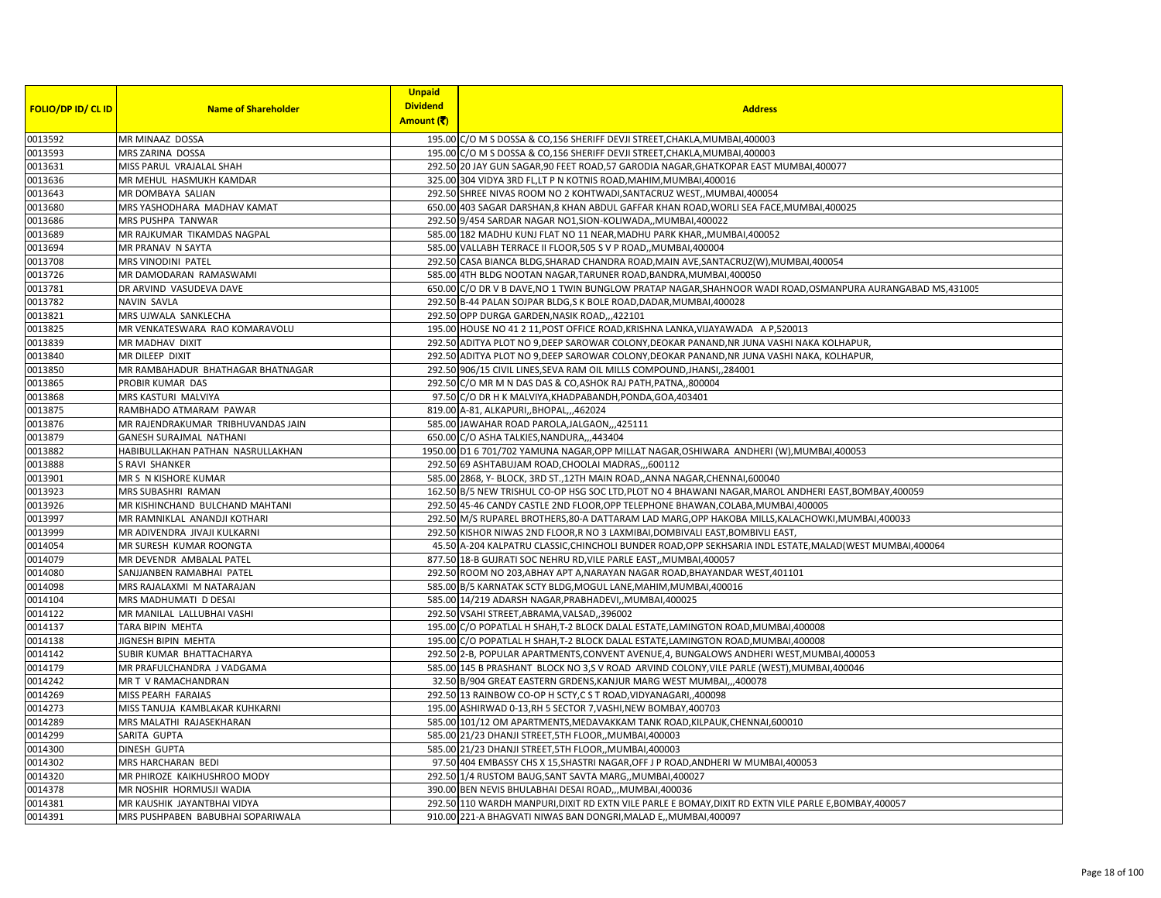|                           |                                    | <b>Unpaid</b><br><b>Dividend</b> |                                                                                                             |
|---------------------------|------------------------------------|----------------------------------|-------------------------------------------------------------------------------------------------------------|
| <b>FOLIO/DP ID/ CL ID</b> | <b>Name of Shareholder</b>         | Amount (そ)                       | <b>Address</b>                                                                                              |
| 0013592                   | MR MINAAZ DOSSA                    |                                  | 195.00 C/O M S DOSSA & CO, 156 SHERIFF DEVJI STREET, CHAKLA, MUMBAI, 400003                                 |
| 0013593                   | MRS ZARINA DOSSA                   |                                  | 195.00 C/O M S DOSSA & CO, 156 SHERIFF DEVJI STREET, CHAKLA, MUMBAI, 400003                                 |
| 0013631                   | MISS PARUL VRAJALAL SHAH           |                                  | 292.50 20 JAY GUN SAGAR, 90 FEET ROAD, 57 GARODIA NAGAR, GHATKOPAR EAST MUMBAI, 400077                      |
| 0013636                   | MR MEHUL HASMUKH KAMDAR            |                                  | 325.00 304 VIDYA 3RD FL, LT P N KOTNIS ROAD, MAHIM, MUMBAI, 400016                                          |
| 0013643                   | MR DOMBAYA SALIAN                  |                                  | 292.50 SHREE NIVAS ROOM NO 2 KOHTWADI, SANTACRUZ WEST,, MUMBAI, 400054                                      |
| 0013680                   | MRS YASHODHARA MADHAV KAMAT        |                                  | 650.00 403 SAGAR DARSHAN, 8 KHAN ABDUL GAFFAR KHAN ROAD, WORLI SEA FACE, MUMBAI, 400025                     |
| 0013686                   | MRS PUSHPA TANWAR                  |                                  | 292.50 9/454 SARDAR NAGAR NO1, SION-KOLIWADA,, MUMBAI, 400022                                               |
| 0013689                   | MR RAJKUMAR TIKAMDAS NAGPAL        |                                  | 585.00 182 MADHU KUNJ FLAT NO 11 NEAR, MADHU PARK KHAR, , MUMBAI, 400052                                    |
| 0013694                   | MR PRANAV N SAYTA                  |                                  | 585.00 VALLABH TERRACE II FLOOR, 505 S V P ROAD, MUMBAI, 400004                                             |
| 0013708                   | MRS VINODINI PATEL                 |                                  | 292.50 CASA BIANCA BLDG, SHARAD CHANDRA ROAD, MAIN AVE, SANTACRUZ(W), MUMBAI, 400054                        |
| 0013726                   | MR DAMODARAN RAMASWAMI             |                                  | 585.00 4TH BLDG NOOTAN NAGAR, TARUNER ROAD, BANDRA, MUMBAI, 400050                                          |
| 0013781                   | DR ARVIND VASUDEVA DAVE            |                                  | 650.00 C/O DR V B DAVE, NO 1 TWIN BUNGLOW PRATAP NAGAR, SHAHNOOR WADI ROAD, OSMANPURA AURANGABAD MS, 431005 |
| 0013782                   | NAVIN SAVLA                        |                                  | 292.50 B-44 PALAN SOJPAR BLDG, SK BOLE ROAD, DADAR, MUMBAI, 400028                                          |
| 0013821                   | MRS UJWALA SANKLECHA               |                                  | 292.50 OPP DURGA GARDEN, NASIK ROAD, 422101                                                                 |
| 0013825                   | MR VENKATESWARA RAO KOMARAVOLU     |                                  | 195.00 HOUSE NO 41 2 11, POST OFFICE ROAD, KRISHNA LANKA, VIJAYAWADA A P, 520013                            |
| 0013839                   | <b>MR MADHAV DIXIT</b>             |                                  | 292.50 ADITYA PLOT NO 9, DEEP SAROWAR COLONY, DEOKAR PANAND, NR JUNA VASHI NAKA KOLHAPUR,                   |
| 0013840                   | MR DILEEP DIXIT                    |                                  | 292.50 ADITYA PLOT NO 9, DEEP SAROWAR COLONY, DEOKAR PANAND, NR JUNA VASHI NAKA, KOLHAPUR,                  |
| 0013850                   | MR RAMBAHADUR BHATHAGAR BHATNAGAR  |                                  | 292.50 906/15 CIVIL LINES, SEVA RAM OIL MILLS COMPOUND, JHANSI, 284001                                      |
| 0013865                   | PROBIR KUMAR DAS                   |                                  | 292.50 C/O MR M N DAS DAS & CO, ASHOK RAJ PATH, PATNA, 800004                                               |
| 0013868                   | MRS KASTURI MALVIYA                |                                  | 97.50 C/O DR H K MALVIYA, KHADPABANDH, PONDA, GOA, 403401                                                   |
| 0013875                   | RAMBHADO ATMARAM PAWAR             |                                  | 819.00 A-81, ALKAPURI,, BHOPAL,,, 462024                                                                    |
| 0013876                   | MR RAJENDRAKUMAR TRIBHUVANDAS JAIN |                                  | 585.00 JAWAHAR ROAD PAROLA, JALGAON, ,,425111                                                               |
| 0013879                   | <b>GANESH SURAJMAL NATHANI</b>     |                                  | 650.00 C/O ASHA TALKIES, NANDURA,,,443404                                                                   |
| 0013882                   | HABIBULLAKHAN PATHAN NASRULLAKHAN  |                                  | 1950.00 D1 6 701/702 YAMUNA NAGAR, OPP MILLAT NAGAR, OSHIWARA ANDHERI (W), MUMBAI, 400053                   |
| 0013888                   | S RAVI SHANKER                     |                                  | 292.50 69 ASHTABUJAM ROAD, CHOOLAI MADRAS,,,600112                                                          |
| 0013901                   | MR S N KISHORE KUMAR               |                                  | 585.00 2868, Y- BLOCK, 3RD ST., 12TH MAIN ROAD, ,ANNA NAGAR, CHENNAI, 600040                                |
| 0013923                   | MRS SUBASHRI RAMAN                 |                                  | 162.50 B/5 NEW TRISHUL CO-OP HSG SOC LTD, PLOT NO 4 BHAWANI NAGAR, MAROL ANDHERI EAST, BOMBAY, 400059       |
| 0013926                   | MR KISHINCHAND BULCHAND MAHTANI    |                                  | 292.50 45-46 CANDY CASTLE 2ND FLOOR, OPP TELEPHONE BHAWAN, COLABA, MUMBAI, 400005                           |
| 0013997                   | MR RAMNIKLAL ANANDJI KOTHARI       |                                  | 292.50 M/S RUPAREL BROTHERS, 80-A DATTARAM LAD MARG, OPP HAKOBA MILLS, KALACHOWKI, MUMBAI, 400033           |
| 0013999                   | MR ADIVENDRA JIVAJI KULKARNI       |                                  | 292.50 KISHOR NIWAS 2ND FLOOR, R NO 3 LAXMIBAI, DOMBIVALI EAST, BOMBIVLI EAST,                              |
| 0014054                   | MR SURESH KUMAR ROONGTA            |                                  | 45.50 A-204 KALPATRU CLASSIC, CHINCHOLI BUNDER ROAD, OPP SEKHSARIA INDL ESTATE, MALAD (WEST MUMBAI, 400064  |
| 0014079                   | MR DEVENDR AMBALAL PATEL           |                                  | 877.50 18-B GUJRATI SOC NEHRU RD, VILE PARLE EAST, MUMBAI, 400057                                           |
| 0014080                   | SANJJANBEN RAMABHAI PATEL          |                                  | 292.50 ROOM NO 203, ABHAY APT A, NARAYAN NAGAR ROAD, BHAYANDAR WEST, 401101                                 |
| 0014098                   | MRS RAJALAXMI M NATARAJAN          |                                  | 585.00 B/5 KARNATAK SCTY BLDG, MOGUL LANE, MAHIM, MUMBAI, 400016                                            |
| 0014104                   | MRS MADHUMATI D DESAI              |                                  | 585.00 14/219 ADARSH NAGAR, PRABHADEVI, , MUMBAI, 400025                                                    |
| 0014122                   | MR MANILAL LALLUBHAI VASHI         |                                  | 292.50 VSAHI STREET, ABRAMA, VALSAD, ,396002                                                                |
| 0014137                   | TARA BIPIN MEHTA                   |                                  | 195.00 C/O POPATLAL H SHAH, T-2 BLOCK DALAL ESTATE, LAMINGTON ROAD, MUMBAI, 400008                          |
| 0014138                   | JIGNESH BIPIN MEHTA                |                                  | 195.00 C/O POPATLAL H SHAH, T-2 BLOCK DALAL ESTATE, LAMINGTON ROAD, MUMBAI, 400008                          |
| 0014142                   | SUBIR KUMAR BHATTACHARYA           |                                  | 292.50 2-B, POPULAR APARTMENTS, CONVENT AVENUE, 4, BUNGALOWS ANDHERI WEST, MUMBAI, 400053                   |
| 0014179                   | MR PRAFULCHANDRA J VADGAMA         |                                  | 585.00 145 B PRASHANT BLOCK NO 3,S V ROAD ARVIND COLONY, VILE PARLE (WEST), MUMBAI, 400046                  |
| 0014242                   | MR T V RAMACHANDRAN                |                                  | 32.50 B/904 GREAT EASTERN GRDENS, KANJUR MARG WEST MUMBAI,, 400078                                          |
| 0014269                   | MISS PEARH FARAIAS                 |                                  | 292.50 13 RAINBOW CO-OP H SCTY, C S T ROAD, VIDYANAGARI, ,400098                                            |
| 0014273                   | MISS TANUJA KAMBLAKAR KUHKARNI     |                                  | 195.00 ASHIRWAD 0-13, RH 5 SECTOR 7, VASHI, NEW BOMBAY, 400703                                              |
| 0014289                   | MRS MALATHI RAJASEKHARAN           |                                  | 585.00 101/12 OM APARTMENTS, MEDAVAKKAM TANK ROAD, KILPAUK, CHENNAI, 600010                                 |
| 0014299                   | SARITA GUPTA                       |                                  | 585.00 21/23 DHANJI STREET, 5TH FLOOR,, MUMBAI, 400003                                                      |
| 0014300                   | <b>DINESH GUPTA</b>                |                                  | 585.00 21/23 DHANJI STREET, 5TH FLOOR,, MUMBAI, 400003                                                      |
| 0014302                   | MRS HARCHARAN BEDI                 |                                  | 97.50 404 EMBASSY CHS X 15, SHASTRI NAGAR, OFF J P ROAD, ANDHERI W MUMBAI, 400053                           |
| 0014320                   | MR PHIROZE KAIKHUSHROO MODY        |                                  | 292.50 1/4 RUSTOM BAUG, SANT SAVTA MARG, MUMBAI, 400027                                                     |
| 0014378                   | MR NOSHIR HORMUSJI WADIA           |                                  | 390.00 BEN NEVIS BHULABHAI DESAI ROAD,,,MUMBAI,400036                                                       |
| 0014381                   | MR KAUSHIK JAYANTBHAI VIDYA        |                                  | 292.50 110 WARDH MANPURI, DIXIT RD EXTN VILE PARLE E BOMAY, DIXIT RD EXTN VILE PARLE E, BOMBAY, 400057      |
| 0014391                   | MRS PUSHPABEN BABUBHAI SOPARIWALA  |                                  | 910.00 221-A BHAGVATI NIWAS BAN DONGRI, MALAD E., MUMBAI, 400097                                            |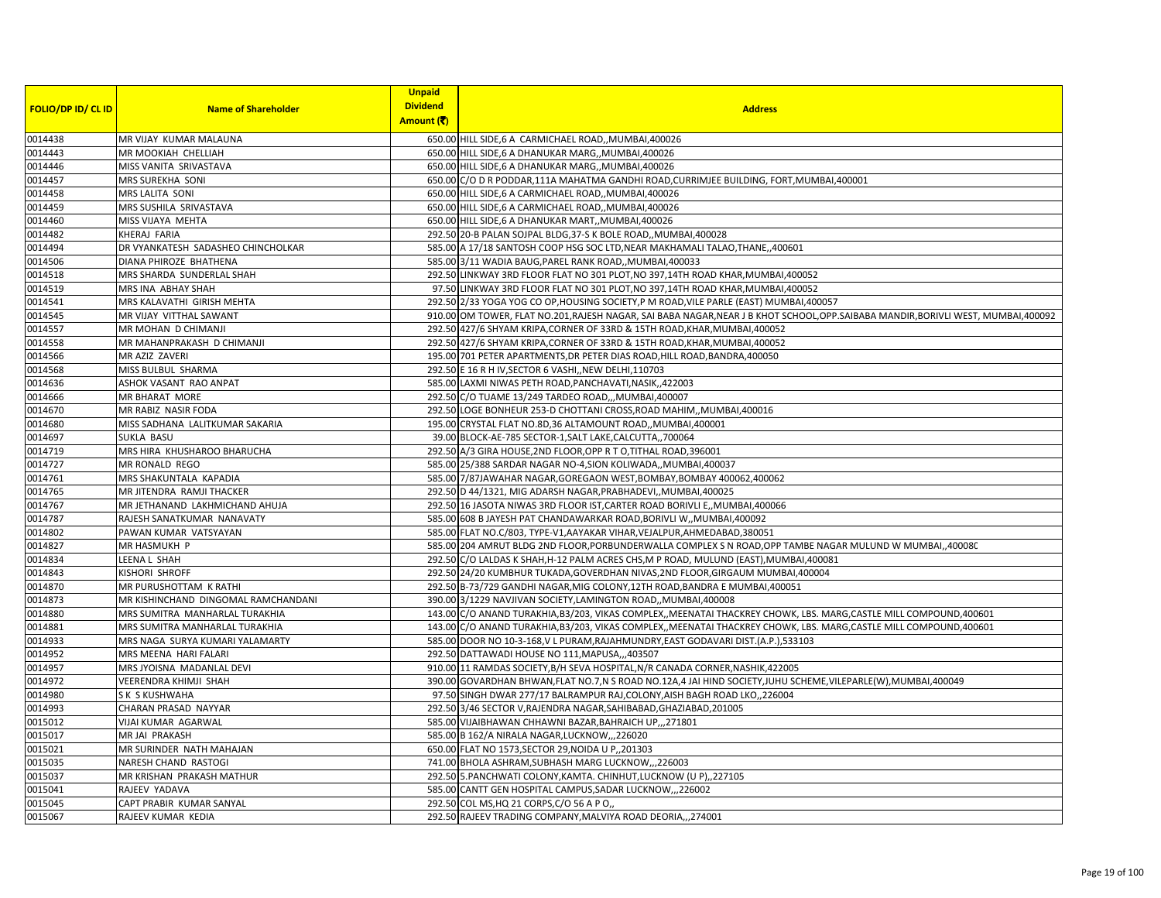| <b>FOLIO/DP ID/ CL ID</b> | <b>Name of Shareholder</b>          | <b>Unpaid</b><br><b>Dividend</b><br>Amount (そ) | <b>Address</b>                                                                                                                      |
|---------------------------|-------------------------------------|------------------------------------------------|-------------------------------------------------------------------------------------------------------------------------------------|
| 0014438                   | MR VIJAY KUMAR MALAUNA              |                                                | 650.00 HILL SIDE,6 A CARMICHAEL ROAD,, MUMBAI, 400026                                                                               |
| 0014443                   | MR MOOKIAH CHELLIAH                 |                                                | 650.00 HILL SIDE,6 A DHANUKAR MARG,, MUMBAI, 400026                                                                                 |
| 0014446                   | MISS VANITA SRIVASTAVA              |                                                | 650.00 HILL SIDE, 6 A DHANUKAR MARG,, MUMBAI, 400026                                                                                |
| 0014457                   | MRS SUREKHA SONI                    |                                                | 650.00 C/O D R PODDAR,111A MAHATMA GANDHI ROAD,CURRIMJEE BUILDING, FORT,MUMBAI,400001                                               |
| 0014458                   | MRS LALITA SONI                     |                                                | 650.00 HILL SIDE, 6 A CARMICHAEL ROAD,, MUMBAI, 400026                                                                              |
| 0014459                   | MRS SUSHILA SRIVASTAVA              |                                                | 650.00 HILL SIDE,6 A CARMICHAEL ROAD,, MUMBAI, 400026                                                                               |
| 0014460                   | MISS VIJAYA MEHTA                   |                                                | 650.00 HILL SIDE,6 A DHANUKAR MART, MUMBAI,400026                                                                                   |
| 0014482                   | KHERAJ FARIA                        |                                                | 292.50 20-B PALAN SOJPAL BLDG, 37-S K BOLE ROAD, MUMBAI, 400028                                                                     |
| 0014494                   | DR VYANKATESH SADASHEO CHINCHOLKAR  |                                                | 585.00 A 17/18 SANTOSH COOP HSG SOC LTD, NEAR MAKHAMALI TALAO, THANE, ,400601                                                       |
| 0014506                   | DIANA PHIROZE BHATHENA              |                                                | 585.00 3/11 WADIA BAUG, PAREL RANK ROAD, MUMBAI, 400033                                                                             |
| 0014518                   | MRS SHARDA SUNDERLAL SHAH           |                                                | 292.50 LINKWAY 3RD FLOOR FLAT NO 301 PLOT, NO 397, 14TH ROAD KHAR, MUMBAI, 400052                                                   |
| 0014519                   | MRS INA ABHAY SHAH                  |                                                | 97.50 LINKWAY 3RD FLOOR FLAT NO 301 PLOT, NO 397,14TH ROAD KHAR, MUMBAI, 400052                                                     |
| 0014541                   | MRS KALAVATHI GIRISH MEHTA          |                                                | 292.50 2/33 YOGA YOG CO OP, HOUSING SOCIETY, P M ROAD, VILE PARLE (EAST) MUMBAI, 400057                                             |
| 0014545                   | MR VIJAY VITTHAL SAWANT             |                                                | 910.00 OM TOWER, FLAT NO.201, RAJESH NAGAR, SAI BABA NAGAR, NEAR J B KHOT SCHOOL, OPP. SAIBABA MANDIR, BORIVLI WEST, MUMBAI, 400092 |
| 0014557                   | MR MOHAN D CHIMANJI                 |                                                | 292.50 427/6 SHYAM KRIPA, CORNER OF 33RD & 15TH ROAD, KHAR, MUMBAI, 400052                                                          |
| 0014558                   | MR MAHANPRAKASH D CHIMANJI          |                                                | 292.50 427/6 SHYAM KRIPA, CORNER OF 33RD & 15TH ROAD, KHAR, MUMBAI, 400052                                                          |
| 0014566                   | MR AZIZ ZAVERI                      |                                                | 195.00 701 PETER APARTMENTS, DR PETER DIAS ROAD, HILL ROAD, BANDRA, 400050                                                          |
| 0014568                   | MISS BULBUL SHARMA                  |                                                | 292.50 E 16 R H IV, SECTOR 6 VASHI, NEW DELHI, 110703                                                                               |
| 0014636                   | ASHOK VASANT RAO ANPAT              |                                                | 585.00 LAXMI NIWAS PETH ROAD, PANCHAVATI, NASIK, 422003                                                                             |
| 0014666                   | <b>MR BHARAT MORE</b>               |                                                | 292.50 C/O TUAME 13/249 TARDEO ROAD,,,MUMBAI,400007                                                                                 |
| 0014670                   | MR RABIZ NASIR FODA                 |                                                | 292.50 LOGE BONHEUR 253-D CHOTTANI CROSS, ROAD MAHIM,, MUMBAI, 400016                                                               |
| 0014680                   | MISS SADHANA LALITKUMAR SAKARIA     |                                                | 195.00 CRYSTAL FLAT NO.8D,36 ALTAMOUNT ROAD,, MUMBAI,400001                                                                         |
| 0014697                   | <b>SUKLA BASU</b>                   |                                                | 39.00 BLOCK-AE-785 SECTOR-1, SALT LAKE, CALCUTTA,, 700064                                                                           |
| 0014719                   | MRS HIRA KHUSHAROO BHARUCHA         |                                                | 292.50 A/3 GIRA HOUSE, 2ND FLOOR, OPP R T O, TITHAL ROAD, 396001                                                                    |
| 0014727                   | MR RONALD REGO                      |                                                | 585.00 25/388 SARDAR NAGAR NO-4, SION KOLIWADA,, MUMBAI, 400037                                                                     |
| 0014761                   | MRS SHAKUNTALA KAPADIA              |                                                | 585.00 7/87JAWAHAR NAGAR, GOREGAON WEST, BOMBAY, BOMBAY 400062, 400062                                                              |
| 0014765                   | MR JITENDRA RAMJI THACKER           |                                                | 292.50 D 44/1321, MIG ADARSH NAGAR, PRABHADEVI, MUMBAI, 400025                                                                      |
| 0014767                   | MR JETHANAND LAKHMICHAND AHUJA      |                                                | 292.50 16 JASOTA NIWAS 3RD FLOOR IST, CARTER ROAD BORIVLI E,, MUMBAI, 400066                                                        |
| 0014787                   | RAJESH SANATKUMAR NANAVATY          |                                                | 585.00 608 B JAYESH PAT CHANDAWARKAR ROAD, BORIVLI W,, MUMBAI, 400092                                                               |
| 0014802                   | PAWAN KUMAR VATSYAYAN               |                                                | 585.00 FLAT NO.C/803, TYPE-V1, AAYAKAR VIHAR, VEJALPUR, AHMEDABAD, 380051                                                           |
| 0014827                   | MR HASMUKH P                        |                                                | 585.00 204 AMRUT BLDG 2ND FLOOR, PORBUNDERWALLA COMPLEX S N ROAD, OPP TAMBE NAGAR MULUND W MUMBAI, ,400080                          |
| 0014834                   | LEENA L SHAH                        |                                                | 292.50 C/O LALDAS K SHAH, H-12 PALM ACRES CHS, M P ROAD, MULUND (EAST), MUMBAI, 400081                                              |
| 0014843                   | <b>KISHORI SHROFF</b>               |                                                | 292.50 24/20 KUMBHUR TUKADA, GOVERDHAN NIVAS, 2ND FLOOR, GIRGAUM MUMBAI, 400004                                                     |
| 0014870                   | MR PURUSHOTTAM K RATHI              |                                                | 292.50 B-73/729 GANDHI NAGAR, MIG COLONY, 12TH ROAD, BANDRA E MUMBAI, 400051                                                        |
| 0014873                   | MR KISHINCHAND DINGOMAL RAMCHANDANI |                                                | 390.00 3/1229 NAVJIVAN SOCIETY, LAMINGTON ROAD, MUMBAI, 400008                                                                      |
| 0014880                   | MRS SUMITRA MANHARLAL TURAKHIA      |                                                | 143.00 C/O ANAND TURAKHIA, B3/203, VIKAS COMPLEX, MEENATAI THACKREY CHOWK, LBS. MARG, CASTLE MILL COMPOUND, 400601                  |
| 0014881                   | MRS SUMITRA MANHARLAL TURAKHIA      |                                                | 143.00 C/O ANAND TURAKHIA, B3/203, VIKAS COMPLEX, MEENATAI THACKREY CHOWK, LBS. MARG, CASTLE MILL COMPOUND, 400601                  |
| 0014933                   | MRS NAGA SURYA KUMARI YALAMARTY     |                                                | 585.00 DOOR NO 10-3-168, V L PURAM, RAJAHMUNDRY, EAST GODAVARI DIST. (A.P.), 533103                                                 |
| 0014952                   | MRS MEENA HARI FALARI               |                                                | 292.50 DATTAWADI HOUSE NO 111, MAPUSA, ,,403507                                                                                     |
| 0014957                   | MRS JYOISNA MADANLAL DEVI           |                                                | 910.00 11 RAMDAS SOCIETY, B/H SEVA HOSPITAL, N/R CANADA CORNER, NASHIK, 422005                                                      |
| 0014972                   | VEERENDRA KHIMJI SHAH               |                                                | 390.00 GOVARDHAN BHWAN, FLAT NO.7, N S ROAD NO.12A, 4 JAI HIND SOCIETY, JUHU SCHEME, VILEPARLE(W), MUMBAI, 400049                   |
| 0014980                   | S K S KUSHWAHA                      |                                                | 97.50 SINGH DWAR 277/17 BALRAMPUR RAJ, COLONY, AISH BAGH ROAD LKO,, 226004                                                          |
| 0014993                   | CHARAN PRASAD NAYYAR                |                                                | 292.50 3/46 SECTOR V, RAJENDRA NAGAR, SAHIBABAD, GHAZIABAD, 201005                                                                  |
| 0015012                   | VIJAI KUMAR AGARWAL                 |                                                | 585.00 VIJAIBHAWAN CHHAWNI BAZAR, BAHRAICH UP,, 271801                                                                              |
| 0015017                   | MR JAI PRAKASH                      |                                                | 585.00 B 162/A NIRALA NAGAR, LUCKNOW, ,,226020                                                                                      |
| 0015021                   | MR SURINDER NATH MAHAJAN            |                                                | 650.00 FLAT NO 1573, SECTOR 29, NOIDA U P,, 201303                                                                                  |
| 0015035                   | NARESH CHAND RASTOGI                |                                                | 741.00 BHOLA ASHRAM, SUBHASH MARG LUCKNOW, ,,226003                                                                                 |
| 0015037                   | MR KRISHAN PRAKASH MATHUR           |                                                | 292.50 5. PANCHWATI COLONY, KAMTA. CHINHUT, LUCKNOW (U P), 227105                                                                   |
| 0015041                   | RAJEEV YADAVA                       |                                                | 585.00 CANTT GEN HOSPITAL CAMPUS, SADAR LUCKNOW, ,,226002                                                                           |
| 0015045                   | CAPT PRABIR KUMAR SANYAL            |                                                | 292.50 COL MS, HQ 21 CORPS, C/O 56 A P O,                                                                                           |
| 0015067                   | RAJEEV KUMAR KEDIA                  |                                                | 292.50 RAJEEV TRADING COMPANY, MALVIYA ROAD DEORIA,,,274001                                                                         |
|                           |                                     |                                                |                                                                                                                                     |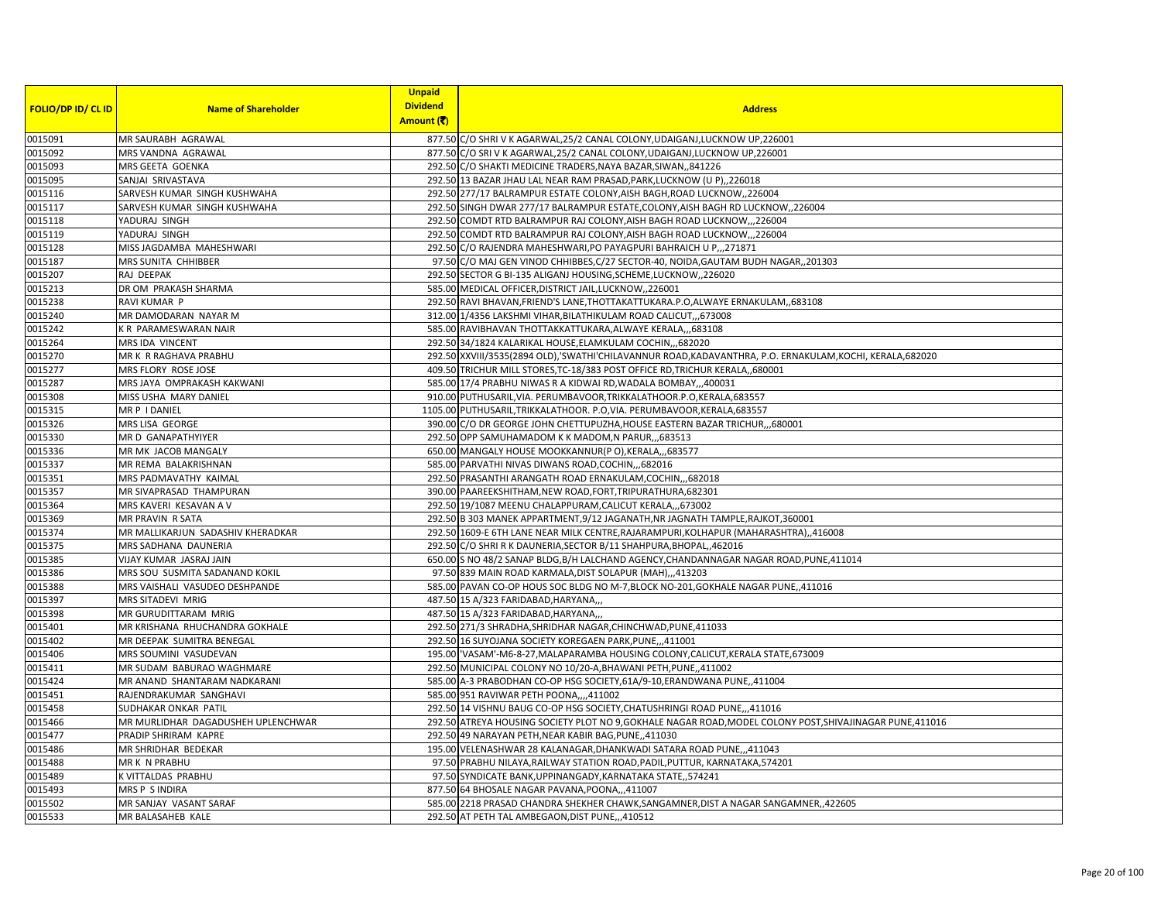|                           |                                    | <b>Unpaid</b><br><b>Dividend</b> |                                                                                                             |
|---------------------------|------------------------------------|----------------------------------|-------------------------------------------------------------------------------------------------------------|
| <b>FOLIO/DP ID/ CL ID</b> | <b>Name of Shareholder</b>         | Amount (そ)                       | <b>Address</b>                                                                                              |
| 0015091                   | MR SAURABH AGRAWAL                 |                                  | 877.50 C/O SHRI V K AGARWAL, 25/2 CANAL COLONY, UDAIGANJ, LUCKNOW UP, 226001                                |
| 0015092                   | MRS VANDNA AGRAWAL                 |                                  | 877.50 C/O SRI V K AGARWAL, 25/2 CANAL COLONY, UDAIGANJ, LUCKNOW UP, 226001                                 |
| 0015093                   | MRS GEETA GOENKA                   |                                  | 292.50 C/O SHAKTI MEDICINE TRADERS, NAYA BAZAR, SIWAN,, 841226                                              |
| 0015095                   | SANJAI SRIVASTAVA                  |                                  | 292.50 13 BAZAR JHAU LAL NEAR RAM PRASAD, PARK, LUCKNOW (U P), 226018                                       |
| 0015116                   | SARVESH KUMAR SINGH KUSHWAHA       |                                  | 292.50 277/17 BALRAMPUR ESTATE COLONY, AISH BAGH, ROAD LUCKNOW, ,226004                                     |
| 0015117                   | SARVESH KUMAR SINGH KUSHWAHA       |                                  | 292.50 SINGH DWAR 277/17 BALRAMPUR ESTATE, COLONY, AISH BAGH RD LUCKNOW, 226004                             |
| 0015118                   | YADURAJ SINGH                      |                                  | 292.50 COMDT RTD BALRAMPUR RAJ COLONY, AISH BAGH ROAD LUCKNOW,,,226004                                      |
| 0015119                   | YADURAJ SINGH                      |                                  | 292.50 COMDT RTD BALRAMPUR RAJ COLONY, AISH BAGH ROAD LUCKNOW,, ,226004                                     |
| 0015128                   | MISS JAGDAMBA MAHESHWARI           |                                  | 292.50 C/O RAJENDRA MAHESHWARI, PO PAYAGPURI BAHRAICH U P,, 271871                                          |
| 0015187                   | MRS SUNITA CHHIBBER                |                                  | 97.50 C/O MAJ GEN VINOD CHHIBBES, C/27 SECTOR-40, NOIDA, GAUTAM BUDH NAGAR, ,201303                         |
| 0015207                   | RAJ DEEPAK                         |                                  | 292.50 SECTOR G BI-135 ALIGANJ HOUSING, SCHEME, LUCKNOW, 226020                                             |
| 0015213                   | DR OM PRAKASH SHARMA               |                                  | 585.00 MEDICAL OFFICER, DISTRICT JAIL, LUCKNOW, ,226001                                                     |
| 0015238                   | RAVI KUMAR P                       |                                  | 292.50 RAVI BHAVAN, FRIEND'S LANE, THOTTAKATTUKARA.P.O, ALWAYE ERNAKULAM, 683108                            |
| 0015240                   | MR DAMODARAN NAYAR M               |                                  | 312.00 1/4356 LAKSHMI VIHAR, BILATHIKULAM ROAD CALICUT, 673008                                              |
| 0015242                   | K R PARAMESWARAN NAIR              |                                  | 585.00 RAVIBHAVAN THOTTAKKATTUKARA, ALWAYE KERALA,,,683108                                                  |
| 0015264                   | MRS IDA VINCENT                    |                                  | 292.50 34/1824 KALARIKAL HOUSE, ELAMKULAM COCHIN, ,,682020                                                  |
| 0015270                   | MR K R RAGHAVA PRABHU              |                                  | 292.50 XXVIII/3535 (2894 OLD), 'SWATHI'CHILAVANNUR ROAD, KADAVANTHRA, P.O. ERNAKULAM, KOCHI, KERALA, 682020 |
| 0015277                   | MRS FLORY ROSE JOSE                |                                  | 409.50 TRICHUR MILL STORES, TC-18/383 POST OFFICE RD, TRICHUR KERALA, 680001                                |
| 0015287                   | MRS JAYA OMPRAKASH KAKWANI         |                                  | 585.00 17/4 PRABHU NIWAS R A KIDWAI RD, WADALA BOMBAY,, 400031                                              |
| 0015308                   | MISS USHA MARY DANIEL              |                                  | 910.00 PUTHUSARIL, VIA. PERUMBAVOOR, TRIKKALATHOOR.P.O, KERALA, 683557                                      |
| 0015315                   | MR P I DANIEL                      |                                  | 1105.00 PUTHUSARIL, TRIKKALATHOOR. P.O, VIA. PERUMBAVOOR, KERALA, 683557                                    |
| 0015326                   | MRS LISA GEORGE                    |                                  | 390.00 C/O DR GEORGE JOHN CHETTUPUZHA, HOUSE EASTERN BAZAR TRICHUR, ,680001                                 |
| 0015330                   | MR D GANAPATHYIYER                 |                                  | 292.50 OPP SAMUHAMADOM K K MADOM, N PARUR, ,,683513                                                         |
| 0015336                   | MR MK JACOB MANGALY                |                                  | 650.00 MANGALY HOUSE MOOKKANNUR(P O), KERALA, , 683577                                                      |
| 0015337                   | MR REMA BALAKRISHNAN               |                                  | 585.00 PARVATHI NIVAS DIWANS ROAD, COCHIN, ,,682016                                                         |
| 0015351                   | MRS PADMAVATHY KAIMAL              |                                  | 292.50 PRASANTHI ARANGATH ROAD ERNAKULAM, COCHIN, ,,682018                                                  |
| 0015357                   | MR SIVAPRASAD THAMPURAN            |                                  | 390.00 PAAREEKSHITHAM, NEW ROAD, FORT, TRIPURATHURA, 682301                                                 |
| 0015364                   | MRS KAVERI KESAVAN A V             |                                  | 292.50 19/1087 MEENU CHALAPPURAM, CALICUT KERALA,, 673002                                                   |
| 0015369                   | MR PRAVIN R SATA                   |                                  | 292.50 B 303 MANEK APPARTMENT, 9/12 JAGANATH, NR JAGNATH TAMPLE, RAJKOT, 360001                             |
| 0015374                   | MR MALLIKARJUN SADASHIV KHERADKAR  |                                  | 292.50 1609-E 6TH LANE NEAR MILK CENTRE, RAJARAMPURI, KOLHAPUR (MAHARASHTRA), ,416008                       |
| 0015375                   | MRS SADHANA DAUNERIA               |                                  | 292.50 C/O SHRI R K DAUNERIA, SECTOR B/11 SHAHPURA, BHOPAL, 462016                                          |
| 0015385                   | VIJAY KUMAR JASRAJ JAIN            |                                  | 650.00 S NO 48/2 SANAP BLDG, B/H LALCHAND AGENCY, CHANDANNAGAR NAGAR ROAD, PUNE, 411014                     |
| 0015386                   | MRS SOU SUSMITA SADANAND KOKIL     |                                  | 97.50 839 MAIN ROAD KARMALA, DIST SOLAPUR (MAH),,,413203                                                    |
| 0015388                   | MRS VAISHALI VASUDEO DESHPANDE     |                                  | 585.00 PAVAN CO-OP HOUS SOC BLDG NO M-7, BLOCK NO-201, GOKHALE NAGAR PUNE, 411016                           |
| 0015397                   | MRS SITADEVI MRIG                  |                                  | 487.50 15 A/323 FARIDABAD, HARYANA,                                                                         |
| 0015398                   | MR GURUDITTARAM MRIG               |                                  | 487.50 15 A/323 FARIDABAD, HARYANA,                                                                         |
| 0015401                   | MR KRISHANA RHUCHANDRA GOKHALE     |                                  | 292.50 271/3 SHRADHA, SHRIDHAR NAGAR, CHINCHWAD, PUNE, 411033                                               |
| 0015402                   | MR DEEPAK SUMITRA BENEGAL          |                                  | 292.50 16 SUYOJANA SOCIETY KOREGAEN PARK, PUNE,,,411001                                                     |
| 0015406                   | MRS SOUMINI VASUDEVAN              |                                  | 195.00 VASAM'-M6-8-27, MALAPARAMBA HOUSING COLONY, CALICUT, KERALA STATE, 673009                            |
| 0015411                   | MR SUDAM BABURAO WAGHMARE          |                                  | 292.50 MUNICIPAL COLONY NO 10/20-A, BHAWANI PETH, PUNE, 411002                                              |
| 0015424                   | MR ANAND SHANTARAM NADKARANI       |                                  | 585.00 A-3 PRABODHAN CO-OP HSG SOCIETY, 61A/9-10, ERANDWANA PUNE, 411004                                    |
| 0015451                   | RAJENDRAKUMAR SANGHAVI             |                                  | 585.00 951 RAVIWAR PETH POONA,,,,411002                                                                     |
| 0015458                   | SUDHAKAR ONKAR PATIL               |                                  | 292.50 14 VISHNU BAUG CO-OP HSG SOCIETY, CHATUSHRINGI ROAD PUNE,, 411016                                    |
| 0015466                   | MR MURLIDHAR DAGADUSHEH UPLENCHWAR |                                  | 292.50 ATREYA HOUSING SOCIETY PLOT NO 9, GOKHALE NAGAR ROAD, MODEL COLONY POST, SHIVAJINAGAR PUNE, 411016   |
| 0015477                   | PRADIP SHRIRAM KAPRE               |                                  | 292.50 49 NARAYAN PETH, NEAR KABIR BAG, PUNE, ,411030                                                       |
| 0015486                   | MR SHRIDHAR BEDEKAR                |                                  | 195.00 VELENASHWAR 28 KALANAGAR, DHANKWADI SATARA ROAD PUNE,,,411043                                        |
| 0015488                   | MR K N PRABHU                      |                                  | 97.50 PRABHU NILAYA, RAILWAY STATION ROAD, PADIL, PUTTUR, KARNATAKA, 574201                                 |
| 0015489                   | K VITTALDAS PRABHU                 |                                  | 97.50 SYNDICATE BANK, UPPINANGADY, KARNATAKA STATE, ,574241                                                 |
| 0015493                   | MRS P S INDIRA                     |                                  | 877.50 64 BHOSALE NAGAR PAVANA, POONA,,,411007                                                              |
| 0015502                   | MR SANJAY VASANT SARAF             |                                  | 585.00 2218 PRASAD CHANDRA SHEKHER CHAWK, SANGAMNER, DIST A NAGAR SANGAMNER, ,422605                        |
| 0015533                   | MR BALASAHEB KALE                  |                                  | 292.50 AT PETH TAL AMBEGAON, DIST PUNE,,,410512                                                             |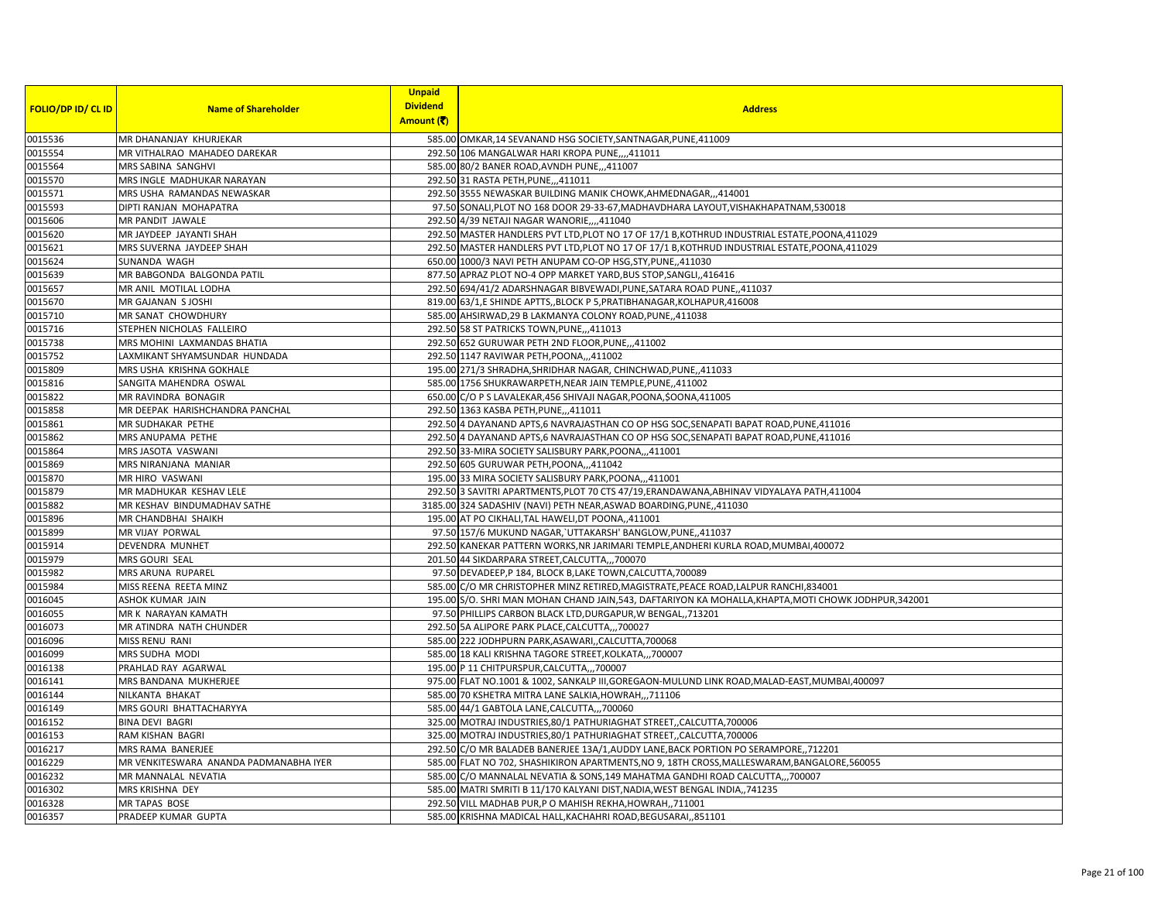|                           |                                        | <b>Unpaid</b>   |                                                                                                       |
|---------------------------|----------------------------------------|-----------------|-------------------------------------------------------------------------------------------------------|
| <b>FOLIO/DP ID/ CL ID</b> | <b>Name of Shareholder</b>             | <b>Dividend</b> | <b>Address</b>                                                                                        |
|                           |                                        | Amount (₹)      |                                                                                                       |
| 0015536                   | MR DHANANJAY KHURJEKAR                 |                 | 585.00 OMKAR,14 SEVANAND HSG SOCIETY, SANTNAGAR, PUNE, 411009                                         |
| 0015554                   | MR VITHALRAO MAHADEO DAREKAR           |                 | 292.50 106 MANGALWAR HARI KROPA PUNE,,,,411011                                                        |
| 0015564                   | MRS SABINA SANGHVI                     |                 | 585.00 80/2 BANER ROAD, AVNDH PUNE, ,,411007                                                          |
| 0015570                   | MRS INGLE MADHUKAR NARAYAN             |                 | 292.50 31 RASTA PETH, PUNE, ,,411011                                                                  |
| 0015571                   | MRS USHA RAMANDAS NEWASKAR             |                 | 292.50 3555 NEWASKAR BUILDING MANIK CHOWK, AHMEDNAGAR, ,, 414001                                      |
| 0015593                   | DIPTI RANJAN MOHAPATRA                 |                 | 97.50 SONALI, PLOT NO 168 DOOR 29-33-67, MADHAVDHARA LAYOUT, VISHAKHAPATNAM, 530018                   |
| 0015606                   | MR PANDIT JAWALE                       |                 | 292.50 4/39 NETAJI NAGAR WANORIE, 1,411040                                                            |
| 0015620                   | MR JAYDEEP JAYANTI SHAH                |                 | 292.50 MASTER HANDLERS PVT LTD, PLOT NO 17 OF 17/1 B, KOTHRUD INDUSTRIAL ESTATE, POONA, 411029        |
| 0015621                   | MRS SUVERNA JAYDEEP SHAH               |                 | 292.50 MASTER HANDLERS PVT LTD, PLOT NO 17 OF 17/1 B, KOTHRUD INDUSTRIAL ESTATE, POONA, 411029        |
| 0015624                   | SUNANDA WAGH                           |                 | 650.00 1000/3 NAVI PETH ANUPAM CO-OP HSG, STY, PUNE, ,411030                                          |
| 0015639                   | MR BABGONDA BALGONDA PATIL             |                 | 877.50 APRAZ PLOT NO-4 OPP MARKET YARD, BUS STOP, SANGLI, 416416                                      |
| 0015657                   | MR ANIL MOTILAL LODHA                  |                 | 292.50 694/41/2 ADARSHNAGAR BIBVEWADI, PUNE, SATARA ROAD PUNE, 411037                                 |
| 0015670                   | MR GAJANAN S JOSHI                     |                 | 819.00 63/1,E SHINDE APTTS,, BLOCK P 5, PRATIBHANAGAR, KOLHAPUR, 416008                               |
| 0015710                   | MR SANAT CHOWDHURY                     |                 | 585.00 AHSIRWAD, 29 B LAKMANYA COLONY ROAD, PUNE, ,411038                                             |
| 0015716                   | STEPHEN NICHOLAS FALLEIRO              |                 | 292.50 58 ST PATRICKS TOWN, PUNE, ,,411013                                                            |
| 0015738                   | MRS MOHINI LAXMANDAS BHATIA            |                 | 292.50 652 GURUWAR PETH 2ND FLOOR, PUNE, ,,411002                                                     |
| 0015752                   | LAXMIKANT SHYAMSUNDAR HUNDADA          |                 | 292.50 1147 RAVIWAR PETH, POONA,,,411002                                                              |
| 0015809                   | MRS USHA KRISHNA GOKHALE               |                 | 195.00 271/3 SHRADHA, SHRIDHAR NAGAR, CHINCHWAD, PUNE,, 411033                                        |
| 0015816                   | SANGITA MAHENDRA OSWAL                 |                 | 585.00 1756 SHUKRAWARPETH, NEAR JAIN TEMPLE, PUNE, 411002                                             |
| 0015822                   | MR RAVINDRA BONAGIR                    |                 | 650.00 C/O P S LAVALEKAR, 456 SHIVAJI NAGAR, POONA, \$OONA, 411005                                    |
| 0015858                   | MR DEEPAK HARISHCHANDRA PANCHAL        |                 | 292.50 1363 KASBA PETH, PUNE, ,,411011                                                                |
| 0015861                   | MR SUDHAKAR PETHE                      |                 | 292.50 4 DAYANAND APTS,6 NAVRAJASTHAN CO OP HSG SOC, SENAPATI BAPAT ROAD, PUNE, 411016                |
| 0015862                   | MRS ANUPAMA PETHE                      |                 | 292.50 4 DAYANAND APTS,6 NAVRAJASTHAN CO OP HSG SOC, SENAPATI BAPAT ROAD, PUNE, 411016                |
| 0015864                   | MRS JASOTA VASWANI                     |                 | 292.50 33-MIRA SOCIETY SALISBURY PARK, POONA,,,411001                                                 |
| 0015869                   | MRS NIRANJANA MANIAR                   |                 | 292.50 605 GURUWAR PETH, POONA,,,411042                                                               |
| 0015870                   | MR HIRO VASWANI                        |                 | 195.00 33 MIRA SOCIETY SALISBURY PARK, POONA,,,411001                                                 |
| 0015879                   | MR MADHUKAR KESHAV LELE                |                 | 292.50 3 SAVITRI APARTMENTS, PLOT 70 CTS 47/19, ERANDAWANA, ABHINAV VIDYALAYA PATH, 411004            |
| 0015882                   | MR KESHAV BINDUMADHAV SATHE            |                 | 3185.00 324 SADASHIV (NAVI) PETH NEAR, ASWAD BOARDING, PUNE, 411030                                   |
| 0015896                   | MR CHANDBHAI SHAIKH                    |                 | 195.00 AT PO CIKHALI, TAL HAWELI, DT POONA,, 411001                                                   |
| 0015899                   | MR VIJAY PORWAL                        |                 | 97.50 157/6 MUKUND NAGAR, UTTAKARSH' BANGLOW, PUNE, 411037                                            |
| 0015914                   | DEVENDRA MUNHET                        |                 | 292.50 KANEKAR PATTERN WORKS, NR JARIMARI TEMPLE, ANDHERI KURLA ROAD, MUMBAI, 400072                  |
| 0015979                   | MRS GOURI SEAL                         |                 | 201.50 44 SIKDARPARA STREET, CALCUTTA,,, 700070                                                       |
| 0015982                   | MRS ARUNA RUPAREL                      |                 | 97.50 DEVADEEP, P 184, BLOCK B, LAKE TOWN, CALCUTTA, 700089                                           |
| 0015984                   | MISS REENA REETA MINZ                  |                 | 585.00 C/O MR CHRISTOPHER MINZ RETIRED, MAGISTRATE, PEACE ROAD, LALPUR RANCHI, 834001                 |
| 0016045                   | ASHOK KUMAR JAIN                       |                 | 195.00 S/O. SHRI MAN MOHAN CHAND JAIN, 543, DAFTARIYON KA MOHALLA, KHAPTA, MOTI CHOWK JODHPUR, 342001 |
| 0016055                   | MR K NARAYAN KAMATH                    |                 | 97.50 PHILLIPS CARBON BLACK LTD, DURGAPUR, W BENGAL, 713201                                           |
| 0016073                   | MR ATINDRA NATH CHUNDER                |                 | 292.50 5A ALIPORE PARK PLACE, CALCUTTA,,, 700027                                                      |
| 0016096                   | MISS RENU RANI                         |                 | 585.00 222 JODHPURN PARK, ASAWARI, , CALCUTTA, 700068                                                 |
| 0016099                   | MRS SUDHA MODI                         |                 | 585.00 18 KALI KRISHNA TAGORE STREET, KOLKATA,,,700007                                                |
| 0016138                   | PRAHLAD RAY AGARWAL                    |                 | 195.00 P 11 CHITPURSPUR, CALCUTTA,, 700007                                                            |
| 0016141                   | MRS BANDANA MUKHERJEE                  |                 | 975.00 FLAT NO.1001 & 1002, SANKALP III, GOREGAON-MULUND LINK ROAD, MALAD-EAST, MUMBAI, 400097        |
| 0016144                   | NILKANTA BHAKAT                        |                 | 585.00 70 KSHETRA MITRA LANE SALKIA, HOWRAH,,,711106                                                  |
| 0016149                   | MRS GOURI BHATTACHARYYA                |                 | 585.00 44/1 GABTOLA LANE, CALCUTTA,,,700060                                                           |
| 0016152                   | <b>BINA DEVI BAGRI</b>                 |                 | 325.00 MOTRAJ INDUSTRIES, 80/1 PATHURIAGHAT STREET,, CALCUTTA, 700006                                 |
| 0016153                   | RAM KISHAN BAGRI                       |                 | 325.00 MOTRAJ INDUSTRIES, 80/1 PATHURIAGHAT STREET, CALCUTTA, 700006                                  |
| 0016217                   | MRS RAMA BANERJEE                      |                 | 292.50 C/O MR BALADEB BANERJEE 13A/1, AUDDY LANE, BACK PORTION PO SERAMPORE, ,712201                  |
| 0016229                   | MR VENKITESWARA ANANDA PADMANABHA IYER |                 | 585.00 FLAT NO 702, SHASHIKIRON APARTMENTS, NO 9, 18TH CROSS, MALLESWARAM, BANGALORE, 560055          |
| 0016232                   | MR MANNALAL NEVATIA                    |                 | 585.00 C/O MANNALAL NEVATIA & SONS, 149 MAHATMA GANDHI ROAD CALCUTTA,,,700007                         |
| 0016302                   | MRS KRISHNA DEY                        |                 | 585.00 MATRI SMRITI B 11/170 KALYANI DIST, NADIA, WEST BENGAL INDIA,, 741235                          |
| 0016328                   | MR TAPAS BOSE                          |                 | 292.50 VILL MADHAB PUR, P O MAHISH REKHA, HOWRAH, 711001                                              |
| 0016357                   | PRADEEP KUMAR GUPTA                    |                 | 585.00 KRISHNA MADICAL HALL, KACHAHRI ROAD, BEGUSARAI,, 851101                                        |
|                           |                                        |                 |                                                                                                       |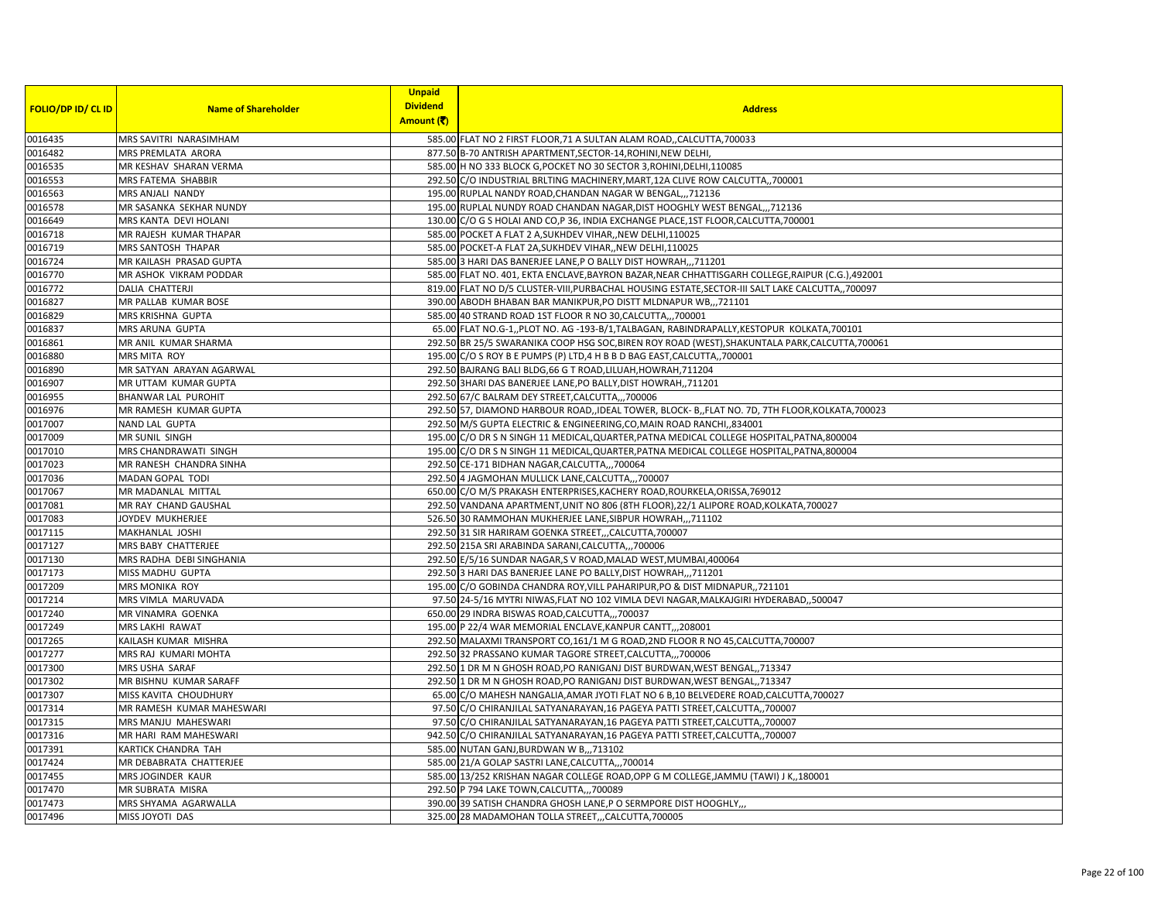|                           |                            | <b>Unpaid</b><br><b>Dividend</b> |                                                                                                   |
|---------------------------|----------------------------|----------------------------------|---------------------------------------------------------------------------------------------------|
| <b>FOLIO/DP ID/ CL ID</b> | <b>Name of Shareholder</b> | Amount (そ)                       | <b>Address</b>                                                                                    |
| 0016435                   | MRS SAVITRI NARASIMHAM     |                                  | 585.00 FLAT NO 2 FIRST FLOOR, 71 A SULTAN ALAM ROAD,, CALCUTTA, 700033                            |
| 0016482                   | MRS PREMLATA ARORA         |                                  | 877.50 B-70 ANTRISH APARTMENT, SECTOR-14, ROHINI, NEW DELHI,                                      |
| 0016535                   | MR KESHAV SHARAN VERMA     |                                  | 585.00 H NO 333 BLOCK G, POCKET NO 30 SECTOR 3, ROHINI, DELHI, 110085                             |
| 0016553                   | MRS FATEMA SHABBIR         |                                  | 292.50 C/O INDUSTRIAL BRLTING MACHINERY, MART, 12A CLIVE ROW CALCUTTA,, 700001                    |
| 0016563                   | MRS ANJALI NANDY           |                                  | 195.00 RUPLAL NANDY ROAD, CHANDAN NAGAR W BENGAL,, 712136                                         |
| 0016578                   | MR SASANKA SEKHAR NUNDY    |                                  | 195.00 RUPLAL NUNDY ROAD CHANDAN NAGAR, DIST HOOGHLY WEST BENGAL, ., 712136                       |
| 0016649                   | MRS KANTA DEVI HOLANI      |                                  | 130.00 C/O G S HOLAI AND CO,P 36, INDIA EXCHANGE PLACE, 1ST FLOOR, CALCUTTA, 700001               |
| 0016718                   | MR RAJESH KUMAR THAPAR     |                                  | 585.00 POCKET A FLAT 2 A, SUKHDEV VIHAR, , NEW DELHI, 110025                                      |
| 0016719                   | MRS SANTOSH THAPAR         |                                  | 585.00 POCKET-A FLAT 2A, SUKHDEV VIHAR,, NEW DELHI, 110025                                        |
| 0016724                   | MR KAILASH PRASAD GUPTA    |                                  | 585.00 3 HARI DAS BANERJEE LANE, P O BALLY DIST HOWRAH,,,711201                                   |
| 0016770                   | MR ASHOK VIKRAM PODDAR     |                                  | 585.00 FLAT NO. 401, EKTA ENCLAVE, BAYRON BAZAR, NEAR CHHATTISGARH COLLEGE, RAIPUR (C.G.), 492001 |
| 0016772                   | DALIA CHATTERJI            |                                  | 819.00 FLAT NO D/5 CLUSTER-VIII, PURBACHAL HOUSING ESTATE, SECTOR-III SALT LAKE CALCUTTA,, 700097 |
| 0016827                   | MR PALLAB KUMAR BOSE       |                                  | 390.00 ABODH BHABAN BAR MANIKPUR, PO DISTT MLDNAPUR WB,,,721101                                   |
| 0016829                   | MRS KRISHNA GUPTA          |                                  | 585.00 40 STRAND ROAD 1ST FLOOR R NO 30, CALCUTTA,,, 700001                                       |
| 0016837                   | MRS ARUNA GUPTA            |                                  | 65.00 FLAT NO.G-1,, PLOT NO. AG -193-B/1, TALBAGAN, RABINDRAPALLY, KESTOPUR KOLKATA, 700101       |
| 0016861                   | MR ANIL KUMAR SHARMA       |                                  | 292.50 BR 25/5 SWARANIKA COOP HSG SOC, BIREN ROY ROAD (WEST), SHAKUNTALA PARK, CALCUTTA, 700061   |
| 0016880                   | <b>MRS MITA ROY</b>        |                                  | 195.00 C/O S ROY B E PUMPS (P) LTD,4 H B B D BAG EAST, CALCUTTA, 700001                           |
| 0016890                   | MR SATYAN ARAYAN AGARWAL   |                                  | 292.50 BAJRANG BALI BLDG, 66 G T ROAD, LILUAH, HOWRAH, 711204                                     |
| 0016907                   | MR UTTAM KUMAR GUPTA       |                                  | 292.50 3HARI DAS BANERJEE LANE, PO BALLY, DIST HOWRAH,, 711201                                    |
| 0016955                   | <b>BHANWAR LAL PUROHIT</b> |                                  | 292.50 67/C BALRAM DEY STREET, CALCUTTA,,,700006                                                  |
| 0016976                   | MR RAMESH KUMAR GUPTA      |                                  | 292.50 57, DIAMOND HARBOUR ROAD, IDEAL TOWER, BLOCK- B, FLAT NO. 7D, 7TH FLOOR, KOLKATA, 700023   |
| 0017007                   | <b>NAND LAL GUPTA</b>      |                                  | 292.50 M/S GUPTA ELECTRIC & ENGINEERING, CO, MAIN ROAD RANCHI, 834001                             |
| 0017009                   | MR SUNIL SINGH             |                                  | 195.00 C/O DR S N SINGH 11 MEDICAL, QUARTER, PATNA MEDICAL COLLEGE HOSPITAL, PATNA, 800004        |
| 0017010                   | MRS CHANDRAWATI SINGH      |                                  | 195.00 C/O DR S N SINGH 11 MEDICAL, QUARTER, PATNA MEDICAL COLLEGE HOSPITAL, PATNA, 800004        |
| 0017023                   | MR RANESH CHANDRA SINHA    |                                  | 292.50 CE-171 BIDHAN NAGAR, CALCUTTA,,, 700064                                                    |
| 0017036                   | <b>MADAN GOPAL TODI</b>    |                                  | 292.50 4 JAGMOHAN MULLICK LANE, CALCUTTA,,, 700007                                                |
| 0017067                   | MR MADANLAL MITTAL         |                                  | 650.00 C/O M/S PRAKASH ENTERPRISES, KACHERY ROAD, ROURKELA, ORISSA, 769012                        |
| 0017081                   | MR RAY CHAND GAUSHAL       |                                  | 292.50 VANDANA APARTMENT, UNIT NO 806 (8TH FLOOR), 22/1 ALIPORE ROAD, KOLKATA, 700027             |
| 0017083                   | JOYDEV MUKHERJEE           |                                  | 526.50 30 RAMMOHAN MUKHERJEE LANE, SIBPUR HOWRAH,,,711102                                         |
| 0017115                   | <b>MAKHANLAL JOSHI</b>     |                                  | 292.50 31 SIR HARIRAM GOENKA STREET,,,CALCUTTA,700007                                             |
| 0017127                   | MRS BABY CHATTERJEE        |                                  | 292.50 215A SRI ARABINDA SARANI, CALCUTTA,,,700006                                                |
| 0017130                   | MRS RADHA DEBI SINGHANIA   |                                  | 292.50 E/5/16 SUNDAR NAGAR, S V ROAD, MALAD WEST, MUMBAI, 400064                                  |
| 0017173                   | MISS MADHU GUPTA           |                                  | 292.50 3 HARI DAS BANERJEE LANE PO BALLY, DIST HOWRAH,,,711201                                    |
| 0017209                   | MRS MONIKA ROY             |                                  | 195.00 C/O GOBINDA CHANDRA ROY, VILL PAHARIPUR, PO & DIST MIDNAPUR, 721101                        |
| 0017214                   | MRS VIMLA MARUVADA         |                                  | 97.50 24-5/16 MYTRI NIWAS, FLAT NO 102 VIMLA DEVI NAGAR, MALKAJGIRI HYDERABAD,, 500047            |
| 0017240                   | MR VINAMRA GOENKA          |                                  | 650.00 29 INDRA BISWAS ROAD, CALCUTTA,,, 700037                                                   |
| 0017249                   | MRS LAKHI RAWAT            |                                  | 195.00 P 22/4 WAR MEMORIAL ENCLAVE, KANPUR CANTT, ,, 208001                                       |
| 0017265                   | KAILASH KUMAR MISHRA       |                                  | 292.50 MALAXMI TRANSPORT CO,161/1 M G ROAD,2ND FLOOR R NO 45, CALCUTTA, 700007                    |
| 0017277                   | MRS RAJ KUMARI MOHTA       |                                  | 292.50 32 PRASSANO KUMAR TAGORE STREET, CALCUTTA,,, 700006                                        |
| 0017300                   | MRS USHA SARAF             |                                  | 292.50 1 DR M N GHOSH ROAD, PO RANIGANJ DIST BURDWAN, WEST BENGAL, 713347                         |
| 0017302                   | MR BISHNU KUMAR SARAFF     |                                  | 292.50 1 DR M N GHOSH ROAD, PO RANIGANJ DIST BURDWAN, WEST BENGAL, 713347                         |
| 0017307                   | MISS KAVITA CHOUDHURY      |                                  | 65.00 C/O MAHESH NANGALIA, AMAR JYOTI FLAT NO 6 B, 10 BELVEDERE ROAD, CALCUTTA, 700027            |
| 0017314                   | MR RAMESH KUMAR MAHESWARI  |                                  | 97.50 C/O CHIRANJILAL SATYANARAYAN, 16 PAGEYA PATTI STREET, CALCUTTA,, 700007                     |
| 0017315                   | MRS MANJU MAHESWARI        |                                  | 97.50 C/O CHIRANJILAL SATYANARAYAN, 16 PAGEYA PATTI STREET, CALCUTTA,, 700007                     |
| 0017316                   | MR HARI RAM MAHESWARI      |                                  | 942.50 C/O CHIRANJILAL SATYANARAYAN, 16 PAGEYA PATTI STREET, CALCUTTA,, 700007                    |
| 0017391                   | KARTICK CHANDRA TAH        |                                  | 585.00 NUTAN GANJ, BURDWAN W B., 713102                                                           |
| 0017424                   | MR DEBABRATA CHATTERJEE    |                                  | 585.00 21/A GOLAP SASTRI LANE, CALCUTTA,,,700014                                                  |
| 0017455                   | MRS JOGINDER KAUR          |                                  | 585.00 13/252 KRISHAN NAGAR COLLEGE ROAD, OPP G M COLLEGE, JAMMU (TAWI) J K,,180001               |
| 0017470                   | MR SUBRATA MISRA           |                                  | 292.50 P 794 LAKE TOWN, CALCUTTA,, 700089                                                         |
| 0017473                   | MRS SHYAMA AGARWALLA       |                                  | 390.00 39 SATISH CHANDRA GHOSH LANE, P O SERMPORE DIST HOOGHLY,                                   |
| 0017496                   | MISS JOYOTI DAS            |                                  | 325.00 28 MADAMOHAN TOLLA STREET,,,CALCUTTA,700005                                                |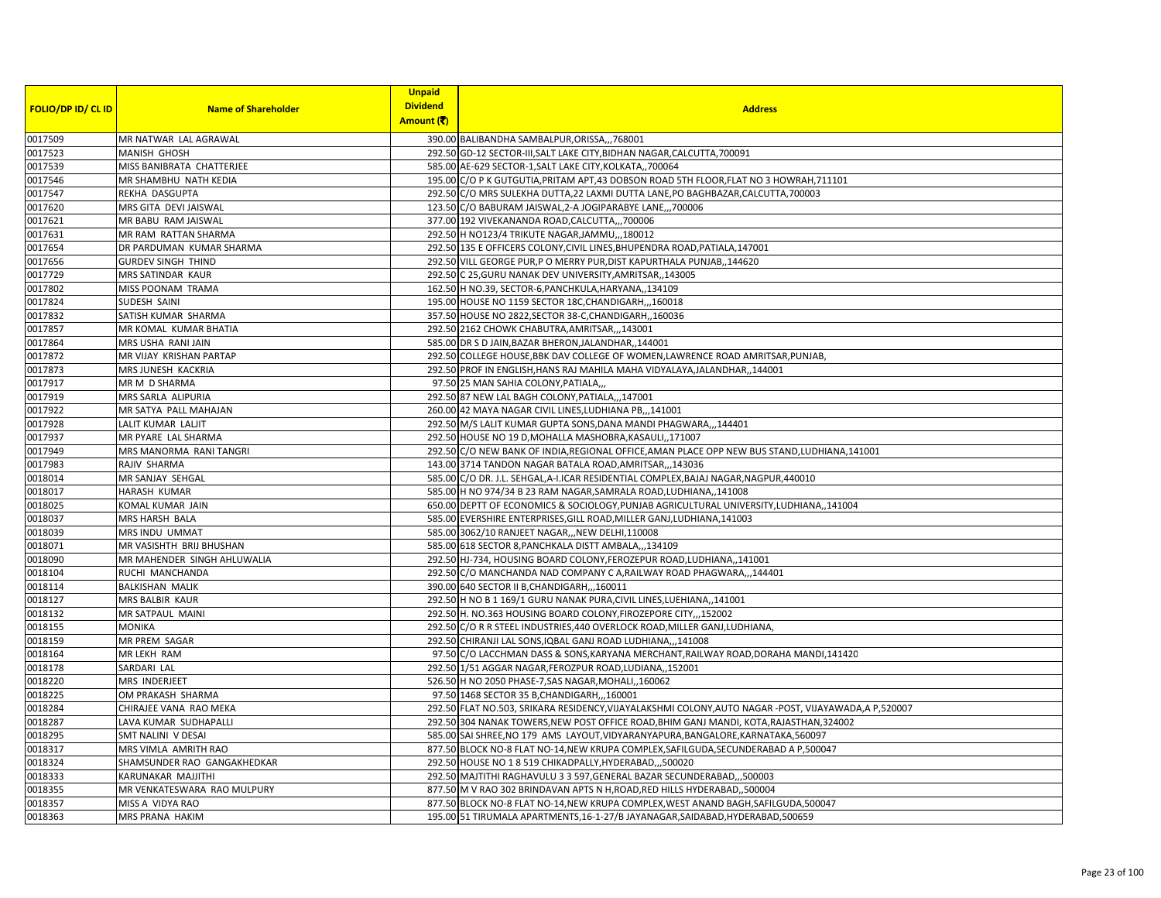|                           |                             | <b>Unpaid</b>   |                                                                                                       |
|---------------------------|-----------------------------|-----------------|-------------------------------------------------------------------------------------------------------|
| <b>FOLIO/DP ID/ CL ID</b> | <b>Name of Shareholder</b>  | <b>Dividend</b> | <b>Address</b>                                                                                        |
|                           |                             | Amount (そ)      |                                                                                                       |
| 0017509                   | MR NATWAR LAL AGRAWAL       |                 | 390.00 BALIBANDHA SAMBALPUR, ORISSA, ,, 768001                                                        |
| 0017523                   | MANISH GHOSH                |                 | 292.50 GD-12 SECTOR-III, SALT LAKE CITY, BIDHAN NAGAR, CALCUTTA, 700091                               |
| 0017539                   | MISS BANIBRATA CHATTERJEE   |                 | 585.00 AE-629 SECTOR-1, SALT LAKE CITY, KOLKATA,, 700064                                              |
| 0017546                   | MR SHAMBHU NATH KEDIA       |                 | 195.00 C/O P K GUTGUTIA, PRITAM APT, 43 DOBSON ROAD 5TH FLOOR, FLAT NO 3 HOWRAH, 711101               |
| 0017547                   | REKHA DASGUPTA              |                 | 292.50 C/O MRS SULEKHA DUTTA, 22 LAXMI DUTTA LANE, PO BAGHBAZAR, CALCUTTA, 700003                     |
| 0017620                   | MRS GITA DEVI JAISWAL       |                 | 123.50 C/O BABURAM JAISWAL, 2-A JOGIPARABYE LANE,,,700006                                             |
| 0017621                   | MR BABU RAM JAISWAL         |                 | 377.00 192 VIVEKANANDA ROAD, CALCUTTA,,, 700006                                                       |
| 0017631                   | MR RAM RATTAN SHARMA        |                 | 292.50 H NO123/4 TRIKUTE NAGAR, JAMMU,, 180012                                                        |
| 0017654                   | DR PARDUMAN KUMAR SHARMA    |                 | 292.50 135 E OFFICERS COLONY, CIVIL LINES, BHUPENDRA ROAD, PATIALA, 147001                            |
| 0017656                   | <b>GURDEV SINGH THIND</b>   |                 | 292.50 VILL GEORGE PUR, P O MERRY PUR, DIST KAPURTHALA PUNJAB,, 144620                                |
| 0017729                   | MRS SATINDAR KAUR           |                 | 292.50 C 25, GURU NANAK DEV UNIVERSITY, AMRITSAR, , 143005                                            |
| 0017802                   | MISS POONAM TRAMA           |                 | 162.50 H NO.39, SECTOR-6, PANCHKULA, HARYANA,, 134109                                                 |
| 0017824                   | SUDESH SAINI                |                 | 195.00 HOUSE NO 1159 SECTOR 18C, CHANDIGARH,,,160018                                                  |
| 0017832                   | SATISH KUMAR SHARMA         |                 | 357.50 HOUSE NO 2822, SECTOR 38-C, CHANDIGARH, 160036                                                 |
| 0017857                   | MR KOMAL KUMAR BHATIA       |                 | 292.50 2162 CHOWK CHABUTRA, AMRITSAR, ,, 143001                                                       |
| 0017864                   | MRS USHA RANI JAIN          |                 | 585.00 DR S D JAIN, BAZAR BHERON, JALANDHAR, 144001                                                   |
| 0017872                   | MR VIJAY KRISHAN PARTAP     |                 | 292.50 COLLEGE HOUSE, BBK DAV COLLEGE OF WOMEN, LAWRENCE ROAD AMRITSAR, PUNJAB,                       |
| 0017873                   | MRS JUNESH KACKRIA          |                 | 292.50 PROF IN ENGLISH, HANS RAJ MAHILA MAHA VIDYALAYA, JALANDHAR,, 144001                            |
| 0017917                   | MR M D SHARMA               |                 | 97.50 25 MAN SAHIA COLONY, PATIALA,                                                                   |
| 0017919                   | <b>MRS SARLA ALIPURIA</b>   |                 | 292.50 87 NEW LAL BAGH COLONY, PATIALA,,,147001                                                       |
| 0017922                   | MR SATYA PALL MAHAJAN       |                 | 260.00 42 MAYA NAGAR CIVIL LINES, LUDHIANA PB,,,141001                                                |
| 0017928                   | LALIT KUMAR LALJIT          |                 | 292.50 M/S LALIT KUMAR GUPTA SONS, DANA MANDI PHAGWARA,,,144401                                       |
| 0017937                   | MR PYARE LAL SHARMA         |                 | 292.50 HOUSE NO 19 D, MOHALLA MASHOBRA, KASAULI, , 171007                                             |
| 0017949                   | MRS MANORMA RANI TANGRI     |                 | 292.50 C/O NEW BANK OF INDIA, REGIONAL OFFICE, AMAN PLACE OPP NEW BUS STAND, LUDHIANA, 141001         |
| 0017983                   | RAJIV SHARMA                |                 | 143.00 3714 TANDON NAGAR BATALA ROAD, AMRITSAR,,, 143036                                              |
| 0018014                   | MR SANJAY SEHGAL            |                 | 585.00 C/O DR. J.L. SEHGAL, A-I.ICAR RESIDENTIAL COMPLEX, BAJAJ NAGAR, NAGPUR, 440010                 |
| 0018017                   | <b>HARASH KUMAR</b>         |                 | 585.00 H NO 974/34 B 23 RAM NAGAR, SAMRALA ROAD, LUDHIANA,, 141008                                    |
| 0018025                   | KOMAL KUMAR JAIN            |                 | 650.00 DEPTT OF ECONOMICS & SOCIOLOGY, PUNJAB AGRICULTURAL UNIVERSITY, LUDHIANA,, 141004              |
| 0018037                   | MRS HARSH BALA              |                 | 585.00 EVERSHIRE ENTERPRISES, GILL ROAD, MILLER GANJ, LUDHIANA, 141003                                |
| 0018039                   | MRS INDU UMMAT              |                 | 585.00 3062/10 RANJEET NAGAR,,,NEW DELHI,110008                                                       |
| 0018071                   | MR VASISHTH BRIJ BHUSHAN    |                 | 585.00 618 SECTOR 8, PANCHKALA DISTT AMBALA,,,134109                                                  |
| 0018090                   | MR MAHENDER SINGH AHLUWALIA |                 | 292.50 HJ-734, HOUSING BOARD COLONY, FEROZEPUR ROAD, LUDHIANA, 141001                                 |
| 0018104                   | RUCHI MANCHANDA             |                 | 292.50 C/O MANCHANDA NAD COMPANY C A, RAILWAY ROAD PHAGWARA,,,144401                                  |
| 0018114                   | <b>BALKISHAN MALIK</b>      |                 | 390.00 640 SECTOR II B, CHANDIGARH,, 160011                                                           |
| 0018127                   | MRS BALBIR KAUR             |                 | 292.50 H NO B 1 169/1 GURU NANAK PURA, CIVIL LINES, LUEHIANA, 141001                                  |
| 0018132                   | MR SATPAUL MAINI            |                 | 292.50 H. NO.363 HOUSING BOARD COLONY, FIROZEPORE CITY,, 152002                                       |
| 0018155                   | <b>MONIKA</b>               |                 | 292.50 C/O R R STEEL INDUSTRIES, 440 OVERLOCK ROAD, MILLER GANJ, LUDHIANA,                            |
| 0018159                   | MR PREM SAGAR               |                 | 292.50 CHIRANJI LAL SONS, IQBAL GANJ ROAD LUDHIANA,,,141008                                           |
| 0018164                   | MR LEKH RAM                 |                 | 97.50 C/O LACCHMAN DASS & SONS, KARYANA MERCHANT, RAILWAY ROAD, DORAHA MANDI, 141420                  |
| 0018178                   | SARDARI LAL                 |                 | 292.50 1/51 AGGAR NAGAR, FEROZPUR ROAD, LUDIANA, , 152001                                             |
| 0018220                   | MRS INDERJEET               |                 | 526.50 H NO 2050 PHASE-7, SAS NAGAR, MOHALI, 160062                                                   |
| 0018225                   | OM PRAKASH SHARMA           |                 | 97.50 1468 SECTOR 35 B, CHANDIGARH,, 160001                                                           |
| 0018284                   | CHIRAJEE VANA RAO MEKA      |                 | 292.50 FLAT NO.503, SRIKARA RESIDENCY, VIJAYALAKSHMI COLONY, AUTO NAGAR -POST, VIJAYAWADA, A P,520007 |
| 0018287                   | LAVA KUMAR SUDHAPALLI       |                 | 292.50 304 NANAK TOWERS, NEW POST OFFICE ROAD, BHIM GANJ MANDI, KOTA, RAJASTHAN, 324002               |
| 0018295                   | SMT NALINI V DESAI          |                 | 585.00 SAI SHREE, NO 179 AMS LAYOUT, VIDYARANYAPURA, BANGALORE, KARNATAKA, 560097                     |
| 0018317                   | MRS VIMLA AMRITH RAO        |                 | 877.50 BLOCK NO-8 FLAT NO-14, NEW KRUPA COMPLEX, SAFILGUDA, SECUNDERABAD A P, 500047                  |
| 0018324                   | SHAMSUNDER RAO GANGAKHEDKAR |                 | 292.50 HOUSE NO 1 8 519 CHIKADPALLY, HYDERABAD,,,500020                                               |
| 0018333                   | KARUNAKAR MAJJITHI          |                 | 292.50 MAJTITHI RAGHAVULU 3 3 597, GENERAL BAZAR SECUNDERABAD,,,500003                                |
| 0018355                   | MR VENKATESWARA RAO MULPURY |                 | 877.50 M V RAO 302 BRINDAVAN APTS N H, ROAD, RED HILLS HYDERABAD,, 500004                             |
| 0018357                   | MISS A VIDYA RAO            |                 | 877.50 BLOCK NO-8 FLAT NO-14, NEW KRUPA COMPLEX, WEST ANAND BAGH, SAFILGUDA, 500047                   |
| 0018363                   | MRS PRANA HAKIM             |                 | 195.00 51 TIRUMALA APARTMENTS, 16-1-27/B JAYANAGAR, SAIDABAD, HYDERABAD, 500659                       |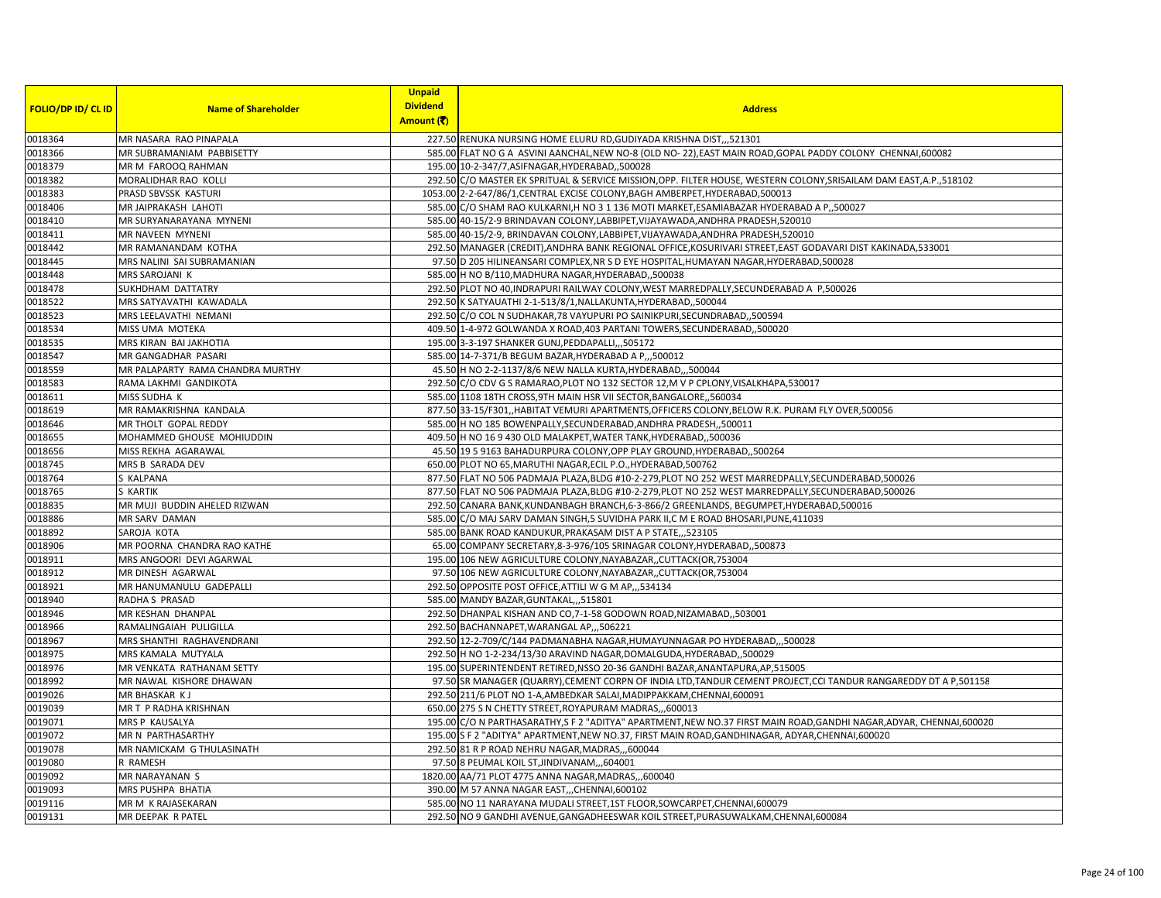|                           |                                              | <b>Unpaid</b>                 |                                                                                                                                                                                                  |
|---------------------------|----------------------------------------------|-------------------------------|--------------------------------------------------------------------------------------------------------------------------------------------------------------------------------------------------|
| <b>FOLIO/DP ID/ CL ID</b> | <b>Name of Shareholder</b>                   | <b>Dividend</b><br>Amount (そ) | <b>Address</b>                                                                                                                                                                                   |
| 0018364                   | MR NASARA RAO PINAPALA                       |                               | 227.50 RENUKA NURSING HOME ELURU RD, GUDIYADA KRISHNA DIST,,, 521301                                                                                                                             |
| 0018366                   | MR SUBRAMANIAM PABBISETTY                    |                               | 585.00 FLAT NO G A ASVINI AANCHAL, NEW NO-8 (OLD NO-22), EAST MAIN ROAD, GOPAL PADDY COLONY CHENNAI, 600082                                                                                      |
| 0018379                   | MR M FAROOQ RAHMAN                           |                               | 195.00 10-2-347/7, ASIFNAGAR, HYDERABAD, ,500028                                                                                                                                                 |
| 0018382                   |                                              |                               |                                                                                                                                                                                                  |
|                           | MORALIDHAR RAO KOLLI                         |                               | 292.50 C/O MASTER EK SPRITUAL & SERVICE MISSION, OPP. FILTER HOUSE, WESTERN COLONY, SRISAILAM DAM EAST, A.P., 518102                                                                             |
| 0018383<br>0018406        | PRASD SBVSSK KASTURI<br>MR JAIPRAKASH LAHOTI |                               | 1053.00 2-2-647/86/1, CENTRAL EXCISE COLONY, BAGH AMBERPET, HYDERABAD, 500013<br>585.00 C/O SHAM RAO KULKARNI, H NO 3 1 136 MOTI MARKET, ESAMIABAZAR HYDERABAD A P,,500027                       |
| 0018410                   |                                              |                               | 585.00 40-15/2-9 BRINDAVAN COLONY,LABBIPET,VIJAYAWADA,ANDHRA PRADESH,520010                                                                                                                      |
|                           | MR SURYANARAYANA MYNENI                      |                               | 585.00 40-15/2-9, BRINDAVAN COLONY, LABBIPET, VIJAYAWADA, ANDHRA PRADESH, 520010                                                                                                                 |
| 0018411<br>0018442        | MR NAVEEN MYNENI<br>MR RAMANANDAM KOTHA      |                               | 292.50 MANAGER (CREDIT), ANDHRA BANK REGIONAL OFFICE, KOSURIVARI STREET, EAST GODAVARI DIST KAKINADA, 533001                                                                                     |
| 0018445                   | MRS NALINI SAI SUBRAMANIAN                   |                               | 97.50 D 205 HILINEANSARI COMPLEX, NR S D EYE HOSPITAL, HUMAYAN NAGAR, HYDERABAD, 500028                                                                                                          |
| 0018448                   | MRS SAROJANI K                               |                               | 585.00 H NO B/110, MADHURA NAGAR, HYDERABAD, ,500038                                                                                                                                             |
| 0018478                   | SUKHDHAM DATTATRY                            |                               |                                                                                                                                                                                                  |
| 0018522                   | MRS SATYAVATHI KAWADALA                      |                               | 292.50 PLOT NO 40, INDRAPURI RAILWAY COLONY, WEST MARREDPALLY, SECUNDERABAD A P,500026<br>292.50 K SATYAUATHI 2-1-513/8/1, NALLAKUNTA, HYDERABAD, ,500044                                        |
| 0018523                   | MRS LEELAVATHI NEMANI                        |                               | 292.50 C/O COL N SUDHAKAR, 78 VAYUPURI PO SAINIKPURI, SECUNDRABAD, ,500594                                                                                                                       |
| 0018534                   | MISS UMA MOTEKA                              |                               | 409.50 1-4-972 GOLWANDA X ROAD, 403 PARTANI TOWERS, SECUNDERABAD, ,500020                                                                                                                        |
|                           | MRS KIRAN BAI JAKHOTIA                       |                               | 195.00 3-3-197 SHANKER GUNJ, PEDDAPALLI, ,505172                                                                                                                                                 |
| 0018535<br>0018547        | MR GANGADHAR PASARI                          |                               | 585.00 14-7-371/B BEGUM BAZAR, HYDERABAD A P., 500012                                                                                                                                            |
| 0018559                   | MR PALAPARTY RAMA CHANDRA MURTHY             |                               | 45.50 H NO 2-2-1137/8/6 NEW NALLA KURTA, HYDERABAD,,,500044                                                                                                                                      |
|                           |                                              |                               |                                                                                                                                                                                                  |
| 0018583<br>0018611        | RAMA LAKHMI GANDIKOTA<br>MISS SUDHA K        |                               | 292.50 C/O CDV G S RAMARAO, PLOT NO 132 SECTOR 12, M V P CPLONY, VISALKHAPA, 530017                                                                                                              |
| 0018619                   | MR RAMAKRISHNA KANDALA                       |                               | 585.00 1108 18TH CROSS, 9TH MAIN HSR VII SECTOR, BANGALORE, 560034<br>877.50 33-15/F301, HABITAT VEMURI APARTMENTS, OFFICERS COLONY, BELOW R.K. PURAM FLY OVER, 500056                           |
| 0018646                   | MR THOLT GOPAL REDDY                         |                               | 585.00 H NO 185 BOWENPALLY, SECUNDERABAD, ANDHRA PRADESH, 500011                                                                                                                                 |
| 0018655                   | MOHAMMED GHOUSE MOHIUDDIN                    |                               |                                                                                                                                                                                                  |
| 0018656                   | MISS REKHA AGARAWAL                          |                               | 409.50 H NO 16 9 430 OLD MALAKPET, WATER TANK, HYDERABAD,, 500036<br>45.50 19 5 9163 BAHADURPURA COLONY, OPP PLAY GROUND, HYDERABAD,, 500264                                                     |
|                           |                                              |                               |                                                                                                                                                                                                  |
| 0018745<br>0018764        | MRS B SARADA DEV<br>S KALPANA                |                               | 650.00 PLOT NO 65, MARUTHI NAGAR, ECIL P.O., HYDERABAD, 500762                                                                                                                                   |
|                           | <b>S KARTIK</b>                              |                               | 877.50 FLAT NO 506 PADMAJA PLAZA,BLDG #10-2-279,PLOT NO 252 WEST MARREDPALLY,SECUNDERABAD,500026                                                                                                 |
| 0018765<br>0018835        | MR MUJI BUDDIN AHELED RIZWAN                 |                               | 877.50 FLAT NO 506 PADMAJA PLAZA, BLDG #10-2-279, PLOT NO 252 WEST MARREDPALLY, SECUNDERABAD, 500026<br>292.50 CANARA BANK, KUNDANBAGH BRANCH, 6-3-866/2 GREENLANDS, BEGUMPET, HYDERABAD, 500016 |
| 0018886                   | MR SARV DAMAN                                |                               | 585.00 C/O MAJ SARV DAMAN SINGH,5 SUVIDHA PARK II,C M E ROAD BHOSARI, PUNE, 411039                                                                                                               |
| 0018892                   | SAROJA KOTA                                  |                               | 585.00 BANK ROAD KANDUKUR, PRAKASAM DIST A P STATE, ,,523105                                                                                                                                     |
| 0018906                   | MR POORNA CHANDRA RAO KATHE                  |                               | 65.00 COMPANY SECRETARY, 8-3-976/105 SRINAGAR COLONY, HYDERABAD, ,500873                                                                                                                         |
| 0018911                   | MRS ANGOORI DEVI AGARWAL                     |                               | 195.00 106 NEW AGRICULTURE COLONY, NAYABAZAR, , CUTTACK (OR, 753004                                                                                                                              |
| 0018912                   | MR DINESH AGARWAL                            |                               | 97.50 106 NEW AGRICULTURE COLONY, NAYABAZAR, , CUTTACK (OR, 753004                                                                                                                               |
| 0018921                   | MR HANUMANULU GADEPALLI                      |                               | 292.50 OPPOSITE POST OFFICE, ATTILI W G M AP,,,534134                                                                                                                                            |
| 0018940                   | RADHA S PRASAD                               |                               | 585.00 MANDY BAZAR, GUNTAKAL,,, 515801                                                                                                                                                           |
| 0018946                   | MR KESHAN DHANPAL                            |                               | 292.50 DHANPAL KISHAN AND CO, 7-1-58 GODOWN ROAD, NIZAMABAD, ,503001                                                                                                                             |
| 0018966                   | RAMALINGAIAH PULIGILLA                       |                               | 292.50 BACHANNAPET, WARANGAL AP,,,506221                                                                                                                                                         |
| 0018967                   | MRS SHANTHI RAGHAVENDRANI                    |                               | 292.50 12-2-709/C/144 PADMANABHA NAGAR, HUMAYUNNAGAR PO HYDERABAD,, 500028                                                                                                                       |
| 0018975                   | MRS KAMALA MUTYALA                           |                               | 292.50 H NO 1-2-234/13/30 ARAVIND NAGAR, DOMALGUDA, HYDERABAD, ,500029                                                                                                                           |
| 0018976                   | MR VENKATA RATHANAM SETTY                    |                               | 195.00 SUPERINTENDENT RETIRED, NSSO 20-36 GANDHI BAZAR, ANANTAPURA, AP, 515005                                                                                                                   |
| 0018992                   | MR NAWAL KISHORE DHAWAN                      |                               | 97.50 SR MANAGER (QUARRY), CEMENT CORPN OF INDIA LTD, TANDUR CEMENT PROJECT, CCI TANDUR RANGAREDDY DT A P,501158                                                                                 |
| 0019026                   | MR BHASKAR KJ                                |                               | 292.50 211/6 PLOT NO 1-A, AMBEDKAR SALAI, MADIPPAKKAM, CHENNAI, 600091                                                                                                                           |
| 0019039                   | MR T P RADHA KRISHNAN                        |                               | 650.00 275 S N CHETTY STREET, ROYAPURAM MADRAS,,,600013                                                                                                                                          |
| 0019071                   | MRS P KAUSALYA                               |                               | 195.00 C/O N PARTHASARATHY, S F 2 "ADITYA" APARTMENT, NEW NO.37 FIRST MAIN ROAD, GANDHI NAGAR, ADYAR, CHENNAI, 600020                                                                            |
| 0019072                   | MR N PARTHASARTHY                            |                               | 195.00 S F 2 "ADITYA" APARTMENT, NEW NO.37, FIRST MAIN ROAD, GANDHINAGAR, ADYAR, CHENNAI, 600020                                                                                                 |
| 0019078                   | MR NAMICKAM G THULASINATH                    |                               | 292.50 81 R P ROAD NEHRU NAGAR, MADRAS, ., 600044                                                                                                                                                |
| 0019080                   | R RAMESH                                     |                               | 97.50 8 PEUMAL KOIL ST, JINDIVANAM, ,,604001                                                                                                                                                     |
| 0019092                   | MR NARAYANAN S                               |                               | 1820.00 AA/71 PLOT 4775 ANNA NAGAR, MADRAS,,,600040                                                                                                                                              |
| 0019093                   | MRS PUSHPA BHATIA                            |                               | 390.00 M 57 ANNA NAGAR EAST, ,CHENNAI, 600102                                                                                                                                                    |
| 0019116                   | MR M K RAJASEKARAN                           |                               | 585.00 NO 11 NARAYANA MUDALI STREET, 1ST FLOOR, SOWCARPET, CHENNAI, 600079                                                                                                                       |
| 0019131                   | MR DEEPAK R PATEL                            |                               | 292.50 NO 9 GANDHI AVENUE, GANGADHEESWAR KOIL STREET, PURASUWALKAM, CHENNAI, 600084                                                                                                              |
|                           |                                              |                               |                                                                                                                                                                                                  |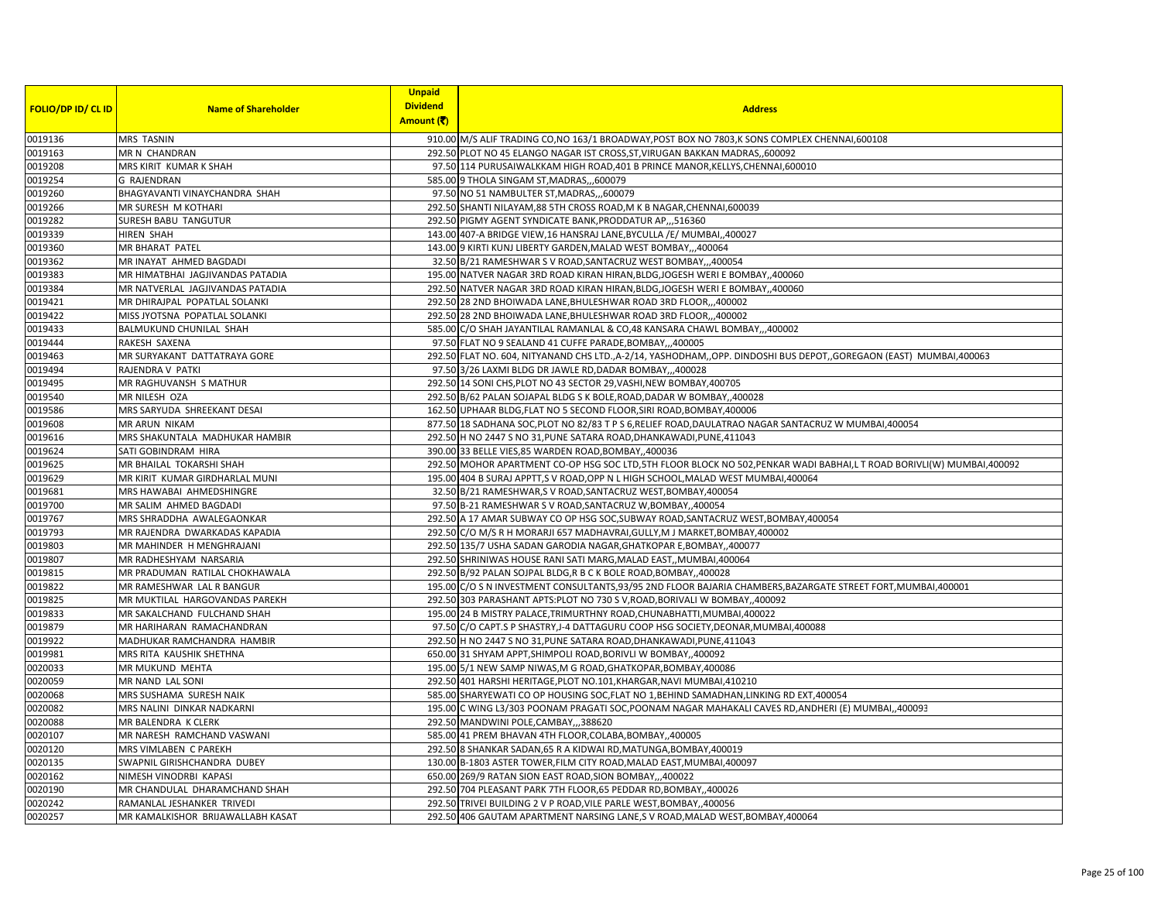|                           |                                   | <b>Unpaid</b>                 |                                                                                                                       |
|---------------------------|-----------------------------------|-------------------------------|-----------------------------------------------------------------------------------------------------------------------|
| <b>FOLIO/DP ID/ CL ID</b> | <b>Name of Shareholder</b>        | <b>Dividend</b><br>Amount (そ) | <b>Address</b>                                                                                                        |
| 0019136                   | MRS TASNIN                        |                               | 910.00 M/S ALIF TRADING CO, NO 163/1 BROADWAY, POST BOX NO 7803, K SONS COMPLEX CHENNAI, 600108                       |
| 0019163                   | MR N CHANDRAN                     |                               | 292.50 PLOT NO 45 ELANGO NAGAR IST CROSS, ST, VIRUGAN BAKKAN MADRAS, 600092                                           |
| 0019208                   | MRS KIRIT KUMAR K SHAH            |                               | 97.50 114 PURUSAIWALKKAM HIGH ROAD, 401 B PRINCE MANOR, KELLYS, CHENNAI, 600010                                       |
| 0019254                   | <b>G RAJENDRAN</b>                |                               | 585.00 9 THOLA SINGAM ST, MADRAS, ,,600079                                                                            |
| 0019260                   | BHAGYAVANTI VINAYCHANDRA SHAH     |                               | 97.50 NO 51 NAMBULTER ST, MADRAS,  600079                                                                             |
| 0019266                   | MR SURESH M KOTHARI               |                               | 292.50 SHANTI NILAYAM, 88 5TH CROSS ROAD, M K B NAGAR, CHENNAI, 600039                                                |
| 0019282                   | SURESH BABU TANGUTUR              |                               | 292.50 PIGMY AGENT SYNDICATE BANK, PRODDATUR AP,,,516360                                                              |
| 0019339                   | <b>HIREN SHAH</b>                 |                               | 143.00 407-A BRIDGE VIEW, 16 HANSRAJ LANE, BYCULLA /E/ MUMBAI, 400027                                                 |
| 0019360                   | MR BHARAT PATEL                   |                               | 143.00 9 KIRTI KUNJ LIBERTY GARDEN, MALAD WEST BOMBAY,,,400064                                                        |
| 0019362                   | MR INAYAT AHMED BAGDADI           |                               | 32.50 B/21 RAMESHWAR S V ROAD, SANTACRUZ WEST BOMBAY,, 400054                                                         |
| 0019383                   | MR HIMATBHAI JAGJIVANDAS PATADIA  |                               | 195.00 NATVER NAGAR 3RD ROAD KIRAN HIRAN, BLDG, JOGESH WERI E BOMBAY, 400060                                          |
| 0019384                   | MR NATVERLAL JAGJIVANDAS PATADIA  |                               | 292.50 NATVER NAGAR 3RD ROAD KIRAN HIRAN, BLDG, JOGESH WERI E BOMBAY, 400060                                          |
| 0019421                   | MR DHIRAJPAL POPATLAL SOLANKI     |                               | 292.50 28 2ND BHOIWADA LANE, BHULESHWAR ROAD 3RD FLOOR,,,400002                                                       |
| 0019422                   | MISS JYOTSNA POPATLAL SOLANKI     |                               | 292.50 28 2ND BHOIWADA LANE, BHULESHWAR ROAD 3RD FLOOR,,,400002                                                       |
| 0019433                   | BALMUKUND CHUNILAL SHAH           |                               | 585.00 C/O SHAH JAYANTILAL RAMANLAL & CO,48 KANSARA CHAWL BOMBAY,,,400002                                             |
| 0019444                   | RAKESH SAXENA                     |                               | 97.50 FLAT NO 9 SEALAND 41 CUFFE PARADE, BOMBAY,,,400005                                                              |
| 0019463                   | MR SURYAKANT DATTATRAYA GORE      |                               | 292.50 FLAT NO. 604, NITYANAND CHS LTD., A-2/14, YASHODHAM,, OPP. DINDOSHI BUS DEPOT,, GOREGAON (EAST) MUMBAI, 400063 |
| 0019494                   | RAJENDRA V PATKI                  |                               | 97.50 3/26 LAXMI BLDG DR JAWLE RD, DADAR BOMBAY,, 400028                                                              |
| 0019495                   | MR RAGHUVANSH S MATHUR            |                               | 292.50 14 SONI CHS, PLOT NO 43 SECTOR 29, VASHI, NEW BOMBAY, 400705                                                   |
| 0019540                   | MR NILESH OZA                     |                               | 292.50 B/62 PALAN SOJAPAL BLDG S K BOLE, ROAD, DADAR W BOMBAY, 400028                                                 |
| 0019586                   | MRS SARYUDA SHREEKANT DESAI       |                               | 162.50 UPHAAR BLDG, FLAT NO 5 SECOND FLOOR, SIRI ROAD, BOMBAY, 400006                                                 |
| 0019608                   | <b>MR ARUN NIKAM</b>              |                               | 877.50 18 SADHANA SOC, PLOT NO 82/83 T P S 6, RELIEF ROAD, DAULATRAO NAGAR SANTACRUZ W MUMBAI, 400054                 |
| 0019616                   | MRS SHAKUNTALA MADHUKAR HAMBIR    |                               | 292.50 H NO 2447 S NO 31, PUNE SATARA ROAD, DHANKAWADI, PUNE, 411043                                                  |
| 0019624                   | SATI GOBINDRAM HIRA               |                               | 390.00 33 BELLE VIES, 85 WARDEN ROAD, BOMBAY, ,400036                                                                 |
| 0019625                   | MR BHAILAL TOKARSHI SHAH          |                               | 292.50 MOHOR APARTMENT CO-OP HSG SOC LTD,5TH FLOOR BLOCK NO 502,PENKAR WADI BABHAI,L T ROAD BORIVLI(W) MUMBAI,400092  |
| 0019629                   | MR KIRIT KUMAR GIRDHARLAL MUNI    |                               | 195.00 404 B SURAJ APPTT, S V ROAD, OPP N L HIGH SCHOOL, MALAD WEST MUMBAI, 400064                                    |
| 0019681                   | MRS HAWABAI AHMEDSHINGRE          |                               | 32.50 B/21 RAMESHWAR,S V ROAD, SANTACRUZ WEST, BOMBAY, 400054                                                         |
| 0019700                   | MR SALIM AHMED BAGDADI            |                               | 97.50 B-21 RAMESHWAR S V ROAD, SANTACRUZ W, BOMBAY, 400054                                                            |
| 0019767                   | MRS SHRADDHA AWALEGAONKAR         |                               | 292.50 A 17 AMAR SUBWAY CO OP HSG SOC, SUBWAY ROAD, SANTACRUZ WEST, BOMBAY, 400054                                    |
| 0019793                   | MR RAJENDRA DWARKADAS KAPADIA     |                               | 292.50 C/O M/S R H MORARJI 657 MADHAVRAI, GULLY, M J MARKET, BOMBAY, 400002                                           |
| 0019803                   | MR MAHINDER H MENGHRAJANI         |                               | 292.50 135/7 USHA SADAN GARODIA NAGAR, GHATKOPAR E, BOMBAY, ,400077                                                   |
| 0019807                   | MR RADHESHYAM NARSARIA            |                               | 292.50 SHRINIWAS HOUSE RANI SATI MARG, MALAD EAST,, MUMBAI, 400064                                                    |
| 0019815                   | MR PRADUMAN RATILAL CHOKHAWALA    |                               | 292.50 B/92 PALAN SOJPAL BLDG,R B C K BOLE ROAD,BOMBAY,,400028                                                        |
| 0019822                   | MR RAMESHWAR LAL R BANGUR         |                               | 195.00 C/O S N INVESTMENT CONSULTANTS, 93/95 2ND FLOOR BAJARIA CHAMBERS, BAZARGATE STREET FORT, MUMBAI, 400001        |
| 0019825                   | MR MUKTILAL HARGOVANDAS PAREKH    |                               | 292.50 303 PARASHANT APTS:PLOT NO 730 S V, ROAD, BORIVALI W BOMBAY, 400092                                            |
| 0019833                   | MR SAKALCHAND FULCHAND SHAH       |                               | 195.00 24 B MISTRY PALACE, TRIMURTHNY ROAD, CHUNABHATTI, MUMBAI, 400022                                               |
| 0019879                   | MR HARIHARAN RAMACHANDRAN         |                               | 97.50 C/O CAPT.S P SHASTRY, J-4 DATTAGURU COOP HSG SOCIETY, DEONAR, MUMBAI, 400088                                    |
| 0019922                   | MADHUKAR RAMCHANDRA HAMBIR        |                               | 292.50 H NO 2447 S NO 31, PUNE SATARA ROAD, DHANKAWADI, PUNE, 411043                                                  |
| 0019981                   | MRS RITA KAUSHIK SHETHNA          |                               | 650.00 31 SHYAM APPT, SHIMPOLI ROAD, BORIVLI W BOMBAY, 400092                                                         |
| 0020033                   | MR MUKUND MEHTA                   |                               | 195.00 5/1 NEW SAMP NIWAS, M G ROAD, GHATKOPAR, BOMBAY, 400086                                                        |
| 0020059                   | MR NAND LAL SONI                  |                               | 292.50 401 HARSHI HERITAGE, PLOT NO.101, KHARGAR, NAVI MUMBAI, 410210                                                 |
| 0020068                   | MRS SUSHAMA SURESH NAIK           |                               | 585.00 SHARYEWATI CO OP HOUSING SOC, FLAT NO 1, BEHIND SAMADHAN, LINKING RD EXT, 400054                               |
| 0020082                   | MRS NALINI DINKAR NADKARNI        |                               | 195.00 C WING L3/303 POONAM PRAGATI SOC, POONAM NAGAR MAHAKALI CAVES RD, ANDHERI (E) MUMBAI, ,400093                  |
| 0020088                   | MR BALENDRA K CLERK               |                               | 292.50 MANDWINI POLE, CAMBAY, ,,388620                                                                                |
| 0020107                   | MR NARESH RAMCHAND VASWANI        |                               | 585.00 41 PREM BHAVAN 4TH FLOOR, COLABA, BOMBAY, ,400005                                                              |
| 0020120                   | MRS VIMLABEN C PAREKH             |                               | 292.50 8 SHANKAR SADAN, 65 R A KIDWAI RD, MATUNGA, BOMBAY, 400019                                                     |
| 0020135                   | SWAPNIL GIRISHCHANDRA DUBEY       |                               | 130.00 B-1803 ASTER TOWER, FILM CITY ROAD, MALAD EAST, MUMBAI, 400097                                                 |
| 0020162                   | NIMESH VINODRBI KAPASI            |                               | 650.00 269/9 RATAN SION EAST ROAD, SION BOMBAY,,,400022                                                               |
| 0020190                   | MR CHANDULAL DHARAMCHAND SHAH     |                               | 292.50 704 PLEASANT PARK 7TH FLOOR, 65 PEDDAR RD, BOMBAY, 400026                                                      |
| 0020242                   | RAMANLAL JESHANKER TRIVEDI        |                               | 292.50 TRIVEI BUILDING 2 V P ROAD, VILE PARLE WEST, BOMBAY, 400056                                                    |
| 0020257                   | MR KAMALKISHOR BRIJAWALLABH KASAT |                               | 292.50 406 GAUTAM APARTMENT NARSING LANE,S V ROAD, MALAD WEST, BOMBAY, 400064                                         |
|                           |                                   |                               |                                                                                                                       |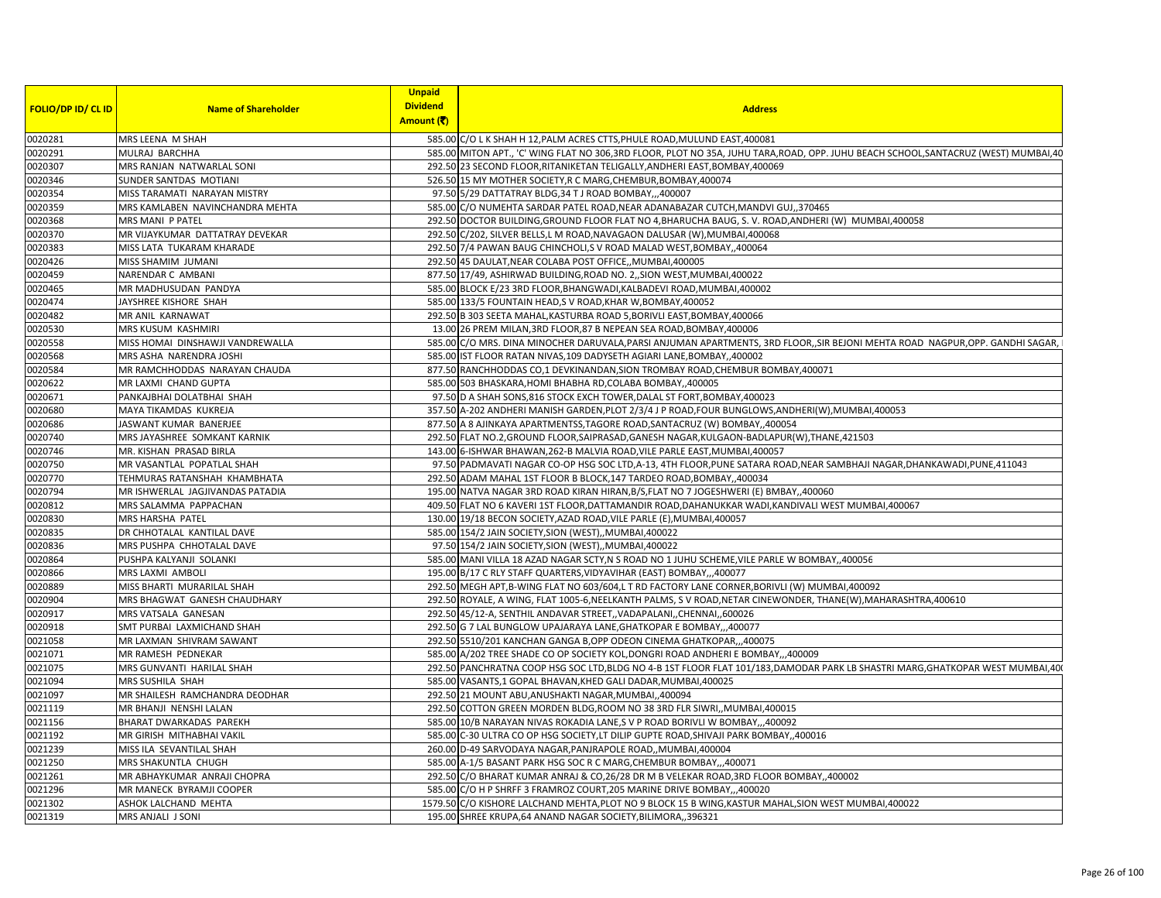|                           |                                                             | <b>Unpaid</b>   |                                                                                                                                      |
|---------------------------|-------------------------------------------------------------|-----------------|--------------------------------------------------------------------------------------------------------------------------------------|
| <b>FOLIO/DP ID/ CL ID</b> | <b>Name of Shareholder</b>                                  | <b>Dividend</b> | <b>Address</b>                                                                                                                       |
|                           |                                                             | Amount (₹)      |                                                                                                                                      |
| 0020281                   | MRS LEENA M SHAH                                            |                 | 585.00 C/O L K SHAH H 12, PALM ACRES CTTS, PHULE ROAD, MULUND EAST, 400081                                                           |
| 0020291                   | MULRAJ BARCHHA                                              |                 | 585.00 MITON APT., 'C' WING FLAT NO 306,3RD FLOOR, PLOT NO 35A, JUHU TARA, ROAD, OPP. JUHU BEACH SCHOOL, SANTACRUZ (WEST) MUMBAI, 40 |
| 0020307                   | MRS RANJAN NATWARLAL SONI                                   |                 | 292.50 23 SECOND FLOOR, RITANIKETAN TELIGALLY, ANDHERI EAST, BOMBAY, 400069                                                          |
| 0020346                   | SUNDER SANTDAS MOTIANI                                      |                 | 526.50 15 MY MOTHER SOCIETY, R C MARG, CHEMBUR, BOMBAY, 400074                                                                       |
| 0020354                   | MISS TARAMATI NARAYAN MISTRY                                |                 | 97.50 5/29 DATTATRAY BLDG, 34 T J ROAD BOMBAY,,,400007                                                                               |
| 0020359                   | MRS KAMLABEN NAVINCHANDRA MEHTA                             |                 | 585.00 C/O NUMEHTA SARDAR PATEL ROAD, NEAR ADANABAZAR CUTCH, MANDVI GUJ,, 370465                                                     |
| 0020368                   | MRS MANI P PATEL                                            |                 | 292.50 DOCTOR BUILDING, GROUND FLOOR FLAT NO 4, BHARUCHA BAUG, S. V. ROAD, ANDHERI (W) MUMBAI, 400058                                |
| 0020370                   | MR VIJAYKUMAR DATTATRAY DEVEKAR                             |                 | 292.50 C/202, SILVER BELLS,L M ROAD, NAVAGAON DALUSAR (W), MUMBAI, 400068                                                            |
| 0020383                   | MISS LATA TUKARAM KHARADE                                   |                 | 292.50 7/4 PAWAN BAUG CHINCHOLI, S V ROAD MALAD WEST, BOMBAY, 400064                                                                 |
| 0020426                   | MISS SHAMIM JUMANI                                          |                 | 292.50 45 DAULAT, NEAR COLABA POST OFFICE,, MUMBAI, 400005                                                                           |
| 0020459                   | NARENDAR C AMBANI                                           |                 | 877.50 17/49, ASHIRWAD BUILDING, ROAD NO. 2,, SION WEST, MUMBAI, 400022                                                              |
| 0020465                   | MR MADHUSUDAN PANDYA                                        |                 | 585.00 BLOCK E/23 3RD FLOOR, BHANGWADI, KALBADEVI ROAD, MUMBAI, 400002                                                               |
| 0020474                   | JAYSHREE KISHORE SHAH                                       |                 | 585.00 133/5 FOUNTAIN HEAD, S V ROAD, KHAR W, BOMBAY, 400052                                                                         |
| 0020482                   | <b>MR ANIL KARNAWAT</b>                                     |                 | 292.50 B 303 SEETA MAHAL, KASTURBA ROAD 5, BORIVLI EAST, BOMBAY, 400066                                                              |
| 0020530                   | MRS KUSUM KASHMIRI                                          |                 | 13.00 26 PREM MILAN, 3RD FLOOR, 87 B NEPEAN SEA ROAD, BOMBAY, 400006                                                                 |
| 0020558                   | MISS HOMAI DINSHAWJI VANDREWALLA                            |                 | 585.00 C/O MRS. DINA MINOCHER DARUVALA, PARSI ANJUMAN APARTMENTS, 3RD FLOOR, SIR BEJONI MEHTA ROAD NAGPUR, OPP. GANDHI SAGAR,        |
| 0020568                   | MRS ASHA NARENDRA JOSHI                                     |                 | 585.00 IST FLOOR RATAN NIVAS, 109 DADYSETH AGIARI LANE, BOMBAY, ,400002                                                              |
| 0020584                   | MR RAMCHHODDAS NARAYAN CHAUDA                               |                 | 877.50 RANCHHODDAS CO,1 DEVKINANDAN, SION TROMBAY ROAD, CHEMBUR BOMBAY, 400071                                                       |
| 0020622                   | MR LAXMI CHAND GUPTA                                        |                 | 585.00 503 BHASKARA, HOMI BHABHA RD, COLABA BOMBAY, 400005                                                                           |
| 0020671                   | PANKAJBHAI DOLATBHAI SHAH                                   |                 | 97.50 D A SHAH SONS, 816 STOCK EXCH TOWER, DALAL ST FORT, BOMBAY, 400023                                                             |
| 0020680                   | MAYA TIKAMDAS KUKREJA                                       |                 | 357.50 A-202 ANDHERI MANISH GARDEN, PLOT 2/3/4 J P ROAD, FOUR BUNGLOWS, ANDHERI(W), MUMBAI, 400053                                   |
| 0020686                   | JASWANT KUMAR BANERJEE                                      |                 | 877.50 A 8 AJINKAYA APARTMENTSS, TAGORE ROAD, SANTACRUZ (W) BOMBAY, 400054                                                           |
| 0020740                   | MRS JAYASHREE SOMKANT KARNIK                                |                 | 292.50 FLAT NO.2, GROUND FLOOR, SAIPRASAD, GANESH NAGAR, KULGAON-BADLAPUR(W), THANE, 421503                                          |
| 0020746                   | MR. KISHAN PRASAD BIRLA                                     |                 | 143.00 6-ISHWAR BHAWAN, 262-B MALVIA ROAD, VILE PARLE EAST, MUMBAI, 400057                                                           |
| 0020750                   | MR VASANTLAL POPATLAL SHAH                                  |                 | 97.50 PADMAVATI NAGAR CO-OP HSG SOC LTD, A-13, 4TH FLOOR, PUNE SATARA ROAD, NEAR SAMBHAJI NAGAR, DHANKAWADI, PUNE, 411043            |
| 0020770                   | TEHMURAS RATANSHAH KHAMBHATA                                |                 | 292.50 ADAM MAHAL 1ST FLOOR B BLOCK, 147 TARDEO ROAD, BOMBAY, ,400034                                                                |
| 0020794                   | MR ISHWERLAL JAGJIVANDAS PATADIA                            |                 | 195.00 NATVA NAGAR 3RD ROAD KIRAN HIRAN, B/S, FLAT NO 7 JOGESHWERI (E) BMBAY, 400060                                                 |
| 0020812                   | MRS SALAMMA PAPPACHAN                                       |                 | 409.50 FLAT NO 6 KAVERI 1ST FLOOR, DATTAMANDIR ROAD, DAHANUKKAR WADI, KANDIVALI WEST MUMBAI, 400067                                  |
| 0020830                   | MRS HARSHA PATEL                                            |                 | 130.00 19/18 BECON SOCIETY, AZAD ROAD, VILE PARLE (E), MUMBAI, 400057                                                                |
| 0020835                   | DR CHHOTALAL KANTILAL DAVE                                  |                 | 585.00 154/2 JAIN SOCIETY, SION (WEST), , MUMBAI, 400022                                                                             |
| 0020836                   | MRS PUSHPA CHHOTALAL DAVE                                   |                 | 97.50 154/2 JAIN SOCIETY, SION (WEST), , MUMBAI, 400022                                                                              |
| 0020864                   | PUSHPA KALYANJI SOLANKI                                     |                 | 585.00 MANI VILLA 18 AZAD NAGAR SCTY, N S ROAD NO 1 JUHU SCHEME, VILE PARLE W BOMBAY, 400056                                         |
| 0020866                   | MRS LAXMI AMBOLI                                            |                 | 195.00 B/17 C RLY STAFF QUARTERS, VIDYAVIHAR (EAST) BOMBAY,,,400077                                                                  |
| 0020889                   | MISS BHARTI MURARILAL SHAH                                  |                 | 292.50 MEGH APT,B-WING FLAT NO 603/604,L T RD FACTORY LANE CORNER, BORIVLI (W) MUMBAI, 400092                                        |
| 0020904                   | MRS BHAGWAT GANESH CHAUDHARY                                |                 | 292.50 ROYALE, A WING, FLAT 1005-6, NEELKANTH PALMS, S V ROAD, NETAR CINEWONDER, THANE(W), MAHARASHTRA, 400610                       |
| 0020917                   | MRS VATSALA GANESAN                                         |                 | 292.50 45/12-A, SENTHIL ANDAVAR STREET, VADAPALANI, CHENNAI, 600026                                                                  |
| 0020918                   | SMT PURBAI LAXMICHAND SHAH                                  |                 | 292.50 G 7 LAL BUNGLOW UPAJARAYA LANE, GHATKOPAR E BOMBAY,,,400077                                                                   |
| 0021058                   | MR LAXMAN SHIVRAM SAWANT                                    |                 | 292.50 5510/201 KANCHAN GANGA B, OPP ODEON CINEMA GHATKOPAR,,,400075                                                                 |
| 0021071                   | MR RAMESH PEDNEKAR                                          |                 | 585.00 A/202 TREE SHADE CO OP SOCIETY KOL, DONGRI ROAD ANDHERI E BOMBAY,,,400009                                                     |
| 0021075                   | MRS GUNVANTI HARILAL SHAH                                   |                 | 292.50 PANCHRATNA COOP HSG SOC LTD, BLDG NO 4-B 1ST FLOOR FLAT 101/183, DAMODAR PARK LB SHASTRI MARG, GHATKOPAR WEST MUMBAI, 40(     |
| 0021094                   | MRS SUSHILA SHAH                                            |                 | 585.00 VASANTS,1 GOPAL BHAVAN, KHED GALI DADAR, MUMBAI, 400025                                                                       |
| 0021097                   | MR SHAILESH RAMCHANDRA DEODHAR                              |                 | 292.50 21 MOUNT ABU, ANUSHAKTI NAGAR, MUMBAI, ,400094                                                                                |
|                           |                                                             |                 |                                                                                                                                      |
| 0021119                   | MR BHANJI NENSHI LALAN                                      |                 | 292.50 COTTON GREEN MORDEN BLDG, ROOM NO 38 3RD FLR SIWRI, MUMBAI, 400015                                                            |
| 0021156<br>0021192        | <b>BHARAT DWARKADAS PAREKH</b><br>MR GIRISH MITHABHAI VAKIL |                 | 585.00 10/B NARAYAN NIVAS ROKADIA LANE, S V P ROAD BORIVLI W BOMBAY,,,400092                                                         |
|                           |                                                             |                 | 585.00 C-30 ULTRA CO OP HSG SOCIETY, LT DILIP GUPTE ROAD, SHIVAJI PARK BOMBAY, 400016                                                |
| 0021239                   | MISS ILA SEVANTILAL SHAH                                    |                 | 260.00 D-49 SARVODAYA NAGAR, PANJRAPOLE ROAD, MUMBAI, 400004                                                                         |
| 0021250                   | MRS SHAKUNTLA CHUGH                                         |                 | 585.00 A-1/5 BASANT PARK HSG SOC R C MARG, CHEMBUR BOMBAY,, 400071                                                                   |
| 0021261                   | MR ABHAYKUMAR ANRAJI CHOPRA                                 |                 | 292.50 C/O BHARAT KUMAR ANRAJ & CO,26/28 DR M B VELEKAR ROAD,3RD FLOOR BOMBAY,,400002                                                |
| 0021296                   | MR MANECK BYRAMJI COOPER                                    |                 | 585.00 C/O H P SHRFF 3 FRAMROZ COURT, 205 MARINE DRIVE BOMBAY,, 400020                                                               |
| 0021302                   | ASHOK LALCHAND MEHTA                                        |                 | 1579.50 C/O KISHORE LALCHAND MEHTA, PLOT NO 9 BLOCK 15 B WING, KASTUR MAHAL, SION WEST MUMBAI, 400022                                |
| 0021319                   | MRS ANJALI J SONI                                           |                 | 195.00 SHREE KRUPA,64 ANAND NAGAR SOCIETY, BILIMORA,, 396321                                                                         |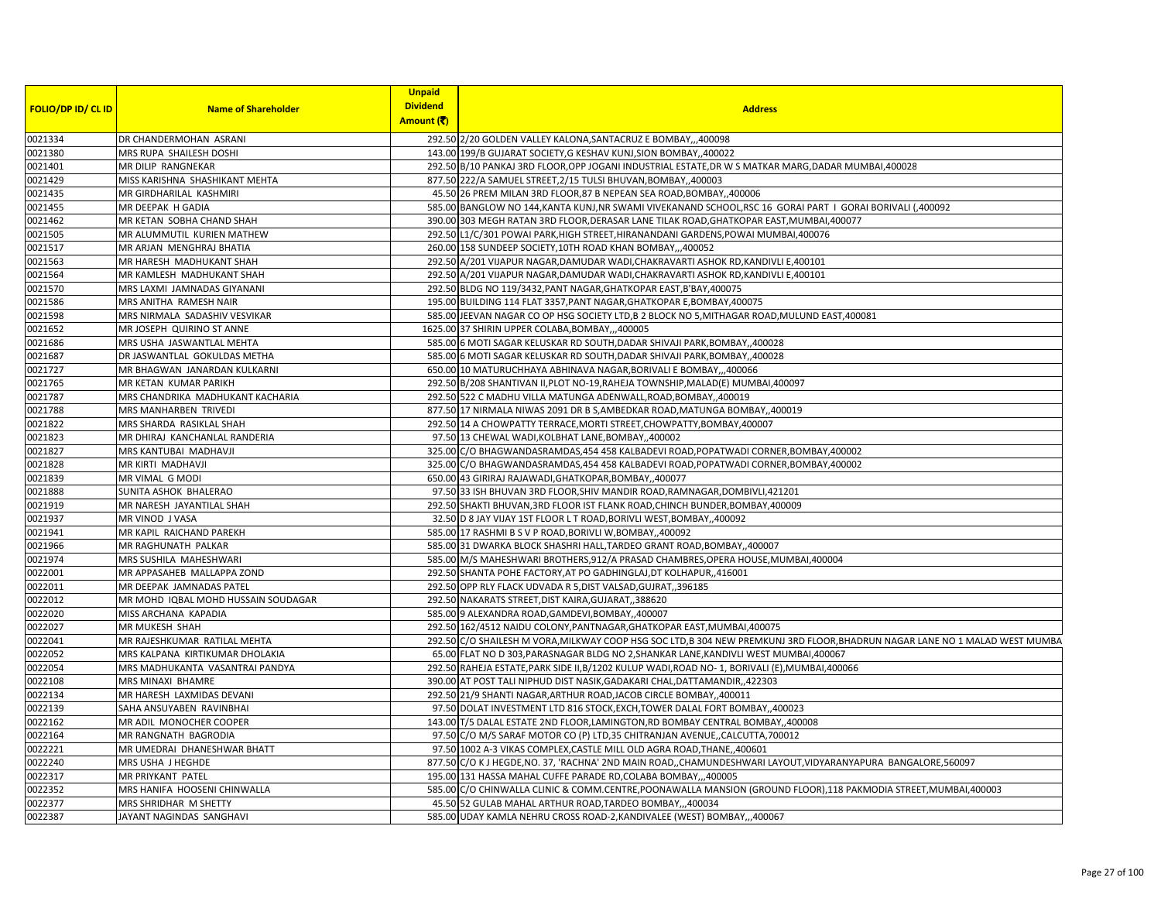|                    |                                     | <b>Unpaid</b>   |                                                                                                                              |
|--------------------|-------------------------------------|-----------------|------------------------------------------------------------------------------------------------------------------------------|
| FOLIO/DP ID/ CL ID | <b>Name of Shareholder</b>          | <b>Dividend</b> | <b>Address</b>                                                                                                               |
|                    |                                     | Amount (そ)      |                                                                                                                              |
| 0021334            | DR CHANDERMOHAN ASRANI              |                 | 292.50 2/20 GOLDEN VALLEY KALONA, SANTACRUZ E BOMBAY,, 400098                                                                |
| 0021380            | MRS RUPA SHAILESH DOSHI             |                 | 143.00 199/B GUJARAT SOCIETY, G KESHAV KUNJ, SION BOMBAY, 400022                                                             |
| 0021401            | MR DILIP RANGNEKAR                  |                 | 292.50 B/10 PANKAJ 3RD FLOOR, OPP JOGANI INDUSTRIAL ESTATE, DR W S MATKAR MARG, DADAR MUMBAI, 400028                         |
| 0021429            | MISS KARISHNA SHASHIKANT MEHTA      |                 | 877.50 222/A SAMUEL STREET, 2/15 TULSI BHUVAN, BOMBAY, ,400003                                                               |
| 0021435            | MR GIRDHARILAL KASHMIRI             |                 | 45.50 26 PREM MILAN 3RD FLOOR,87 B NEPEAN SEA ROAD,BOMBAY,,400006                                                            |
| 0021455            | MR DEEPAK H GADIA                   |                 | 585.00 BANGLOW NO 144, KANTA KUNJ, NR SWAMI VIVEKANAND SCHOOL, RSC 16 GORAI PART I GORAI BORIVALI (,400092                   |
| 0021462            | MR KETAN SOBHA CHAND SHAH           |                 | 390.00 303 MEGH RATAN 3RD FLOOR, DERASAR LANE TILAK ROAD, GHATKOPAR EAST, MUMBAI, 400077                                     |
| 0021505            | MR ALUMMUTIL KURIEN MATHEW          |                 | 292.50 L1/C/301 POWAI PARK, HIGH STREET, HIRANANDANI GARDENS, POWAI MUMBAI, 400076                                           |
| 0021517            | MR ARJAN MENGHRAJ BHATIA            |                 | 260.00 158 SUNDEEP SOCIETY, 10TH ROAD KHAN BOMBAY,,,400052                                                                   |
| 0021563            | MR HARESH MADHUKANT SHAH            |                 | 292.50 A/201 VIJAPUR NAGAR, DAMUDAR WADI, CHAKRAVARTI ASHOK RD, KANDIVLI E, 400101                                           |
| 0021564            | MR KAMLESH MADHUKANT SHAH           |                 | 292.50 A/201 VIJAPUR NAGAR, DAMUDAR WADI, CHAKRAVARTI ASHOK RD, KANDIVLI E, 400101                                           |
| 0021570            | MRS LAXMI JAMNADAS GIYANANI         |                 | 292.50 BLDG NO 119/3432, PANT NAGAR, GHATKOPAR EAST, B'BAY, 400075                                                           |
| 0021586            | MRS ANITHA RAMESH NAIR              |                 | 195.00 BUILDING 114 FLAT 3357, PANT NAGAR, GHATKOPAR E, BOMBAY, 400075                                                       |
| 0021598            | MRS NIRMALA SADASHIV VESVIKAR       |                 | 585.00 JEEVAN NAGAR CO OP HSG SOCIETY LTD, B 2 BLOCK NO 5, MITHAGAR ROAD, MULUND EAST, 400081                                |
| 0021652            | MR JOSEPH QUIRINO ST ANNE           |                 | 1625.00 37 SHIRIN UPPER COLABA, BOMBAY,,,400005                                                                              |
| 0021686            | MRS USHA JASWANTLAL MEHTA           |                 | 585.00 6 MOTI SAGAR KELUSKAR RD SOUTH, DADAR SHIVAJI PARK, BOMBAY, 400028                                                    |
| 0021687            | DR JASWANTLAL GOKULDAS METHA        |                 | 585.00 6 MOTI SAGAR KELUSKAR RD SOUTH, DADAR SHIVAJI PARK, BOMBAY, 400028                                                    |
| 0021727            | MR BHAGWAN JANARDAN KULKARNI        |                 | 650.00 10 MATURUCHHAYA ABHINAVA NAGAR, BORIVALI E BOMBAY,,,400066                                                            |
| 0021765            | <b>MR KETAN KUMAR PARIKH</b>        |                 | 292.50 B/208 SHANTIVAN II, PLOT NO-19, RAHEJA TOWNSHIP, MALAD(E) MUMBAI, 400097                                              |
| 0021787            | MRS CHANDRIKA MADHUKANT KACHARIA    |                 | 292.50 522 C MADHU VILLA MATUNGA ADENWALL, ROAD, BOMBAY, ,400019                                                             |
| 0021788            | MRS MANHARBEN TRIVEDI               |                 | 877.50 17 NIRMALA NIWAS 2091 DR B S, AMBEDKAR ROAD, MATUNGA BOMBAY, ,400019                                                  |
| 0021822            | MRS SHARDA RASIKLAL SHAH            |                 | 292.50 14 A CHOWPATTY TERRACE, MORTI STREET, CHOWPATTY, BOMBAY, 400007                                                       |
| 0021823            | MR DHIRAJ KANCHANLAL RANDERIA       |                 | 97.50 13 CHEWAL WADI, KOLBHAT LANE, BOMBAY, 400002                                                                           |
| 0021827            | MRS KANTUBAI MADHAVJI               |                 | 325.00 C/O BHAGWANDASRAMDAS, 454 458 KALBADEVI ROAD, POPATWADI CORNER, BOMBAY, 400002                                        |
| 0021828            | <b>MR KIRTI MADHAVJI</b>            |                 | 325.00 C/O BHAGWANDASRAMDAS, 454 458 KALBADEVI ROAD, POPATWADI CORNER, BOMBAY, 400002                                        |
| 0021839            | MR VIMAL G MODI                     |                 | 650.00 43 GIRIRAJ RAJAWADI, GHATKOPAR, BOMBAY, ,400077                                                                       |
| 0021888            | SUNITA ASHOK BHALERAO               |                 | 97.50 33 ISH BHUVAN 3RD FLOOR, SHIV MANDIR ROAD, RAMNAGAR, DOMBIVLI, 421201                                                  |
| 0021919            | MR NARESH JAYANTILAL SHAH           |                 | 292.50 SHAKTI BHUVAN, 3RD FLOOR IST FLANK ROAD, CHINCH BUNDER, BOMBAY, 400009                                                |
| 0021937            | MR VINOD J VASA                     |                 | 32.50 D 8 JAY VIJAY 1ST FLOOR L T ROAD, BORIVLI WEST, BOMBAY, 400092                                                         |
| 0021941            | MR KAPIL RAICHAND PAREKH            |                 | 585.00 17 RASHMI B S V P ROAD, BORIVLI W, BOMBAY, ,400092                                                                    |
| 0021966            | MR RAGHUNATH PALKAR                 |                 | 585.00 31 DWARKA BLOCK SHASHRI HALL, TARDEO GRANT ROAD, BOMBAY, 400007                                                       |
| 0021974            | MRS SUSHILA MAHESHWARI              |                 | 585.00 M/S MAHESHWARI BROTHERS, 912/A PRASAD CHAMBRES, OPERA HOUSE, MUMBAI, 400004                                           |
| 0022001            | MR APPASAHEB MALLAPPA ZOND          |                 | 292.50 SHANTA POHE FACTORY, AT PO GADHINGLAJ, DT KOLHAPUR,, 416001                                                           |
| 0022011            | MR DEEPAK JAMNADAS PATEL            |                 | 292.50 OPP RLY FLACK UDVADA R 5, DIST VALSAD, GUJRAT, 396185                                                                 |
| 0022012            | MR MOHD IQBAL MOHD HUSSAIN SOUDAGAR |                 | 292.50 NAKARATS STREET, DIST KAIRA, GUJARAT, 388620                                                                          |
| 0022020            | MISS ARCHANA KAPADIA                |                 | 585.00 9 ALEXANDRA ROAD, GAMDEVI, BOMBAY, 400007                                                                             |
| 0022027            | MR MUKESH SHAH                      |                 | 292.50 162/4512 NAIDU COLONY, PANTNAGAR, GHATKOPAR EAST, MUMBAI, 400075                                                      |
| 0022041            | MR RAJESHKUMAR RATILAL MEHTA        |                 | 292.50 C/O SHAILESH M VORA, MILKWAY COOP HSG SOC LTD, B 304 NEW PREMKUNJ 3RD FLOOR, BHADRUN NAGAR LANE NO 1 MALAD WEST MUMBA |
| 0022052            | MRS KALPANA KIRTIKUMAR DHOLAKIA     |                 | 65.00 FLAT NO D 303, PARASNAGAR BLDG NO 2, SHANKAR LANE, KANDIVLI WEST MUMBAI, 400067                                        |
| 0022054            | MRS MADHUKANTA VASANTRAI PANDYA     |                 | 292.50 RAHEJA ESTATE, PARK SIDE II, B/1202 KULUP WADI, ROAD NO- 1, BORIVALI (E), MUMBAI, 400066                              |
| 0022108            | <b>MRS MINAXI BHAMRE</b>            |                 | 390.00 AT POST TALI NIPHUD DIST NASIK, GADAKARI CHAL, DATTAMANDIR, ,422303                                                   |
| 0022134            | MR HARESH LAXMIDAS DEVANI           |                 | 292.50 21/9 SHANTI NAGAR, ARTHUR ROAD, JACOB CIRCLE BOMBAY, 400011                                                           |
| 0022139            |                                     |                 |                                                                                                                              |
|                    | SAHA ANSUYABEN RAVINBHAI            |                 | 97.50 DOLAT INVESTMENT LTD 816 STOCK, EXCH, TOWER DALAL FORT BOMBAY, ,400023                                                 |
| 0022162            | MR ADIL MONOCHER COOPER             |                 | 143.00 T/5 DALAL ESTATE 2ND FLOOR, LAMINGTON, RD BOMBAY CENTRAL BOMBAY, 400008                                               |
| 0022164            | MR RANGNATH BAGRODIA                |                 | 97.50 C/O M/S SARAF MOTOR CO (P) LTD, 35 CHITRANJAN AVENUE, CALCUTTA, 700012                                                 |
| 0022221            | MR UMEDRAI DHANESHWAR BHATT         |                 | 97.50 1002 A-3 VIKAS COMPLEX, CASTLE MILL OLD AGRA ROAD, THANE, 400601                                                       |
| 0022240            | MRS USHA J HEGHDE                   |                 | 877.50 C/O K J HEGDE, NO. 37, 'RACHNA' 2ND MAIN ROAD,, CHAMUNDESHWARI LAYOUT, VIDYARANYAPURA BANGALORE, 560097               |
| 0022317            | MR PRIYKANT PATEL                   |                 | 195.00 131 HASSA MAHAL CUFFE PARADE RD, COLABA BOMBAY,,,400005                                                               |
| 0022352            | MRS HANIFA HOOSENI CHINWALLA        |                 | 585.00 C/O CHINWALLA CLINIC & COMM.CENTRE, POONAWALLA MANSION (GROUND FLOOR), 118 PAKMODIA STREET, MUMBAI, 400003            |
| 0022377            | MRS SHRIDHAR M SHETTY               |                 | 45.50 52 GULAB MAHAL ARTHUR ROAD, TARDEO BOMBAY,,,400034                                                                     |
| 0022387            | JAYANT NAGINDAS SANGHAVI            |                 | 585.00 UDAY KAMLA NEHRU CROSS ROAD-2, KANDIVALEE (WEST) BOMBAY, ,,400067                                                     |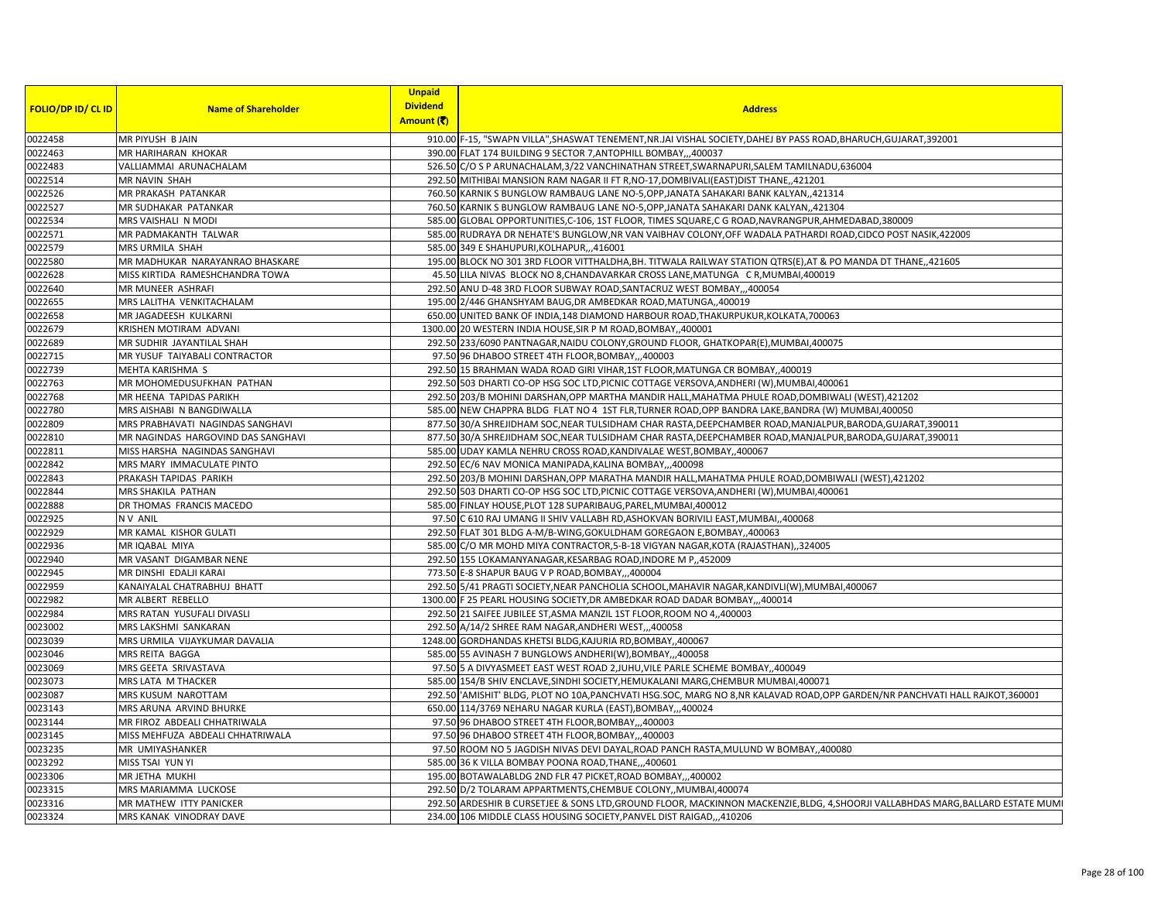|                           |                                    | <b>Unpaid</b>   |                                                                                                                                  |
|---------------------------|------------------------------------|-----------------|----------------------------------------------------------------------------------------------------------------------------------|
| <b>FOLIO/DP ID/ CL ID</b> | <b>Name of Shareholder</b>         | <b>Dividend</b> | <b>Address</b>                                                                                                                   |
|                           |                                    | Amount (そ)      |                                                                                                                                  |
| 0022458                   | MR PIYUSH B JAIN                   |                 | 910.00 F-15, "SWAPN VILLA", SHASWAT TENEMENT, NR.JAI VISHAL SOCIETY, DAHEJ BY PASS ROAD, BHARUCH, GUJARAT, 392001                |
| 0022463                   | MR HARIHARAN KHOKAR                |                 | 390.00 FLAT 174 BUILDING 9 SECTOR 7, ANTOPHILL BOMBAY,,,400037                                                                   |
| 0022483                   | VALLIAMMAI ARUNACHALAM             |                 | 526.50 C/O S P ARUNACHALAM, 3/22 VANCHINATHAN STREET, SWARNAPURI, SALEM TAMILNADU, 636004                                        |
| 0022514                   | MR NAVIN SHAH                      |                 | 292.50 MITHIBAI MANSION RAM NAGAR II FT R, NO-17, DOMBIVALI (EAST) DIST THANE, 421201                                            |
| 0022526                   | MR PRAKASH PATANKAR                |                 | 760.50 KARNIK S BUNGLOW RAMBAUG LANE NO-5, OPP, JANATA SAHAKARI BANK KALYAN, 421314                                              |
| 0022527                   | MR SUDHAKAR PATANKAR               |                 | 760.50 KARNIK S BUNGLOW RAMBAUG LANE NO-5, OPP, JANATA SAHAKARI DANK KALYAN, 421304                                              |
| 0022534                   | MRS VAISHALI N MODI                |                 | 585.00 GLOBAL OPPORTUNITIES,C-106, 1ST FLOOR, TIMES SQUARE,C G ROAD, NAVRANGPUR, AHMEDABAD, 380009                               |
| 0022571                   | MR PADMAKANTH TALWAR               |                 | 585.00 RUDRAYA DR NEHATE'S BUNGLOW, NR VAN VAIBHAV COLONY, OFF WADALA PATHARDI ROAD, CIDCO POST NASIK, 422009                    |
| 0022579                   | MRS URMILA SHAH                    |                 | 585.00 349 E SHAHUPURI, KOLHAPUR, ,,416001                                                                                       |
| 0022580                   | MR MADHUKAR NARAYANRAO BHASKARE    |                 | 195.00 BLOCK NO 301 3RD FLOOR VITTHALDHA, BH. TITWALA RAILWAY STATION QTRS(E), AT & PO MANDA DT THANE,, 421605                   |
| 0022628                   | MISS KIRTIDA RAMESHCHANDRA TOWA    |                 | 45.50 LILA NIVAS BLOCK NO 8, CHANDAVARKAR CROSS LANE, MATUNGA C R, MUMBAI, 400019                                                |
| 0022640                   | MR MUNEER ASHRAFI                  |                 | 292.50 ANU D-48 3RD FLOOR SUBWAY ROAD, SANTACRUZ WEST BOMBAY,,,400054                                                            |
| 0022655                   | MRS LALITHA VENKITACHALAM          |                 | 195.00 2/446 GHANSHYAM BAUG, DR AMBEDKAR ROAD, MATUNGA, 400019                                                                   |
| 0022658                   | MR JAGADEESH KULKARN               |                 | 650.00 UNITED BANK OF INDIA,148 DIAMOND HARBOUR ROAD, THAKURPUKUR, KOLKATA, 700063                                               |
| 0022679                   | KRISHEN MOTIRAM ADVAN              |                 | 1300.00 20 WESTERN INDIA HOUSE, SIR P M ROAD, BOMBAY, 400001                                                                     |
| 0022689                   | MR SUDHIR JAYANTILAL SHAH          |                 | 292.50 233/6090 PANTNAGAR, NAIDU COLONY, GROUND FLOOR, GHATKOPAR(E), MUMBAI, 400075                                              |
| 0022715                   | MR YUSUF TAIYABALI CONTRACTOR      |                 | 97.50 96 DHABOO STREET 4TH FLOOR, BOMBAY,,,400003                                                                                |
| 0022739                   | MEHTA KARISHMA S                   |                 | 292.50 15 BRAHMAN WADA ROAD GIRI VIHAR, 1ST FLOOR, MATUNGA CR BOMBAY, 400019                                                     |
| 0022763                   | MR MOHOMEDUSUFKHAN PATHAN          |                 | 292.50 503 DHARTI CO-OP HSG SOC LTD.PICNIC COTTAGE VERSOVA.ANDHERI (W).MUMBAI.400061                                             |
| 0022768                   | MR HEENA TAPIDAS PARIKH            |                 | 292.50 203/B MOHINI DARSHAN, OPP MARTHA MANDIR HALL, MAHATMA PHULE ROAD, DOMBIWALI (WEST), 421202                                |
| 0022780                   | MRS AISHABI N BANGDIWALLA          |                 | 585.00 NEW CHAPPRA BLDG FLAT NO 4 1ST FLR, TURNER ROAD, OPP BANDRA LAKE, BANDRA (W) MUMBAI, 400050                               |
| 0022809                   | MRS PRABHAVATI NAGINDAS SANGHAVI   |                 | 877.50 30/A SHREJIDHAM SOC, NEAR TULSIDHAM CHAR RASTA, DEEPCHAMBER ROAD, MANJALPUR, BARODA, GUJARAT, 390011                      |
| 0022810                   | MR NAGINDAS HARGOVIND DAS SANGHAVI |                 | 877.50 30/A SHREJIDHAM SOC, NEAR TULSIDHAM CHAR RASTA, DEEPCHAMBER ROAD, MANJALPUR, BARODA, GUJARAT, 390011                      |
| 0022811                   | MISS HARSHA NAGINDAS SANGHAVI      |                 | 585.00 UDAY KAMLA NEHRU CROSS ROAD, KANDIVALAE WEST, BOMBAY, ,400067                                                             |
| 0022842                   | MRS MARY IMMACULATE PINTO          |                 | 292.50 EC/6 NAV MONICA MANIPADA, KALINA BOMBAY,  400098                                                                          |
| 0022843                   | PRAKASH TAPIDAS PARIKH             |                 | 292.50 203/B MOHINI DARSHAN, OPP MARATHA MANDIR HALL, MAHATMA PHULE ROAD, DOMBIWALI (WEST), 421202                               |
| 0022844                   | MRS SHAKILA PATHAN                 |                 | 292.50 503 DHARTI CO-OP HSG SOC LTD, PICNIC COTTAGE VERSOVA, ANDHERI (W), MUMBAI, 400061                                         |
| 0022888                   | DR THOMAS FRANCIS MACEDO           |                 | 585.00 FINLAY HOUSE, PLOT 128 SUPARIBAUG, PAREL, MUMBAI, 400012                                                                  |
| 0022925                   | N V ANIL                           |                 | 97.50 C 610 RAJ UMANG II SHIV VALLABH RD, ASHOKVAN BORIVILI EAST, MUMBAI, 400068                                                 |
| 0022929                   | MR KAMAL KISHOR GULATI             |                 | 292.50 FLAT 301 BLDG A-M/B-WING, GOKULDHAM GOREGAON E, BOMBAY, ,400063                                                           |
| 0022936                   | MR IQABAL MIYA                     |                 | 585.00 C/O MR MOHD MIYA CONTRACTOR, 5-B-18 VIGYAN NAGAR, KOTA (RAJASTHAN), 324005                                                |
| 0022940                   | MR VASANT DIGAMBAR NENE            |                 | 292.50 155 LOKAMANYANAGAR, KESARBAG ROAD, INDORE M P,, 452009                                                                    |
|                           |                                    |                 |                                                                                                                                  |
| 0022945                   | MR DINSHI EDALJI KARAI             |                 | 773.50 E-8 SHAPUR BAUG V P ROAD, BOMBAY,,,400004                                                                                 |
| 0022959                   | KANAIYALAL CHATRABHUJ BHATT        |                 | 292.50 5/41 PRAGTI SOCIETY, NEAR PANCHOLIA SCHOOL, MAHAVIR NAGAR, KANDIVLI(W), MUMBAI, 400067                                    |
| 0022982                   | MR ALBERT REBELLO                  |                 | 1300.00 F 25 PEARL HOUSING SOCIETY, DR AMBEDKAR ROAD DADAR BOMBAY,,,400014                                                       |
| 0022984                   | MRS RATAN YUSUFALI DIVASLI         |                 | 292.50 21 SAIFEE JUBILEE ST, ASMA MANZIL 1ST FLOOR, ROOM NO 4, 400003                                                            |
| 0023002                   | MRS LAKSHMI SANKARAN               |                 | 292.50 A/14/2 SHREE RAM NAGAR, ANDHERI WEST, ,,400058                                                                            |
| 0023039                   | MRS URMILA VIJAYKUMAR DAVALIA      |                 | 1248.00 GORDHANDAS KHETSI BLDG, KAJURIA RD, BOMBAY, ,400067                                                                      |
| 0023046                   | MRS REITA BAGGA                    |                 | 585.00 55 AVINASH 7 BUNGLOWS ANDHERI(W), BOMBAY,,,400058                                                                         |
| 0023069                   | MRS GEETA SRIVASTAVA               |                 | 97.50 5 A DIVYASMEET EAST WEST ROAD 2, JUHU, VILE PARLE SCHEME BOMBAY, 400049                                                    |
| 0023073                   | MRS LATA M THACKER                 |                 | 585.00 154/B SHIV ENCLAVE, SINDHI SOCIETY, HEMUKALANI MARG, CHEMBUR MUMBAI, 400071                                               |
| 0023087                   | MRS KUSUM NAROTTAM                 |                 | 292.50 AMISHIT' BLDG, PLOT NO 10A, PANCHVATI HSG.SOC, MARG NO 8, NR KALAVAD ROAD, OPP GARDEN/NR PANCHVATI HALL RAJKOT, 360001    |
| 0023143                   | MRS ARUNA ARVIND BHURKE            |                 | 650.00 114/3769 NEHARU NAGAR KURLA (EAST), BOMBAY,,,400024                                                                       |
| 0023144                   | MR FIROZ ABDEALI CHHATRIWALA       |                 | 97.50 96 DHABOO STREET 4TH FLOOR, BOMBAY,,,400003                                                                                |
| 0023145                   | MISS MEHFUZA ABDEALI CHHATRIWALA   |                 | 97.50 96 DHABOO STREET 4TH FLOOR, BOMBAY,,,400003                                                                                |
| 0023235                   | MR UMIYASHANKER                    |                 | 97.50 ROOM NO 5 JAGDISH NIVAS DEVI DAYAL, ROAD PANCH RASTA, MULUND W BOMBAY, 400080                                              |
| 0023292                   | MISS TSAI YUN YI                   |                 | 585.00 36 K VILLA BOMBAY POONA ROAD, THANE, ,,400601                                                                             |
| 0023306                   | MR JETHA MUKHI                     |                 | 195.00 BOTAWALABLDG 2ND FLR 47 PICKET, ROAD BOMBAY,,,400002                                                                      |
| 0023315                   | MRS MARIAMMA LUCKOSE               |                 | 292.50 D/2 TOLARAM APPARTMENTS, CHEMBUE COLONY, MUMBAI, 400074                                                                   |
| 0023316                   | MR MATHEW ITTY PANICKER            |                 | 292.50 ARDESHIR B CURSETJEE & SONS LTD, GROUND FLOOR, MACKINNON MACKENZIE, BLDG, 4, SHOORJI VALLABHDAS MARG, BALLARD ESTATE MUMI |
| 0023324                   | MRS KANAK VINODRAY DAVE            |                 | 234.00 106 MIDDLE CLASS HOUSING SOCIETY, PANVEL DIST RAIGAD,, 410206                                                             |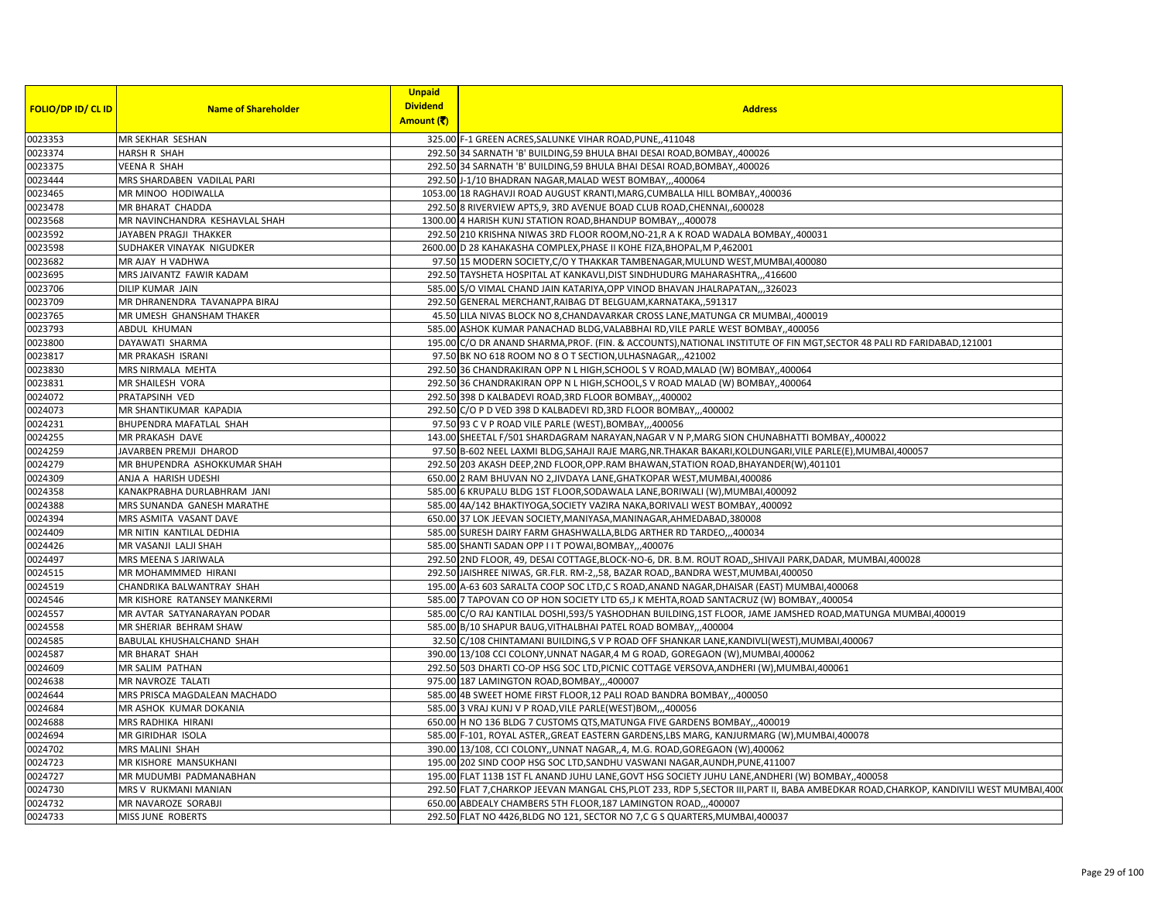|                           |                                | <b>Unpaid</b>   |                                                                                                                                         |
|---------------------------|--------------------------------|-----------------|-----------------------------------------------------------------------------------------------------------------------------------------|
| <b>FOLIO/DP ID/ CL ID</b> | <b>Name of Shareholder</b>     | <b>Dividend</b> | <b>Address</b>                                                                                                                          |
|                           |                                | Amount (₹)      |                                                                                                                                         |
| 0023353                   | MR SEKHAR SESHAN               |                 | 325.00 F-1 GREEN ACRES, SALUNKE VIHAR ROAD, PUNE, 411048                                                                                |
| 0023374                   | <b>HARSH R SHAH</b>            |                 | 292.50 34 SARNATH 'B' BUILDING, 59 BHULA BHAI DESAI ROAD, BOMBAY, ,400026                                                               |
| 0023375                   | VEENA R SHAH                   |                 | 292.50 34 SARNATH 'B' BUILDING, 59 BHULA BHAI DESAI ROAD, BOMBAY, ,400026                                                               |
| 0023444                   | MRS SHARDABEN VADILAL PARI     |                 | 292.50 J-1/10 BHADRAN NAGAR, MALAD WEST BOMBAY,,,400064                                                                                 |
| 0023465                   | MR MINOO HODIWALLA             |                 | 1053.00 18 RAGHAVJI ROAD AUGUST KRANTI, MARG, CUMBALLA HILL BOMBAY, 400036                                                              |
| 0023478                   | MR BHARAT CHADDA               |                 | 292.50 8 RIVERVIEW APTS, 9, 3RD AVENUE BOAD CLUB ROAD, CHENNAI, 600028                                                                  |
| 0023568                   | MR NAVINCHANDRA KESHAVLAL SHAH |                 | 1300.00 4 HARISH KUNJ STATION ROAD, BHANDUP BOMBAY,,,400078                                                                             |
| 0023592                   | JAYABEN PRAGJI THAKKER         |                 | 292.50 210 KRISHNA NIWAS 3RD FLOOR ROOM, NO-21, R A K ROAD WADALA BOMBAY, 400031                                                        |
| 0023598                   | SUDHAKER VINAYAK NIGUDKER      |                 | 2600.00 D 28 KAHAKASHA COMPLEX, PHASE II KOHE FIZA, BHOPAL, M P, 462001                                                                 |
| 0023682                   | MR AJAY H VADHWA               |                 | 97.50 15 MODERN SOCIETY, C/O Y THAKKAR TAMBENAGAR, MULUND WEST, MUMBAI, 400080                                                          |
| 0023695                   | MRS JAIVANTZ FAWIR KADAM       |                 | 292.50 TAYSHETA HOSPITAL AT KANKAVLI, DIST SINDHUDURG MAHARASHTRA,,,416600                                                              |
| 0023706                   | DILIP KUMAR JAIN               |                 | 585.00 S/O VIMAL CHAND JAIN KATARIYA, OPP VINOD BHAVAN JHALRAPATAN, ,,326023                                                            |
| 0023709                   | MR DHRANENDRA TAVANAPPA BIRAJ  |                 | 292.50 GENERAL MERCHANT, RAIBAG DT BELGUAM, KARNATAKA,, 591317                                                                          |
| 0023765                   | MR UMESH GHANSHAM THAKER       |                 | 45.50 LILA NIVAS BLOCK NO 8, CHANDAVARKAR CROSS LANE, MATUNGA CR MUMBAI, ,400019                                                        |
| 0023793                   | ABDUL KHUMAN                   |                 | 585.00 ASHOK KUMAR PANACHAD BLDG, VALABBHAI RD, VILE PARLE WEST BOMBAY, 400056                                                          |
| 0023800                   | DAYAWATI SHARMA                |                 | 195.00 C/O DR ANAND SHARMA, PROF. (FIN. & ACCOUNTS), NATIONAL INSTITUTE OF FIN MGT, SECTOR 48 PALI RD FARIDABAD, 121001                 |
| 0023817                   | MR PRAKASH ISRANI              |                 | 97.50 BK NO 618 ROOM NO 8 O T SECTION, ULHASNAGAR, ,,421002                                                                             |
| 0023830                   | MRS NIRMALA MEHTA              |                 | 292.50 36 CHANDRAKIRAN OPP N L HIGH, SCHOOL S V ROAD, MALAD (W) BOMBAY, 400064                                                          |
| 0023831                   | MR SHAILESH VORA               |                 | 292.50 36 CHANDRAKIRAN OPP N L HIGH, SCHOOL, S V ROAD MALAD (W) BOMBAY, 400064                                                          |
| 0024072                   | PRATAPSINH VED                 |                 | 292.50 398 D KALBADEVI ROAD, 3RD FLOOR BOMBAY,,,400002                                                                                  |
| 0024073                   | MR SHANTIKUMAR KAPADIA         |                 | 292.50 C/O P D VED 398 D KALBADEVI RD, 3RD FLOOR BOMBAY,, 400002                                                                        |
| 0024231                   | BHUPENDRA MAFATLAL SHAH        |                 | 97.50 93 C V P ROAD VILE PARLE (WEST), BOMBAY,,,400056                                                                                  |
| 0024255                   | MR PRAKASH DAVE                |                 | 143.00 SHEETAL F/501 SHARDAGRAM NARAYAN, NAGAR V N P, MARG SION CHUNABHATTI BOMBAY, ,400022                                             |
| 0024259                   | JAVARBEN PREMJI DHAROD         |                 | 97.50 B-602 NEEL LAXMI BLDG, SAHAJI RAJE MARG, NR. THAKAR BAKARI, KOLDUNGARI, VILE PARLE(E), MUMBAI, 400057                             |
| 0024279                   | MR BHUPENDRA ASHOKKUMAR SHAH   |                 | 292.50 203 AKASH DEEP,2ND FLOOR,OPP.RAM BHAWAN,STATION ROAD,BHAYANDER(W),401101                                                         |
| 0024309                   | ANJA A HARISH UDESHI           |                 | 650.00 2 RAM BHUVAN NO 2, JIVDAYA LANE, GHATKOPAR WEST, MUMBAI, 400086                                                                  |
| 0024358                   | KANAKPRABHA DURLABHRAM JANI    |                 | 585.00 6 KRUPALU BLDG 1ST FLOOR, SODAWALA LANE, BORIWALI (W), MUMBAI, 400092                                                            |
| 0024388                   | MRS SUNANDA GANESH MARATHE     |                 | 585.00 4A/142 BHAKTIYOGA, SOCIETY VAZIRA NAKA, BORIVALI WEST BOMBAY, ,400092                                                            |
| 0024394                   | MRS ASMITA VASANT DAVE         |                 | 650.00 37 LOK JEEVAN SOCIETY, MANIYASA, MANINAGAR, AHMEDABAD, 380008                                                                    |
| 0024409                   | MR NITIN KANTILAL DEDHIA       |                 | 585.00 SURESH DAIRY FARM GHASHWALLA, BLDG ARTHER RD TARDEO,,,400034                                                                     |
| 0024426                   | MR VASANJI LALJI SHAH          |                 | 585.00 SHANTI SADAN OPP I I T POWAI, BOMBAY,  400076                                                                                    |
| 0024497                   | MRS MEENA S JARIWALA           |                 | 292.50 2ND FLOOR, 49, DESAI COTTAGE, BLOCK-NO-6, DR. B.M. ROUT ROAD, , SHIVAJI PARK, DADAR, MUMBAI, 400028                              |
| 0024515                   | MR MOHAMMMED HIRANI            |                 | 292.50 JAISHREE NIWAS, GR.FLR. RM-2,,58, BAZAR ROAD,,BANDRA WEST,MUMBAI,400050                                                          |
| 0024519                   | CHANDRIKA BALWANTRAY SHAH      |                 | 195.00 A-63 603 SARALTA COOP SOC LTD,C S ROAD, ANAND NAGAR, DHAISAR (EAST) MUMBAI, 400068                                               |
| 0024546                   | MR KISHORE RATANSEY MANKERMI   |                 | 585.00 7 TAPOVAN CO OP HON SOCIETY LTD 65, J K MEHTA, ROAD SANTACRUZ (W) BOMBAY, 400054                                                 |
| 0024557                   | MR AVTAR SATYANARAYAN PODAR    |                 | 585.00 C/O RAJ KANTILAL DOSHI,593/5 YASHODHAN BUILDING,1ST FLOOR, JAME JAMSHED ROAD,MATUNGA MUMBAI,400019                               |
| 0024558                   | MR SHERIAR BEHRAM SHAW         |                 | 585.00 B/10 SHAPUR BAUG, VITHALBHAI PATEL ROAD BOMBAY,,,400004                                                                          |
| 0024585                   | BABULAL KHUSHALCHAND SHAH      |                 | 32.50 C/108 CHINTAMANI BUILDING, S V P ROAD OFF SHANKAR LANE, KANDIVLI (WEST), MUMBAI, 400067                                           |
| 0024587                   | MR BHARAT SHAH                 |                 | 390.00 13/108 CCI COLONY, UNNAT NAGAR, 4 M G ROAD, GOREGAON (W), MUMBAI, 400062                                                         |
| 0024609                   | MR SALIM PATHAN                |                 | 292.50 503 DHARTI CO-OP HSG SOC LTD, PICNIC COTTAGE VERSOVA, ANDHERI (W), MUMBAI, 400061                                                |
| 0024638                   | MR NAVROZE TALATI              |                 | 975.00 187 LAMINGTON ROAD, BOMBAY, ,,400007                                                                                             |
| 0024644                   | MRS PRISCA MAGDALEAN MACHADO   |                 | 585.00 4B SWEET HOME FIRST FLOOR, 12 PALI ROAD BANDRA BOMBAY,,,400050                                                                   |
| 0024684                   | MR ASHOK KUMAR DOKANIA         |                 | 585.00 3 VRAJ KUNJ V P ROAD, VILE PARLE(WEST)BOM,,,400056                                                                               |
| 0024688                   | MRS RADHIKA HIRANI             |                 | 650.00 H NO 136 BLDG 7 CUSTOMS QTS, MATUNGA FIVE GARDENS BOMBAY,, 400019                                                                |
| 0024694                   | MR GIRIDHAR ISOLA              |                 | 585.00 F-101, ROYAL ASTER, GREAT EASTERN GARDENS, LBS MARG, KANJURMARG (W), MUMBAI, 400078                                              |
| 0024702                   | MRS MALINI SHAH                |                 | 390.00 13/108, CCI COLONY, UNNAT NAGAR, 4, M.G. ROAD, GOREGAON (W), 400062                                                              |
| 0024723                   | MR KISHORE MANSUKHANI          |                 | 195.00 202 SIND COOP HSG SOC LTD, SANDHU VASWANI NAGAR, AUNDH, PUNE, 411007                                                             |
| 0024727                   | MR MUDUMBI PADMANABHAN         |                 | 195.00 FLAT 113B 1ST FL ANAND JUHU LANE, GOVT HSG SOCIETY JUHU LANE, ANDHERI (W) BOMBAY, 400058                                         |
| 0024730                   | MRS V RUKMANI MANIAN           |                 | 292.50 FLAT 7, CHARKOP JEEVAN MANGAL CHS, PLOT 233, RDP 5, SECTOR III, PART II, BABA AMBEDKAR ROAD, CHARKOP, KANDIVILI WEST MUMBAI, 400 |
| 0024732                   | MR NAVAROZE SORABJI            |                 | 650.00 ABDEALY CHAMBERS 5TH FLOOR, 187 LAMINGTON ROAD,,,400007                                                                          |
| 0024733                   | MISS JUNE ROBERTS              |                 | 292.50 FLAT NO 4426, BLDG NO 121, SECTOR NO 7,C G S QUARTERS, MUMBAI, 400037                                                            |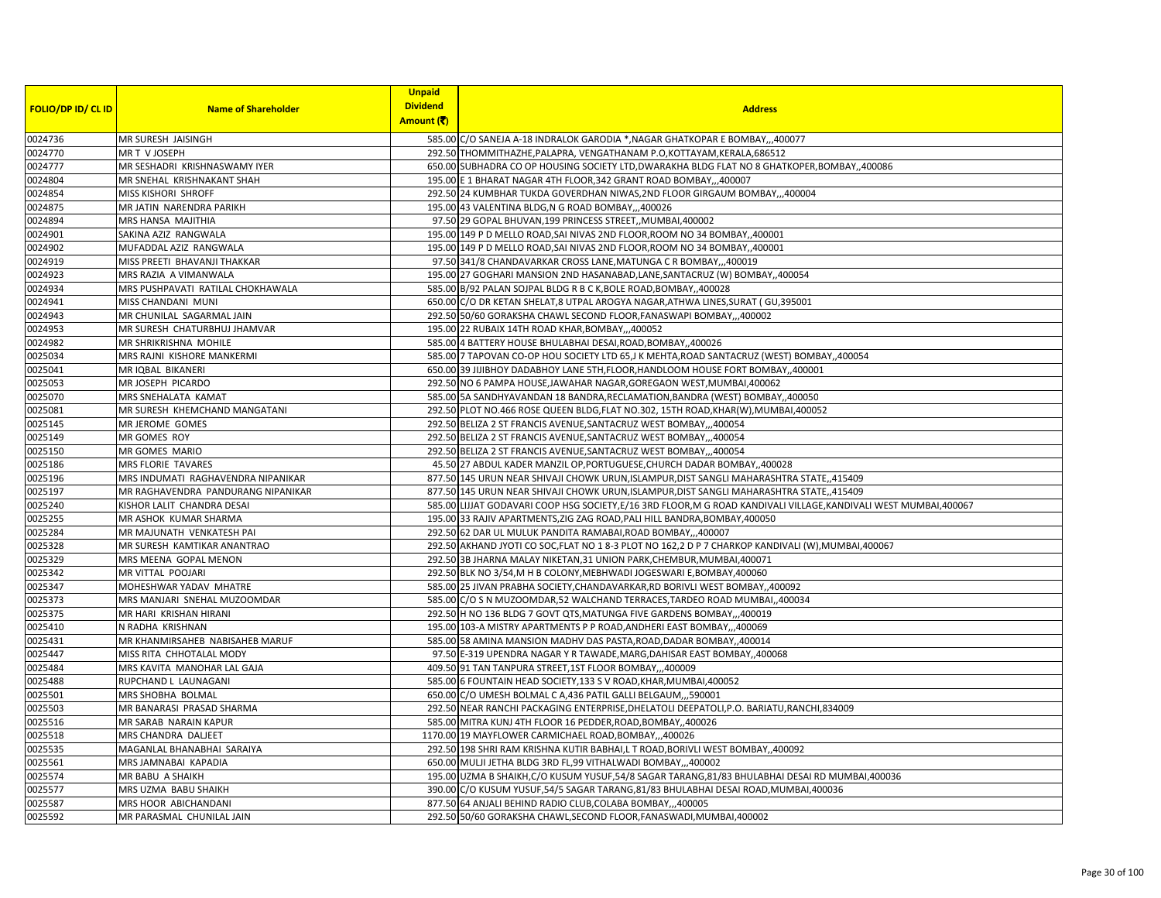|                           |                                    | <b>Unpaid</b><br><b>Dividend</b> |                                                                                                                    |
|---------------------------|------------------------------------|----------------------------------|--------------------------------------------------------------------------------------------------------------------|
| <b>FOLIO/DP ID/ CL ID</b> | <b>Name of Shareholder</b>         | Amount (そ)                       | <b>Address</b>                                                                                                     |
| 0024736                   | MR SURESH JAISINGH                 |                                  | 585.00 C/O SANEJA A-18 INDRALOK GARODIA *, NAGAR GHATKOPAR E BOMBAY,,,400077                                       |
| 0024770                   | MR T V JOSEPH                      |                                  | 292.50 THOMMITHAZHE, PALAPRA, VENGATHANAM P.O, KOTTAYAM, KERALA, 686512                                            |
| 0024777                   | MR SESHADRI KRISHNASWAMY IYER      |                                  | 650.00 SUBHADRA CO OP HOUSING SOCIETY LTD, DWARAKHA BLDG FLAT NO 8 GHATKOPER, BOMBAY, 400086                       |
| 0024804                   | MR SNEHAL KRISHNAKANT SHAH         |                                  | 195.00 E 1 BHARAT NAGAR 4TH FLOOR, 342 GRANT ROAD BOMBAY,, 400007                                                  |
| 0024854                   | MISS KISHORI SHROFF                |                                  | 292.50 24 KUMBHAR TUKDA GOVERDHAN NIWAS, 2ND FLOOR GIRGAUM BOMBAY,,,400004                                         |
| 0024875                   | MR JATIN NARENDRA PARIKH           |                                  | 195.00 43 VALENTINA BLDG, N G ROAD BOMBAY,,,400026                                                                 |
| 0024894                   | MRS HANSA MAJITHIA                 |                                  | 97.50 29 GOPAL BHUVAN, 199 PRINCESS STREET,, MUMBAI, 400002                                                        |
| 0024901                   | SAKINA AZIZ RANGWALA               |                                  | 195.00 149 P D MELLO ROAD, SAI NIVAS 2ND FLOOR, ROOM NO 34 BOMBAY, 400001                                          |
| 0024902                   | MUFADDAL AZIZ RANGWALA             |                                  | 195.00 149 P D MELLO ROAD, SAI NIVAS 2ND FLOOR, ROOM NO 34 BOMBAY, 400001                                          |
| 0024919                   | MISS PREETI BHAVANJI THAKKAR       |                                  | 97.50 341/8 CHANDAVARKAR CROSS LANE, MATUNGA C R BOMBAY,, 400019                                                   |
| 0024923                   | MRS RAZIA A VIMANWALA              |                                  | 195.00 27 GOGHARI MANSION 2ND HASANABAD, LANE, SANTACRUZ (W) BOMBAY, 400054                                        |
| 0024934                   | MRS PUSHPAVATI RATILAL CHOKHAWALA  |                                  | 585.00 B/92 PALAN SOJPAL BLDG R B C K, BOLE ROAD, BOMBAY, 400028                                                   |
| 0024941                   | MISS CHANDANI MUNI                 |                                  | 650.00 C/O DR KETAN SHELAT,8 UTPAL AROGYA NAGAR, ATHWA LINES, SURAT (GU, 395001                                    |
| 0024943                   | MR CHUNILAL SAGARMAL JAIN          |                                  | 292.50 50/60 GORAKSHA CHAWL SECOND FLOOR, FANASWAPI BOMBAY,, 400002                                                |
| 0024953                   | MR SURESH CHATURBHUJ JHAMVAR       |                                  | 195.00 22 RUBAIX 14TH ROAD KHAR, BOMBAY,,,400052                                                                   |
| 0024982                   | MR SHRIKRISHNA MOHILE              |                                  | 585.00 4 BATTERY HOUSE BHULABHAI DESAI, ROAD, BOMBAY, ,400026                                                      |
| 0025034                   | MRS RAJNI KISHORE MANKERMI         |                                  | 585.00 7 TAPOVAN CO-OP HOU SOCIETY LTD 65, J K MEHTA, ROAD SANTACRUZ (WEST) BOMBAY, 400054                         |
| 0025041                   | MR IQBAL BIKANERI                  |                                  | 650.00 39 JIJIBHOY DADABHOY LANE 5TH, FLOOR, HANDLOOM HOUSE FORT BOMBAY, 400001                                    |
| 0025053                   | MR JOSEPH PICARDO                  |                                  | 292.50 NO 6 PAMPA HOUSE, JAWAHAR NAGAR, GOREGAON WEST, MUMBAI, 400062                                              |
| 0025070                   | MRS SNEHALATA KAMAT                |                                  | 585.00 5A SANDHYAVANDAN 18 BANDRA, RECLAMATION, BANDRA (WEST) BOMBAY, 400050                                       |
| 0025081                   | MR SURESH KHEMCHAND MANGATANI      |                                  | 292.50 PLOT NO.466 ROSE QUEEN BLDG, FLAT NO.302, 15TH ROAD, KHAR(W), MUMBAI, 400052                                |
| 0025145                   | MR JEROME GOMES                    |                                  | 292.50 BELIZA 2 ST FRANCIS AVENUE, SANTACRUZ WEST BOMBAY,,,400054                                                  |
| 0025149                   | MR GOMES ROY                       |                                  | 292.50 BELIZA 2 ST FRANCIS AVENUE, SANTACRUZ WEST BOMBAY,,,400054                                                  |
| 0025150                   | MR GOMES MARIO                     |                                  | 292.50 BELIZA 2 ST FRANCIS AVENUE, SANTACRUZ WEST BOMBAY,,,400054                                                  |
| 0025186                   | <b>MRS FLORIE TAVARES</b>          |                                  | 45.50 27 ABDUL KADER MANZIL OP, PORTUGUESE, CHURCH DADAR BOMBAY, 400028                                            |
| 0025196                   | MRS INDUMATI RAGHAVENDRA NIPANIKAR |                                  | 877.50 145 URUN NEAR SHIVAJI CHOWK URUN, ISLAMPUR, DIST SANGLI MAHARASHTRA STATE, ,415409                          |
| 0025197                   | MR RAGHAVENDRA PANDURANG NIPANIKAR |                                  | 877.50 145 URUN NEAR SHIVAJI CHOWK URUN, ISLAMPUR, DIST SANGLI MAHARASHTRA STATE,, 415409                          |
| 0025240                   | KISHOR LALIT CHANDRA DESAI         |                                  | 585.00 LIJJAT GODAVARI COOP HSG SOCIETY, E/16 3RD FLOOR, M G ROAD KANDIVALI VILLAGE, KANDIVALI WEST MUMBAI, 400067 |
| 0025255                   | MR ASHOK KUMAR SHARMA              |                                  | 195.00 33 RAJIV APARTMENTS, ZIG ZAG ROAD, PALI HILL BANDRA, BOMBAY, 400050                                         |
| 0025284                   | MR MAJUNATH VENKATESH PAI          |                                  | 292.50 62 DAR UL MULUK PANDITA RAMABAI, ROAD BOMBAY, ,400007                                                       |
| 0025328                   | MR SURESH KAMTIKAR ANANTRAO        |                                  | 292.50 AKHAND JYOTI CO SOC, FLAT NO 18-3 PLOT NO 162, 2 D P 7 CHARKOP KANDIVALI (W), MUMBAI, 400067                |
| 0025329                   | MRS MEENA GOPAL MENON              |                                  | 292.50 3B JHARNA MALAY NIKETAN, 31 UNION PARK, CHEMBUR, MUMBAI, 400071                                             |
| 0025342                   | MR VITTAL POOJARI                  |                                  | 292.50 BLK NO 3/54, M H B COLONY, MEBHWADI JOGESWARI E, BOMBAY, 400060                                             |
| 0025347                   | MOHESHWAR YADAV MHATRE             |                                  | 585.00 25 JIVAN PRABHA SOCIETY, CHANDAVARKAR, RD BORIVLI WEST BOMBAY, ,400092                                      |
| 0025373                   | MRS MANJARI SNEHAL MUZOOMDAR       |                                  | 585.00 C/O S N MUZOOMDAR,52 WALCHAND TERRACES, TARDEO ROAD MUMBAI, 400034                                          |
| 0025375                   | MR HARI KRISHAN HIRANI             |                                  | 292.50 H NO 136 BLDG 7 GOVT QTS, MATUNGA FIVE GARDENS BOMBAY, ,,400019                                             |
| 0025410                   | N RADHA KRISHNAN                   |                                  | 195.00 103-A MISTRY APARTMENTS P P ROAD, ANDHERI EAST BOMBAY,, 400069                                              |
| 0025431                   | MR KHANMIRSAHEB NABISAHEB MARUF    |                                  | 585.00 58 AMINA MANSION MADHV DAS PASTA, ROAD, DADAR BOMBAY, ,400014                                               |
| 0025447                   | MISS RITA CHHOTALAL MODY           |                                  | 97.50 E-319 UPENDRA NAGAR Y R TAWADE, MARG, DAHISAR EAST BOMBAY, ,400068                                           |
| 0025484                   | MRS KAVITA MANOHAR LAL GAJA        |                                  | 409.50 91 TAN TANPURA STREET, 1ST FLOOR BOMBAY,,,400009                                                            |
| 0025488                   | RUPCHAND L LAUNAGANI               |                                  | 585.00 6 FOUNTAIN HEAD SOCIETY, 133 S V ROAD, KHAR, MUMBAI, 400052                                                 |
| 0025501                   | MRS SHOBHA BOLMAL                  |                                  | 650.00 C/O UMESH BOLMAL C A,436 PATIL GALLI BELGAUM,,,590001                                                       |
| 0025503                   | MR BANARASI PRASAD SHARMA          |                                  | 292.50 NEAR RANCHI PACKAGING ENTERPRISE, DHELATOLI DEEPATOLI, P.O. BARIATU, RANCHI, 834009                         |
| 0025516                   | MR SARAB NARAIN KAPUR              |                                  | 585.00 MITRA KUNJ 4TH FLOOR 16 PEDDER, ROAD, BOMBAY,, 400026                                                       |
| 0025518                   | MRS CHANDRA DALJEET                |                                  | 1170.00 19 MAYFLOWER CARMICHAEL ROAD, BOMBAY,,,400026                                                              |
| 0025535                   | MAGANLAL BHANABHAI SARAIYA         |                                  | 292.50 198 SHRI RAM KRISHNA KUTIR BABHAI,L T ROAD, BORIVLI WEST BOMBAY, 400092                                     |
| 0025561                   | MRS JAMNABAI KAPADIA               |                                  | 650.00 MULJI JETHA BLDG 3RD FL,99 VITHALWADI BOMBAY,,,400002                                                       |
| 0025574                   | MR BABU A SHAIKH                   |                                  | 195.00 UZMA B SHAIKH, C/O KUSUM YUSUF, 54/8 SAGAR TARANG, 81/83 BHULABHAI DESAI RD MUMBAI, 400036                  |
| 0025577                   | MRS UZMA BABU SHAIKH               |                                  | 390.00 C/O KUSUM YUSUF, 54/5 SAGAR TARANG, 81/83 BHULABHAI DESAI ROAD, MUMBAI, 400036                              |
| 0025587                   | MRS HOOR ABICHANDANI               |                                  | 877.50 64 ANJALI BEHIND RADIO CLUB, COLABA BOMBAY,,,400005                                                         |
| 0025592                   | MR PARASMAL CHUNILAL JAIN          |                                  | 292.50 50/60 GORAKSHA CHAWL, SECOND FLOOR, FANASWADI, MUMBAI, 400002                                               |
|                           |                                    |                                  |                                                                                                                    |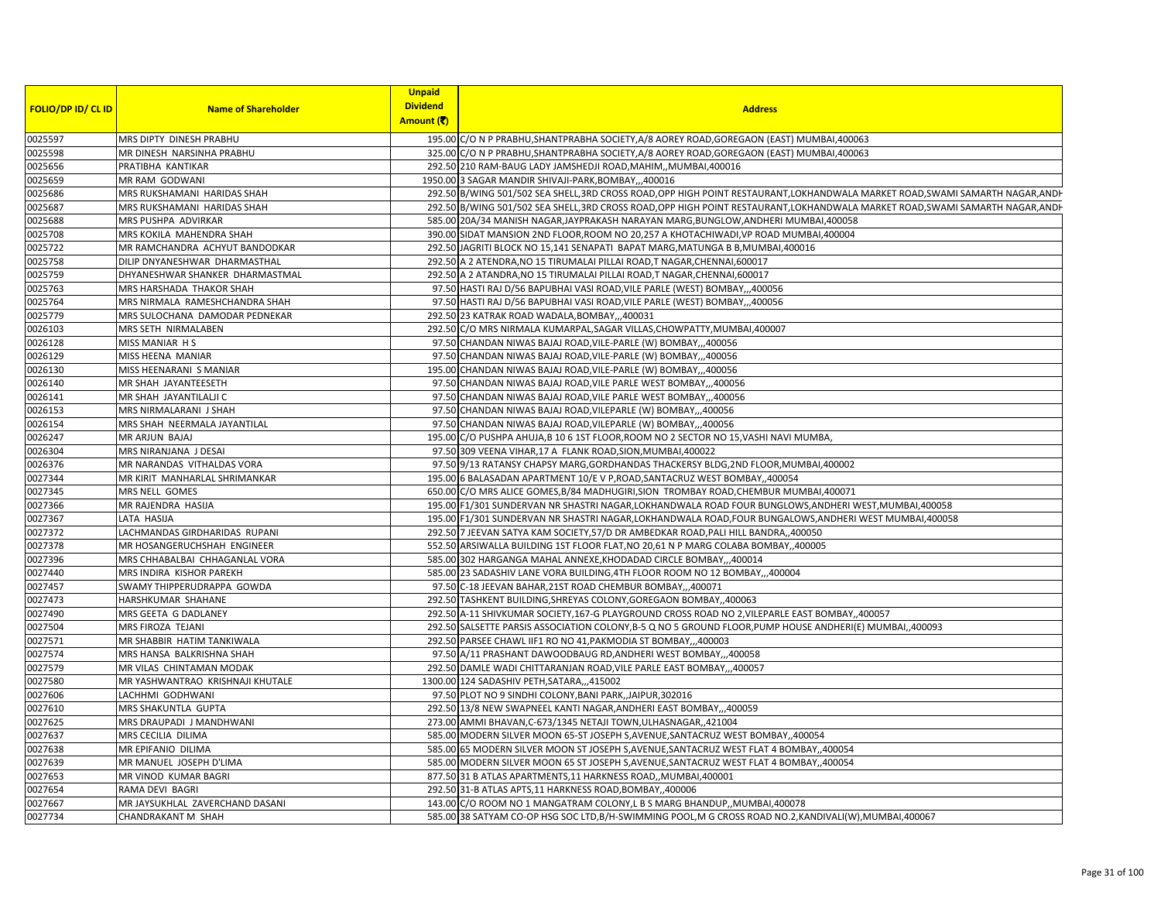|                           |                                  | <b>Unpaid</b>   |                                                                                                                           |
|---------------------------|----------------------------------|-----------------|---------------------------------------------------------------------------------------------------------------------------|
| <b>FOLIO/DP ID/ CL ID</b> | <b>Name of Shareholder</b>       | <b>Dividend</b> | <b>Address</b>                                                                                                            |
|                           |                                  | Amount (₹)      |                                                                                                                           |
| 0025597                   | MRS DIPTY DINESH PRABHU          |                 | 195.00 C/O N P PRABHU, SHANTPRABHA SOCIETY, A/8 AOREY ROAD, GOREGAON (EAST) MUMBAI, 400063                                |
| 0025598                   | MR DINESH NARSINHA PRABHU        |                 | 325.00 C/O N P PRABHU, SHANTPRABHA SOCIETY, A/8 AOREY ROAD, GOREGAON (EAST) MUMBAI, 400063                                |
| 0025656                   | PRATIBHA KANTIKAR                |                 | 292.50 210 RAM-BAUG LADY JAMSHEDJI ROAD, MAHIM, MUMBAI, 400016                                                            |
| 0025659                   | MR RAM GODWANI                   |                 | 1950.00 3 SAGAR MANDIR SHIVAJI-PARK, BOMBAY,, ,400016                                                                     |
| 0025686                   | MRS RUKSHAMANI HARIDAS SHAH      |                 | 292.50 B/WING 501/502 SEA SHELL,3RD CROSS ROAD,OPP HIGH POINT RESTAURANT,LOKHANDWALA MARKET ROAD,SWAMI SAMARTH NAGAR,ANDH |
| 0025687                   | MRS RUKSHAMANI HARIDAS SHAH      |                 | 292.50 B/WING 501/502 SEA SHELL,3RD CROSS ROAD,OPP HIGH POINT RESTAURANT,LOKHANDWALA MARKET ROAD,SWAMI SAMARTH NAGAR,ANDH |
| 0025688                   | MRS PUSHPA ADVIRKAR              |                 | 585.00 20A/34 MANISH NAGAR, JAYPRAKASH NARAYAN MARG, BUNGLOW, ANDHERI MUMBAI, 400058                                      |
| 0025708                   | MRS KOKILA MAHENDRA SHAH         |                 | 390.00 SIDAT MANSION 2ND FLOOR, ROOM NO 20,257 A KHOTACHIWADI, VP ROAD MUMBAI, 400004                                     |
| 0025722                   | MR RAMCHANDRA ACHYUT BANDODKAR   |                 | 292.50 JAGRITI BLOCK NO 15,141 SENAPATI BAPAT MARG, MATUNGA B B, MUMBAI, 400016                                           |
| 0025758                   | DILIP DNYANESHWAR DHARMASTHAL    |                 | 292.50 A 2 ATENDRA, NO 15 TIRUMALAI PILLAI ROAD, T NAGAR, CHENNAI, 600017                                                 |
| 0025759                   | DHYANESHWAR SHANKER DHARMASTMAL  |                 | 292.50 A 2 ATANDRA, NO 15 TIRUMALAI PILLAI ROAD, T NAGAR, CHENNAI, 600017                                                 |
| 0025763                   | <b>MRS HARSHADA THAKOR SHAH</b>  |                 | 97.50 HASTI RAJ D/56 BAPUBHAI VASI ROAD, VILE PARLE (WEST) BOMBAY,,,400056                                                |
| 0025764                   | MRS NIRMALA RAMESHCHANDRA SHAH   |                 | 97.50 HASTI RAJ D/56 BAPUBHAI VASI ROAD, VILE PARLE (WEST) BOMBAY,,,400056                                                |
| 0025779                   | MRS SULOCHANA DAMODAR PEDNEKAR   |                 | 292.50 23 KATRAK ROAD WADALA, BOMBAY,,,400031                                                                             |
| 0026103                   | MRS SETH NIRMALABEN              |                 | 292.50 C/O MRS NIRMALA KUMARPAL, SAGAR VILLAS, CHOWPATTY, MUMBAI, 400007                                                  |
| 0026128                   | MISS MANIAR HS                   |                 | 97.50 CHANDAN NIWAS BAJAJ ROAD, VILE-PARLE (W) BOMBAY,,,400056                                                            |
| 0026129                   | MISS HEENA MANIAR                |                 | 97.50 CHANDAN NIWAS BAJAJ ROAD, VILE-PARLE (W) BOMBAY,,,400056                                                            |
| 0026130                   | MISS HEENARANI S MANIAR          |                 | 195.00 CHANDAN NIWAS BAJAJ ROAD, VILE-PARLE (W) BOMBAY,,,400056                                                           |
| 0026140                   | MR SHAH JAYANTEESETH             |                 | 97.50 CHANDAN NIWAS BAJAJ ROAD, VILE PARLE WEST BOMBAY,,,400056                                                           |
| 0026141                   | MR SHAH JAYANTILALJI C           |                 | 97.50 CHANDAN NIWAS BAJAJ ROAD, VILE PARLE WEST BOMBAY,,,400056                                                           |
| 0026153                   | MRS NIRMALARANI J SHAH           |                 | 97.50 CHANDAN NIWAS BAJAJ ROAD, VILEPARLE (W) BOMBAY,,,400056                                                             |
| 0026154                   | MRS SHAH NEERMALA JAYANTILAL     |                 | 97.50 CHANDAN NIWAS BAJAJ ROAD, VILEPARLE (W) BOMBAY,,,400056                                                             |
| 0026247                   | <b>MR ARJUN BAJAJ</b>            |                 | 195.00 C/O PUSHPA AHUJA,B 10 6 1ST FLOOR, ROOM NO 2 SECTOR NO 15, VASHI NAVI MUMBA,                                       |
| 0026304                   | MRS NIRANJANA J DESAI            |                 | 97.50 309 VEENA VIHAR, 17 A FLANK ROAD, SION, MUMBAI, 400022                                                              |
| 0026376                   | MR NARANDAS VITHALDAS VORA       |                 | 97.50 9/13 RATANSY CHAPSY MARG, GORDHANDAS THACKERSY BLDG, 2ND FLOOR, MUMBAI, 400002                                      |
| 0027344                   | MR KIRIT MANHARLAL SHRIMANKAR    |                 | 195.00 6 BALASADAN APARTMENT 10/E V P, ROAD, SANTACRUZ WEST BOMBAY, 400054                                                |
| 0027345                   | MRS NELL GOMES                   |                 | 650.00 C/O MRS ALICE GOMES, B/84 MADHUGIRI, SION TROMBAY ROAD, CHEMBUR MUMBAI, 400071                                     |
| 0027366                   | MR RAJENDRA HASIJA               |                 | 195.00 F1/301 SUNDERVAN NR SHASTRI NAGAR, LOKHANDWALA ROAD FOUR BUNGLOWS, ANDHERI WEST, MUMBAI, 400058                    |
| 0027367                   | LATA HASIJA                      |                 | 195.00 F1/301 SUNDERVAN NR SHASTRI NAGAR,LOKHANDWALA ROAD,FOUR BUNGALOWS,ANDHERI WEST MUMBAI,400058                       |
| 0027372                   | LACHMANDAS GIRDHARIDAS RUPANI    |                 | 292.50 7 JEEVAN SATYA KAM SOCIETY.57/D DR AMBEDKAR ROAD.PALI HILL BANDRA400050                                            |
| 0027378                   | MR HOSANGERUCHSHAH ENGINEER      |                 | 552.50 ARSIWALLA BUILDING 1ST FLOOR FLAT, NO 20,61 N P MARG COLABA BOMBAY, 400005                                         |
| 0027396                   | MRS CHHABALBAI CHHAGANLAL VORA   |                 | 585.00 302 HARGANGA MAHAL ANNEXE, KHODADAD CIRCLE BOMBAY,,,400014                                                         |
| 0027440                   | MRS INDIRA KISHOR PAREKH         |                 | 585.00 23 SADASHIV LANE VORA BUILDING, 4TH FLOOR ROOM NO 12 BOMBAY,,,400004                                               |
| 0027457                   | SWAMY THIPPERUDRAPPA GOWDA       |                 | 97.50 C-18 JEEVAN BAHAR, 21ST ROAD CHEMBUR BOMBAY, ,,400071                                                               |
| 0027473                   | <b>HARSHKUMAR SHAHANE</b>        |                 | 292.50 TASHKENT BUILDING, SHREYAS COLONY, GOREGAON BOMBAY, 400063                                                         |
| 0027490                   | MRS GEETA G DADLANEY             |                 | 292.50 A-11 SHIVKUMAR SOCIETY, 167-G PLAYGROUND CROSS ROAD NO 2, VILEPARLE EAST BOMBAY, 400057                            |
| 0027504                   | MRS FIROZA TEJANI                |                 | 292.50 SALSETTE PARSIS ASSOCIATION COLONY, B-5 Q NO 5 GROUND FLOOR, PUMP HOUSE ANDHERI(E) MUMBAI, ,400093                 |
| 0027571                   | MR SHABBIR HATIM TANKIWALA       |                 | 292.50 PARSEE CHAWL IIF1 RO NO 41, PAKMODIA ST BOMBAY,, 400003                                                            |
| 0027574                   | MRS HANSA BALKRISHNA SHAH        |                 | 97.50 A/11 PRASHANT DAWOODBAUG RD, ANDHERI WEST BOMBAY,, 400058                                                           |
| 0027579                   | MR VILAS CHINTAMAN MODAK         |                 | 292.50 DAMLE WADI CHITTARANJAN ROAD, VILE PARLE EAST BOMBAY,,,400057                                                      |
| 0027580                   | MR YASHWANTRAO KRISHNAJI KHUTALE |                 | 1300.00 124 SADASHIV PETH, SATARA,,,415002                                                                                |
| 0027606                   | LACHHMI GODHWANI                 |                 | 97.50 PLOT NO 9 SINDHI COLONY, BANI PARK, JAIPUR, 302016                                                                  |
| 0027610                   | <b>MRS SHAKUNTLA GUPTA</b>       |                 | 292.50 13/8 NEW SWAPNEEL KANTI NAGAR, ANDHERI EAST BOMBAY,, 400059                                                        |
| 0027625                   | MRS DRAUPADI J MANDHWANI         |                 | 273.00 AMMI BHAVAN, C-673/1345 NETAJI TOWN, ULHASNAGAR, 421004                                                            |
| 0027637                   | MRS CECILIA DILIMA               |                 | 585.00 MODERN SILVER MOON 65-ST JOSEPH S, AVENUE, SANTACRUZ WEST BOMBAY, 400054                                           |
| 0027638                   | MR EPIFANIO DILIMA               |                 | 585.00 65 MODERN SILVER MOON ST JOSEPH S, AVENUE, SANTACRUZ WEST FLAT 4 BOMBAY, ,400054                                   |
| 0027639                   | MR MANUEL JOSEPH D'LIMA          |                 | 585.00 MODERN SILVER MOON 65 ST JOSEPH S, AVENUE, SANTACRUZ WEST FLAT 4 BOMBAY, 400054                                    |
| 0027653                   | MR VINOD KUMAR BAGRI             |                 | 877.50 31 B ATLAS APARTMENTS, 11 HARKNESS ROAD,, MUMBAI, 400001                                                           |
| 0027654                   | RAMA DEVI BAGRI                  |                 | 292.50 31-B ATLAS APTS, 11 HARKNESS ROAD, BOMBAY, ,400006                                                                 |
| 0027667                   | MR JAYSUKHLAL ZAVERCHAND DASANI  |                 | 143.00 C/O ROOM NO 1 MANGATRAM COLONY, L B S MARG BHANDUP,, MUMBAI, 400078                                                |
| 0027734                   | <b>CHANDRAKANT M SHAH</b>        |                 | 585.00 38 SATYAM CO-OP HSG SOC LTD, B/H-SWIMMING POOL, M G CROSS ROAD NO.2, KANDIVALI (W), MUMBAI, 400067                 |
|                           |                                  |                 |                                                                                                                           |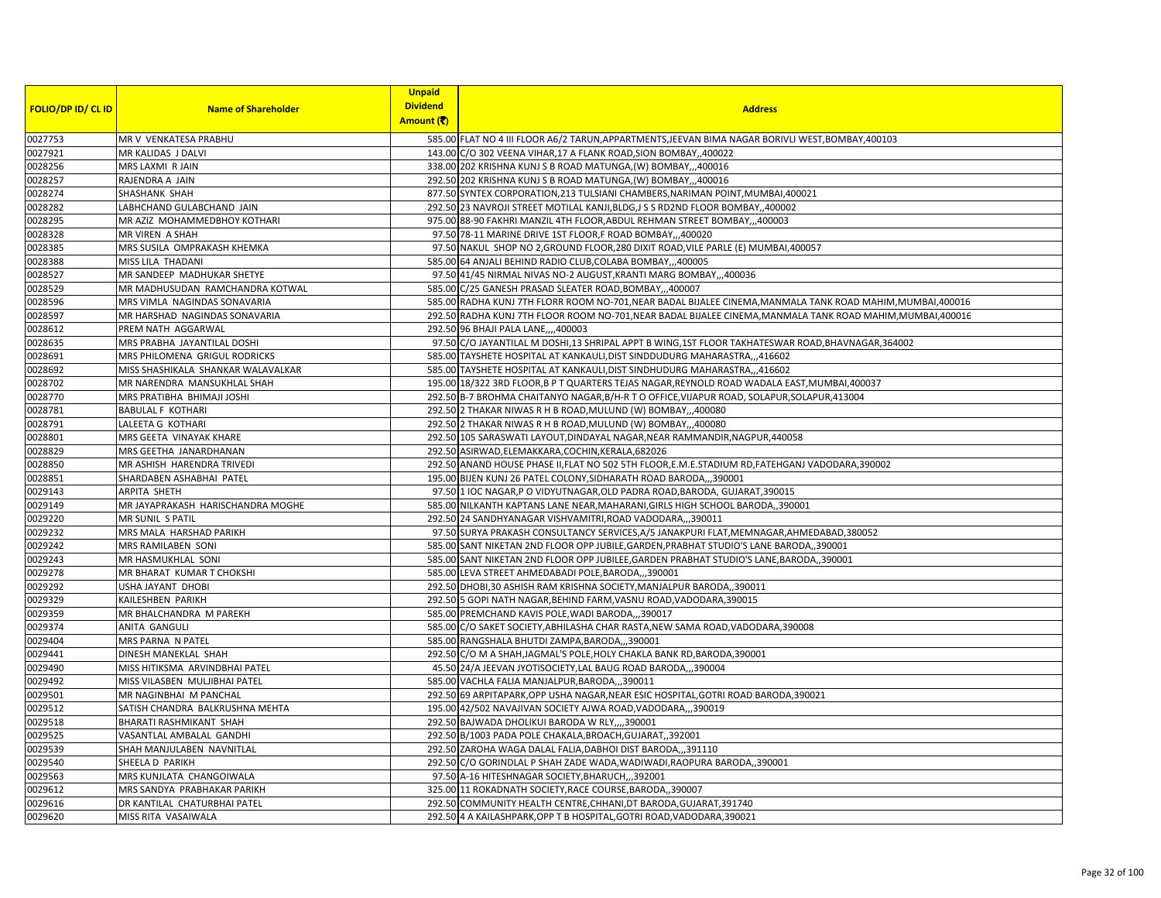| <b>FOLIO/DP ID/ CL ID</b> | <b>Name of Shareholder</b>         | <b>Unpaid</b><br><b>Dividend</b> | <b>Address</b>                                                                                              |
|---------------------------|------------------------------------|----------------------------------|-------------------------------------------------------------------------------------------------------------|
|                           |                                    | Amount (そ)                       |                                                                                                             |
| 0027753                   | MR V VENKATESA PRABHU              |                                  | 585.00 FLAT NO 4 III FLOOR A6/2 TARUN, APPARTMENTS, JEEVAN BIMA NAGAR BORIVLI WEST, BOMBAY, 400103          |
| 0027921                   | MR KALIDAS J DALVI                 |                                  | 143.00 C/O 302 VEENA VIHAR, 17 A FLANK ROAD, SION BOMBAY,, 400022                                           |
| 0028256                   | MRS LAXMI R JAIN                   |                                  | 338.00 202 KRISHNA KUNJ S B ROAD MATUNGA, (W) BOMBAY, ,,400016                                              |
| 0028257                   | RAJENDRA A JAIN                    |                                  | 292.50 202 KRISHNA KUNJ S B ROAD MATUNGA, (W) BOMBAY, , 400016                                              |
| 0028274                   | SHASHANK SHAH                      |                                  | 877.50 SYNTEX CORPORATION, 213 TULSIANI CHAMBERS, NARIMAN POINT, MUMBAI, 400021                             |
| 0028282                   | LABHCHAND GULABCHAND JAIN          |                                  | 292.50 23 NAVROJI STREET MOTILAL KANJI, BLDG, J S S RD2ND FLOOR BOMBAY, 400002                              |
| 0028295                   | MR AZIZ MOHAMMEDBHOY KOTHARI       |                                  | 975.00 88-90 FAKHRI MANZIL 4TH FLOOR, ABDUL REHMAN STREET BOMBAY, ,,400003                                  |
| 0028328                   | MR VIREN A SHAH                    |                                  | 97.50 78-11 MARINE DRIVE 1ST FLOOR,F ROAD BOMBAY,,,400020                                                   |
| 0028385                   | MRS SUSILA OMPRAKASH KHEMKA        |                                  | 97.50 NAKUL SHOP NO 2, GROUND FLOOR, 280 DIXIT ROAD, VILE PARLE (E) MUMBAI, 400057                          |
| 0028388                   | MISS LILA THADANI                  |                                  | 585.00 64 ANJALI BEHIND RADIO CLUB, COLABA BOMBAY,,,400005                                                  |
| 0028527                   | MR SANDEEP MADHUKAR SHETYE         |                                  | 97.50 41/45 NIRMAL NIVAS NO-2 AUGUST, KRANTI MARG BOMBAY,, 400036                                           |
| 0028529                   | MR MADHUSUDAN RAMCHANDRA KOTWAL    |                                  | 585.00 C/25 GANESH PRASAD SLEATER ROAD, BOMBAY,,,400007                                                     |
| 0028596                   | MRS VIMLA NAGINDAS SONAVARIA       |                                  | 585.00 RADHA KUNJ 7TH FLORR ROOM NO-701, NEAR BADAL BIJALEE CINEMA, MANMALA TANK ROAD MAHIM, MUMBAI, 400016 |
| 0028597                   | MR HARSHAD NAGINDAS SONAVARIA      |                                  | 292.50 RADHA KUNJ 7TH FLOOR ROOM NO-701, NEAR BADAL BIJALEE CINEMA, MANMALA TANK ROAD MAHIM, MUMBAI, 400016 |
| 0028612                   | PREM NATH AGGARWAL                 |                                  | 292.50 96 BHAJI PALA LANE,,,,400003                                                                         |
| 0028635                   | MRS PRABHA JAYANTILAL DOSHI        |                                  | 97.50 C/O JAYANTILAL M DOSHI,13 SHRIPAL APPT B WING,1ST FLOOR TAKHATESWAR ROAD,BHAVNAGAR,364002             |
| 0028691                   | MRS PHILOMENA GRIGUL RODRICKS      |                                  | 585.00 TAYSHETE HOSPITAL AT KANKAULI, DIST SINDDUDURG MAHARASTRA,,,416602                                   |
| 0028692                   | MISS SHASHIKALA SHANKAR WALAVALKAR |                                  | 585.00 TAYSHETE HOSPITAL AT KANKAULI, DIST SINDHUDURG MAHARASTRA,,,416602                                   |
| 0028702                   | MR NARENDRA MANSUKHLAL SHAH        |                                  | 195.00 18/322 3RD FLOOR, B P T QUARTERS TEJAS NAGAR, REYNOLD ROAD WADALA EAST, MUMBAI, 400037               |
| 0028770                   | MRS PRATIBHA BHIMAJI JOSHI         |                                  | 292.50 B-7 BROHMA CHAITANYO NAGAR, B/H-R T O OFFICE, VIJAPUR ROAD, SOLAPUR, SOLAPUR, 413004                 |
| 0028781                   | <b>BABULAL F KOTHARI</b>           |                                  | 292.50 2 THAKAR NIWAS R H B ROAD, MULUND (W) BOMBAY,,,400080                                                |
| 0028791                   | LALEETA G KOTHARI                  |                                  | 292.50 2 THAKAR NIWAS R H B ROAD, MULUND (W) BOMBAY, , 400080                                               |
| 0028801                   | MRS GEETA VINAYAK KHARE            |                                  | 292.50 105 SARASWATI LAYOUT, DINDAYAL NAGAR, NEAR RAMMANDIR, NAGPUR, 440058                                 |
| 0028829                   | MRS GEETHA JANARDHANAN             |                                  | 292.50 ASIRWAD, ELEMAKKARA, COCHIN, KERALA, 682026                                                          |
| 0028850                   | MR ASHISH HARENDRA TRIVEDI         |                                  | 292.50 ANAND HOUSE PHASE II, FLAT NO 502 5TH FLOOR, E.M. E. STADIUM RD, FATEHGANJ VADODARA, 390002          |
| 0028851                   | SHARDABEN ASHABHAI PATEL           |                                  | 195.00 BIJEN KUNJ 26 PATEL COLONY, SIDHARATH ROAD BARODA,,,390001                                           |
| 0029143                   | ARPITA SHETH                       |                                  | 97.50 1 IOC NAGAR, P O VIDYUTNAGAR, OLD PADRA ROAD, BARODA, GUJARAT, 390015                                 |
| 0029149                   | MR JAYAPRAKASH HARISCHANDRA MOGHE  |                                  | 585.00 NILKANTH KAPTANS LANE NEAR, MAHARANI, GIRLS HIGH SCHOOL BARODA,, 390001                              |
| 0029220                   | MR SUNIL S PATIL                   |                                  | 292.50 24 SANDHYANAGAR VISHVAMITRI, ROAD VADODARA,,,390011                                                  |
| 0029232                   | MRS MALA HARSHAD PARIKH            |                                  | 97.50 SURYA PRAKASH CONSULTANCY SERVICES, A/5 JANAKPURI FLAT, MEMNAGAR, AHMEDABAD, 380052                   |
| 0029242                   | MRS RAMILABEN SONI                 |                                  | 585.00 SANT NIKETAN 2ND FLOOR OPP JUBILE, GARDEN, PRABHAT STUDIO'S LANE BARODA,, 390001                     |
| 0029243                   | MR HASMUKHLAL SONI                 |                                  | 585.00 SANT NIKETAN 2ND FLOOR OPP JUBILEE, GARDEN PRABHAT STUDIO'S LANE, BARODA, ,390001                    |
| 0029278                   | MR BHARAT KUMAR T CHOKSHI          |                                  | 585.00 LEVA STREET AHMEDABADI POLE, BARODA,,,390001                                                         |
| 0029292                   | <b>USHA JAYANT DHOBI</b>           |                                  | 292.50 DHOBI,30 ASHISH RAM KRISHNA SOCIETY, MANJALPUR BARODA,,390011                                        |
| 0029329                   | KAILESHBEN PARIKH                  |                                  | 292.50 5 GOPI NATH NAGAR, BEHIND FARM, VASNU ROAD, VADODARA, 390015                                         |
| 0029359                   | MR BHALCHANDRA M PAREKH            |                                  | 585.00 PREMCHAND KAVIS POLE, WADI BARODA,,,390017                                                           |
| 0029374                   | ANITA GANGULI                      |                                  | 585.00 C/O SAKET SOCIETY, ABHILASHA CHAR RASTA, NEW SAMA ROAD, VADODARA, 390008                             |
| 0029404                   | MRS PARNA N PATEL                  |                                  | 585.00 RANGSHALA BHUTDI ZAMPA, BARODA,,,390001                                                              |
| 0029441                   | DINESH MANEKLAL SHAH               |                                  | 292.50 C/O M A SHAH, JAGMAL'S POLE, HOLY CHAKLA BANK RD, BARODA, 390001                                     |
| 0029490                   | MISS HITIKSMA ARVINDBHAI PATEL     |                                  | 45.50 24/A JEEVAN JYOTISOCIETY, LAL BAUG ROAD BARODA,,,390004                                               |
| 0029492                   | MISS VILASBEN MULJIBHAI PATEL      |                                  | 585.00 VACHLA FALIA MANJALPUR, BARODA,, 390011                                                              |
| 0029501                   | MR NAGINBHAI M PANCHAL             |                                  | 292.50 69 ARPITAPARK, OPP USHA NAGAR, NEAR ESIC HOSPITAL, GOTRI ROAD BARODA, 390021                         |
| 0029512                   | SATISH CHANDRA BALKRUSHNA MEHTA    |                                  | 195.00 42/502 NAVAJIVAN SOCIETY AJWA ROAD, VADODARA,,,390019                                                |
| 0029518                   | BHARATI RASHMIKANT SHAH            |                                  | 292.50 BAJWADA DHOLIKUI BARODA W RLY,,,,390001                                                              |
| 0029525                   | VASANTLAL AMBALAL GANDHI           |                                  | 292.50 B/1003 PADA POLE CHAKALA, BROACH, GUJARAT, ,392001                                                   |
| 0029539                   | SHAH MANJULABEN NAVNITLAL          |                                  | 292.50 ZAROHA WAGA DALAL FALIA, DABHOI DIST BARODA,, 391110                                                 |
| 0029540                   | SHEELA D PARIKH                    |                                  | 292.50 C/O GORINDLAL P SHAH ZADE WADA, WADIWADI, RAOPURA BARODA,, 390001                                    |
| 0029563                   | MRS KUNJLATA CHANGOIWALA           |                                  | 97.50 A-16 HITESHNAGAR SOCIETY, BHARUCH, ,, 392001                                                          |
| 0029612                   | MRS SANDYA PRABHAKAR PARIKH        |                                  | 325.00 11 ROKADNATH SOCIETY, RACE COURSE, BARODA,, 390007                                                   |
| 0029616                   | DR KANTILAL CHATURBHAI PATEL       |                                  | 292.50 COMMUNITY HEALTH CENTRE, CHHANI, DT BARODA, GUJARAT, 391740                                          |
| 0029620                   | MISS RITA VASAIWALA                |                                  | 292.50 4 A KAILASHPARK, OPP T B HOSPITAL, GOTRI ROAD, VADODARA, 390021                                      |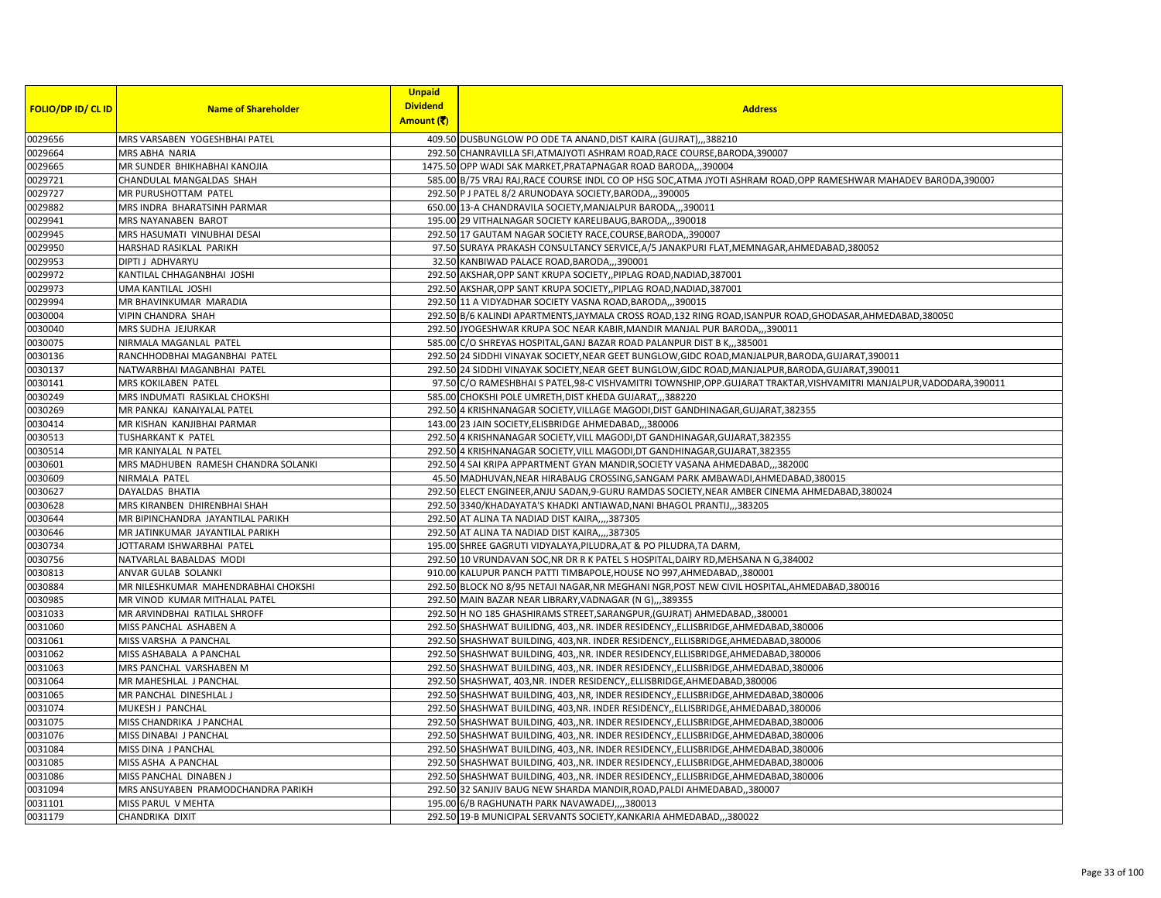|                           |                                     | <b>Unpaid</b>   |                                                                                                                     |
|---------------------------|-------------------------------------|-----------------|---------------------------------------------------------------------------------------------------------------------|
| <b>FOLIO/DP ID/ CL ID</b> | <b>Name of Shareholder</b>          | <b>Dividend</b> | <b>Address</b>                                                                                                      |
|                           |                                     | Amount (そ)      |                                                                                                                     |
| 0029656                   | MRS VARSABEN YOGESHBHAI PATEL       |                 | 409.50 DUSBUNGLOW PO ODE TA ANAND, DIST KAIRA (GUJRAT),,,388210                                                     |
| 0029664                   | <b>MRS ABHA NARIA</b>               |                 | 292.50 CHANRAVILLA SFI, ATMAJYOTI ASHRAM ROAD, RACE COURSE, BARODA, 390007                                          |
| 0029665                   | MR SUNDER BHIKHABHAI KANOJIA        |                 | 1475.50 OPP WADI SAK MARKET, PRATAPNAGAR ROAD BARODA,,,390004                                                       |
| 0029721                   | CHANDULAL MANGALDAS SHAH            |                 | 585.00 B/75 VRAJ RAJ, RACE COURSE INDL CO OP HSG SOC, ATMA JYOTI ASHRAM ROAD, OPP RAMESHWAR MAHADEV BARODA, 390007  |
| 0029727                   | MR PURUSHOTTAM PATEL                |                 | 292.50 P J PATEL 8/2 ARUNODAYA SOCIETY, BARODA,, 390005                                                             |
| 0029882                   | MRS INDRA BHARATSINH PARMAR         |                 | 650.00 13-A CHANDRAVILA SOCIETY, MANJALPUR BARODA,, 390011                                                          |
| 0029941                   | MRS NAYANABEN BAROT                 |                 | 195.00 29 VITHALNAGAR SOCIETY KARELIBAUG, BARODA,, 390018                                                           |
| 0029945                   | MRS HASUMATI VINUBHAI DESAI         |                 | 292.50 17 GAUTAM NAGAR SOCIETY RACE, COURSE, BARODA,, 390007                                                        |
| 0029950                   | HARSHAD RASIKLAL PARIKH             |                 | 97.50 SURAYA PRAKASH CONSULTANCY SERVICE, A/5 JANAKPURI FLAT, MEMNAGAR, AHMEDABAD, 380052                           |
| 0029953                   | DIPTI J ADHVARYU                    |                 | 32.50 KANBIWAD PALACE ROAD, BARODA,,, 390001                                                                        |
| 0029972                   | KANTILAL CHHAGANBHAI JOSHI          |                 | 292.50 AKSHAR, OPP SANT KRUPA SOCIETY, , PIPLAG ROAD, NADIAD, 387001                                                |
| 0029973                   | <b>UMA KANTILAL JOSHI</b>           |                 | 292.50 AKSHAR, OPP SANT KRUPA SOCIETY, PIPLAG ROAD, NADIAD, 387001                                                  |
| 0029994                   | MR BHAVINKUMAR MARADIA              |                 | 292.50 11 A VIDYADHAR SOCIETY VASNA ROAD, BARODA,,,390015                                                           |
| 0030004                   | <b>VIPIN CHANDRA SHAH</b>           |                 | 292.50 B/6 KALINDI APARTMENTS, JAYMALA CROSS ROAD, 132 RING ROAD, ISANPUR ROAD, GHODASAR, AHMEDABAD, 380050         |
| 0030040                   | MRS SUDHA JEJURKAR                  |                 | 292.50 JYOGESHWAR KRUPA SOC NEAR KABIR, MANDIR MANJAL PUR BARODA,,,390011                                           |
| 0030075                   | NIRMALA MAGANLAL PATEL              |                 | 585.00 C/O SHREYAS HOSPITAL, GANJ BAZAR ROAD PALANPUR DIST B K,,,385001                                             |
| 0030136                   | RANCHHODBHAI MAGANBHAI PATEL        |                 | 292.50 24 SIDDHI VINAYAK SOCIETY, NEAR GEET BUNGLOW, GIDC ROAD, MANJALPUR, BARODA, GUJARAT, 390011                  |
| 0030137                   | NATWARBHAI MAGANBHAI PATEL          |                 | 292.50 24 SIDDHI VINAYAK SOCIETY, NEAR GEET BUNGLOW, GIDC ROAD, MANJALPUR, BARODA, GUJARAT, 390011                  |
| 0030141                   | MRS KOKILABEN PATEL                 |                 | 97.50 C/O RAMESHBHAI S PATEL,98-C VISHVAMITRI TOWNSHIP,OPP.GUJARAT TRAKTAR, VISHVAMITRI MANJALPUR, VADODARA, 390011 |
| 0030249                   | MRS INDUMATI RASIKLAL CHOKSHI       |                 | 585.00 CHOKSHI POLE UMRETH, DIST KHEDA GUJARAT,,,388220                                                             |
| 0030269                   | MR PANKAJ KANAIYALAL PATEL          |                 | 292.50 4 KRISHNANAGAR SOCIETY, VILLAGE MAGODI, DIST GANDHINAGAR, GUJARAT, 382355                                    |
| 0030414                   | MR KISHAN KANJIBHAI PARMAR          |                 | 143.00 23 JAIN SOCIETY, ELISBRIDGE AHMEDABAD, 380006                                                                |
| 0030513                   | TUSHARKANT K PATEL                  |                 | 292.50 4 KRISHNANAGAR SOCIETY, VILL MAGODI, DT GANDHINAGAR, GUJARAT, 382355                                         |
| 0030514                   | MR KANIYALAL N PATEL                |                 | 292.50 4 KRISHNANAGAR SOCIETY, VILL MAGODI, DT GANDHINAGAR, GUJARAT, 382355                                         |
| 0030601                   | MRS MADHUBEN RAMESH CHANDRA SOLANKI |                 | 292.50 4 SAI KRIPA APPARTMENT GYAN MANDIR, SOCIETY VASANA AHMEDABAD,,,382000                                        |
| 0030609                   | NIRMALA PATEL                       |                 | 45.50 MADHUVAN, NEAR HIRABAUG CROSSING, SANGAM PARK AMBAWADI, AHMEDABAD, 380015                                     |
| 0030627                   | DAYALDAS BHATIA                     |                 | 292.50 ELECT ENGINEER, ANJU SADAN, 9-GURU RAMDAS SOCIETY, NEAR AMBER CINEMA AHMEDABAD, 380024                       |
| 0030628                   | MRS KIRANBEN DHIRENBHAI SHAH        |                 | 292.50 3340/KHADAYATA'S KHADKI ANTIAWAD, NANI BHAGOL PRANTIJ,, 383205                                               |
| 0030644                   | MR BIPINCHANDRA JAYANTILAL PARIKH   |                 | 292.50 AT ALINA TA NADIAD DIST KAIRA,,,,387305                                                                      |
| 0030646                   | MR JATINKUMAR JAYANTILAL PARIKH     |                 | 292.50 AT ALINA TA NADIAD DIST KAIRA,,,,387305                                                                      |
| 0030734                   | JOTTARAM ISHWARBHAI PATEL           |                 | 195.00 SHREE GAGRUTI VIDYALAYA, PILUDRA, AT & PO PILUDRA, TA DARM,                                                  |
| 0030756                   | NATVARLAL BABALDAS MODI             |                 | 292.50 10 VRUNDAVAN SOC, NR DR R K PATEL S HOSPITAL, DAIRY RD, MEHSANA N G, 384002                                  |
| 0030813                   | <b>ANVAR GULAB SOLANKI</b>          |                 | 910.00 KALUPUR PANCH PATTI TIMBAPOLE, HOUSE NO 997, AHMEDABAD, 380001                                               |
| 0030884                   | MR NILESHKUMAR MAHENDRABHAI CHOKSHI |                 | 292.50 BLOCK NO 8/95 NETAJI NAGAR, NR MEGHANI NGR, POST NEW CIVIL HOSPITAL, AHMEDABAD, 380016                       |
| 0030985                   | MR VINOD KUMAR MITHALAL PATEL       |                 | 292.50 MAIN BAZAR NEAR LIBRARY, VADNAGAR (N G),,,389355                                                             |
| 0031033                   | MR ARVINDBHAI RATILAL SHROFF        |                 | 292.50 H NO 185 GHASHIRAMS STREET, SARANGPUR, (GUJRAT) AHMEDABAD, 380001                                            |
| 0031060                   | MISS PANCHAL ASHABEN A              |                 | 292.50 SHASHWAT BUILIDNG, 403,,NR. INDER RESIDENCY,,ELLISBRIDGE,AHMEDABAD,380006                                    |
| 0031061                   | MISS VARSHA A PANCHAL               |                 | 292.50 SHASHWAT BUILDING, 403, NR. INDER RESIDENCY, ELLISBRIDGE, AHMEDABAD, 380006                                  |
| 0031062                   | MISS ASHABALA A PANCHAL             |                 | 292.50 SHASHWAT BUILDING, 403,,NR. INDER RESIDENCY, ELLISBRIDGE, AHMEDABAD, 380006                                  |
| 0031063                   | MRS PANCHAL VARSHABEN M             |                 | 292.50 SHASHWAT BUILDING, 403,, NR. INDER RESIDENCY, ELLISBRIDGE, AHMEDABAD, 380006                                 |
| 0031064                   | MR MAHESHLAL J PANCHAL              |                 | 292.50 SHASHWAT, 403, NR. INDER RESIDENCY, ELLISBRIDGE, AHMEDABAD, 380006                                           |
| 0031065                   | MR PANCHAL DINESHLAL J              |                 | 292.50 SHASHWAT BUILDING, 403, NR, INDER RESIDENCY, ELLISBRIDGE, AHMEDABAD, 380006                                  |
| 0031074                   | MUKESH J PANCHAL                    |                 | 292.50 SHASHWAT BUILDING, 403, NR. INDER RESIDENCY, ELLISBRIDGE, AHMEDABAD, 380006                                  |
| 0031075                   | MISS CHANDRIKA J PANCHAL            |                 | 292.50 SHASHWAT BUILDING, 403,, NR. INDER RESIDENCY, ELLISBRIDGE, AHMEDABAD, 380006                                 |
| 0031076                   | MISS DINABAI J PANCHAL              |                 | 292.50 SHASHWAT BUILDING, 403,, NR. INDER RESIDENCY, ELLISBRIDGE, AHMEDABAD, 380006                                 |
| 0031084                   | MISS DINA J PANCHAL                 |                 | 292.50 SHASHWAT BUILDING, 403, NR. INDER RESIDENCY, ELLISBRIDGE, AHMEDABAD, 380006                                  |
| 0031085                   | MISS ASHA A PANCHAL                 |                 | 292.50 SHASHWAT BUILDING, 403, NR. INDER RESIDENCY, ELLISBRIDGE, AHMEDABAD, 380006                                  |
| 0031086                   | MISS PANCHAL DINABEN J              |                 | 292.50 SHASHWAT BUILDING, 403,, NR. INDER RESIDENCY, ELLISBRIDGE, AHMEDABAD, 380006                                 |
| 0031094                   | MRS ANSUYABEN PRAMODCHANDRA PARIKH  |                 | 292.50 32 SANJIV BAUG NEW SHARDA MANDIR, ROAD, PALDI AHMEDABAD,, 380007                                             |
| 0031101                   | MISS PARUL V MEHTA                  |                 | 195.00 6/B RAGHUNATH PARK NAVAWADEJ,,,,380013                                                                       |
| 0031179                   | CHANDRIKA DIXIT                     |                 | 292.50 19-B MUNICIPAL SERVANTS SOCIETY, KANKARIA AHMEDABAD,,,380022                                                 |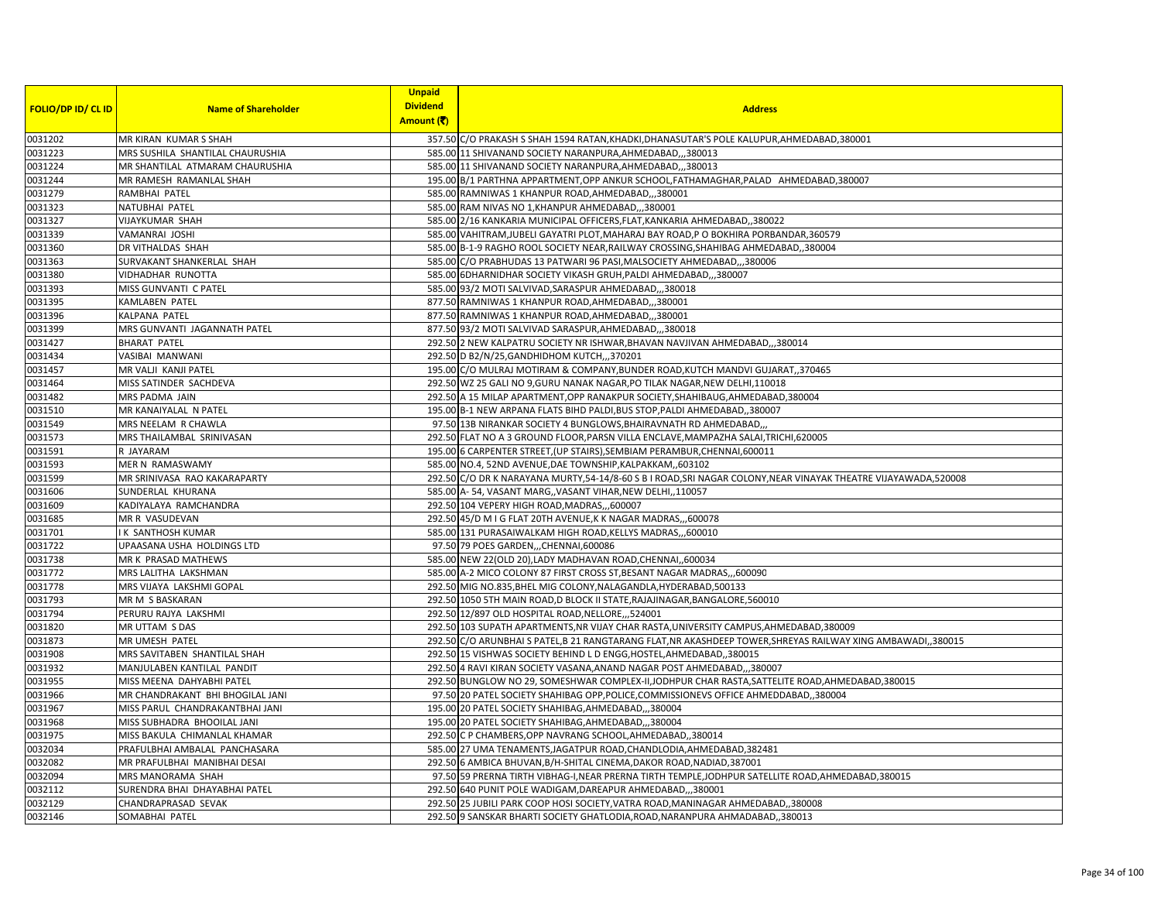|                           |                                  | <b>Unpaid</b>   |                                                                                                                 |
|---------------------------|----------------------------------|-----------------|-----------------------------------------------------------------------------------------------------------------|
| <b>FOLIO/DP ID/ CL ID</b> | <b>Name of Shareholder</b>       | <b>Dividend</b> | <b>Address</b>                                                                                                  |
|                           |                                  | Amount (そ)      |                                                                                                                 |
| 0031202                   | MR KIRAN KUMAR S SHAH            |                 | 357.50 C/O PRAKASH S SHAH 1594 RATAN, KHADKI, DHANASUTAR'S POLE KALUPUR, AHMEDABAD, 380001                      |
| 0031223                   | MRS SUSHILA SHANTILAL CHAURUSHIA |                 | 585.00 11 SHIVANAND SOCIETY NARANPURA, AHMEDABAD,,,380013                                                       |
| 0031224                   | MR SHANTILAL ATMARAM CHAURUSHIA  |                 | 585.00 11 SHIVANAND SOCIETY NARANPURA, AHMEDABAD,, 380013                                                       |
| 0031244                   | MR RAMESH RAMANLAL SHAH          |                 | 195.00 B/1 PARTHNA APPARTMENT, OPP ANKUR SCHOOL, FATHAMAGHAR, PALAD AHMEDABAD, 380007                           |
| 0031279                   | RAMBHAI PATEL                    |                 | 585.00 RAMNIWAS 1 KHANPUR ROAD, AHMEDABAD,, 380001                                                              |
| 0031323                   | NATUBHAI PATEL                   |                 | 585.00 RAM NIVAS NO 1, KHANPUR AHMEDABAD,,,380001                                                               |
| 0031327                   | <b>VIJAYKUMAR SHAH</b>           |                 | 585.00 2/16 KANKARIA MUNICIPAL OFFICERS, FLAT, KANKARIA AHMEDABAD, ,380022                                      |
| 0031339                   | VAMANRAI JOSHI                   |                 | 585.00 VAHITRAM, JUBELI GAYATRI PLOT, MAHARAJ BAY ROAD, PO BOKHIRA PORBANDAR, 360579                            |
| 0031360                   | DR VITHALDAS SHAH                |                 | 585.00 B-1-9 RAGHO ROOL SOCIETY NEAR, RAILWAY CROSSING, SHAHIBAG AHMEDABAD, 380004                              |
| 0031363                   | SURVAKANT SHANKERLAL SHAH        |                 | 585.00 C/O PRABHUDAS 13 PATWARI 96 PASI, MALSOCIETY AHMEDABAD,, 380006                                          |
| 0031380                   | VIDHADHAR RUNOTTA                |                 | 585.00 6DHARNIDHAR SOCIETY VIKASH GRUH, PALDI AHMEDABAD,,,380007                                                |
| 0031393                   | MISS GUNVANTI C PATEL            |                 | 585.00 93/2 MOTI SALVIVAD, SARASPUR AHMEDABAD380018                                                             |
| 0031395                   | <b>KAMLABEN PATEL</b>            |                 | 877.50 RAMNIWAS 1 KHANPUR ROAD, AHMEDABAD, ,, 380001                                                            |
| 0031396                   | <b>KALPANA PATEL</b>             |                 | 877.50 RAMNIWAS 1 KHANPUR ROAD, AHMEDABAD,, 380001                                                              |
| 0031399                   | MRS GUNVANTI JAGANNATH PATEL     |                 | 877.50 93/2 MOTI SALVIVAD SARASPUR, AHMEDABAD,, ,380018                                                         |
| 0031427                   | <b>BHARAT PATEL</b>              |                 | 292.50 2 NEW KALPATRU SOCIETY NR ISHWAR, BHAVAN NAVJIVAN AHMEDABAD,,,380014                                     |
| 0031434                   | VASIBAI MANWANI                  |                 | 292.50 D B2/N/25, GANDHIDHOM KUTCH, ,,370201                                                                    |
| 0031457                   | MR VALJI KANJI PATEL             |                 | 195.00 C/O MULRAJ MOTIRAM & COMPANY, BUNDER ROAD, KUTCH MANDVI GUJARAT, 370465                                  |
| 0031464                   | MISS SATINDER SACHDEVA           |                 | 292.50 WZ 25 GALI NO 9,GURU NANAK NAGAR, PO TILAK NAGAR, NEW DELHI, 110018                                      |
| 0031482                   | MRS PADMA JAIN                   |                 | 292.50 A 15 MILAP APARTMENT, OPP RANAKPUR SOCIETY, SHAHIBAUG, AHMEDABAD, 380004                                 |
| 0031510                   | MR KANAIYALAL N PATEL            |                 | 195.00 B-1 NEW ARPANA FLATS BIHD PALDI, BUS STOP, PALDI AHMEDABAD, 380007                                       |
| 0031549                   | MRS NEELAM R CHAWLA              |                 | 97.50 13B NIRANKAR SOCIETY 4 BUNGLOWS, BHAIRAVNATH RD AHMEDABAD,                                                |
| 0031573                   | MRS THAILAMBAL SRINIVASAN        |                 | 292.50 FLAT NO A 3 GROUND FLOOR, PARSN VILLA ENCLAVE, MAMPAZHA SALAI, TRICHI, 620005                            |
| 0031591                   | R JAYARAM                        |                 | 195.00 6 CARPENTER STREET, (UP STAIRS), SEMBIAM PERAMBUR, CHENNAI, 600011                                       |
| 0031593                   | MER N RAMASWAMY                  |                 | 585.00 NO.4, 52ND AVENUE, DAE TOWNSHIP, KALPAKKAM, ,603102                                                      |
| 0031599                   | MR SRINIVASA RAO KAKARAPARTY     |                 | 292.50 C/O DR K NARAYANA MURTY,54-14/8-60 S B I ROAD, SRI NAGAR COLONY, NEAR VINAYAK THEATRE VIJAYAWADA, 520008 |
| 0031606                   | SUNDERLAL KHURANA                |                 | 585.00 A-54, VASANT MARG, VASANT VIHAR, NEW DELHI, 110057                                                       |
| 0031609                   | KADIYALAYA RAMCHANDRA            |                 | 292.50 104 VEPERY HIGH ROAD, MADRAS, ,,600007                                                                   |
| 0031685                   | MR R VASUDEVAN                   |                 | 292.50 45/D M I G FLAT 20TH AVENUE, K K NAGAR MADRAS, ,,600078                                                  |
| 0031701                   | I K SANTHOSH KUMAR               |                 | 585.00 131 PURASAIWALKAM HIGH ROAD, KELLYS MADRAS,,,600010                                                      |
| 0031722                   | UPAASANA USHA HOLDINGS LTD       |                 | 97.50 79 POES GARDEN, , CHENNAI, 600086                                                                         |
| 0031738                   | MR K PRASAD MATHEWS              |                 | 585.00 NEW 22(OLD 20), LADY MADHAVAN ROAD, CHENNAI, ,600034                                                     |
| 0031772                   | MRS LALITHA LAKSHMAN             |                 | 585.00 A-2 MICO COLONY 87 FIRST CROSS ST, BESANT NAGAR MADRAS,,,600090                                          |
| 0031778                   | MRS VIJAYA LAKSHMI GOPAL         |                 | 292.50 MIG NO.835, BHEL MIG COLONY, NALAGANDLA, HYDERABAD, 500133                                               |
| 0031793                   | MR M S BASKARAN                  |                 | 292.50 1050 5TH MAIN ROAD, D BLOCK II STATE, RAJAJINAGAR, BANGALORE, 560010                                     |
| 0031794                   | PERURU RAJYA LAKSHMI             |                 | 292.50 12/897 OLD HOSPITAL ROAD, NELLORE, ,,524001                                                              |
| 0031820                   | MR UTTAM S DAS                   |                 | 292.50 103 SUPATH APARTMENTS, NR VIJAY CHAR RASTA, UNIVERSITY CAMPUS, AHMEDABAD, 380009                         |
| 0031873                   | MR UMESH PATEL                   |                 | 292.50 C/O ARUNBHAI S PATEL,B 21 RANGTARANG FLAT, NR AKASHDEEP TOWER, SHREYAS RAILWAY XING AMBAWADI, 380015     |
| 0031908                   | MRS SAVITABEN SHANTILAL SHAH     |                 | 292.50 15 VISHWAS SOCIETY BEHIND L D ENGG, HOSTEL, AHMEDABAD, 380015                                            |
| 0031932                   | MANJULABEN KANTILAL PANDIT       |                 | 292.50 4 RAVI KIRAN SOCIETY VASANA, ANAND NAGAR POST AHMEDABAD,,,380007                                         |
| 0031955                   | MISS MEENA DAHYABHI PATEL        |                 | 292.50 BUNGLOW NO 29, SOMESHWAR COMPLEX-II, JODHPUR CHAR RASTA, SATTELITE ROAD, AHMEDABAD, 380015               |
| 0031966                   | MR CHANDRAKANT BHI BHOGILAL JANI |                 | 97.50 20 PATEL SOCIETY SHAHIBAG OPP, POLICE, COMMISSIONEVS OFFICE AHMEDDABAD, 380004                            |
| 0031967                   | MISS PARUL CHANDRAKANTBHAI JANI  |                 | 195.00 20 PATEL SOCIETY SHAHIBAG, AHMEDABAD,, ,380004                                                           |
| 0031968                   | MISS SUBHADRA BHOOILAL JANI      |                 | 195.00 20 PATEL SOCIETY SHAHIBAG, AHMEDABAD,, 380004                                                            |
| 0031975                   | MISS BAKULA CHIMANLAL KHAMAR     |                 | 292.50 C P CHAMBERS, OPP NAVRANG SCHOOL, AHMEDABAD, ,380014                                                     |
| 0032034                   | PRAFULBHAI AMBALAL PANCHASARA    |                 | 585.00 27 UMA TENAMENTS, JAGATPUR ROAD, CHANDLODIA, AHMEDABAD, 382481                                           |
| 0032082                   | MR PRAFULBHAI MANIBHAI DESAI     |                 | 292.50 6 AMBICA BHUVAN, B/H-SHITAL CINEMA, DAKOR ROAD, NADIAD, 387001                                           |
| 0032094                   | MRS MANORAMA SHAH                |                 | 97.50 59 PRERNA TIRTH VIBHAG-I, NEAR PRERNA TIRTH TEMPLE, JODHPUR SATELLITE ROAD, AHMEDABAD, 380015             |
| 0032112                   | SURENDRA BHAI DHAYABHAI PATEL    |                 | 292.50 640 PUNIT POLE WADIGAM, DAREAPUR AHMEDABAD,, 380001                                                      |
| 0032129                   | CHANDRAPRASAD SEVAK              |                 | 292.50 25 JUBILI PARK COOP HOSI SOCIETY, VATRA ROAD, MANINAGAR AHMEDABAD,, 380008                               |
| 0032146                   | SOMABHAI PATEL                   |                 | 292.50 9 SANSKAR BHARTI SOCIETY GHATLODIA, ROAD, NARANPURA AHMADABAD, 380013                                    |
|                           |                                  |                 |                                                                                                                 |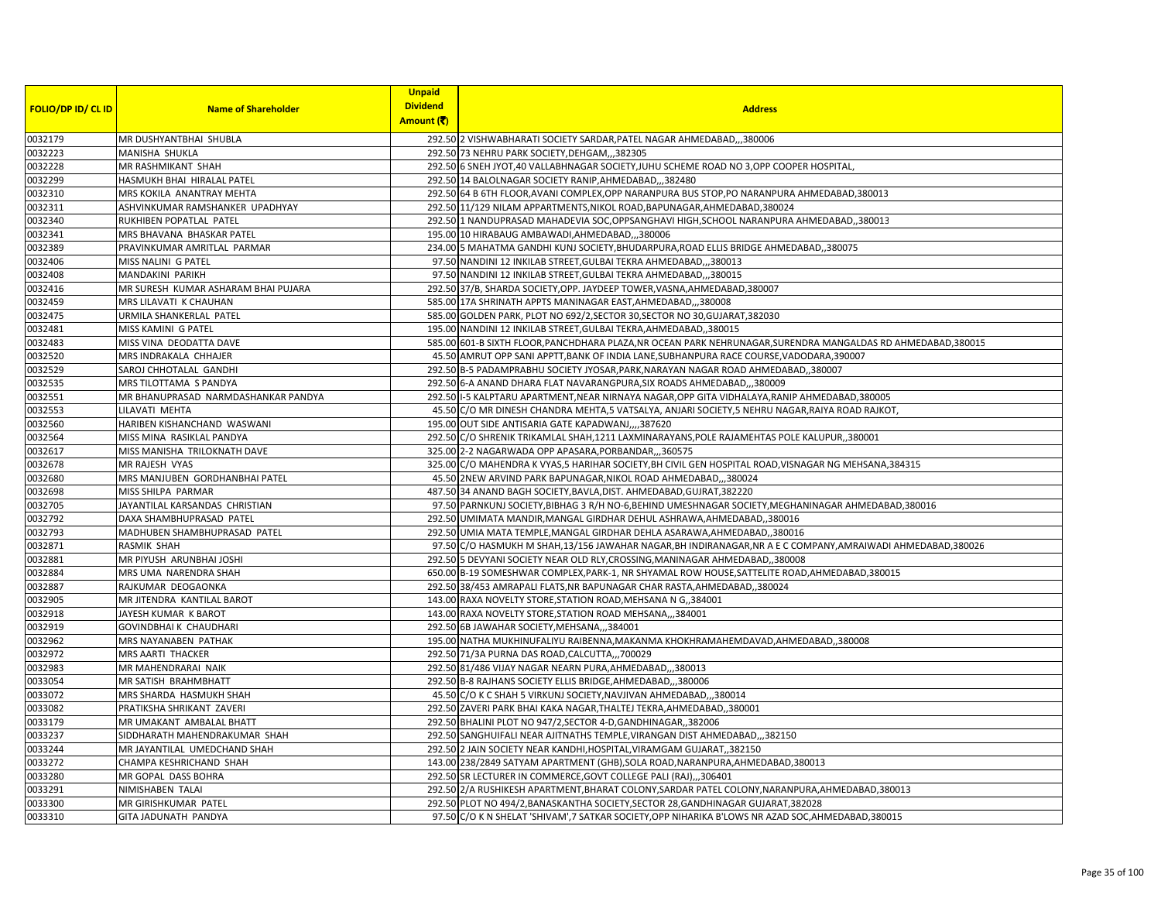|                           |                                     | <b>Unpaid</b>   |                                                                                                               |
|---------------------------|-------------------------------------|-----------------|---------------------------------------------------------------------------------------------------------------|
| <b>FOLIO/DP ID/ CL ID</b> | <b>Name of Shareholder</b>          | <b>Dividend</b> | <b>Address</b>                                                                                                |
|                           |                                     | Amount (そ)      |                                                                                                               |
| 0032179                   | MR DUSHYANTBHAI SHUBLA              |                 | 292.50 2 VISHWABHARATI SOCIETY SARDAR, PATEL NAGAR AHMEDABAD,,,380006                                         |
| 0032223                   | MANISHA SHUKLA                      |                 | 292.50 73 NEHRU PARK SOCIETY, DEHGAM, ,, 382305                                                               |
| 0032228                   | MR RASHMIKANT SHAH                  |                 | 292.50 6 SNEH JYOT,40 VALLABHNAGAR SOCIETY, JUHU SCHEME ROAD NO 3, OPP COOPER HOSPITAL                        |
| 0032299                   | HASMUKH BHAI HIRALAL PATEL          |                 | 292.50 14 BALOLNAGAR SOCIETY RANIP, AHMEDABAD,, ,382480                                                       |
| 0032310                   | MRS KOKILA ANANTRAY MEHTA           |                 | 292.50 64 B 6TH FLOOR, AVANI COMPLEX, OPP NARANPURA BUS STOP, PO NARANPURA AHMEDABAD, 380013                  |
| 0032311                   | ASHVINKUMAR RAMSHANKER UPADHYAY     |                 | 292.50 11/129 NILAM APPARTMENTS, NIKOL ROAD, BAPUNAGAR, AHMEDABAD, 380024                                     |
| 0032340                   | RUKHIBEN POPATLAL PATEL             |                 | 292.50 1 NANDUPRASAD MAHADEVIA SOC, OPPSANGHAVI HIGH, SCHOOL NARANPURA AHMEDABAD, ,380013                     |
| 0032341                   | MRS BHAVANA BHASKAR PATEL           |                 | 195.00 10 HIRABAUG AMBAWADI, AHMEDABAD,, 380006                                                               |
| 0032389                   | PRAVINKUMAR AMRITLAL PARMAR         |                 | 234.00 5 MAHATMA GANDHI KUNJ SOCIETY, BHUDARPURA, ROAD ELLIS BRIDGE AHMEDABAD, ,380075                        |
| 0032406                   | MISS NALINI G PATEL                 |                 | 97.50 NANDINI 12 INKILAB STREET, GULBAI TEKRA AHMEDABAD,,,380013                                              |
| 0032408                   | MANDAKINI PARIKH                    |                 | 97.50 NANDINI 12 INKILAB STREET, GULBAI TEKRA AHMEDABAD,,,380015                                              |
| 0032416                   | MR SURESH KUMAR ASHARAM BHAI PUJARA |                 | 292.50 37/B, SHARDA SOCIETY, OPP. JAYDEEP TOWER, VASNA, AHMEDABAD, 380007                                     |
| 0032459                   | MRS LILAVATI K CHAUHAN              |                 | 585.00 17A SHRINATH APPTS MANINAGAR EAST, AHMEDABAD,, 380008                                                  |
| 0032475                   | URMILA SHANKERLAL PATEL             |                 | 585.00 GOLDEN PARK, PLOT NO 692/2, SECTOR 30, SECTOR NO 30, GUJARAT, 382030                                   |
| 0032481                   | MISS KAMINI G PATEL                 |                 | 195.00 NANDINI 12 INKILAB STREET, GULBAI TEKRA, AHMEDABAD,, 380015                                            |
| 0032483                   | MISS VINA DEODATTA DAVE             |                 | 585.00 601-B SIXTH FLOOR, PANCHDHARA PLAZA, NR OCEAN PARK NEHRUNAGAR, SURENDRA MANGALDAS RD AHMEDABAD, 380015 |
| 0032520                   | MRS INDRAKALA CHHAJER               |                 | 45.50 AMRUT OPP SANI APPTT, BANK OF INDIA LANE, SUBHANPURA RACE COURSE, VADODARA, 390007                      |
| 0032529                   | SAROJ CHHOTALAL GANDHI              |                 | 292.50 B-5 PADAMPRABHU SOCIETY JYOSAR, PARK, NARAYAN NAGAR ROAD AHMEDABAD, 380007                             |
| 0032535                   | MRS TILOTTAMA S PANDYA              |                 | 292.50 6-A ANAND DHARA FLAT NAVARANGPURA, SIX ROADS AHMEDABAD,,,380009                                        |
| 0032551                   | MR BHANUPRASAD NARMDASHANKAR PANDYA |                 | 292.50 I-5 KALPTARU APARTMENT, NEAR NIRNAYA NAGAR, OPP GITA VIDHALAYA, RANIP AHMEDABAD, 380005                |
| 0032553                   | LILAVATI MEHTA                      |                 | 45.50 C/O MR DINESH CHANDRA MEHTA,5 VATSALYA, ANJARI SOCIETY,5 NEHRU NAGAR, RAIYA ROAD RAJKOT,                |
| 0032560                   | HARIBEN KISHANCHAND WASWANI         |                 | 195.00 OUT SIDE ANTISARIA GATE KAPADWANJ,,,,387620                                                            |
| 0032564                   | MISS MINA RASIKLAL PANDYA           |                 | 292.50 C/O SHRENIK TRIKAMLAL SHAH, 1211 LAXMINARAYANS, POLE RAJAMEHTAS POLE KALUPUR, 380001                   |
| 0032617                   | MISS MANISHA TRILOKNATH DAVE        |                 | 325.00 2-2 NAGARWADA OPP APASARA, PORBANDAR,,,360575                                                          |
| 0032678                   | MR RAJESH VYAS                      |                 | 325.00 C/O MAHENDRA K VYAS,5 HARIHAR SOCIETY, BH CIVIL GEN HOSPITAL ROAD, VISNAGAR NG MEHSANA, 384315         |
| 0032680                   | MRS MANJUBEN GORDHANBHAI PATEL      |                 | 45.50 2NEW ARVIND PARK BAPUNAGAR, NIKOL ROAD AHMEDABAD,,,380024                                               |
| 0032698                   | MISS SHILPA PARMAR                  |                 | 487.50 34 ANAND BAGH SOCIETY, BAVLA, DIST. AHMEDABAD, GUJRAT, 382220                                          |
| 0032705                   | JAYANTILAL KARSANDAS CHRISTIAN      |                 | 97.50 PARNKUNJ SOCIETY, BIBHAG 3 R/H NO-6, BEHIND UMESHNAGAR SOCIETY, MEGHANINAGAR AHMEDABAD, 380016          |
| 0032792                   | DAXA SHAMBHUPRASAD PATEL            |                 | 292.50 UMIMATA MANDIR, MANGAL GIRDHAR DEHUL ASHRAWA, AHMEDABAD,, 380016                                       |
| 0032793                   | MADHUBEN SHAMBHUPRASAD PATEL        |                 | 292.50 UMIA MATA TEMPLE, MANGAL GIRDHAR DEHLA ASARAWA, AHMEDABAD,, 380016                                     |
| 0032871                   | RASMIK SHAH                         |                 | 97.50 C/O HASMUKH M SHAH,13/156 JAWAHAR NAGAR,BH INDIRANAGAR,NR A E C COMPANY,AMRAIWADI AHMEDABAD,380026      |
| 0032881                   | MR PIYUSH ARUNBHAI JOSHI            |                 | 292.50 5 DEVYANI SOCIETY NEAR OLD RLY, CROSSING, MANINAGAR AHMEDABAD, ,380008                                 |
| 0032884                   | MRS UMA NARENDRA SHAH               |                 | 650.00 B-19 SOMESHWAR COMPLEX, PARK-1, NR SHYAMAL ROW HOUSE, SATTELITE ROAD, AHMEDABAD, 380015                |
| 0032887                   | RAJKUMAR DEOGAONKA                  |                 | 292.50 38/453 AMRAPALI FLATS, NR BAPUNAGAR CHAR RASTA, AHMEDABAD, 380024                                      |
| 0032905                   | MR JITENDRA KANTILAL BAROT          |                 | 143.00 RAXA NOVELTY STORE, STATION ROAD, MEHSANA N G., 384001                                                 |
| 0032918                   | JAYESH KUMAR K BAROT                |                 | 143.00 RAXA NOVELTY STORE, STATION ROAD MEHSANA,,,384001                                                      |
| 0032919                   | GOVINDBHAI K CHAUDHARI              |                 | 292.50 6B JAWAHAR SOCIETY, MEHSANA,,,384001                                                                   |
| 0032962                   | MRS NAYANABEN PATHAK                |                 | 195.00 NATHA MUKHINUFALIYU RAIBENNA, MAKANMA KHOKHRAMAHEMDAVAD, AHMEDABAD, ,380008                            |
| 0032972                   | <b>MRS AARTI THACKER</b>            |                 | 292.50 71/3A PURNA DAS ROAD, CALCUTTA,,,700029                                                                |
| 0032983                   | MR MAHENDRARAI NAIK                 |                 | 292.50 81/486 VIJAY NAGAR NEARN PURA, AHMEDABAD,,,380013                                                      |
| 0033054                   | MR SATISH BRAHMBHATT                |                 | 292.50 B-8 RAJHANS SOCIETY ELLIS BRIDGE, AHMEDABAD,, 380006                                                   |
| 0033072                   | MRS SHARDA HASMUKH SHAH             |                 | 45.50 C/O K C SHAH 5 VIRKUNJ SOCIETY, NAVJIVAN AHMEDABAD,, 380014                                             |
| 0033082                   | PRATIKSHA SHRIKANT ZAVERI           |                 | 292.50 ZAVERI PARK BHAI KAKA NAGAR, THALTEJ TEKRA, AHMEDABAD, 380001                                          |
| 0033179                   | MR UMAKANT AMBALAL BHATT            |                 | 292.50 BHALINI PLOT NO 947/2, SECTOR 4-D, GANDHINAGAR, 382006                                                 |
| 0033237                   | SIDDHARATH MAHENDRAKUMAR SHAH       |                 | 292.50 SANGHUIFALI NEAR AJITNATHS TEMPLE, VIRANGAN DIST AHMEDABAD,,,382150                                    |
| 0033244                   | MR JAYANTILAL UMEDCHAND SHAH        |                 | 292.50 2 JAIN SOCIETY NEAR KANDHI, HOSPITAL, VIRAMGAM GUJARAT, ,382150                                        |
| 0033272                   | CHAMPA KESHRICHAND SHAH             |                 | 143.00 238/2849 SATYAM APARTMENT (GHB), SOLA ROAD, NARANPURA, AHMEDABAD, 380013                               |
| 0033280                   | MR GOPAL DASS BOHRA                 |                 | 292.50 SR LECTURER IN COMMERCE, GOVT COLLEGE PALI (RAJ),,,306401                                              |
| 0033291                   | NIMISHABEN TALAI                    |                 | 292.50 2/A RUSHIKESH APARTMENT, BHARAT COLONY, SARDAR PATEL COLONY, NARANPURA, AHMEDABAD, 380013              |
| 0033300                   | MR GIRISHKUMAR PATEL                |                 | 292.50 PLOT NO 494/2, BANASKANTHA SOCIETY, SECTOR 28, GANDHINAGAR GUJARAT, 382028                             |
| 0033310                   | GITA JADUNATH PANDYA                |                 | 97.50 C/O K N SHELAT 'SHIVAM', 7 SATKAR SOCIETY, OPP NIHARIKA B'LOWS NR AZAD SOC, AHMEDABAD, 380015           |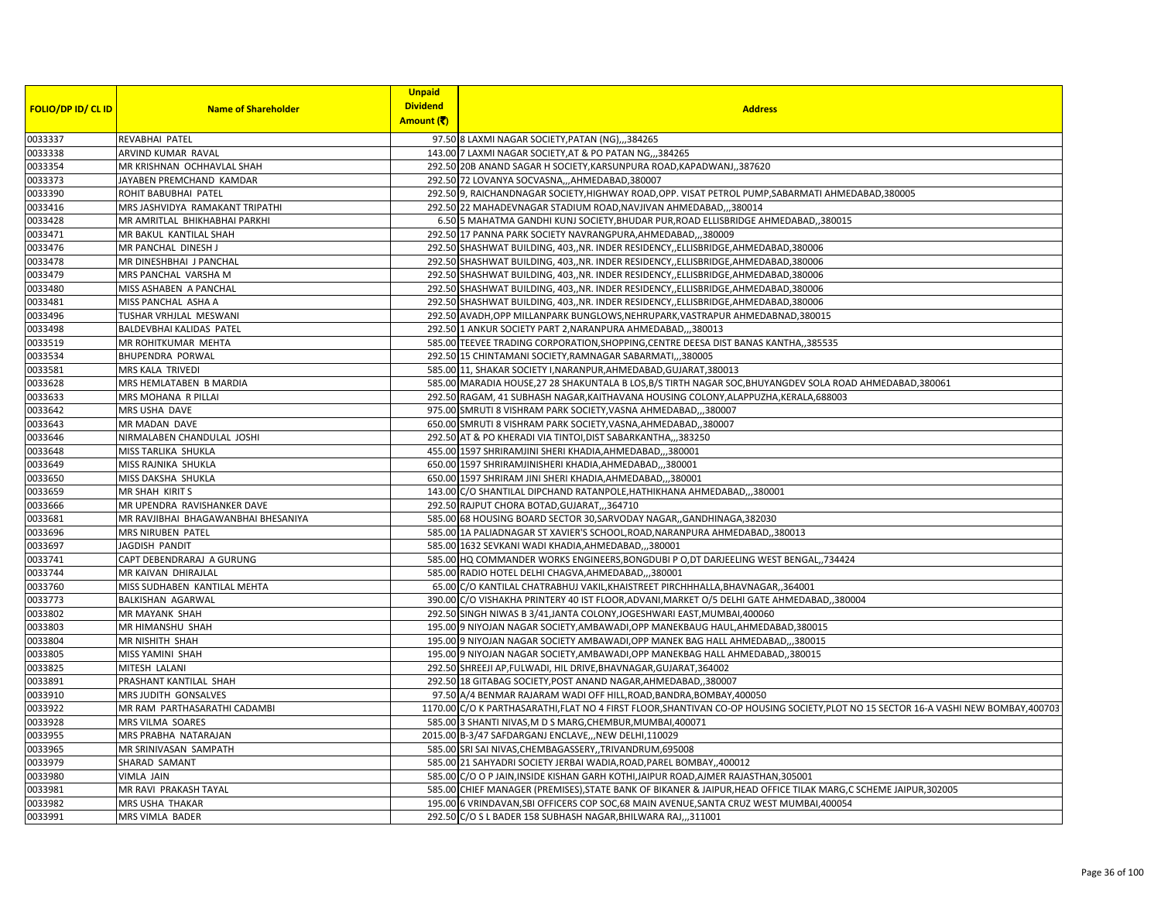| <b>FOLIO/DP ID/ CL ID</b> | <b>Name of Shareholder</b>          | <b>Unpaid</b><br><b>Dividend</b> | <b>Address</b>                                                                                                                       |
|---------------------------|-------------------------------------|----------------------------------|--------------------------------------------------------------------------------------------------------------------------------------|
|                           |                                     | Amount (そ)                       |                                                                                                                                      |
| 0033337                   | <b>REVABHAI PATEL</b>               |                                  | 97.50 8 LAXMI NAGAR SOCIETY, PATAN (NG),,,384265                                                                                     |
| 0033338                   | ARVIND KUMAR RAVAL                  |                                  | 143.00 7 LAXMI NAGAR SOCIETY, AT & PO PATAN NG,,,384265                                                                              |
| 0033354                   | MR KRISHNAN OCHHAVLAL SHAH          |                                  | 292.50 20B ANAND SAGAR H SOCIETY, KARSUNPURA ROAD, KAPADWANJ, 387620                                                                 |
| 0033373                   | JAYABEN PREMCHAND KAMDAR            |                                  | 292.50 72 LOVANYA SOCVASNA,,,AHMEDABAD,380007                                                                                        |
| 0033390                   | ROHIT BABUBHAI PATEL                |                                  | 292.50 9, RAICHANDNAGAR SOCIETY, HIGHWAY ROAD, OPP. VISAT PETROL PUMP, SABARMATI AHMEDABAD, 380005                                   |
| 0033416                   | MRS JASHVIDYA RAMAKANT TRIPATHI     |                                  | 292.50 22 MAHADEVNAGAR STADIUM ROAD, NAVJIVAN AHMEDABAD,,,380014                                                                     |
| 0033428                   | MR AMRITLAL BHIKHABHAI PARKHI       |                                  | 6.50 5 MAHATMA GANDHI KUNJ SOCIETY, BHUDAR PUR, ROAD ELLISBRIDGE AHMEDABAD, ,380015                                                  |
| 0033471                   | MR BAKUL KANTILAL SHAH              |                                  | 292.50 17 PANNA PARK SOCIETY NAVRANGPURA, AHMEDABAD,, 380009                                                                         |
| 0033476                   | MR PANCHAL DINESH J                 |                                  | 292.50 SHASHWAT BUILDING, 403, NR. INDER RESIDENCY, ELLISBRIDGE, AHMEDABAD, 380006                                                   |
| 0033478                   | MR DINESHBHAI J PANCHAL             |                                  | 292.50 SHASHWAT BUILDING, 403, NR. INDER RESIDENCY, ELLISBRIDGE, AHMEDABAD, 380006                                                   |
| 0033479                   | MRS PANCHAL VARSHA M                |                                  | 292.50 SHASHWAT BUILDING, 403, NR. INDER RESIDENCY, ELLISBRIDGE, AHMEDABAD, 380006                                                   |
| 0033480                   | MISS ASHABEN A PANCHAL              |                                  | 292.50 SHASHWAT BUILDING, 403,, NR. INDER RESIDENCY,, ELLISBRIDGE, AHMEDABAD, 380006                                                 |
| 0033481                   | MISS PANCHAL ASHA A                 |                                  | 292.50 SHASHWAT BUILDING, 403,, NR. INDER RESIDENCY, ELLISBRIDGE, AHMEDABAD, 380006                                                  |
| 0033496                   | TUSHAR VRHJLAL MESWANI              |                                  | 292.50 AVADH, OPP MILLANPARK BUNGLOWS, NEHRUPARK, VASTRAPUR AHMEDABNAD, 380015                                                       |
| 0033498                   | BALDEVBHAI KALIDAS PATEL            |                                  | 292.50 1 ANKUR SOCIETY PART 2, NARANPURA AHMEDABAD,,,380013                                                                          |
| 0033519                   | MR ROHITKUMAR MEHTA                 |                                  | 585.00 TEEVEE TRADING CORPORATION, SHOPPING, CENTRE DEESA DIST BANAS KANTHA, 385535                                                  |
| 0033534                   | <b>BHUPENDRA PORWAL</b>             |                                  | 292.50 15 CHINTAMANI SOCIETY, RAMNAGAR SABARMATI,,,380005                                                                            |
| 0033581                   | MRS KALA TRIVEDI                    |                                  | 585.00 11, SHAKAR SOCIETY I, NARANPUR, AHMEDABAD, GUJARAT, 380013                                                                    |
| 0033628                   | MRS HEMLATABEN B MARDIA             |                                  | 585.00 MARADIA HOUSE, 27 28 SHAKUNTALA B LOS, B/S TIRTH NAGAR SOC, BHUYANGDEV SOLA ROAD AHMEDABAD, 380061                            |
| 0033633                   | MRS MOHANA R PILLAI                 |                                  | 292.50 RAGAM, 41 SUBHASH NAGAR, KAITHAVANA HOUSING COLONY, ALAPPUZHA, KERALA, 688003                                                 |
| 0033642                   | MRS USHA DAVE                       |                                  | 975.00 SMRUTI 8 VISHRAM PARK SOCIETY, VASNA AHMEDABAD,,,380007                                                                       |
| 0033643                   | MR MADAN DAVE                       |                                  | 650.00 SMRUTI 8 VISHRAM PARK SOCIETY, VASNA, AHMEDABAD,, 380007                                                                      |
| 0033646                   | NIRMALABEN CHANDULAL JOSHI          |                                  | 292.50 AT & PO KHERADI VIA TINTOI, DIST SABARKANTHA,,,383250                                                                         |
| 0033648                   | MISS TARLIKA SHUKLA                 |                                  | 455.00 1597 SHRIRAMJINI SHERI KHADIA, AHMEDABAD,,,380001                                                                             |
| 0033649                   | MISS RAJNIKA SHUKLA                 |                                  | 650.00 1597 SHRIRAMJINISHERI KHADIA, AHMEDABAD,,,380001                                                                              |
| 0033650                   | MISS DAKSHA SHUKLA                  |                                  | 650.00 1597 SHRIRAM JINI SHERI KHADIA, AHMEDABAD,,,380001                                                                            |
| 0033659                   | MR SHAH KIRIT S                     |                                  | 143.00 C/O SHANTILAL DIPCHAND RATANPOLE, HATHIKHANA AHMEDABAD,,,380001                                                               |
| 0033666                   | MR UPENDRA RAVISHANKER DAVE         |                                  | 292.50 RAJPUT CHORA BOTAD, GUJARAT,, 364710                                                                                          |
| 0033681                   | MR RAVJIBHAI BHAGAWANBHAI BHESANIYA |                                  | 585.00 68 HOUSING BOARD SECTOR 30, SARVODAY NAGAR, , GANDHINAGA, 382030                                                              |
| 0033696                   | MRS NIRUBEN PATEL                   |                                  | 585.00 1A PALIADNAGAR ST XAVIER'S SCHOOL, ROAD, NARANPURA AHMEDABAD, ,380013                                                         |
| 0033697                   | JAGDISH PANDIT                      |                                  | 585.00 1632 SEVKANI WADI KHADIA, AHMEDABAD,,,380001                                                                                  |
| 0033741                   | CAPT DEBENDRARAJ A GURUNG           |                                  | 585.00 HQ COMMANDER WORKS ENGINEERS, BONGDUBI P O, DT DARJEELING WEST BENGAL,, 734424                                                |
| 0033744                   | MR KAIVAN DHIRAJLAL                 |                                  | 585.00 RADIO HOTEL DELHI CHAGVA, AHMEDABAD,,,380001                                                                                  |
| 0033760                   | MISS SUDHABEN KANTILAL MEHTA        |                                  | 65.00 C/O KANTILAL CHATRABHUJ VAKIL, KHAISTREET PIRCHHHALLA, BHAVNAGAR, ,364001                                                      |
| 0033773                   | <b>BALKISHAN AGARWAL</b>            |                                  | 390.00 C/O VISHAKHA PRINTERY 40 IST FLOOR, ADVANI, MARKET O/5 DELHI GATE AHMEDABAD, 380004                                           |
| 0033802                   | <b>MR MAYANK SHAH</b>               |                                  | 292.50 SINGH NIWAS B 3/41, JANTA COLONY, JOGESHWARI EAST, MUMBAI, 400060                                                             |
| 0033803                   | MR HIMANSHU SHAH                    |                                  | 195.00 9 NIYOJAN NAGAR SOCIETY, AMBAWADI, OPP MANEKBAUG HAUL, AHMEDABAD, 380015                                                      |
| 0033804                   | MR NISHITH SHAH                     |                                  | 195.00 9 NIYOJAN NAGAR SOCIETY AMBAWADI, OPP MANEK BAG HALL AHMEDABAD,,,380015                                                       |
| 0033805                   | MISS YAMINI SHAH                    |                                  | 195.00 9 NIYOJAN NAGAR SOCIETY, AMBAWADI, OPP MANEKBAG HALL AHMEDABAD, 380015                                                        |
| 0033825                   | MITESH LALANI                       |                                  | 292.50 SHREEJI AP, FULWADI, HIL DRIVE, BHAVNAGAR, GUJARAT, 364002                                                                    |
| 0033891                   | PRASHANT KANTILAL SHAH              |                                  | 292.50 18 GITABAG SOCIETY, POST ANAND NAGAR, AHMEDABAD, 380007                                                                       |
| 0033910                   | MRS JUDITH GONSALVES                |                                  | 97.50 A/4 BENMAR RAJARAM WADI OFF HILL, ROAD, BANDRA, BOMBAY, 400050                                                                 |
| 0033922                   | MR RAM PARTHASARATHI CADAMBI        |                                  | 1170.00 C/O K PARTHASARATHI, FLAT NO 4 FIRST FLOOR, SHANTIVAN CO-OP HOUSING SOCIETY, PLOT NO 15 SECTOR 16-A VASHI NEW BOMBAY, 400703 |
| 0033928                   | MRS VILMA SOARES                    |                                  | 585.00 3 SHANTI NIVAS, M D S MARG, CHEMBUR, MUMBAI, 400071                                                                           |
| 0033955                   | MRS PRABHA NATARAJAN                |                                  | 2015.00 B-3/47 SAFDARGANJ ENCLAVE,,,NEW DELHI,110029                                                                                 |
| 0033965                   | MR SRINIVASAN SAMPATH               |                                  | 585.00 SRI SAI NIVAS, CHEMBAGASSERY, , TRIVANDRUM, 695008                                                                            |
| 0033979                   | SHARAD SAMANT                       |                                  | 585.00 21 SAHYADRI SOCIETY JERBAI WADIA, ROAD, PAREL BOMBAY, 400012                                                                  |
| 0033980                   | <b>VIMLA JAIN</b>                   |                                  | 585.00 C/O O P JAIN, INSIDE KISHAN GARH KOTHI, JAIPUR ROAD, AJMER RAJASTHAN, 305001                                                  |
| 0033981                   | MR RAVI PRAKASH TAYAL               |                                  | 585.00 CHIEF MANAGER (PREMISES), STATE BANK OF BIKANER & JAIPUR, HEAD OFFICE TILAK MARG, C SCHEME JAIPUR, 302005                     |
| 0033982                   | MRS USHA THAKAR                     |                                  | 195.00 6 VRINDAVAN, SBI OFFICERS COP SOC, 68 MAIN AVENUE, SANTA CRUZ WEST MUMBAI, 400054                                             |
| 0033991                   | MRS VIMLA BADER                     |                                  | 292.50 C/O S L BADER 158 SUBHASH NAGAR, BHILWARA RAJ,, 311001                                                                        |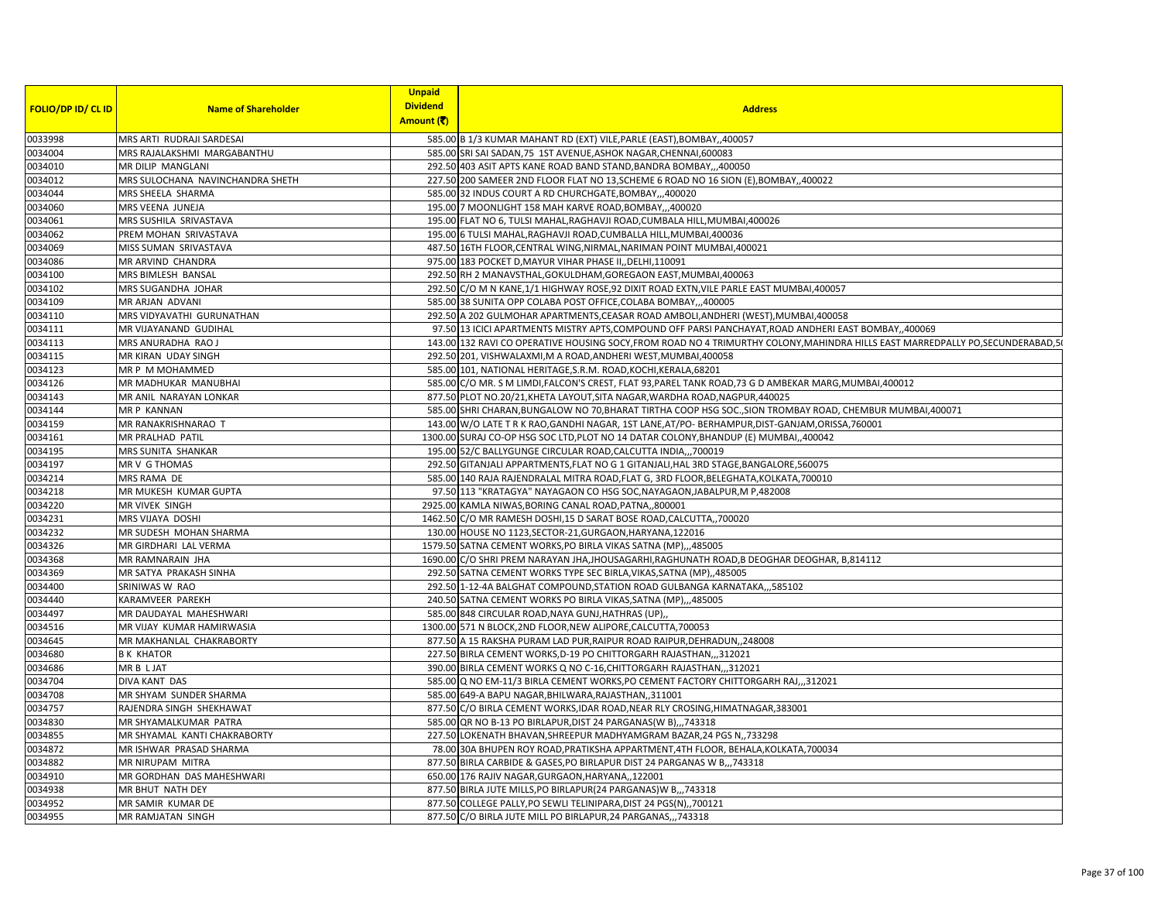|                           |                                  | <b>Unpaid</b>   |                                                                                                                                 |
|---------------------------|----------------------------------|-----------------|---------------------------------------------------------------------------------------------------------------------------------|
| <b>FOLIO/DP ID/ CL ID</b> | <b>Name of Shareholder</b>       | <b>Dividend</b> | <b>Address</b>                                                                                                                  |
|                           |                                  | Amount (そ)      |                                                                                                                                 |
| 0033998                   | MRS ARTI RUDRAJI SARDESAI        |                 | 585.00 B 1/3 KUMAR MAHANT RD (EXT) VILE, PARLE (EAST), BOMBAY, 400057                                                           |
| 0034004                   | MRS RAJALAKSHMI MARGABANTHU      |                 | 585.00 SRI SAI SADAN, 75 1ST AVENUE, ASHOK NAGAR, CHENNAI, 600083                                                               |
| 0034010                   | MR DILIP MANGLANI                |                 | 292.50 403 ASIT APTS KANE ROAD BAND STAND, BANDRA BOMBAY,, 400050                                                               |
| 0034012                   | MRS SULOCHANA NAVINCHANDRA SHETH |                 | 227.50 200 SAMEER 2ND FLOOR FLAT NO 13, SCHEME 6 ROAD NO 16 SION (E), BOMBAY, 400022                                            |
| 0034044                   | MRS SHEELA SHARMA                |                 | 585.00 32 INDUS COURT A RD CHURCHGATE, BOMBAY,,,400020                                                                          |
| 0034060                   | MRS VEENA JUNEJA                 |                 | 195.00 7 MOONLIGHT 158 MAH KARVE ROAD, BOMBAY,,,400020                                                                          |
| 0034061                   | MRS SUSHILA SRIVASTAVA           |                 | 195.00 FLAT NO 6, TULSI MAHAL, RAGHAVJI ROAD, CUMBALA HILL, MUMBAI, 400026                                                      |
| 0034062                   | PREM MOHAN SRIVASTAVA            |                 | 195.00 6 TULSI MAHAL, RAGHAVJI ROAD, CUMBALLA HILL, MUMBAI, 400036                                                              |
| 0034069                   | MISS SUMAN SRIVASTAVA            |                 | 487.50 16TH FLOOR, CENTRAL WING, NIRMAL, NARIMAN POINT MUMBAI, 400021                                                           |
| 0034086                   | MR ARVIND CHANDRA                |                 | 975.00 183 POCKET D, MAYUR VIHAR PHASE II, DELHI, 110091                                                                        |
| 0034100                   | MRS BIMLESH BANSAL               |                 | 292.50 RH 2 MANAVSTHAL, GOKULDHAM, GOREGAON EAST, MUMBAI, 400063                                                                |
| 0034102                   | MRS SUGANDHA JOHAR               |                 | 292.50 C/O M N KANE,1/1 HIGHWAY ROSE,92 DIXIT ROAD EXTN, VILE PARLE EAST MUMBAI,400057                                          |
| 0034109                   | MR ARJAN ADVANI                  |                 | 585.00 38 SUNITA OPP COLABA POST OFFICE, COLABA BOMBAY,,,400005                                                                 |
| 0034110                   | MRS VIDYAVATHI GURUNATHAN        |                 | 292.50 A 202 GULMOHAR APARTMENTS, CEASAR ROAD AMBOLI, ANDHERI (WEST), MUMBAI, 400058                                            |
| 0034111                   | MR VIJAYANAND GUDIHAL            |                 | 97.50 13 ICICI APARTMENTS MISTRY APTS, COMPOUND OFF PARSI PANCHAYAT, ROAD ANDHERI EAST BOMBAY, 400069                           |
| 0034113                   | MRS ANURADHA RAO J               |                 | 143.00 132 RAVI CO OPERATIVE HOUSING SOCY, FROM ROAD NO 4 TRIMURTHY COLONY, MAHINDRA HILLS EAST MARREDPALLY PO, SECUNDERABAD, 5 |
| 0034115                   | MR KIRAN UDAY SINGH              |                 | 292.50 201, VISHWALAXMI, M A ROAD, ANDHERI WEST, MUMBAI, 400058                                                                 |
| 0034123                   | MR P M MOHAMMED                  |                 | 585.00 101, NATIONAL HERITAGE, S.R.M. ROAD, KOCHI, KERALA, 68201                                                                |
| 0034126                   | MR MADHUKAR MANUBHAI             |                 | 585.00 C/O MR. S M LIMDI, FALCON'S CREST, FLAT 93, PAREL TANK ROAD, 73 G D AMBEKAR MARG, MUMBAI, 400012                         |
| 0034143                   | MR ANIL NARAYAN LONKAR           |                 | 877.50 PLOT NO.20/21, KHETA LAYOUT, SITA NAGAR, WARDHA ROAD, NAGPUR, 440025                                                     |
| 0034144                   | MR P KANNAN                      |                 | 585.00 SHRI CHARAN, BUNGALOW NO 70, BHARAT TIRTHA COOP HSG SOC., SION TROMBAY ROAD, CHEMBUR MUMBAI, 400071                      |
| 0034159                   | MR RANAKRISHNARAO T              |                 | 143.00 W/O LATE T R K RAO, GANDHI NAGAR, 1ST LANE, AT/PO- BERHAMPUR, DIST-GANJAM, ORISSA, 760001                                |
| 0034161                   | MR PRALHAD PATIL                 |                 | 1300.00 SURAJ CO-OP HSG SOC LTD, PLOT NO 14 DATAR COLONY, BHANDUP (E) MUMBAI, 400042                                            |
| 0034195                   | MRS SUNITA SHANKAR               |                 | 195.00 52/C BALLYGUNGE CIRCULAR ROAD, CALCUTTA INDIA,,, 700019                                                                  |
| 0034197                   | MR V G THOMAS                    |                 | 292.50 GITANJALI APPARTMENTS, FLAT NO G 1 GITANJALI, HAL 3RD STAGE, BANGALORE, 560075                                           |
| 0034214                   | MRS RAMA DE                      |                 | 585.00 140 RAJA RAJENDRALAL MITRA ROAD, FLAT G, 3RD FLOOR, BELEGHATA, KOLKATA, 700010                                           |
| 0034218                   | MR MUKESH KUMAR GUPTA            |                 | 97.50 113 "KRATAGYA" NAYAGAON CO HSG SOC, NAYAGAON, JABALPUR, M P, 482008                                                       |
| 0034220                   | MR VIVEK SINGH                   |                 | 2925.00 KAMLA NIWAS, BORING CANAL ROAD, PATNA,, 800001                                                                          |
| 0034231                   | MRS VIJAYA DOSHI                 |                 | 1462.50 C/O MR RAMESH DOSHI,15 D SARAT BOSE ROAD, CALCUTTA, 700020                                                              |
| 0034232                   | MR SUDESH MOHAN SHARMA           |                 | 130.00 HOUSE NO 1123, SECTOR-21, GURGAON, HARYANA, 122016                                                                       |
| 0034326                   | MR GIRDHARI LAL VERMA            |                 | 1579.50 SATNA CEMENT WORKS, PO BIRLA VIKAS SATNA (MP),,,485005                                                                  |
| 0034368                   | MR RAMNARAIN JHA                 |                 | 1690.00 C/O SHRI PREM NARAYAN JHA, JHOUSAGARHI, RAGHUNATH ROAD, B DEOGHAR DEOGHAR, B, 814112                                    |
| 0034369                   | MR SATYA PRAKASH SINHA           |                 | 292.50 SATNA CEMENT WORKS TYPE SEC BIRLA, VIKAS, SATNA (MP), 485005                                                             |
| 0034400                   | SRINIWAS W RAO                   |                 | 292.50 1-12-4A BALGHAT COMPOUND, STATION ROAD GULBANGA KARNATAKA,,,585102                                                       |
| 0034440                   | KARAMVEER PAREKH                 |                 | 240.50 SATNA CEMENT WORKS PO BIRLA VIKAS, SATNA (MP),,,485005                                                                   |
| 0034497                   | MR DAUDAYAL MAHESHWARI           |                 | 585.00 848 CIRCULAR ROAD, NAYA GUNJ, HATHRAS (UP),                                                                              |
| 0034516                   | MR VIJAY KUMAR HAMIRWASIA        |                 | 1300.00 571 N BLOCK, 2ND FLOOR, NEW ALIPORE, CALCUTTA, 700053                                                                   |
| 0034645                   | MR MAKHANLAL CHAKRABORTY         |                 | 877.50 A 15 RAKSHA PURAM LAD PUR, RAIPUR ROAD RAIPUR, DEHRADUN, 248008                                                          |
| 0034680                   | <b>BK KHATOR</b>                 |                 | 227.50 BIRLA CEMENT WORKS, D-19 PO CHITTORGARH RAJASTHAN,, 312021                                                               |
| 0034686                   | MR B L JAT                       |                 | 390.00 BIRLA CEMENT WORKS Q NO C-16, CHITTORGARH RAJASTHAN,, 312021                                                             |
| 0034704                   | DIVA KANT DAS                    |                 | 585.00 Q NO EM-11/3 BIRLA CEMENT WORKS, PO CEMENT FACTORY CHITTORGARH RAJ,,,312021                                              |
| 0034708                   | MR SHYAM SUNDER SHARMA           |                 | 585.00 649-A BAPU NAGAR, BHILWARA, RAJASTHAN,, 311001                                                                           |
| 0034757                   | RAJENDRA SINGH SHEKHAWAT         |                 | 877.50 C/O BIRLA CEMENT WORKS, IDAR ROAD, NEAR RLY CROSING, HIMATNAGAR, 383001                                                  |
| 0034830                   | MR SHYAMALKUMAR PATRA            |                 | 585.00 QR NO B-13 PO BIRLAPUR, DIST 24 PARGANAS(W B),,,743318                                                                   |
| 0034855                   | MR SHYAMAL KANTI CHAKRABORTY     |                 | 227.50 LOKENATH BHAVAN, SHREEPUR MADHYAMGRAM BAZAR, 24 PGS N, , 733298                                                          |
| 0034872                   | MR ISHWAR PRASAD SHARMA          |                 | 78.00 30A BHUPEN ROY ROAD, PRATIKSHA APPARTMENT, 4TH FLOOR, BEHALA, KOLKATA, 700034                                             |
| 0034882                   | MR NIRUPAM MITRA                 |                 | 877.50 BIRLA CARBIDE & GASES, PO BIRLAPUR DIST 24 PARGANAS W B., 743318                                                         |
| 0034910                   | MR GORDHAN DAS MAHESHWARI        |                 | 650.00 176 RAJIV NAGAR, GURGAON, HARYANA,, 122001                                                                               |
| 0034938                   | MR BHUT NATH DEY                 |                 | 877.50 BIRLA JUTE MILLS, PO BIRLAPUR(24 PARGANAS) W B,,, 743318                                                                 |
| 0034952                   | MR SAMIR KUMAR DE                |                 | 877.50 COLLEGE PALLY, PO SEWLI TELINIPARA, DIST 24 PGS(N),, 700121                                                              |
| 0034955                   | MR RAMJATAN SINGH                |                 | 877.50 C/O BIRLA JUTE MILL PO BIRLAPUR, 24 PARGANAS,,, 743318                                                                   |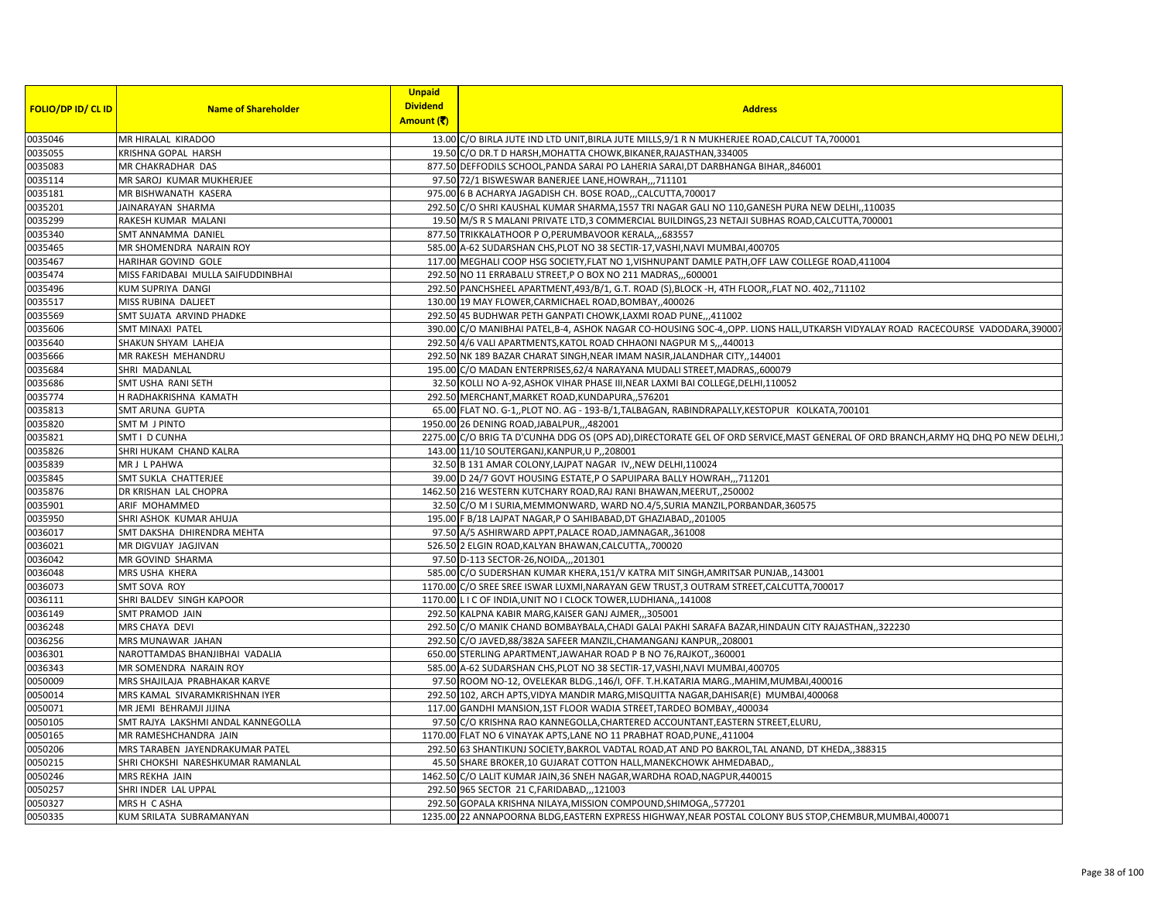|                           |                                    | <b>Unpaid</b>   |                                                                                                                                      |
|---------------------------|------------------------------------|-----------------|--------------------------------------------------------------------------------------------------------------------------------------|
| <b>FOLIO/DP ID/ CL ID</b> | <b>Name of Shareholder</b>         | <b>Dividend</b> | <b>Address</b>                                                                                                                       |
|                           |                                    | Amount (そ)      |                                                                                                                                      |
| 0035046                   | MR HIRALAL KIRADOO                 |                 | 13.00 C/O BIRLA JUTE IND LTD UNIT, BIRLA JUTE MILLS, 9/1 R N MUKHERJEE ROAD, CALCUT TA, 700001                                       |
| 0035055                   | KRISHNA GOPAL HARSH                |                 | 19.50 C/O DR.T D HARSH, MOHATTA CHOWK, BIKANER, RAJASTHAN, 334005                                                                    |
| 0035083                   | MR CHAKRADHAR DAS                  |                 | 877.50 DEFFODILS SCHOOL, PANDA SARAI PO LAHERIA SARAI, DT DARBHANGA BIHAR,, 846001                                                   |
| 0035114                   | MR SAROJ KUMAR MUKHERJEE           |                 | 97.50 72/1 BISWESWAR BANERJEE LANE, HOWRAH,,,711101                                                                                  |
| 0035181                   | MR BISHWANATH KASERA               |                 | 975.00 6 B ACHARYA JAGADISH CH. BOSE ROAD,,,CALCUTTA,700017                                                                          |
| 0035201                   | JAINARAYAN SHARMA                  |                 | 292.50 C/O SHRI KAUSHAL KUMAR SHARMA,1557 TRI NAGAR GALI NO 110, GANESH PURA NEW DELHI,,110035                                       |
| 0035299                   | RAKESH KUMAR MALANI                |                 | 19.50 M/S R S MALANI PRIVATE LTD,3 COMMERCIAL BUILDINGS, 23 NETAJI SUBHAS ROAD, CALCUTTA, 700001                                     |
| 0035340                   | SMT ANNAMMA DANIEL                 |                 | 877.50 TRIKKALATHOOR P O, PERUMBAVOOR KERALA,,,683557                                                                                |
| 0035465                   | MR SHOMENDRA NARAIN ROY            |                 | 585.00 A-62 SUDARSHAN CHS, PLOT NO 38 SECTIR-17, VASHI, NAVI MUMBAI, 400705                                                          |
| 0035467                   | HARIHAR GOVIND GOLE                |                 | 117.00 MEGHALI COOP HSG SOCIETY, FLAT NO 1, VISHNUPANT DAMLE PATH, OFF LAW COLLEGE ROAD, 411004                                      |
| 0035474                   | MISS FARIDABAI MULLA SAIFUDDINBHAI |                 | 292.50 NO 11 ERRABALU STREET, P O BOX NO 211 MADRAS,  600001                                                                         |
| 0035496                   | KUM SUPRIYA DANGI                  |                 | 292.50 PANCHSHEEL APARTMENT,493/B/1, G.T. ROAD (S),BLOCK -H, 4TH FLOOR,,FLAT NO. 402,,711102                                         |
| 0035517                   | MISS RUBINA DALJEET                |                 | 130.00 19 MAY FLOWER, CARMICHAEL ROAD, BOMBAY, ,400026                                                                               |
| 0035569                   | SMT SUJATA ARVIND PHADKE           |                 | 292.50 45 BUDHWAR PETH GANPATI CHOWK, LAXMI ROAD PUNE,, 411002                                                                       |
| 0035606                   | <b>SMT MINAXI PATEL</b>            |                 | 390.00 C/O MANIBHAI PATEL,B-4, ASHOK NAGAR CO-HOUSING SOC-4,,OPP. LIONS HALL,UTKARSH VIDYALAY ROAD RACECOURSE VADODARA,390007        |
| 0035640                   | SHAKUN SHYAM LAHEJA                |                 | 292.50 4/6 VALI APARTMENTS, KATOL ROAD CHHAONI NAGPUR M S,,,440013                                                                   |
| 0035666                   | MR RAKESH MEHANDRU                 |                 | 292.50 NK 189 BAZAR CHARAT SINGH, NEAR IMAM NASIR, JALANDHAR CITY, 144001                                                            |
| 0035684                   | SHRI MADANLAL                      |                 | 195.00 C/O MADAN ENTERPRISES, 62/4 NARAYANA MUDALI STREET, MADRAS, ,600079                                                           |
| 0035686                   | SMT USHA RANI SETH                 |                 | 32.50 KOLLI NO A-92, ASHOK VIHAR PHASE III, NEAR LAXMI BAI COLLEGE, DELHI, 110052                                                    |
| 0035774                   | H RADHAKRISHNA KAMATH              |                 | 292.50 MERCHANT, MARKET ROAD, KUNDAPURA,, 576201                                                                                     |
| 0035813                   | <b>SMT ARUNA GUPTA</b>             |                 | 65.00 FLAT NO. G-1,, PLOT NO. AG - 193-B/1, TALBAGAN, RABINDRAPALLY, KESTOPUR KOLKATA, 700101                                        |
| 0035820                   | SMT M J PINTO                      |                 | 1950.00 26 DENING ROAD, JABALPUR, ,,482001                                                                                           |
| 0035821                   | SMT I D CUNHA                      |                 | 2275.00 C/O BRIG TA D'CUNHA DDG OS (OPS AD), DIRECTORATE GEL OF ORD SERVICE, MAST GENERAL OF ORD BRANCH, ARMY HQ DHQ PO NEW DELHI, 2 |
| 0035826                   | SHRI HUKAM CHAND KALRA             |                 | 143.00 11/10 SOUTERGANJ, KANPUR, U P., 208001                                                                                        |
| 0035839                   | MR J L PAHWA                       |                 | 32.50 B 131 AMAR COLONY, LAJPAT NAGAR IV, NEW DELHI, 110024                                                                          |
| 0035845                   | SMT SUKLA CHATTERJEE               |                 | 39.00 D 24/7 GOVT HOUSING ESTATE, P O SAPUIPARA BALLY HOWRAH,, 711201                                                                |
| 0035876                   | DR KRISHAN LAL CHOPRA              |                 | 1462.50 216 WESTERN KUTCHARY ROAD, RAJ RANI BHAWAN, MEERUT, 250002                                                                   |
| 0035901                   | ARIF MOHAMMED                      |                 | 32.50 C/O M I SURIA, MEMMONWARD, WARD NO.4/5, SURIA MANZIL, PORBANDAR, 360575                                                        |
| 0035950                   | SHRI ASHOK KUMAR AHUJA             |                 | 195.00 F B/18 LAJPAT NAGAR, P O SAHIBABAD, DT GHAZIABAD,, 201005                                                                     |
| 0036017                   | SMT DAKSHA DHIRENDRA MEHTA         |                 | 97.50 A/5 ASHIRWARD APPT, PALACE ROAD, JAMNAGAR, 361008                                                                              |
| 0036021                   | MR DIGVIJAY JAGJIVAN               |                 | 526.50 2 ELGIN ROAD, KALYAN BHAWAN, CALCUTTA,, 700020                                                                                |
| 0036042                   | MR GOVIND SHARMA                   |                 | 97.50 D-113 SECTOR-26, NOIDA,,, 201301                                                                                               |
| 0036048                   | MRS USHA KHERA                     |                 | 585.00 C/O SUDERSHAN KUMAR KHERA,151/V KATRA MIT SINGH, AMRITSAR PUNJAB,,143001                                                      |
| 0036073                   | <b>SMT SOVA ROY</b>                |                 | 1170.00 C/O SREE SREE ISWAR LUXMI, NARAYAN GEW TRUST, 3 OUTRAM STREET, CALCUTTA, 700017                                              |
| 0036111                   | SHRI BALDEV SINGH KAPOOR           |                 | 1170.00 L I C OF INDIA, UNIT NO I CLOCK TOWER, LUDHIANA, 141008                                                                      |
| 0036149                   | SMT PRAMOD JAIN                    |                 | 292.50 KALPNA KABIR MARG, KAISER GANJ AJMER,,,305001                                                                                 |
| 0036248                   | MRS CHAYA DEVI                     |                 | 292.50 C/O MANIK CHAND BOMBAYBALA, CHADI GALAI PAKHI SARAFA BAZAR, HINDAUN CITY RAJASTHAN,, 322230                                   |
| 0036256                   | MRS MUNAWAR JAHAN                  |                 | 292.50 C/O JAVED,88/382A SAFEER MANZIL, CHAMANGANJ KANPUR,, 208001                                                                   |
| 0036301                   | NAROTTAMDAS BHANJIBHAI VADALIA     |                 | 650.00 STERLING APARTMENT, JAWAHAR ROAD P B NO 76, RAJKOT, 360001                                                                    |
| 0036343                   | MR SOMENDRA NARAIN ROY             |                 | 585.00 A-62 SUDARSHAN CHS, PLOT NO 38 SECTIR-17, VASHI, NAVI MUMBAI, 400705                                                          |
| 0050009                   | MRS SHAJILAJA PRABHAKAR KARVE      |                 | 97.50 ROOM NO-12, OVELEKAR BLDG.,146/I, OFF. T.H.KATARIA MARG.,MAHIM,MUMBAI,400016                                                   |
| 0050014                   | MRS KAMAL SIVARAMKRISHNAN IYER     |                 | 292.50 102, ARCH APTS, VIDYA MANDIR MARG, MISQUITTA NAGAR, DAHISAR (E) MUMBAI, 400068                                                |
| 0050071                   | MR JEMI BEHRAMJI JIJINA            |                 | 117.00 GANDHI MANSION,1ST FLOOR WADIA STREET,TARDEO BOMBAY,,400034                                                                   |
| 0050105                   | SMT RAJYA LAKSHMI ANDAL KANNEGOLLA |                 | 97.50 C/O KRISHNA RAO KANNEGOLLA, CHARTERED ACCOUNTANT, EASTERN STREET, ELURU,                                                       |
| 0050165                   | MR RAMESHCHANDRA JAIN              |                 | 1170.00 FLAT NO 6 VINAYAK APTS, LANE NO 11 PRABHAT ROAD, PUNE, 411004                                                                |
|                           |                                    |                 |                                                                                                                                      |
| 0050206                   | MRS TARABEN JAYENDRAKUMAR PATEL    |                 | 292.50 63 SHANTIKUNJ SOCIETY, BAKROL VADTAL ROAD, AT AND PO BAKROL, TAL ANAND, DT KHEDA, ,388315                                     |
| 0050215<br>0050246        | SHRI CHOKSHI NARESHKUMAR RAMANLAL  |                 | 45.50 SHARE BROKER, 10 GUJARAT COTTON HALL, MANEKCHOWK AHMEDABAD,                                                                    |
|                           | MRS REKHA JAIN                     |                 | 1462.50 C/O LALIT KUMAR JAIN, 36 SNEH NAGAR, WARDHA ROAD, NAGPUR, 440015                                                             |
| 0050257                   | SHRI INDER LAL UPPAL               |                 | 292.50 965 SECTOR 21 C, FARIDABAD,, 121003                                                                                           |
| 0050327                   | MRS H C ASHA                       |                 | 292.50 GOPALA KRISHNA NILAYA, MISSION COMPOUND, SHIMOGA,, 577201                                                                     |
| 0050335                   | KUM SRILATA SUBRAMANYAN            |                 | 1235.00 22 ANNAPOORNA BLDG,EASTERN EXPRESS HIGHWAY, NEAR POSTAL COLONY BUS STOP, CHEMBUR, MUMBAI, 400071                             |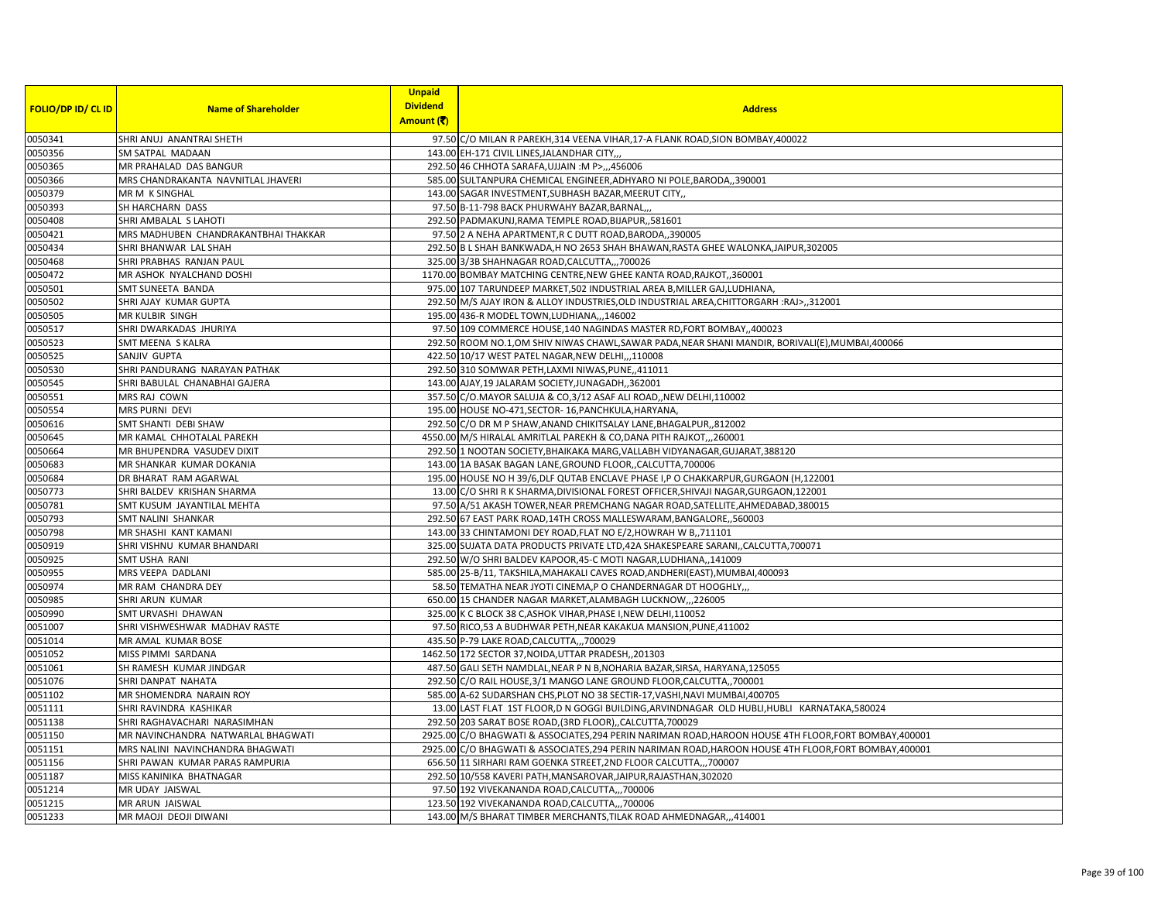| <b>Dividend</b><br><b>FOLIO/DP ID/ CL ID</b><br><b>Name of Shareholder</b><br><b>Address</b><br>Amount (そ)<br>0050341<br>SHRI ANUJ ANANTRAI SHETH<br>97.50 C/O MILAN R PAREKH, 314 VEENA VIHAR, 17-A FLANK ROAD, SION BOMBAY, 400022<br>0050356<br>SM SATPAL MADAAN<br>143.00 EH-171 CIVIL LINES, JALANDHAR CITY,<br>0050365<br>MR PRAHALAD DAS BANGUR<br>292.50 46 CHHOTA SARAFA, UJJAIN : M P>,,,456006<br>0050366<br>MRS CHANDRAKANTA NAVNITLAL JHAVERI<br>585.00 SULTANPURA CHEMICAL ENGINEER, ADHYARO NI POLE, BARODA, ,390001<br>0050379<br>MR M K SINGHAL<br>143.00 SAGAR INVESTMENT, SUBHASH BAZAR, MEERUT CITY.,<br>0050393<br>SH HARCHARN DASS<br>97.50 B-11-798 BACK PHURWAHY BAZAR, BARNAL,,<br>0050408<br>SHRI AMBALAL S LAHOTI<br>292.50 PADMAKUNJ, RAMA TEMPLE ROAD, BIJAPUR, ,581601<br>0050421<br>97.50 2 A NEHA APARTMENT, R C DUTT ROAD, BARODA, 390005<br>MRS MADHUBEN CHANDRAKANTBHAI THAKKAR<br>0050434<br>292.50 B L SHAH BANKWADA, H NO 2653 SHAH BHAWAN, RASTA GHEE WALONKA, JAIPUR, 302005<br>SHRI BHANWAR LAL SHAH<br>SHRI PRABHAS RANJAN PAUL<br>0050468<br>325.00 3/3B SHAHNAGAR ROAD, CALCUTTA,,, 700026<br>0050472<br>MR ASHOK NYALCHAND DOSHI<br>1170.00 BOMBAY MATCHING CENTRE, NEW GHEE KANTA ROAD, RAJKOT, 360001<br>0050501<br>SMT SUNEETA BANDA<br>975.00 107 TARUNDEEP MARKET, 502 INDUSTRIAL AREA B, MILLER GAJ, LUDHIANA<br>0050502<br>292.50 M/S AJAY IRON & ALLOY INDUSTRIES, OLD INDUSTRIAL AREA, CHITTORGARH : RAJ>,,312001<br>SHRI AJAY KUMAR GUPTA<br>0050505<br>MR KULBIR SINGH<br>195.00 436-R MODEL TOWN, LUDHIANA,,,146002<br>0050517<br>SHRI DWARKADAS JHURIYA<br>97.50 109 COMMERCE HOUSE, 140 NAGINDAS MASTER RD, FORT BOMBAY, 400023<br>0050523<br>292.50 ROOM NO.1, OM SHIV NIWAS CHAWL, SAWAR PADA, NEAR SHANI MANDIR, BORIVALI(E), MUMBAI, 400066<br>SMT MEENA S KALRA<br>0050525<br>SANJIV GUPTA<br>422.50 10/17 WEST PATEL NAGAR, NEW DELHI,,,110008<br>0050530<br>SHRI PANDURANG NARAYAN PATHAK<br>292.50 310 SOMWAR PETH, LAXMI NIWAS, PUNE, 411011<br>0050545<br>SHRI BABULAL CHANABHAI GAJERA<br>143.00 AJAY, 19 JALARAM SOCIETY, JUNAGADH, 362001<br>0050551<br>MRS RAJ COWN<br>357.50 C/O.MAYOR SALUJA & CO,3/12 ASAF ALI ROAD,, NEW DELHI, 110002<br>0050554<br>MRS PURNI DEVI<br>195.00 HOUSE NO-471, SECTOR-16, PANCHKULA, HARYANA<br>0050616<br>292.50 C/O DR M P SHAW, ANAND CHIKITSALAY LANE, BHAGALPUR,, 812002<br>SMT SHANTI DEBI SHAW<br>0050645<br>4550.00 M/S HIRALAL AMRITLAL PAREKH & CO, DANA PITH RAJKOT,, 260001<br>MR KAMAL CHHOTALAL PAREKH<br>0050664<br>MR BHUPENDRA VASUDEV DIXIT<br>292.50 1 NOOTAN SOCIETY, BHAIKAKA MARG, VALLABH VIDYANAGAR, GUJARAT, 388120<br>0050683<br>MR SHANKAR KUMAR DOKANIA<br>143.00 1A BASAK BAGAN LANE, GROUND FLOOR, CALCUTTA, 700006<br>0050684<br>DR BHARAT RAM AGARWAL<br>195.00 HOUSE NO H 39/6, DLF QUTAB ENCLAVE PHASE I, P O CHAKKARPUR, GURGAON (H, 122001<br>0050773<br>SHRI BALDEV KRISHAN SHARMA<br>13.00 C/O SHRI R K SHARMA, DIVISIONAL FOREST OFFICER, SHIVAJI NAGAR, GURGAON, 122001<br>0050781<br>SMT KUSUM JAYANTILAL MEHTA<br>97.50 A/51 AKASH TOWER, NEAR PREMCHANG NAGAR ROAD, SATELLITE, AHMEDABAD, 380015<br>0050793<br>SMT NALINI SHANKAR<br>292.50 67 EAST PARK ROAD, 14TH CROSS MALLESWARAM, BANGALORE, ,560003<br>0050798<br>MR SHASHI KANT KAMANI<br>143.00 33 CHINTAMONI DEY ROAD, FLAT NO E/2, HOWRAH W B,, 711101<br>0050919<br>SHRI VISHNU KUMAR BHANDARI<br>325.00 SUJATA DATA PRODUCTS PRIVATE LTD, 42A SHAKESPEARE SARANI, , CALCUTTA, 700071<br>0050925<br>SMT USHA RANI<br>292.50 W/O SHRI BALDEV KAPOOR, 45-C MOTI NAGAR, LUDHIANA, 141009<br>0050955<br>MRS VEEPA DADLANI<br>585.00 25-B/11, TAKSHILA, MAHAKALI CAVES ROAD, ANDHERI (EAST), MUMBAI, 400093<br>0050974<br>58.50 TEMATHA NEAR JYOTI CINEMA, P O CHANDERNAGAR DT HOOGHLY,<br>MR RAM CHANDRA DEY<br>0050985<br>SHRI ARUN KUMAR<br>650.00 15 CHANDER NAGAR MARKET, ALAMBAGH LUCKNOW, ,,226005<br>0050990<br>SMT URVASHI DHAWAN<br>325.00 K C BLOCK 38 C, ASHOK VIHAR, PHASE I, NEW DELHI, 110052<br>0051007<br>SHRI VISHWESHWAR MADHAV RASTE<br>97.50 RICO,53 A BUDHWAR PETH, NEAR KAKAKUA MANSION, PUNE, 411002<br>0051014<br>MR AMAL KUMAR BOSE<br>435.50 P-79 LAKE ROAD, CALCUTTA,,, 700029<br>0051052<br>MISS PIMMI SARDANA<br>1462.50 172 SECTOR 37, NOIDA, UTTAR PRADESH, 201303<br>0051061<br>SH RAMESH KUMAR JINDGAR<br>487.50 GALI SETH NAMDLAL, NEAR P N B, NOHARIA BAZAR, SIRSA, HARYANA, 125055<br>0051076<br>SHRI DANPAT NAHATA<br>292.50 C/O RAIL HOUSE, 3/1 MANGO LANE GROUND FLOOR, CALCUTTA, 700001<br>0051102<br>MR SHOMENDRA NARAIN ROY<br>585.00 A-62 SUDARSHAN CHS, PLOT NO 38 SECTIR-17, VASHI, NAVI MUMBAI, 400705<br>0051111<br>SHRI RAVINDRA KASHIKAR<br>13.00 LAST FLAT 1ST FLOOR, DN GOGGI BUILDING, ARVINDNAGAR OLD HUBLI, HUBLI KARNATAKA, 580024<br>0051138<br>SHRI RAGHAVACHARI NARASIMHAN<br>292.50 203 SARAT BOSE ROAD, (3RD FLOOR), , CALCUTTA, 700029<br>0051150<br>MR NAVINCHANDRA NATWARLAL BHAGWATI<br>2925.00 C/O BHAGWATI & ASSOCIATES, 294 PERIN NARIMAN ROAD, HAROON HOUSE 4TH FLOOR, FORT BOMBAY, 400001<br>0051151<br>2925.00 C/O BHAGWATI & ASSOCIATES, 294 PERIN NARIMAN ROAD, HAROON HOUSE 4TH FLOOR, FORT BOMBAY, 400001<br>MRS NALINI NAVINCHANDRA BHAGWATI<br>0051156<br>SHRI PAWAN KUMAR PARAS RAMPURIA<br>656.50 11 SIRHARI RAM GOENKA STREET, 2ND FLOOR CALCUTTA,,,700007<br>0051187<br>292.50 10/558 KAVERI PATH, MANSAROVAR, JAIPUR, RAJASTHAN, 302020<br>MISS KANINIKA BHATNAGAR<br>97.50 192 VIVEKANANDA ROAD, CALCUTTA,,, 700006<br>MR UDAY JAISWAL<br>0051215<br>123.50 192 VIVEKANANDA ROAD, CALCUTTA,,, 700006<br>MR ARUN JAISWAL<br>MR MAOJI DEOJI DIWANI<br>143.00 M/S BHARAT TIMBER MERCHANTS, TILAK ROAD AHMEDNAGAR,,,414001 |         | <b>Unpaid</b> |  |
|----------------------------------------------------------------------------------------------------------------------------------------------------------------------------------------------------------------------------------------------------------------------------------------------------------------------------------------------------------------------------------------------------------------------------------------------------------------------------------------------------------------------------------------------------------------------------------------------------------------------------------------------------------------------------------------------------------------------------------------------------------------------------------------------------------------------------------------------------------------------------------------------------------------------------------------------------------------------------------------------------------------------------------------------------------------------------------------------------------------------------------------------------------------------------------------------------------------------------------------------------------------------------------------------------------------------------------------------------------------------------------------------------------------------------------------------------------------------------------------------------------------------------------------------------------------------------------------------------------------------------------------------------------------------------------------------------------------------------------------------------------------------------------------------------------------------------------------------------------------------------------------------------------------------------------------------------------------------------------------------------------------------------------------------------------------------------------------------------------------------------------------------------------------------------------------------------------------------------------------------------------------------------------------------------------------------------------------------------------------------------------------------------------------------------------------------------------------------------------------------------------------------------------------------------------------------------------------------------------------------------------------------------------------------------------------------------------------------------------------------------------------------------------------------------------------------------------------------------------------------------------------------------------------------------------------------------------------------------------------------------------------------------------------------------------------------------------------------------------------------------------------------------------------------------------------------------------------------------------------------------------------------------------------------------------------------------------------------------------------------------------------------------------------------------------------------------------------------------------------------------------------------------------------------------------------------------------------------------------------------------------------------------------------------------------------------------------------------------------------------------------------------------------------------------------------------------------------------------------------------------------------------------------------------------------------------------------------------------------------------------------------------------------------------------------------------------------------------------------------------------------------------------------------------------------------------------------------------------------------------------------------------------------------------------------------------------------------------------------------------------------------------------------------------------------------------------------------------------------------------------------------------------------------------------------------------------------------------------------------------------------------------------------------------------------------------------------------------------------------------------------------------------------------------------------------------------------------------------------------------------------------------------------------------------------------------------------------------------------------------------------------------------------------------------------------------------------------------------------------------------------------------------------------------------------------------------------------------------------------------------------------------------------------------------------------------------------------------------------------------------------------------------------------------------------------------------------------------------------------------------------------------------------------------------------------------------------------------------------------------------------------------------------------------------------------------------------------------|---------|---------------|--|
|                                                                                                                                                                                                                                                                                                                                                                                                                                                                                                                                                                                                                                                                                                                                                                                                                                                                                                                                                                                                                                                                                                                                                                                                                                                                                                                                                                                                                                                                                                                                                                                                                                                                                                                                                                                                                                                                                                                                                                                                                                                                                                                                                                                                                                                                                                                                                                                                                                                                                                                                                                                                                                                                                                                                                                                                                                                                                                                                                                                                                                                                                                                                                                                                                                                                                                                                                                                                                                                                                                                                                                                                                                                                                                                                                                                                                                                                                                                                                                                                                                                                                                                                                                                                                                                                                                                                                                                                                                                                                                                                                                                                                                                                                                                                                                                                                                                                                                                                                                                                                                                                                                                                                                                                                                                                                                                                                                                                                                                                                                                                                                                                                                                                                                                      |         |               |  |
|                                                                                                                                                                                                                                                                                                                                                                                                                                                                                                                                                                                                                                                                                                                                                                                                                                                                                                                                                                                                                                                                                                                                                                                                                                                                                                                                                                                                                                                                                                                                                                                                                                                                                                                                                                                                                                                                                                                                                                                                                                                                                                                                                                                                                                                                                                                                                                                                                                                                                                                                                                                                                                                                                                                                                                                                                                                                                                                                                                                                                                                                                                                                                                                                                                                                                                                                                                                                                                                                                                                                                                                                                                                                                                                                                                                                                                                                                                                                                                                                                                                                                                                                                                                                                                                                                                                                                                                                                                                                                                                                                                                                                                                                                                                                                                                                                                                                                                                                                                                                                                                                                                                                                                                                                                                                                                                                                                                                                                                                                                                                                                                                                                                                                                                      |         |               |  |
|                                                                                                                                                                                                                                                                                                                                                                                                                                                                                                                                                                                                                                                                                                                                                                                                                                                                                                                                                                                                                                                                                                                                                                                                                                                                                                                                                                                                                                                                                                                                                                                                                                                                                                                                                                                                                                                                                                                                                                                                                                                                                                                                                                                                                                                                                                                                                                                                                                                                                                                                                                                                                                                                                                                                                                                                                                                                                                                                                                                                                                                                                                                                                                                                                                                                                                                                                                                                                                                                                                                                                                                                                                                                                                                                                                                                                                                                                                                                                                                                                                                                                                                                                                                                                                                                                                                                                                                                                                                                                                                                                                                                                                                                                                                                                                                                                                                                                                                                                                                                                                                                                                                                                                                                                                                                                                                                                                                                                                                                                                                                                                                                                                                                                                                      |         |               |  |
|                                                                                                                                                                                                                                                                                                                                                                                                                                                                                                                                                                                                                                                                                                                                                                                                                                                                                                                                                                                                                                                                                                                                                                                                                                                                                                                                                                                                                                                                                                                                                                                                                                                                                                                                                                                                                                                                                                                                                                                                                                                                                                                                                                                                                                                                                                                                                                                                                                                                                                                                                                                                                                                                                                                                                                                                                                                                                                                                                                                                                                                                                                                                                                                                                                                                                                                                                                                                                                                                                                                                                                                                                                                                                                                                                                                                                                                                                                                                                                                                                                                                                                                                                                                                                                                                                                                                                                                                                                                                                                                                                                                                                                                                                                                                                                                                                                                                                                                                                                                                                                                                                                                                                                                                                                                                                                                                                                                                                                                                                                                                                                                                                                                                                                                      |         |               |  |
|                                                                                                                                                                                                                                                                                                                                                                                                                                                                                                                                                                                                                                                                                                                                                                                                                                                                                                                                                                                                                                                                                                                                                                                                                                                                                                                                                                                                                                                                                                                                                                                                                                                                                                                                                                                                                                                                                                                                                                                                                                                                                                                                                                                                                                                                                                                                                                                                                                                                                                                                                                                                                                                                                                                                                                                                                                                                                                                                                                                                                                                                                                                                                                                                                                                                                                                                                                                                                                                                                                                                                                                                                                                                                                                                                                                                                                                                                                                                                                                                                                                                                                                                                                                                                                                                                                                                                                                                                                                                                                                                                                                                                                                                                                                                                                                                                                                                                                                                                                                                                                                                                                                                                                                                                                                                                                                                                                                                                                                                                                                                                                                                                                                                                                                      |         |               |  |
|                                                                                                                                                                                                                                                                                                                                                                                                                                                                                                                                                                                                                                                                                                                                                                                                                                                                                                                                                                                                                                                                                                                                                                                                                                                                                                                                                                                                                                                                                                                                                                                                                                                                                                                                                                                                                                                                                                                                                                                                                                                                                                                                                                                                                                                                                                                                                                                                                                                                                                                                                                                                                                                                                                                                                                                                                                                                                                                                                                                                                                                                                                                                                                                                                                                                                                                                                                                                                                                                                                                                                                                                                                                                                                                                                                                                                                                                                                                                                                                                                                                                                                                                                                                                                                                                                                                                                                                                                                                                                                                                                                                                                                                                                                                                                                                                                                                                                                                                                                                                                                                                                                                                                                                                                                                                                                                                                                                                                                                                                                                                                                                                                                                                                                                      |         |               |  |
|                                                                                                                                                                                                                                                                                                                                                                                                                                                                                                                                                                                                                                                                                                                                                                                                                                                                                                                                                                                                                                                                                                                                                                                                                                                                                                                                                                                                                                                                                                                                                                                                                                                                                                                                                                                                                                                                                                                                                                                                                                                                                                                                                                                                                                                                                                                                                                                                                                                                                                                                                                                                                                                                                                                                                                                                                                                                                                                                                                                                                                                                                                                                                                                                                                                                                                                                                                                                                                                                                                                                                                                                                                                                                                                                                                                                                                                                                                                                                                                                                                                                                                                                                                                                                                                                                                                                                                                                                                                                                                                                                                                                                                                                                                                                                                                                                                                                                                                                                                                                                                                                                                                                                                                                                                                                                                                                                                                                                                                                                                                                                                                                                                                                                                                      |         |               |  |
|                                                                                                                                                                                                                                                                                                                                                                                                                                                                                                                                                                                                                                                                                                                                                                                                                                                                                                                                                                                                                                                                                                                                                                                                                                                                                                                                                                                                                                                                                                                                                                                                                                                                                                                                                                                                                                                                                                                                                                                                                                                                                                                                                                                                                                                                                                                                                                                                                                                                                                                                                                                                                                                                                                                                                                                                                                                                                                                                                                                                                                                                                                                                                                                                                                                                                                                                                                                                                                                                                                                                                                                                                                                                                                                                                                                                                                                                                                                                                                                                                                                                                                                                                                                                                                                                                                                                                                                                                                                                                                                                                                                                                                                                                                                                                                                                                                                                                                                                                                                                                                                                                                                                                                                                                                                                                                                                                                                                                                                                                                                                                                                                                                                                                                                      |         |               |  |
|                                                                                                                                                                                                                                                                                                                                                                                                                                                                                                                                                                                                                                                                                                                                                                                                                                                                                                                                                                                                                                                                                                                                                                                                                                                                                                                                                                                                                                                                                                                                                                                                                                                                                                                                                                                                                                                                                                                                                                                                                                                                                                                                                                                                                                                                                                                                                                                                                                                                                                                                                                                                                                                                                                                                                                                                                                                                                                                                                                                                                                                                                                                                                                                                                                                                                                                                                                                                                                                                                                                                                                                                                                                                                                                                                                                                                                                                                                                                                                                                                                                                                                                                                                                                                                                                                                                                                                                                                                                                                                                                                                                                                                                                                                                                                                                                                                                                                                                                                                                                                                                                                                                                                                                                                                                                                                                                                                                                                                                                                                                                                                                                                                                                                                                      |         |               |  |
|                                                                                                                                                                                                                                                                                                                                                                                                                                                                                                                                                                                                                                                                                                                                                                                                                                                                                                                                                                                                                                                                                                                                                                                                                                                                                                                                                                                                                                                                                                                                                                                                                                                                                                                                                                                                                                                                                                                                                                                                                                                                                                                                                                                                                                                                                                                                                                                                                                                                                                                                                                                                                                                                                                                                                                                                                                                                                                                                                                                                                                                                                                                                                                                                                                                                                                                                                                                                                                                                                                                                                                                                                                                                                                                                                                                                                                                                                                                                                                                                                                                                                                                                                                                                                                                                                                                                                                                                                                                                                                                                                                                                                                                                                                                                                                                                                                                                                                                                                                                                                                                                                                                                                                                                                                                                                                                                                                                                                                                                                                                                                                                                                                                                                                                      |         |               |  |
|                                                                                                                                                                                                                                                                                                                                                                                                                                                                                                                                                                                                                                                                                                                                                                                                                                                                                                                                                                                                                                                                                                                                                                                                                                                                                                                                                                                                                                                                                                                                                                                                                                                                                                                                                                                                                                                                                                                                                                                                                                                                                                                                                                                                                                                                                                                                                                                                                                                                                                                                                                                                                                                                                                                                                                                                                                                                                                                                                                                                                                                                                                                                                                                                                                                                                                                                                                                                                                                                                                                                                                                                                                                                                                                                                                                                                                                                                                                                                                                                                                                                                                                                                                                                                                                                                                                                                                                                                                                                                                                                                                                                                                                                                                                                                                                                                                                                                                                                                                                                                                                                                                                                                                                                                                                                                                                                                                                                                                                                                                                                                                                                                                                                                                                      |         |               |  |
|                                                                                                                                                                                                                                                                                                                                                                                                                                                                                                                                                                                                                                                                                                                                                                                                                                                                                                                                                                                                                                                                                                                                                                                                                                                                                                                                                                                                                                                                                                                                                                                                                                                                                                                                                                                                                                                                                                                                                                                                                                                                                                                                                                                                                                                                                                                                                                                                                                                                                                                                                                                                                                                                                                                                                                                                                                                                                                                                                                                                                                                                                                                                                                                                                                                                                                                                                                                                                                                                                                                                                                                                                                                                                                                                                                                                                                                                                                                                                                                                                                                                                                                                                                                                                                                                                                                                                                                                                                                                                                                                                                                                                                                                                                                                                                                                                                                                                                                                                                                                                                                                                                                                                                                                                                                                                                                                                                                                                                                                                                                                                                                                                                                                                                                      |         |               |  |
|                                                                                                                                                                                                                                                                                                                                                                                                                                                                                                                                                                                                                                                                                                                                                                                                                                                                                                                                                                                                                                                                                                                                                                                                                                                                                                                                                                                                                                                                                                                                                                                                                                                                                                                                                                                                                                                                                                                                                                                                                                                                                                                                                                                                                                                                                                                                                                                                                                                                                                                                                                                                                                                                                                                                                                                                                                                                                                                                                                                                                                                                                                                                                                                                                                                                                                                                                                                                                                                                                                                                                                                                                                                                                                                                                                                                                                                                                                                                                                                                                                                                                                                                                                                                                                                                                                                                                                                                                                                                                                                                                                                                                                                                                                                                                                                                                                                                                                                                                                                                                                                                                                                                                                                                                                                                                                                                                                                                                                                                                                                                                                                                                                                                                                                      |         |               |  |
|                                                                                                                                                                                                                                                                                                                                                                                                                                                                                                                                                                                                                                                                                                                                                                                                                                                                                                                                                                                                                                                                                                                                                                                                                                                                                                                                                                                                                                                                                                                                                                                                                                                                                                                                                                                                                                                                                                                                                                                                                                                                                                                                                                                                                                                                                                                                                                                                                                                                                                                                                                                                                                                                                                                                                                                                                                                                                                                                                                                                                                                                                                                                                                                                                                                                                                                                                                                                                                                                                                                                                                                                                                                                                                                                                                                                                                                                                                                                                                                                                                                                                                                                                                                                                                                                                                                                                                                                                                                                                                                                                                                                                                                                                                                                                                                                                                                                                                                                                                                                                                                                                                                                                                                                                                                                                                                                                                                                                                                                                                                                                                                                                                                                                                                      |         |               |  |
|                                                                                                                                                                                                                                                                                                                                                                                                                                                                                                                                                                                                                                                                                                                                                                                                                                                                                                                                                                                                                                                                                                                                                                                                                                                                                                                                                                                                                                                                                                                                                                                                                                                                                                                                                                                                                                                                                                                                                                                                                                                                                                                                                                                                                                                                                                                                                                                                                                                                                                                                                                                                                                                                                                                                                                                                                                                                                                                                                                                                                                                                                                                                                                                                                                                                                                                                                                                                                                                                                                                                                                                                                                                                                                                                                                                                                                                                                                                                                                                                                                                                                                                                                                                                                                                                                                                                                                                                                                                                                                                                                                                                                                                                                                                                                                                                                                                                                                                                                                                                                                                                                                                                                                                                                                                                                                                                                                                                                                                                                                                                                                                                                                                                                                                      |         |               |  |
|                                                                                                                                                                                                                                                                                                                                                                                                                                                                                                                                                                                                                                                                                                                                                                                                                                                                                                                                                                                                                                                                                                                                                                                                                                                                                                                                                                                                                                                                                                                                                                                                                                                                                                                                                                                                                                                                                                                                                                                                                                                                                                                                                                                                                                                                                                                                                                                                                                                                                                                                                                                                                                                                                                                                                                                                                                                                                                                                                                                                                                                                                                                                                                                                                                                                                                                                                                                                                                                                                                                                                                                                                                                                                                                                                                                                                                                                                                                                                                                                                                                                                                                                                                                                                                                                                                                                                                                                                                                                                                                                                                                                                                                                                                                                                                                                                                                                                                                                                                                                                                                                                                                                                                                                                                                                                                                                                                                                                                                                                                                                                                                                                                                                                                                      |         |               |  |
|                                                                                                                                                                                                                                                                                                                                                                                                                                                                                                                                                                                                                                                                                                                                                                                                                                                                                                                                                                                                                                                                                                                                                                                                                                                                                                                                                                                                                                                                                                                                                                                                                                                                                                                                                                                                                                                                                                                                                                                                                                                                                                                                                                                                                                                                                                                                                                                                                                                                                                                                                                                                                                                                                                                                                                                                                                                                                                                                                                                                                                                                                                                                                                                                                                                                                                                                                                                                                                                                                                                                                                                                                                                                                                                                                                                                                                                                                                                                                                                                                                                                                                                                                                                                                                                                                                                                                                                                                                                                                                                                                                                                                                                                                                                                                                                                                                                                                                                                                                                                                                                                                                                                                                                                                                                                                                                                                                                                                                                                                                                                                                                                                                                                                                                      |         |               |  |
|                                                                                                                                                                                                                                                                                                                                                                                                                                                                                                                                                                                                                                                                                                                                                                                                                                                                                                                                                                                                                                                                                                                                                                                                                                                                                                                                                                                                                                                                                                                                                                                                                                                                                                                                                                                                                                                                                                                                                                                                                                                                                                                                                                                                                                                                                                                                                                                                                                                                                                                                                                                                                                                                                                                                                                                                                                                                                                                                                                                                                                                                                                                                                                                                                                                                                                                                                                                                                                                                                                                                                                                                                                                                                                                                                                                                                                                                                                                                                                                                                                                                                                                                                                                                                                                                                                                                                                                                                                                                                                                                                                                                                                                                                                                                                                                                                                                                                                                                                                                                                                                                                                                                                                                                                                                                                                                                                                                                                                                                                                                                                                                                                                                                                                                      |         |               |  |
|                                                                                                                                                                                                                                                                                                                                                                                                                                                                                                                                                                                                                                                                                                                                                                                                                                                                                                                                                                                                                                                                                                                                                                                                                                                                                                                                                                                                                                                                                                                                                                                                                                                                                                                                                                                                                                                                                                                                                                                                                                                                                                                                                                                                                                                                                                                                                                                                                                                                                                                                                                                                                                                                                                                                                                                                                                                                                                                                                                                                                                                                                                                                                                                                                                                                                                                                                                                                                                                                                                                                                                                                                                                                                                                                                                                                                                                                                                                                                                                                                                                                                                                                                                                                                                                                                                                                                                                                                                                                                                                                                                                                                                                                                                                                                                                                                                                                                                                                                                                                                                                                                                                                                                                                                                                                                                                                                                                                                                                                                                                                                                                                                                                                                                                      |         |               |  |
|                                                                                                                                                                                                                                                                                                                                                                                                                                                                                                                                                                                                                                                                                                                                                                                                                                                                                                                                                                                                                                                                                                                                                                                                                                                                                                                                                                                                                                                                                                                                                                                                                                                                                                                                                                                                                                                                                                                                                                                                                                                                                                                                                                                                                                                                                                                                                                                                                                                                                                                                                                                                                                                                                                                                                                                                                                                                                                                                                                                                                                                                                                                                                                                                                                                                                                                                                                                                                                                                                                                                                                                                                                                                                                                                                                                                                                                                                                                                                                                                                                                                                                                                                                                                                                                                                                                                                                                                                                                                                                                                                                                                                                                                                                                                                                                                                                                                                                                                                                                                                                                                                                                                                                                                                                                                                                                                                                                                                                                                                                                                                                                                                                                                                                                      |         |               |  |
|                                                                                                                                                                                                                                                                                                                                                                                                                                                                                                                                                                                                                                                                                                                                                                                                                                                                                                                                                                                                                                                                                                                                                                                                                                                                                                                                                                                                                                                                                                                                                                                                                                                                                                                                                                                                                                                                                                                                                                                                                                                                                                                                                                                                                                                                                                                                                                                                                                                                                                                                                                                                                                                                                                                                                                                                                                                                                                                                                                                                                                                                                                                                                                                                                                                                                                                                                                                                                                                                                                                                                                                                                                                                                                                                                                                                                                                                                                                                                                                                                                                                                                                                                                                                                                                                                                                                                                                                                                                                                                                                                                                                                                                                                                                                                                                                                                                                                                                                                                                                                                                                                                                                                                                                                                                                                                                                                                                                                                                                                                                                                                                                                                                                                                                      |         |               |  |
|                                                                                                                                                                                                                                                                                                                                                                                                                                                                                                                                                                                                                                                                                                                                                                                                                                                                                                                                                                                                                                                                                                                                                                                                                                                                                                                                                                                                                                                                                                                                                                                                                                                                                                                                                                                                                                                                                                                                                                                                                                                                                                                                                                                                                                                                                                                                                                                                                                                                                                                                                                                                                                                                                                                                                                                                                                                                                                                                                                                                                                                                                                                                                                                                                                                                                                                                                                                                                                                                                                                                                                                                                                                                                                                                                                                                                                                                                                                                                                                                                                                                                                                                                                                                                                                                                                                                                                                                                                                                                                                                                                                                                                                                                                                                                                                                                                                                                                                                                                                                                                                                                                                                                                                                                                                                                                                                                                                                                                                                                                                                                                                                                                                                                                                      |         |               |  |
|                                                                                                                                                                                                                                                                                                                                                                                                                                                                                                                                                                                                                                                                                                                                                                                                                                                                                                                                                                                                                                                                                                                                                                                                                                                                                                                                                                                                                                                                                                                                                                                                                                                                                                                                                                                                                                                                                                                                                                                                                                                                                                                                                                                                                                                                                                                                                                                                                                                                                                                                                                                                                                                                                                                                                                                                                                                                                                                                                                                                                                                                                                                                                                                                                                                                                                                                                                                                                                                                                                                                                                                                                                                                                                                                                                                                                                                                                                                                                                                                                                                                                                                                                                                                                                                                                                                                                                                                                                                                                                                                                                                                                                                                                                                                                                                                                                                                                                                                                                                                                                                                                                                                                                                                                                                                                                                                                                                                                                                                                                                                                                                                                                                                                                                      |         |               |  |
|                                                                                                                                                                                                                                                                                                                                                                                                                                                                                                                                                                                                                                                                                                                                                                                                                                                                                                                                                                                                                                                                                                                                                                                                                                                                                                                                                                                                                                                                                                                                                                                                                                                                                                                                                                                                                                                                                                                                                                                                                                                                                                                                                                                                                                                                                                                                                                                                                                                                                                                                                                                                                                                                                                                                                                                                                                                                                                                                                                                                                                                                                                                                                                                                                                                                                                                                                                                                                                                                                                                                                                                                                                                                                                                                                                                                                                                                                                                                                                                                                                                                                                                                                                                                                                                                                                                                                                                                                                                                                                                                                                                                                                                                                                                                                                                                                                                                                                                                                                                                                                                                                                                                                                                                                                                                                                                                                                                                                                                                                                                                                                                                                                                                                                                      |         |               |  |
|                                                                                                                                                                                                                                                                                                                                                                                                                                                                                                                                                                                                                                                                                                                                                                                                                                                                                                                                                                                                                                                                                                                                                                                                                                                                                                                                                                                                                                                                                                                                                                                                                                                                                                                                                                                                                                                                                                                                                                                                                                                                                                                                                                                                                                                                                                                                                                                                                                                                                                                                                                                                                                                                                                                                                                                                                                                                                                                                                                                                                                                                                                                                                                                                                                                                                                                                                                                                                                                                                                                                                                                                                                                                                                                                                                                                                                                                                                                                                                                                                                                                                                                                                                                                                                                                                                                                                                                                                                                                                                                                                                                                                                                                                                                                                                                                                                                                                                                                                                                                                                                                                                                                                                                                                                                                                                                                                                                                                                                                                                                                                                                                                                                                                                                      |         |               |  |
|                                                                                                                                                                                                                                                                                                                                                                                                                                                                                                                                                                                                                                                                                                                                                                                                                                                                                                                                                                                                                                                                                                                                                                                                                                                                                                                                                                                                                                                                                                                                                                                                                                                                                                                                                                                                                                                                                                                                                                                                                                                                                                                                                                                                                                                                                                                                                                                                                                                                                                                                                                                                                                                                                                                                                                                                                                                                                                                                                                                                                                                                                                                                                                                                                                                                                                                                                                                                                                                                                                                                                                                                                                                                                                                                                                                                                                                                                                                                                                                                                                                                                                                                                                                                                                                                                                                                                                                                                                                                                                                                                                                                                                                                                                                                                                                                                                                                                                                                                                                                                                                                                                                                                                                                                                                                                                                                                                                                                                                                                                                                                                                                                                                                                                                      |         |               |  |
|                                                                                                                                                                                                                                                                                                                                                                                                                                                                                                                                                                                                                                                                                                                                                                                                                                                                                                                                                                                                                                                                                                                                                                                                                                                                                                                                                                                                                                                                                                                                                                                                                                                                                                                                                                                                                                                                                                                                                                                                                                                                                                                                                                                                                                                                                                                                                                                                                                                                                                                                                                                                                                                                                                                                                                                                                                                                                                                                                                                                                                                                                                                                                                                                                                                                                                                                                                                                                                                                                                                                                                                                                                                                                                                                                                                                                                                                                                                                                                                                                                                                                                                                                                                                                                                                                                                                                                                                                                                                                                                                                                                                                                                                                                                                                                                                                                                                                                                                                                                                                                                                                                                                                                                                                                                                                                                                                                                                                                                                                                                                                                                                                                                                                                                      |         |               |  |
|                                                                                                                                                                                                                                                                                                                                                                                                                                                                                                                                                                                                                                                                                                                                                                                                                                                                                                                                                                                                                                                                                                                                                                                                                                                                                                                                                                                                                                                                                                                                                                                                                                                                                                                                                                                                                                                                                                                                                                                                                                                                                                                                                                                                                                                                                                                                                                                                                                                                                                                                                                                                                                                                                                                                                                                                                                                                                                                                                                                                                                                                                                                                                                                                                                                                                                                                                                                                                                                                                                                                                                                                                                                                                                                                                                                                                                                                                                                                                                                                                                                                                                                                                                                                                                                                                                                                                                                                                                                                                                                                                                                                                                                                                                                                                                                                                                                                                                                                                                                                                                                                                                                                                                                                                                                                                                                                                                                                                                                                                                                                                                                                                                                                                                                      |         |               |  |
|                                                                                                                                                                                                                                                                                                                                                                                                                                                                                                                                                                                                                                                                                                                                                                                                                                                                                                                                                                                                                                                                                                                                                                                                                                                                                                                                                                                                                                                                                                                                                                                                                                                                                                                                                                                                                                                                                                                                                                                                                                                                                                                                                                                                                                                                                                                                                                                                                                                                                                                                                                                                                                                                                                                                                                                                                                                                                                                                                                                                                                                                                                                                                                                                                                                                                                                                                                                                                                                                                                                                                                                                                                                                                                                                                                                                                                                                                                                                                                                                                                                                                                                                                                                                                                                                                                                                                                                                                                                                                                                                                                                                                                                                                                                                                                                                                                                                                                                                                                                                                                                                                                                                                                                                                                                                                                                                                                                                                                                                                                                                                                                                                                                                                                                      |         |               |  |
|                                                                                                                                                                                                                                                                                                                                                                                                                                                                                                                                                                                                                                                                                                                                                                                                                                                                                                                                                                                                                                                                                                                                                                                                                                                                                                                                                                                                                                                                                                                                                                                                                                                                                                                                                                                                                                                                                                                                                                                                                                                                                                                                                                                                                                                                                                                                                                                                                                                                                                                                                                                                                                                                                                                                                                                                                                                                                                                                                                                                                                                                                                                                                                                                                                                                                                                                                                                                                                                                                                                                                                                                                                                                                                                                                                                                                                                                                                                                                                                                                                                                                                                                                                                                                                                                                                                                                                                                                                                                                                                                                                                                                                                                                                                                                                                                                                                                                                                                                                                                                                                                                                                                                                                                                                                                                                                                                                                                                                                                                                                                                                                                                                                                                                                      |         |               |  |
|                                                                                                                                                                                                                                                                                                                                                                                                                                                                                                                                                                                                                                                                                                                                                                                                                                                                                                                                                                                                                                                                                                                                                                                                                                                                                                                                                                                                                                                                                                                                                                                                                                                                                                                                                                                                                                                                                                                                                                                                                                                                                                                                                                                                                                                                                                                                                                                                                                                                                                                                                                                                                                                                                                                                                                                                                                                                                                                                                                                                                                                                                                                                                                                                                                                                                                                                                                                                                                                                                                                                                                                                                                                                                                                                                                                                                                                                                                                                                                                                                                                                                                                                                                                                                                                                                                                                                                                                                                                                                                                                                                                                                                                                                                                                                                                                                                                                                                                                                                                                                                                                                                                                                                                                                                                                                                                                                                                                                                                                                                                                                                                                                                                                                                                      |         |               |  |
|                                                                                                                                                                                                                                                                                                                                                                                                                                                                                                                                                                                                                                                                                                                                                                                                                                                                                                                                                                                                                                                                                                                                                                                                                                                                                                                                                                                                                                                                                                                                                                                                                                                                                                                                                                                                                                                                                                                                                                                                                                                                                                                                                                                                                                                                                                                                                                                                                                                                                                                                                                                                                                                                                                                                                                                                                                                                                                                                                                                                                                                                                                                                                                                                                                                                                                                                                                                                                                                                                                                                                                                                                                                                                                                                                                                                                                                                                                                                                                                                                                                                                                                                                                                                                                                                                                                                                                                                                                                                                                                                                                                                                                                                                                                                                                                                                                                                                                                                                                                                                                                                                                                                                                                                                                                                                                                                                                                                                                                                                                                                                                                                                                                                                                                      |         |               |  |
|                                                                                                                                                                                                                                                                                                                                                                                                                                                                                                                                                                                                                                                                                                                                                                                                                                                                                                                                                                                                                                                                                                                                                                                                                                                                                                                                                                                                                                                                                                                                                                                                                                                                                                                                                                                                                                                                                                                                                                                                                                                                                                                                                                                                                                                                                                                                                                                                                                                                                                                                                                                                                                                                                                                                                                                                                                                                                                                                                                                                                                                                                                                                                                                                                                                                                                                                                                                                                                                                                                                                                                                                                                                                                                                                                                                                                                                                                                                                                                                                                                                                                                                                                                                                                                                                                                                                                                                                                                                                                                                                                                                                                                                                                                                                                                                                                                                                                                                                                                                                                                                                                                                                                                                                                                                                                                                                                                                                                                                                                                                                                                                                                                                                                                                      |         |               |  |
|                                                                                                                                                                                                                                                                                                                                                                                                                                                                                                                                                                                                                                                                                                                                                                                                                                                                                                                                                                                                                                                                                                                                                                                                                                                                                                                                                                                                                                                                                                                                                                                                                                                                                                                                                                                                                                                                                                                                                                                                                                                                                                                                                                                                                                                                                                                                                                                                                                                                                                                                                                                                                                                                                                                                                                                                                                                                                                                                                                                                                                                                                                                                                                                                                                                                                                                                                                                                                                                                                                                                                                                                                                                                                                                                                                                                                                                                                                                                                                                                                                                                                                                                                                                                                                                                                                                                                                                                                                                                                                                                                                                                                                                                                                                                                                                                                                                                                                                                                                                                                                                                                                                                                                                                                                                                                                                                                                                                                                                                                                                                                                                                                                                                                                                      |         |               |  |
|                                                                                                                                                                                                                                                                                                                                                                                                                                                                                                                                                                                                                                                                                                                                                                                                                                                                                                                                                                                                                                                                                                                                                                                                                                                                                                                                                                                                                                                                                                                                                                                                                                                                                                                                                                                                                                                                                                                                                                                                                                                                                                                                                                                                                                                                                                                                                                                                                                                                                                                                                                                                                                                                                                                                                                                                                                                                                                                                                                                                                                                                                                                                                                                                                                                                                                                                                                                                                                                                                                                                                                                                                                                                                                                                                                                                                                                                                                                                                                                                                                                                                                                                                                                                                                                                                                                                                                                                                                                                                                                                                                                                                                                                                                                                                                                                                                                                                                                                                                                                                                                                                                                                                                                                                                                                                                                                                                                                                                                                                                                                                                                                                                                                                                                      |         |               |  |
|                                                                                                                                                                                                                                                                                                                                                                                                                                                                                                                                                                                                                                                                                                                                                                                                                                                                                                                                                                                                                                                                                                                                                                                                                                                                                                                                                                                                                                                                                                                                                                                                                                                                                                                                                                                                                                                                                                                                                                                                                                                                                                                                                                                                                                                                                                                                                                                                                                                                                                                                                                                                                                                                                                                                                                                                                                                                                                                                                                                                                                                                                                                                                                                                                                                                                                                                                                                                                                                                                                                                                                                                                                                                                                                                                                                                                                                                                                                                                                                                                                                                                                                                                                                                                                                                                                                                                                                                                                                                                                                                                                                                                                                                                                                                                                                                                                                                                                                                                                                                                                                                                                                                                                                                                                                                                                                                                                                                                                                                                                                                                                                                                                                                                                                      |         |               |  |
|                                                                                                                                                                                                                                                                                                                                                                                                                                                                                                                                                                                                                                                                                                                                                                                                                                                                                                                                                                                                                                                                                                                                                                                                                                                                                                                                                                                                                                                                                                                                                                                                                                                                                                                                                                                                                                                                                                                                                                                                                                                                                                                                                                                                                                                                                                                                                                                                                                                                                                                                                                                                                                                                                                                                                                                                                                                                                                                                                                                                                                                                                                                                                                                                                                                                                                                                                                                                                                                                                                                                                                                                                                                                                                                                                                                                                                                                                                                                                                                                                                                                                                                                                                                                                                                                                                                                                                                                                                                                                                                                                                                                                                                                                                                                                                                                                                                                                                                                                                                                                                                                                                                                                                                                                                                                                                                                                                                                                                                                                                                                                                                                                                                                                                                      |         |               |  |
|                                                                                                                                                                                                                                                                                                                                                                                                                                                                                                                                                                                                                                                                                                                                                                                                                                                                                                                                                                                                                                                                                                                                                                                                                                                                                                                                                                                                                                                                                                                                                                                                                                                                                                                                                                                                                                                                                                                                                                                                                                                                                                                                                                                                                                                                                                                                                                                                                                                                                                                                                                                                                                                                                                                                                                                                                                                                                                                                                                                                                                                                                                                                                                                                                                                                                                                                                                                                                                                                                                                                                                                                                                                                                                                                                                                                                                                                                                                                                                                                                                                                                                                                                                                                                                                                                                                                                                                                                                                                                                                                                                                                                                                                                                                                                                                                                                                                                                                                                                                                                                                                                                                                                                                                                                                                                                                                                                                                                                                                                                                                                                                                                                                                                                                      |         |               |  |
|                                                                                                                                                                                                                                                                                                                                                                                                                                                                                                                                                                                                                                                                                                                                                                                                                                                                                                                                                                                                                                                                                                                                                                                                                                                                                                                                                                                                                                                                                                                                                                                                                                                                                                                                                                                                                                                                                                                                                                                                                                                                                                                                                                                                                                                                                                                                                                                                                                                                                                                                                                                                                                                                                                                                                                                                                                                                                                                                                                                                                                                                                                                                                                                                                                                                                                                                                                                                                                                                                                                                                                                                                                                                                                                                                                                                                                                                                                                                                                                                                                                                                                                                                                                                                                                                                                                                                                                                                                                                                                                                                                                                                                                                                                                                                                                                                                                                                                                                                                                                                                                                                                                                                                                                                                                                                                                                                                                                                                                                                                                                                                                                                                                                                                                      |         |               |  |
|                                                                                                                                                                                                                                                                                                                                                                                                                                                                                                                                                                                                                                                                                                                                                                                                                                                                                                                                                                                                                                                                                                                                                                                                                                                                                                                                                                                                                                                                                                                                                                                                                                                                                                                                                                                                                                                                                                                                                                                                                                                                                                                                                                                                                                                                                                                                                                                                                                                                                                                                                                                                                                                                                                                                                                                                                                                                                                                                                                                                                                                                                                                                                                                                                                                                                                                                                                                                                                                                                                                                                                                                                                                                                                                                                                                                                                                                                                                                                                                                                                                                                                                                                                                                                                                                                                                                                                                                                                                                                                                                                                                                                                                                                                                                                                                                                                                                                                                                                                                                                                                                                                                                                                                                                                                                                                                                                                                                                                                                                                                                                                                                                                                                                                                      |         |               |  |
|                                                                                                                                                                                                                                                                                                                                                                                                                                                                                                                                                                                                                                                                                                                                                                                                                                                                                                                                                                                                                                                                                                                                                                                                                                                                                                                                                                                                                                                                                                                                                                                                                                                                                                                                                                                                                                                                                                                                                                                                                                                                                                                                                                                                                                                                                                                                                                                                                                                                                                                                                                                                                                                                                                                                                                                                                                                                                                                                                                                                                                                                                                                                                                                                                                                                                                                                                                                                                                                                                                                                                                                                                                                                                                                                                                                                                                                                                                                                                                                                                                                                                                                                                                                                                                                                                                                                                                                                                                                                                                                                                                                                                                                                                                                                                                                                                                                                                                                                                                                                                                                                                                                                                                                                                                                                                                                                                                                                                                                                                                                                                                                                                                                                                                                      |         |               |  |
|                                                                                                                                                                                                                                                                                                                                                                                                                                                                                                                                                                                                                                                                                                                                                                                                                                                                                                                                                                                                                                                                                                                                                                                                                                                                                                                                                                                                                                                                                                                                                                                                                                                                                                                                                                                                                                                                                                                                                                                                                                                                                                                                                                                                                                                                                                                                                                                                                                                                                                                                                                                                                                                                                                                                                                                                                                                                                                                                                                                                                                                                                                                                                                                                                                                                                                                                                                                                                                                                                                                                                                                                                                                                                                                                                                                                                                                                                                                                                                                                                                                                                                                                                                                                                                                                                                                                                                                                                                                                                                                                                                                                                                                                                                                                                                                                                                                                                                                                                                                                                                                                                                                                                                                                                                                                                                                                                                                                                                                                                                                                                                                                                                                                                                                      |         |               |  |
|                                                                                                                                                                                                                                                                                                                                                                                                                                                                                                                                                                                                                                                                                                                                                                                                                                                                                                                                                                                                                                                                                                                                                                                                                                                                                                                                                                                                                                                                                                                                                                                                                                                                                                                                                                                                                                                                                                                                                                                                                                                                                                                                                                                                                                                                                                                                                                                                                                                                                                                                                                                                                                                                                                                                                                                                                                                                                                                                                                                                                                                                                                                                                                                                                                                                                                                                                                                                                                                                                                                                                                                                                                                                                                                                                                                                                                                                                                                                                                                                                                                                                                                                                                                                                                                                                                                                                                                                                                                                                                                                                                                                                                                                                                                                                                                                                                                                                                                                                                                                                                                                                                                                                                                                                                                                                                                                                                                                                                                                                                                                                                                                                                                                                                                      |         |               |  |
|                                                                                                                                                                                                                                                                                                                                                                                                                                                                                                                                                                                                                                                                                                                                                                                                                                                                                                                                                                                                                                                                                                                                                                                                                                                                                                                                                                                                                                                                                                                                                                                                                                                                                                                                                                                                                                                                                                                                                                                                                                                                                                                                                                                                                                                                                                                                                                                                                                                                                                                                                                                                                                                                                                                                                                                                                                                                                                                                                                                                                                                                                                                                                                                                                                                                                                                                                                                                                                                                                                                                                                                                                                                                                                                                                                                                                                                                                                                                                                                                                                                                                                                                                                                                                                                                                                                                                                                                                                                                                                                                                                                                                                                                                                                                                                                                                                                                                                                                                                                                                                                                                                                                                                                                                                                                                                                                                                                                                                                                                                                                                                                                                                                                                                                      |         |               |  |
|                                                                                                                                                                                                                                                                                                                                                                                                                                                                                                                                                                                                                                                                                                                                                                                                                                                                                                                                                                                                                                                                                                                                                                                                                                                                                                                                                                                                                                                                                                                                                                                                                                                                                                                                                                                                                                                                                                                                                                                                                                                                                                                                                                                                                                                                                                                                                                                                                                                                                                                                                                                                                                                                                                                                                                                                                                                                                                                                                                                                                                                                                                                                                                                                                                                                                                                                                                                                                                                                                                                                                                                                                                                                                                                                                                                                                                                                                                                                                                                                                                                                                                                                                                                                                                                                                                                                                                                                                                                                                                                                                                                                                                                                                                                                                                                                                                                                                                                                                                                                                                                                                                                                                                                                                                                                                                                                                                                                                                                                                                                                                                                                                                                                                                                      |         |               |  |
|                                                                                                                                                                                                                                                                                                                                                                                                                                                                                                                                                                                                                                                                                                                                                                                                                                                                                                                                                                                                                                                                                                                                                                                                                                                                                                                                                                                                                                                                                                                                                                                                                                                                                                                                                                                                                                                                                                                                                                                                                                                                                                                                                                                                                                                                                                                                                                                                                                                                                                                                                                                                                                                                                                                                                                                                                                                                                                                                                                                                                                                                                                                                                                                                                                                                                                                                                                                                                                                                                                                                                                                                                                                                                                                                                                                                                                                                                                                                                                                                                                                                                                                                                                                                                                                                                                                                                                                                                                                                                                                                                                                                                                                                                                                                                                                                                                                                                                                                                                                                                                                                                                                                                                                                                                                                                                                                                                                                                                                                                                                                                                                                                                                                                                                      |         |               |  |
|                                                                                                                                                                                                                                                                                                                                                                                                                                                                                                                                                                                                                                                                                                                                                                                                                                                                                                                                                                                                                                                                                                                                                                                                                                                                                                                                                                                                                                                                                                                                                                                                                                                                                                                                                                                                                                                                                                                                                                                                                                                                                                                                                                                                                                                                                                                                                                                                                                                                                                                                                                                                                                                                                                                                                                                                                                                                                                                                                                                                                                                                                                                                                                                                                                                                                                                                                                                                                                                                                                                                                                                                                                                                                                                                                                                                                                                                                                                                                                                                                                                                                                                                                                                                                                                                                                                                                                                                                                                                                                                                                                                                                                                                                                                                                                                                                                                                                                                                                                                                                                                                                                                                                                                                                                                                                                                                                                                                                                                                                                                                                                                                                                                                                                                      |         |               |  |
|                                                                                                                                                                                                                                                                                                                                                                                                                                                                                                                                                                                                                                                                                                                                                                                                                                                                                                                                                                                                                                                                                                                                                                                                                                                                                                                                                                                                                                                                                                                                                                                                                                                                                                                                                                                                                                                                                                                                                                                                                                                                                                                                                                                                                                                                                                                                                                                                                                                                                                                                                                                                                                                                                                                                                                                                                                                                                                                                                                                                                                                                                                                                                                                                                                                                                                                                                                                                                                                                                                                                                                                                                                                                                                                                                                                                                                                                                                                                                                                                                                                                                                                                                                                                                                                                                                                                                                                                                                                                                                                                                                                                                                                                                                                                                                                                                                                                                                                                                                                                                                                                                                                                                                                                                                                                                                                                                                                                                                                                                                                                                                                                                                                                                                                      |         |               |  |
|                                                                                                                                                                                                                                                                                                                                                                                                                                                                                                                                                                                                                                                                                                                                                                                                                                                                                                                                                                                                                                                                                                                                                                                                                                                                                                                                                                                                                                                                                                                                                                                                                                                                                                                                                                                                                                                                                                                                                                                                                                                                                                                                                                                                                                                                                                                                                                                                                                                                                                                                                                                                                                                                                                                                                                                                                                                                                                                                                                                                                                                                                                                                                                                                                                                                                                                                                                                                                                                                                                                                                                                                                                                                                                                                                                                                                                                                                                                                                                                                                                                                                                                                                                                                                                                                                                                                                                                                                                                                                                                                                                                                                                                                                                                                                                                                                                                                                                                                                                                                                                                                                                                                                                                                                                                                                                                                                                                                                                                                                                                                                                                                                                                                                                                      |         |               |  |
|                                                                                                                                                                                                                                                                                                                                                                                                                                                                                                                                                                                                                                                                                                                                                                                                                                                                                                                                                                                                                                                                                                                                                                                                                                                                                                                                                                                                                                                                                                                                                                                                                                                                                                                                                                                                                                                                                                                                                                                                                                                                                                                                                                                                                                                                                                                                                                                                                                                                                                                                                                                                                                                                                                                                                                                                                                                                                                                                                                                                                                                                                                                                                                                                                                                                                                                                                                                                                                                                                                                                                                                                                                                                                                                                                                                                                                                                                                                                                                                                                                                                                                                                                                                                                                                                                                                                                                                                                                                                                                                                                                                                                                                                                                                                                                                                                                                                                                                                                                                                                                                                                                                                                                                                                                                                                                                                                                                                                                                                                                                                                                                                                                                                                                                      | 0051214 |               |  |
|                                                                                                                                                                                                                                                                                                                                                                                                                                                                                                                                                                                                                                                                                                                                                                                                                                                                                                                                                                                                                                                                                                                                                                                                                                                                                                                                                                                                                                                                                                                                                                                                                                                                                                                                                                                                                                                                                                                                                                                                                                                                                                                                                                                                                                                                                                                                                                                                                                                                                                                                                                                                                                                                                                                                                                                                                                                                                                                                                                                                                                                                                                                                                                                                                                                                                                                                                                                                                                                                                                                                                                                                                                                                                                                                                                                                                                                                                                                                                                                                                                                                                                                                                                                                                                                                                                                                                                                                                                                                                                                                                                                                                                                                                                                                                                                                                                                                                                                                                                                                                                                                                                                                                                                                                                                                                                                                                                                                                                                                                                                                                                                                                                                                                                                      |         |               |  |
|                                                                                                                                                                                                                                                                                                                                                                                                                                                                                                                                                                                                                                                                                                                                                                                                                                                                                                                                                                                                                                                                                                                                                                                                                                                                                                                                                                                                                                                                                                                                                                                                                                                                                                                                                                                                                                                                                                                                                                                                                                                                                                                                                                                                                                                                                                                                                                                                                                                                                                                                                                                                                                                                                                                                                                                                                                                                                                                                                                                                                                                                                                                                                                                                                                                                                                                                                                                                                                                                                                                                                                                                                                                                                                                                                                                                                                                                                                                                                                                                                                                                                                                                                                                                                                                                                                                                                                                                                                                                                                                                                                                                                                                                                                                                                                                                                                                                                                                                                                                                                                                                                                                                                                                                                                                                                                                                                                                                                                                                                                                                                                                                                                                                                                                      | 0051233 |               |  |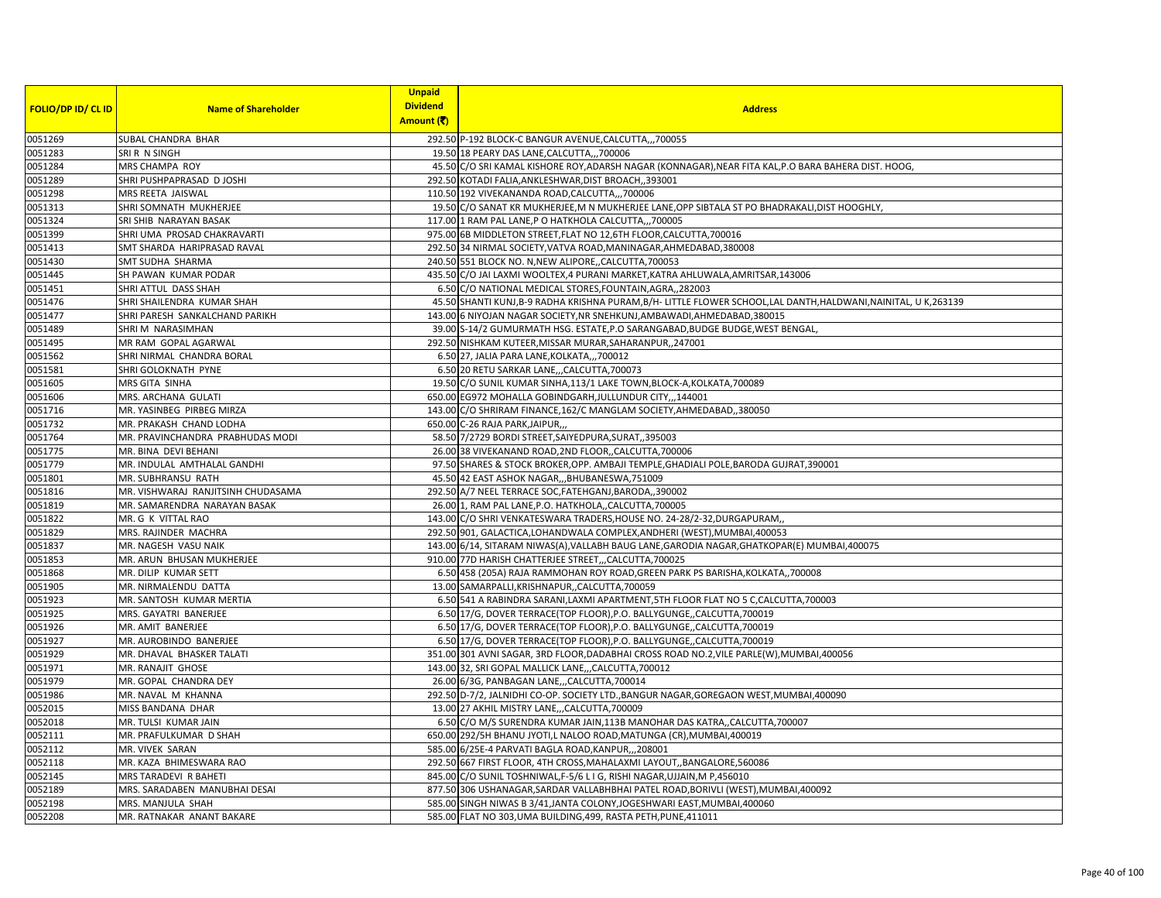|                           |                                    | <b>Unpaid</b>   |                                                                                                             |
|---------------------------|------------------------------------|-----------------|-------------------------------------------------------------------------------------------------------------|
| <b>FOLIO/DP ID/ CL ID</b> | <b>Name of Shareholder</b>         | <b>Dividend</b> | <b>Address</b>                                                                                              |
|                           |                                    | Amount (₹)      |                                                                                                             |
| 0051269                   | SUBAL CHANDRA BHAR                 |                 | 292.50 P-192 BLOCK-C BANGUR AVENUE, CALCUTTA,,,700055                                                       |
| 0051283                   | SRI R N SINGH                      |                 | 19.50 18 PEARY DAS LANE, CALCUTTA,,, 700006                                                                 |
| 0051284                   | MRS CHAMPA ROY                     |                 | 45.50 C/O SRI KAMAL KISHORE ROY, ADARSH NAGAR (KONNAGAR), NEAR FITA KAL, P.O BARA BAHERA DIST. HOOG,        |
| 0051289                   | SHRI PUSHPAPRASAD D JOSHI          |                 | 292.50 KOTADI FALIA, ANKLESHWAR, DIST BROACH, 393001                                                        |
| 0051298                   | MRS REETA JAISWAL                  |                 | 110.50 192 VIVEKANANDA ROAD, CALCUTTA,,,700006                                                              |
| 0051313                   | SHRI SOMNATH MUKHERJEE             |                 | 19.50 C/O SANAT KR MUKHERJEE, M N MUKHERJEE LANE, OPP SIBTALA ST PO BHADRAKALI, DIST HOOGHLY                |
| 0051324                   | SRI SHIB NARAYAN BASAK             |                 | 117.00 1 RAM PAL LANE, P O HATKHOLA CALCUTTA,,,700005                                                       |
| 0051399                   | SHRI UMA PROSAD CHAKRAVARTI        |                 | 975.00 6B MIDDLETON STREET, FLAT NO 12, 6TH FLOOR, CALCUTTA, 700016                                         |
| 0051413                   | SMT SHARDA HARIPRASAD RAVAL        |                 | 292.50 34 NIRMAL SOCIETY, VATVA ROAD, MANINAGAR, AHMEDABAD, 380008                                          |
| 0051430                   | SMT SUDHA SHARMA                   |                 | 240.50 551 BLOCK NO. N, NEW ALIPORE,, CALCUTTA, 700053                                                      |
| 0051445                   | SH PAWAN KUMAR PODAR               |                 | 435.50 C/O JAI LAXMI WOOLTEX,4 PURANI MARKET, KATRA AHLUWALA, AMRITSAR, 143006                              |
| 0051451                   | SHRI ATTUL DASS SHAH               |                 | 6.50 C/O NATIONAL MEDICAL STORES, FOUNTAIN, AGRA,, 282003                                                   |
| 0051476                   | SHRI SHAILENDRA KUMAR SHAH         |                 | 45.50 SHANTI KUNJ,B-9 RADHA KRISHNA PURAM,B/H- LITTLE FLOWER SCHOOL,LAL DANTH,HALDWANI,NAINITAL, U K,263139 |
| 0051477                   | SHRI PARESH SANKALCHAND PARIKH     |                 | 143.00 6 NIYOJAN NAGAR SOCIETY, NR SNEHKUNJ, AMBAWADI, AHMEDABAD, 380015                                    |
| 0051489                   | SHRIM NARASIMHAN                   |                 | 39.00 S-14/2 GUMURMATH HSG. ESTATE, P.O SARANGABAD, BUDGE BUDGE, WEST BENGAL,                               |
| 0051495                   | MR RAM GOPAL AGARWAL               |                 | 292.50 NISHKAM KUTEER, MISSAR MURAR, SAHARANPUR, , 247001                                                   |
| 0051562                   | SHRI NIRMAL CHANDRA BORAL          |                 | 6.50 27, JALIA PARA LANE, KOLKATA,,, 700012                                                                 |
| 0051581                   | SHRI GOLOKNATH PYNE                |                 | 6.50 20 RETU SARKAR LANE,,,CALCUTTA,700073                                                                  |
| 0051605                   | MRS GITA SINHA                     |                 | 19.50 C/O SUNIL KUMAR SINHA, 113/1 LAKE TOWN, BLOCK-A, KOLKATA, 700089                                      |
| 0051606                   | MRS. ARCHANA GULATI                |                 | 650.00 EG972 MOHALLA GOBINDGARH, JULLUNDUR CITY,,,144001                                                    |
| 0051716                   | MR. YASINBEG PIRBEG MIRZA          |                 | 143.00 C/O SHRIRAM FINANCE, 162/C MANGLAM SOCIETY, AHMEDABAD, 380050                                        |
| 0051732                   | MR. PRAKASH CHAND LODHA            |                 | 650.00 C-26 RAJA PARK, JAIPUR,                                                                              |
| 0051764                   | MR. PRAVINCHANDRA PRABHUDAS MODI   |                 | 58.50 7/2729 BORDI STREET, SAIYEDPURA, SURAT, 395003                                                        |
| 0051775                   | MR. BINA DEVI BEHANI               |                 | 26.00 38 VIVEKANAND ROAD, 2ND FLOOR, CALCUTTA, 700006                                                       |
| 0051779                   | MR. INDULAL AMTHALAL GANDHI        |                 | 97.50 SHARES & STOCK BROKER, OPP. AMBAJI TEMPLE, GHADIALI POLE, BARODA GUJRAT, 390001                       |
| 0051801                   | MR. SUBHRANSU RATH                 |                 | 45.50 42 EAST ASHOK NAGAR,,,BHUBANESWA,751009                                                               |
| 0051816                   | MR. VISHWARAJ RANJITSINH CHUDASAMA |                 | 292.50 A/7 NEEL TERRACE SOC, FATEHGANJ, BARODA, ,390002                                                     |
| 0051819                   | MR. SAMARENDRA NARAYAN BASAK       |                 | 26.00 1, RAM PAL LANE, P.O. HATKHOLA,, CALCUTTA, 700005                                                     |
| 0051822                   | MR. G K VITTAL RAO                 |                 | 143.00 C/O SHRI VENKATESWARA TRADERS, HOUSE NO. 24-28/2-32, DURGAPURAM,                                     |
| 0051829                   | MRS. RAJINDER MACHRA               |                 | 292.50 901, GALACTICA, LOHANDWALA COMPLEX, ANDHERI (WEST), MUMBAI, 400053                                   |
| 0051837                   | MR. NAGESH VASU NAIK               |                 | 143.00 6/14, SITARAM NIWAS(A), VALLABH BAUG LANE, GARODIA NAGAR, GHATKOPAR(E) MUMBAI, 400075                |
| 0051853                   | MR. ARUN BHUSAN MUKHERJEE          |                 | 910.00 77D HARISH CHATTERJEE STREET,,,CALCUTTA,700025                                                       |
| 0051868                   | MR. DILIP KUMAR SETT               |                 | 6.50 458 (205A) RAJA RAMMOHAN ROY ROAD, GREEN PARK PS BARISHA, KOLKATA, ,700008                             |
| 0051905                   | MR. NIRMALENDU DATTA               |                 | 13.00 SAMARPALLI, KRISHNAPUR, , CALCUTTA, 700059                                                            |
| 0051923                   | MR. SANTOSH KUMAR MERTIA           |                 | 6.50 541 A RABINDRA SARANI, LAXMI APARTMENT, 5TH FLOOR FLAT NO 5 C, CALCUTTA, 700003                        |
| 0051925                   | MRS. GAYATRI BANERJEE              |                 | 6.50 17/G, DOVER TERRACE(TOP FLOOR), P.O. BALLYGUNGE, CALCUTTA, 700019                                      |
| 0051926                   | MR. AMIT BANERJEE                  |                 | 6.50 17/G, DOVER TERRACE(TOP FLOOR), P.O. BALLYGUNGE,, CALCUTTA, 700019                                     |
| 0051927                   | MR. AUROBINDO BANERJEE             |                 | 6.50 17/G, DOVER TERRACE(TOP FLOOR), P.O. BALLYGUNGE, CALCUTTA, 700019                                      |
| 0051929                   | MR. DHAVAL BHASKER TALATI          |                 | 351.00 301 AVNI SAGAR, 3RD FLOOR, DADABHAI CROSS ROAD NO.2, VILE PARLE(W), MUMBAI, 400056                   |
| 0051971                   | MR. RANAJIT GHOSE                  |                 | 143.00 32, SRI GOPAL MALLICK LANE,,,CALCUTTA,700012                                                         |
| 0051979                   | MR. GOPAL CHANDRA DEY              |                 | 26.00 6/3G, PANBAGAN LANE,,,CALCUTTA,700014                                                                 |
| 0051986                   | MR. NAVAL M KHANNA                 |                 | 292.50 D-7/2, JALNIDHI CO-OP. SOCIETY LTD., BANGUR NAGAR, GOREGAON WEST, MUMBAI, 400090                     |
| 0052015                   | MISS BANDANA DHAR                  |                 | 13.00 27 AKHIL MISTRY LANE,,,CALCUTTA,700009                                                                |
| 0052018                   | MR. TULSI KUMAR JAIN               |                 | 6.50 C/O M/S SURENDRA KUMAR JAIN,113B MANOHAR DAS KATRA,,CALCUTTA,700007                                    |
| 0052111                   | MR. PRAFULKUMAR D SHAH             |                 | 650.00 292/5H BHANU JYOTI,L NALOO ROAD, MATUNGA (CR), MUMBAI, 400019                                        |
| 0052112                   | MR. VIVEK SARAN                    |                 | 585.00 6/25E-4 PARVATI BAGLA ROAD, KANPUR, 208001                                                           |
| 0052118                   | MR. KAZA BHIMESWARA RAO            |                 | 292.50 667 FIRST FLOOR, 4TH CROSS, MAHALAXMI LAYOUT, BANGALORE, 560086                                      |
| 0052145                   | MRS TARADEVI R BAHETI              |                 | 845.00 C/O SUNIL TOSHNIWAL, F-5/6 L I G, RISHI NAGAR, UJJAIN, M P, 456010                                   |
| 0052189                   | MRS. SARADABEN MANUBHAI DESAI      |                 | 877.50 306 USHANAGAR, SARDAR VALLABHBHAI PATEL ROAD, BORIVLI (WEST), MUMBAI, 400092                         |
| 0052198                   | MRS. MANJULA SHAH                  |                 | 585.00 SINGH NIWAS B 3/41, JANTA COLONY, JOGESHWARI EAST, MUMBAI, 400060                                    |
| 0052208                   | MR. RATNAKAR ANANT BAKARE          |                 | 585.00 FLAT NO 303, UMA BUILDING, 499, RASTA PETH, PUNE, 411011                                             |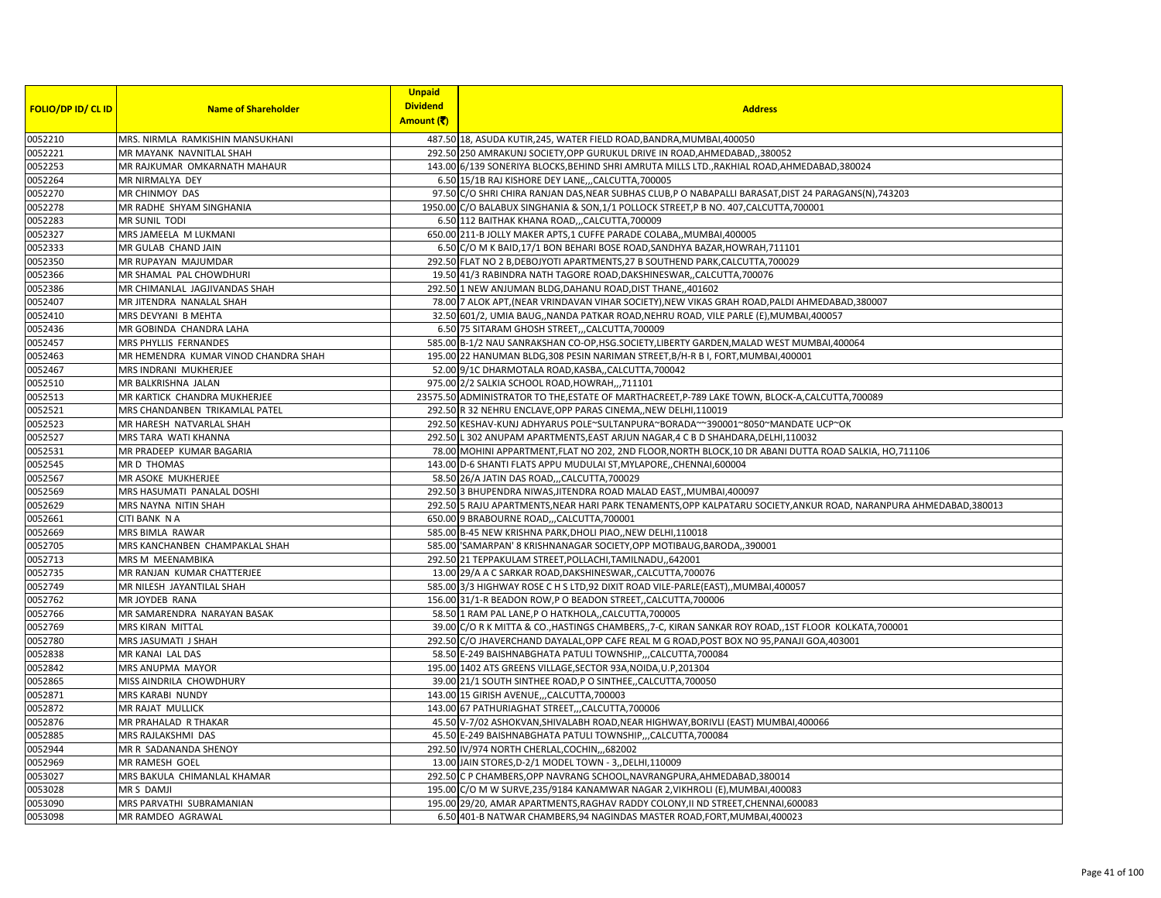|                                   |                             |                                      | <b>Unpaid</b>   |                                                                                                                    |
|-----------------------------------|-----------------------------|--------------------------------------|-----------------|--------------------------------------------------------------------------------------------------------------------|
|                                   |                             | <b>Name of Shareholder</b>           | <b>Dividend</b> | <b>Addres</b>                                                                                                      |
| <mark>Folio/dp Id/ Cl Id  </mark> |                             |                                      | Amount (₹)      |                                                                                                                    |
|                                   |                             |                                      |                 |                                                                                                                    |
| 0052210                           |                             | MRS. NIRMLA RAMKISHIN MANSUKHANI     |                 | 487.50 18. ASUDA KUTIR.245. WATER FIELD ROAD.BANDRA.MUMBAI.400050                                                  |
| 0052221                           |                             | MR MAYANK NAVNITLAL SHAH             |                 | 292.50 250 AMRAKUNJ SOCIETY, OPP GURUKUL DRIVE IN ROAD, AHMEDABAD, 380052                                          |
| 0052253                           |                             | MR RAJKUMAR OMKARNATH MAHAUR         |                 | 143.00 6/139 SONERIYA BLOCKS, BEHIND SHRI AMRUTA MILLS LTD., RAKHIAL ROAD, AHMEDABAD, 380024                       |
| 0052264                           | MR NIRMALYA DEY             |                                      |                 | 6.50 15/1B RAJ KISHORE DEY LANE,,,CALCUTTA,700005                                                                  |
| 0052270                           | MR CHINMOY DAS              |                                      |                 | 97.50 C/O SHRI CHIRA RANJAN DAS,NEAR SUBHAS CLUB,P O NABAPALLI BARASAT,DIST 24 PARAGANS(N),743203                  |
| 0052278                           |                             | MR RADHE SHYAM SINGHANIA             |                 | 1950.00 C/O BALABUX SINGHANIA & SON, 1/1 POLLOCK STREET, P B NO. 407, CALCUTTA, 700001                             |
| 0052283                           | MR SUNIL TODI               |                                      |                 | 6.50 112 BAITHAK KHANA ROAD,,,CALCUTTA,700009                                                                      |
| 0052327                           | MRS JAMEELA M LUKMAN        |                                      |                 | 650.00 211-B JOLLY MAKER APTS, 1 CUFFE PARADE COLABA,, MUMBAI, 400005                                              |
| 0052333                           | MR GULAB CHAND JAIN         |                                      |                 | 6.50 C/O M K BAID,17/1 BON BEHARI BOSE ROAD, SANDHYA BAZAR, HOWRAH, 711101                                         |
| 0052350                           | MR RUPAYAN MAJUMDAR         |                                      |                 | 292.50 FLAT NO 2 B, DEBOJYOTI APARTMENTS, 27 B SOUTHEND PARK, CALCUTTA, 700029                                     |
| 0052366                           |                             | MR SHAMAL PAL CHOWDHURI              |                 | 19.50 41/3 RABINDRA NATH TAGORE ROAD, DAKSHINESWAR, , CALCUTTA, 700076                                             |
| 0052386                           |                             | MR CHIMANLAL JAGJIVANDAS SHAH        |                 | 292.50 1 NEW ANJUMAN BLDG,DAHANU ROAD,DIST THANE,,401602                                                           |
|                                   |                             |                                      |                 |                                                                                                                    |
| 0052407                           | MR JITENDRA NANALAL SHAH    |                                      |                 | 78.00 7 ALOK APT,(NEAR VRINDAVAN VIHAR SOCIETY),NEW VIKAS GRAH ROAD,PALDI AHMEDABAD,380007                         |
| 0052410                           | MRS DEVYANI B MEHTA         |                                      |                 | 32.50 601/2, UMIA BAUG,, NANDA PATKAR ROAD, NEHRU ROAD, VILE PARLE (E), MUMBAI, 400057                             |
| 0052436                           | MR GOBINDA CHANDRA LAHA     |                                      |                 | 6.50 75 SITARAM GHOSH STREET,,,CALCUTTA,700009                                                                     |
| 0052457                           | MRS PHYLLIS FERNANDES       |                                      |                 | 585.00 B-1/2 NAU SANRAKSHAN CO-OP, HSG.SOCIETY, LIBERTY GARDEN, MALAD WEST MUMBAI, 400064                          |
| 0052463                           |                             | MR HEMENDRA KUMAR VINOD CHANDRA SHAH |                 | 195.00 22 HANUMAN BLDG, 308 PESIN NARIMAN STREET, B/H-R B I, FORT, MUMBAI, 400001                                  |
| 0052467                           | MRS INDRANI MUKHERJEE       |                                      |                 | 52.00 9/1C DHARMOTALA ROAD, KASBA,, CALCUTTA, 700042                                                               |
| 0052510                           | MR BALKRISHNA JALAN         |                                      |                 | 975.00 2/2 SALKIA SCHOOL ROAD, HOWRAH,,, 711101                                                                    |
| 0052513                           |                             | MR KARTICK CHANDRA MUKHERJEE         |                 | 23575.50 ADMINISTRATOR TO THE,ESTATE OF MARTHACREET,P-789 LAKE TOWN, BLOCK-A,CALCUTTA,700089                       |
| 0052521                           |                             | MRS CHANDANBEN TRIKAMLAL PATEL       |                 | 292.50 R 32 NEHRU ENCLAVE, OPP PARAS CINEMA,, NEW DELHI, 110019                                                    |
| 0052523                           |                             | MR HARESH NATVARLAL SHAH             |                 | 292.50 KESHAV-KUNJ ADHYARUS POLE~SULTANPURA~BORADA~~390001~8050~MANDATE UCP~OK                                     |
| 0052527                           | MRS TARA WATI KHANNA        |                                      |                 | 292.50 L 302 ANUPAM APARTMENTS, EAST ARJUN NAGAR, 4 C B D SHAHDARA, DELHI, 110032                                  |
| 0052531                           |                             | MR PRADEEP KUMAR BAGARIA             |                 | 78.00 MOHINI APPARTMENT, FLAT NO 202, 2ND FLOOR, NORTH BLOCK, 10 DR ABANI DUTTA ROAD SALKIA, HO, 711106            |
| 0052545                           | MR D THOMAS                 |                                      |                 | 143.00 D-6 SHANTI FLATS APPU MUDULAI ST, MYLAPORE, CHENNAI, 600004                                                 |
| 0052567                           | MR ASOKE MUKHERJEE          |                                      |                 | 58.50 26/A JATIN DAS ROAD,,,CALCUTTA,700029                                                                        |
| 0052569                           |                             | <b>MRS HASUMATI PANALAL DOSHI</b>    |                 | 292.50 3 BHUPENDRA NIWAS, JITENDRA ROAD MALAD EAST, MUMBAI, 400097                                                 |
|                                   |                             |                                      |                 |                                                                                                                    |
| 0052629                           | <b>MRS NAYNA NITIN SHAH</b> |                                      |                 | 292.50 5 RAJU APARTMENTS, NEAR HARI PARK TENAMENTS, OPP KALPATARU SOCIETY, ANKUR ROAD, NARANPURA AHMEDABAD, 380013 |
| 0052661                           | CITI BANK N A               |                                      |                 | 650.00 9 BRABOURNE ROAD, , CALCUTTA, 700001                                                                        |
| 0052669                           | MRS BIMLA RAWAR             |                                      |                 | 585.00 B-45 NEW KRISHNA PARK, DHOLI PIAO,, NEW DELHI, 110018                                                       |
| 0052705                           |                             | MRS KANCHANBEN CHAMPAKLAL SHAH       |                 | 585.00 SAMARPAN' 8 KRISHNANAGAR SOCIETY, OPP MOTIBAUG, BARODA, ,390001                                             |
| 0052713                           | <b>MRS M MEENAMBIKA</b>     |                                      |                 | 292.50 21 TEPPAKULAM STREET, POLLACHI, TAMILNADU,, 642001                                                          |
| 0052735                           |                             | MR RANJAN KUMAR CHATTERJEE           |                 | 13.00 29/A A C SARKAR ROAD, DAKSHINESWAR, , CALCUTTA, 700076                                                       |
| 0052749                           | MR NILESH JAYANTILAL SHAH   |                                      |                 | 585.00 3/3 HIGHWAY ROSE C H S LTD, 92 DIXIT ROAD VILE-PARLE(EAST), MUMBAI, 400057                                  |
| 0052762                           | MR JOYDEB RANA              |                                      |                 | 156.00 31/1-R BEADON ROW, P O BEADON STREET, CALCUTTA, 700006                                                      |
| 0052766                           |                             | MR SAMARENDRA NARAYAN BASAK          |                 | 58.50 1 RAM PAL LANE, P O HATKHOLA,, CALCUTTA, 700005                                                              |
| 0052769                           | <b>MRS KIRAN MITTAL</b>     |                                      |                 | 39.00 C/O R K MITTA & CO., HASTINGS CHAMBERS, 7-C, KIRAN SANKAR ROY ROAD, 1ST FLOOR KOLKATA, 700001                |
| 0052780                           | MRS JASUMATI J SHAH         |                                      |                 | 292.50 C/O JHAVERCHAND DAYALAL, OPP CAFE REAL M G ROAD, POST BOX NO 95, PANAJI GOA, 403001                         |
| 0052838                           | MR KANAI LAL DAS            |                                      |                 | 58.50 E-249 BAISHNABGHATA PATULI TOWNSHIP,,,CALCUTTA,700084                                                        |
| 0052842                           | <b>MRS ANUPMA MAYOR</b>     |                                      |                 | 195.00 1402 ATS GREENS VILLAGE, SECTOR 93A, NOIDA, U.P, 201304                                                     |
|                                   |                             |                                      |                 |                                                                                                                    |
| 0052865                           | MISS AINDRILA CHOWDHURY     |                                      |                 | 39.00 21/1 SOUTH SINTHEE ROAD, P O SINTHEE, CALCUTTA, 700050                                                       |
| 0052871                           | <b>MRS KARABI NUNDY</b>     |                                      |                 | 143.00 15 GIRISH AVENUE,,,CALCUTTA,700003                                                                          |
| 0052872                           | MR RAJAT MULLICK            |                                      |                 | 143.00 67 PATHURIAGHAT STREET,,,CALCUTTA,700006                                                                    |
| 0052876                           | MR PRAHALAD R THAKAR        |                                      |                 | 45.50 V-7/02 ASHOKVAN, SHIVALABH ROAD, NEAR HIGHWAY, BORIVLI (EAST) MUMBAI, 400066                                 |
| 0052885                           | MRS RAJLAKSHMI DAS          |                                      |                 | 45.50 E-249 BAISHNABGHATA PATULI TOWNSHIP,,,CALCUTTA,700084                                                        |
| 0052944                           | MR R SADANANDA SHENOY       |                                      |                 | 292.50 IV/974 NORTH CHERLAL, COCHIN, 682002                                                                        |
| 0052969                           | <b>MR RAMESH GOEL</b>       |                                      |                 | 13.00 JAIN STORES, D-2/1 MODEL TOWN - 3, DELHI, 110009                                                             |
| 0053027                           |                             | MRS BAKULA CHIMANLAL KHAMAR          |                 | 292.50 C P CHAMBERS, OPP NAVRANG SCHOOL, NAVRANGPURA, AHMEDABAD, 380014                                            |
| 0053028                           | MR S DAMJI                  |                                      |                 | 195.00 C/O M W SURVE, 235/9184 KANAMWAR NAGAR 2, VIKHROLI (E), MUMBAI, 400083                                      |
| 0053090                           |                             | MRS PARVATHI SUBRAMANIAN             |                 | 195.00 29/20. AMAR APARTMENTS.RAGHAV RADDY COLONY.II ND STREET.CHENNAI.600083                                      |
|                                   |                             |                                      |                 |                                                                                                                    |
| 0053098                           | MR RAMDEO AGRAWAL           |                                      |                 | 6.50 401-B NATWAR CHAMBERS,94 NAGINDAS MASTER ROAD,FORT,MUMBAI,400023                                              |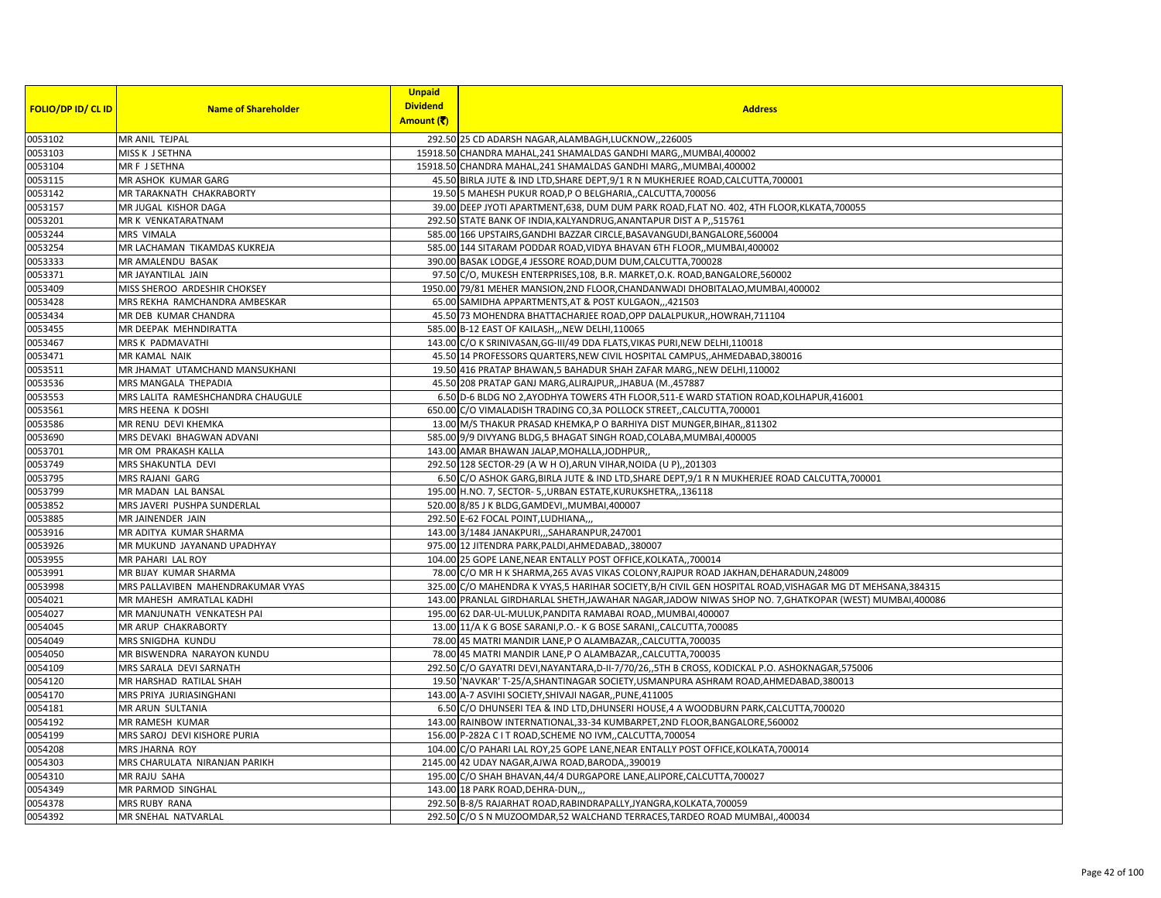|                           |                                   | <b>Unpaid</b>   |                                                                                                           |
|---------------------------|-----------------------------------|-----------------|-----------------------------------------------------------------------------------------------------------|
| <b>FOLIO/DP ID/ CL ID</b> | <b>Name of Shareholder</b>        | <b>Dividend</b> | <b>Address</b>                                                                                            |
|                           |                                   | Amount (₹)      |                                                                                                           |
| 0053102                   | MR ANIL TEJPAL                    |                 | 292.50 25 CD ADARSH NAGAR, ALAMBAGH, LUCKNOW, 226005                                                      |
| 0053103                   | MISS K J SETHNA                   |                 | 15918.50 CHANDRA MAHAL, 241 SHAMALDAS GANDHI MARG,, MUMBAI, 400002                                        |
| 0053104                   | MR F J SETHNA                     |                 | 15918.50 CHANDRA MAHAL, 241 SHAMALDAS GANDHI MARG,, MUMBAI, 400002                                        |
| 0053115                   | MR ASHOK KUMAR GARG               |                 | 45.50 BIRLA JUTE & IND LTD, SHARE DEPT, 9/1 R N MUKHERJEE ROAD, CALCUTTA, 700001                          |
| 0053142                   | MR TARAKNATH CHAKRABORTY          |                 | 19.50 5 MAHESH PUKUR ROAD, P O BELGHARIA,, CALCUTTA, 700056                                               |
| 0053157                   | MR JUGAL KISHOR DAGA              |                 | 39.00 DEEP JYOTI APARTMENT, 638, DUM DUM PARK ROAD, FLAT NO. 402, 4TH FLOOR, KLKATA, 700055               |
| 0053201                   | MR K VENKATARATNAM                |                 | 292.50 STATE BANK OF INDIA, KALYANDRUG, ANANTAPUR DIST A P,, 515761                                       |
| 0053244                   | MRS VIMALA                        |                 | 585.00 166 UPSTAIRS, GANDHI BAZZAR CIRCLE, BASAVANGUDI, BANGALORE, 560004                                 |
| 0053254                   | MR LACHAMAN TIKAMDAS KUKREJA      |                 | 585.00 144 SITARAM PODDAR ROAD, VIDYA BHAVAN 6TH FLOOR, MUMBAI, 400002                                    |
| 0053333                   | MR AMALENDU BASAK                 |                 | 390.00 BASAK LODGE,4 JESSORE ROAD, DUM DUM, CALCUTTA, 700028                                              |
| 0053371                   | <b>MR JAYANTILAL JAIN</b>         |                 | 97.50 C/O, MUKESH ENTERPRISES, 108, B.R. MARKET, O.K. ROAD, BANGALORE, 560002                             |
| 0053409                   | MISS SHEROO ARDESHIR CHOKSEY      |                 | 1950.00 79/81 MEHER MANSION, 2ND FLOOR, CHANDANWADI DHOBITALAO, MUMBAI, 400002                            |
| 0053428                   | MRS REKHA RAMCHANDRA AMBESKAR     |                 | 65.00 SAMIDHA APPARTMENTS, AT & POST KULGAON,,,421503                                                     |
| 0053434                   | MR DEB KUMAR CHANDRA              |                 | 45.50 73 MOHENDRA BHATTACHARJEE ROAD, OPP DALALPUKUR, HOWRAH, 711104                                      |
| 0053455                   | MR DEEPAK MEHNDIRATTA             |                 | 585.00 B-12 EAST OF KAILASH, NEW DELHI, 110065                                                            |
| 0053467                   | MRS K PADMAVATHI                  |                 | 143.00 C/O K SRINIVASAN, GG-III/49 DDA FLATS, VIKAS PURI, NEW DELHI, 110018                               |
| 0053471                   | <b>MR KAMAL NAIK</b>              |                 | 45.50 14 PROFESSORS QUARTERS, NEW CIVIL HOSPITAL CAMPUS, AHMEDABAD, 380016                                |
| 0053511                   | MR JHAMAT UTAMCHAND MANSUKHANI    |                 | 19.50 416 PRATAP BHAWAN,5 BAHADUR SHAH ZAFAR MARG,, NEW DELHI, 110002                                     |
| 0053536                   | MRS MANGALA THEPADIA              |                 | 45.50 208 PRATAP GANJ MARG, ALIRAJPUR, JHABUA (M., 457887                                                 |
| 0053553                   | MRS LALITA RAMESHCHANDRA CHAUGULE |                 | 6.50 D-6 BLDG NO 2, AYODHYA TOWERS 4TH FLOOR, 511-E WARD STATION ROAD, KOLHAPUR, 416001                   |
| 0053561                   | MRS HEENA K DOSHI                 |                 | 650.00 C/O VIMALADISH TRADING CO, 3A POLLOCK STREET, CALCUTTA, 700001                                     |
| 0053586                   | MR RENU DEVI KHEMKA               |                 | 13.00 M/S THAKUR PRASAD KHEMKA, P O BARHIYA DIST MUNGER, BIHAR,, 811302                                   |
| 0053690                   | MRS DEVAKI BHAGWAN ADVANI         |                 | 585.00 9/9 DIVYANG BLDG,5 BHAGAT SINGH ROAD, COLABA, MUMBAI, 400005                                       |
| 0053701                   | MR OM PRAKASH KALLA               |                 | 143.00 AMAR BHAWAN JALAP, MOHALLA, JODHPUR,                                                               |
| 0053749                   | MRS SHAKUNTLA DEVI                |                 | 292.50 128 SECTOR-29 (A W H O), ARUN VIHAR, NOIDA (U P), 201303                                           |
| 0053795                   | MRS RAJANI GARG                   |                 | 6.50 C/O ASHOK GARG, BIRLA JUTE & IND LTD, SHARE DEPT, 9/1 R N MUKHERJEE ROAD CALCUTTA, 700001            |
| 0053799                   | MR MADAN LAL BANSAL               |                 | 195.00 H.NO. 7, SECTOR- 5, URBAN ESTATE, KURUKSHETRA, 136118                                              |
| 0053852                   | MRS JAVERI PUSHPA SUNDERLAL       |                 | 520.00 8/85 J K BLDG, GAMDEVI, MUMBAI, 400007                                                             |
| 0053885                   | MR JAINENDER JAIN                 |                 | 292.50 E-62 FOCAL POINT, LUDHIANA,                                                                        |
| 0053916                   | MR ADITYA KUMAR SHARMA            |                 | 143.00 3/1484 JANAKPURI,,,SAHARANPUR,247001                                                               |
| 0053926                   | MR MUKUND JAYANAND UPADHYAY       |                 | 975.00 12 JITENDRA PARK, PALDI, AHMEDABAD, 380007                                                         |
| 0053955                   | <b>MR PAHARI LAL ROY</b>          |                 | 104.00 25 GOPE LANE, NEAR ENTALLY POST OFFICE, KOLKATA,, 700014                                           |
| 0053991                   | MR BIJAY KUMAR SHARMA             |                 | 78.00 C/O MR H K SHARMA, 265 AVAS VIKAS COLONY, RAJPUR ROAD JAKHAN, DEHARADUN, 248009                     |
| 0053998                   | MRS PALLAVIBEN MAHENDRAKUMAR VYAS |                 | 325.00 C/O MAHENDRA K VYAS,5 HARIHAR SOCIETY, B/H CIVIL GEN HOSPITAL ROAD, VISHAGAR MG DT MEHSANA, 384315 |
| 0054021                   | MR MAHESH AMRATLAL KADHI          |                 | 143.00 PRANLAL GIRDHARLAL SHETH, JAWAHAR NAGAR, JADOW NIWAS SHOP NO. 7, GHATKOPAR (WEST) MUMBAI, 400086   |
| 0054027                   | MR MANJUNATH VENKATESH PAI        |                 | 195.00 62 DAR-UL-MULUK, PANDITA RAMABAI ROAD, MUMBAI, 400007                                              |
| 0054045                   | MR ARUP CHAKRABORTY               |                 | 13.00 11/A K G BOSE SARANI, P.O. - K G BOSE SARANI, CALCUTTA, 700085                                      |
| 0054049                   | MRS SNIGDHA KUNDU                 |                 | 78.00 45 MATRI MANDIR LANE, P O ALAMBAZAR, CALCUTTA, 700035                                               |
| 0054050                   | MR BISWENDRA NARAYON KUNDU        |                 | 78.00 45 MATRI MANDIR LANE, P O ALAMBAZAR, CALCUTTA, 700035                                               |
| 0054109                   | MRS SARALA DEVI SARNATH           |                 | 292.50 C/O GAYATRI DEVI, NAYANTARA, D-II-7/70/26,, 5TH B CROSS, KODICKAL P.O. ASHOKNAGAR, 575006          |
| 0054120                   | MR HARSHAD RATILAL SHAH           |                 | 19.50 'NAVKAR' T-25/A, SHANTINAGAR SOCIETY, USMANPURA ASHRAM ROAD, AHMEDABAD, 380013                      |
| 0054170                   | MRS PRIYA JURIASINGHANI           |                 | 143.00 A-7 ASVIHI SOCIETY, SHIVAJI NAGAR, , PUNE, 411005                                                  |
| 0054181                   | <b>MR ARUN SULTANIA</b>           |                 | 6.50 C/O DHUNSERI TEA & IND LTD, DHUNSERI HOUSE, 4 A WOODBURN PARK, CALCUTTA, 700020                      |
| 0054192                   | MR RAMESH KUMAR                   |                 | 143.00 RAINBOW INTERNATIONAL, 33-34 KUMBARPET, 2ND FLOOR, BANGALORE, 560002                               |
| 0054199                   | MRS SAROJ DEVI KISHORE PURIA      |                 | 156.00 P-282A C I T ROAD, SCHEME NO IVM, CALCUTTA, 700054                                                 |
| 0054208                   | MRS JHARNA ROY                    |                 | 104.00 C/O PAHARI LAL ROY, 25 GOPE LANE, NEAR ENTALLY POST OFFICE, KOLKATA, 700014                        |
| 0054303                   | MRS CHARULATA NIRANJAN PARIKH     |                 | 2145.00 42 UDAY NAGAR, AJWA ROAD, BARODA,, 390019                                                         |
| 0054310                   | MR RAJU SAHA                      |                 | 195.00 C/O SHAH BHAVAN, 44/4 DURGAPORE LANE, ALIPORE, CALCUTTA, 700027                                    |
| 0054349                   | MR PARMOD SINGHAL                 |                 | 143.00 18 PARK ROAD, DEHRA-DUN,                                                                           |
| 0054378                   | MRS RUBY RANA                     |                 | 292.50 B-8/5 RAJARHAT ROAD, RABINDRAPALLY, JYANGRA, KOLKATA, 700059                                       |
| 0054392                   | MR SNEHAL NATVARLAL               |                 | 292.50 C/O S N MUZOOMDAR,52 WALCHAND TERRACES, TARDEO ROAD MUMBAI,,400034                                 |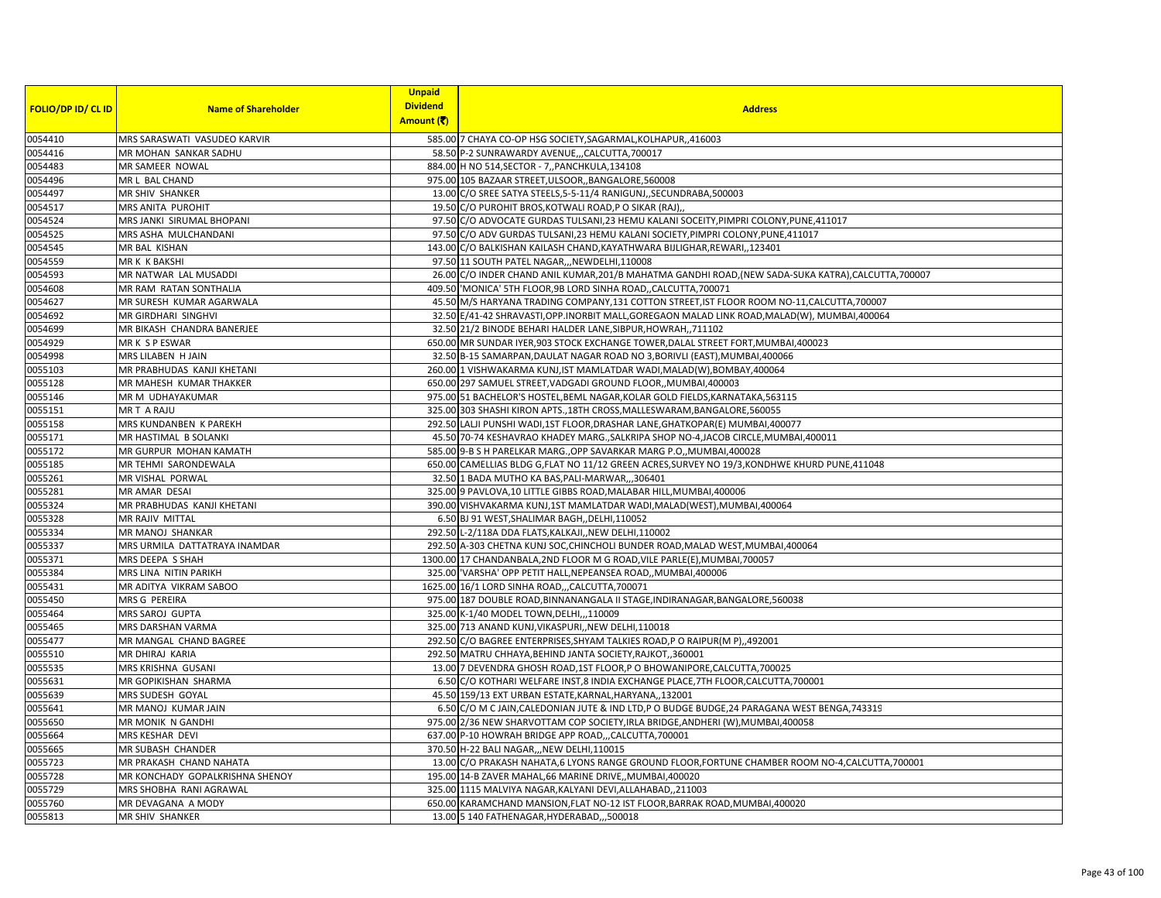|                           |                                             | <b>Unpaid</b>   |                                                                                                                                                |
|---------------------------|---------------------------------------------|-----------------|------------------------------------------------------------------------------------------------------------------------------------------------|
| <b>FOLIO/DP ID/ CL ID</b> | <b>Name of Shareholder</b>                  | <b>Dividend</b> | <b>Address</b>                                                                                                                                 |
|                           |                                             | Amount (₹)      |                                                                                                                                                |
| 0054410                   | MRS SARASWATI VASUDEO KARVIR                |                 | 585.00 7 CHAYA CO-OP HSG SOCIETY, SAGARMAL, KOLHAPUR, ,416003                                                                                  |
| 0054416                   | MR MOHAN SANKAR SADHU                       |                 | 58.50 P-2 SUNRAWARDY AVENUE,,,CALCUTTA,700017                                                                                                  |
| 0054483                   | MR SAMEER NOWAL                             |                 | 884.00 H NO 514, SECTOR - 7, PANCHKULA, 134108                                                                                                 |
| 0054496                   | MR L BAL CHAND                              |                 | 975.00 105 BAZAAR STREET, ULSOOR, , BANGALORE, 560008                                                                                          |
| 0054497                   | MR SHIV SHANKER                             |                 | 13.00 C/O SREE SATYA STEELS, 5-5-11/4 RANIGUNJ, SECUNDRABA, 500003                                                                             |
| 0054517                   | MRS ANITA PUROHIT                           |                 | 19.50 C/O PUROHIT BROS, KOTWALI ROAD, P O SIKAR (RAJ),                                                                                         |
| 0054524                   | MRS JANKI SIRUMAL BHOPANI                   |                 | 97.50 C/O ADVOCATE GURDAS TULSANI, 23 HEMU KALANI SOCEITY, PIMPRI COLONY, PUNE, 411017                                                         |
| 0054525                   | MRS ASHA MULCHANDANI                        |                 | 97.50 C/O ADV GURDAS TULSANI, 23 HEMU KALANI SOCIETY, PIMPRI COLONY, PUNE, 411017                                                              |
| 0054545                   | MR BAL KISHAN                               |                 | 143.00 C/O BALKISHAN KAILASH CHAND, KAYATHWARA BIJLIGHAR, REWARI, , 123401                                                                     |
| 0054559                   | MR K K BAKSHI                               |                 | 97.50 11 SOUTH PATEL NAGAR, , NEWDELHI, 110008                                                                                                 |
| 0054593                   | MR NATWAR LAL MUSADDI                       |                 | 26.00 C/O INDER CHAND ANIL KUMAR, 201/B MAHATMA GANDHI ROAD, (NEW SADA-SUKA KATRA), CALCUTTA, 700007                                           |
| 0054608                   | MR RAM RATAN SONTHALIA                      |                 | 409.50 MONICA' 5TH FLOOR, 9B LORD SINHA ROAD, CALCUTTA, 700071                                                                                 |
| 0054627                   | MR SURESH KUMAR AGARWALA                    |                 | 45.50 M/S HARYANA TRADING COMPANY,131 COTTON STREET, IST FLOOR ROOM NO-11, CALCUTTA, 700007                                                    |
| 0054692                   | MR GIRDHARI SINGHVI                         |                 | 32.50 E/41-42 SHRAVASTI, OPP.INORBIT MALL, GOREGAON MALAD LINK ROAD, MALAD(W), MUMBAI, 400064                                                  |
| 0054699                   | MR BIKASH CHANDRA BANERJEE                  |                 | 32.50 21/2 BINODE BEHARI HALDER LANE, SIBPUR, HOWRAH, ,711102                                                                                  |
| 0054929                   | MR K S P ESWAR                              |                 | 650.00 MR SUNDAR IYER, 903 STOCK EXCHANGE TOWER, DALAL STREET FORT, MUMBAI, 400023                                                             |
| 0054998                   | MRS LILABEN H JAIN                          |                 | 32.50 B-15 SAMARPAN, DAULAT NAGAR ROAD NO 3, BORIVLI (EAST), MUMBAI, 400066                                                                    |
| 0055103                   | MR PRABHUDAS KANJI KHETANI                  |                 | 260.00 1 VISHWAKARMA KUNJ,IST MAMLATDAR WADI, MALAD(W), BOMBAY, 400064                                                                         |
| 0055128                   | MR MAHESH KUMAR THAKKER<br>MR M UDHAYAKUMAR |                 | 650.00 297 SAMUEL STREET, VADGADI GROUND FLOOR,, MUMBAI, 400003                                                                                |
| 0055146                   |                                             |                 | 975.00 51 BACHELOR'S HOSTEL, BEML NAGAR, KOLAR GOLD FIELDS, KARNATAKA, 563115                                                                  |
| 0055151                   | MR T A RAJU                                 |                 | 325.00 303 SHASHI KIRON APTS., 18TH CROSS, MALLESWARAM, BANGALORE, 560055                                                                      |
| 0055158                   | MRS KUNDANBEN K PAREKH                      |                 | 292.50 LALJI PUNSHI WADI,1ST FLOOR, DRASHAR LANE, GHATKOPAR(E) MUMBAI, 400077                                                                  |
| 0055171                   | <b>MR HASTIMAL B SOLANKI</b>                |                 | 45.50 70-74 KESHAVRAO KHADEY MARG., SALKRIPA SHOP NO-4, JACOB CIRCLE, MUMBAI, 400011                                                           |
| 0055172                   | MR GURPUR MOHAN KAMATH                      |                 | 585.00 9-B S H PARELKAR MARG., OPP SAVARKAR MARG P.O., MUMBAI, 400028                                                                          |
| 0055185                   | MR TEHMI SARONDEWALA                        |                 | 650.00 CAMELLIAS BLDG G, FLAT NO 11/12 GREEN ACRES, SURVEY NO 19/3, KONDHWE KHURD PUNE, 411048                                                 |
| 0055261                   | MR VISHAL PORWAL                            |                 | 32.50 1 BADA MUTHO KA BAS, PALI-MARWAR,, ,306401                                                                                               |
| 0055281<br>0055324        | MR AMAR DESAI<br>MR PRABHUDAS KANJI KHETANI |                 | 325.00 9 PAVLOVA,10 LITTLE GIBBS ROAD, MALABAR HILL, MUMBAI, 400006<br>390.00 VISHVAKARMA KUNJ,1ST MAMLATDAR WADI, MALAD(WEST), MUMBAI, 400064 |
| 0055328                   | MR RAJIV MITTAL                             |                 | 6.50 BJ 91 WEST, SHALIMAR BAGH, , DELHI, 110052                                                                                                |
| 0055334                   | MR MANOJ SHANKAR                            |                 | 292.50 L-2/118A DDA FLATS, KALKAJI,, NEW DELHI, 110002                                                                                         |
| 0055337                   | MRS URMILA DATTATRAYA INAMDAR               |                 | 292.50 A-303 CHETNA KUNJ SOC, CHINCHOLI BUNDER ROAD, MALAD WEST, MUMBAI, 400064                                                                |
| 0055371                   | MRS DEEPA S SHAH                            |                 | 1300.00 17 CHANDANBALA, 2ND FLOOR M G ROAD, VILE PARLE(E), MUMBAI, 700057                                                                      |
| 0055384                   | MRS LINA NITIN PARIKH                       |                 | 325.00 VARSHA' OPP PETIT HALL, NEPEANSEA ROAD,, MUMBAI, 400006                                                                                 |
| 0055431                   | MR ADITYA VIKRAM SABOO                      |                 | 1625.00 16/1 LORD SINHA ROAD,,,CALCUTTA,700071                                                                                                 |
| 0055450                   | MRS G PEREIRA                               |                 | 975.00 187 DOUBLE ROAD, BINNANANGALA II STAGE, INDIRANAGAR, BANGALORE, 560038                                                                  |
| 0055464                   | MRS SAROJ GUPTA                             |                 | 325.00 K-1/40 MODEL TOWN, DELHI, ,, 110009                                                                                                     |
| 0055465                   | MRS DARSHAN VARMA                           |                 | 325.00 713 ANAND KUNJ, VIKASPURI,, NEW DELHI, 110018                                                                                           |
| 0055477                   | MR MANGAL CHAND BAGREE                      |                 | 292.50 C/O BAGREE ENTERPRISES, SHYAM TALKIES ROAD, P O RAIPUR(M P), 492001                                                                     |
| 0055510                   | MR DHIRAJ KARIA                             |                 | 292.50 MATRU CHHAYA, BEHIND JANTA SOCIETY, RAJKOT, ,360001                                                                                     |
| 0055535                   | MRS KRISHNA GUSANI                          |                 | 13.00 7 DEVENDRA GHOSH ROAD, 1ST FLOOR, P O BHOWANIPORE, CALCUTTA, 700025                                                                      |
| 0055631                   | MR GOPIKISHAN SHARMA                        |                 | 6.50 C/O KOTHARI WELFARE INST,8 INDIA EXCHANGE PLACE, 7TH FLOOR, CALCUTTA, 700001                                                              |
| 0055639                   | MRS SUDESH GOYAL                            |                 | 45.50 159/13 EXT URBAN ESTATE, KARNAL, HARYANA, , 132001                                                                                       |
| 0055641                   | MR MANOJ KUMAR JAIN                         |                 | 6.50 C/O M C JAIN, CALEDONIAN JUTE & IND LTD, P O BUDGE BUDGE, 24 PARAGANA WEST BENGA, 743319                                                  |
| 0055650                   | MR MONIK N GANDHI                           |                 | 975.00 2/36 NEW SHARVOTTAM COP SOCIETY, IRLA BRIDGE, ANDHERI (W), MUMBAI, 400058                                                               |
| 0055664                   | MRS KESHAR DEVI                             |                 | 637.00 P-10 HOWRAH BRIDGE APP ROAD,,,CALCUTTA,700001                                                                                           |
| 0055665                   | MR SUBASH CHANDER                           |                 | 370.50 H-22 BALI NAGAR,,, NEW DELHI, 110015                                                                                                    |
| 0055723                   | MR PRAKASH CHAND NAHATA                     |                 | 13.00 C/O PRAKASH NAHATA,6 LYONS RANGE GROUND FLOOR, FORTUNE CHAMBER ROOM NO-4, CALCUTTA, 700001                                               |
| 0055728                   | MR KONCHADY GOPALKRISHNA SHENOY             |                 | 195.00 14-B ZAVER MAHAL, 66 MARINE DRIVE,, MUMBAI, 400020                                                                                      |
| 0055729                   | MRS SHOBHA RANI AGRAWAL                     |                 | 325.00 1115 MALVIYA NAGAR, KALYANI DEVI, ALLAHABAD, 211003                                                                                     |
| 0055760                   | MR DEVAGANA A MODY                          |                 | 650.00 KARAMCHAND MANSION, FLAT NO-12 IST FLOOR, BARRAK ROAD, MUMBAI, 400020                                                                   |
| 0055813                   | MR SHIV SHANKER                             |                 | 13.00 5 140 FATHENAGAR, HYDERABAD, ,,500018                                                                                                    |
|                           |                                             |                 |                                                                                                                                                |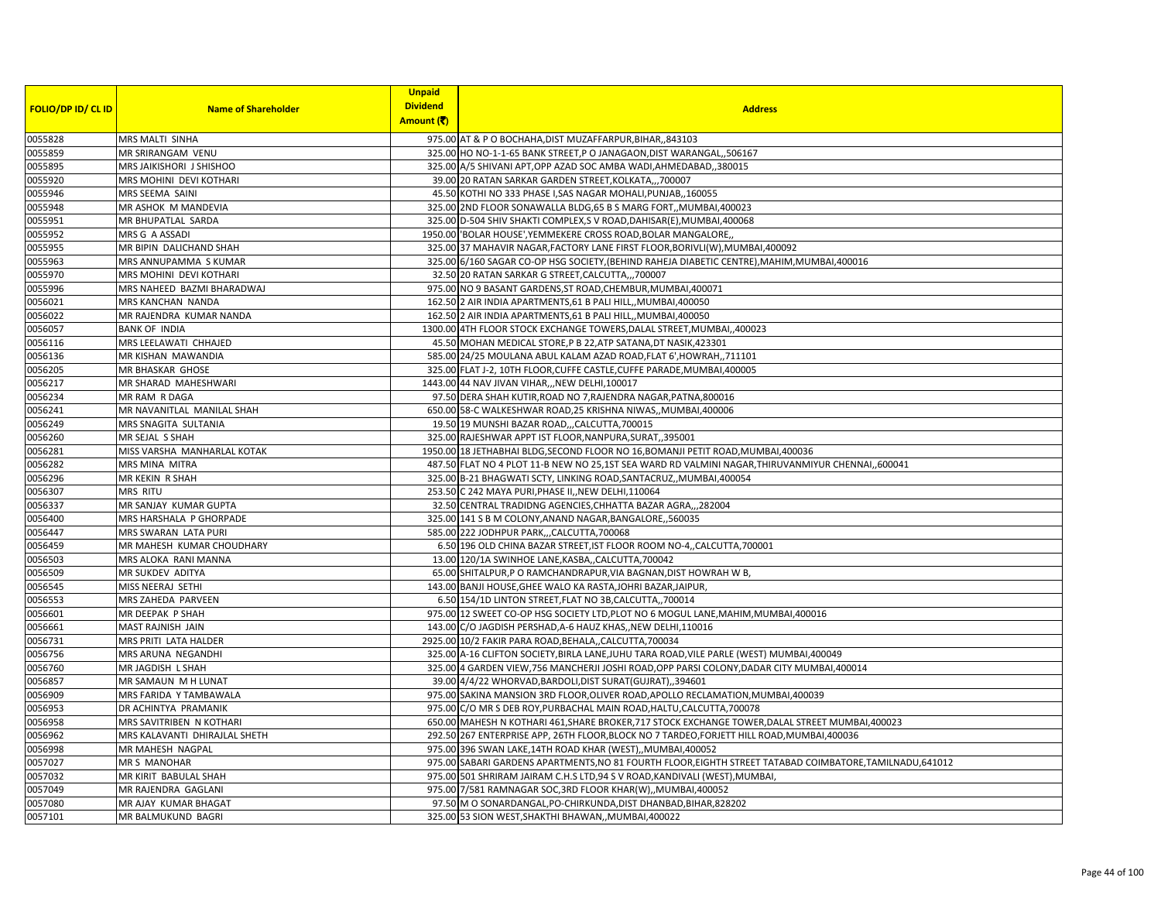|                           |                               | <b>Unpaid</b>   |                                                                                                           |
|---------------------------|-------------------------------|-----------------|-----------------------------------------------------------------------------------------------------------|
| <b>FOLIO/DP ID/ CL ID</b> | <b>Name of Shareholder</b>    | <b>Dividend</b> | <b>Address</b>                                                                                            |
|                           |                               | Amount (そ)      |                                                                                                           |
| 0055828                   | MRS MALTI SINHA               |                 | 975.00 AT & P O BOCHAHA, DIST MUZAFFARPUR, BIHAR,, 843103                                                 |
| 0055859                   | MR SRIRANGAM VENU             |                 | 325.00 HO NO-1-1-65 BANK STREET, P O JANAGAON, DIST WARANGAL, ,506167                                     |
| 0055895                   | MRS JAIKISHORI J SHISHOO      |                 | 325.00 A/5 SHIVANI APT, OPP AZAD SOC AMBA WADI, AHMEDABAD, 380015                                         |
| 0055920                   | MRS MOHINI DEVI KOTHARI       |                 | 39.00 20 RATAN SARKAR GARDEN STREET, KOLKATA,,,700007                                                     |
| 0055946                   | MRS SEEMA SAINI               |                 | 45.50 KOTHI NO 333 PHASE I, SAS NAGAR MOHALI, PUNJAB,, 160055                                             |
| 0055948                   | MR ASHOK M MANDEVIA           |                 | 325.00 2ND FLOOR SONAWALLA BLDG,65 B S MARG FORT, MUMBAI,400023                                           |
| 0055951                   | MR BHUPATLAL SARDA            |                 | 325.00 D-504 SHIV SHAKTI COMPLEX, S V ROAD, DAHISAR(E), MUMBAI, 400068                                    |
| 0055952                   | MRS G A ASSADI                |                 | 1950.00 BOLAR HOUSE', YEMMEKERE CROSS ROAD, BOLAR MANGALORE,                                              |
| 0055955                   | MR BIPIN DALICHAND SHAH       |                 | 325.00 37 MAHAVIR NAGAR, FACTORY LANE FIRST FLOOR, BORIVLI(W), MUMBAI, 400092                             |
| 0055963                   | MRS ANNUPAMMA S KUMAR         |                 | 325.00 6/160 SAGAR CO-OP HSG SOCIETY, (BEHIND RAHEJA DIABETIC CENTRE), MAHIM, MUMBAI, 400016              |
| 0055970                   | MRS MOHINI DEVI KOTHARI       |                 | 32.50 20 RATAN SARKAR G STREET, CALCUTTA,,, 700007                                                        |
| 0055996                   | MRS NAHEED BAZMI BHARADWAJ    |                 | 975.00 NO 9 BASANT GARDENS, ST ROAD, CHEMBUR, MUMBAI, 400071                                              |
| 0056021                   | MRS KANCHAN NANDA             |                 | 162.50 2 AIR INDIA APARTMENTS, 61 B PALI HILL, MUMBAI, 400050                                             |
| 0056022                   | MR RAJENDRA KUMAR NANDA       |                 | 162.50 2 AIR INDIA APARTMENTS, 61 B PALI HILL, MUMBAI, 400050                                             |
| 0056057                   | <b>BANK OF INDIA</b>          |                 | 1300.00 4TH FLOOR STOCK EXCHANGE TOWERS, DALAL STREET, MUMBAI, ,400023                                    |
| 0056116                   | MRS LEELAWATI CHHAJED         |                 | 45.50 MOHAN MEDICAL STORE, P B 22, ATP SATANA, DT NASIK, 423301                                           |
| 0056136                   | MR KISHAN MAWANDIA            |                 | 585.00 24/25 MOULANA ABUL KALAM AZAD ROAD, FLAT 6', HOWRAH, 711101                                        |
| 0056205                   | MR BHASKAR GHOSE              |                 | 325.00 FLAT J-2, 10TH FLOOR, CUFFE CASTLE, CUFFE PARADE, MUMBAI, 400005                                   |
| 0056217                   | MR SHARAD MAHESHWARI          |                 | 1443.00 44 NAV JIVAN VIHAR,,, NEW DELHI, 100017                                                           |
| 0056234                   | MR RAM R DAGA                 |                 | 97.50 DERA SHAH KUTIR, ROAD NO 7, RAJENDRA NAGAR, PATNA, 800016                                           |
| 0056241                   | MR NAVANITLAL MANILAL SHAH    |                 | 650.00 58-C WALKESHWAR ROAD, 25 KRISHNA NIWAS,, MUMBAI, 400006                                            |
| 0056249                   | MRS SNAGITA SULTANIA          |                 | 19.50 19 MUNSHI BAZAR ROAD,,,CALCUTTA,700015                                                              |
| 0056260                   | MR SEJAL S SHAH               |                 | 325.00 RAJESHWAR APPT IST FLOOR, NANPURA, SURAT, 395001                                                   |
| 0056281                   | MISS VARSHA MANHARLAL KOTAK   |                 | 1950.00 18 JETHABHAI BLDG, SECOND FLOOR NO 16, BOMANJI PETIT ROAD, MUMBAI, 400036                         |
| 0056282                   | MRS MINA MITRA                |                 | 487.50 FLAT NO 4 PLOT 11-B NEW NO 25,1ST SEA WARD RD VALMINI NAGAR, THIRUVANMIYUR CHENNAI, 600041         |
| 0056296                   | MR KEKIN R SHAH               |                 | 325.00 B-21 BHAGWATI SCTY, LINKING ROAD, SANTACRUZ,, MUMBAI, 400054                                       |
| 0056307                   | <b>MRS RITU</b>               |                 | 253.50 C 242 MAYA PURI, PHASE II, NEW DELHI, 110064                                                       |
| 0056337                   | MR SANJAY KUMAR GUPTA         |                 | 32.50 CENTRAL TRADIDNG AGENCIES, CHHATTA BAZAR AGRA,,,282004                                              |
| 0056400                   | MRS HARSHALA P GHORPADE       |                 | 325.00 141 S B M COLONY, ANAND NAGAR, BANGALORE, ,560035                                                  |
| 0056447                   | MRS SWARAN LATA PURI          |                 | 585.00 222 JODHPUR PARK,,,CALCUTTA,700068                                                                 |
| 0056459                   | MR MAHESH KUMAR CHOUDHARY     |                 | 6.50 196 OLD CHINA BAZAR STREET, IST FLOOR ROOM NO-4,, CALCUTTA, 700001                                   |
| 0056503                   | MRS ALOKA RANI MANNA          |                 | 13.00 120/1A SWINHOE LANE, KASBA,, CALCUTTA, 700042                                                       |
| 0056509                   | MR SUKDEV ADITYA              |                 | 65.00 SHITALPUR, P O RAMCHANDRAPUR, VIA BAGNAN, DIST HOWRAH W B,                                          |
| 0056545                   | MISS NEERAJ SETHI             |                 | 143.00 BANJI HOUSE, GHEE WALO KA RASTA, JOHRI BAZAR, JAIPUR,                                              |
| 0056553                   | MRS ZAHEDA PARVEEN            |                 | 6.50 154/1D LINTON STREET, FLAT NO 3B, CALCUTTA,, 700014                                                  |
| 0056601                   | MR DEEPAK P SHAH              |                 | 975.00 12 SWEET CO-OP HSG SOCIETY LTD, PLOT NO 6 MOGUL LANE, MAHIM, MUMBAI, 400016                        |
| 0056661                   | MAST RAJNISH JAIN             |                 | 143.00 C/O JAGDISH PERSHAD, A-6 HAUZ KHAS,, NEW DELHI, 110016                                             |
| 0056731                   | MRS PRITI LATA HALDER         |                 | 2925.00 10/2 FAKIR PARA ROAD, BEHALA, CALCUTTA, 700034                                                    |
| 0056756                   | MRS ARUNA NEGANDHI            |                 | 325.00 A-16 CLIFTON SOCIETY, BIRLA LANE, JUHU TARA ROAD, VILE PARLE (WEST) MUMBAI, 400049                 |
| 0056760                   | MR JAGDISH L SHAH             |                 | 325.00 4 GARDEN VIEW, 756 MANCHERJI JOSHI ROAD, OPP PARSI COLONY, DADAR CITY MUMBAI, 400014               |
| 0056857                   | MR SAMAUN M H LUNAT           |                 | 39.00 4/4/22 WHORVAD, BARDOLI, DIST SURAT (GUJRAT), 394601                                                |
| 0056909                   | MRS FARIDA Y TAMBAWALA        |                 | 975.00 SAKINA MANSION 3RD FLOOR, OLIVER ROAD, APOLLO RECLAMATION, MUMBAI, 400039                          |
| 0056953                   | DR ACHINTYA PRAMANIK          |                 | 975.00 C/O MR S DEB ROY, PURBACHAL MAIN ROAD, HALTU, CALCUTTA, 700078                                     |
| 0056958                   | MRS SAVITRIBEN N KOTHARI      |                 | 650.00 MAHESH N KOTHARI 461, SHARE BROKER, 717 STOCK EXCHANGE TOWER, DALAL STREET MUMBAI, 400023          |
| 0056962                   | MRS KALAVANTI DHIRAJLAL SHETH |                 | 292.50 267 ENTERPRISE APP, 26TH FLOOR, BLOCK NO 7 TARDEO, FORJETT HILL ROAD, MUMBAI, 400036               |
| 0056998                   | MR MAHESH NAGPAL              |                 | 975.00 396 SWAN LAKE, 14TH ROAD KHAR (WEST), MUMBAI, 400052                                               |
| 0057027                   | MR S MANOHAR                  |                 | 975.00 SABARI GARDENS APARTMENTS, NO 81 FOURTH FLOOR, EIGHTH STREET TATABAD COIMBATORE, TAMILNADU, 641012 |
| 0057032                   | MR KIRIT BABULAL SHAH         |                 | 975.00 501 SHRIRAM JAIRAM C.H.S LTD, 94 S V ROAD, KANDIVALI (WEST), MUMBAI,                               |
| 0057049                   | MR RAJENDRA GAGLANI           |                 | 975.00 7/581 RAMNAGAR SOC, 3RD FLOOR KHAR(W),, MUMBAI, 400052                                             |
| 0057080                   | MR AJAY KUMAR BHAGAT          |                 | 97.50 M O SONARDANGAL, PO-CHIRKUNDA, DIST DHANBAD, BIHAR, 828202                                          |
| 0057101                   | MR BALMUKUND BAGRI            |                 | 325.00 53 SION WEST, SHAKTHI BHAWAN, MUMBAI, 400022                                                       |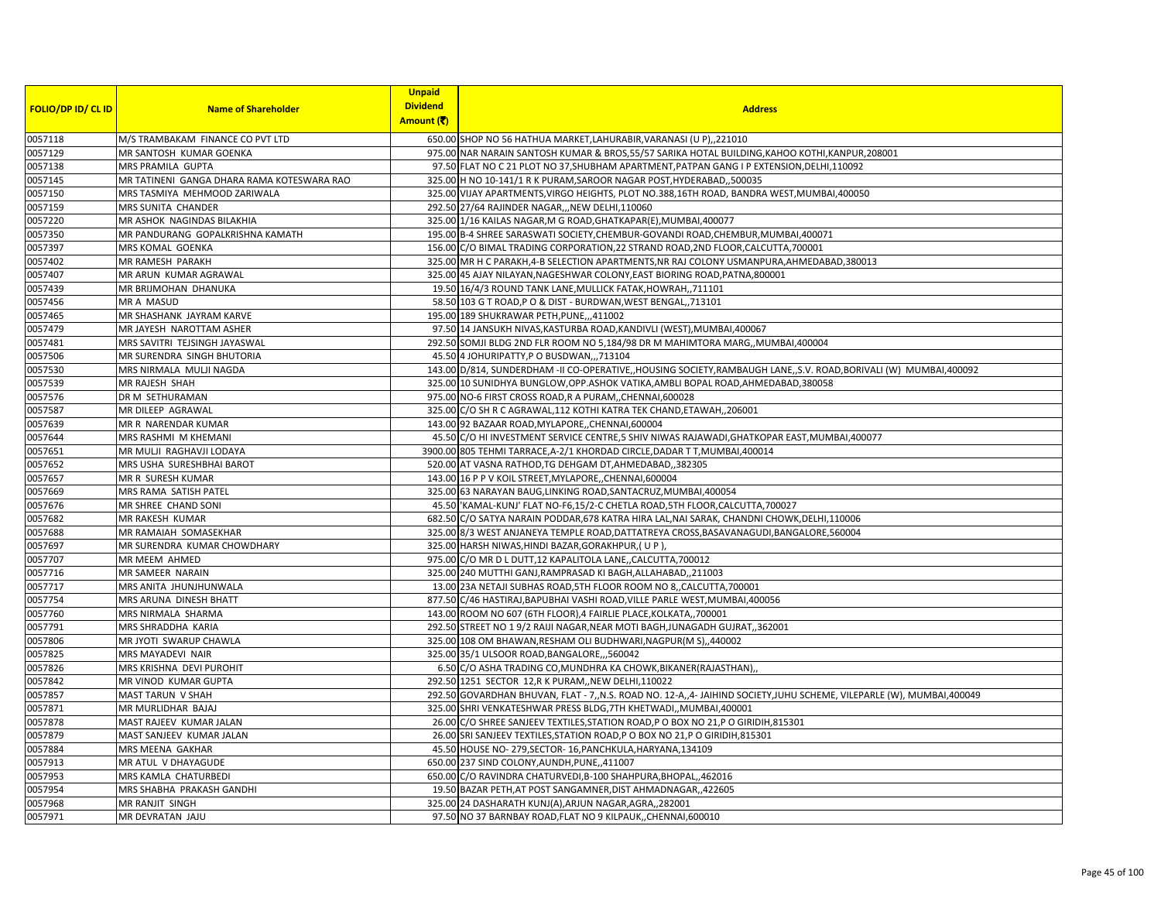| <b>FOLIO/DP ID/ CL ID</b> | <b>Name of Shareholder</b>                 | <b>Unpaid</b><br><b>Dividend</b><br>Amount (そ) | <b>Address</b>                                                                                                       |
|---------------------------|--------------------------------------------|------------------------------------------------|----------------------------------------------------------------------------------------------------------------------|
| 0057118                   | M/S TRAMBAKAM FINANCE CO PVT LTD           |                                                | 650.00 SHOP NO 56 HATHUA MARKET, LAHURABIR, VARANASI (U P), 221010                                                   |
| 0057129                   | MR SANTOSH KUMAR GOENKA                    |                                                | 975.00 NAR NARAIN SANTOSH KUMAR & BROS, 55/57 SARIKA HOTAL BUILDING, KAHOO KOTHI, KANPUR, 208001                     |
| 0057138                   | MRS PRAMILA GUPTA                          |                                                | 97.50 FLAT NO C 21 PLOT NO 37, SHUBHAM APARTMENT, PATPAN GANG I P EXTENSION, DELHI, 110092                           |
| 0057145                   | MR TATINENI GANGA DHARA RAMA KOTESWARA RAO |                                                | 325.00 H NO 10-141/1 R K PURAM, SAROOR NAGAR POST, HYDERABAD, ,500035                                                |
| 0057150                   | MRS TASMIYA MEHMOOD ZARIWALA               |                                                | 325.00 VIJAY APARTMENTS, VIRGO HEIGHTS, PLOT NO.388,16TH ROAD, BANDRA WEST, MUMBAI, 400050                           |
| 0057159                   | MRS SUNITA CHANDER                         |                                                | 292.50 27/64 RAJINDER NAGAR,,, NEW DELHI, 110060                                                                     |
| 0057220                   | MR ASHOK NAGINDAS BILAKHIA                 |                                                | 325.00 1/16 KAILAS NAGAR, M G ROAD, GHATKAPAR(E), MUMBAI, 400077                                                     |
| 0057350                   | MR PANDURANG GOPALKRISHNA KAMATH           |                                                | 195.00 B-4 SHREE SARASWATI SOCIETY, CHEMBUR-GOVANDI ROAD, CHEMBUR, MUMBAI, 400071                                    |
| 0057397                   | MRS KOMAL GOENKA                           |                                                | 156.00 C/O BIMAL TRADING CORPORATION, 22 STRAND ROAD, 2ND FLOOR, CALCUTTA, 700001                                    |
| 0057402                   | MR RAMESH PARAKH                           |                                                | 325.00 MR H C PARAKH, 4-B SELECTION APARTMENTS, NR RAJ COLONY USMANPURA, AHMEDABAD, 380013                           |
| 0057407                   | MR ARUN KUMAR AGRAWAL                      |                                                | 325.00 45 AJAY NILAYAN, NAGESHWAR COLONY, EAST BIORING ROAD, PATNA, 800001                                           |
| 0057439                   | MR BRIJMOHAN DHANUKA                       |                                                | 19.50 16/4/3 ROUND TANK LANE, MULLICK FATAK, HOWRAH,, 711101                                                         |
| 0057456                   | MR A MASUD                                 |                                                | 58.50 103 G T ROAD, P O & DIST - BURDWAN, WEST BENGAL, 713101                                                        |
| 0057465                   | MR SHASHANK JAYRAM KARVE                   |                                                | 195.00 189 SHUKRAWAR PETH, PUNE, ,,411002                                                                            |
| 0057479                   | MR JAYESH NAROTTAM ASHER                   |                                                | 97.50 14 JANSUKH NIVAS, KASTURBA ROAD, KANDIVLI (WEST), MUMBAI, 400067                                               |
| 0057481                   | MRS SAVITRI TEJSINGH JAYASWAL              |                                                | 292.50 SOMJI BLDG 2ND FLR ROOM NO 5,184/98 DR M MAHIMTORA MARG,, MUMBAI, 400004                                      |
| 0057506                   | MR SURENDRA SINGH BHUTORIA                 |                                                | 45.50 4 JOHURIPATTY, P O BUSDWAN,,,713104                                                                            |
| 0057530                   | MRS NIRMALA MULJI NAGDA                    |                                                | 143.00 D/814, SUNDERDHAM -II CO-OPERATIVE,, HOUSING SOCIETY, RAMBAUGH LANE,, S.V. ROAD, BORIVALI (W) MUMBAI, 400092  |
| 0057539                   | <b>MR RAJESH SHAH</b>                      |                                                | 325.00 10 SUNIDHYA BUNGLOW, OPP.ASHOK VATIKA, AMBLI BOPAL ROAD, AHMEDABAD, 380058                                    |
| 0057576                   | DR M SETHURAMAN                            |                                                | 975.00 NO-6 FIRST CROSS ROAD, R A PURAM, CHENNAI, 600028                                                             |
| 0057587                   | MR DILEEP AGRAWAL                          |                                                | 325.00 C/O SH R C AGRAWAL, 112 KOTHI KATRA TEK CHAND, ETAWAH, 206001                                                 |
| 0057639                   | MR R NARENDAR KUMAR                        |                                                | 143.00 92 BAZAAR ROAD, MYLAPORE, CHENNAI, 600004                                                                     |
| 0057644                   | MRS RASHMI M KHEMANI                       |                                                | 45.50 C/O HI INVESTMENT SERVICE CENTRE,5 SHIV NIWAS RAJAWADI, GHATKOPAR EAST, MUMBAI, 400077                         |
| 0057651                   | MR MULJI RAGHAVJI LODAYA                   |                                                | 3900.00 805 TEHMI TARRACE, A-2/1 KHORDAD CIRCLE, DADAR T T, MUMBAI, 400014                                           |
| 0057652                   | MRS USHA SURESHBHAI BAROT                  |                                                | 520.00 AT VASNA RATHOD, TG DEHGAM DT, AHMEDABAD, 382305                                                              |
| 0057657                   | MR R SURESH KUMAR                          |                                                | 143.00 16 P P V KOIL STREET, MYLAPORE, CHENNAI, 600004                                                               |
| 0057669                   | MRS RAMA SATISH PATEL                      |                                                | 325.00 63 NARAYAN BAUG, LINKING ROAD, SANTACRUZ, MUMBAI, 400054                                                      |
| 0057676                   | MR SHREE CHAND SONI                        |                                                | 45.50 KAMAL-KUNJ' FLAT NO-F6,15/2-C CHETLA ROAD, 5TH FLOOR, CALCUTTA, 700027                                         |
| 0057682                   | MR RAKESH KUMAR                            |                                                | 682.50 C/O SATYA NARAIN PODDAR, 678 KATRA HIRA LAL, NAI SARAK, CHANDNI CHOWK, DELHI, 110006                          |
| 0057688                   | MR RAMAIAH SOMASEKHAR                      |                                                | 325.00 8/3 WEST ANJANEYA TEMPLE ROAD, DATTATREYA CROSS, BASAVANAGUDI, BANGALORE, 560004                              |
| 0057697                   | MR SURENDRA KUMAR CHOWDHARY                |                                                | 325.00 HARSH NIWAS, HINDI BAZAR, GORAKHPUR, (UP),                                                                    |
| 0057707                   | MR MEEM AHMED                              |                                                | 975.00 C/O MR D L DUTT,12 KAPALITOLA LANE,,CALCUTTA,700012                                                           |
| 0057716                   | MR SAMEER NARAIN                           |                                                | 325.00 240 MUTTHI GANJ, RAMPRASAD KI BAGH, ALLAHABAD,, 211003                                                        |
| 0057717                   | MRS ANITA JHUNJHUNWALA                     |                                                | 13.00 23A NETAJI SUBHAS ROAD, 5TH FLOOR ROOM NO 8, CALCUTTA, 700001                                                  |
| 0057754                   | MRS ARUNA DINESH BHATT                     |                                                | 877.50 C/46 HASTIRAJ, BAPUBHAI VASHI ROAD, VILLE PARLE WEST, MUMBAI, 400056                                          |
| 0057760                   | MRS NIRMALA SHARMA                         |                                                | 143.00 ROOM NO 607 (6TH FLOOR), 4 FAIRLIE PLACE, KOLKATA, 700001                                                     |
| 0057791                   | MRS SHRADDHA KARIA                         |                                                | 292.50 STREET NO 1 9/2 RAIJI NAGAR, NEAR MOTI BAGH, JUNAGADH GUJRAT, 362001                                          |
| 0057806                   | MR JYOTI SWARUP CHAWLA                     |                                                | 325.00 108 OM BHAWAN, RESHAM OLI BUDHWARI, NAGPUR(M S), 440002                                                       |
| 0057825                   | MRS MAYADEVI NAIR                          |                                                | 325.00 35/1 ULSOOR ROAD, BANGALORE, ,,560042                                                                         |
| 0057826                   | MRS KRISHNA DEVI PUROHIT                   |                                                | 6.50 C/O ASHA TRADING CO, MUNDHRA KA CHOWK, BIKANER (RAJASTHAN),                                                     |
| 0057842                   | MR VINOD KUMAR GUPTA                       |                                                | 292.50 1251 SECTOR 12,R K PURAM,, NEW DELHI, 110022                                                                  |
| 0057857                   | MAST TARUN V SHAH                          |                                                | 292.50 GOVARDHAN BHUVAN, FLAT - 7,,N.S. ROAD NO. 12-A,,4- JAIHIND SOCIETY, JUHU SCHEME, VILEPARLE (W), MUMBAI,400049 |
| 0057871                   | MR MURLIDHAR BAJAJ                         |                                                | 325.00 SHRI VENKATESHWAR PRESS BLDG, 7TH KHETWADI, MUMBAI, 400001                                                    |
| 0057878                   | MAST RAJEEV KUMAR JALAN                    |                                                | 26.00 C/O SHREE SANJEEV TEXTILES, STATION ROAD, P O BOX NO 21, P O GIRIDIH, 815301                                   |
| 0057879                   | MAST SANJEEV KUMAR JALAN                   |                                                | 26.00 SRI SANJEEV TEXTILES, STATION ROAD, P O BOX NO 21, P O GIRIDIH, 815301                                         |
| 0057884                   | MRS MEENA GAKHAR                           |                                                | 45.50 HOUSE NO-279, SECTOR-16, PANCHKULA, HARYANA, 134109                                                            |
| 0057913                   | MR ATUL V DHAYAGUDE                        |                                                | 650.00 237 SIND COLONY, AUNDH, PUNE, 411007                                                                          |
| 0057953                   | MRS KAMLA CHATURBEDI                       |                                                | 650.00 C/O RAVINDRA CHATURVEDI, B-100 SHAHPURA, BHOPAL, 462016                                                       |
| 0057954                   | MRS SHABHA PRAKASH GANDHI                  |                                                | 19.50 BAZAR PETH, AT POST SANGAMNER, DIST AHMADNAGAR,, 422605                                                        |
| 0057968                   | MR RANJIT SINGH                            |                                                | 325.00 24 DASHARATH KUNJ(A), ARJUN NAGAR, AGRA, 282001                                                               |
| 0057971                   | MR DEVRATAN JAJU                           |                                                | 97.50 NO 37 BARNBAY ROAD, FLAT NO 9 KILPAUK, CHENNAI, 600010                                                         |
|                           |                                            |                                                |                                                                                                                      |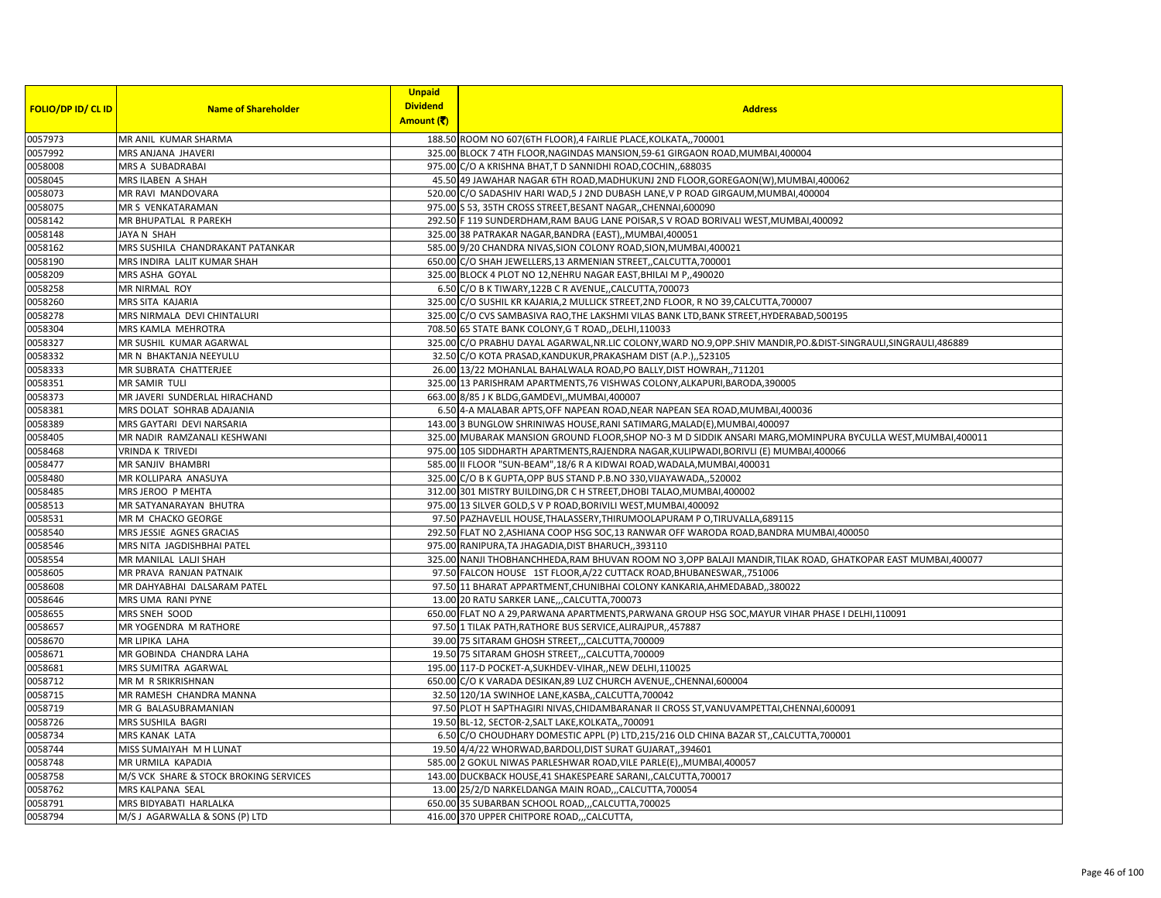| <b>FOLIO/DP ID/ CL ID</b> | <b>Name of Shareholder</b>             | <b>Unpaid</b><br><b>Dividend</b><br>Amount (そ) | <b>Address</b>                                                                                                    |
|---------------------------|----------------------------------------|------------------------------------------------|-------------------------------------------------------------------------------------------------------------------|
| 0057973                   | MR ANIL KUMAR SHARMA                   |                                                | 188.50 ROOM NO 607(6TH FLOOR),4 FAIRLIE PLACE, KOLKATA,, 700001                                                   |
| 0057992                   | MRS ANJANA JHAVERI                     |                                                | 325.00 BLOCK 7 4TH FLOOR, NAGINDAS MANSION, 59-61 GIRGAON ROAD, MUMBAI, 400004                                    |
| 0058008                   | MRS A SUBADRABAI                       |                                                | 975.00 C/O A KRISHNA BHAT, T D SANNIDHI ROAD, COCHIN, 688035                                                      |
| 0058045                   | MRS ILABEN A SHAH                      |                                                | 45.50 49 JAWAHAR NAGAR 6TH ROAD, MADHUKUNJ 2ND FLOOR, GOREGAON(W), MUMBAI, 400062                                 |
| 0058073                   | MR RAVI MANDOVARA                      |                                                | 520.00 C/O SADASHIV HARI WAD, 5 J 2ND DUBASH LANE, V P ROAD GIRGAUM, MUMBAI, 400004                               |
| 0058075                   | MR S VENKATARAMAN                      |                                                | 975.00 S 53, 35TH CROSS STREET, BESANT NAGAR, CHENNAI, 600090                                                     |
| 0058142                   | MR BHUPATLAL R PAREKH                  |                                                | 292.50 F 119 SUNDERDHAM, RAM BAUG LANE POISAR, S V ROAD BORIVALI WEST, MUMBAI, 400092                             |
| 0058148                   | JAYA N SHAH                            |                                                | 325.00 38 PATRAKAR NAGAR, BANDRA (EAST),, MUMBAI, 400051                                                          |
| 0058162                   | MRS SUSHILA CHANDRAKANT PATANKAR       |                                                | 585.00 9/20 CHANDRA NIVAS, SION COLONY ROAD, SION, MUMBAI, 400021                                                 |
| 0058190                   | MRS INDIRA LALIT KUMAR SHAH            |                                                | 650.00 C/O SHAH JEWELLERS, 13 ARMENIAN STREET, CALCUTTA, 700001                                                   |
| 0058209                   | MRS ASHA GOYAL                         |                                                | 325.00 BLOCK 4 PLOT NO 12, NEHRU NAGAR EAST, BHILAI M P., 490020                                                  |
| 0058258                   | MR NIRMAL ROY                          |                                                | 6.50 C/O B K TIWARY, 122B C R AVENUE, CALCUTTA, 700073                                                            |
| 0058260                   | MRS SITA KAJARIA                       |                                                | 325.00 C/O SUSHIL KR KAJARIA,2 MULLICK STREET,2ND FLOOR, R NO 39, CALCUTTA, 700007                                |
| 0058278                   | MRS NIRMALA DEVI CHINTALURI            |                                                | 325.00 C/O CVS SAMBASIVA RAO, THE LAKSHMI VILAS BANK LTD, BANK STREET, HYDERABAD, 500195                          |
| 0058304                   | MRS KAMLA MEHROTRA                     |                                                | 708.50 65 STATE BANK COLONY, G T ROAD, DELHI, 110033                                                              |
| 0058327                   | MR SUSHIL KUMAR AGARWAL                |                                                | 325.00 C/O PRABHU DAYAL AGARWAL, NR.LIC COLONY, WARD NO.9, OPP.SHIV MANDIR, PO.&DIST-SINGRAULI, SINGRAULI, 486889 |
| 0058332                   | MR N BHAKTANJA NEEYULU                 |                                                | 32.50 C/O KOTA PRASAD, KANDUKUR, PRAKASHAM DIST (A.P.), 523105                                                    |
| 0058333                   | MR SUBRATA CHATTERJEE                  |                                                | 26.00 13/22 MOHANLAL BAHALWALA ROAD, PO BALLY, DIST HOWRAH,, 711201                                               |
| 0058351                   | <b>MR SAMIR TULI</b>                   |                                                | 325.00 13 PARISHRAM APARTMENTS, 76 VISHWAS COLONY, ALKAPURI, BARODA, 390005                                       |
| 0058373                   | MR JAVERI SUNDERLAL HIRACHAND          |                                                | 663.00 8/85 J K BLDG, GAMDEVI, , MUMBAI, 400007                                                                   |
| 0058381                   | MRS DOLAT SOHRAB ADAJANIA              |                                                | 6.50 4-A MALABAR APTS, OFF NAPEAN ROAD, NEAR NAPEAN SEA ROAD, MUMBAI, 400036                                      |
| 0058389                   | MRS GAYTARI DEVI NARSARIA              |                                                | 143.00 3 BUNGLOW SHRINIWAS HOUSE, RANI SATIMARG, MALAD(E), MUMBAI, 400097                                         |
| 0058405                   | MR NADIR RAMZANALI KESHWANI            |                                                | 325.00 MUBARAK MANSION GROUND FLOOR, SHOP NO-3 M D SIDDIK ANSARI MARG, MOMINPURA BYCULLA WEST, MUMBAI, 400011     |
| 0058468                   | VRINDA K TRIVEDI                       |                                                | 975.00 105 SIDDHARTH APARTMENTS, RAJENDRA NAGAR, KULIPWADI, BORIVLI (E) MUMBAI, 400066                            |
| 0058477                   | MR SANJIV BHAMBRI                      |                                                | 585.00 II FLOOR "SUN-BEAM", 18/6 R A KIDWAI ROAD, WADALA, MUMBAI, 400031                                          |
| 0058480                   | MR KOLLIPARA ANASUYA                   |                                                | 325.00 C/O B K GUPTA, OPP BUS STAND P.B.NO 330, VIJAYAWADA, 520002                                                |
| 0058485                   | MRS JEROO P MEHTA                      |                                                | 312.00 301 MISTRY BUILDING, DR C H STREET, DHOBI TALAO, MUMBAI, 400002                                            |
| 0058513                   | MR SATYANARAYAN BHUTRA                 |                                                | 975.00 13 SILVER GOLD, S V P ROAD, BORIVILI WEST, MUMBAI, 400092                                                  |
| 0058531                   | MR M CHACKO GEORGE                     |                                                | 97.50 PAZHAVELIL HOUSE, THALASSERY, THIRUMOOLAPURAM PO, TIRUVALLA, 689115                                         |
| 0058540                   | MRS JESSIE AGNES GRACIAS               |                                                | 292.50 FLAT NO 2, ASHIANA COOP HSG SOC, 13 RANWAR OFF WARODA ROAD, BANDRA MUMBAI, 400050                          |
| 0058546                   | MRS NITA JAGDISHBHAI PATEL             |                                                | 975.00 RANIPURA, TA JHAGADIA, DIST BHARUCH, 393110                                                                |
| 0058554                   | MR MANILAL LALJI SHAH                  |                                                | 325.00 NANJI THOBHANCHHEDA, RAM BHUVAN ROOM NO 3, OPP BALAJI MANDIR, TILAK ROAD, GHATKOPAR EAST MUMBAI, 400077    |
| 0058605                   | MR PRAVA RANJAN PATNAIK                |                                                | 97.50 FALCON HOUSE 1ST FLOOR, A/22 CUTTACK ROAD, BHUBANESWAR, 751006                                              |
| 0058608                   | MR DAHYABHAI DALSARAM PATEL            |                                                | 97.50 11 BHARAT APPARTMENT, CHUNIBHAI COLONY KANKARIA, AHMEDABAD, 380022                                          |
| 0058646                   | MRS UMA RANI PYNE                      |                                                | 13.00 20 RATU SARKER LANE, ,CALCUTTA, 700073                                                                      |
| 0058655                   | MRS SNEH SOOD                          |                                                | 650.00 FLAT NO A 29, PARWANA APARTMENTS, PARWANA GROUP HSG SOC, MAYUR VIHAR PHASE I DELHI, 110091                 |
| 0058657                   | MR YOGENDRA M RATHORE                  |                                                | 97.50 1 TILAK PATH, RATHORE BUS SERVICE, ALIRAJPUR, 457887                                                        |
| 0058670                   | MR LIPIKA LAHA                         |                                                | 39.00 75 SITARAM GHOSH STREET,,,CALCUTTA,700009                                                                   |
| 0058671                   | MR GOBINDA CHANDRA LAHA                |                                                | 19.50 75 SITARAM GHOSH STREET,,,CALCUTTA,700009                                                                   |
| 0058681                   | MRS SUMITRA AGARWAL                    |                                                | 195.00 117-D POCKET-A, SUKHDEV-VIHAR, , NEW DELHI, 110025                                                         |
| 0058712                   | MR M R SRIKRISHNAN                     |                                                | 650.00 C/O K VARADA DESIKAN, 89 LUZ CHURCH AVENUE, CHENNAI, 600004                                                |
| 0058715                   | MR RAMESH CHANDRA MANNA                |                                                | 32.50 120/1A SWINHOE LANE, KASBA,, CALCUTTA, 700042                                                               |
| 0058719                   | MR G BALASUBRAMANIAN                   |                                                | 97.50 PLOT H SAPTHAGIRI NIVAS, CHIDAMBARANAR II CROSS ST, VANUVAMPETTAI, CHENNAI, 600091                          |
| 0058726                   | MRS SUSHILA BAGRI                      |                                                | 19.50 BL-12, SECTOR-2, SALT LAKE, KOLKATA,, 700091                                                                |
| 0058734                   | <b>MRS KANAK LATA</b>                  |                                                | 6.50 C/O CHOUDHARY DOMESTIC APPL (P) LTD,215/216 OLD CHINA BAZAR ST,,CALCUTTA,700001                              |
| 0058744                   | MISS SUMAIYAH M H LUNAT                |                                                | 19.50 4/4/22 WHORWAD, BARDOLI, DIST SURAT GUJARAT, 394601                                                         |
| 0058748                   | MR URMILA KAPADIA                      |                                                | 585.00 2 GOKUL NIWAS PARLESHWAR ROAD, VILE PARLE(E), MUMBAI, 400057                                               |
| 0058758                   | M/S VCK SHARE & STOCK BROKING SERVICES |                                                | 143.00 DUCKBACK HOUSE, 41 SHAKESPEARE SARANI,, CALCUTTA, 700017                                                   |
| 0058762                   | MRS KALPANA SEAL                       |                                                | 13.00 25/2/D NARKELDANGA MAIN ROAD,,,CALCUTTA,700054                                                              |
| 0058791                   | MRS BIDYABATI HARLALKA                 |                                                | 650.00 35 SUBARBAN SCHOOL ROAD,,,CALCUTTA,700025                                                                  |
| 0058794                   | M/S J AGARWALLA & SONS (P) LTD         |                                                | 416.00 370 UPPER CHITPORE ROAD,,,CALCUTTA,                                                                        |
|                           |                                        |                                                |                                                                                                                   |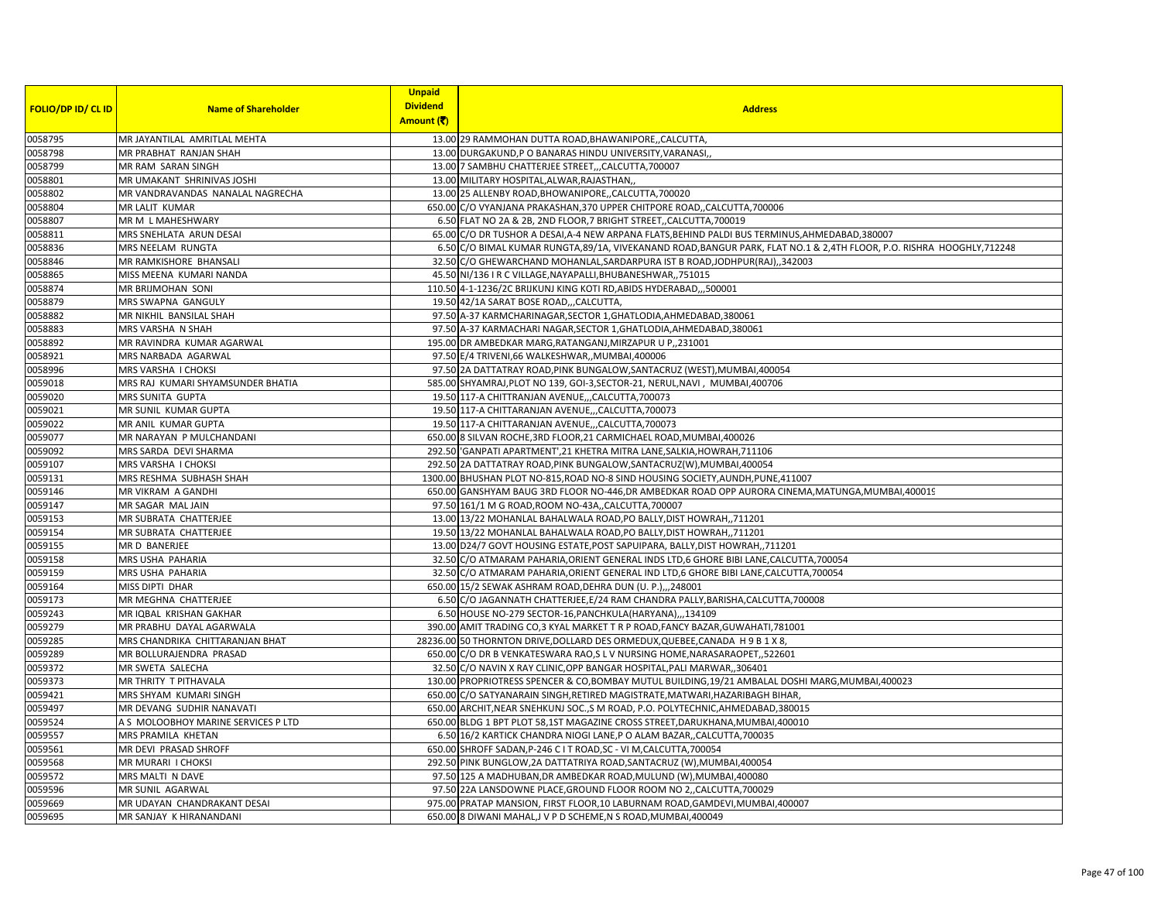|                           |                                     | <b>Unpaid</b><br><b>Dividend</b> |                                                                                                                        |
|---------------------------|-------------------------------------|----------------------------------|------------------------------------------------------------------------------------------------------------------------|
| <b>FOLIO/DP ID/ CL ID</b> | <b>Name of Shareholder</b>          | Amount (₹)                       | <b>Address</b>                                                                                                         |
| 0058795                   | MR JAYANTILAL AMRITLAL MEHTA        |                                  | 13.00 29 RAMMOHAN DUTTA ROAD, BHAWANIPORE,, CALCUTTA,                                                                  |
| 0058798                   | MR PRABHAT RANJAN SHAH              |                                  | 13.00 DURGAKUND, P O BANARAS HINDU UNIVERSITY, VARANASI,                                                               |
| 0058799                   | MR RAM SARAN SINGH                  |                                  | 13.00 7 SAMBHU CHATTERJEE STREET, , CALCUTTA, 700007                                                                   |
| 0058801                   | MR UMAKANT SHRINIVAS JOSHI          |                                  | 13.00 MILITARY HOSPITAL, ALWAR, RAJASTHAN,                                                                             |
| 0058802                   | MR VANDRAVANDAS NANALAL NAGRECHA    |                                  | 13.00 25 ALLENBY ROAD, BHOWANIPORE, CALCUTTA, 700020                                                                   |
| 0058804                   | <b>MR LALIT KUMAR</b>               |                                  | 650.00 C/O VYANJANA PRAKASHAN, 370 UPPER CHITPORE ROAD, CALCUTTA, 700006                                               |
| 0058807                   | MR M L MAHESHWARY                   |                                  | 6.50 FLAT NO 2A & 2B, 2ND FLOOR, 7 BRIGHT STREET,, CALCUTTA, 700019                                                    |
| 0058811                   | MRS SNEHLATA ARUN DESAI             |                                  | 65.00 C/O DR TUSHOR A DESAI, A-4 NEW ARPANA FLATS, BEHIND PALDI BUS TERMINUS, AHMEDABAD, 380007                        |
| 0058836                   | MRS NEELAM RUNGTA                   |                                  | 6.50 C/O BIMAL KUMAR RUNGTA, 89/1A, VIVEKANAND ROAD, BANGUR PARK, FLAT NO.1 & 2,4TH FLOOR, P.O. RISHRA HOOGHLY, 712248 |
| 0058846                   | MR RAMKISHORE BHANSALI              |                                  | 32.50 C/O GHEWARCHAND MOHANLAL, SARDARPURA IST B ROAD, JODHPUR(RAJ), ,342003                                           |
| 0058865                   | MISS MEENA KUMARI NANDA             |                                  | 45.50 NI/136 I R C VILLAGE, NAYAPALLI, BHUBANESHWAR, ,751015                                                           |
| 0058874                   | <b>MR BRIJMOHAN SONI</b>            |                                  | 110.50 4-1-1236/2C BRIJKUNJ KING KOTI RD, ABIDS HYDERABAD,, ,500001                                                    |
| 0058879                   | MRS SWAPNA GANGULY                  |                                  | 19.50 42/1A SARAT BOSE ROAD,,,CALCUTTA,                                                                                |
| 0058882                   | MR NIKHIL BANSILAL SHAH             |                                  | 97.50 A-37 KARMCHARINAGAR, SECTOR 1, GHATLODIA, AHMEDABAD, 380061                                                      |
| 0058883                   | MRS VARSHA N SHAH                   |                                  | 97.50 A-37 KARMACHARI NAGAR, SECTOR 1, GHATLODIA, AHMEDABAD, 380061                                                    |
| 0058892                   | MR RAVINDRA KUMAR AGARWAL           |                                  | 195.00 DR AMBEDKAR MARG, RATANGANJ, MIRZAPUR U P,, 231001                                                              |
| 0058921                   | MRS NARBADA AGARWAL                 |                                  | 97.50 E/4 TRIVENI,66 WALKESHWAR,, MUMBAI,400006                                                                        |
| 0058996                   | MRS VARSHA I CHOKSI                 |                                  | 97.50 2A DATTATRAY ROAD, PINK BUNGALOW, SANTACRUZ (WEST), MUMBAI, 400054                                               |
| 0059018                   | MRS RAJ KUMARI SHYAMSUNDER BHATIA   |                                  | 585.00 SHYAMRAJ, PLOT NO 139, GOI-3, SECTOR-21, NERUL, NAVI, MUMBAI, 400706                                            |
| 0059020                   | MRS SUNITA GUPTA                    |                                  | 19.50 117-A CHITTRANJAN AVENUE,,,CALCUTTA,700073                                                                       |
| 0059021                   | MR SUNIL KUMAR GUPTA                |                                  | 19.50 117-A CHITTARANJAN AVENUE,,,CALCUTTA,700073                                                                      |
| 0059022                   | MR ANIL KUMAR GUPTA                 |                                  | 19.50 117-A CHITTARANJAN AVENUECALCUTTA, 700073                                                                        |
| 0059077                   | MR NARAYAN P MULCHANDANI            |                                  | 650.00 8 SILVAN ROCHE, 3RD FLOOR, 21 CARMICHAEL ROAD, MUMBAI, 400026                                                   |
| 0059092                   | MRS SARDA DEVI SHARMA               |                                  | 292.50 GANPATI APARTMENT', 21 KHETRA MITRA LANE, SALKIA, HOWRAH, 711106                                                |
| 0059107                   | MRS VARSHA I CHOKSI                 |                                  | 292.50 2A DATTATRAY ROAD, PINK BUNGALOW, SANTACRUZ(W), MUMBAI, 400054                                                  |
| 0059131                   | MRS RESHMA SUBHASH SHAH             |                                  | 1300.00 BHUSHAN PLOT NO-815, ROAD NO-8 SIND HOUSING SOCIETY, AUNDH, PUNE, 411007                                       |
| 0059146                   | MR VIKRAM A GANDHI                  |                                  | 650.00 GANSHYAM BAUG 3RD FLOOR NO-446, DR AMBEDKAR ROAD OPP AURORA CINEMA, MATUNGA, MUMBAI, 400019                     |
| 0059147                   | MR SAGAR MAL JAIN                   |                                  | 97.50 161/1 M G ROAD, ROOM NO-43A,, CALCUTTA, 700007                                                                   |
| 0059153                   | MR SUBRATA CHATTERJEE               |                                  | 13.00 13/22 MOHANLAL BAHALWALA ROAD, PO BALLY, DIST HOWRAH,, 711201                                                    |
| 0059154                   | MR SUBRATA CHATTERJEE               |                                  | 19.50 13/22 MOHANLAL BAHALWALA ROAD, PO BALLY, DIST HOWRAH,, 711201                                                    |
| 0059155                   | MR D BANERJEE                       |                                  | 13.00 D24/7 GOVT HOUSING ESTATE, POST SAPUIPARA, BALLY, DIST HOWRAH,, 711201                                           |
| 0059158                   | MRS USHA PAHARIA                    |                                  | 32.50 C/O ATMARAM PAHARIA, ORIENT GENERAL INDS LTD, 6 GHORE BIBI LANE, CALCUTTA, 700054                                |
| 0059159                   | MRS USHA PAHARIA                    |                                  | 32.50 C/O ATMARAM PAHARIA, ORIENT GENERAL IND LTD, 6 GHORE BIBI LANE, CALCUTTA, 700054                                 |
| 0059164                   | MISS DIPTI DHAR                     |                                  | 650.00 15/2 SEWAK ASHRAM ROAD, DEHRA DUN (U. P.), , 248001                                                             |
| 0059173                   | MR MEGHNA CHATTERJEE                |                                  | 6.50 C/O JAGANNATH CHATTERJEE, E/24 RAM CHANDRA PALLY, BARISHA, CALCUTTA, 700008                                       |
| 0059243                   | MR IQBAL KRISHAN GAKHAR             |                                  | 6.50 HOUSE NO-279 SECTOR-16, PANCHKULA (HARYANA),, 134109                                                              |
| 0059279                   | MR PRABHU DAYAL AGARWALA            |                                  | 390.00 AMIT TRADING CO, 3 KYAL MARKET T R P ROAD, FANCY BAZAR, GUWAHATI, 781001                                        |
| 0059285                   | MRS CHANDRIKA CHITTARANJAN BHAT     |                                  | 28236.00 50 THORNTON DRIVE, DOLLARD DES ORMEDUX, QUEBEE, CANADA H 9 B 1 X 8,                                           |
| 0059289                   | MR BOLLURAJENDRA PRASAD             |                                  | 650.00 C/O DR B VENKATESWARA RAO,S L V NURSING HOME, NARASARAOPET, ,522601                                             |
| 0059372                   | MR SWETA SALECHA                    |                                  | 32.50 C/O NAVIN X RAY CLINIC, OPP BANGAR HOSPITAL, PALI MARWAR, ,306401                                                |
| 0059373                   | MR THRITY T PITHAVALA               |                                  | 130.00 PROPRIOTRESS SPENCER & CO,BOMBAY MUTUL BUILDING, 19/21 AMBALAL DOSHI MARG, MUMBAI, 400023                       |
| 0059421                   | MRS SHYAM KUMARI SINGH              |                                  | 650.00 C/O SATYANARAIN SINGH, RETIRED MAGISTRATE, MATWARI, HAZARIBAGH BIHAR,                                           |
| 0059497                   | MR DEVANG SUDHIR NANAVATI           |                                  | 650.00 ARCHIT, NEAR SNEHKUNJ SOC., S M ROAD, P.O. POLYTECHNIC, AHMEDABAD, 380015                                       |
| 0059524                   | A S MOLOOBHOY MARINE SERVICES P LTD |                                  | 650.00 BLDG 1 BPT PLOT 58,1ST MAGAZINE CROSS STREET, DARUKHANA, MUMBAI, 400010                                         |
| 0059557                   | MRS PRAMILA KHETAN                  |                                  | 6.50 16/2 KARTICK CHANDRA NIOGI LANE,P O ALAM BAZAR,,CALCUTTA,700035                                                   |
| 0059561                   | MR DEVI PRASAD SHROFF               |                                  | 650.00 SHROFF SADAN, P-246 C I T ROAD, SC - VI M, CALCUTTA, 700054                                                     |
| 0059568                   | MR MURARI I CHOKSI                  |                                  | 292.50 PINK BUNGLOW, 2A DATTATRIYA ROAD, SANTACRUZ (W), MUMBAI, 400054                                                 |
| 0059572                   | MRS MALTI N DAVE                    |                                  | 97.50 125 A MADHUBAN, DR AMBEDKAR ROAD, MULUND (W), MUMBAI, 400080                                                     |
| 0059596                   | MR SUNIL AGARWAL                    |                                  | 97.50 22A LANSDOWNE PLACE, GROUND FLOOR ROOM NO 2,, CALCUTTA, 700029                                                   |
| 0059669                   | MR UDAYAN CHANDRAKANT DESAI         |                                  | 975.00 PRATAP MANSION, FIRST FLOOR,10 LABURNAM ROAD,GAMDEVI,MUMBAI,400007                                              |
| 0059695                   | MR SANJAY K HIRANANDANI             |                                  | 650.00 8 DIWANI MAHAL, J V P D SCHEME, N S ROAD, MUMBAI, 400049                                                        |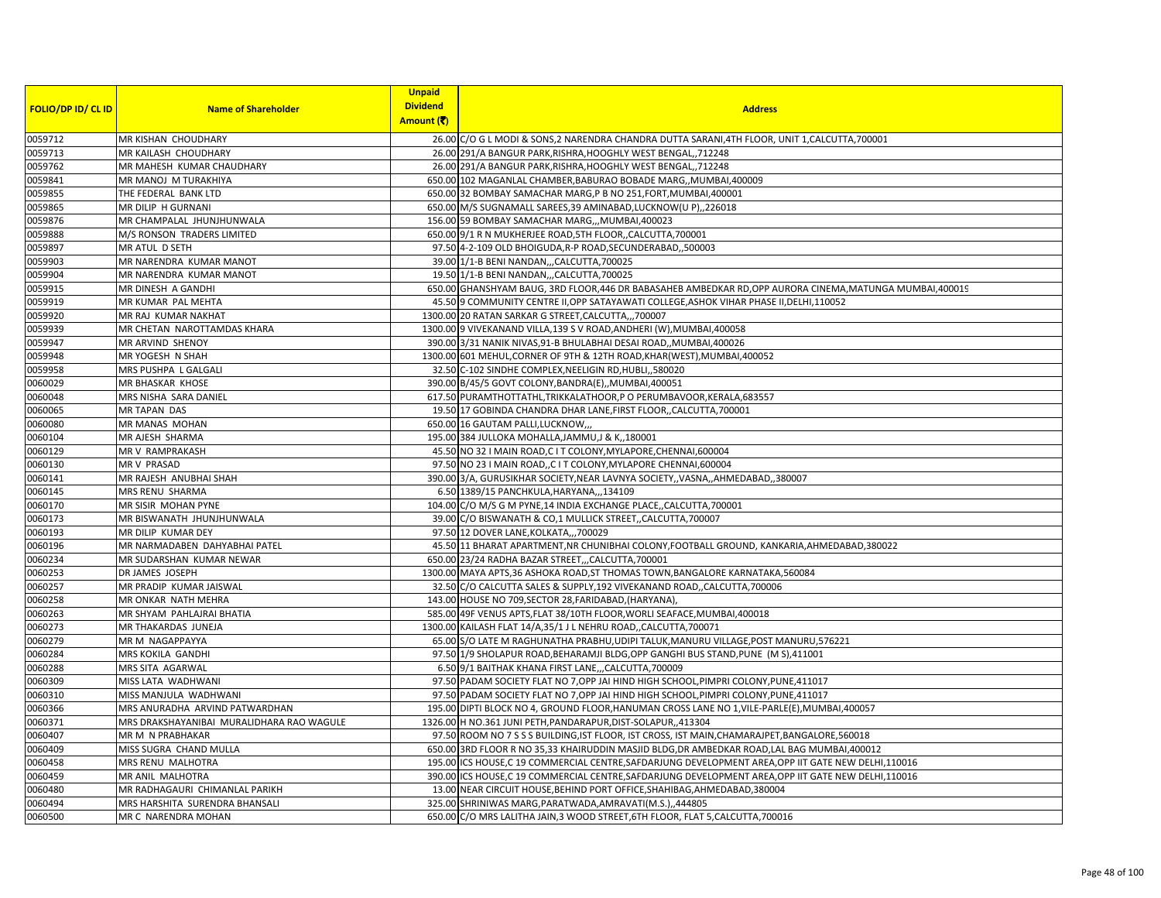| <b>FOLIO/DP ID/ CL ID</b> | <b>Name of Shareholder</b>                | <b>Unpaid</b><br><b>Dividend</b> | <b>Address</b>                                                                                         |
|---------------------------|-------------------------------------------|----------------------------------|--------------------------------------------------------------------------------------------------------|
|                           |                                           | Amount (₹)                       |                                                                                                        |
| 0059712                   | MR KISHAN CHOUDHARY                       |                                  | 26.00 C/O G L MODI & SONS, 2 NARENDRA CHANDRA DUTTA SARANI, 4TH FLOOR, UNIT 1, CALCUTTA, 700001        |
| 0059713                   | MR KAILASH CHOUDHARY                      |                                  | 26.00 291/A BANGUR PARK, RISHRA, HOOGHLY WEST BENGAL,, 712248                                          |
| 0059762                   | MR MAHESH KUMAR CHAUDHARY                 |                                  | 26.00 291/A BANGUR PARK, RISHRA, HOOGHLY WEST BENGAL, 712248                                           |
| 0059841                   | MR MANOJ M TURAKHIYA                      |                                  | 650.00 102 MAGANLAL CHAMBER, BABURAO BOBADE MARG,, MUMBAI, 400009                                      |
| 0059855                   | THE FEDERAL BANK LTD                      |                                  | 650.00 32 BOMBAY SAMACHAR MARG,P B NO 251,FORT,MUMBAI,400001                                           |
| 0059865                   | MR DILIP H GURNANI                        |                                  | 650.00 M/S SUGNAMALL SAREES, 39 AMINABAD, LUCKNOW(U P),, 226018                                        |
| 0059876                   | MR CHAMPALAL JHUNJHUNWALA                 |                                  | 156.00 59 BOMBAY SAMACHAR MARG,,, MUMBAI, 400023                                                       |
| 0059888                   | M/S RONSON TRADERS LIMITED                |                                  | 650.00 9/1 R N MUKHERJEE ROAD, 5TH FLOOR, CALCUTTA, 700001                                             |
| 0059897                   | MR ATUL D SETH                            |                                  | 97.50 4-2-109 OLD BHOIGUDA, R-P ROAD, SECUNDERABAD, 500003                                             |
| 0059903                   | MR NARENDRA KUMAR MANOT                   |                                  | 39.00 1/1-B BENI NANDAN,,,CALCUTTA,700025                                                              |
| 0059904                   | MR NARENDRA KUMAR MANOT                   |                                  | 19.50 1/1-B BENI NANDAN,,,CALCUTTA,700025                                                              |
| 0059915                   | MR DINESH A GANDHI                        |                                  | 650.00 GHANSHYAM BAUG, 3RD FLOOR,446 DR BABASAHEB AMBEDKAR RD,OPP AURORA CINEMA, MATUNGA MUMBAI,400019 |
| 0059919                   | MR KUMAR PAL MEHTA                        |                                  | 45.50 9 COMMUNITY CENTRE II, OPP SATAYAWATI COLLEGE, ASHOK VIHAR PHASE II, DELHI, 110052               |
| 0059920                   | MR RAJ KUMAR NAKHAT                       |                                  | 1300.00 20 RATAN SARKAR G STREET, CALCUTTA,,, 700007                                                   |
| 0059939                   | MR CHETAN NAROTTAMDAS KHARA               |                                  | 1300.00 9 VIVEKANAND VILLA, 139 S V ROAD, ANDHERI (W), MUMBAI, 400058                                  |
| 0059947                   | MR ARVIND SHENOY                          |                                  | 390.00 3/31 NANIK NIVAS, 91-B BHULABHAI DESAI ROAD, MUMBAI, 400026                                     |
| 0059948                   | MR YOGESH N SHAH                          |                                  | 1300.00 601 MEHUL, CORNER OF 9TH & 12TH ROAD, KHAR(WEST), MUMBAI, 400052                               |
| 0059958                   | MRS PUSHPA L GALGALI                      |                                  | 32.50 C-102 SINDHE COMPLEX, NEELIGIN RD, HUBLI, ,580020                                                |
| 0060029                   | <b>MR BHASKAR KHOSE</b>                   |                                  | 390.00 B/45/5 GOVT COLONY, BANDRA(E), , MUMBAI, 400051                                                 |
| 0060048                   | MRS NISHA SARA DANIEL                     |                                  | 617.50 PURAMTHOTTATHL, TRIKKALATHOOR, P O PERUMBAVOOR, KERALA, 683557                                  |
| 0060065                   | <b>MR TAPAN DAS</b>                       |                                  | 19.50 17 GOBINDA CHANDRA DHAR LANE, FIRST FLOOR,, CALCUTTA, 700001                                     |
| 0060080                   | MR MANAS MOHAN                            |                                  | 650.00 16 GAUTAM PALLI, LUCKNOW,                                                                       |
| 0060104                   | MR AJESH SHARMA                           |                                  | 195.00 384 JULLOKA MOHALLA, JAMMU, J & K,, 180001                                                      |
| 0060129                   | MR V RAMPRAKASH                           |                                  | 45.50 NO 32 I MAIN ROAD,C I T COLONY, MYLAPORE, CHENNAI, 600004                                        |
| 0060130                   | MR V PRASAD                               |                                  | 97.50 NO 23 I MAIN ROAD, C I T COLONY, MYLAPORE CHENNAI, 600004                                        |
| 0060141                   | MR RAJESH ANUBHAI SHAH                    |                                  | 390.00 3/A, GURUSIKHAR SOCIETY, NEAR LAVNYA SOCIETY, VASNA, AHMEDABAD, 380007                          |
| 0060145                   | MRS RENU SHARMA                           |                                  | 6.50 1389/15 PANCHKULA, HARYANA,,,134109                                                               |
| 0060170                   | MR SISIR MOHAN PYNE                       |                                  | 104.00 C/O M/S G M PYNE,14 INDIA EXCHANGE PLACE,,CALCUTTA,700001                                       |
| 0060173                   | MR BISWANATH JHUNJHUNWALA                 |                                  | 39.00 C/O BISWANATH & CO,1 MULLICK STREET, CALCUTTA, 700007                                            |
| 0060193                   | MR DILIP KUMAR DEY                        |                                  | 97.50 12 DOVER LANE, KOLKATA,, 700029                                                                  |
| 0060196                   | MR NARMADABEN DAHYABHAI PATEL             |                                  | 45.50 11 BHARAT APARTMENT, NR CHUNIBHAI COLONY, FOOTBALL GROUND, KANKARIA, AHMEDABAD, 380022           |
| 0060234                   | MR SUDARSHAN KUMAR NEWAR                  |                                  | 650.00 23/24 RADHA BAZAR STREET,,,CALCUTTA,700001                                                      |
| 0060253                   | DR JAMES JOSEPH                           |                                  | 1300.00 MAYA APTS, 36 ASHOKA ROAD, ST THOMAS TOWN, BANGALORE KARNATAKA, 560084                         |
| 0060257                   | MR PRADIP KUMAR JAISWAL                   |                                  | 32.50 C/O CALCUTTA SALES & SUPPLY, 192 VIVEKANAND ROAD, CALCUTTA, 700006                               |
| 0060258                   | MR ONKAR NATH MEHRA                       |                                  | 143.00 HOUSE NO 709, SECTOR 28, FARIDABAD, (HARYANA)                                                   |
| 0060263                   | MR SHYAM PAHLAJRAI BHATIA                 |                                  | 585.00 49F VENUS APTS, FLAT 38/10TH FLOOR, WORLI SEAFACE, MUMBAI, 400018                               |
| 0060273                   | MR THAKARDAS JUNEJA                       |                                  | 1300.00 KAILASH FLAT 14/A,35/1 J L NEHRU ROAD,, CALCUTTA, 700071                                       |
| 0060279                   | MR M NAGAPPAYYA                           |                                  | 65.00 S/O LATE M RAGHUNATHA PRABHU, UDIPI TALUK, MANURU VILLAGE, POST MANURU, 576221                   |
| 0060284                   | MRS KOKILA GANDHI                         |                                  | 97.50 1/9 SHOLAPUR ROAD, BEHARAMJI BLDG, OPP GANGHI BUS STAND, PUNE (M S), 411001                      |
| 0060288                   | MRS SITA AGARWAL                          |                                  | 6.50 9/1 BAITHAK KHANA FIRST LANE,,,CALCUTTA,700009                                                    |
| 0060309                   | MISS LATA WADHWANI                        |                                  | 97.50 PADAM SOCIETY FLAT NO 7, OPP JAI HIND HIGH SCHOOL, PIMPRI COLONY, PUNE, 411017                   |
| 0060310                   | MISS MANJULA WADHWANI                     |                                  | 97.50 PADAM SOCIETY FLAT NO 7, OPP JAI HIND HIGH SCHOOL, PIMPRI COLONY, PUNE, 411017                   |
| 0060366                   | MRS ANURADHA ARVIND PATWARDHAN            |                                  | 195.00 DIPTI BLOCK NO 4, GROUND FLOOR, HANUMAN CROSS LANE NO 1, VILE-PARLE(E), MUMBAI, 400057          |
| 0060371                   | MRS DRAKSHAYANIBAI MURALIDHARA RAO WAGULE |                                  | 1326.00 H NO.361 JUNI PETH, PANDARAPUR, DIST-SOLAPUR, 413304                                           |
| 0060407                   | MR M N PRABHAKAR                          |                                  | 97.50 ROOM NO 7 S S S BUILDING, IST FLOOR, IST CROSS, IST MAIN, CHAMARAJPET, BANGALORE, 560018         |
| 0060409                   | MISS SUGRA CHAND MULLA                    |                                  | 650.00 3RD FLOOR R NO 35,33 KHAIRUDDIN MASJID BLDG, DR AMBEDKAR ROAD, LAL BAG MUMBAI, 400012           |
| 0060458                   | MRS RENU MALHOTRA                         |                                  | 195.00 ICS HOUSE,C 19 COMMERCIAL CENTRE, SAFDARJUNG DEVELOPMENT AREA, OPP IIT GATE NEW DELHI, 110016   |
| 0060459                   | MR ANIL MALHOTRA                          |                                  | 390.00 ICS HOUSE,C 19 COMMERCIAL CENTRE, SAFDARJUNG DEVELOPMENT AREA, OPP IIT GATE NEW DELHI, 110016   |
| 0060480                   | MR RADHAGAURI CHIMANLAL PARIKH            |                                  | 13.00 NEAR CIRCUIT HOUSE, BEHIND PORT OFFICE, SHAHIBAG, AHMEDABAD, 380004                              |
| 0060494                   | MRS HARSHITA SURENDRA BHANSALI            |                                  | 325.00 SHRINIWAS MARG, PARATWADA, AMRAVATI(M.S.), ,444805                                              |
| 0060500                   | MR C NARENDRA MOHAN                       |                                  | 650.00 C/O MRS LALITHA JAIN, 3 WOOD STREET, 6TH FLOOR, FLAT 5, CALCUTTA, 700016                        |
|                           |                                           |                                  |                                                                                                        |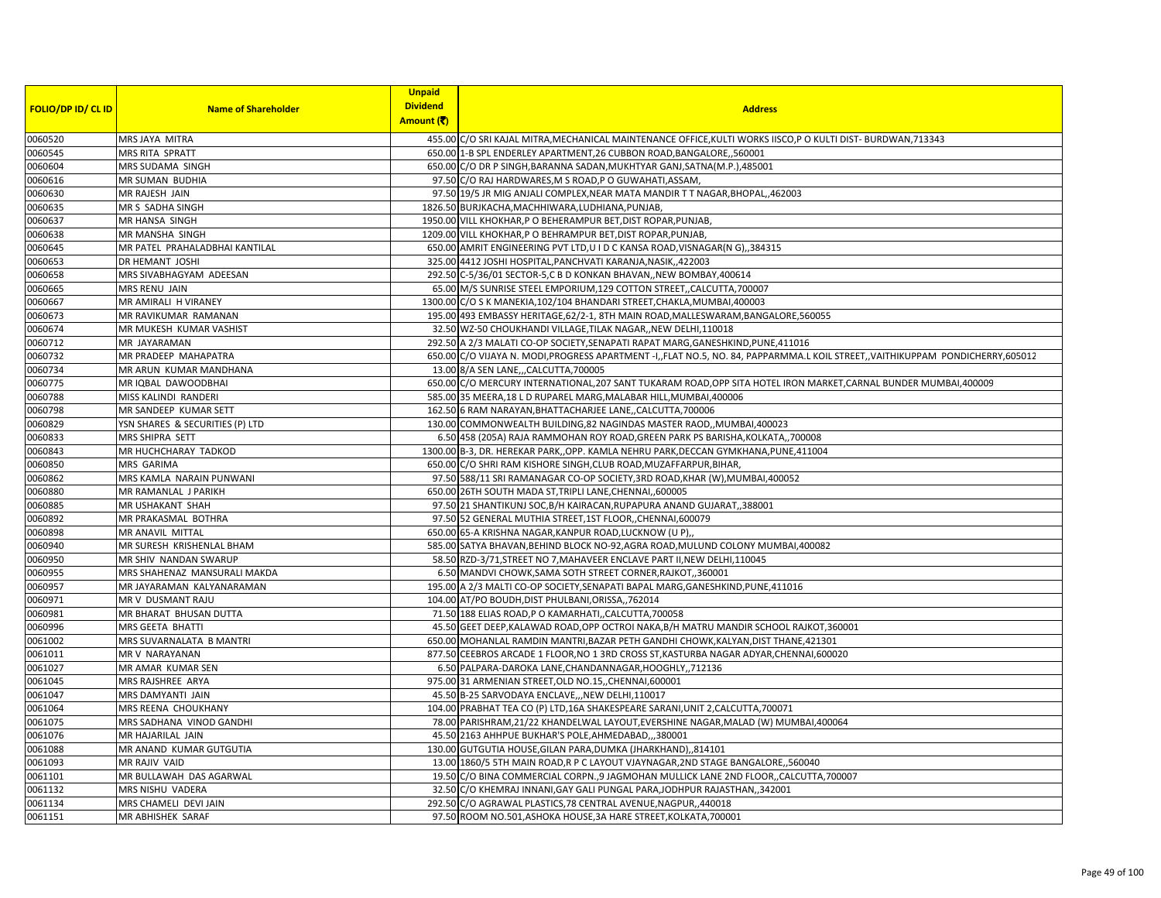| <b>FOLIO/DP ID/ CL ID</b> | <b>Name of Shareholder</b>      | <b>Unpaid</b><br><b>Dividend</b> | <b>Address</b>                                                                                                                  |
|---------------------------|---------------------------------|----------------------------------|---------------------------------------------------------------------------------------------------------------------------------|
|                           |                                 | Amount (そ)                       |                                                                                                                                 |
| 0060520                   | MRS JAYA MITRA                  |                                  | 455.00 C/O SRI KAJAL MITRA, MECHANICAL MAINTENANCE OFFICE, KULTI WORKS IISCO, PO KULTI DIST- BURDWAN, 713343                    |
| 0060545                   | MRS RITA SPRATT                 |                                  | 650.00 1-B SPL ENDERLEY APARTMENT, 26 CUBBON ROAD, BANGALORE, ,560001                                                           |
| 0060604                   | MRS SUDAMA SINGH                |                                  | 650.00 C/O DR P SINGH, BARANNA SADAN, MUKHTYAR GANJ, SATNA(M.P.), 485001                                                        |
| 0060616                   | MR SUMAN BUDHIA                 |                                  | 97.50 C/O RAJ HARDWARES, M S ROAD, P O GUWAHATI, ASSAM,                                                                         |
| 0060630                   | MR RAJESH JAIN                  |                                  | 97.50 19/5 JR MIG ANJALI COMPLEX, NEAR MATA MANDIR T T NAGAR, BHOPAL, ,462003                                                   |
| 0060635                   | MR S SADHA SINGH                |                                  | 1826.50 BURJKACHA, MACHHIWARA, LUDHIANA, PUNJAB,                                                                                |
| 0060637                   | MR HANSA SINGH                  |                                  | 1950.00 VILL KHOKHAR, P O BEHERAMPUR BET, DIST ROPAR, PUNJAB,                                                                   |
| 0060638                   | MR MANSHA SINGH                 |                                  | 1209.00 VILL KHOKHAR, P O BEHRAMPUR BET, DIST ROPAR, PUNJAB                                                                     |
| 0060645                   | MR PATEL PRAHALADBHAI KANTILAL  |                                  | 650.00 AMRIT ENGINEERING PVT LTD,U I D C KANSA ROAD, VISNAGAR(N G), 384315                                                      |
| 0060653                   | DR HEMANT JOSHI                 |                                  | 325.00 4412 JOSHI HOSPITAL, PANCHVATI KARANJA, NASIK, ,422003                                                                   |
| 0060658                   | MRS SIVABHAGYAM ADEESAN         |                                  | 292.50 C-5/36/01 SECTOR-5,C B D KONKAN BHAVAN, NEW BOMBAY, 400614                                                               |
| 0060665                   | MRS RENU JAIN                   |                                  | 65.00 M/S SUNRISE STEEL EMPORIUM, 129 COTTON STREET, CALCUTTA, 700007                                                           |
| 0060667                   | MR AMIRALI H VIRANEY            |                                  | 1300.00 C/O S K MANEKIA, 102/104 BHANDARI STREET, CHAKLA, MUMBAI, 400003                                                        |
| 0060673                   | MR RAVIKUMAR RAMANAN            |                                  | 195.00 493 EMBASSY HERITAGE, 62/2-1, 8TH MAIN ROAD, MALLESWARAM, BANGALORE, 560055                                              |
| 0060674                   | MR MUKESH KUMAR VASHIST         |                                  | 32.50 WZ-50 CHOUKHANDI VILLAGE, TILAK NAGAR,, NEW DELHI, 110018                                                                 |
| 0060712                   | MR JAYARAMAN                    |                                  | 292.50 A 2/3 MALATI CO-OP SOCIETY, SENAPATI RAPAT MARG, GANESHKIND, PUNE, 411016                                                |
| 0060732                   | <b>MR PRADEEP MAHAPATRA</b>     |                                  | 650.00 C/O VIJAYA N. MODI, PROGRESS APARTMENT -I,, FLAT NO.5, NO. 84, PAPPARMMA.L KOIL STREET, VAITHIKUPPAM PONDICHERRY, 605012 |
| 0060734                   | MR ARUN KUMAR MANDHANA          |                                  | 13.00 8/A SEN LANE, , CALCUTTA, 700005                                                                                          |
| 0060775                   | MR IQBAL DAWOODBHAI             |                                  | 650.00 C/O MERCURY INTERNATIONAL, 207 SANT TUKARAM ROAD, OPP SITA HOTEL IRON MARKET, CARNAL BUNDER MUMBAI, 400009               |
| 0060788                   | MISS KALINDI RANDERI            |                                  | 585.00 35 MEERA, 18 L D RUPAREL MARG, MALABAR HILL, MUMBAI, 400006                                                              |
| 0060798                   | MR SANDEEP KUMAR SETT           |                                  | 162.50 6 RAM NARAYAN, BHATTACHARJEE LANE,, CALCUTTA, 700006                                                                     |
| 0060829                   | YSN SHARES & SECURITIES (P) LTD |                                  | 130.00 COMMONWEALTH BUILDING,82 NAGINDAS MASTER RAOD,, MUMBAI, 400023                                                           |
| 0060833                   | MRS SHIPRA SETT                 |                                  | 6.50 458 (205A) RAJA RAMMOHAN ROY ROAD, GREEN PARK PS BARISHA, KOLKATA, ,700008                                                 |
| 0060843                   | MR HUCHCHARAY TADKOD            |                                  | 1300.00 B-3, DR. HEREKAR PARK, OPP. KAMLA NEHRU PARK, DECCAN GYMKHANA, PUNE, 411004                                             |
| 0060850                   | MRS GARIMA                      |                                  | 650.00 C/O SHRI RAM KISHORE SINGH, CLUB ROAD, MUZAFFARPUR, BIHAR                                                                |
| 0060862                   | MRS KAMLA NARAIN PUNWANI        |                                  | 97.50 588/11 SRI RAMANAGAR CO-OP SOCIETY, 3RD ROAD, KHAR (W), MUMBAI, 400052                                                    |
| 0060880                   | MR RAMANLAL J PARIKH            |                                  | 650.00 26TH SOUTH MADA ST, TRIPLI LANE, CHENNAI, 600005                                                                         |
| 0060885                   | MR USHAKANT SHAH                |                                  | 97.50 21 SHANTIKUNJ SOC, B/H KAIRACAN, RUPAPURA ANAND GUJARAT,, 388001                                                          |
| 0060892                   | MR PRAKASMAL BOTHRA             |                                  | 97.50 52 GENERAL MUTHIA STREET, 1ST FLOOR, CHENNAI, 600079                                                                      |
| 0060898                   | <b>MR ANAVIL MITTAL</b>         |                                  | 650.00 65-A KRISHNA NAGAR, KANPUR ROAD, LUCKNOW (U P),                                                                          |
| 0060940                   | MR SURESH KRISHENLAL BHAM       |                                  | 585.00 SATYA BHAVAN, BEHIND BLOCK NO-92, AGRA ROAD, MULUND COLONY MUMBAI, 400082                                                |
| 0060950                   | MR SHIV NANDAN SWARUP           |                                  | 58.50 RZD-3/71, STREET NO 7, MAHAVEER ENCLAVE PART II, NEW DELHI, 110045                                                        |
| 0060955                   | MRS SHAHENAZ MANSURALI MAKDA    |                                  | 6.50 MANDVI CHOWK, SAMA SOTH STREET CORNER, RAJKOT, 360001                                                                      |
| 0060957                   | MR JAYARAMAN KALYANARAMAN       |                                  | 195.00 A 2/3 MALTI CO-OP SOCIETY, SENAPATI BAPAL MARG, GANESHKIND, PUNE, 411016                                                 |
| 0060971                   | MR V DUSMANT RAJU               |                                  | 104.00 AT/PO BOUDH, DIST PHULBANI, ORISSA, , 762014                                                                             |
| 0060981                   | MR BHARAT BHUSAN DUTTA          |                                  | 71.50 188 ELIAS ROAD,P O KAMARHATI,,CALCUTTA,700058                                                                             |
| 0060996                   | MRS GEETA BHATTI                |                                  | 45.50 GEET DEEP, KALAWAD ROAD, OPP OCTROI NAKA, B/H MATRU MANDIR SCHOOL RAJKOT, 360001                                          |
| 0061002                   | MRS SUVARNALATA B MANTRI        |                                  | 650.00 MOHANLAL RAMDIN MANTRI, BAZAR PETH GANDHI CHOWK, KALYAN, DIST THANE, 421301                                              |
| 0061011                   | MR V NARAYANAN                  |                                  | 877.50 CEEBROS ARCADE 1 FLOOR, NO 1 3RD CROSS ST, KASTURBA NAGAR ADYAR, CHENNAI, 600020                                         |
| 0061027                   | MR AMAR KUMAR SEN               |                                  | 6.50 PALPARA-DAROKA LANE, CHANDANNAGAR, HOOGHLY, 712136                                                                         |
| 0061045                   | MRS RAJSHREE ARYA               |                                  | 975.00 31 ARMENIAN STREET, OLD NO.15, CHENNAI, 600001                                                                           |
| 0061047                   | MRS DAMYANTI JAIN               |                                  | 45.50 B-25 SARVODAYA ENCLAVE, ,NEW DELHI,110017                                                                                 |
| 0061064                   | MRS REENA CHOUKHANY             |                                  | 104.00 PRABHAT TEA CO (P) LTD, 16A SHAKESPEARE SARANI, UNIT 2, CALCUTTA, 700071                                                 |
| 0061075                   | MRS SADHANA VINOD GANDHI        |                                  | 78.00 PARISHRAM, 21/22 KHANDELWAL LAYOUT, EVERSHINE NAGAR, MALAD (W) MUMBAI, 400064                                             |
| 0061076                   | MR HAJARILAL JAIN               |                                  | 45.50 2163 AHHPUE BUKHAR'S POLE, AHMEDABAD,,,380001                                                                             |
| 0061088                   | MR ANAND KUMAR GUTGUTIA         |                                  | 130.00 GUTGUTIA HOUSE, GILAN PARA, DUMKA (JHARKHAND),, 814101                                                                   |
| 0061093                   | MR RAJIV VAID                   |                                  | 13.00 1860/5 5TH MAIN ROAD, R P C LAYOUT VJAYNAGAR, 2ND STAGE BANGALORE, ,560040                                                |
| 0061101                   | MR BULLAWAH DAS AGARWAL         |                                  | 19.50 C/O BINA COMMERCIAL CORPN., 9 JAGMOHAN MULLICK LANE 2ND FLOOR, CALCUTTA, 700007                                           |
| 0061132                   | MRS NISHU VADERA                |                                  | 32.50 C/O KHEMRAJ INNANI, GAY GALI PUNGAL PARA, JODHPUR RAJASTHAN,, 342001                                                      |
| 0061134                   | MRS CHAMELI DEVI JAIN           |                                  | 292.50 C/O AGRAWAL PLASTICS, 78 CENTRAL AVENUE, NAGPUR, 440018                                                                  |
| 0061151                   | MR ABHISHEK SARAF               |                                  | 97.50 ROOM NO.501, ASHOKA HOUSE, 3A HARE STREET, KOLKATA, 700001                                                                |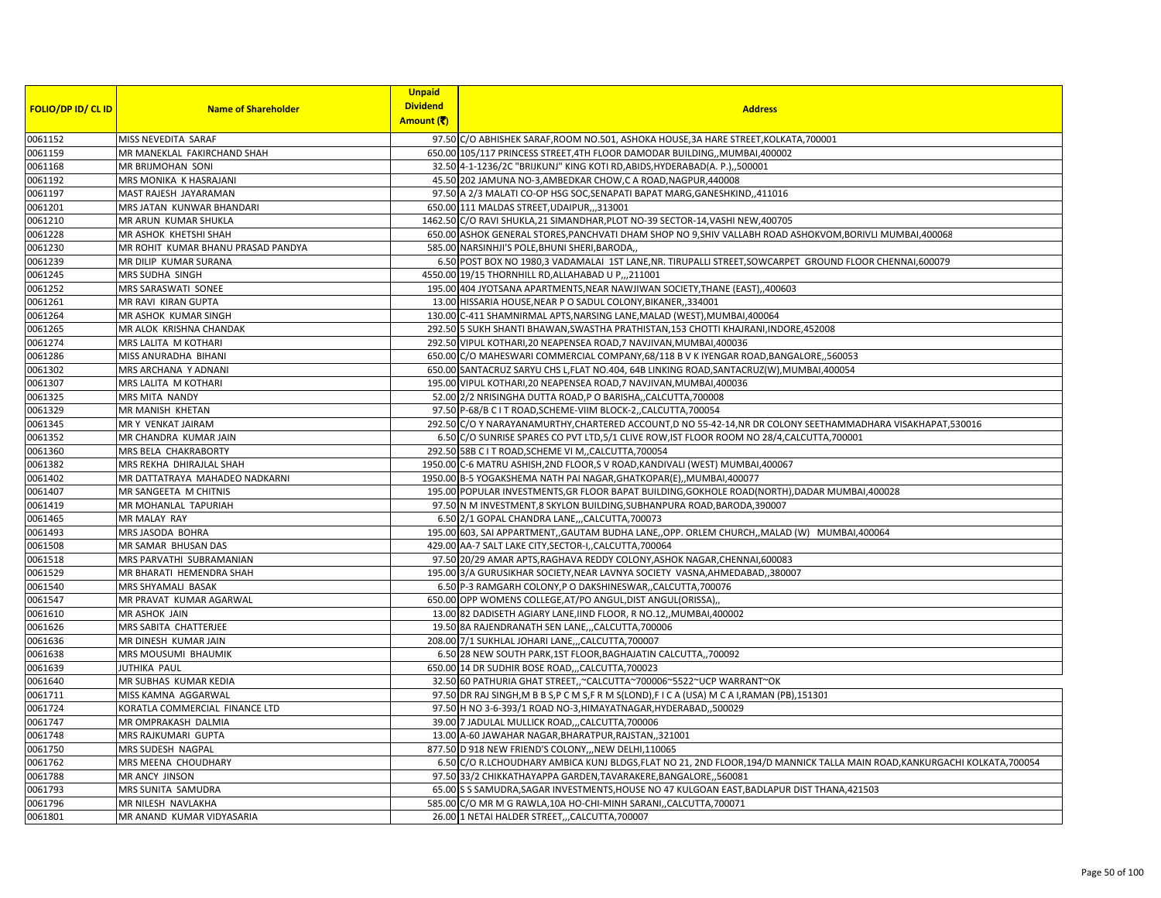|                           |                                    | <b>Unpaid</b>                                                                                                          |  |
|---------------------------|------------------------------------|------------------------------------------------------------------------------------------------------------------------|--|
| <b>FOLIO/DP ID/ CL ID</b> |                                    | <b>Dividend</b>                                                                                                        |  |
|                           | <b>Name of Shareholder</b>         | <b>Address</b><br>Amount (₹                                                                                            |  |
|                           |                                    |                                                                                                                        |  |
| 0061152                   | MISS NEVEDITA SARAF                | 97.50 C/O ABHISHEK SARAF, ROOM NO.501, ASHOKA HOUSE, 3A HARE STREET, KOLKATA, 700001                                   |  |
| 0061159                   | MR MANEKLAL FAKIRCHAND SHAH        | 650.00 105/117 PRINCESS STREET, 4TH FLOOR DAMODAR BUILDING, , MUMBAI, 400002                                           |  |
| 0061168                   | MR BRIJMOHAN SONI                  | 32.50 4-1-1236/2C "BRIJKUNJ" KING KOTI RD,ABIDS,HYDERABAD(A. P.),,500001                                               |  |
| 0061192                   | <b>MRS MONIKA K HASRAJANI</b>      | 45.50 202 JAMUNA NO-3,AMBEDKAR CHOW,C A ROAD,NAGPUR,440008                                                             |  |
| 0061197                   | MAST RAJESH JAYARAMAN              | 97.50 A 2/3 MALATI CO-OP HSG SOC, SENAPATI BAPAT MARG, GANESHKIND, ,411016                                             |  |
| 0061201                   | MRS JATAN KUNWAR BHANDARI          | 650.00 111 MALDAS STREET, UDAIPUR,,, 313001                                                                            |  |
| 0061210                   | MR ARUN KUMAR SHUKLA               | 1462.50 C/O RAVI SHUKLA, 21 SIMANDHAR, PLOT NO-39 SECTOR-14, VASHI NEW, 400705                                         |  |
| 0061228                   | MR ASHOK KHETSHI SHAH              | 650.00 ASHOK GENERAL STORES, PANCHVATI DHAM SHOP NO 9, SHIV VALLABH ROAD ASHOKVOM, BORIVLI MUMBAI, 400068              |  |
| 0061230                   | MR ROHIT KUMAR BHANU PRASAD PANDYA | 585.00 NARSINHJI'S POLE, BHUNI SHERI, BARODA,,                                                                         |  |
| 0061239                   | MR DILIP KUMAR SURANA              | 6.50 POST BOX NO 1980,3 VADAMALAI 1ST LANE,NR. TIRUPALLI STREET,SOWCARPET GROUND FLOOR CHENNAI,600079                  |  |
| 0061245                   |                                    |                                                                                                                        |  |
|                           | MRS SUDHA SINGH                    | 4550.00 19/15 THORNHILL RD, ALLAHABAD U P,, , 211001                                                                   |  |
| 0061252                   | <b>MRS SARASWATI SONE</b>          | 195.00 404 JYOTSANA APARTMENTS, NEAR NAWJIWAN SOCIETY, THANE (EAST), ,400603                                           |  |
| 0061261                   | MR RAVI KIRAN GUPTA                | 13.00 HISSARIA HOUSE, NEAR P O SADUL COLONY, BIKANER,, 334001                                                          |  |
| 0061264                   | MR ASHOK KUMAR SINGH               | 130.00 C-411 SHAMNIRMAL APTS, NARSING LANE, MALAD (WEST), MUMBAI, 400064                                               |  |
| 0061265                   | MR ALOK KRISHNA CHANDAK            | 292.50 5 SUKH SHANTI BHAWAN,SWASTHA PRATHISTAN,153 CHOTTI KHAJRANI,INDORE,452008                                       |  |
| 0061274                   | MRS LALITA M KOTHARI               | 292.50 VIPUL KOTHARI,20 NEAPENSEA ROAD,7 NAVJIVAN,MUMBAI,400036                                                        |  |
| 0061286                   | MISS ANURADHA BIHANI               | 650.00 C/O MAHESWARI COMMERCIAL COMPANY, 68/118 B V K IYENGAR ROAD, BANGALORE, 560053                                  |  |
| 0061302                   | MRS ARCHANA Y ADNANI               | 650.00 SANTACRUZ SARYU CHS L,FLAT NO.404, 64B LINKING ROAD, SANTACRUZ(W), MUMBAI, 400054                               |  |
| 0061307                   | MRS LALITA M KOTHAR                | 195.00 VIPUL KOTHARI, 20 NEAPENSEA ROAD, 7 NAVJIVAN, MUMBAI, 400036                                                    |  |
| 0061325                   | <b>MRS MITA NANDY</b>              | 52.00 2/2 NRISINGHA DUTTA ROAD, P O BARISHA,, CALCUTTA, 700008                                                         |  |
| 0061329                   | MR MANISH KHETAN                   | 97.50 P-68/B C I T ROAD, SCHEME-VIIM BLOCK-2,, CALCUTTA, 700054                                                        |  |
| 0061345                   | MR Y VENKAT JAIRAM                 | 292.50 C/O Y NARAYANAMURTHY, CHARTERED ACCOUNT, D NO 55-42-14, NR DR COLONY SEETHAMMADHARA VISAKHAPAT, 530016          |  |
| 0061352                   | MR CHANDRA KUMAR JAIN              | 6.50 C/O SUNRISE SPARES CO PVT LTD,5/1 CLIVE ROW,IST FLOOR ROOM NO 28/4,CALCUTTA,700001                                |  |
|                           |                                    |                                                                                                                        |  |
| 0061360                   | MRS BELA CHAKRABORTY               | 292.50 58B C I T ROAD, SCHEME VI M, CALCUTTA, 700054                                                                   |  |
| 0061382                   | MRS REKHA DHIRAJLAL SHAH           | 1950.00 C-6 MATRU ASHISH, 2ND FLOOR, S V ROAD, KANDIVALI (WEST) MUMBAI, 400067                                         |  |
| 0061402                   | MR DATTATRAYA MAHADEO NADKARNI     | 1950.00 B-5 YOGAKSHEMA NATH PAI NAGAR, GHATKOPAR(E), , MUMBAI, 400077                                                  |  |
| 0061407                   | MR SANGEETA M CHITNIS              | 195.00 POPULAR INVESTMENTS, GR FLOOR BAPAT BUILDING, GOKHOLE ROAD(NORTH), DADAR MUMBAI, 400028                         |  |
| 0061419                   | MR MOHANLAL TAPURIAH               | 97.50 N M INVESTMENT,8 SKYLON BUILDING,SUBHANPURA ROAD,BARODA,390007                                                   |  |
| 0061465                   | <b>MR MALAY RAY</b>                | 6.50 2/1 GOPAL CHANDRA LANE,,,CALCUTTA,700073                                                                          |  |
| 0061493                   | MRS JASODA BOHRA                   | 195.00 603, SAI APPARTMENT,,GAUTAM BUDHA LANE,,OPP. ORLEM CHURCH,,MALAD (W) MUMBAI,400064                              |  |
| 0061508                   | MR SAMAR BHUSAN DAS                | 429.00 AA-7 SALT LAKE CITY,SECTOR-I,,CALCUTTA,700064                                                                   |  |
| 0061518                   | MRS PARVATHI SUBRAMANIAN           | 97.50 20/29 AMAR APTS, RAGHAVA REDDY COLONY, ASHOK NAGAR, CHENNAI, 600083                                              |  |
| 0061529                   | MR BHARATI HEMENDRA SHAH           | 195.00 3/A GURUSIKHAR SOCIETY, NEAR LAVNYA SOCIETY VASNA, AHMEDABAD, , 380007                                          |  |
| 0061540                   | MRS SHYAMALI BASAK                 | 6.50 P-3 RAMGARH COLONY, P O DAKSHINESWAR,, CALCUTTA, 700076                                                           |  |
| 0061547                   | MR PRAVAT KUMAR AGARWAL            | 650.00 OPP WOMENS COLLEGE, AT/PO ANGUL, DIST ANGUL (ORISSA),                                                           |  |
| 0061610                   |                                    |                                                                                                                        |  |
|                           | MR ASHOK JAIN                      | 13.00 82 DADISETH AGIARY LANE, IIND FLOOR, R NO.12,, MUMBAI, 400002                                                    |  |
| 0061626                   | MRS SABITA CHATTERJEE              | 19.50 8A RAJENDRANATH SEN LANE,,,CALCUTTA,700006                                                                       |  |
| 0061636                   | MR DINESH KUMAR JAIN               | 208.00 7/1 SUKHLAL JOHARI LANE,,,CALCUTTA,700007                                                                       |  |
| 0061638                   | MRS MOUSUMI BHAUMIK                | 6.50 28 NEW SOUTH PARK,1ST FLOOR,BAGHAJATIN CALCUTTA,,700092                                                           |  |
| 0061639                   | JUTHIKA PAUL                       | 650.00 14 DR SUDHIR BOSE ROAD,,,CALCUTTA,700023                                                                        |  |
| 0061640                   | MR SUBHAS KUMAR KEDIA              | 32.50 60 PATHURIA GHAT STREET, ~CALCUTTA~700006~5522~UCP WARRANT~OK                                                    |  |
| 0061711                   | MISS KAMNA AGGARWAL                | 97.50 DR RAJ SINGH, M B B S, P C M S, F R M S(LOND), F I C A (USA) M C A I, RAMAN (PB), 151301                         |  |
| 0061724                   | KORATLA COMMERCIAL FINANCE LTD     | 97.50 H NO 3-6-393/1 ROAD NO-3, HIMAYATNAGAR, HYDERABAD, ,500029                                                       |  |
| 0061747                   | MR OMPRAKASH DALMIA                | 39.00 7 JADULAL MULLICK ROAD,,,CALCUTTA,700006                                                                         |  |
| 0061748                   | MRS RAJKUMARI GUPTA                | 13.00 A-60 JAWAHAR NAGAR, BHARATPUR, RAJSTAN, ,321001                                                                  |  |
| 0061750                   | MRS SUDESH NAGPAL                  | 877.50 D 918 NEW FRIEND'S COLONY,,, NEW DELHI, 110065                                                                  |  |
| 0061762                   |                                    |                                                                                                                        |  |
|                           | MRS MEENA CHOUDHARY                | 6.50 C/O R.LCHOUDHARY AMBICA KUNJ BLDGS,FLAT NO 21, 2ND FLOOR,194/D MANNICK TALLA MAIN ROAD,KANKURGACHI KOLKATA,700054 |  |
| 0061788                   | <b>MR ANCY JINSON</b>              | 97.50 33/2 CHIKKATHAYAPPA GARDEN,TAVARAKERE,BANGALORE,,560081                                                          |  |
| 0061793                   | MRS SUNITA SAMUDRA                 | 65.00 S S SAMUDRA, SAGAR INVESTMENTS, HOUSE NO 47 KULGOAN EAST, BADLAPUR DIST THANA, 421503                            |  |
| 0061796                   | MR NILESH NAVLAKHA                 | 585.00 C/O MR M G RAWLA, 10A HO-CHI-MINH SARANI, CALCUTTA, 700071                                                      |  |
| 0061801                   | MR ANAND KUMAR VIDYASARIA          | 26.00 1 NETAI HALDER STREET,,,CALCUTTA,700007                                                                          |  |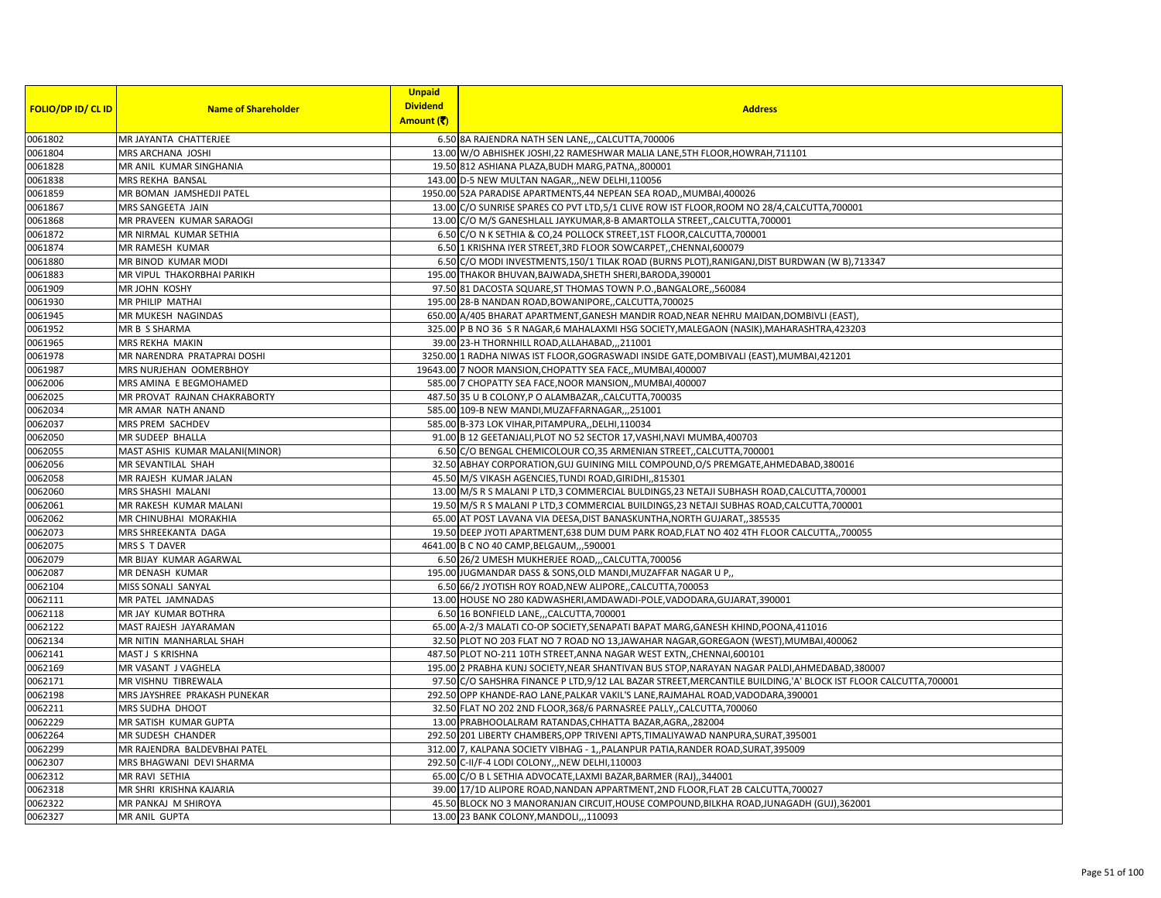|                           |                                | <b>Unpaid</b>   |                                                                                                                   |
|---------------------------|--------------------------------|-----------------|-------------------------------------------------------------------------------------------------------------------|
| <b>FOLIO/DP ID/ CL ID</b> | <b>Name of Shareholder</b>     | <b>Dividend</b> | <b>Address</b>                                                                                                    |
|                           |                                | Amount (そ)      |                                                                                                                   |
| 0061802                   | MR JAYANTA CHATTERJEE          |                 | 6.50 8A RAJENDRA NATH SEN LANE,,,CALCUTTA,700006                                                                  |
| 0061804                   | MRS ARCHANA JOSHI              |                 | 13.00 W/O ABHISHEK JOSHI, 22 RAMESHWAR MALIA LANE, 5TH FLOOR, HOWRAH, 711101                                      |
| 0061828                   | MR ANIL KUMAR SINGHANIA        |                 | 19.50 812 ASHIANA PLAZA, BUDH MARG, PATNA, 800001                                                                 |
| 0061838                   | MRS REKHA BANSAL               |                 | 143.00 D-5 NEW MULTAN NAGAR,,, NEW DELHI, 110056                                                                  |
| 0061859                   | MR BOMAN JAMSHEDJI PATEL       |                 | 1950.00 52A PARADISE APARTMENTS, 44 NEPEAN SEA ROAD, MUMBAI, 400026                                               |
| 0061867                   | MRS SANGEETA JAIN              |                 | 13.00 C/O SUNRISE SPARES CO PVT LTD,5/1 CLIVE ROW IST FLOOR, ROOM NO 28/4, CALCUTTA, 700001                       |
| 0061868                   | MR PRAVEEN KUMAR SARAOGI       |                 | 13.00 C/O M/S GANESHLALL JAYKUMAR, 8-B AMARTOLLA STREET, CALCUTTA, 700001                                         |
| 0061872                   | MR NIRMAL KUMAR SETHIA         |                 | 6.50 C/O N K SETHIA & CO, 24 POLLOCK STREET, 1ST FLOOR, CALCUTTA, 700001                                          |
| 0061874                   | MR RAMESH KUMAR                |                 | 6.50 1 KRISHNA IYER STREET, 3RD FLOOR SOWCARPET, CHENNAI, 600079                                                  |
| 0061880                   | MR BINOD KUMAR MODI            |                 | 6.50 C/O MODI INVESTMENTS, 150/1 TILAK ROAD (BURNS PLOT), RANIGANJ, DIST BURDWAN (W B), 713347                    |
| 0061883                   | MR VIPUL THAKORBHAI PARIKH     |                 | 195.00 THAKOR BHUVAN, BAJWADA, SHETH SHERI, BARODA, 390001                                                        |
| 0061909                   | <b>MRJOHN KOSHY</b>            |                 | 97.50 81 DACOSTA SQUARE, ST THOMAS TOWN P.O., BANGALORE, ,560084                                                  |
| 0061930                   | MR PHILIP MATHAI               |                 | 195.00 28-B NANDAN ROAD, BOWANIPORE, , CALCUTTA, 700025                                                           |
| 0061945                   | MR MUKESH NAGINDAS             |                 | 650.00 A/405 BHARAT APARTMENT, GANESH MANDIR ROAD, NEAR NEHRU MAIDAN, DOMBIVLI (EAST)                             |
| 0061952                   | MR B S SHARMA                  |                 | 325.00 P B NO 36 S R NAGAR,6 MAHALAXMI HSG SOCIETY, MALEGAON (NASIK), MAHARASHTRA, 423203                         |
| 0061965                   | MRS REKHA MAKIN                |                 | 39.00 23-H THORNHILL ROAD, ALLAHABAD, ., 211001                                                                   |
| 0061978                   | MR NARENDRA PRATAPRAI DOSHI    |                 | 3250.00 1 RADHA NIWAS IST FLOOR, GOGRASWADI INSIDE GATE, DOMBIVALI (EAST), MUMBAI, 421201                         |
| 0061987                   | MRS NURJEHAN OOMERBHOY         |                 | 19643.00 7 NOOR MANSION, CHOPATTY SEA FACE,, MUMBAI, 400007                                                       |
| 0062006                   | MRS AMINA E BEGMOHAMED         |                 | 585.00 7 CHOPATTY SEA FACE, NOOR MANSION, MUMBAI, 400007                                                          |
| 0062025                   | MR PROVAT RAJNAN CHAKRABORTY   |                 | 487.50 35 U B COLONY, P O ALAMBAZAR, CALCUTTA, 700035                                                             |
| 0062034                   | MR AMAR NATH ANAND             |                 | 585.00 109-B NEW MANDI, MUZAFFARNAGAR, ,,251001                                                                   |
| 0062037                   | MRS PREM SACHDEV               |                 | 585.00 B-373 LOK VIHAR, PITAMPURA, , DELHI, 110034                                                                |
| 0062050                   | MR SUDEEP BHALLA               |                 | 91.00 B 12 GEETANJALI, PLOT NO 52 SECTOR 17, VASHI, NAVI MUMBA, 400703                                            |
| 0062055                   | MAST ASHIS KUMAR MALANI(MINOR) |                 | 6.50 C/O BENGAL CHEMICOLOUR CO,35 ARMENIAN STREET, CALCUTTA, 700001                                               |
| 0062056                   | MR SEVANTILAL SHAH             |                 | 32.50 ABHAY CORPORATION, GUJ GUINING MILL COMPOUND, O/S PREMGATE, AHMEDABAD, 380016                               |
| 0062058                   | MR RAJESH KUMAR JALAN          |                 | 45.50 M/S VIKASH AGENCIES, TUNDI ROAD, GIRIDHI,, 815301                                                           |
| 0062060                   | MRS SHASHI MALANI              |                 | 13.00 M/S R S MALANI P LTD, 3 COMMERCIAL BULDINGS, 23 NETAJI SUBHASH ROAD, CALCUTTA, 700001                       |
| 0062061                   | MR RAKESH KUMAR MALANI         |                 | 19.50 M/S R S MALANI P LTD,3 COMMERCIAL BUILDINGS, 23 NETAJI SUBHAS ROAD, CALCUTTA, 700001                        |
| 0062062                   | MR CHINUBHAI MORAKHIA          |                 | 65.00 AT POST LAVANA VIA DEESA, DIST BANASKUNTHA, NORTH GUJARAT,, 385535                                          |
| 0062073                   | MRS SHREEKANTA DAGA            |                 | 19.50 DEEP JYOTI APARTMENT,638 DUM DUM PARK ROAD, FLAT NO 402 4TH FLOOR CALCUTTA,,700055                          |
| 0062075                   | MRS S T DAVER                  |                 | 4641.00 B C NO 40 CAMP, BELGAUM, ,, 590001                                                                        |
| 0062079                   | MR BIJAY KUMAR AGARWAL         |                 | 6.50 26/2 UMESH MUKHERJEE ROAD,,,CALCUTTA,700056                                                                  |
| 0062087                   | MR DENASH KUMAR                |                 | 195.00 JUGMANDAR DASS & SONS, OLD MANDI, MUZAFFAR NAGAR U P,                                                      |
| 0062104                   | MISS SONALI SANYAL             |                 | 6.50 66/2 JYOTISH ROY ROAD, NEW ALIPORE,, CALCUTTA, 700053                                                        |
| 0062111                   | MR PATEL JAMNADAS              |                 | 13.00 HOUSE NO 280 KADWASHERI, AMDAWADI-POLE, VADODARA, GUJARAT, 390001                                           |
| 0062118                   | MR JAY KUMAR BOTHRA            |                 | 6.50 16 BONFIELD LANE, ,CALCUTTA, 700001                                                                          |
| 0062122                   | MAST RAJESH JAYARAMAN          |                 | 65.00 A-2/3 MALATI CO-OP SOCIETY, SENAPATI BAPAT MARG, GANESH KHIND, POONA, 411016                                |
| 0062134                   | MR NITIN MANHARLAL SHAH        |                 | 32.50 PLOT NO 203 FLAT NO 7 ROAD NO 13, JAWAHAR NAGAR, GOREGAON (WEST), MUMBAI, 400062                            |
| 0062141                   | MAST J S KRISHNA               |                 | 487.50 PLOT NO-211 10TH STREET, ANNA NAGAR WEST EXTN,, CHENNAI, 600101                                            |
| 0062169                   | MR VASANT J VAGHELA            |                 | 195.00 2 PRABHA KUNJ SOCIETY, NEAR SHANTIVAN BUS STOP, NARAYAN NAGAR PALDI, AHMEDABAD, 380007                     |
| 0062171                   | MR VISHNU TIBREWALA            |                 | 97.50 C/O SAHSHRA FINANCE P LTD, 9/12 LAL BAZAR STREET, MERCANTILE BUILDING, 'A' BLOCK IST FLOOR CALCUTTA, 700001 |
| 0062198                   | MRS JAYSHREE PRAKASH PUNEKAR   |                 | 292.50 OPP KHANDE-RAO LANE, PALKAR VAKIL'S LANE, RAJMAHAL ROAD, VADODARA, 390001                                  |
| 0062211                   | MRS SUDHA DHOOT                |                 | 32.50 FLAT NO 202 2ND FLOOR, 368/6 PARNASREE PALLY, CALCUTTA, 700060                                              |
| 0062229                   | MR SATISH KUMAR GUPTA          |                 | 13.00 PRABHOOLALRAM RATANDAS, CHHATTA BAZAR, AGRA,, 282004                                                        |
| 0062264                   | MR SUDESH CHANDER              |                 | 292.50 201 LIBERTY CHAMBERS, OPP TRIVENI APTS, TIMALIYAWAD NANPURA, SURAT, 395001                                 |
| 0062299                   | MR RAJENDRA BALDEVBHAI PATEL   |                 | 312.00 7, KALPANA SOCIETY VIBHAG - 1,, PALANPUR PATIA, RANDER ROAD, SURAT, 395009                                 |
| 0062307                   | MRS BHAGWANI DEVI SHARMA       |                 | 292.50 C-II/F-4 LODI COLONY,,,NEW DELHI,110003                                                                    |
| 0062312                   | MR RAVI SETHIA                 |                 | 65.00 C/O B L SETHIA ADVOCATE, LAXMI BAZAR, BARMER (RAJ), 344001                                                  |
| 0062318                   | MR SHRI KRISHNA KAJARIA        |                 | 39.00 17/1D ALIPORE ROAD, NANDAN APPARTMENT, 2ND FLOOR, FLAT 2B CALCUTTA, 700027                                  |
| 0062322                   | MR PANKAJ M SHIROYA            |                 | 45.50 BLOCK NO 3 MANORANJAN CIRCUIT, HOUSE COMPOUND, BILKHA ROAD, JUNAGADH (GUJ), 362001                          |
| 0062327                   | MR ANIL GUPTA                  |                 | 13.00 23 BANK COLONY, MANDOLI, ,, 110093                                                                          |
|                           |                                |                 |                                                                                                                   |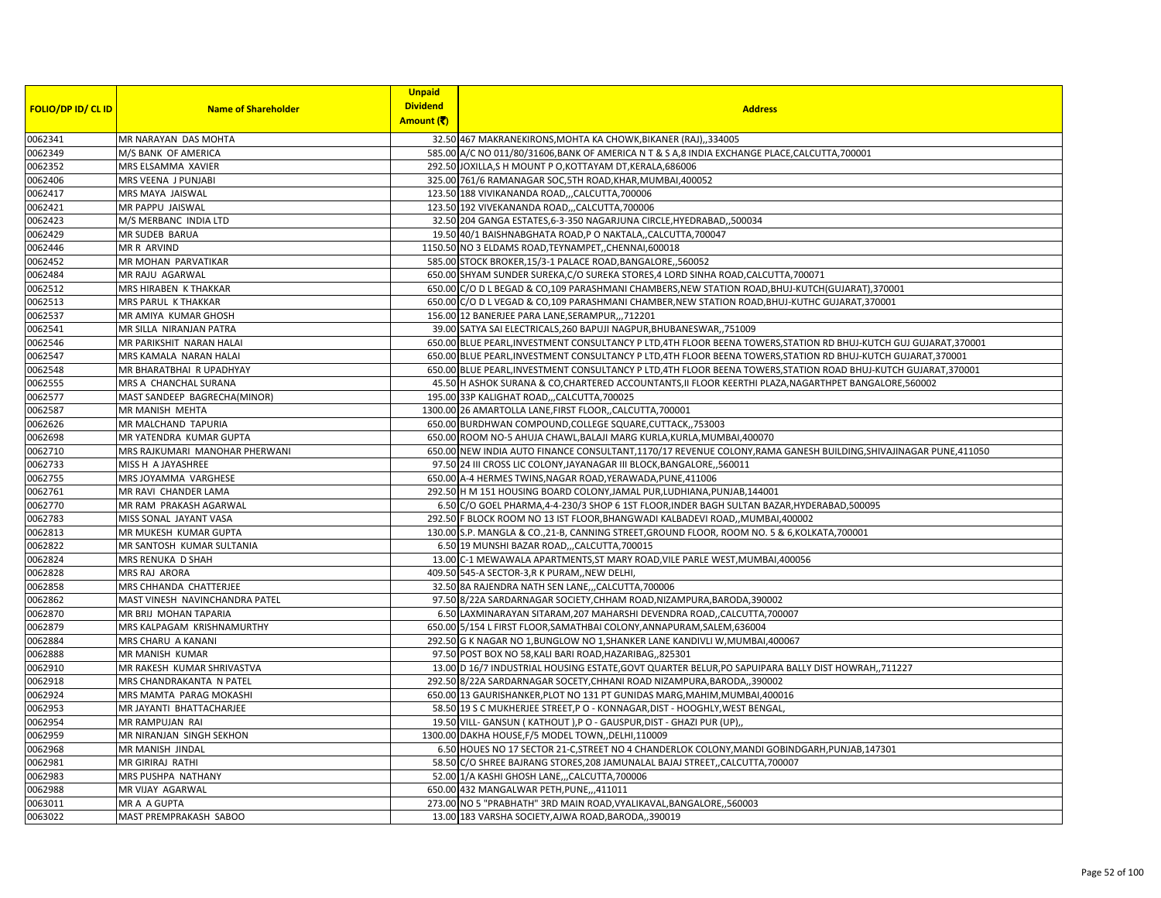|                           |                                | <b>Unpaid</b>   |                                                                                                                    |
|---------------------------|--------------------------------|-----------------|--------------------------------------------------------------------------------------------------------------------|
| <b>FOLIO/DP ID/ CL ID</b> | <b>Name of Shareholder</b>     | <b>Dividend</b> | <b>Address</b>                                                                                                     |
|                           |                                | Amount (₹)      |                                                                                                                    |
| 0062341                   | MR NARAYAN DAS MOHTA           |                 | 32.50 467 MAKRANEKIRONS, MOHTA KA CHOWK, BIKANER (RAJ), 334005                                                     |
| 0062349                   | M/S BANK OF AMERICA            |                 | 585.00 A/C NO 011/80/31606, BANK OF AMERICA N T & S A, 8 INDIA EXCHANGE PLACE, CALCUTTA, 700001                    |
| 0062352                   | MRS ELSAMMA XAVIER             |                 | 292.50 JOXILLA, S H MOUNT P O, KOTTAYAM DT, KERALA, 686006                                                         |
| 0062406                   | MRS VEENA J PUNJABI            |                 | 325.00 761/6 RAMANAGAR SOC, 5TH ROAD, KHAR, MUMBAI, 400052                                                         |
| 0062417                   | MRS MAYA JAISWAL               |                 | 123.50 188 VIVIKANANDA ROAD,,,CALCUTTA,700006                                                                      |
| 0062421                   | MR PAPPU JAISWAL               |                 | 123.50 192 VIVEKANANDA ROAD,,,CALCUTTA,700006                                                                      |
| 0062423                   | M/S MERBANC INDIA LTD          |                 | 32.50 204 GANGA ESTATES, 6-3-350 NAGARJUNA CIRCLE, HYEDRABAD, ,500034                                              |
| 0062429                   | MR SUDEB BARUA                 |                 | 19.50 40/1 BAISHNABGHATA ROAD, P O NAKTALA,, CALCUTTA, 700047                                                      |
| 0062446                   | <b>MR R ARVIND</b>             |                 | 1150.50 NO 3 ELDAMS ROAD, TEYNAMPET, CHENNAI, 600018                                                               |
| 0062452                   | MR MOHAN PARVATIKAR            |                 | 585.00 STOCK BROKER, 15/3-1 PALACE ROAD, BANGALORE, ,560052                                                        |
| 0062484                   | MR RAJU AGARWAL                |                 | 650.00 SHYAM SUNDER SUREKA, C/O SUREKA STORES, 4 LORD SINHA ROAD, CALCUTTA, 700071                                 |
| 0062512                   | MRS HIRABEN K THAKKAR          |                 | 650.00 C/O D L BEGAD & CO,109 PARASHMANI CHAMBERS, NEW STATION ROAD, BHUJ-KUTCH (GUJARAT), 370001                  |
| 0062513                   | MRS PARUL K THAKKAR            |                 | 650.00 C/O D L VEGAD & CO,109 PARASHMANI CHAMBER, NEW STATION ROAD, BHUJ-KUTHC GUJARAT, 370001                     |
| 0062537                   | MR AMIYA KUMAR GHOSH           |                 | 156.00 12 BANERJEE PARA LANE, SERAMPUR, ,, 712201                                                                  |
| 0062541                   | MR SILLA NIRANJAN PATRA        |                 | 39.00 SATYA SAI ELECTRICALS, 260 BAPUJI NAGPUR, BHUBANESWAR,, 751009                                               |
| 0062546                   | MR PARIKSHIT NARAN HALAI       |                 | 650.00 BLUE PEARL, INVESTMENT CONSULTANCY P LTD, 4TH FLOOR BEENA TOWERS, STATION RD BHUJ-KUTCH GUJ GUJARAT, 370001 |
| 0062547                   | MRS KAMALA NARAN HALAI         |                 | 650.00 BLUE PEARL, INVESTMENT CONSULTANCY P LTD, 4TH FLOOR BEENA TOWERS, STATION RD BHUJ-KUTCH GUJARAT, 370001     |
| 0062548                   | MR BHARATBHAI R UPADHYAY       |                 | 650.00 BLUE PEARL, INVESTMENT CONSULTANCY P LTD, 4TH FLOOR BEENA TOWERS, STATION ROAD BHUJ-KUTCH GUJARAT, 370001   |
| 0062555                   | MRS A CHANCHAL SURANA          |                 | 45.50 H ASHOK SURANA & CO, CHARTERED ACCOUNTANTS, II FLOOR KEERTHI PLAZA, NAGARTHPET BANGALORE, 560002             |
| 0062577                   | MAST SANDEEP BAGRECHA(MINOR)   |                 | 195.00 33P KALIGHAT ROAD,,,CALCUTTA,700025                                                                         |
| 0062587                   | MR MANISH MEHTA                |                 | 1300.00 26 AMARTOLLA LANE, FIRST FLOOR,, CALCUTTA, 700001                                                          |
| 0062626                   | MR MALCHAND TAPURIA            |                 | 650.00 BURDHWAN COMPOUND, COLLEGE SQUARE, CUTTACK, 753003                                                          |
| 0062698                   | MR YATENDRA KUMAR GUPTA        |                 | 650.00 ROOM NO-5 AHUJA CHAWL, BALAJI MARG KURLA, KURLA, MUMBAI, 400070                                             |
| 0062710                   | MRS RAJKUMARI MANOHAR PHERWANI |                 | 650.00 NEW INDIA AUTO FINANCE CONSULTANT, 1170/17 REVENUE COLONY, RAMA GANESH BUILDING, SHIVAJINAGAR PUNE, 411050  |
| 0062733                   | MISS H A JAYASHREE             |                 | 97.50 24 III CROSS LIC COLONY, JAYANAGAR III BLOCK, BANGALORE, 560011                                              |
| 0062755                   | MRS JOYAMMA VARGHESE           |                 | 650.00 A-4 HERMES TWINS, NAGAR ROAD, YERAWADA, PUNE, 411006                                                        |
| 0062761                   | MR RAVI CHANDER LAMA           |                 | 292.50 H M 151 HOUSING BOARD COLONY, JAMAL PUR, LUDHIANA, PUNJAB, 144001                                           |
| 0062770                   | MR RAM PRAKASH AGARWAL         |                 | 6.50 C/O GOEL PHARMA, 4-4-230/3 SHOP 6 1ST FLOOR, INDER BAGH SULTAN BAZAR, HYDERABAD, 500095                       |
| 0062783                   | MISS SONAL JAYANT VASA         |                 | 292.50 F BLOCK ROOM NO 13 IST FLOOR, BHANGWADI KALBADEVI ROAD, MUMBAI, 400002                                      |
| 0062813                   | MR MUKESH KUMAR GUPTA          |                 | 130.00 S.P. MANGLA & CO., 21-B, CANNING STREET, GROUND FLOOR, ROOM NO. 5 & 6, KOLKATA, 700001                      |
| 0062822                   | MR SANTOSH KUMAR SULTANIA      |                 | 6.50 19 MUNSHI BAZAR ROAD,,,CALCUTTA,700015                                                                        |
| 0062824                   | MRS RENUKA D SHAH              |                 | 13.00 C-1 MEWAWALA APARTMENTS, ST MARY ROAD, VILE PARLE WEST, MUMBAI, 400056                                       |
| 0062828                   | MRS RAJ ARORA                  |                 | 409.50 545-A SECTOR-3,R K PURAM,, NEW DELHI,                                                                       |
| 0062858                   | MRS CHHANDA CHATTERJEE         |                 | 32.50 8A RAJENDRA NATH SEN LANE, , CALCUTTA, 700006                                                                |
| 0062862                   | MAST VINESH NAVINCHANDRA PATEL |                 | 97.50 8/22A SARDARNAGAR SOCIETY, CHHAM ROAD, NIZAMPURA, BARODA, 390002                                             |
| 0062870                   | MR BRIJ MOHAN TAPARIA          |                 | 6.50 LAXMINARAYAN SITARAM, 207 MAHARSHI DEVENDRA ROAD, ,CALCUTTA, 700007                                           |
| 0062879                   | MRS KALPAGAM KRISHNAMURTHY     |                 | 650.00 5/154 L FIRST FLOOR, SAMATHBAI COLONY, ANNAPURAM, SALEM, 636004                                             |
| 0062884                   | MRS CHARU A KANANI             |                 | 292.50 G K NAGAR NO 1, BUNGLOW NO 1, SHANKER LANE KANDIVLI W, MUMBAI, 400067                                       |
| 0062888                   | MR MANISH KUMAR                |                 | 97.50 POST BOX NO 58, KALI BARI ROAD, HAZARIBAG, 825301                                                            |
| 0062910                   | MR RAKESH KUMAR SHRIVASTVA     |                 | 13.00 D 16/7 INDUSTRIAL HOUSING ESTATE, GOVT QUARTER BELUR, PO SAPUIPARA BALLY DIST HOWRAH,, 711227                |
| 0062918                   | MRS CHANDRAKANTA N PATEL       |                 | 292.50 8/22A SARDARNAGAR SOCETY, CHHANI ROAD NIZAMPURA, BARODA, 390002                                             |
| 0062924                   | MRS MAMTA PARAG MOKASHI        |                 | 650.00 13 GAURISHANKER, PLOT NO 131 PT GUNIDAS MARG, MAHIM, MUMBAI, 400016                                         |
| 0062953                   | MR JAYANTI BHATTACHARJEE       |                 | 58.50 19 S C MUKHERJEE STREET, P O - KONNAGAR, DIST - HOOGHLY, WEST BENGAL,                                        |
| 0062954                   | MR RAMPUJAN RAI                |                 | 19.50 VILL- GANSUN (KATHOUT), PO - GAUSPUR, DIST - GHAZI PUR (UP),                                                 |
| 0062959                   | MR NIRANJAN SINGH SEKHON       |                 | 1300.00 DAKHA HOUSE, F/5 MODEL TOWN, DELHI, 110009                                                                 |
| 0062968                   | MR MANISH JINDAL               |                 | 6.50 HOUES NO 17 SECTOR 21-C, STREET NO 4 CHANDERLOK COLONY, MANDI GOBINDGARH, PUNJAB, 147301                      |
| 0062981                   | MR GIRIRAJ RATHI               |                 | 58.50 C/O SHREE BAJRANG STORES, 208 JAMUNALAL BAJAJ STREET, CALCUTTA, 700007                                       |
| 0062983                   | MRS PUSHPA NATHANY             |                 | 52.00 1/A KASHI GHOSH LANE, ,,CALCUTTA, 700006                                                                     |
| 0062988                   | MR VIJAY AGARWAL               |                 | 650.00 432 MANGALWAR PETH, PUNE,,,411011                                                                           |
| 0063011                   | MR A A GUPTA                   |                 | 273.00 NO 5 "PRABHATH" 3RD MAIN ROAD, VYALIKAVAL, BANGALORE, ,560003                                               |
| 0063022                   | MAST PREMPRAKASH SABOO         |                 | 13.00 183 VARSHA SOCIETY, AJWA ROAD, BARODA, ,390019                                                               |
|                           |                                |                 |                                                                                                                    |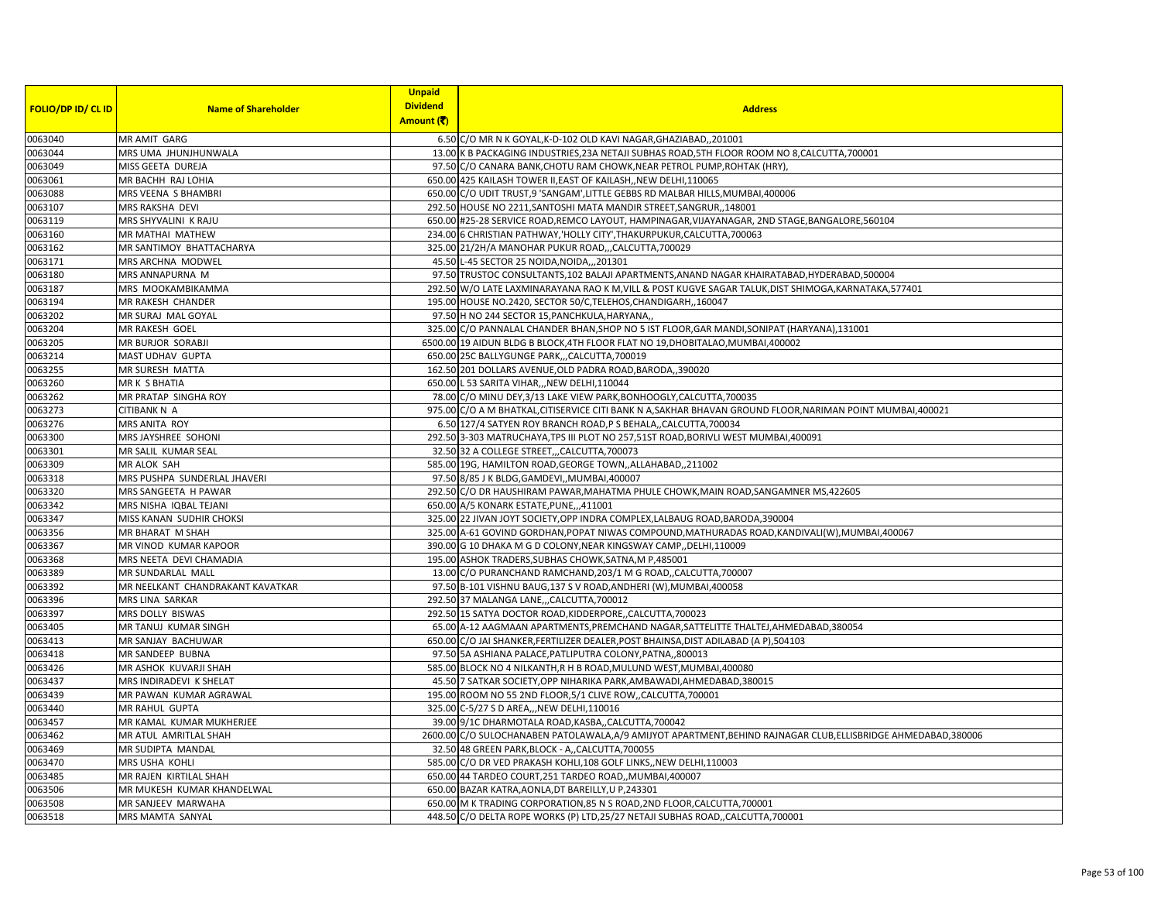| <b>FOLIO/DP ID/ CL ID</b> | <b>Name of Shareholder</b>       | <b>Unpaid</b><br><b>Dividend</b><br>Amount (そ) | <b>Address</b>                                                                                              |
|---------------------------|----------------------------------|------------------------------------------------|-------------------------------------------------------------------------------------------------------------|
| 0063040                   | MR AMIT GARG                     |                                                | 6.50 C/O MR N K GOYAL, K-D-102 OLD KAVI NAGAR, GHAZIABAD,, 201001                                           |
| 0063044                   | MRS UMA JHUNJHUNWALA             |                                                | 13.00 K B PACKAGING INDUSTRIES, 23A NETAJI SUBHAS ROAD, 5TH FLOOR ROOM NO 8, CALCUTTA, 700001               |
| 0063049                   | MISS GEETA DUREJA                |                                                | 97.50 C/O CANARA BANK, CHOTU RAM CHOWK, NEAR PETROL PUMP, ROHTAK (HRY),                                     |
| 0063061                   | MR BACHH RAJ LOHIA               |                                                | 650.00 425 KAILASH TOWER II, EAST OF KAILASH, NEW DELHI, 110065                                             |
| 0063088                   | MRS VEENA S BHAMBRI              |                                                | 650.00 C/O UDIT TRUST,9 'SANGAM', LITTLE GEBBS RD MALBAR HILLS, MUMBAI, 400006                              |
| 0063107                   | MRS RAKSHA DEVI                  |                                                | 292.50 HOUSE NO 2211, SANTOSHI MATA MANDIR STREET, SANGRUR, 148001                                          |
| 0063119                   | MRS SHYVALINI K RAJU             |                                                | 650.00 #25-28 SERVICE ROAD, REMCO LAYOUT, HAMPINAGAR, VIJAYANAGAR, 2ND STAGE, BANGALORE, 560104             |
| 0063160                   | MR MATHAI MATHEW                 |                                                | 234.00 6 CHRISTIAN PATHWAY, HOLLY CITY', THAKURPUKUR, CALCUTTA, 700063                                      |
| 0063162                   | MR SANTIMOY BHATTACHARYA         |                                                | 325.00 21/2H/A MANOHAR PUKUR ROAD,,,CALCUTTA,700029                                                         |
| 0063171                   | MRS ARCHNA MODWEL                |                                                | 45.50 L-45 SECTOR 25 NOIDA, NOIDA, ,,201301                                                                 |
| 0063180                   | MRS ANNAPURNA M                  |                                                | 97.50 TRUSTOC CONSULTANTS, 102 BALAJI APARTMENTS, ANAND NAGAR KHAIRATABAD, HYDERABAD, 500004                |
| 0063187                   | MRS MOOKAMBIKAMMA                |                                                | 292.50 W/O LATE LAXMINARAYANA RAO K M, VILL & POST KUGVE SAGAR TALUK, DIST SHIMOGA, KARNATAKA, 577401       |
| 0063194                   | MR RAKESH CHANDER                |                                                | 195.00 HOUSE NO.2420, SECTOR 50/C, TELEHOS, CHANDIGARH, 160047                                              |
| 0063202                   | MR SURAJ MAL GOYAL               |                                                | 97.50 H NO 244 SECTOR 15, PANCHKULA, HARYANA,                                                               |
| 0063204                   | MR RAKESH GOEL                   |                                                | 325.00 C/O PANNALAL CHANDER BHAN, SHOP NO 5 IST FLOOR, GAR MANDI, SONIPAT (HARYANA), 131001                 |
| 0063205                   | MR BURJOR SORABJI                |                                                | 6500.00 19 AIDUN BLDG B BLOCK,4TH FLOOR FLAT NO 19, DHOBITALAO, MUMBAI, 400002                              |
| 0063214                   | MAST UDHAV GUPTA                 |                                                | 650.00 25C BALLYGUNGE PARK,,,CALCUTTA,700019                                                                |
| 0063255                   | MR SURESH MATTA                  |                                                | 162.50 201 DOLLARS AVENUE, OLD PADRA ROAD, BARODA, 390020                                                   |
| 0063260                   | MR K S BHATIA                    |                                                | 650.00 L 53 SARITA VIHAR,,, NEW DELHI, 110044                                                               |
| 0063262                   | MR PRATAP SINGHA ROY             |                                                | 78.00 C/O MINU DEY, 3/13 LAKE VIEW PARK, BONHOOGLY, CALCUTTA, 700035                                        |
| 0063273                   | <b>CITIBANK N A</b>              |                                                | 975.00 C/O A M BHATKAL, CITISERVICE CITI BANK N A, SAKHAR BHAVAN GROUND FLOOR, NARIMAN POINT MUMBAI, 400021 |
| 0063276                   | MRS ANITA ROY                    |                                                | 6.50 127/4 SATYEN ROY BRANCH ROAD, P S BEHALA,, CALCUTTA, 700034                                            |
| 0063300                   | MRS JAYSHREE SOHONI              |                                                | 292.50 3-303 MATRUCHAYA, TPS III PLOT NO 257, 51ST ROAD, BORIVLI WEST MUMBAI, 400091                        |
| 0063301                   | MR SALIL KUMAR SEAL              |                                                | 32.50 32 A COLLEGE STREET,,,CALCUTTA,700073                                                                 |
| 0063309                   | MR ALOK SAH                      |                                                | 585.00 19G, HAMILTON ROAD, GEORGE TOWN, , ALLAHABAD, , 211002                                               |
| 0063318                   | MRS PUSHPA SUNDERLAL JHAVERI     |                                                | 97.50 8/85 J K BLDG, GAMDEVI, , MUMBAI, 400007                                                              |
| 0063320                   | MRS SANGEETA H PAWAR             |                                                | 292.50 C/O DR HAUSHIRAM PAWAR, MAHATMA PHULE CHOWK, MAIN ROAD, SANGAMNER MS, 422605                         |
| 0063342                   | MRS NISHA IQBAL TEJANI           |                                                | 650.00 A/5 KONARK ESTATE, PUNE, ,,411001                                                                    |
| 0063347                   | MISS KANAN SUDHIR CHOKSI         |                                                | 325.00 22 JIVAN JOYT SOCIETY, OPP INDRA COMPLEX, LALBAUG ROAD, BARODA, 390004                               |
| 0063356                   | MR BHARAT M SHAH                 |                                                | 325.00 A-61 GOVIND GORDHAN, POPAT NIWAS COMPOUND, MATHURADAS ROAD, KANDIVALI(W), MUMBAI, 400067             |
| 0063367                   | MR VINOD KUMAR KAPOOR            |                                                | 390.00 G 10 DHAKA M G D COLONY, NEAR KINGSWAY CAMP, , DELHI, 110009                                         |
| 0063368                   | MRS NEETA DEVI CHAMADIA          |                                                | 195.00 ASHOK TRADERS, SUBHAS CHOWK, SATNA, M P, 485001                                                      |
| 0063389                   | MR SUNDARLAL MALL                |                                                | 13.00 C/O PURANCHAND RAMCHAND, 203/1 M G ROAD, CALCUTTA, 700007                                             |
| 0063392                   | MR NEELKANT CHANDRAKANT KAVATKAR |                                                | 97.50 B-101 VISHNU BAUG, 137 S V ROAD, ANDHERI (W), MUMBAI, 400058                                          |
| 0063396                   | MRS LINA SARKAR                  |                                                | 292.50 37 MALANGA LANE, , CALCUTTA, 700012                                                                  |
| 0063397                   | MRS DOLLY BISWAS                 |                                                | 292.50 15 SATYA DOCTOR ROAD, KIDDERPORE, , CALCUTTA, 700023                                                 |
| 0063405                   | MR TANUJ KUMAR SINGH             |                                                | 65.00 A-12 AAGMAAN APARTMENTS, PREMCHAND NAGAR, SATTELITTE THALTEJ, AHMEDABAD, 380054                       |
| 0063413                   | MR SANJAY BACHUWAR               |                                                | 650.00 C/O JAI SHANKER, FERTILIZER DEALER, POST BHAINSA, DIST ADILABAD (A P), 504103                        |
| 0063418                   | MR SANDEEP BUBNA                 |                                                | 97.50 5A ASHIANA PALACE, PATLIPUTRA COLONY, PATNA,, 800013                                                  |
| 0063426                   | MR ASHOK KUVARJI SHAH            |                                                | 585.00 BLOCK NO 4 NILKANTH, R H B ROAD, MULUND WEST, MUMBAI, 400080                                         |
| 0063437                   | MRS INDIRADEVI K SHELAT          |                                                | 45.50 7 SATKAR SOCIETY, OPP NIHARIKA PARK, AMBAWADI, AHMEDABAD, 380015                                      |
| 0063439                   | MR PAWAN KUMAR AGRAWAL           |                                                | 195.00 ROOM NO 55 2ND FLOOR, 5/1 CLIVE ROW, CALCUTTA, 700001                                                |
| 0063440                   | <b>MR RAHUL GUPTA</b>            |                                                | 325.00 C-5/27 S D AREA,,, NEW DELHI, 110016                                                                 |
| 0063457                   | MR KAMAL KUMAR MUKHERJEE         |                                                | 39.00 9/1C DHARMOTALA ROAD, KASBA,, CALCUTTA, 700042                                                        |
| 0063462                   | MR ATUL AMRITLAL SHAH            |                                                | 2600.00 C/O SULOCHANABEN PATOLAWALA,A/9 AMIJYOT APARTMENT,BEHIND RAJNAGAR CLUB,ELLISBRIDGE AHMEDABAD,380006 |
| 0063469                   | MR SUDIPTA MANDAL                |                                                | 32.50 48 GREEN PARK, BLOCK - A,, CALCUTTA, 700055                                                           |
| 0063470                   | MRS USHA KOHLI                   |                                                | 585.00 C/O DR VED PRAKASH KOHLI,108 GOLF LINKS,, NEW DELHI,110003                                           |
| 0063485                   | MR RAJEN KIRTILAL SHAH           |                                                | 650.00 44 TARDEO COURT, 251 TARDEO ROAD,, MUMBAI, 400007                                                    |
| 0063506                   | MR MUKESH KUMAR KHANDELWAL       |                                                | 650.00 BAZAR KATRA, AONLA, DT BAREILLY, U P, 243301                                                         |
| 0063508                   | MR SANJEEV MARWAHA               |                                                | 650.00 M K TRADING CORPORATION, 85 N S ROAD, 2ND FLOOR, CALCUTTA, 700001                                    |
| 0063518                   | MRS MAMTA SANYAL                 |                                                | 448.50 C/O DELTA ROPE WORKS (P) LTD, 25/27 NETAJI SUBHAS ROAD, CALCUTTA, 700001                             |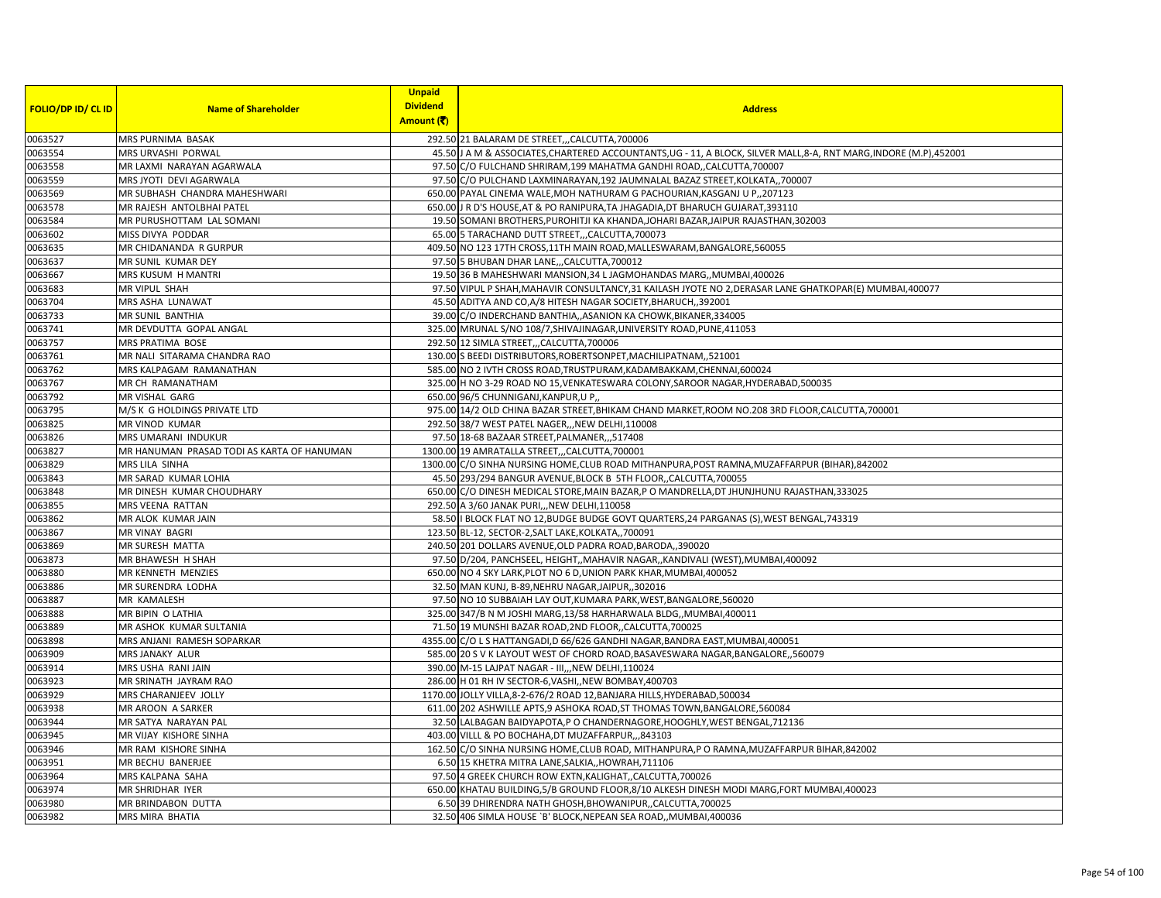|                           |                                            | <b>Unpaid</b>   |                                                                                                                     |
|---------------------------|--------------------------------------------|-----------------|---------------------------------------------------------------------------------------------------------------------|
| <b>FOLIO/DP ID/ CL ID</b> | <b>Name of Shareholder</b>                 | <b>Dividend</b> | <b>Address</b>                                                                                                      |
|                           |                                            | Amount (そ)      |                                                                                                                     |
| 0063527                   | MRS PURNIMA BASAK                          |                 | 292.50 21 BALARAM DE STREET,,,CALCUTTA,700006                                                                       |
| 0063554                   | MRS URVASHI PORWAL                         |                 | 45.50 J A M & ASSOCIATES, CHARTERED ACCOUNTANTS, UG - 11, A BLOCK, SILVER MALL, 8-A, RNT MARG, INDORE (M.P), 452001 |
| 0063558                   | MR LAXMI NARAYAN AGARWALA                  |                 | 97.50 C/O FULCHAND SHRIRAM, 199 MAHATMA GANDHI ROAD,, CALCUTTA, 700007                                              |
| 0063559                   | MRS JYOTI DEVI AGARWALA                    |                 | 97.50 C/O PULCHAND LAXMINARAYAN, 192 JAUMNALAL BAZAZ STREET, KOLKATA, ,700007                                       |
| 0063569                   | MR SUBHASH CHANDRA MAHESHWARI              |                 | 650.00 PAYAL CINEMA WALE, MOH NATHURAM G PACHOURIAN, KASGANJ U P., 207123                                           |
| 0063578                   | MR RAJESH ANTOLBHAI PATEL                  |                 | 650.00 J R D'S HOUSE, AT & PO RANIPURA, TA JHAGADIA, DT BHARUCH GUJARAT, 393110                                     |
| 0063584                   | MR PURUSHOTTAM LAL SOMANI                  |                 | 19.50 SOMANI BROTHERS, PUROHITJI KA KHANDA, JOHARI BAZAR, JAIPUR RAJASTHAN, 302003                                  |
| 0063602                   | MISS DIVYA PODDAR                          |                 | 65.00 5 TARACHAND DUTT STREET,,,CALCUTTA,700073                                                                     |
| 0063635                   | MR CHIDANANDA R GURPUR                     |                 | 409.50 NO 123 17TH CROSS, 11TH MAIN ROAD, MALLESWARAM, BANGALORE, 560055                                            |
| 0063637                   | MR SUNIL KUMAR DEY                         |                 | 97.50 5 BHUBAN DHAR LANE, ,CALCUTTA, 700012                                                                         |
| 0063667                   | MRS KUSUM H MANTRI                         |                 | 19.50 36 B MAHESHWARI MANSION, 34 L JAGMOHANDAS MARG,, MUMBAI, 400026                                               |
| 0063683                   | MR VIPUL SHAH                              |                 | 97.50 VIPUL P SHAH, MAHAVIR CONSULTANCY, 31 KAILASH JYOTE NO 2, DERASAR LANE GHATKOPAR(E) MUMBAI, 400077            |
| 0063704                   | MRS ASHA LUNAWAT                           |                 | 45.50 ADITYA AND CO, A/8 HITESH NAGAR SOCIETY, BHARUCH, 392001                                                      |
| 0063733                   | MR SUNIL BANTHIA                           |                 | 39.00 C/O INDERCHAND BANTHIA, ASANION KA CHOWK, BIKANER, 334005                                                     |
| 0063741                   | MR DEVDUTTA GOPAL ANGAL                    |                 | 325.00 MRUNAL S/NO 108/7, SHIVAJINAGAR, UNIVERSITY ROAD, PUNE, 411053                                               |
| 0063757                   | MRS PRATIMA BOSE                           |                 | 292.50 12 SIMLA STREET,,,CALCUTTA,700006                                                                            |
| 0063761                   | MR NALI SITARAMA CHANDRA RAO               |                 | 130.00 S BEEDI DISTRIBUTORS, ROBERTSONPET, MACHILIPATNAM, 521001                                                    |
| 0063762                   | MRS KALPAGAM RAMANATHAN                    |                 | 585.00 NO 2 IVTH CROSS ROAD, TRUSTPURAM, KADAMBAKKAM, CHENNAI, 600024                                               |
| 0063767                   | MR CH RAMANATHAM                           |                 | 325.00 H NO 3-29 ROAD NO 15, VENKATESWARA COLONY, SAROOR NAGAR, HYDERABAD, 500035                                   |
| 0063792                   | MR VISHAL GARG                             |                 | 650.00 96/5 CHUNNIGANJ, KANPUR, U P,,                                                                               |
| 0063795                   | M/S K G HOLDINGS PRIVATE LTD               |                 | 975.00 14/2 OLD CHINA BAZAR STREET, BHIKAM CHAND MARKET, ROOM NO.208 3RD FLOOR, CALCUTTA, 700001                    |
| 0063825                   | MR VINOD KUMAR                             |                 | 292.50 38/7 WEST PATEL NAGER,,, NEW DELHI, 110008                                                                   |
| 0063826                   | MRS UMARANI INDUKUR                        |                 | 97.50 18-68 BAZAAR STREET, PALMANER,,,517408                                                                        |
| 0063827                   | MR HANUMAN PRASAD TODI AS KARTA OF HANUMAN |                 | 1300.00 19 AMRATALLA STREET,,,CALCUTTA,700001                                                                       |
| 0063829                   | MRS LILA SINHA                             |                 | 1300.00 C/O SINHA NURSING HOME, CLUB ROAD MITHANPURA, POST RAMNA, MUZAFFARPUR (BIHAR), 842002                       |
| 0063843                   | MR SARAD KUMAR LOHIA                       |                 | 45.50 293/294 BANGUR AVENUE, BLOCK B 5TH FLOOR,, CALCUTTA, 700055                                                   |
| 0063848                   | MR DINESH KUMAR CHOUDHARY                  |                 | 650.00 C/O DINESH MEDICAL STORE, MAIN BAZAR, P O MANDRELLA, DT JHUNJHUNU RAJASTHAN, 333025                          |
| 0063855                   | MRS VEENA RATTAN                           |                 | 292.50 A 3/60 JANAK PURI,,,NEW DELHI,110058                                                                         |
| 0063862                   | MR ALOK KUMAR JAIN                         |                 | 58.50   BLOCK FLAT NO 12, BUDGE BUDGE GOVT QUARTERS, 24 PARGANAS (S), WEST BENGAL, 743319                           |
| 0063867                   | MR VINAY BAGRI                             |                 | 123.50 BL-12, SECTOR-2, SALT LAKE, KOLKATA, ,700091                                                                 |
| 0063869                   | MR SURESH MATTA                            |                 | 240.50 201 DOLLARS AVENUE, OLD PADRA ROAD, BARODA, 390020                                                           |
| 0063873                   | MR BHAWESH H SHAH                          |                 | 97.50 D/204, PANCHSEEL, HEIGHT,, MAHAVIR NAGAR,, KANDIVALI (WEST), MUMBAI, 400092                                   |
| 0063880                   | MR KENNETH MENZIES                         |                 | 650.00 NO 4 SKY LARK, PLOT NO 6 D, UNION PARK KHAR, MUMBAI, 400052                                                  |
| 0063886                   | <b>MR SURENDRA LODHA</b>                   |                 | 32.50 MAN KUNJ, B-89, NEHRU NAGAR, JAIPUR, 302016                                                                   |
| 0063887                   | MR KAMALESH                                |                 | 97.50 NO 10 SUBBAIAH LAY OUT, KUMARA PARK, WEST, BANGALORE, 560020                                                  |
| 0063888                   | MR BIPIN O LATHIA                          |                 | 325.00 347/B N M JOSHI MARG, 13/58 HARHARWALA BLDG, MUMBAI, 400011                                                  |
| 0063889                   | MR ASHOK KUMAR SULTANIA                    |                 | 71.50 19 MUNSHI BAZAR ROAD, 2ND FLOOR,, CALCUTTA, 700025                                                            |
| 0063898                   | MRS ANJANI RAMESH SOPARKAR                 |                 | 4355.00 C/O L S HATTANGADI, D 66/626 GANDHI NAGAR, BANDRA EAST, MUMBAI, 400051                                      |
| 0063909                   | MRS JANAKY ALUR                            |                 | 585.00 20 S V K LAYOUT WEST OF CHORD ROAD, BASAVESWARA NAGAR, BANGALORE, 560079                                     |
| 0063914                   | MRS USHA RANI JAIN                         |                 | 390.00 M-15 LAJPAT NAGAR - III,,,NEW DELHI,110024                                                                   |
| 0063923                   | MR SRINATH JAYRAM RAO                      |                 | 286.00 H 01 RH IV SECTOR-6, VASHI, NEW BOMBAY, 400703                                                               |
| 0063929                   | MRS CHARANJEEV JOLLY                       |                 | 1170.00 JOLLY VILLA, 8-2-676/2 ROAD 12, BANJARA HILLS, HYDERABAD, 500034                                            |
| 0063938                   | MR AROON A SARKER                          |                 | 611.00 202 ASHWILLE APTS, 9 ASHOKA ROAD, ST THOMAS TOWN, BANGALORE, 560084                                          |
| 0063944                   | MR SATYA NARAYAN PAL                       |                 | 32.50 LALBAGAN BAIDYAPOTA, P O CHANDERNAGORE, HOOGHLY, WEST BENGAL, 712136                                          |
| 0063945                   | MR VIJAY KISHORE SINHA                     |                 | 403.00 VILLL & PO BOCHAHA, DT MUZAFFARPUR, ,,843103                                                                 |
| 0063946                   | MR RAM KISHORE SINHA                       |                 | 162.50 C/O SINHA NURSING HOME, CLUB ROAD, MITHANPURA, P O RAMNA, MUZAFFARPUR BIHAR, 842002                          |
| 0063951                   | MR BECHU BANERJEE                          |                 | 6.50 15 KHETRA MITRA LANE, SALKIA,, HOWRAH, 711106                                                                  |
| 0063964                   | MRS KALPANA SAHA                           |                 | 97.50 4 GREEK CHURCH ROW EXTN, KALIGHAT, CALCUTTA, 700026                                                           |
| 0063974                   | MR SHRIDHAR IYER                           |                 | 650.00 KHATAU BUILDING,5/B GROUND FLOOR,8/10 ALKESH DINESH MODI MARG,FORT MUMBAI,400023                             |
| 0063980                   | MR BRINDABON DUTTA                         |                 | 6.50 39 DHIRENDRA NATH GHOSH, BHOWANIPUR, CALCUTTA, 700025                                                          |
| 0063982                   | MRS MIRA BHATIA                            |                 | 32.50 406 SIMLA HOUSE `B' BLOCK, NEPEAN SEA ROAD,, MUMBAI, 400036                                                   |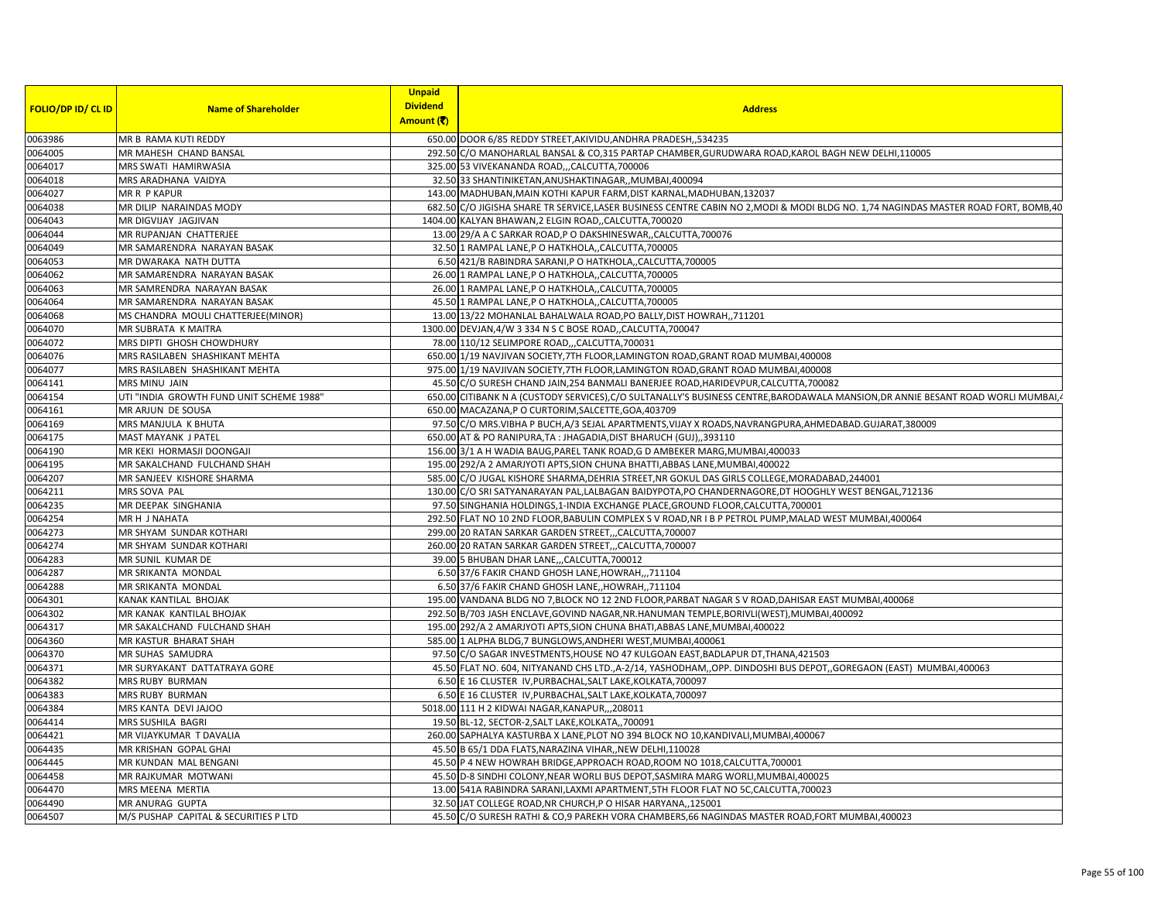|                           |                                          | <b>Unpaid</b>   |                                                                                                                                   |
|---------------------------|------------------------------------------|-----------------|-----------------------------------------------------------------------------------------------------------------------------------|
| <b>FOLIO/DP ID/ CL ID</b> | <b>Name of Shareholder</b>               | <b>Dividend</b> | <b>Address</b>                                                                                                                    |
|                           |                                          | Amount (そ)      |                                                                                                                                   |
| 0063986                   | MR B RAMA KUTI REDDY                     |                 | 650.00 DOOR 6/85 REDDY STREET, AKIVIDU, ANDHRA PRADESH, ,534235                                                                   |
| 0064005                   | MR MAHESH CHAND BANSAL                   |                 | 292.50 C/O MANOHARLAL BANSAL & CO,315 PARTAP CHAMBER, GURUDWARA ROAD, KAROL BAGH NEW DELHI, 110005                                |
| 0064017                   | MRS SWATI HAMIRWASIA                     |                 | 325.00 53 VIVEKANANDA ROADCALCUTTA, 700006                                                                                        |
| 0064018                   | MRS ARADHANA VAIDYA                      |                 | 32.50 33 SHANTINIKETAN, ANUSHAKTINAGAR, , MUMBAI, 400094                                                                          |
| 0064027                   | MR R P KAPUR                             |                 | 143.00 MADHUBAN, MAIN KOTHI KAPUR FARM, DIST KARNAL, MADHUBAN, 132037                                                             |
| 0064038                   | MR DILIP NARAINDAS MODY                  |                 | 682.50 C/O JIGISHA SHARE TR SERVICE,LASER BUSINESS CENTRE CABIN NO 2,MODI & MODI BLDG NO. 1,74 NAGINDAS MASTER ROAD FORT, BOMB,40 |
| 0064043                   | MR DIGVIJAY JAGJIVAN                     |                 | 1404.00 KALYAN BHAWAN,2 ELGIN ROAD,,CALCUTTA,700020                                                                               |
| 0064044                   | MR RUPANJAN CHATTERJEE                   |                 | 13.00 29/A A C SARKAR ROAD, P O DAKSHINESWAR, CALCUTTA, 700076                                                                    |
| 0064049                   | MR SAMARENDRA NARAYAN BASAK              |                 | 32.50 1 RAMPAL LANE, P O HATKHOLA,, CALCUTTA, 700005                                                                              |
| 0064053                   | MR DWARAKA NATH DUTTA                    |                 | 6.50 421/B RABINDRA SARANI, P O HATKHOLA,, CALCUTTA, 700005                                                                       |
| 0064062                   | MR SAMARENDRA NARAYAN BASAK              |                 | 26.00 1 RAMPAL LANE, P O HATKHOLA, CALCUTTA, 700005                                                                               |
| 0064063                   | MR SAMRENDRA NARAYAN BASAK               |                 | 26.00 1 RAMPAL LANE, P O HATKHOLA,, CALCUTTA, 700005                                                                              |
| 0064064                   | MR SAMARENDRA NARAYAN BASAK              |                 | 45.50 1 RAMPAL LANE, P O HATKHOLA,, CALCUTTA, 700005                                                                              |
| 0064068                   | MS CHANDRA MOULI CHATTERJEE(MINOR)       |                 | 13.00 13/22 MOHANLAL BAHALWALA ROAD, PO BALLY, DIST HOWRAH,, 711201                                                               |
| 0064070                   | MR SUBRATA K MAITRA                      |                 | 1300.00 DEVJAN, 4/W 3 334 N S C BOSE ROAD, CALCUTTA, 700047                                                                       |
| 0064072                   | MRS DIPTI GHOSH CHOWDHURY                |                 | 78.00 110/12 SELIMPORE ROAD,,,CALCUTTA,700031                                                                                     |
| 0064076                   | MRS RASILABEN SHASHIKANT MEHTA           |                 | 650.00 1/19 NAVJIVAN SOCIETY, 7TH FLOOR, LAMINGTON ROAD, GRANT ROAD MUMBAI, 400008                                                |
| 0064077                   | MRS RASILABEN SHASHIKANT MEHTA           |                 | 975.00 1/19 NAVJIVAN SOCIETY, 7TH FLOOR, LAMINGTON ROAD, GRANT ROAD MUMBAI, 400008                                                |
| 0064141                   | <b>MRS MINU JAIN</b>                     |                 | 45.50 C/O SURESH CHAND JAIN, 254 BANMALI BANERJEE ROAD, HARIDEVPUR, CALCUTTA, 700082                                              |
| 0064154                   | UTI "INDIA GROWTH FUND UNIT SCHEME 1988" |                 | 650.00 CITIBANK N A (CUSTODY SERVICES), C/O SULTANALLY'S BUSINESS CENTRE, BARODAWALA MANSION, DR ANNIE BESANT ROAD WORLI MUMBAI,  |
| 0064161                   | MR ARJUN DE SOUSA                        |                 | 650.00 MACAZANA,P O CURTORIM,SALCETTE,GOA,403709                                                                                  |
| 0064169                   | MRS MANJULA K BHUTA                      |                 | 97.50 C/O MRS.VIBHA P BUCH, A/3 SEJAL APARTMENTS, VIJAY X ROADS, NAVRANGPURA, AHMEDABAD. GUJARAT, 380009                          |
| 0064175                   | MAST MAYANK J PATEL                      |                 | 650.00 AT & PO RANIPURA, TA: JHAGADIA, DIST BHARUCH (GUJ), 393110                                                                 |
| 0064190                   | MR KEKI HORMASJI DOONGAJI                |                 | 156.00 3/1 A H WADIA BAUG, PAREL TANK ROAD, G D AMBEKER MARG, MUMBAI, 400033                                                      |
| 0064195                   | MR SAKALCHAND FULCHAND SHAH              |                 | 195.00 292/A 2 AMARJYOTI APTS, SION CHUNA BHATTI, ABBAS LANE, MUMBAI, 400022                                                      |
| 0064207                   | MR SANJEEV KISHORE SHARMA                |                 | 585.00 C/O JUGAL KISHORE SHARMA, DEHRIA STREET, NR GOKUL DAS GIRLS COLLEGE, MORADABAD, 244001                                     |
| 0064211                   | MRS SOVA PAL                             |                 | 130.00 C/O SRI SATYANARAYAN PAL,LALBAGAN BAIDYPOTA,PO CHANDERNAGORE,DT HOOGHLY WEST BENGAL,712136                                 |
| 0064235                   | MR DEEPAK SINGHANIA                      |                 | 97.50 SINGHANIA HOLDINGS, 1-INDIA EXCHANGE PLACE, GROUND FLOOR, CALCUTTA, 700001                                                  |
| 0064254                   | MR H J NAHATA                            |                 | 292.50 FLAT NO 10 2ND FLOOR, BABULIN COMPLEX S V ROAD, NR I B P PETROL PUMP, MALAD WEST MUMBAI, 400064                            |
| 0064273                   | MR SHYAM SUNDAR KOTHARI                  |                 | 299.00 20 RATAN SARKAR GARDEN STREET,,,CALCUTTA,700007                                                                            |
| 0064274                   | MR SHYAM SUNDAR KOTHARI                  |                 | 260.00 20 RATAN SARKAR GARDEN STREET,,,CALCUTTA,700007                                                                            |
| 0064283                   | MR SUNIL KUMAR DE                        |                 | 39.00 5 BHUBAN DHAR LANE, , CALCUTTA, 700012                                                                                      |
| 0064287                   | MR SRIKANTA MONDAL                       |                 | 6.50 37/6 FAKIR CHAND GHOSH LANE, HOWRAH,,,711104                                                                                 |
| 0064288                   | MR SRIKANTA MONDAL                       |                 | 6.50 37/6 FAKIR CHAND GHOSH LANE, HOWRAH, 711104                                                                                  |
| 0064301                   | KANAK KANTILAL BHOJAK                    |                 | 195.00 VANDANA BLDG NO 7,BLOCK NO 12 2ND FLOOR, PARBAT NAGAR S V ROAD, DAHISAR EAST MUMBAI, 400068                                |
| 0064302                   | MR KANAK KANTILAL BHOJAK                 |                 | 292.50 B/703 JASH ENCLAVE, GOVIND NAGAR, NR. HANUMAN TEMPLE, BORIVLI (WEST), MUMBAI, 400092                                       |
| 0064317                   | MR SAKALCHAND FULCHAND SHAH              |                 | 195.00 292/A 2 AMARJYOTI APTS, SION CHUNA BHATI, ABBAS LANE, MUMBAI, 400022                                                       |
| 0064360                   | MR KASTUR BHARAT SHAH                    |                 | 585.00 1 ALPHA BLDG,7 BUNGLOWS, ANDHERI WEST, MUMBAI, 400061                                                                      |
| 0064370                   | MR SUHAS SAMUDRA                         |                 | 97.50 C/O SAGAR INVESTMENTS, HOUSE NO 47 KULGOAN EAST, BADLAPUR DT, THANA, 421503                                                 |
| 0064371                   | MR SURYAKANT DATTATRAYA GORE             |                 | 45.50 FLAT NO. 604, NITYANAND CHS LTD.,A-2/14, YASHODHAM,,OPP. DINDOSHI BUS DEPOT,,GOREGAON (EAST) MUMBAI,400063                  |
| 0064382                   | MRS RUBY BURMAN                          |                 | 6.50 E 16 CLUSTER IV, PURBACHAL, SALT LAKE, KOLKATA, 700097                                                                       |
| 0064383                   | MRS RUBY BURMAN                          |                 | 6.50 E 16 CLUSTER IV, PURBACHAL, SALT LAKE, KOLKATA, 700097                                                                       |
| 0064384                   | MRS KANTA DEVI JAJOO                     |                 | 5018.00 111 H 2 KIDWAI NAGAR, KANAPUR, ,, 208011                                                                                  |
| 0064414                   | MRS SUSHILA BAGRI                        |                 | 19.50 BL-12, SECTOR-2, SALT LAKE, KOLKATA, ,700091                                                                                |
| 0064421                   | MR VIJAYKUMAR T DAVALIA                  |                 | 260.00 SAPHALYA KASTURBA X LANE, PLOT NO 394 BLOCK NO 10, KANDIVALI, MUMBAI, 400067                                               |
| 0064435                   | MR KRISHAN GOPAL GHAI                    |                 | 45.50 B 65/1 DDA FLATS, NARAZINA VIHAR,, NEW DELHI, 110028                                                                        |
| 0064445                   | MR KUNDAN MAL BENGANI                    |                 | 45.50 P 4 NEW HOWRAH BRIDGE, APPROACH ROAD, ROOM NO 1018, CALCUTTA, 700001                                                        |
| 0064458                   | MR RAJKUMAR MOTWANI                      |                 | 45.50 D-8 SINDHI COLONY, NEAR WORLI BUS DEPOT, SASMIRA MARG WORLI, MUMBAI, 400025                                                 |
| 0064470                   | MRS MEENA MERTIA                         |                 | 13.00 541A RABINDRA SARANI, LAXMI APARTMENT, 5TH FLOOR FLAT NO 5C, CALCUTTA, 700023                                               |
| 0064490                   | MR ANURAG GUPTA                          |                 | 32.50 JAT COLLEGE ROAD, NR CHURCH, PO HISAR HARYANA,, 125001                                                                      |
| 0064507                   | M/S PUSHAP CAPITAL & SECURITIES P LTD    |                 | 45.50 C/O SURESH RATHI & CO,9 PAREKH VORA CHAMBERS,66 NAGINDAS MASTER ROAD,FORT MUMBAI,400023                                     |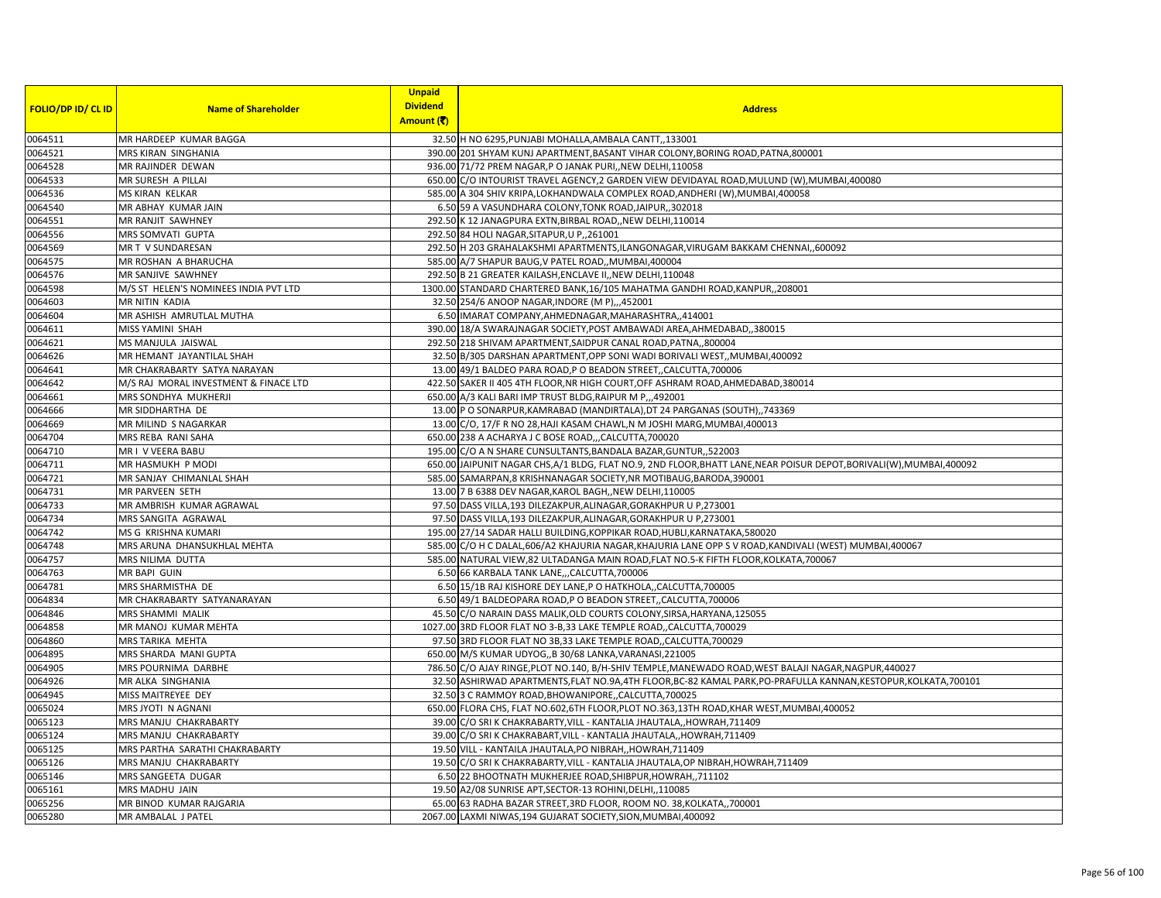| <b>FOLIO/DP ID/ CL ID</b> | <b>Name of Shareholder</b>                         | <b>Unpaid</b><br><b>Dividend</b><br>Amount (そ) | <b>Address</b>                                                                                                                           |
|---------------------------|----------------------------------------------------|------------------------------------------------|------------------------------------------------------------------------------------------------------------------------------------------|
|                           |                                                    |                                                |                                                                                                                                          |
| 0064511                   | MR HARDEEP KUMAR BAGGA                             |                                                | 32.50 H NO 6295, PUNJABI MOHALLA, AMBALA CANTT,, 133001                                                                                  |
| 0064521                   | MRS KIRAN SINGHANIA                                |                                                | 390.00 201 SHYAM KUNJ APARTMENT, BASANT VIHAR COLONY, BORING ROAD, PATNA, 800001                                                         |
| 0064528                   | MR RAJINDER DEWAN                                  |                                                | 936.00 71/72 PREM NAGAR, P O JANAK PURI, NEW DELHI, 110058                                                                               |
| 0064533                   | MR SURESH A PILLAI                                 |                                                | 650.00 C/O INTOURIST TRAVEL AGENCY, 2 GARDEN VIEW DEVIDAYAL ROAD, MULUND (W), MUMBAI, 400080                                             |
| 0064536                   | <b>MS KIRAN KELKAR</b><br>MR ABHAY KUMAR JAIN      |                                                | 585.00 A 304 SHIV KRIPA, LOKHANDWALA COMPLEX ROAD, ANDHERI (W), MUMBAI, 400058<br>6.50 59 A VASUNDHARA COLONY, TONK ROAD, JAIPUR, 302018 |
| 0064540                   |                                                    |                                                |                                                                                                                                          |
| 0064551                   | MR RANJIT SAWHNEY                                  |                                                | 292.50 K 12 JANAGPURA EXTN, BIRBAL ROAD, NEW DELHI, 110014                                                                               |
| 0064556<br>0064569        | MRS SOMVATI GUPTA<br>MR T V SUNDARESAN             |                                                | 292.50 84 HOLI NAGAR, SITAPUR, U P,, 261001<br>292.50 H 203 GRAHALAKSHMI APARTMENTS, ILANGONAGAR, VIRUGAM BAKKAM CHENNAI, 600092         |
| 0064575                   | MR ROSHAN A BHARUCHA                               |                                                | 585.00 A/7 SHAPUR BAUG, V PATEL ROAD, MUMBAI, 400004                                                                                     |
|                           | MR SANJIVE SAWHNEY                                 |                                                | 292.50 B 21 GREATER KAILASH, ENCLAVE II, NEW DELHI, 110048                                                                               |
| 0064576<br>0064598        | M/S ST HELEN'S NOMINEES INDIA PVT LTD              |                                                | 1300.00 STANDARD CHARTERED BANK, 16/105 MAHATMA GANDHI ROAD, KANPUR, , 208001                                                            |
| 0064603                   | <b>MR NITIN KADIA</b>                              |                                                | 32.50 254/6 ANOOP NAGAR, INDORE (M P), , 452001                                                                                          |
| 0064604                   | MR ASHISH AMRUTLAL MUTHA                           |                                                | 6.50 IMARAT COMPANY, AHMEDNAGAR, MAHARASHTRA, 414001                                                                                     |
| 0064611                   | MISS YAMINI SHAH                                   |                                                | 390.00 18/A SWARAJNAGAR SOCIETY, POST AMBAWADI AREA, AHMEDABAD, ,380015                                                                  |
| 0064621                   | MS MANJULA JAISWAL                                 |                                                | 292.50 218 SHIVAM APARTMENT, SAIDPUR CANAL ROAD, PATNA, 800004                                                                           |
| 0064626                   | MR HEMANT JAYANTILAL SHAH                          |                                                | 32.50 B/305 DARSHAN APARTMENT, OPP SONI WADI BORIVALI WEST,, MUMBAI, 400092                                                              |
| 0064641                   | MR CHAKRABARTY SATYA NARAYAN                       |                                                | 13.00 49/1 BALDEO PARA ROAD, P O BEADON STREET, CALCUTTA, 700006                                                                         |
|                           | M/S RAJ MORAL INVESTMENT & FINACE LTD              |                                                | 422.50 SAKER II 405 4TH FLOOR, NR HIGH COURT, OFF ASHRAM ROAD, AHMEDABAD, 380014                                                         |
| 0064642<br>0064661        | MRS SONDHYA MUKHERJI                               |                                                | 650.00 A/3 KALI BARI IMP TRUST BLDG, RAIPUR M P,,,492001                                                                                 |
| 0064666                   | MR SIDDHARTHA DE                                   |                                                | 13.00 P O SONARPUR, KAMRABAD (MANDIRTALA), DT 24 PARGANAS (SOUTH), ,743369                                                               |
| 0064669                   | MR MILIND S NAGARKAR                               |                                                | 13.00 C/O, 17/F R NO 28, HAJI KASAM CHAWL, N M JOSHI MARG, MUMBAI, 400013                                                                |
| 0064704                   | MRS REBA RANI SAHA                                 |                                                |                                                                                                                                          |
| 0064710                   | MR I V VEERA BABU                                  |                                                | 650.00 238 A ACHARYA J C BOSE ROAD,,,CALCUTTA,700020                                                                                     |
|                           |                                                    |                                                | 195.00 C/O A N SHARE CUNSULTANTS, BANDALA BAZAR, GUNTUR, 522003                                                                          |
| 0064711                   | MR HASMUKH P MODI                                  |                                                | 650.00 JAIPUNIT NAGAR CHS,A/1 BLDG, FLAT NO.9, 2ND FLOOR,BHATT LANE,NEAR POISUR DEPOT,BORIVALI(W),MUMBAI,400092                          |
| 0064721                   | MR SANJAY CHIMANLAL SHAH<br><b>MR PARVEEN SETH</b> |                                                | 585.00 SAMARPAN, 8 KRISHNANAGAR SOCIETY, NR MOTIBAUG, BARODA, 390001                                                                     |
| 0064731<br>0064733        | MR AMBRISH KUMAR AGRAWAL                           |                                                | 13.00 7 B 6388 DEV NAGAR, KAROL BAGH, , NEW DELHI, 110005<br>97.50 DASS VILLA, 193 DILEZAKPUR, ALINAGAR, GORAKHPUR U P, 273001           |
| 0064734                   | MRS SANGITA AGRAWAL                                |                                                | 97.50 DASS VILLA, 193 DILEZAKPUR, ALINAGAR, GORAKHPUR U P, 273001                                                                        |
| 0064742                   | MS G KRISHNA KUMARI                                |                                                | 195.00 27/14 SADAR HALLI BUILDING, KOPPIKAR ROAD, HUBLI, KARNATAKA, 580020                                                               |
| 0064748                   | MRS ARUNA DHANSUKHLAL MEHTA                        |                                                | 585.00 C/O H C DALAL, 606/A2 KHAJURIA NAGAR, KHAJURIA LANE OPP S V ROAD, KANDIVALI (WEST) MUMBAI, 400067                                 |
| 0064757                   | MRS NILIMA DUTTA                                   |                                                | 585.00 NATURAL VIEW,82 ULTADANGA MAIN ROAD,FLAT NO.5-K FIFTH FLOOR,KOLKATA,700067                                                        |
| 0064763                   | MR BAPI GUIN                                       |                                                | 6.50 66 KARBALA TANK LANE,,,CALCUTTA,700006                                                                                              |
| 0064781                   | MRS SHARMISTHA DE                                  |                                                | 6.50 15/1B RAJ KISHORE DEY LANE, P O HATKHOLA,, CALCUTTA, 700005                                                                         |
| 0064834                   | MR CHAKRABARTY SATYANARAYAN                        |                                                | 6.50 49/1 BALDEOPARA ROAD, P O BEADON STREET, CALCUTTA, 700006                                                                           |
| 0064846                   | MRS SHAMMI MALIK                                   |                                                | 45.50 C/O NARAIN DASS MALIK, OLD COURTS COLONY, SIRSA, HARYANA, 125055                                                                   |
| 0064858                   | MR MANOJ KUMAR MEHTA                               |                                                | 1027.00 3RD FLOOR FLAT NO 3-B,33 LAKE TEMPLE ROAD,,CALCUTTA,700029                                                                       |
| 0064860                   | MRS TARIKA MEHTA                                   |                                                | 97.50 3RD FLOOR FLAT NO 3B,33 LAKE TEMPLE ROAD,, CALCUTTA, 700029                                                                        |
| 0064895                   | MRS SHARDA MANI GUPTA                              |                                                | 650.00 M/S KUMAR UDYOG,,B 30/68 LANKA, VARANASI, 221005                                                                                  |
| 0064905                   | MRS POURNIMA DARBHE                                |                                                | 786.50 C/O AJAY RINGE, PLOT NO.140, B/H-SHIV TEMPLE, MANEWADO ROAD, WEST BALAJI NAGAR, NAGPUR, 440027                                    |
| 0064926                   | MR ALKA SINGHANIA                                  |                                                | 32.50 ASHIRWAD APARTMENTS, FLAT NO.9A,4TH FLOOR, BC-82 KAMAL PARK, PO-PRAFULLA KANNAN, KESTOPUR, KOLKATA, 700101                         |
| 0064945                   | MISS MAITREYEE DEY                                 |                                                | 32.50 3 C RAMMOY ROAD, BHOWANIPORE, CALCUTTA, 700025                                                                                     |
| 0065024                   | MRS JYOTI N AGNANI                                 |                                                | 650.00 FLORA CHS, FLAT NO.602,6TH FLOOR,PLOT NO.363,13TH ROAD,KHAR WEST,MUMBAI,400052                                                    |
| 0065123                   | MRS MANJU CHAKRABARTY                              |                                                | 39.00 C/O SRI K CHAKRABARTY, VILL - KANTALIA JHAUTALA,, HOWRAH, 711409                                                                   |
| 0065124                   | MRS MANJU CHAKRABARTY                              |                                                | 39.00 C/O SRI K CHAKRABART, VILL - KANTALIA JHAUTALA,, HOWRAH, 711409                                                                    |
| 0065125                   | MRS PARTHA SARATHI CHAKRABARTY                     |                                                | 19.50 VILL - KANTAILA JHAUTALA, PO NIBRAH, HOWRAH, 711409                                                                                |
| 0065126                   | MRS MANJU CHAKRABARTY                              |                                                | 19.50 C/O SRI K CHAKRABARTY, VILL - KANTALIA JHAUTALA, OP NIBRAH, HOWRAH, 711409                                                         |
| 0065146                   | MRS SANGEETA DUGAR                                 |                                                | 6.50 22 BHOOTNATH MUKHERJEE ROAD, SHIBPUR, HOWRAH,, 711102                                                                               |
| 0065161                   | MRS MADHU JAIN                                     |                                                | 19.50 A2/08 SUNRISE APT, SECTOR-13 ROHINI, DELHI,, 110085                                                                                |
| 0065256                   | MR BINOD KUMAR RAJGARIA                            |                                                | 65.00 63 RADHA BAZAR STREET, 3RD FLOOR, ROOM NO. 38, KOLKATA, 700001                                                                     |
| 0065280                   | MR AMBALAL J PATEL                                 |                                                | 2067.00 LAXMI NIWAS, 194 GUJARAT SOCIETY, SION, MUMBAI, 400092                                                                           |
|                           |                                                    |                                                |                                                                                                                                          |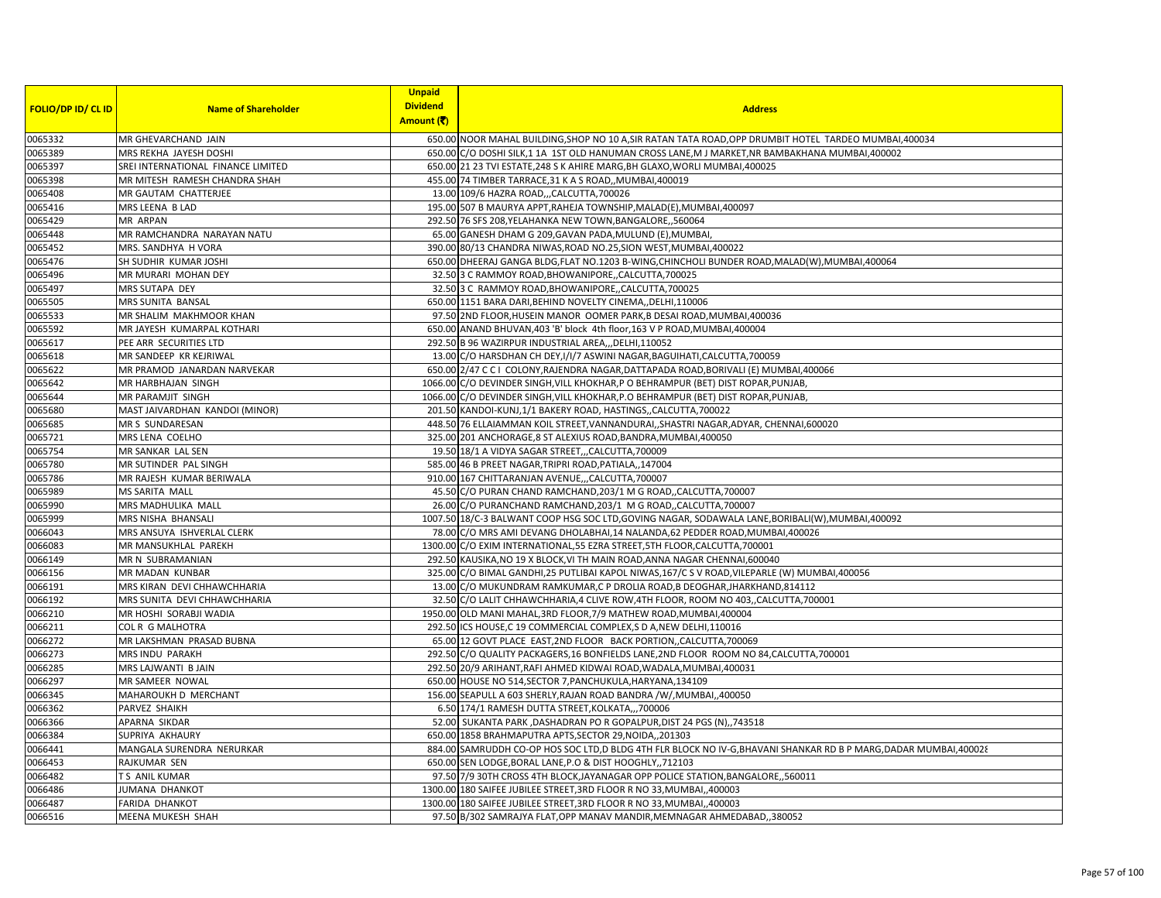| <b>FOLIO/DP ID/ CL ID</b> | <b>Name of Shareholder</b>         | <b>Unpaid</b><br><b>Dividend</b><br>Amount (そ) | <b>Address</b>                                                                                                                                     |
|---------------------------|------------------------------------|------------------------------------------------|----------------------------------------------------------------------------------------------------------------------------------------------------|
| 0065332                   | MR GHEVARCHAND JAIN                |                                                | 650.00 NOOR MAHAL BUILDING, SHOP NO 10 A, SIR RATAN TATA ROAD, OPP DRUMBIT HOTEL TARDEO MUMBAI, 400034                                             |
| 0065389                   | MRS REKHA JAYESH DOSHI             |                                                | 650.00 C/O DOSHI SILK,1 1A 1ST OLD HANUMAN CROSS LANE, MJ MARKET, NR BAMBAKHANA MUMBAI, 400002                                                     |
| 0065397                   | SREI INTERNATIONAL FINANCE LIMITED |                                                | 650.00 21 23 TVI ESTATE, 248 S K AHIRE MARG, BH GLAXO, WORLI MUMBAI, 400025                                                                        |
| 0065398                   | MR MITESH RAMESH CHANDRA SHAH      |                                                | 455.00 74 TIMBER TARRACE, 31 K A S ROAD, MUMBAI, 400019                                                                                            |
| 0065408                   | MR GAUTAM CHATTERJEE               |                                                | 13.00 109/6 HAZRA ROAD,,,CALCUTTA,700026                                                                                                           |
| 0065416                   | MRS LEENA B LAD                    |                                                | 195.00 507 B MAURYA APPT, RAHEJA TOWNSHIP, MALAD(E), MUMBAI, 400097                                                                                |
| 0065429                   | MR ARPAN                           |                                                | 292.50 76 SFS 208, YELAHANKA NEW TOWN, BANGALORE, ,560064                                                                                          |
| 0065448                   | MR RAMCHANDRA NARAYAN NATU         |                                                | 65.00 GANESH DHAM G 209, GAVAN PADA, MULUND (E), MUMBAI                                                                                            |
| 0065452                   | MRS. SANDHYA H VORA                |                                                | 390.00 80/13 CHANDRA NIWAS, ROAD NO.25, SION WEST, MUMBAI, 400022                                                                                  |
| 0065476                   | SH SUDHIR KUMAR JOSHI              |                                                | 650.00 DHEERAJ GANGA BLDG, FLAT NO.1203 B-WING, CHINCHOLI BUNDER ROAD, MALAD(W), MUMBAI, 400064                                                    |
| 0065496                   | MR MURARI MOHAN DEY                |                                                | 32.50 3 C RAMMOY ROAD, BHOWANIPORE, CALCUTTA, 700025                                                                                               |
| 0065497                   | MRS SUTAPA DEY                     |                                                | 32.50 3 C RAMMOY ROAD, BHOWANIPORE, CALCUTTA, 700025                                                                                               |
| 0065505                   | MRS SUNITA BANSAL                  |                                                | 650.00 1151 BARA DARI, BEHIND NOVELTY CINEMA, DELHI, 110006                                                                                        |
| 0065533                   | MR SHALIM MAKHMOOR KHAN            |                                                | 97.50 2ND FLOOR, HUSEIN MANOR OOMER PARK, B DESAI ROAD, MUMBAI, 400036                                                                             |
| 0065592                   | MR JAYESH KUMARPAL KOTHARI         |                                                | 650.00 ANAND BHUVAN, 403 'B' block 4th floor, 163 V P ROAD, MUMBAI, 400004                                                                         |
| 0065617                   | PEE ARR SECURITIES LTD             |                                                | 292.50 B 96 WAZIRPUR INDUSTRIAL AREA, , DELHI, 110052                                                                                              |
| 0065618                   | MR SANDEEP KR KEJRIWAL             |                                                | 13.00 C/O HARSDHAN CH DEY, I/I/7 ASWINI NAGAR, BAGUIHATI, CALCUTTA, 700059                                                                         |
| 0065622                   | MR PRAMOD JANARDAN NARVEKAR        |                                                | 650.00 2/47 C C I COLONY, RAJENDRA NAGAR, DATTAPADA ROAD, BORIVALI (E) MUMBAI, 400066                                                              |
|                           | MR HARBHAJAN SINGH                 |                                                |                                                                                                                                                    |
| 0065642                   | MR PARAMJIT SINGH                  |                                                | 1066.00 C/O DEVINDER SINGH, VILL KHOKHAR, PO BEHRAMPUR (BET) DIST ROPAR, PUNJAB,                                                                   |
| 0065644<br>0065680        |                                    |                                                | 1066.00 C/O DEVINDER SINGH, VILL KHOKHAR, P.O BEHRAMPUR (BET) DIST ROPAR, PUNJAB,<br>201.50 KANDOI-KUNJ,1/1 BAKERY ROAD, HASTINGS,,CALCUTTA,700022 |
|                           | MAST JAIVARDHAN KANDOI (MINOR)     |                                                |                                                                                                                                                    |
| 0065685                   | MR S SUNDARESAN                    |                                                | 448.50 76 ELLAIAMMAN KOIL STREET, VANNANDURAI, , SHASTRI NAGAR, ADYAR, CHENNAI, 600020                                                             |
| 0065721                   | MRS LENA COELHO                    |                                                | 325.00 201 ANCHORAGE,8 ST ALEXIUS ROAD, BANDRA, MUMBAI, 400050                                                                                     |
| 0065754                   | MR SANKAR LAL SEN                  |                                                | 19.50 18/1 A VIDYA SAGAR STREET,,,CALCUTTA,700009                                                                                                  |
| 0065780                   | MR SUTINDER PAL SINGH              |                                                | 585.00 46 B PREET NAGAR, TRIPRI ROAD, PATIALA, 147004                                                                                              |
| 0065786                   | MR RAJESH KUMAR BERIWALA           |                                                | 910.00 167 CHITTARANJAN AVENUE,,,CALCUTTA,700007                                                                                                   |
| 0065989                   | <b>MS SARITA MALL</b>              |                                                | 45.50 C/O PURAN CHAND RAMCHAND, 203/1 M G ROAD, CALCUTTA, 700007                                                                                   |
| 0065990                   | MRS MADHULIKA MALL                 |                                                | 26.00 C/O PURANCHAND RAMCHAND, 203/1 M G ROAD, CALCUTTA, 700007                                                                                    |
| 0065999                   | MRS NISHA BHANSALI                 |                                                | 1007.50 18/C-3 BALWANT COOP HSG SOC LTD, GOVING NAGAR, SODAWALA LANE, BORIBALI (W), MUMBAI, 400092                                                 |
| 0066043                   | MRS ANSUYA ISHVERLAL CLERK         |                                                | 78.00 C/O MRS AMI DEVANG DHOLABHAI, 14 NALANDA, 62 PEDDER ROAD, MUMBAI, 400026                                                                     |
| 0066083                   | MR MANSUKHLAL PAREKH               |                                                | 1300.00 C/O EXIM INTERNATIONAL, 55 EZRA STREET, 5TH FLOOR, CALCUTTA, 700001                                                                        |
| 0066149                   | MR N SUBRAMANIAN                   |                                                | 292.50 KAUSIKA, NO 19 X BLOCK, VI TH MAIN ROAD, ANNA NAGAR CHENNAI, 600040                                                                         |
| 0066156                   | MR MADAN KUNBAR                    |                                                | 325.00 C/O BIMAL GANDHI,25 PUTLIBAI KAPOL NIWAS,167/C S V ROAD, VILEPARLE (W) MUMBAI,400056                                                        |
| 0066191                   | MRS KIRAN DEVI CHHAWCHHARIA        |                                                | 13.00 C/O MUKUNDRAM RAMKUMAR, C P DROLIA ROAD, B DEOGHAR, JHARKHAND, 814112                                                                        |
| 0066192                   | MRS SUNITA DEVI CHHAWCHHARIA       |                                                | 32.50 C/O LALIT CHHAWCHHARIA,4 CLIVE ROW,4TH FLOOR, ROOM NO 403, CALCUTTA, 700001                                                                  |
| 0066210                   | MR HOSHI SORABJI WADIA             |                                                | 1950.00 OLD MANI MAHAL, 3RD FLOOR, 7/9 MATHEW ROAD, MUMBAI, 400004                                                                                 |
| 0066211                   | COL R G MALHOTRA                   |                                                | 292.50 ICS HOUSE,C 19 COMMERCIAL COMPLEX,S D A, NEW DELHI, 110016                                                                                  |
| 0066272                   | MR LAKSHMAN PRASAD BUBNA           |                                                | 65.00 12 GOVT PLACE EAST, 2ND FLOOR BACK PORTION, CALCUTTA, 700069                                                                                 |
| 0066273                   | MRS INDU PARAKH                    |                                                | 292.50 C/O QUALITY PACKAGERS, 16 BONFIELDS LANE, 2ND FLOOR ROOM NO 84, CALCUTTA, 700001                                                            |
| 0066285                   | MRS LAJWANTI B JAIN                |                                                | 292.50 20/9 ARIHANT, RAFI AHMED KIDWAI ROAD, WADALA, MUMBAI, 400031                                                                                |
| 0066297                   | MR SAMEER NOWAL                    |                                                | 650.00 HOUSE NO 514, SECTOR 7, PANCHUKULA, HARYANA, 134109                                                                                         |
| 0066345                   | MAHAROUKH D MERCHANT               |                                                | 156.00 SEAPULL A 603 SHERLY, RAJAN ROAD BANDRA /W/, MUMBAI, 400050                                                                                 |
| 0066362                   | PARVEZ SHAIKH                      |                                                | 6.50 174/1 RAMESH DUTTA STREET, KOLKATA,,,700006                                                                                                   |
| 0066366                   | APARNA SIKDAR                      |                                                | 52.00 SUKANTA PARK, DASHADRAN PO R GOPALPUR, DIST 24 PGS (N), 743518                                                                               |
| 0066384                   | SUPRIYA AKHAURY                    |                                                | 650.00 1858 BRAHMAPUTRA APTS, SECTOR 29, NOIDA,, 201303                                                                                            |
| 0066441                   | MANGALA SURENDRA NERURKAR          |                                                | 884.00 SAMRUDDH CO-OP HOS SOC LTD,D BLDG 4TH FLR BLOCK NO IV-G, BHAVANI SHANKAR RD B P MARG, DADAR MUMBAI, 400028                                  |
| 0066453                   | RAJKUMAR SEN                       |                                                | 650.00 SEN LODGE, BORAL LANE, P.O & DIST HOOGHLY, 712103                                                                                           |
| 0066482                   | T S ANIL KUMAR                     |                                                | 97.50 7/9 30TH CROSS 4TH BLOCK, JAYANAGAR OPP POLICE STATION, BANGALORE, ,560011                                                                   |
| 0066486                   | JUMANA DHANKOT                     |                                                | 1300.00 180 SAIFEE JUBILEE STREET, 3RD FLOOR R NO 33, MUMBAI, 400003                                                                               |
| 0066487                   | <b>FARIDA DHANKOT</b>              |                                                | 1300.00 180 SAIFEE JUBILEE STREET, 3RD FLOOR R NO 33, MUMBAI, 400003                                                                               |
| 0066516                   | MEENA MUKESH SHAH                  |                                                | 97.50 B/302 SAMRAJYA FLAT, OPP MANAV MANDIR, MEMNAGAR AHMEDABAD, ,380052                                                                           |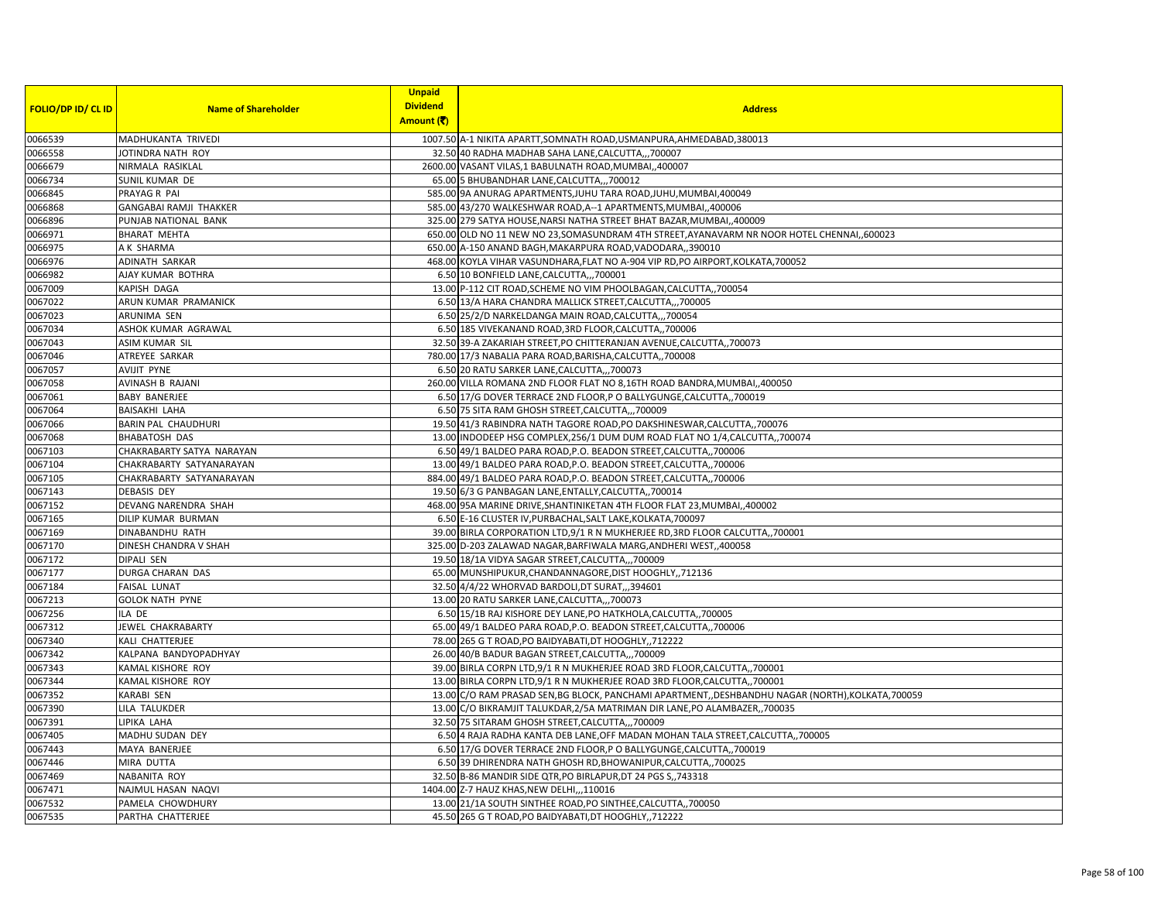|                           |                               | <b>Unpaid</b>   |                                                                                                   |
|---------------------------|-------------------------------|-----------------|---------------------------------------------------------------------------------------------------|
| <b>FOLIO/DP ID/ CL ID</b> | <b>Name of Shareholder</b>    | <b>Dividend</b> | <b>Address</b>                                                                                    |
|                           |                               | Amount (そ)      |                                                                                                   |
| 0066539                   | MADHUKANTA TRIVEDI            |                 | 1007.50 A-1 NIKITA APARTT, SOMNATH ROAD, USMANPURA, AHMEDABAD, 380013                             |
| 0066558                   | JOTINDRA NATH ROY             |                 | 32.50 40 RADHA MADHAB SAHA LANE, CALCUTTA,,,700007                                                |
| 0066679                   | NIRMALA RASIKLAL              |                 | 2600.00 VASANT VILAS,1 BABULNATH ROAD, MUMBAI,,400007                                             |
| 0066734                   | SUNIL KUMAR DE                |                 | 65.00 5 BHUBANDHAR LANE, CALCUTTA,, 700012                                                        |
| 0066845                   | PRAYAG R PAI                  |                 | 585.00 9A ANURAG APARTMENTS, JUHU TARA ROAD, JUHU, MUMBAI, 400049                                 |
| 0066868                   | <b>GANGABAI RAMJI THAKKER</b> |                 | 585.00 43/270 WALKESHWAR ROAD, A--1 APARTMENTS, MUMBAI, 400006                                    |
| 0066896                   | PUNJAB NATIONAL BANK          |                 | 325.00 279 SATYA HOUSE, NARSI NATHA STREET BHAT BAZAR, MUMBAI, ,400009                            |
| 0066971                   | <b>BHARAT MEHTA</b>           |                 | 650.00 OLD NO 11 NEW NO 23, SOMASUNDRAM 4TH STREET, AYANAVARM NR NOOR HOTEL CHENNAI, 600023       |
| 0066975                   | A K SHARMA                    |                 | 650.00 A-150 ANAND BAGH, MAKARPURA ROAD, VADODARA,, 390010                                        |
| 0066976                   | <b>ADINATH SARKAR</b>         |                 | 468.00 KOYLA VIHAR VASUNDHARA, FLAT NO A-904 VIP RD, PO AIRPORT, KOLKATA, 700052                  |
| 0066982                   | AJAY KUMAR BOTHRA             |                 | 6.50 10 BONFIELD LANE, CALCUTTA,,, 700001                                                         |
| 0067009                   | KAPISH DAGA                   |                 | 13.00 P-112 CIT ROAD, SCHEME NO VIM PHOOLBAGAN, CALCUTTA,, 700054                                 |
| 0067022                   | ARUN KUMAR PRAMANICK          |                 | 6.50 13/A HARA CHANDRA MALLICK STREET, CALCUTTA,,, 700005                                         |
| 0067023                   | ARUNIMA SEN                   |                 | 6.50 25/2/D NARKELDANGA MAIN ROAD, CALCUTTA,,, 700054                                             |
| 0067034                   | ASHOK KUMAR AGRAWAL           |                 | 6.50 185 VIVEKANAND ROAD, 3RD FLOOR, CALCUTTA, ,700006                                            |
| 0067043                   | ASIM KUMAR SIL                |                 | 32.50 39-A ZAKARIAH STREET, PO CHITTERANJAN AVENUE, CALCUTTA, 700073                              |
| 0067046                   | ATREYEE SARKAR                |                 | 780.00 17/3 NABALIA PARA ROAD, BARISHA, CALCUTTA,, 700008                                         |
| 0067057                   | AVIJIT PYNE                   |                 | 6.50 20 RATU SARKER LANE, CALCUTTA,, 700073                                                       |
| 0067058                   | AVINASH B RAJANI              |                 | 260.00 VILLA ROMANA 2ND FLOOR FLAT NO 8,16TH ROAD BANDRA, MUMBAI, 400050                          |
| 0067061                   | <b>BABY BANERJEE</b>          |                 | 6.50 17/G DOVER TERRACE 2ND FLOOR,P O BALLYGUNGE, CALCUTTA, 700019                                |
| 0067064                   | <b>BAISAKHI LAHA</b>          |                 | 6.50 75 SITA RAM GHOSH STREET, CALCUTTA,,, 700009                                                 |
| 0067066                   | <b>BARIN PAL CHAUDHURI</b>    |                 | 19.50 41/3 RABINDRA NATH TAGORE ROAD, PO DAKSHINESWAR, CALCUTTA, 700076                           |
| 0067068                   | <b>BHABATOSH DAS</b>          |                 | 13.00 INDODEEP HSG COMPLEX, 256/1 DUM DUM ROAD FLAT NO 1/4, CALCUTTA, 700074                      |
| 0067103                   | CHAKRABARTY SATYA NARAYAN     |                 | 6.50 49/1 BALDEO PARA ROAD, P.O. BEADON STREET, CALCUTTA,, 700006                                 |
| 0067104                   | CHAKRABARTY SATYANARAYAN      |                 | 13.00 49/1 BALDEO PARA ROAD, P.O. BEADON STREET, CALCUTTA,, 700006                                |
| 0067105                   | CHAKRABARTY SATYANARAYAN      |                 | 884.00 49/1 BALDEO PARA ROAD, P.O. BEADON STREET, CALCUTTA,, 700006                               |
| 0067143                   | <b>DEBASIS DEY</b>            |                 | 19.50 6/3 G PANBAGAN LANE, ENTALLY, CALCUTTA,, 700014                                             |
| 0067152                   | DEVANG NARENDRA SHAH          |                 | 468.00 95A MARINE DRIVE, SHANTINIKETAN 4TH FLOOR FLAT 23, MUMBAI, 400002                          |
| 0067165                   | DILIP KUMAR BURMAN            |                 | 6.50 E-16 CLUSTER IV, PURBACHAL, SALT LAKE, KOLKATA, 700097                                       |
| 0067169                   | DINABANDHU RATH               |                 | 39.00 BIRLA CORPORATION LTD, 9/1 R N MUKHERJEE RD, 3RD FLOOR CALCUTTA,, 700001                    |
| 0067170                   | DINESH CHANDRA V SHAH         |                 | 325.00 D-203 ZALAWAD NAGAR, BARFIWALA MARG, ANDHERI WEST, 400058                                  |
| 0067172                   | DIPALI SEN                    |                 | 19.50 18/1A VIDYA SAGAR STREET, CALCUTTA,,, 700009                                                |
| 0067177                   | DURGA CHARAN DAS              |                 | 65.00 MUNSHIPUKUR, CHANDANNAGORE, DIST HOOGHLY, 712136                                            |
| 0067184                   | <b>FAISAL LUNAT</b>           |                 | 32.50 4/4/22 WHORVAD BARDOLI, DT SURAT,,,394601                                                   |
| 0067213                   | <b>GOLOK NATH PYNE</b>        |                 | 13.00 20 RATU SARKER LANE, CALCUTTA,,,700073                                                      |
| 0067256                   | ILA DE                        |                 | 6.50 15/1B RAJ KISHORE DEY LANE, PO HATKHOLA, CALCUTTA,, 700005                                   |
| 0067312                   | JEWEL CHAKRABARTY             |                 | 65.00 49/1 BALDEO PARA ROAD, P.O. BEADON STREET, CALCUTTA,, 700006                                |
| 0067340                   | KALI CHATTERJEE               |                 | 78.00 265 G T ROAD, PO BAIDYABATI, DT HOOGHLY, 712222                                             |
| 0067342                   | KALPANA BANDYOPADHYAY         |                 | 26.00 40/B BADUR BAGAN STREET, CALCUTTA,,, 700009                                                 |
| 0067343                   | KAMAL KISHORE ROY             |                 | 39.00 BIRLA CORPN LTD, 9/1 R N MUKHERJEE ROAD 3RD FLOOR, CALCUTTA, , 700001                       |
| 0067344                   | KAMAL KISHORE ROY             |                 | 13.00 BIRLA CORPN LTD, 9/1 R N MUKHERJEE ROAD 3RD FLOOR, CALCUTTA, 700001                         |
| 0067352                   | <b>KARABI SEN</b>             |                 | 13.00 C/O RAM PRASAD SEN, BG BLOCK, PANCHAMI APARTMENT, DESHBANDHU NAGAR (NORTH), KOLKATA, 700059 |
| 0067390                   | LILA TALUKDER                 |                 | 13.00 C/O BIKRAMJIT TALUKDAR, 2/5A MATRIMAN DIR LANE, PO ALAMBAZER, ,700035                       |
| 0067391                   | LIPIKA LAHA                   |                 | 32.50 75 SITARAM GHOSH STREET, CALCUTTA,,, 700009                                                 |
| 0067405                   | MADHU SUDAN DEY               |                 | 6.50 4 RAJA RADHA KANTA DEB LANE, OFF MADAN MOHAN TALA STREET, CALCUTTA,, 700005                  |
| 0067443                   | MAYA BANERJEE                 |                 | 6.50 17/G DOVER TERRACE 2ND FLOOR,P O BALLYGUNGE, CALCUTTA, 700019                                |
| 0067446                   | MIRA DUTTA                    |                 | 6.50 39 DHIRENDRA NATH GHOSH RD, BHOWANIPUR, CALCUTTA,, 700025                                    |
| 0067469                   | NABANITA ROY                  |                 | 32.50 B-86 MANDIR SIDE QTR, PO BIRLAPUR, DT 24 PGS S,, 743318                                     |
| 0067471                   | NAJMUL HASAN NAQVI            |                 | 1404.00 Z-7 HAUZ KHAS, NEW DELHI,,,110016                                                         |
| 0067532                   | PAMELA CHOWDHURY              |                 | 13.00 21/1A SOUTH SINTHEE ROAD, PO SINTHEE, CALCUTTA,, 700050                                     |
| 0067535                   | PARTHA CHATTERJEE             |                 | 45.50 265 G T ROAD, PO BAIDYABATI, DT HOOGHLY,, 712222                                            |
|                           |                               |                 |                                                                                                   |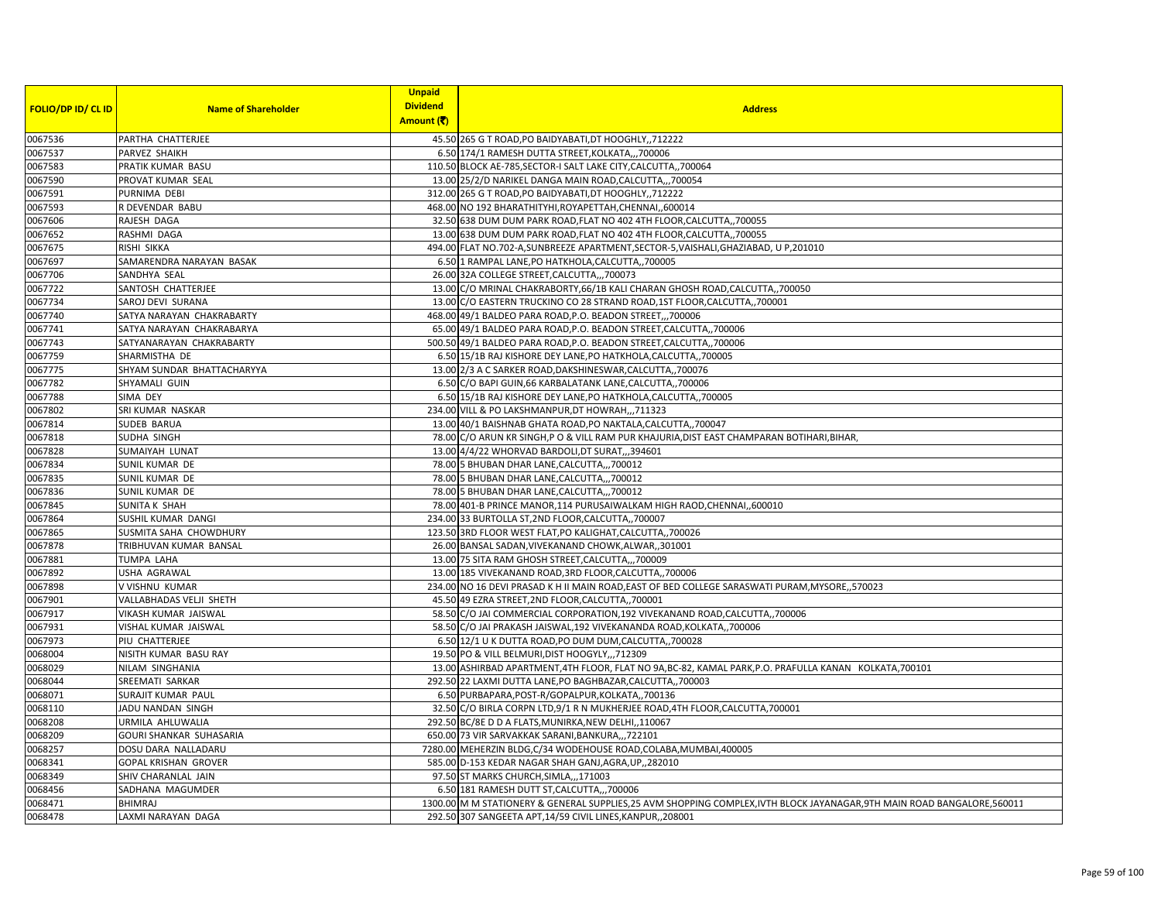|                           |                             | <b>Unpaid</b>   |                                                                                                                           |
|---------------------------|-----------------------------|-----------------|---------------------------------------------------------------------------------------------------------------------------|
| <b>FOLIO/DP ID/ CL ID</b> | <b>Name of Shareholder</b>  | <b>Dividend</b> | <b>Address</b>                                                                                                            |
|                           |                             | Amount (そ)      |                                                                                                                           |
| 0067536                   | PARTHA CHATTERJEE           |                 | 45.50 265 G T ROAD, PO BAIDYABATI, DT HOOGHLY, 712222                                                                     |
| 0067537                   | PARVEZ SHAIKH               |                 | 6.50 174/1 RAMESH DUTTA STREET, KOLKATA,,,700006                                                                          |
| 0067583                   | PRATIK KUMAR BASU           |                 | 110.50 BLOCK AE-785, SECTOR-I SALT LAKE CITY, CALCUTTA, 700064                                                            |
| 0067590                   | PROVAT KUMAR SEAL           |                 | 13.00 25/2/D NARIKEL DANGA MAIN ROAD, CALCUTTA,,, 700054                                                                  |
| 0067591                   | PURNIMA DEBI                |                 | 312.00 265 G T ROAD, PO BAIDYABATI, DT HOOGHLY, 712222                                                                    |
| 0067593                   | R DEVENDAR BABU             |                 | 468.00 NO 192 BHARATHITYHI, ROYAPETTAH, CHENNAI,, 600014                                                                  |
| 0067606                   | RAJESH DAGA                 |                 | 32.50 638 DUM DUM PARK ROAD, FLAT NO 402 4TH FLOOR, CALCUTTA, 700055                                                      |
| 0067652                   | RASHMI DAGA                 |                 | 13.00 638 DUM DUM PARK ROAD, FLAT NO 402 4TH FLOOR, CALCUTTA, 700055                                                      |
| 0067675                   | RISHI SIKKA                 |                 | 494.00 FLAT NO.702-A,SUNBREEZE APARTMENT, SECTOR-5, VAISHALI, GHAZIABAD, U P, 201010                                      |
| 0067697                   | SAMARENDRA NARAYAN BASAK    |                 | 6.50 1 RAMPAL LANE, PO HATKHOLA, CALCUTTA,, 700005                                                                        |
| 0067706                   | SANDHYA SEAL                |                 | 26.00 32A COLLEGE STREET, CALCUTTA,,, 700073                                                                              |
| 0067722                   | SANTOSH CHATTERJEE          |                 | 13.00 C/O MRINAL CHAKRABORTY, 66/1B KALI CHARAN GHOSH ROAD, CALCUTTA,, 700050                                             |
| 0067734                   | SAROJ DEVI SURANA           |                 | 13.00 C/O EASTERN TRUCKINO CO 28 STRAND ROAD, 1ST FLOOR, CALCUTTA, 700001                                                 |
| 0067740                   | SATYA NARAYAN CHAKRABARTY   |                 | 468.00 49/1 BALDEO PARA ROAD, P.O. BEADON STREET,,,700006                                                                 |
| 0067741                   | SATYA NARAYAN CHAKRABARYA   |                 | 65.00 49/1 BALDEO PARA ROAD, P.O. BEADON STREET, CALCUTTA, 700006                                                         |
| 0067743                   | SATYANARAYAN CHAKRABARTY    |                 | 500.50 49/1 BALDEO PARA ROAD, P.O. BEADON STREET, CALCUTTA, 700006                                                        |
| 0067759                   | SHARMISTHA DE               |                 | 6.50 15/1B RAJ KISHORE DEY LANE, PO HATKHOLA, CALCUTTA,, 700005                                                           |
| 0067775                   | SHYAM SUNDAR BHATTACHARYYA  |                 | 13.00 2/3 A C SARKER ROAD, DAKSHINESWAR, CALCUTTA,, 700076                                                                |
| 0067782                   | SHYAMALI GUIN               |                 | 6.50 C/O BAPI GUIN, 66 KARBALATANK LANE, CALCUTTA, 700006                                                                 |
| 0067788                   | SIMA DEY                    |                 | 6.50 15/1B RAJ KISHORE DEY LANE, PO HATKHOLA, CALCUTTA,, 700005                                                           |
| 0067802                   | SRI KUMAR NASKAR            |                 | 234.00 VILL & PO LAKSHMANPUR, DT HOWRAH,,,711323                                                                          |
| 0067814                   | <b>SUDEB BARUA</b>          |                 | 13.00 40/1 BAISHNAB GHATA ROAD, PO NAKTALA, CALCUTTA, ,700047                                                             |
| 0067818                   | SUDHA SINGH                 |                 | 78.00 C/O ARUN KR SINGH, P O & VILL RAM PUR KHAJURIA, DIST EAST CHAMPARAN BOTIHARI, BIHAR,                                |
| 0067828                   | SUMAIYAH LUNAT              |                 | 13.00 4/4/22 WHORVAD BARDOLI, DT SURAT, ,,394601                                                                          |
| 0067834                   | SUNIL KUMAR DE              |                 | 78.00 5 BHUBAN DHAR LANE, CALCUTTA,,, 700012                                                                              |
| 0067835                   | SUNIL KUMAR DE              |                 | 78.00 5 BHUBAN DHAR LANE, CALCUTTA,,, 700012                                                                              |
| 0067836                   | SUNIL KUMAR DE              |                 | 78.00 5 BHUBAN DHAR LANE, CALCUTTA,,,700012                                                                               |
| 0067845                   | <b>SUNITA K SHAH</b>        |                 | 78.00 401-B PRINCE MANOR, 114 PURUSAIWALKAM HIGH RAOD, CHENNAI, 600010                                                    |
| 0067864                   | SUSHIL KUMAR DANGI          |                 | 234.00 33 BURTOLLA ST, 2ND FLOOR, CALCUTTA, 700007                                                                        |
| 0067865                   | SUSMITA SAHA CHOWDHURY      |                 | 123.50 3RD FLOOR WEST FLAT, PO KALIGHAT, CALCUTTA,, 700026                                                                |
| 0067878                   | TRIBHUVAN KUMAR BANSAL      |                 | 26.00 BANSAL SADAN, VIVEKANAND CHOWK, ALWAR, 301001                                                                       |
| 0067881                   | TUMPA LAHA                  |                 | 13.00 75 SITA RAM GHOSH STREET, CALCUTTA,,,700009                                                                         |
| 0067892                   | <b>USHA AGRAWAL</b>         |                 | 13.00 185 VIVEKANAND ROAD, 3RD FLOOR, CALCUTTA, 700006                                                                    |
| 0067898                   | V VISHNU KUMAR              |                 | 234.00 NO 16 DEVI PRASAD K H II MAIN ROAD, EAST OF BED COLLEGE SARASWATI PURAM, MYSORE, ,570023                           |
| 0067901                   | VALLABHADAS VELJI SHETH     |                 | 45.50 49 EZRA STREET, 2ND FLOOR, CALCUTTA, 700001                                                                         |
| 0067917                   | VIKASH KUMAR JAISWAL        |                 | 58.50 C/O JAI COMMERCIAL CORPORATION, 192 VIVEKANAND ROAD, CALCUTTA, 700006                                               |
| 0067931                   | VISHAL KUMAR JAISWAL        |                 | 58.50 C/O JAI PRAKASH JAISWAL, 192 VIVEKANANDA ROAD, KOLKATA,, 700006                                                     |
| 0067973                   | PIU CHATTERJEE              |                 | 6.50 12/1 U K DUTTA ROAD, PO DUM DUM, CALCUTTA, ,700028                                                                   |
| 0068004                   | NISITH KUMAR BASU RAY       |                 | 19.50 PO & VILL BELMURI, DIST HOOGYLY,,,712309                                                                            |
| 0068029                   | NILAM SINGHANIA             |                 | 13.00 ASHIRBAD APARTMENT,4TH FLOOR, FLAT NO 9A,BC-82, KAMAL PARK,P.O. PRAFULLA KANAN KOLKATA,700101                       |
| 0068044                   | SREEMATI SARKAR             |                 | 292.50 22 LAXMI DUTTA LANE, PO BAGHBAZAR, CALCUTTA,, 700003                                                               |
| 0068071                   | SURAJIT KUMAR PAUL          |                 | 6.50 PURBAPARA, POST-R/GOPALPUR, KOLKATA,, 700136                                                                         |
| 0068110                   | JADU NANDAN SINGH           |                 | 32.50 C/O BIRLA CORPN LTD, 9/1 R N MUKHERJEE ROAD, 4TH FLOOR, CALCUTTA, 700001                                            |
| 0068208                   | URMILA AHLUWALIA            |                 | 292.50 BC/8E D D A FLATS, MUNIRKA, NEW DELHI, 110067                                                                      |
| 0068209                   | GOURI SHANKAR SUHASARIA     |                 | 650.00 73 VIR SARVAKKAK SARANI, BANKURA,,, 722101                                                                         |
| 0068257                   | DOSU DARA NALLADARU         |                 | 7280.00 MEHERZIN BLDG, C/34 WODEHOUSE ROAD, COLABA, MUMBAI, 400005                                                        |
| 0068341                   | <b>GOPAL KRISHAN GROVER</b> |                 | 585.00 D-153 KEDAR NAGAR SHAH GANJ, AGRA, UP, 282010                                                                      |
| 0068349                   | SHIV CHARANLAL JAIN         |                 | 97.50 ST MARKS CHURCH, SIMLA,, , 171003                                                                                   |
| 0068456                   | SADHANA MAGUMDER            |                 | 6.50 181 RAMESH DUTT ST, CALCUTTA,, 700006                                                                                |
| 0068471                   | <b>BHIMRAJ</b>              |                 | 1300.00 M M STATIONERY & GENERAL SUPPLIES, 25 AVM SHOPPING COMPLEX, IVTH BLOCK JAYANAGAR, 9TH MAIN ROAD BANGALORE, 560011 |
| 0068478                   | LAXMI NARAYAN DAGA          |                 | 292.50 307 SANGEETA APT, 14/59 CIVIL LINES, KANPUR,, 208001                                                               |
|                           |                             |                 |                                                                                                                           |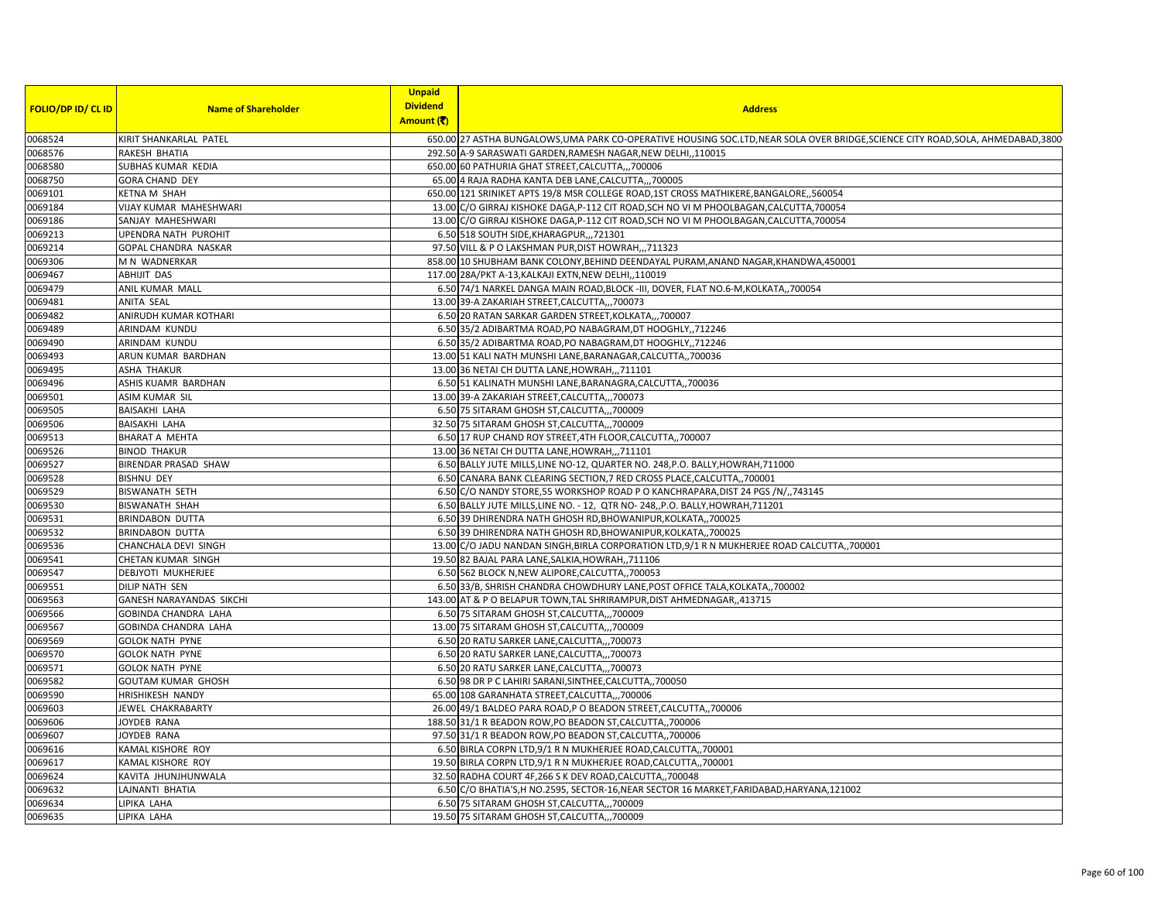|                           |                            | <b>Unpaid</b>   |                                                                                                                                   |
|---------------------------|----------------------------|-----------------|-----------------------------------------------------------------------------------------------------------------------------------|
| <b>FOLIO/DP ID/ CL ID</b> | <b>Name of Shareholder</b> | <b>Dividend</b> | <b>Address</b>                                                                                                                    |
|                           |                            | Amount (そ)      |                                                                                                                                   |
| 0068524                   | KIRIT SHANKARLAL PATEL     |                 | 650.00 27 ASTHA BUNGALOWS, UMA PARK CO-OPERATIVE HOUSING SOC.LTD, NEAR SOLA OVER BRIDGE, SCIENCE CITY ROAD, SOLA, AHMEDABAD, 3800 |
| 0068576                   | RAKESH BHATIA              |                 | 292.50 A-9 SARASWATI GARDEN, RAMESH NAGAR, NEW DELHI,, 110015                                                                     |
| 0068580                   | SUBHAS KUMAR KEDIA         |                 | 650.00 60 PATHURIA GHAT STREET, CALCUTTA,,, 700006                                                                                |
| 0068750                   | GORA CHAND DEY             |                 | 65.00 4 RAJA RADHA KANTA DEB LANE, CALCUTTA,,, 700005                                                                             |
| 0069101                   | KETNA M SHAH               |                 | 650.00 121 SRINIKET APTS 19/8 MSR COLLEGE ROAD, 1ST CROSS MATHIKERE, BANGALORE, ,560054                                           |
| 0069184                   | VIJAY KUMAR MAHESHWARI     |                 | 13.00 C/O GIRRAJ KISHOKE DAGA, P-112 CIT ROAD, SCH NO VI M PHOOLBAGAN, CALCUTTA, 700054                                           |
| 0069186                   | SANJAY MAHESHWARI          |                 | 13.00 C/O GIRRAJ KISHOKE DAGA, P-112 CIT ROAD, SCH NO VI M PHOOLBAGAN, CALCUTTA, 700054                                           |
| 0069213                   | UPENDRA NATH PUROHIT       |                 | 6.50 518 SOUTH SIDE, KHARAGPUR,  721301                                                                                           |
| 0069214                   | GOPAL CHANDRA NASKAR       |                 | 97.50 VILL & P O LAKSHMAN PUR, DIST HOWRAH,,, 711323                                                                              |
| 0069306                   | M N WADNERKAR              |                 | 858.00 10 SHUBHAM BANK COLONY, BEHIND DEENDAYAL PURAM, ANAND NAGAR, KHANDWA, 450001                                               |
| 0069467                   | ABHIJIT DAS                |                 | 117.00 28A/PKT A-13, KALKAJI EXTN, NEW DELHI, , 110019                                                                            |
| 0069479                   | ANIL KUMAR MALL            |                 | 6.50 74/1 NARKEL DANGA MAIN ROAD, BLOCK -III, DOVER, FLAT NO.6-M, KOLKATA,, 700054                                                |
| 0069481                   | ANITA SEAL                 |                 | 13.00 39-A ZAKARIAH STREET, CALCUTTA,,, 700073                                                                                    |
| 0069482                   | ANIRUDH KUMAR KOTHARI      |                 | 6.50 20 RATAN SARKAR GARDEN STREET, KOLKATA,,,700007                                                                              |
| 0069489                   | ARINDAM KUNDU              |                 | 6.50 35/2 ADIBARTMA ROAD, PO NABAGRAM, DT HOOGHLY,, 712246                                                                        |
| 0069490                   | ARINDAM KUNDU              |                 | 6.50 35/2 ADIBARTMA ROAD, PO NABAGRAM, DT HOOGHLY, 712246                                                                         |
| 0069493                   | ARUN KUMAR BARDHAN         |                 | 13.00 51 KALI NATH MUNSHI LANE, BARANAGAR, CALCUTTA,, 700036                                                                      |
| 0069495                   | ASHA THAKUR                |                 | 13.00 36 NETAI CH DUTTA LANE, HOWRAH,,,711101                                                                                     |
| 0069496                   | ASHIS KUAMR BARDHAN        |                 | 6.50 51 KALINATH MUNSHI LANE, BARANAGRA, CALCUTTA, 700036                                                                         |
| 0069501                   | ASIM KUMAR SIL             |                 | 13.00 39-A ZAKARIAH STREET, CALCUTTA,,, 700073                                                                                    |
| 0069505                   | <b>BAISAKHI LAHA</b>       |                 | 6.50 75 SITARAM GHOSH ST, CALCUTTA,,, 700009                                                                                      |
| 0069506                   | BAISAKHI LAHA              |                 | 32.50 75 SITARAM GHOSH ST, CALCUTTA,, 700009                                                                                      |
| 0069513                   | BHARAT A MEHTA             |                 | 6.50 17 RUP CHAND ROY STREET, 4TH FLOOR, CALCUTTA,, 700007                                                                        |
| 0069526                   | <b>BINOD THAKUR</b>        |                 | 13.00 36 NETAI CH DUTTA LANE, HOWRAH,,,711101                                                                                     |
| 0069527                   | BIRENDAR PRASAD SHAW       |                 | 6.50 BALLY JUTE MILLS, LINE NO-12, QUARTER NO. 248, P.O. BALLY, HOWRAH, 711000                                                    |
| 0069528                   | <b>BISHNU DEY</b>          |                 | 6.50 CANARA BANK CLEARING SECTION, 7 RED CROSS PLACE, CALCUTTA, 700001                                                            |
| 0069529                   | BISWANATH SETH             |                 | 6.50 C/O NANDY STORE, 55 WORKSHOP ROAD P O KANCHRAPARA, DIST 24 PGS /N/, 743145                                                   |
| 0069530                   | <b>BISWANATH SHAH</b>      |                 | 6.50 BALLY JUTE MILLS, LINE NO. - 12, QTR NO- 248, P.O. BALLY, HOWRAH, 711201                                                     |
| 0069531                   | <b>BRINDABON DUTTA</b>     |                 | 6.50 39 DHIRENDRA NATH GHOSH RD, BHOWANIPUR, KOLKATA, ,700025                                                                     |
| 0069532                   | <b>BRINDABON DUTTA</b>     |                 | 6.50 39 DHIRENDRA NATH GHOSH RD, BHOWANIPUR, KOLKATA,, 700025                                                                     |
| 0069536                   | CHANCHALA DEVI SINGH       |                 | 13.00 C/O JADU NANDAN SINGH, BIRLA CORPORATION LTD, 9/1 R N MUKHERJEE ROAD CALCUTTA,, 700001                                      |
| 0069541                   | CHETAN KUMAR SINGH         |                 | 19.50 82 BAJAL PARA LANE, SALKIA, HOWRAH, ,711106                                                                                 |
| 0069547                   | DEBJYOTI MUKHERJEE         |                 | 6.50 562 BLOCK N, NEW ALIPORE, CALCUTTA, 700053                                                                                   |
| 0069551                   | DILIP NATH SEN             |                 | 6.50 33/B, SHRISH CHANDRA CHOWDHURY LANE, POST OFFICE TALA, KOLKATA,, 700002                                                      |
| 0069563                   | GANESH NARAYANDAS SIKCHI   |                 | 143.00 AT & P O BELAPUR TOWN, TAL SHRIRAMPUR, DIST AHMEDNAGAR, 413715                                                             |
| 0069566                   | GOBINDA CHANDRA LAHA       |                 | 6.50 75 SITARAM GHOSH ST, CALCUTTA,,, 700009                                                                                      |
| 0069567                   | GOBINDA CHANDRA LAHA       |                 | 13.00 75 SITARAM GHOSH ST, CALCUTTA,, 700009                                                                                      |
| 0069569                   | <b>GOLOK NATH PYNE</b>     |                 | 6.50 20 RATU SARKER LANE, CALCUTTA,,,700073                                                                                       |
| 0069570                   | <b>GOLOK NATH PYNE</b>     |                 | 6.50 20 RATU SARKER LANE, CALCUTTA,,,700073                                                                                       |
| 0069571                   | <b>GOLOK NATH PYNE</b>     |                 | 6.50 20 RATU SARKER LANE, CALCUTTA,,, 700073                                                                                      |
| 0069582                   | GOUTAM KUMAR GHOSH         |                 | 6.50 98 DR P C LAHIRI SARANI, SINTHEE, CALCUTTA,, 700050                                                                          |
| 0069590                   | HRISHIKESH NANDY           |                 | 65.00 108 GARANHATA STREET, CALCUTTA,,, 700006                                                                                    |
| 0069603                   | JEWEL CHAKRABARTY          |                 | 26.00 49/1 BALDEO PARA ROAD, P O BEADON STREET, CALCUTTA, 700006                                                                  |
| 0069606                   | JOYDEB RANA                |                 | 188.50 31/1 R BEADON ROW, PO BEADON ST, CALCUTTA, 700006                                                                          |
| 0069607                   | JOYDEB RANA                |                 | 97.50 31/1 R BEADON ROW, PO BEADON ST, CALCUTTA,, 700006                                                                          |
| 0069616                   | KAMAL KISHORE ROY          |                 | 6.50 BIRLA CORPN LTD, 9/1 R N MUKHERJEE ROAD, CALCUTTA,, 700001                                                                   |
| 0069617                   | KAMAL KISHORE ROY          |                 | 19.50 BIRLA CORPN LTD, 9/1 R N MUKHERJEE ROAD, CALCUTTA,, 700001                                                                  |
| 0069624                   | KAVITA JHUNJHUNWALA        |                 | 32.50 RADHA COURT 4F, 266 S K DEV ROAD, CALCUTTA,, 700048                                                                         |
| 0069632                   | LAJNANTI BHATIA            |                 | 6.50 C/O BHATIA'S, H NO.2595, SECTOR-16, NEAR SECTOR 16 MARKET, FARIDABAD, HARYANA, 121002                                        |
| 0069634                   | IPIKA LAHA                 |                 | 6.50 75 SITARAM GHOSH ST, CALCUTTA,,, 700009                                                                                      |
| 0069635                   | LIPIKA LAHA                |                 | 19.50 75 SITARAM GHOSH ST, CALCUTTA,,, 700009                                                                                     |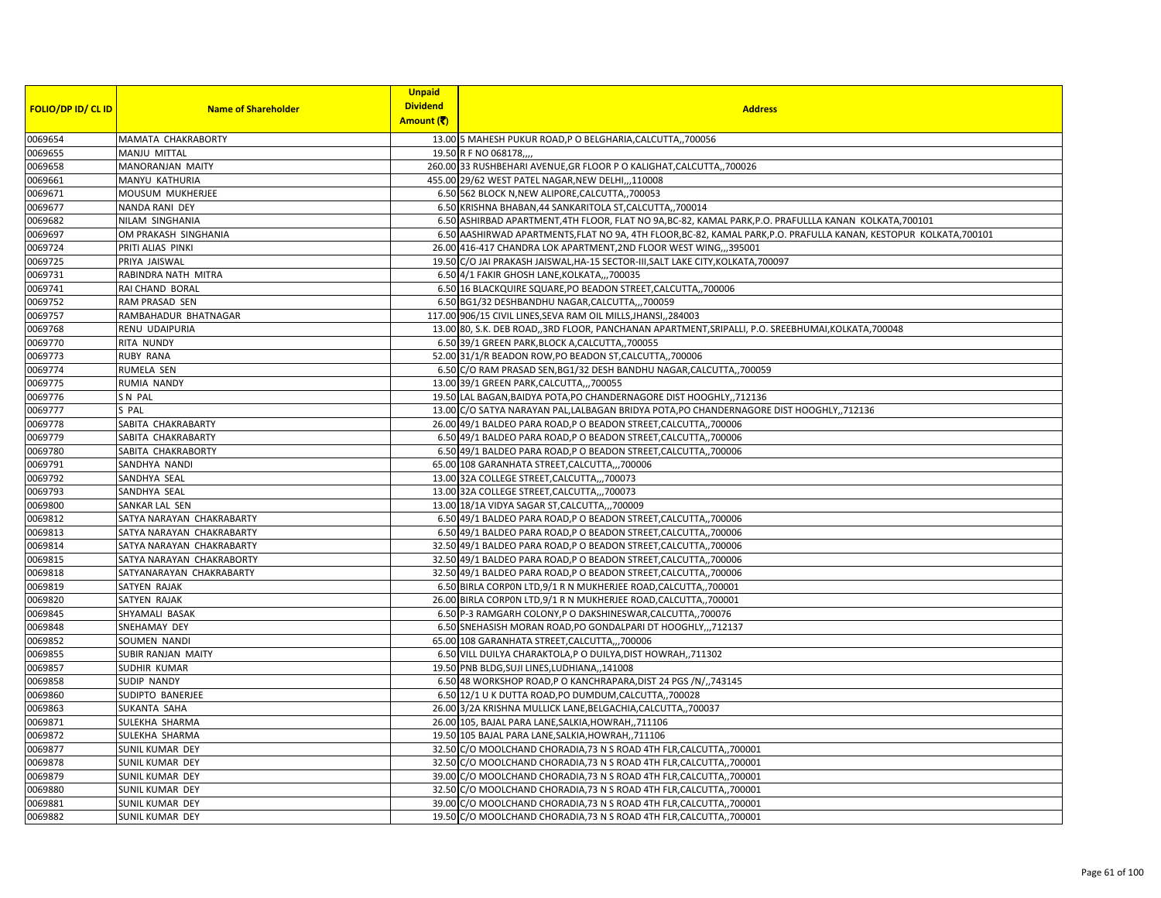|                           |                            | <b>Unpaid</b>   |                                                                                                                    |
|---------------------------|----------------------------|-----------------|--------------------------------------------------------------------------------------------------------------------|
| <b>FOLIO/DP ID/ CL ID</b> | <b>Name of Shareholder</b> | <b>Dividend</b> | <b>Address</b>                                                                                                     |
|                           |                            | Amount (そ)      |                                                                                                                    |
| 0069654                   | MAMATA CHAKRABORTY         |                 | 13.00 5 MAHESH PUKUR ROAD, P O BELGHARIA, CALCUTTA,, 700056                                                        |
| 0069655                   | <b>MANJU MITTAL</b>        |                 | 19.50 R F NO 068178                                                                                                |
| 0069658                   | MANORANJAN MAITY           |                 | 260.00 33 RUSHBEHARI AVENUE, GR FLOOR P O KALIGHAT, CALCUTTA,, 700026                                              |
| 0069661                   | MANYU KATHURIA             |                 | 455.00 29/62 WEST PATEL NAGAR, NEW DELHI,,,110008                                                                  |
| 0069671                   | MOUSUM MUKHERJEE           |                 | 6.50 562 BLOCK N, NEW ALIPORE, CALCUTTA,, 700053                                                                   |
| 0069677                   | NANDA RANI DEY             |                 | 6.50 KRISHNA BHABAN, 44 SANKARITOLA ST, CALCUTTA, 700014                                                           |
| 0069682                   | NILAM SINGHANIA            |                 | 6.50 ASHIRBAD APARTMENT, 4TH FLOOR, FLAT NO 9A, BC-82, KAMAL PARK, P.O. PRAFULLLA KANAN KOLKATA, 700101            |
| 0069697                   | OM PRAKASH SINGHANIA       |                 | 6.50 AASHIRWAD APARTMENTS, FLAT NO 9A, 4TH FLOOR, BC-82, KAMAL PARK, P.O. PRAFULLA KANAN, KESTOPUR KOLKATA, 700101 |
| 0069724                   | PRITI ALIAS PINKI          |                 | 26.00 416-417 CHANDRA LOK APARTMENT, 2ND FLOOR WEST WING,,,395001                                                  |
| 0069725                   | PRIYA JAISWAL              |                 | 19.50 C/O JAI PRAKASH JAISWAL, HA-15 SECTOR-III, SALT LAKE CITY, KOLKATA, 700097                                   |
| 0069731                   | RABINDRA NATH MITRA        |                 | 6.50 4/1 FAKIR GHOSH LANE, KOLKATA,,,700035                                                                        |
| 0069741                   | RAI CHAND BORAL            |                 | 6.50 16 BLACKQUIRE SQUARE, PO BEADON STREET, CALCUTTA,, 700006                                                     |
| 0069752                   | RAM PRASAD SEN             |                 | 6.50 BG1/32 DESHBANDHU NAGAR, CALCUTTA,,,700059                                                                    |
| 0069757                   | RAMBAHADUR BHATNAGAR       |                 | 117.00 906/15 CIVIL LINES, SEVA RAM OIL MILLS, JHANSI, 284003                                                      |
| 0069768                   | RENU UDAIPURIA             |                 | 13.00 80, S.K. DEB ROAD, 3RD FLOOR, PANCHANAN APARTMENT, SRIPALLI, P.O. SREEBHUMAI, KOLKATA, 700048                |
| 0069770                   | RITA NUNDY                 |                 | 6.50 39/1 GREEN PARK, BLOCK A, CALCUTTA,, 700055                                                                   |
| 0069773                   | <b>RUBY RANA</b>           |                 | 52.00 31/1/R BEADON ROW, PO BEADON ST, CALCUTTA, 700006                                                            |
| 0069774                   | RUMELA SEN                 |                 | 6.50 C/O RAM PRASAD SEN, BG1/32 DESH BANDHU NAGAR, CALCUTTA,, 700059                                               |
| 0069775                   | RUMIA NANDY                |                 | 13.00 39/1 GREEN PARK, CALCUTTA,,, 700055                                                                          |
| 0069776                   | SN PAL                     |                 | 19.50 LAL BAGAN, BAIDYA POTA, PO CHANDERNAGORE DIST HOOGHLY,, 712136                                               |
| 0069777                   | S PAL                      |                 | 13.00 C/O SATYA NARAYAN PAL, LALBAGAN BRIDYA POTA, PO CHANDERNAGORE DIST HOOGHLY, ,712136                          |
| 0069778                   | SABITA CHAKRABARTY         |                 | 26.00 49/1 BALDEO PARA ROAD, P O BEADON STREET, CALCUTTA,, 700006                                                  |
| 0069779                   | SABITA CHAKRABARTY         |                 | 6.50 49/1 BALDEO PARA ROAD, P O BEADON STREET, CALCUTTA,, 700006                                                   |
| 0069780                   | SABITA CHAKRABORTY         |                 | 6.50 49/1 BALDEO PARA ROAD, P O BEADON STREET, CALCUTTA,, 700006                                                   |
| 0069791                   | SANDHYA NANDI              |                 | 65.00 108 GARANHATA STREET, CALCUTTA,,, 700006                                                                     |
| 0069792                   | SANDHYA SEAL               |                 | 13.00 32A COLLEGE STREET, CALCUTTA,,, 700073                                                                       |
| 0069793                   | SANDHYA SEAL               |                 | 13.00 32A COLLEGE STREET, CALCUTTA,, 700073                                                                        |
| 0069800                   | SANKAR LAL SEN             |                 | 13.00 18/1A VIDYA SAGAR ST, CALCUTTA,,, 700009                                                                     |
| 0069812                   | SATYA NARAYAN CHAKRABARTY  |                 | 6.50 49/1 BALDEO PARA ROAD, P O BEADON STREET, CALCUTTA,, 700006                                                   |
| 0069813                   | SATYA NARAYAN CHAKRABARTY  |                 | 6.50 49/1 BALDEO PARA ROAD, P O BEADON STREET, CALCUTTA,, 700006                                                   |
| 0069814                   | SATYA NARAYAN CHAKRABARTY  |                 | 32.50 49/1 BALDEO PARA ROAD, P O BEADON STREET, CALCUTTA,, 700006                                                  |
| 0069815                   | SATYA NARAYAN CHAKRABORTY  |                 | 32.50 49/1 BALDEO PARA ROAD, P O BEADON STREET, CALCUTTA, 700006                                                   |
| 0069818                   | SATYANARAYAN CHAKRABARTY   |                 | 32.50 49/1 BALDEO PARA ROAD, P O BEADON STREET, CALCUTTA, 700006                                                   |
| 0069819                   | SATYEN RAJAK               |                 | 6.50 BIRLA CORPON LTD, 9/1 R N MUKHERJEE ROAD, CALCUTTA,, 700001                                                   |
| 0069820                   | SATYEN RAJAK               |                 | 26.00 BIRLA CORPON LTD, 9/1 R N MUKHERJEE ROAD, CALCUTTA,, 700001                                                  |
| 0069845                   | SHYAMALI BASAK             |                 | 6.50 P-3 RAMGARH COLONY, P O DAKSHINESWAR, CALCUTTA,, 700076                                                       |
| 0069848                   | SNEHAMAY DEY               |                 | 6.50 SNEHASISH MORAN ROAD, PO GONDALPARI DT HOOGHLY,,,712137                                                       |
| 0069852                   | SOUMEN NANDI               |                 | 65.00 108 GARANHATA STREET, CALCUTTA,,,700006                                                                      |
| 0069855                   | <b>SUBIR RANJAN MAITY</b>  |                 | 6.50 VILL DUILYA CHARAKTOLA, PO DUILYA, DIST HOWRAH,, 711302                                                       |
| 0069857                   | SUDHIR KUMAR               |                 | 19.50 PNB BLDG, SUJI LINES, LUDHIANA,, 141008                                                                      |
| 0069858                   | SUDIP NANDY                |                 | 6.50 48 WORKSHOP ROAD, P O KANCHRAPARA, DIST 24 PGS /N/,, 743145                                                   |
| 0069860                   | SUDIPTO BANERJEE           |                 | 6.50 12/1 U K DUTTA ROAD, PO DUMDUM, CALCUTTA,, 700028                                                             |
| 0069863                   | SUKANTA SAHA               |                 | 26.00 3/2A KRISHNA MULLICK LANE, BELGACHIA, CALCUTTA,, 700037                                                      |
| 0069871                   | SULEKHA SHARMA             |                 | 26.00 105, BAJAL PARA LANE, SALKIA, HOWRAH, ,711106                                                                |
| 0069872                   | SULEKHA SHARMA             |                 | 19.50 105 BAJAL PARA LANE, SALKIA, HOWRAH,, 711106                                                                 |
| 0069877                   | SUNIL KUMAR DEY            |                 | 32.50 C/O MOOLCHAND CHORADIA, 73 N S ROAD 4TH FLR, CALCUTTA, 700001                                                |
| 0069878                   | SUNIL KUMAR DEY            |                 | 32.50 C/O MOOLCHAND CHORADIA, 73 N S ROAD 4TH FLR, CALCUTTA, 700001                                                |
| 0069879                   | SUNIL KUMAR DEY            |                 | 39.00 C/O MOOLCHAND CHORADIA, 73 N S ROAD 4TH FLR, CALCUTTA,, 700001                                               |
| 0069880                   | SUNIL KUMAR DEY            |                 | 32.50 C/O MOOLCHAND CHORADIA, 73 N S ROAD 4TH FLR, CALCUTTA, 700001                                                |
| 0069881                   | SUNIL KUMAR DEY            |                 | 39.00 C/O MOOLCHAND CHORADIA, 73 N S ROAD 4TH FLR, CALCUTTA, 700001                                                |
| 0069882                   | SUNIL KUMAR DEY            |                 | 19.50 C/O MOOLCHAND CHORADIA, 73 N S ROAD 4TH FLR, CALCUTTA, 700001                                                |
|                           |                            |                 |                                                                                                                    |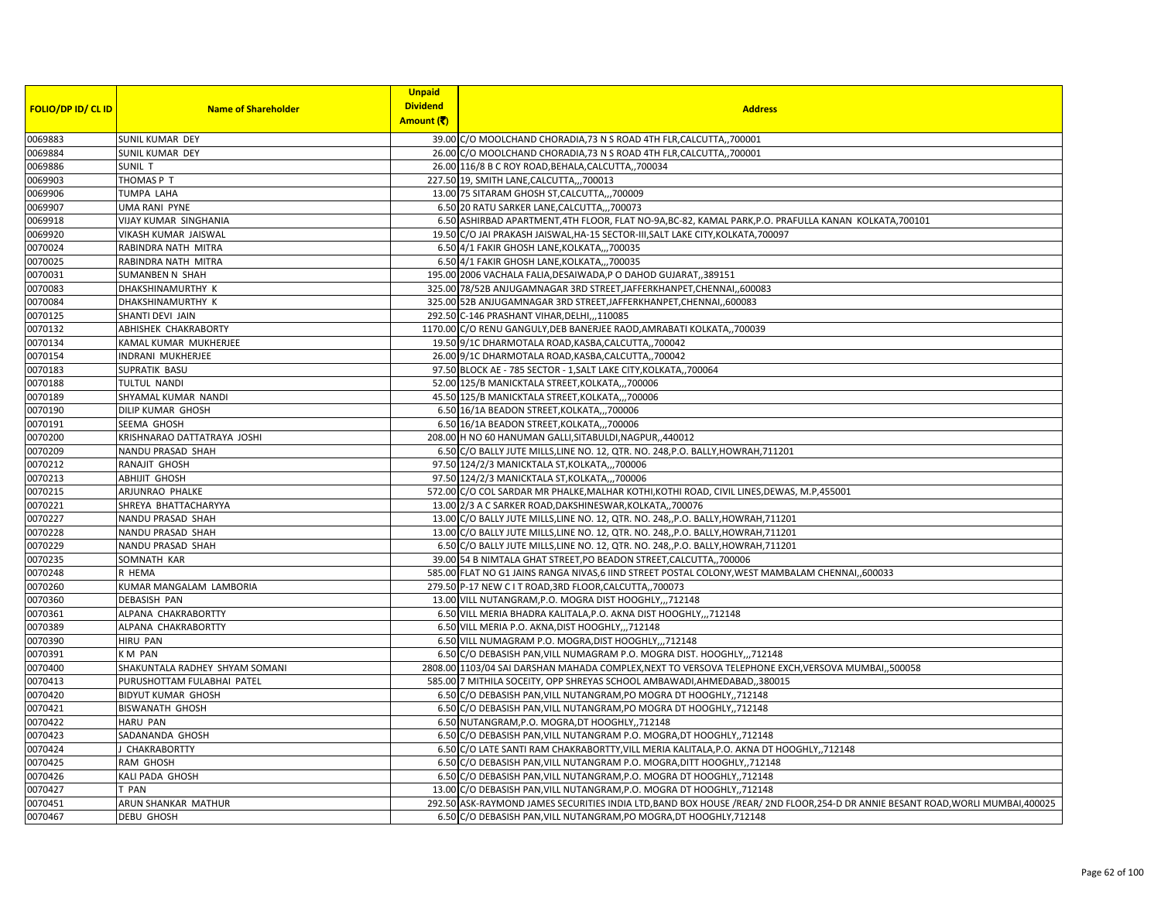| <b>FOLIO/DP ID/ CL ID</b> | <b>Name of Shareholder</b>     | <b>Unpaid</b><br><b>Dividend</b> | <b>Address</b>                                                                                                                   |
|---------------------------|--------------------------------|----------------------------------|----------------------------------------------------------------------------------------------------------------------------------|
|                           |                                | Amount (そ)                       |                                                                                                                                  |
| 0069883                   | SUNIL KUMAR DEY                |                                  | 39.00 C/O MOOLCHAND CHORADIA, 73 N S ROAD 4TH FLR, CALCUTTA, 700001                                                              |
| 0069884                   | SUNIL KUMAR DEY                |                                  | 26.00 C/O MOOLCHAND CHORADIA, 73 N S ROAD 4TH FLR, CALCUTTA, 700001                                                              |
| 0069886                   | SUNIL T                        |                                  | 26.00 116/8 B C ROY ROAD, BEHALA, CALCUTTA, ,700034                                                                              |
| 0069903                   | THOMAS P T                     |                                  | 227.50 19, SMITH LANE, CALCUTTA,,, 700013                                                                                        |
| 0069906                   | <b>TUMPA LAHA</b>              |                                  | 13.00 75 SITARAM GHOSH ST, CALCUTTA,, 700009                                                                                     |
| 0069907                   | <b>UMA RANI PYNE</b>           |                                  | 6.50 20 RATU SARKER LANE, CALCUTTA,,,700073                                                                                      |
| 0069918                   | VIJAY KUMAR SINGHANIA          |                                  | 6.50 ASHIRBAD APARTMENT,4TH FLOOR, FLAT NO-9A,BC-82, KAMAL PARK,P.O. PRAFULLA KANAN KOLKATA,700101                               |
| 0069920                   | VIKASH KUMAR JAISWAL           |                                  | 19.50 C/O JAI PRAKASH JAISWAL, HA-15 SECTOR-III, SALT LAKE CITY, KOLKATA, 700097                                                 |
| 0070024                   | RABINDRA NATH MITRA            |                                  | 6.50 4/1 FAKIR GHOSH LANE, KOLKATA,,,700035                                                                                      |
| 0070025                   | RABINDRA NATH MITRA            |                                  | 6.50 4/1 FAKIR GHOSH LANE, KOLKATA,,,700035                                                                                      |
| 0070031                   | <b>SUMANBEN N SHAH</b>         |                                  | 195.00 2006 VACHALA FALIA, DESAIWADA, PO DAHOD GUJARAT,, 389151                                                                  |
| 0070083                   | DHAKSHINAMURTHY K              |                                  | 325.00 78/52B ANJUGAMNAGAR 3RD STREET, JAFFERKHANPET, CHENNAI, 600083                                                            |
| 0070084                   | DHAKSHINAMURTHY K              |                                  | 325.00 52B ANJUGAMNAGAR 3RD STREET, JAFFERKHANPET, CHENNAI, 600083                                                               |
| 0070125                   | SHANTI DEVI JAIN               |                                  | 292.50 C-146 PRASHANT VIHAR, DELHI, , 110085                                                                                     |
| 0070132                   | ABHISHEK CHAKRABORTY           |                                  | 1170.00 C/O RENU GANGULY, DEB BANERJEE RAOD, AMRABATI KOLKATA,, 700039                                                           |
| 0070134                   | KAMAL KUMAR MUKHERJEE          |                                  | 19.50 9/1C DHARMOTALA ROAD, KASBA, CALCUTTA,, 700042                                                                             |
| 0070154                   | INDRANI MUKHERJEE              |                                  | 26.00 9/1C DHARMOTALA ROAD, KASBA, CALCUTTA,, 700042                                                                             |
| 0070183                   | SUPRATIK BASU                  |                                  | 97.50 BLOCK AE - 785 SECTOR - 1, SALT LAKE CITY, KOLKATA,, 700064                                                                |
| 0070188                   | <b>TULTUL NANDI</b>            |                                  | 52.00 125/B MANICKTALA STREET, KOLKATA,,,700006                                                                                  |
| 0070189                   | SHYAMAL KUMAR NANDI            |                                  | 45.50 125/B MANICKTALA STREET, KOLKATA,,,700006                                                                                  |
| 0070190                   | DILIP KUMAR GHOSH              |                                  | 6.50 16/1A BEADON STREET, KOLKATA,,,700006                                                                                       |
| 0070191                   | SEEMA GHOSH                    |                                  | 6.50 16/1A BEADON STREET, KOLKATA,,,700006                                                                                       |
| 0070200                   | KRISHNARAO DATTATRAYA JOSHI    |                                  | 208.00 H NO 60 HANUMAN GALLI, SITABULDI, NAGPUR, ,440012                                                                         |
| 0070209                   | NANDU PRASAD SHAH              |                                  | 6.50 C/O BALLY JUTE MILLS, LINE NO. 12, QTR. NO. 248, P.O. BALLY, HOWRAH, 711201                                                 |
| 0070212                   | RANAJIT GHOSH                  |                                  | 97.50 124/2/3 MANICKTALA ST, KOLKATA,,, 700006                                                                                   |
| 0070213                   | <b>ABHIJIT GHOSH</b>           |                                  | 97.50 124/2/3 MANICKTALA ST, KOLKATA,,, 700006                                                                                   |
| 0070215                   | ARJUNRAO PHALKE                |                                  | 572.00 C/O COL SARDAR MR PHALKE, MALHAR KOTHI, KOTHI ROAD, CIVIL LINES, DEWAS, M.P, 455001                                       |
| 0070221                   | SHREYA BHATTACHARYYA           |                                  | 13.00 2/3 A C SARKER ROAD, DAKSHINESWAR, KOLKATA,, 700076                                                                        |
| 0070227                   | NANDU PRASAD SHAH              |                                  | 13.00 C/O BALLY JUTE MILLS, LINE NO. 12, QTR. NO. 248, P.O. BALLY, HOWRAH, 711201                                                |
| 0070228                   | <b>NANDU PRASAD SHAH</b>       |                                  | 13.00 C/O BALLY JUTE MILLS, LINE NO. 12, QTR. NO. 248, P.O. BALLY, HOWRAH, 711201                                                |
| 0070229                   | NANDU PRASAD SHAH              |                                  | 6.50 C/O BALLY JUTE MILLS, LINE NO. 12, QTR. NO. 248, P.O. BALLY, HOWRAH, 711201                                                 |
| 0070235                   | SOMNATH KAR                    |                                  | 39.00 54 B NIMTALA GHAT STREET, PO BEADON STREET, CALCUTTA, 700006                                                               |
| 0070248                   | R HEMA                         |                                  | 585.00 FLAT NO G1 JAINS RANGA NIVAS,6 IIND STREET POSTAL COLONY, WEST MAMBALAM CHENNAI,,600033                                   |
| 0070260                   | KUMAR MANGALAM LAMBORIA        |                                  | 279.50 P-17 NEW C I T ROAD, 3RD FLOOR, CALCUTTA, , 700073                                                                        |
| 0070360                   | <b>DEBASISH PAN</b>            |                                  | 13.00 VILL NUTANGRAM, P.O. MOGRA DIST HOOGHLY,,,712148                                                                           |
| 0070361                   | ALPANA CHAKRABORTTY            |                                  | 6.50 VILL MERIA BHADRA KALITALA, P.O. AKNA DIST HOOGHLY,,,712148                                                                 |
| 0070389                   | ALPANA CHAKRABORTTY            |                                  | 6.50 VILL MERIA P.O. AKNA, DIST HOOGHLY,,,712148                                                                                 |
| 0070390                   | <b>HIRU PAN</b>                |                                  | 6.50 VILL NUMAGRAM P.O. MOGRA, DIST HOOGHLY,,,712148                                                                             |
| 0070391                   | KM PAN                         |                                  | 6.50 C/O DEBASISH PAN, VILL NUMAGRAM P.O. MOGRA DIST. HOOGHLY,, 712148                                                           |
| 0070400                   | SHAKUNTALA RADHEY SHYAM SOMANI |                                  | 2808.00 1103/04 SAI DARSHAN MAHADA COMPLEX, NEXT TO VERSOVA TELEPHONE EXCH, VERSOVA MUMBAI, ,500058                              |
| 0070413                   | PURUSHOTTAM FULABHAI PATEL     |                                  | 585.00 7 MITHILA SOCEITY, OPP SHREYAS SCHOOL AMBAWADI, AHMEDABAD, 380015                                                         |
| 0070420                   | <b>BIDYUT KUMAR GHOSH</b>      |                                  | 6.50 C/O DEBASISH PAN, VILL NUTANGRAM, PO MOGRA DT HOOGHLY,, 712148                                                              |
| 0070421                   | <b>BISWANATH GHOSH</b>         |                                  | 6.50 C/O DEBASISH PAN, VILL NUTANGRAM, PO MOGRA DT HOOGHLY, 712148                                                               |
| 0070422                   | <b>HARU PAN</b>                |                                  | 6.50 NUTANGRAM, P.O. MOGRA, DT HOOGHLY, 712148                                                                                   |
| 0070423                   | SADANANDA GHOSH                |                                  | 6.50 C/O DEBASISH PAN, VILL NUTANGRAM P.O. MOGRA, DT HOOGHLY, 712148                                                             |
| 0070424                   | J CHAKRABORTTY                 |                                  | 6.50 C/O LATE SANTI RAM CHAKRABORTTY, VILL MERIA KALITALA, P.O. AKNA DT HOOGHLY,, 712148                                         |
| 0070425                   | RAM GHOSH                      |                                  | 6.50 C/O DEBASISH PAN, VILL NUTANGRAM P.O. MOGRA, DITT HOOGHLY, 712148                                                           |
| 0070426                   | KALI PADA GHOSH                |                                  | 6.50 C/O DEBASISH PAN, VILL NUTANGRAM, P.O. MOGRA DT HOOGHLY, 712148                                                             |
| 0070427                   | T PAN                          |                                  | 13.00 C/O DEBASISH PAN, VILL NUTANGRAM, P.O. MOGRA DT HOOGHLY, 712148                                                            |
| 0070451                   | ARUN SHANKAR MATHUR            |                                  | 292.50 ASK-RAYMOND JAMES SECURITIES INDIA LTD, BAND BOX HOUSE /REAR/ 2ND FLOOR, 254-D DR ANNIE BESANT ROAD, WORLI MUMBAI, 400025 |
| 0070467                   | DEBU GHOSH                     |                                  | 6.50 C/O DEBASISH PAN, VILL NUTANGRAM, PO MOGRA, DT HOOGHLY, 712148                                                              |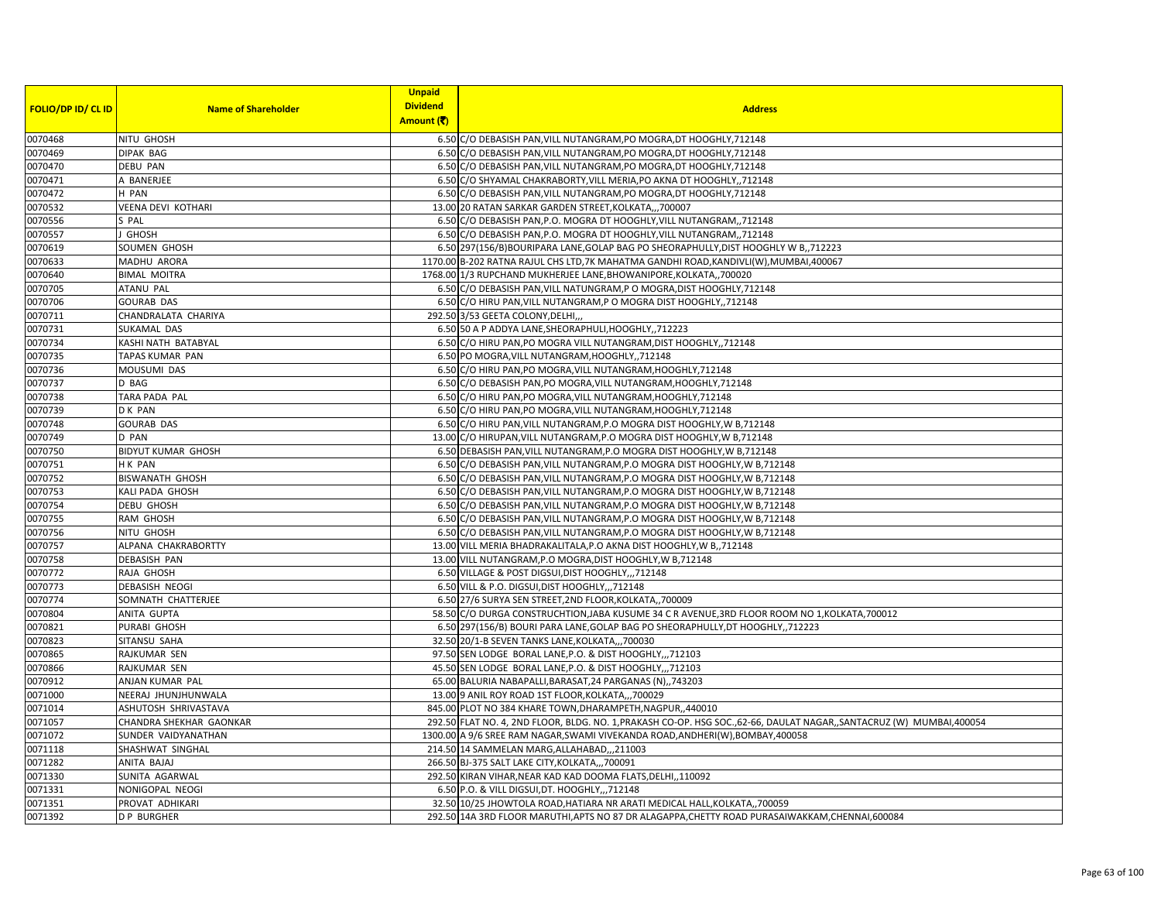|                           |                            | <b>Unpaid</b>   |                                                                                                                        |
|---------------------------|----------------------------|-----------------|------------------------------------------------------------------------------------------------------------------------|
| <b>FOLIO/DP ID/ CL ID</b> | <b>Name of Shareholder</b> | <b>Dividend</b> | <b>Address</b>                                                                                                         |
|                           |                            | Amount (そ)      |                                                                                                                        |
| 0070468                   | NITU GHOSH                 |                 | 6.50 C/O DEBASISH PAN, VILL NUTANGRAM, PO MOGRA, DT HOOGHLY, 712148                                                    |
| 0070469                   | <b>DIPAK BAG</b>           |                 | 6.50 C/O DEBASISH PAN, VILL NUTANGRAM, PO MOGRA, DT HOOGHLY, 712148                                                    |
| 0070470                   | <b>DEBU PAN</b>            |                 | 6.50 C/O DEBASISH PAN, VILL NUTANGRAM, PO MOGRA, DT HOOGHLY, 712148                                                    |
| 0070471                   | A BANERJEE                 |                 | 6.50 C/O SHYAMAL CHAKRABORTY, VILL MERIA, PO AKNA DT HOOGHLY, 712148                                                   |
| 0070472                   | H PAN                      |                 | 6.50 C/O DEBASISH PAN, VILL NUTANGRAM, PO MOGRA, DT HOOGHLY, 712148                                                    |
| 0070532                   | <b>VEENA DEVI KOTHARI</b>  |                 | 13.00 20 RATAN SARKAR GARDEN STREET, KOLKATA,,,700007                                                                  |
| 0070556                   | S PAL                      |                 | 6.50 C/O DEBASISH PAN, P.O. MOGRA DT HOOGHLY, VILL NUTANGRAM, 712148                                                   |
| 0070557                   | GHOSH                      |                 | 6.50 C/O DEBASISH PAN, P.O. MOGRA DT HOOGHLY, VILL NUTANGRAM, 712148                                                   |
| 0070619                   | SOUMEN GHOSH               |                 | 6.50 297 (156/B) BOURIPARA LANE, GOLAP BAG PO SHEORAPHULLY, DIST HOOGHLY W B,, 712223                                  |
| 0070633                   | MADHU ARORA                |                 | 1170.00 B-202 RATNA RAJUL CHS LTD, 7K MAHATMA GANDHI ROAD, KANDIVLI(W), MUMBAI, 400067                                 |
| 0070640                   | <b>BIMAL MOITRA</b>        |                 | 1768.00 1/3 RUPCHAND MUKHERJEE LANE, BHOWANIPORE, KOLKATA,, 700020                                                     |
| 0070705                   | <b>ATANU PAL</b>           |                 | 6.50 C/O DEBASISH PAN, VILL NATUNGRAM, P O MOGRA, DIST HOOGHLY, 712148                                                 |
| 0070706                   | <b>GOURAB DAS</b>          |                 | 6.50 C/O HIRU PAN, VILL NUTANGRAM, P O MOGRA DIST HOOGHLY, 712148                                                      |
| 0070711                   | CHANDRALATA CHARIYA        |                 | 292.50 3/53 GEETA COLONY, DELHI,                                                                                       |
| 0070731                   | SUKAMAL DAS                |                 | 6.50 50 A P ADDYA LANE, SHEORAPHULI, HOOGHLY,, 712223                                                                  |
| 0070734                   | KASHI NATH BATABYAL        |                 | 6.50 C/O HIRU PAN, PO MOGRA VILL NUTANGRAM, DIST HOOGHLY, 712148                                                       |
| 0070735                   | TAPAS KUMAR PAN            |                 | 6.50 PO MOGRA, VILL NUTANGRAM, HOOGHLY, ,712148                                                                        |
| 0070736                   | MOUSUMI DAS                |                 | 6.50 C/O HIRU PAN, PO MOGRA, VILL NUTANGRAM, HOOGHLY, 712148                                                           |
| 0070737                   | D BAG                      |                 | 6.50 C/O DEBASISH PAN.PO MOGRA.VILL NUTANGRAM.HOOGHLY.712148                                                           |
| 0070738                   | TARA PADA PAL              |                 | 6.50 C/O HIRU PAN, PO MOGRA, VILL NUTANGRAM, HOOGHLY, 712148                                                           |
| 0070739                   | D K PAN                    |                 | 6.50 C/O HIRU PAN, PO MOGRA, VILL NUTANGRAM, HOOGHLY, 712148                                                           |
| 0070748                   | <b>GOURAB DAS</b>          |                 | 6.50 C/O HIRU PAN, VILL NUTANGRAM, P.O MOGRA DIST HOOGHLY, W B, 712148                                                 |
| 0070749                   | D PAN                      |                 | 13.00 C/O HIRUPAN, VILL NUTANGRAM, P.O MOGRA DIST HOOGHLY, W B, 712148                                                 |
| 0070750                   | <b>BIDYUT KUMAR GHOSH</b>  |                 | 6.50 DEBASISH PAN, VILL NUTANGRAM, P.O MOGRA DIST HOOGHLY, W B, 712148                                                 |
| 0070751                   | H K PAN                    |                 | 6.50 C/O DEBASISH PAN, VILL NUTANGRAM, P.O MOGRA DIST HOOGHLY, W B, 712148                                             |
| 0070752                   | <b>BISWANATH GHOSH</b>     |                 | 6.50 C/O DEBASISH PAN, VILL NUTANGRAM, P.O MOGRA DIST HOOGHLY, W B, 712148                                             |
| 0070753                   | KALI PADA GHOSH            |                 | 6.50 C/O DEBASISH PAN, VILL NUTANGRAM, P.O MOGRA DIST HOOGHLY, W B, 712148                                             |
| 0070754                   | DEBU GHOSH                 |                 | 6.50 C/O DEBASISH PAN, VILL NUTANGRAM, P.O MOGRA DIST HOOGHLY, W B, 712148                                             |
| 0070755                   | RAM GHOSH                  |                 | 6.50 C/O DEBASISH PAN, VILL NUTANGRAM, P.O MOGRA DIST HOOGHLY, W B, 712148                                             |
| 0070756                   | NITU GHOSH                 |                 | 6.50 C/O DEBASISH PAN, VILL NUTANGRAM, P.O MOGRA DIST HOOGHLY, W B, 712148                                             |
| 0070757                   | ALPANA CHAKRABORTTY        |                 | 13.00 VILL MERIA BHADRAKALITALA, P.O AKNA DIST HOOGHLY, W B,, 712148                                                   |
| 0070758                   | DEBASISH PAN               |                 | 13.00 VILL NUTANGRAM, P.O MOGRA, DIST HOOGHLY, W B, 712148                                                             |
| 0070772                   | RAJA GHOSH                 |                 | 6.50 VILLAGE & POST DIGSUI, DIST HOOGHLY,,,712148                                                                      |
| 0070773                   | <b>DEBASISH NEOGI</b>      |                 | 6.50 VILL & P.O. DIGSUI, DIST HOOGHLY,,,712148                                                                         |
| 0070774                   | SOMNATH CHATTERJEE         |                 | 6.50 27/6 SURYA SEN STREET, 2ND FLOOR, KOLKATA,, 700009                                                                |
| 0070804                   | ANITA GUPTA                |                 | 58.50 C/O DURGA CONSTRUCHTION, JABA KUSUME 34 C R AVENUE, 3RD FLOOR ROOM NO 1, KOLKATA, 700012                         |
| 0070821                   | PURABI GHOSH               |                 | 6.50 297 (156/B) BOURI PARA LANE, GOLAP BAG PO SHEORAPHULLY, DT HOOGHLY, 712223                                        |
| 0070823                   | SITANSU SAHA               |                 | 32.50 20/1-B SEVEN TANKS LANE, KOLKATA,,,700030                                                                        |
| 0070865                   | RAJKUMAR SEN               |                 | 97.50 SEN LODGE BORAL LANE, P.O. & DIST HOOGHLY,,,712103                                                               |
| 0070866                   | RAJKUMAR SEN               |                 | 45.50 SEN LODGE BORAL LANE, P.O. & DIST HOOGHLY,,,712103                                                               |
| 0070912                   | ANJAN KUMAR PAL            |                 | 65.00 BALURIA NABAPALLI, BARASAT, 24 PARGANAS (N), 743203                                                              |
| 0071000                   | NEERAJ JHUNJHUNWALA        |                 | 13.00 9 ANIL ROY ROAD 1ST FLOOR, KOLKATA,,, 700029                                                                     |
| 0071014                   | ASHUTOSH SHRIVASTAVA       |                 | 845.00 PLOT NO 384 KHARE TOWN, DHARAMPETH, NAGPUR, 440010                                                              |
| 0071057                   | CHANDRA SHEKHAR GAONKAR    |                 | 292.50 FLAT NO. 4, 2ND FLOOR, BLDG. NO. 1, PRAKASH CO-OP. HSG SOC., 62-66, DAULAT NAGAR,, SANTACRUZ (W) MUMBAI, 400054 |
| 0071072                   | SUNDER VAIDYANATHAN        |                 | 1300.00 A 9/6 SREE RAM NAGAR, SWAMI VIVEKANDA ROAD, ANDHERI(W), BOMBAY, 400058                                         |
| 0071118                   | SHASHWAT SINGHAL           |                 | 214.50 14 SAMMELAN MARG, ALLAHABAD,, ,211003                                                                           |
| 0071282                   | ANITA BAJAJ                |                 | 266.50 BJ-375 SALT LAKE CITY, KOLKATA,,, 700091                                                                        |
| 0071330                   | SUNITA AGARWAL             |                 | 292.50 KIRAN VIHAR, NEAR KAD KAD DOOMA FLATS, DELHI,, 110092                                                           |
| 0071331                   | NONIGOPAL NEOGI            |                 | 6.50 P.O. & VILL DIGSUI, DT. HOOGHLY, ,, 712148                                                                        |
| 0071351                   | PROVAT ADHIKARI            |                 | 32.50 10/25 JHOWTOLA ROAD, HATIARA NR ARATI MEDICAL HALL, KOLKATA, ,700059                                             |
| 0071392                   | <b>DP BURGHER</b>          |                 | 292.50 14A 3RD FLOOR MARUTHI, APTS NO 87 DR ALAGAPPA, CHETTY ROAD PURASAIWAKKAM, CHENNAI, 600084                       |
|                           |                            |                 |                                                                                                                        |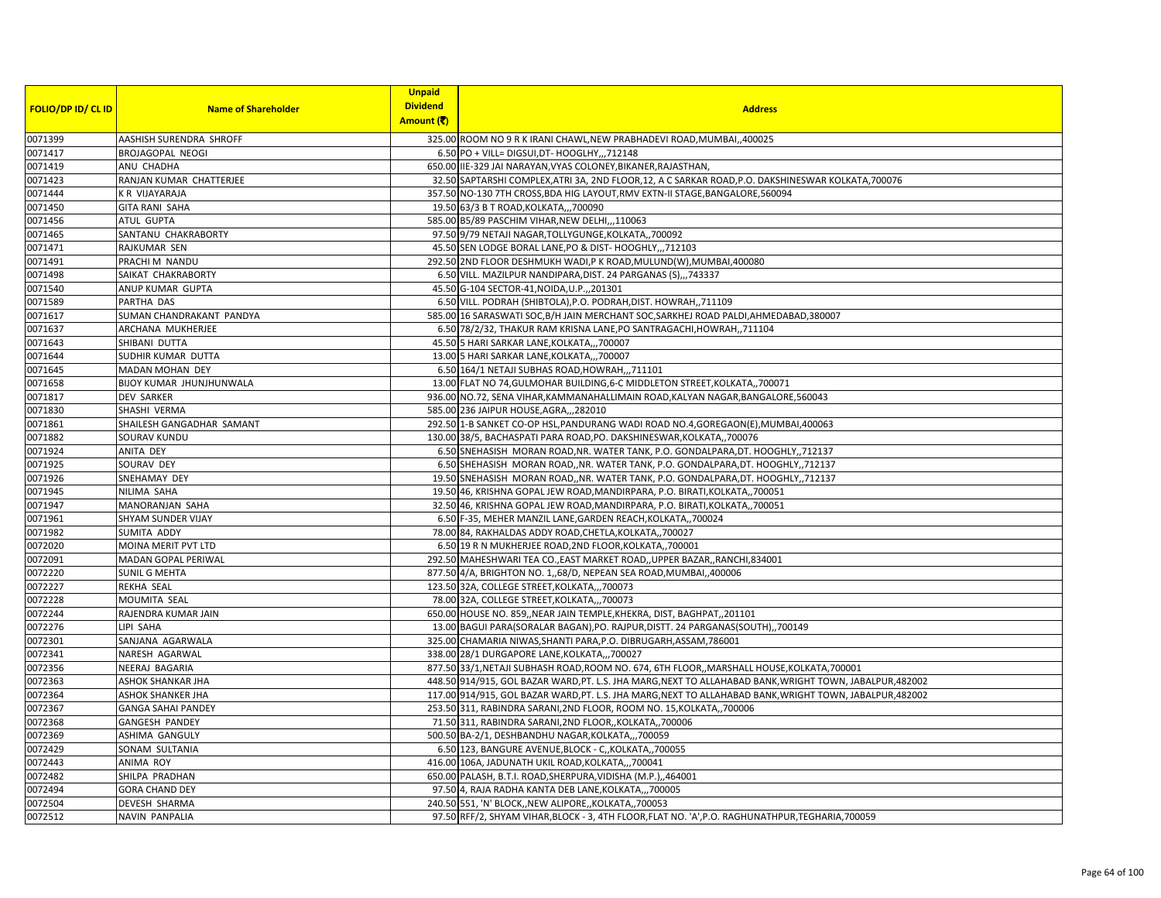| <b>FOLIO/DP ID/ CL ID</b> | <b>Name of Shareholder</b> | <b>Unpaid</b><br><b>Dividend</b> | <b>Address</b>                                                                                           |
|---------------------------|----------------------------|----------------------------------|----------------------------------------------------------------------------------------------------------|
|                           |                            | Amount (そ)                       |                                                                                                          |
| 0071399                   | AASHISH SURENDRA SHROFF    |                                  | 325.00 ROOM NO 9 R K IRANI CHAWL, NEW PRABHADEVI ROAD, MUMBAI, ,400025                                   |
| 0071417                   | <b>BROJAGOPAL NEOGI</b>    |                                  | 6.50 PO + VILL= DIGSUI, DT- HOOGLHY,  712148                                                             |
| 0071419                   | ANU CHADHA                 |                                  | 650.00 IIE-329 JAI NARAYAN, VYAS COLONEY, BIKANER, RAJASTHAN,                                            |
| 0071423                   | RANJAN KUMAR CHATTERJEE    |                                  | 32.50 SAPTARSHI COMPLEX, ATRI 3A, 2ND FLOOR, 12, A C SARKAR ROAD, P.O. DAKSHINESWAR KOLKATA, 700076      |
| 0071444                   | K R VIJAYARAJA             |                                  | 357.50 NO-130 7TH CROSS, BDA HIG LAYOUT, RMV EXTN-II STAGE, BANGALORE, 560094                            |
| 0071450                   | <b>GITA RANI SAHA</b>      |                                  | 19.50 63/3 B T ROAD, KOLKATA,,, 700090                                                                   |
| 0071456                   | ATUL GUPTA                 |                                  | 585.00 B5/89 PASCHIM VIHAR, NEW DELHI, ,, 110063                                                         |
| 0071465                   | SANTANU CHAKRABORTY        |                                  | 97.50 9/79 NETAJI NAGAR, TOLLYGUNGE, KOLKATA,, 700092                                                    |
| 0071471                   | RAJKUMAR SEN               |                                  | 45.50 SEN LODGE BORAL LANE, PO & DIST-HOOGHLY,,,712103                                                   |
| 0071491                   | PRACHI M NANDU             |                                  | 292.50 2ND FLOOR DESHMUKH WADI, P K ROAD, MULUND(W), MUMBAI, 400080                                      |
| 0071498                   | SAIKAT CHAKRABORTY         |                                  | 6.50 VILL. MAZILPUR NANDIPARA, DIST. 24 PARGANAS (S),,,743337                                            |
| 0071540                   | ANUP KUMAR GUPTA           |                                  | 45.50 G-104 SECTOR-41, NOIDA, U.P., 201301                                                               |
| 0071589                   | PARTHA DAS                 |                                  | 6.50 VILL. PODRAH (SHIBTOLA), P.O. PODRAH, DIST. HOWRAH,, 711109                                         |
| 0071617                   | SUMAN CHANDRAKANT PANDYA   |                                  | 585.00 16 SARASWATI SOC, B/H JAIN MERCHANT SOC, SARKHEJ ROAD PALDI, AHMEDABAD, 380007                    |
| 0071637                   | ARCHANA MUKHERJEE          |                                  | 6.50 78/2/32, THAKUR RAM KRISNA LANE, PO SANTRAGACHI, HOWRAH, ,711104                                    |
| 0071643                   | SHIBANI DUTTA              |                                  | 45.50 5 HARI SARKAR LANE, KOLKATA,,,700007                                                               |
| 0071644                   | SUDHIR KUMAR DUTTA         |                                  | 13.00 5 HARI SARKAR LANE, KOLKATA,,,700007                                                               |
| 0071645                   | MADAN MOHAN DEY            |                                  | 6.50 164/1 NETAJI SUBHAS ROAD, HOWRAH,,,711101                                                           |
| 0071658                   | BIJOY KUMAR JHUNJHUNWALA   |                                  | 13.00 FLAT NO 74, GULMOHAR BUILDING, 6-C MIDDLETON STREET, KOLKATA, ,700071                              |
| 0071817                   | <b>DEV SARKER</b>          |                                  | 936.00 NO.72, SENA VIHAR, KAMMANAHALLIMAIN ROAD, KALYAN NAGAR, BANGALORE, 560043                         |
| 0071830                   | SHASHI VERMA               |                                  | 585.00 236 JAIPUR HOUSE, AGRA,, 282010                                                                   |
| 0071861                   | SHAILESH GANGADHAR SAMANT  |                                  | 292.50 1-B SANKET CO-OP HSL, PANDURANG WADI ROAD NO.4, GOREGAON(E), MUMBAI, 400063                       |
| 0071882                   | SOURAV KUNDU               |                                  | 130.00 38/5, BACHASPATI PARA ROAD, PO. DAKSHINESWAR, KOLKATA, 700076                                     |
| 0071924                   | ANITA DEY                  |                                  | 6.50 SNEHASISH MORAN ROAD, NR. WATER TANK, P.O. GONDALPARA, DT. HOOGHLY,, 712137                         |
| 0071925                   | SOURAV DEY                 |                                  | 6.50 SHEHASISH MORAN ROAD, NR. WATER TANK, P.O. GONDALPARA, DT. HOOGHLY, 712137                          |
| 0071926                   | SNEHAMAY DEY               |                                  | 19.50 SNEHASISH MORAN ROAD, NR. WATER TANK, P.O. GONDALPARA, DT. HOOGHLY, 712137                         |
| 0071945                   | NILIMA SAHA                |                                  | 19.50 46, KRISHNA GOPAL JEW ROAD, MANDIRPARA, P.O. BIRATI, KOLKATA,, 700051                              |
| 0071947                   | MANORANJAN SAHA            |                                  | 32.50 46, KRISHNA GOPAL JEW ROAD, MANDIRPARA, P.O. BIRATI, KOLKATA, ,700051                              |
| 0071961                   | SHYAM SUNDER VIJAY         |                                  | 6.50 F-35, MEHER MANZIL LANE, GARDEN REACH, KOLKATA, ,700024                                             |
| 0071982                   | SUMITA ADDY                |                                  | 78.00 84, RAKHALDAS ADDY ROAD, CHETLA, KOLKATA,, 700027                                                  |
| 0072020                   | MOINA MERIT PVT LTD        |                                  | 6.50 19 R N MUKHERJEE ROAD, 2ND FLOOR, KOLKATA, ,700001                                                  |
| 0072091                   | <b>MADAN GOPAL PERIWAL</b> |                                  | 292.50 MAHESHWARI TEA CO., EAST MARKET ROAD, , UPPER BAZAR, , RANCHI, 834001                             |
| 0072220                   | <b>SUNIL G MEHTA</b>       |                                  | 877.50 4/A, BRIGHTON NO. 1,,68/D, NEPEAN SEA ROAD, MUMBAI, 400006                                        |
| 0072227                   | <b>REKHA SEAL</b>          |                                  | 123.50 32A, COLLEGE STREET, KOLKATA,,,700073                                                             |
| 0072228                   | MOUMITA SEAL               |                                  | 78.00 32A, COLLEGE STREET, KOLKATA,,,700073                                                              |
| 0072244                   | RAJENDRA KUMAR JAIN        |                                  | 650.00 HOUSE NO. 859,, NEAR JAIN TEMPLE, KHEKRA, DIST, BAGHPAT,, 201101                                  |
| 0072276                   | LIPI SAHA                  |                                  | 13.00 BAGUI PARA(SORALAR BAGAN), PO. RAJPUR, DISTT. 24 PARGANAS(SOUTH),, 700149                          |
| 0072301                   | SANJANA AGARWALA           |                                  | 325.00 CHAMARIA NIWAS, SHANTI PARA, P.O. DIBRUGARH, ASSAM, 786001                                        |
| 0072341                   | NARESH AGARWAL             |                                  | 338.00 28/1 DURGAPORE LANE, KOLKATA,,,700027                                                             |
| 0072356                   | NEERAJ BAGARIA             |                                  | 877.50 33/1, NETAJI SUBHASH ROAD, ROOM NO. 674, 6TH FLOOR, , MARSHALL HOUSE, KOLKATA, 700001             |
| 0072363                   | ASHOK SHANKAR JHA          |                                  | 448.50 914/915, GOL BAZAR WARD, PT. L.S. JHA MARG, NEXT TO ALLAHABAD BANK, WRIGHT TOWN, JABALPUR, 482002 |
| 0072364                   | <b>ASHOK SHANKER JHA</b>   |                                  | 117.00 914/915, GOL BAZAR WARD, PT. L.S. JHA MARG, NEXT TO ALLAHABAD BANK, WRIGHT TOWN, JABALPUR, 482002 |
| 0072367                   | <b>GANGA SAHAI PANDEY</b>  |                                  | 253.50 311, RABINDRA SARANI, 2ND FLOOR, ROOM NO. 15, KOLKATA, 700006                                     |
| 0072368                   | <b>GANGESH PANDEY</b>      |                                  | 71.50 311, RABINDRA SARANI, 2ND FLOOR, KOLKATA, 700006                                                   |
| 0072369                   | ASHIMA GANGULY             |                                  | 500.50 BA-2/1, DESHBANDHU NAGAR, KOLKATA,,,700059                                                        |
| 0072429                   | SONAM SULTANIA             |                                  | 6.50 123, BANGURE AVENUE, BLOCK - C,, KOLKATA,, 700055                                                   |
| 0072443                   | ANIMA ROY                  |                                  | 416.00 106A, JADUNATH UKIL ROAD, KOLKATA,,,700041                                                        |
| 0072482                   | SHILPA PRADHAN             |                                  | 650.00 PALASH, B.T.I. ROAD, SHERPURA, VIDISHA (M.P.), 464001                                             |
| 0072494                   | <b>GORA CHAND DEY</b>      |                                  | 97.50 4, RAJA RADHA KANTA DEB LANE, KOLKATA,,,700005                                                     |
| 0072504                   | DEVESH SHARMA              |                                  | 240.50 551, 'N' BLOCK, NEW ALIPORE, KOLKATA, 700053                                                      |
| 0072512                   | <b>NAVIN PANPALIA</b>      |                                  | 97.50 RFF/2, SHYAM VIHAR, BLOCK - 3, 4TH FLOOR, FLAT NO. 'A', P.O. RAGHUNATHPUR, TEGHARIA, 700059        |
|                           |                            |                                  |                                                                                                          |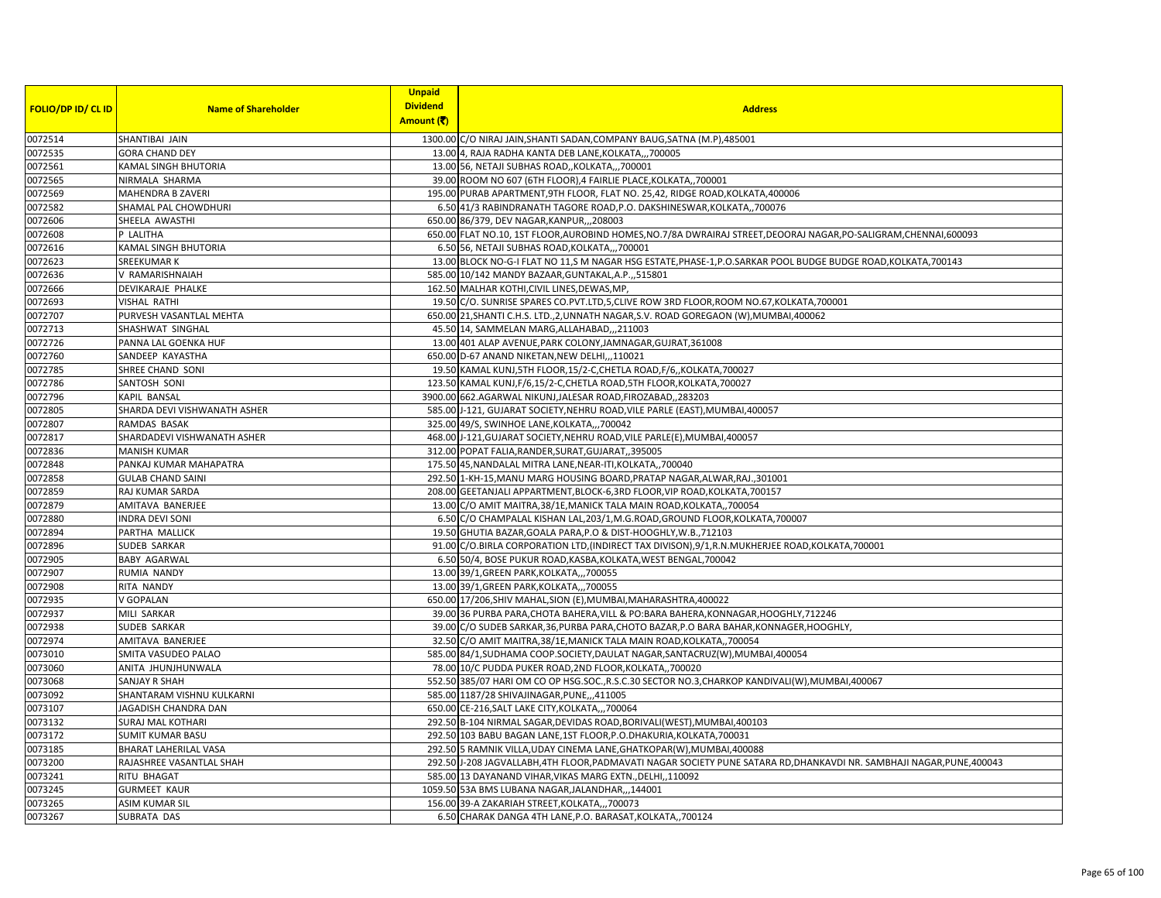|                           |                              | <b>Unpaid</b>   |                                                                                                                    |
|---------------------------|------------------------------|-----------------|--------------------------------------------------------------------------------------------------------------------|
| <b>FOLIO/DP ID/ CL ID</b> | <b>Name of Shareholder</b>   | <b>Dividend</b> | <b>Address</b>                                                                                                     |
|                           |                              | Amount (そ)      |                                                                                                                    |
| 0072514                   | SHANTIBAI JAIN               |                 | 1300.00 C/O NIRAJ JAIN, SHANTI SADAN, COMPANY BAUG, SATNA (M.P), 485001                                            |
| 0072535                   | <b>GORA CHAND DEY</b>        |                 | 13.00 4, RAJA RADHA KANTA DEB LANE, KOLKATA,,,700005                                                               |
| 0072561                   | KAMAL SINGH BHUTORIA         |                 | 13.00 56, NETAJI SUBHAS ROAD,, KOLKATA,,, 700001                                                                   |
| 0072565                   | NIRMALA SHARMA               |                 | 39.00 ROOM NO 607 (6TH FLOOR), 4 FAIRLIE PLACE, KOLKATA,, 700001                                                   |
| 0072569                   | MAHENDRA B ZAVERI            |                 | 195.00 PURAB APARTMENT, 9TH FLOOR, FLAT NO. 25,42, RIDGE ROAD, KOLKATA, 400006                                     |
| 0072582                   | <b>SHAMAL PAL CHOWDHURI</b>  |                 | 6.50 41/3 RABINDRANATH TAGORE ROAD, P.O. DAKSHINESWAR, KOLKATA,, 700076                                            |
| 0072606                   | SHEELA AWASTHI               |                 | 650.00 86/379, DEV NAGAR, KANPUR, ,, 208003                                                                        |
| 0072608                   | P LALITHA                    |                 | 650.00 FLAT NO.10, 1ST FLOOR, AUROBIND HOMES, NO.7/8A DWRAIRAJ STREET, DEOORAJ NAGAR, PO-SALIGRAM, CHENNAI, 600093 |
| 0072616                   | KAMAL SINGH BHUTORIA         |                 | 6.50 56, NETAJI SUBHAS ROAD, KOLKATA,,,700001                                                                      |
| 0072623                   | <b>SREEKUMAR K</b>           |                 | 13.00 BLOCK NO-G-I FLAT NO 11,S M NAGAR HSG ESTATE, PHASE-1, P.O.SARKAR POOL BUDGE BUDGE ROAD, KOLKATA, 700143     |
| 0072636                   | V RAMARISHNAIAH              |                 | 585.00 10/142 MANDY BAZAAR, GUNTAKAL, A.P., 515801                                                                 |
| 0072666                   | DEVIKARAJE PHALKE            |                 | 162.50 MALHAR KOTHI, CIVIL LINES, DEWAS, MP,                                                                       |
| 0072693                   | <b>VISHAL RATHI</b>          |                 | 19.50 C/O. SUNRISE SPARES CO.PVT.LTD,5,CLIVE ROW 3RD FLOOR,ROOM NO.67,KOLKATA,700001                               |
| 0072707                   | PURVESH VASANTLAL MEHTA      |                 | 650.00 21, SHANTI C.H.S. LTD., 2, UNNATH NAGAR, S.V. ROAD GOREGAON (W), MUMBAI, 400062                             |
| 0072713                   | SHASHWAT SINGHAL             |                 | 45.50 14, SAMMELAN MARG, ALLAHABAD, ,, 211003                                                                      |
| 0072726                   | PANNA LAL GOENKA HUF         |                 | 13.00 401 ALAP AVENUE, PARK COLONY, JAMNAGAR, GUJRAT, 361008                                                       |
| 0072760                   | SANDEEP KAYASTHA             |                 | 650.00 D-67 ANAND NIKETAN, NEW DELHI,,,110021                                                                      |
| 0072785                   | SHREE CHAND SONI             |                 | 19.50 KAMAL KUNJ, 5TH FLOOR, 15/2-C, CHETLA ROAD, F/6,, KOLKATA, 700027                                            |
| 0072786                   | SANTOSH SONI                 |                 | 123.50 KAMAL KUNJ, F/6, 15/2-C, CHETLA ROAD, 5TH FLOOR, KOLKATA, 700027                                            |
| 0072796                   | KAPIL BANSAL                 |                 | 3900.00 662.AGARWAL NIKUNJ,JALESAR ROAD,FIROZABAD,,283203                                                          |
| 0072805                   | SHARDA DEVI VISHWANATH ASHER |                 | 585.00 J-121, GUJARAT SOCIETY, NEHRU ROAD, VILE PARLE (EAST), MUMBAI, 400057                                       |
| 0072807                   | RAMDAS BASAK                 |                 | 325.00 49/S, SWINHOE LANE, KOLKATA,, 700042                                                                        |
| 0072817                   | SHARDADEVI VISHWANATH ASHER  |                 | 468.00 J-121, GUJARAT SOCIETY, NEHRU ROAD, VILE PARLE(E), MUMBAI, 400057                                           |
| 0072836                   | <b>MANISH KUMAR</b>          |                 | 312.00 POPAT FALIA, RANDER, SURAT, GUJARAT, 395005                                                                 |
| 0072848                   | PANKAJ KUMAR MAHAPATRA       |                 | 175.50 45, NANDALAL MITRA LANE, NEAR-ITI, KOLKATA,, 700040                                                         |
| 0072858                   | <b>GULAB CHAND SAINI</b>     |                 | 292.50 1-KH-15, MANU MARG HOUSING BOARD, PRATAP NAGAR, ALWAR, RAJ., 301001                                         |
| 0072859                   | RAJ KUMAR SARDA              |                 | 208.00 GEETANJALI APPARTMENT, BLOCK-6, 3RD FLOOR, VIP ROAD, KOLKATA, 700157                                        |
| 0072879                   | AMITAVA BANERJEE             |                 | 13.00 C/O AMIT MAITRA, 38/1E, MANICK TALA MAIN ROAD, KOLKATA,, 700054                                              |
| 0072880                   | <b>INDRA DEVI SONI</b>       |                 | 6.50 C/O CHAMPALAL KISHAN LAL, 203/1, M.G.ROAD, GROUND FLOOR, KOLKATA, 700007                                      |
| 0072894                   | PARTHA MALLICK               |                 | 19.50 GHUTIA BAZAR, GOALA PARA, P.O & DIST-HOOGHLY, W.B., 712103                                                   |
| 0072896                   | SUDEB SARKAR                 |                 | 91.00 C/O.BIRLA CORPORATION LTD, (INDIRECT TAX DIVISON), 9/1, R.N. MUKHERJEE ROAD, KOLKATA, 700001                 |
| 0072905                   | <b>BABY AGARWAL</b>          |                 | 6.50 50/4, BOSE PUKUR ROAD, KASBA, KOLKATA, WEST BENGAL, 700042                                                    |
| 0072907                   | <b>RUMIA NANDY</b>           |                 | 13.00 39/1, GREEN PARK, KOLKATA,  700055                                                                           |
| 0072908                   | RITA NANDY                   |                 | 13.00 39/1, GREEN PARK, KOLKATA,, ,700055                                                                          |
| 0072935                   | V GOPALAN                    |                 | 650.00 17/206, SHIV MAHAL, SION (E), MUMBAI, MAHARASHTRA, 400022                                                   |
| 0072937                   | MILI SARKAR                  |                 | 39.00 36 PURBA PARA, CHOTA BAHERA, VILL & PO: BARA BAHERA, KONNAGAR, HOOGHLY, 712246                               |
| 0072938                   | SUDEB SARKAR                 |                 | 39.00 C/O SUDEB SARKAR, 36, PURBA PARA, CHOTO BAZAR, P.O BARA BAHAR, KONNAGER, HOOGHLY,                            |
| 0072974                   | AMITAVA BANERJEE             |                 | 32.50 C/O AMIT MAITRA, 38/1E, MANICK TALA MAIN ROAD, KOLKATA, , 700054                                             |
| 0073010                   | SMITA VASUDEO PALAO          |                 | 585.00 84/1, SUDHAMA COOP.SOCIETY, DAULAT NAGAR, SANTACRUZ(W), MUMBAI, 400054                                      |
| 0073060                   | ANITA JHUNJHUNWALA           |                 | 78.00 10/C PUDDA PUKER ROAD, 2ND FLOOR, KOLKATA,, 700020                                                           |
| 0073068                   | <b>SANJAY R SHAH</b>         |                 | 552.50 385/07 HARI OM CO OP HSG.SOC., R.S.C.30 SECTOR NO.3, CHARKOP KANDIVALI(W), MUMBAI, 400067                   |
| 0073092                   | SHANTARAM VISHNU KULKARNI    |                 | 585.00 1187/28 SHIVAJINAGAR, PUNE,,,411005                                                                         |
| 0073107                   | JAGADISH CHANDRA DAN         |                 | 650.00 CE-216, SALT LAKE CITY, KOLKATA,,, 700064                                                                   |
| 0073132                   | <b>SURAJ MAL KOTHARI</b>     |                 | 292.50 B-104 NIRMAL SAGAR, DEVIDAS ROAD, BORIVALI (WEST), MUMBAI, 400103                                           |
| 0073172                   | <b>SUMIT KUMAR BASU</b>      |                 | 292.50 103 BABU BAGAN LANE, 1ST FLOOR, P.O.DHAKURIA, KOLKATA, 700031                                               |
| 0073185                   | <b>BHARAT LAHERILAL VASA</b> |                 | 292.50 5 RAMNIK VILLA, UDAY CINEMA LANE, GHATKOPAR(W), MUMBAI, 400088                                              |
| 0073200                   | RAJASHREE VASANTLAL SHAH     |                 | 292.50 J-208 JAGVALLABH,4TH FLOOR,PADMAVATI NAGAR SOCIETY PUNE SATARA RD,DHANKAVDI NR. SAMBHAJI NAGAR,PUNE,400043  |
| 0073241                   | RITU BHAGAT                  |                 | 585.00 13 DAYANAND VIHAR, VIKAS MARG EXTN., DELHI,, 110092                                                         |
| 0073245                   | <b>GURMEET KAUR</b>          |                 | 1059.50 53A BMS LUBANA NAGAR, JALANDHAR, ,, 144001                                                                 |
| 0073265                   | <b>ASIM KUMAR SIL</b>        |                 | 156.00 39-A ZAKARIAH STREET, KOLKATA,,,700073                                                                      |
| 0073267                   | SUBRATA DAS                  |                 | 6.50 CHARAK DANGA 4TH LANE, P.O. BARASAT, KOLKATA,, 700124                                                         |
|                           |                              |                 |                                                                                                                    |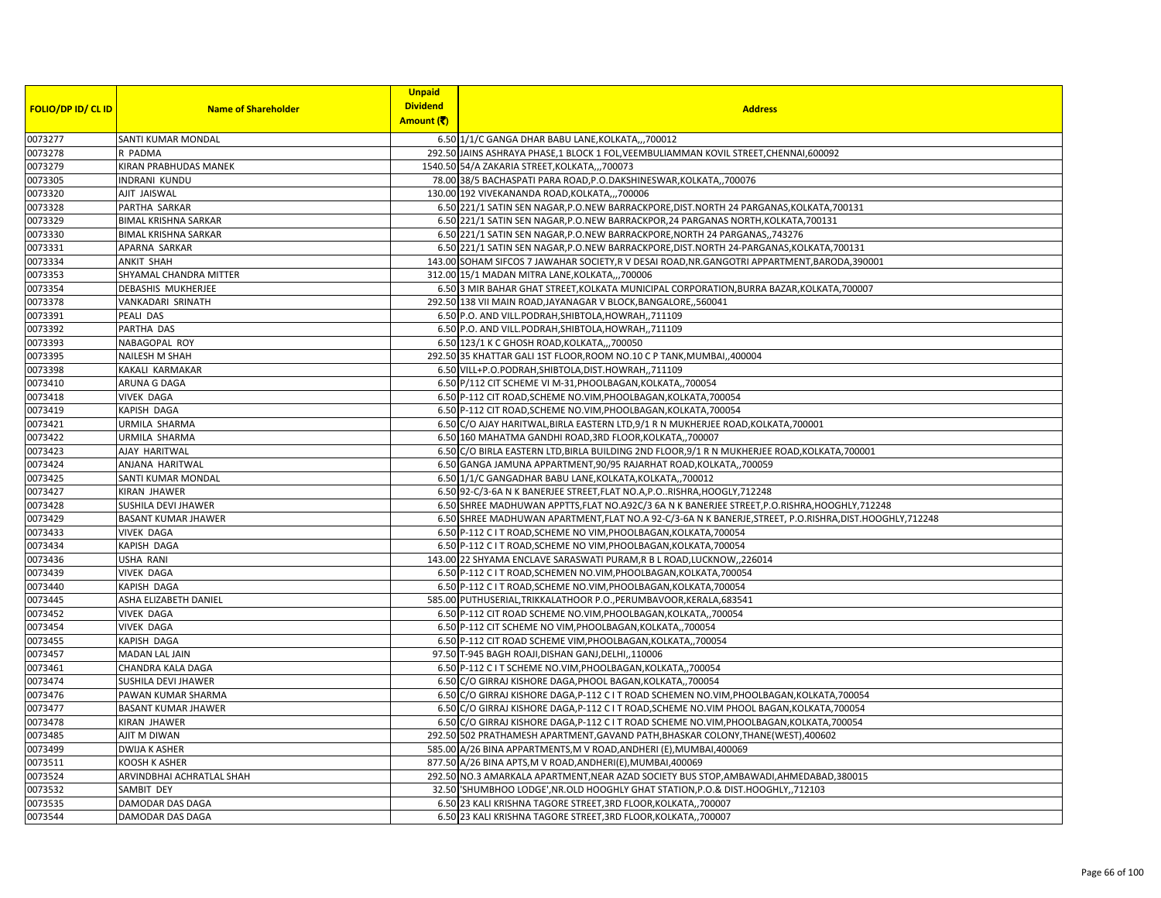| <b>FOLIO/DP ID/ CL ID</b> | <b>Name of Shareholder</b>  | <b>Unpaid</b><br><b>Dividend</b><br>Amount (そ) | <b>Address</b>                                                                                            |
|---------------------------|-----------------------------|------------------------------------------------|-----------------------------------------------------------------------------------------------------------|
| 0073277                   | SANTI KUMAR MONDAL          |                                                | 6.50 1/1/C GANGA DHAR BABU LANE, KOLKATA,,,700012                                                         |
| 0073278                   | R PADMA                     |                                                | 292.50 JAINS ASHRAYA PHASE,1 BLOCK 1 FOL, VEEMBULIAMMAN KOVIL STREET, CHENNAI, 600092                     |
| 0073279                   | KIRAN PRABHUDAS MANEK       |                                                | 1540.50 54/A ZAKARIA STREET, KOLKATA,,,700073                                                             |
| 0073305                   | <b>INDRANI KUNDU</b>        |                                                | 78.00 38/5 BACHASPATI PARA ROAD, P.O.DAKSHINESWAR, KOLKATA,, 700076                                       |
| 0073320                   | AJIT JAISWAL                |                                                | 130.00 192 VIVEKANANDA ROAD, KOLKATA,,,700006                                                             |
| 0073328                   | PARTHA SARKAR               |                                                | 6.50 221/1 SATIN SEN NAGAR, P.O.NEW BARRACKPORE, DIST. NORTH 24 PARGANAS, KOLKATA, 700131                 |
| 0073329                   | <b>BIMAL KRISHNA SARKAR</b> |                                                | 6.50 221/1 SATIN SEN NAGAR, P.O.NEW BARRACKPOR, 24 PARGANAS NORTH, KOLKATA, 700131                        |
| 0073330                   | <b>BIMAL KRISHNA SARKAR</b> |                                                | 6.50 221/1 SATIN SEN NAGAR, P.O.NEW BARRACKPORE, NORTH 24 PARGANAS, , 743276                              |
| 0073331                   | APARNA SARKAR               |                                                | 6.50 221/1 SATIN SEN NAGAR, P.O.NEW BARRACKPORE, DIST. NORTH 24-PARGANAS, KOLKATA, 700131                 |
| 0073334                   | <b>ANKIT SHAH</b>           |                                                | 143.00 SOHAM SIFCOS 7 JAWAHAR SOCIETY, R V DESAI ROAD, NR.GANGOTRI APPARTMENT, BARODA, 390001             |
| 0073353                   | SHYAMAL CHANDRA MITTER      |                                                | 312.00 15/1 MADAN MITRA LANE, KOLKATA,,,700006                                                            |
| 0073354                   | DEBASHIS MUKHERJEE          |                                                | 6.50 3 MIR BAHAR GHAT STREET, KOLKATA MUNICIPAL CORPORATION, BURRA BAZAR, KOLKATA, 700007                 |
| 0073378                   | VANKADARI SRINATH           |                                                | 292.50 138 VII MAIN ROAD, JAYANAGAR V BLOCK, BANGALORE, ,560041                                           |
| 0073391                   | PEALI DAS                   |                                                | 6.50 P.O. AND VILL.PODRAH, SHIBTOLA, HOWRAH, ,711109                                                      |
| 0073392                   | PARTHA DAS                  |                                                | 6.50 P.O. AND VILL.PODRAH, SHIBTOLA, HOWRAH, ,711109                                                      |
| 0073393                   | NABAGOPAL ROY               |                                                | 6.50 123/1 K C GHOSH ROAD, KOLKATA,,, 700050                                                              |
| 0073395                   | <b>NAILESH M SHAH</b>       |                                                | 292.50 35 KHATTAR GALI 1ST FLOOR, ROOM NO.10 C P TANK, MUMBAI, 400004                                     |
| 0073398                   | KAKALI KARMAKAR             |                                                | 6.50 VILL+P.O.PODRAH, SHIBTOLA, DIST.HOWRAH,, 711109                                                      |
| 0073410                   | ARUNA G DAGA                |                                                | 6.50 P/112 CIT SCHEME VI M-31, PHOOLBAGAN, KOLKATA,, 700054                                               |
| 0073418                   | <b>VIVEK DAGA</b>           |                                                | 6.50 P-112 CIT ROAD, SCHEME NO.VIM, PHOOLBAGAN, KOLKATA, 700054                                           |
| 0073419                   | KAPISH DAGA                 |                                                | 6.50 P-112 CIT ROAD, SCHEME NO.VIM, PHOOLBAGAN, KOLKATA, 700054                                           |
| 0073421                   | URMILA SHARMA               |                                                | 6.50 C/O AJAY HARITWAL, BIRLA EASTERN LTD, 9/1 R N MUKHERJEE ROAD, KOLKATA, 700001                        |
| 0073422                   | <b>URMILA SHARMA</b>        |                                                | 6.50 160 MAHATMA GANDHI ROAD, 3RD FLOOR, KOLKATA,, 700007                                                 |
| 0073423                   | AJAY HARITWAL               |                                                | 6.50 C/O BIRLA EASTERN LTD, BIRLA BUILDING 2ND FLOOR, 9/1 R N MUKHERJEE ROAD, KOLKATA, 700001             |
| 0073424                   | ANJANA HARITWAL             |                                                | 6.50 GANGA JAMUNA APPARTMENT, 90/95 RAJARHAT ROAD, KOLKATA, , 700059                                      |
| 0073425                   | SANTI KUMAR MONDAL          |                                                | 6.50 1/1/C GANGADHAR BABU LANE, KOLKATA, KOLKATA, ,700012                                                 |
| 0073427                   | <b>KIRAN JHAWER</b>         |                                                | 6.50 92-C/3-6A N K BANERJEE STREET, FLAT NO.A, P.ORISHRA, HOOGLY, 712248                                  |
| 0073428                   | SUSHILA DEVI JHAWER         |                                                | 6.50 SHREE MADHUWAN APPTTS, FLAT NO.A92C/3 6A N K BANERJEE STREET, P.O.RISHRA, HOOGHLY, 712248            |
| 0073429                   | <b>BASANT KUMAR JHAWER</b>  |                                                | 6.50 SHREE MADHUWAN APARTMENT, FLAT NO.A 92-C/3-6A N K BANERJE, STREET, P.O.RISHRA, DIST. HOOGHLY, 712248 |
| 0073433                   | <b>VIVEK DAGA</b>           |                                                | 6.50 P-112 C I T ROAD, SCHEME NO VIM, PHOOLBAGAN, KOLKATA, 700054                                         |
| 0073434                   | KAPISH DAGA                 |                                                | 6.50 P-112 C I T ROAD, SCHEME NO VIM, PHOOLBAGAN, KOLKATA, 700054                                         |
| 0073436                   | USHA RANI                   |                                                | 143.00 22 SHYAMA ENCLAVE SARASWATI PURAM, R B L ROAD, LUCKNOW, 226014                                     |
| 0073439                   | <b>VIVEK DAGA</b>           |                                                | 6.50 P-112 C I T ROAD, SCHEMEN NO. VIM, PHOOLBAGAN, KOLKATA, 700054                                       |
| 0073440                   | KAPISH DAGA                 |                                                | 6.50 P-112 C I T ROAD, SCHEME NO. VIM, PHOOLBAGAN, KOLKATA, 700054                                        |
| 0073445                   | ASHA ELIZABETH DANIEL       |                                                | 585.00 PUTHUSERIAL, TRIKKALATHOOR P.O., PERUMBAVOOR, KERALA, 683541                                       |
| 0073452                   | <b>VIVEK DAGA</b>           |                                                | 6.50 P-112 CIT ROAD SCHEME NO.VIM, PHOOLBAGAN, KOLKATA,, 700054                                           |
| 0073454                   | <b>VIVEK DAGA</b>           |                                                | 6.50 P-112 CIT SCHEME NO VIM, PHOOLBAGAN, KOLKATA,, 700054                                                |
| 0073455                   | KAPISH DAGA                 |                                                | 6.50 P-112 CIT ROAD SCHEME VIM, PHOOLBAGAN, KOLKATA, ,700054                                              |
| 0073457                   | MADAN LAL JAIN              |                                                | 97.50 T-945 BAGH ROAJI, DISHAN GANJ, DELHI,, 110006                                                       |
| 0073461                   | CHANDRA KALA DAGA           |                                                | 6.50 P-112 C I T SCHEME NO.VIM, PHOOLBAGAN, KOLKATA, ,700054                                              |
| 0073474                   | SUSHILA DEVI JHAWER         |                                                | 6.50 C/O GIRRAJ KISHORE DAGA, PHOOL BAGAN, KOLKATA,, 700054                                               |
| 0073476                   | PAWAN KUMAR SHARMA          |                                                | 6.50 C/O GIRRAJ KISHORE DAGA, P-112 C I T ROAD SCHEMEN NO. VIM, PHOOLBAGAN, KOLKATA, 700054               |
| 0073477                   | <b>BASANT KUMAR JHAWER</b>  |                                                | 6.50 C/O GIRRAJ KISHORE DAGA, P-112 C I T ROAD, SCHEME NO. VIM PHOOL BAGAN, KOLKATA, 700054               |
| 0073478                   | KIRAN JHAWER                |                                                | 6.50 C/O GIRRAJ KISHORE DAGA, P-112 C I T ROAD SCHEME NO. VIM, PHOOLBAGAN, KOLKATA, 700054                |
| 0073485                   | AJIT M DIWAN                |                                                | 292.50 502 PRATHAMESH APARTMENT, GAVAND PATH, BHASKAR COLONY, THANE(WEST), 400602                         |
| 0073499                   | <b>DWIJA K ASHER</b>        |                                                | 585.00 A/26 BINA APPARTMENTS, M V ROAD, ANDHERI (E), MUMBAI, 400069                                       |
| 0073511                   | KOOSH K ASHER               |                                                | 877.50 A/26 BINA APTS, M V ROAD, ANDHERI(E), MUMBAI, 400069                                               |
| 0073524                   | ARVINDBHAI ACHRATLAL SHAH   |                                                | 292.50 NO.3 AMARKALA APARTMENT, NEAR AZAD SOCIETY BUS STOP, AMBAWADI, AHMEDABAD, 380015                   |
| 0073532                   | SAMBIT DEY                  |                                                | 32.50 SHUMBHOO LODGE', NR.OLD HOOGHLY GHAT STATION, P.O.& DIST.HOOGHLY,, 712103                           |
| 0073535                   | DAMODAR DAS DAGA            |                                                | 6.50 23 KALI KRISHNA TAGORE STREET, 3RD FLOOR, KOLKATA,, 700007                                           |
| 0073544                   | DAMODAR DAS DAGA            |                                                | 6.50 23 KALI KRISHNA TAGORE STREET, 3RD FLOOR, KOLKATA,, 700007                                           |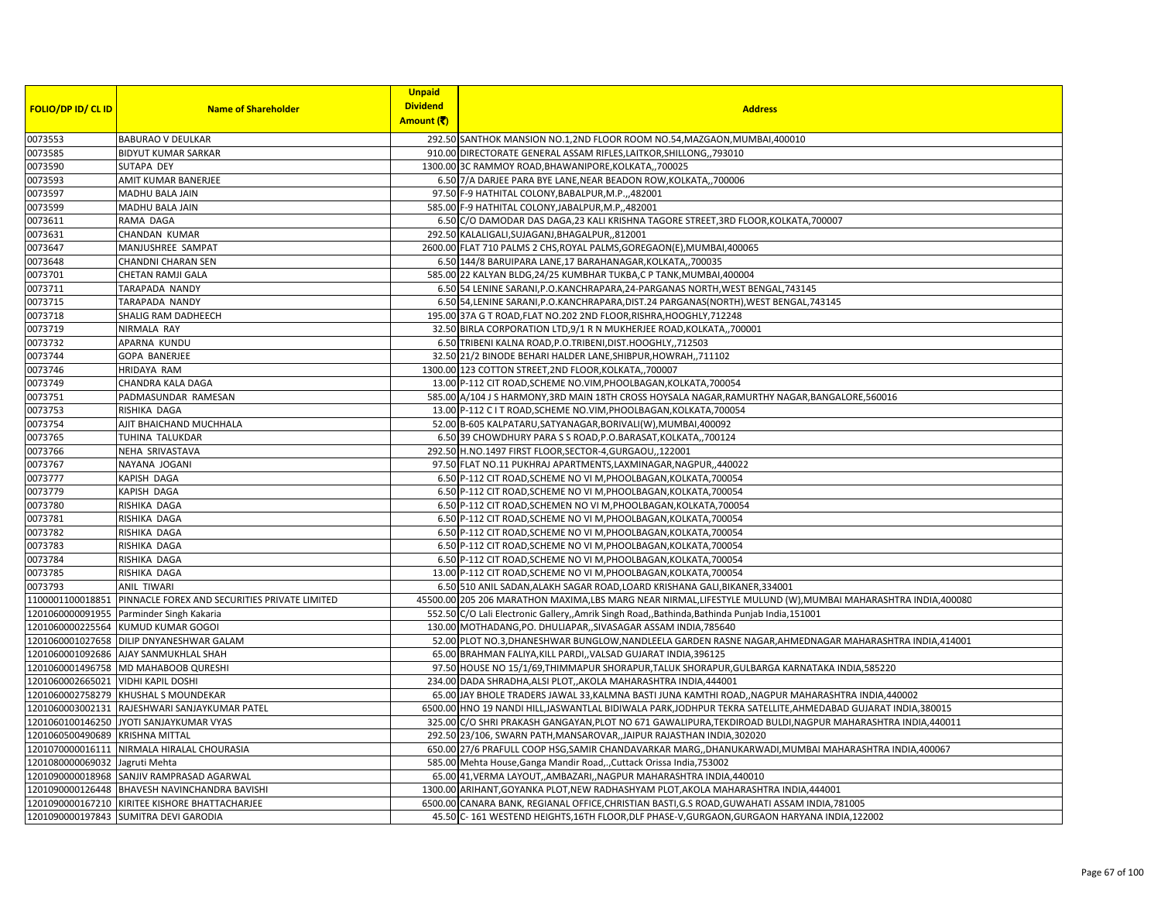|                                |                                                                | <b>Unpaid</b>   |                                                                                                              |
|--------------------------------|----------------------------------------------------------------|-----------------|--------------------------------------------------------------------------------------------------------------|
| <b>FOLIO/DP ID/ CL ID</b>      | <b>Name of Shareholder</b>                                     | <b>Dividend</b> | <b>Address</b>                                                                                               |
|                                |                                                                | Amount (そ)      |                                                                                                              |
| 0073553                        | <b>BABURAO V DEULKAR</b>                                       |                 | 292.50 SANTHOK MANSION NO.1,2ND FLOOR ROOM NO.54, MAZGAON, MUMBAI, 400010                                    |
| 0073585                        | <b>BIDYUT KUMAR SARKAR</b>                                     |                 | 910.00 DIRECTORATE GENERAL ASSAM RIFLES, LAITKOR, SHILLONG, 793010                                           |
| 0073590                        | SUTAPA DEY                                                     |                 | 1300.00 3C RAMMOY ROAD, BHAWANIPORE, KOLKATA,, 700025                                                        |
| 0073593                        | AMIT KUMAR BANERJEE                                            |                 | 6.50 7/A DARJEE PARA BYE LANE, NEAR BEADON ROW, KOLKATA,, 700006                                             |
| 0073597                        | MADHU BALA JAIN                                                |                 | 97.50 F-9 HATHITAL COLONY, BABALPUR, M.P., 482001                                                            |
| 0073599                        | <b>MADHU BALA JAIN</b>                                         |                 | 585.00 F-9 HATHITAL COLONY, JABALPUR, M.P., 482001                                                           |
| 0073611                        | RAMA DAGA                                                      |                 | 6.50 C/O DAMODAR DAS DAGA, 23 KALI KRISHNA TAGORE STREET, 3RD FLOOR, KOLKATA, 700007                         |
| 0073631                        | CHANDAN KUMAR                                                  |                 | 292.50 KALALIGALI, SUJAGANJ, BHAGALPUR,, 812001                                                              |
| 0073647                        | MANJUSHREE SAMPAT                                              |                 | 2600.00 FLAT 710 PALMS 2 CHS, ROYAL PALMS, GOREGAON(E), MUMBAI, 400065                                       |
| 0073648                        | CHANDNI CHARAN SEN                                             |                 | 6.50 144/8 BARUIPARA LANE, 17 BARAHANAGAR, KOLKATA,, 700035                                                  |
| 0073701                        | CHETAN RAMJI GALA                                              |                 | 585.00 22 KALYAN BLDG, 24/25 KUMBHAR TUKBA, C P TANK, MUMBAI, 400004                                         |
| 0073711                        | TARAPADA NANDY                                                 |                 | 6.50 54 LENINE SARANI, P.O. KANCHRAPARA, 24-PARGANAS NORTH, WEST BENGAL, 743145                              |
| 0073715                        | TARAPADA NANDY                                                 |                 | 6.50 54, LENINE SARANI, P.O.KANCHRAPARA, DIST.24 PARGANAS (NORTH), WEST BENGAL, 743145                       |
| 0073718                        | SHALIG RAM DADHEECH                                            |                 | 195.00 37A G T ROAD, FLAT NO.202 2ND FLOOR, RISHRA, HOOGHLY, 712248                                          |
| 0073719                        | NIRMALA RAY                                                    |                 | 32.50 BIRLA CORPORATION LTD, 9/1 R N MUKHERJEE ROAD, KOLKATA, 700001                                         |
| 0073732                        | APARNA KUNDU                                                   |                 | 6.50 TRIBENI KALNA ROAD, P.O.TRIBENI, DIST.HOOGHLY,, 712503                                                  |
| 0073744                        | <b>GOPA BANERJEE</b>                                           |                 | 32.50 21/2 BINODE BEHARI HALDER LANE, SHIBPUR, HOWRAH,, 711102                                               |
| 0073746                        | <b>HRIDAYA RAM</b>                                             |                 | 1300.00 123 COTTON STREET, 2ND FLOOR, KOLKATA,, 700007                                                       |
| 0073749                        | CHANDRA KALA DAGA                                              |                 | 13.00 P-112 CIT ROAD, SCHEME NO.VIM, PHOOLBAGAN, KOLKATA, 700054                                             |
| 0073751                        | PADMASUNDAR RAMESAN                                            |                 | 585.00 A/104 J S HARMONY, 3RD MAIN 18TH CROSS HOYSALA NAGAR, RAMURTHY NAGAR, BANGALORE, 560016               |
| 0073753                        | RISHIKA DAGA                                                   |                 | 13.00 P-112 C I T ROAD, SCHEME NO. VIM, PHOOLBAGAN, KOLKATA, 700054                                          |
| 0073754                        | AJIT BHAICHAND MUCHHALA                                        |                 | 52.00 B-605 KALPATARU, SATYANAGAR, BORIVALI(W), MUMBAI, 400092                                               |
| 0073765                        | TUHINA TALUKDAR                                                |                 | 6.50 39 CHOWDHURY PARA S S ROAD, P.O.BARASAT, KOLKATA, ,700124                                               |
| 0073766                        | NEHA SRIVASTAVA                                                |                 | 292.50 H.NO.1497 FIRST FLOOR, SECTOR-4, GURGAOU, 122001                                                      |
| 0073767                        | NAYANA JOGANI                                                  |                 | 97.50 FLAT NO.11 PUKHRAJ APARTMENTS, LAXMINAGAR, NAGPUR, 440022                                              |
| 0073777                        | KAPISH DAGA                                                    |                 | 6.50 P-112 CIT ROAD, SCHEME NO VI M, PHOOLBAGAN, KOLKATA, 700054                                             |
| 0073779                        | KAPISH DAGA                                                    |                 | 6.50 P-112 CIT ROAD, SCHEME NO VI M, PHOOLBAGAN, KOLKATA, 700054                                             |
| 0073780                        | RISHIKA DAGA                                                   |                 | 6.50 P-112 CIT ROAD, SCHEMEN NO VI M, PHOOLBAGAN, KOLKATA, 700054                                            |
| 0073781                        | RISHIKA DAGA                                                   |                 | 6.50 P-112 CIT ROAD, SCHEME NO VI M, PHOOLBAGAN, KOLKATA, 700054                                             |
| 0073782                        | RISHIKA DAGA                                                   |                 | 6.50 P-112 CIT ROAD, SCHEME NO VI M, PHOOLBAGAN, KOLKATA, 700054                                             |
| 0073783                        | RISHIKA DAGA                                                   |                 | 6.50 P-112 CIT ROAD, SCHEME NO VI M, PHOOLBAGAN, KOLKATA, 700054                                             |
| 0073784                        | RISHIKA DAGA                                                   |                 | 6.50 P-112 CIT ROAD, SCHEME NO VI M, PHOOLBAGAN, KOLKATA, 700054                                             |
| 0073785                        | RISHIKA DAGA                                                   |                 | 13.00 P-112 CIT ROAD, SCHEME NO VI M, PHOOLBAGAN, KOLKATA, 700054                                            |
| 0073793                        | <b>ANIL TIWARI</b>                                             |                 | 6.50 510 ANIL SADAN, ALAKH SAGAR ROAD, LOARD KRISHANA GALI, BIKANER, 334001                                  |
|                                | 1100001100018851 PINNACLE FOREX AND SECURITIES PRIVATE LIMITED |                 | 45500.00 205 206 MARATHON MAXIMA,LBS MARG NEAR NIRMAL,LIFESTYLE MULUND (W), MUMBAI MAHARASHTRA INDIA, 400080 |
|                                | 1201060000091955 Parminder Singh Kakaria                       |                 | 552.50 C/O Lali Electronic Gallery,,Amrik Singh Road,,Bathinda,Bathinda Punjab India,151001                  |
|                                | 1201060000225564 KUMUD KUMAR GOGOI                             |                 | 130.00 MOTHADANG, PO. DHULIAPAR, SIVASAGAR ASSAM INDIA, 785640                                               |
|                                | 1201060001027658 DILIP DNYANESHWAR GALAM                       |                 | 52.00 PLOT NO.3, DHANESHWAR BUNGLOW, NANDLEELA GARDEN RASNE NAGAR, AHMEDNAGAR MAHARASHTRA INDIA, 414001      |
|                                | 1201060001092686 AJAY SANMUKHLAL SHAH                          |                 | 65.00 BRAHMAN FALIYA, KILL PARDI,, VALSAD GUJARAT INDIA, 396125                                              |
|                                | 1201060001496758 MD MAHABOOB QURESHI                           |                 | 97.50 HOUSE NO 15/1/69, THIMMAPUR SHORAPUR, TALUK SHORAPUR, GULBARGA KARNATAKA INDIA, 585220                 |
| 1201060002665021               | <b>VIDHI KAPIL DOSHI</b>                                       |                 | 234.00 DADA SHRADHA, ALSI PLOT,, AKOLA MAHARASHTRA INDIA, 444001                                             |
|                                | 1201060002758279 KHUSHAL S MOUNDEKAR                           |                 | 65.00 JAY BHOLE TRADERS JAWAL 33, KALMNA BASTI JUNA KAMTHI ROAD, , NAGPUR MAHARASHTRA INDIA, 440002          |
|                                | 1201060003002131 RAJESHWARI SANJAYKUMAR PATEL                  |                 | 6500.00 HNO 19 NANDI HILL,JASWANTLAL BIDIWALA PARK,JODHPUR TEKRA SATELLITE,AHMEDABAD GUJARAT INDIA,380015    |
| 1201060100146250               | JYOTI SANJAYKUMAR VYAS                                         |                 | 325.00 C/O SHRI PRAKASH GANGAYAN, PLOT NO 671 GAWALIPURA, TEKDIROAD BULDI, NAGPUR MAHARASHTRA INDIA, 440011  |
| 1201060500490689               | <b>KRISHNA MITTAL</b>                                          |                 | 292.50 23/106, SWARN PATH, MANSAROVAR, , JAIPUR RAJASTHAN INDIA, 302020                                      |
|                                | 1201070000016111 NIRMALA HIRALAL CHOURASIA                     |                 | 650.00 27/6 PRAFULL COOP HSG, SAMIR CHANDAVARKAR MARG, , DHANUKARWADI, MUMBAI MAHARASHTRA INDIA, 400067      |
| 1201080000069032 Jagruti Mehta |                                                                |                 | 585.00 Mehta House, Ganga Mandir Road,., Cuttack Orissa India, 753002                                        |
|                                | 1201090000018968 SANJIV RAMPRASAD AGARWAL                      |                 | 65.00 41, VERMA LAYOUT, AMBAZARI, , NAGPUR MAHARASHTRA INDIA, 440010                                         |
|                                | 1201090000126448 BHAVESH NAVINCHANDRA BAVISHI                  |                 | 1300.00 ARIHANT, GOYANKA PLOT, NEW RADHASHYAM PLOT, AKOLA MAHARASHTRA INDIA, 444001                          |
|                                | 1201090000167210 KIRITEE KISHORE BHATTACHARJEE                 |                 | 6500.00 CANARA BANK, REGIANAL OFFICE, CHRISTIAN BASTI, G.S ROAD, GUWAHATI ASSAM INDIA, 781005                |
|                                | 1201090000197843 SUMITRA DEVI GARODIA                          |                 | 45.50 C-161 WESTEND HEIGHTS, 16TH FLOOR, DLF PHASE-V, GURGAON, GURGAON HARYANA INDIA, 122002                 |
|                                |                                                                |                 |                                                                                                              |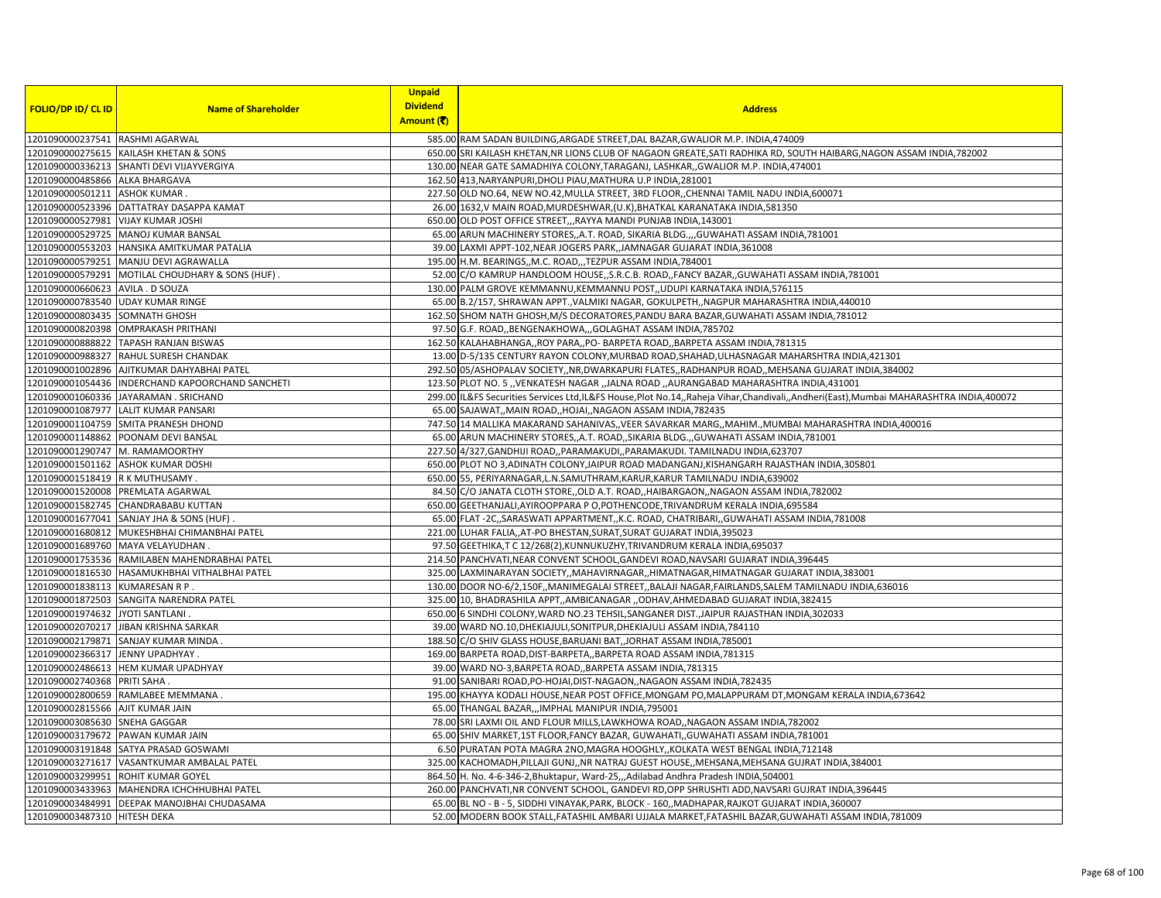|                                    |                                                                                     | <b>Unpaid</b>                 |                                                                                                                                                                                       |
|------------------------------------|-------------------------------------------------------------------------------------|-------------------------------|---------------------------------------------------------------------------------------------------------------------------------------------------------------------------------------|
| <b>FOLIO/DP ID/ CL ID</b>          | <b>Name of Shareholder</b>                                                          | <b>Dividend</b><br>Amount (₹) | <b>Address</b>                                                                                                                                                                        |
|                                    |                                                                                     |                               |                                                                                                                                                                                       |
| 1201090000237541 RASHMI AGARWAL    |                                                                                     |                               | 585.00 RAM SADAN BUILDING, ARGADE STREET, DAL BAZAR, GWALIOR M.P. INDIA, 474009                                                                                                       |
|                                    | 1201090000275615 KAILASH KHETAN & SONS                                              |                               | 650.00 SRI KAILASH KHETAN, NR LIONS CLUB OF NAGAON GREATE, SATI RADHIKA RD, SOUTH HAIBARG, NAGON ASSAM INDIA, 782002                                                                  |
|                                    | 1201090000336213 SHANTI DEVI VIJAYVERGIYA                                           |                               | 130.00 NEAR GATE SAMADHIYA COLONY, TARAGANJ, LASHKAR, , GWALIOR M.P. INDIA, 474001                                                                                                    |
| 1201090000485866 ALKA BHARGAVA     |                                                                                     |                               | 162.50 413, NARYANPURI, DHOLI PIAU, MATHURA U.P INDIA, 281001                                                                                                                         |
| 1201090000501211 ASHOK KUMAR.      |                                                                                     |                               | 227.50 OLD NO.64, NEW NO.42, MULLA STREET, 3RD FLOOR, CHENNAI TAMIL NADU INDIA, 600071                                                                                                |
|                                    | 1201090000523396 DATTATRAY DASAPPA KAMAT                                            |                               | 26.00 1632, V MAIN ROAD, MURDESHWAR, (U.K), BHATKAL KARANATAKA INDIA, 581350                                                                                                          |
| 1201090000527981 VIJAY KUMAR JOSHI |                                                                                     |                               | 650.00 OLD POST OFFICE STREET,,,RAYYA MANDI PUNJAB INDIA,143001                                                                                                                       |
|                                    | 1201090000529725 MANOJ KUMAR BANSAL                                                 |                               | 65.00 ARUN MACHINERY STORES,,A.T. ROAD, SIKARIA BLDG.,,,GUWAHATI ASSAM INDIA,781001                                                                                                   |
|                                    | 1201090000553203 HANSIKA AMITKUMAR PATALIA                                          |                               | 39.00 LAXMI APPT-102, NEAR JOGERS PARK,, JAMNAGAR GUJARAT INDIA, 361008                                                                                                               |
|                                    | 1201090000579251 MANJU DEVI AGRAWALLA                                               |                               | 195.00 H.M. BEARINGS,,M.C. ROAD,,,TEZPUR ASSAM INDIA,784001                                                                                                                           |
|                                    | 1201090000579291   MOTILAL CHOUDHARY & SONS (HUF)                                   |                               | 52.00 C/O KAMRUP HANDLOOM HOUSE, S.R.C.B. ROAD, FANCY BAZAR, GUWAHATI ASSAM INDIA, 781001                                                                                             |
| 1201090000660623 AVILA . D SOUZA   |                                                                                     |                               | 130.00 PALM GROVE KEMMANNU, KEMMANNU POST,, UDUPI KARNATAKA INDIA, 576115                                                                                                             |
|                                    | 1201090000783540 UDAY KUMAR RINGE                                                   |                               | 65.00 B.2/157, SHRAWAN APPT., VALMIKI NAGAR, GOKULPETH, , NAGPUR MAHARASHTRA INDIA, 440010                                                                                            |
| 1201090000803435 SOMNATH GHOSH     |                                                                                     |                               | 162.50 SHOM NATH GHOSH, M/S DECORATORES, PANDU BARA BAZAR, GUWAHATI ASSAM INDIA, 781012                                                                                               |
|                                    | 1201090000820398 OMPRAKASH PRITHANI                                                 |                               | 97.50 G.F. ROAD, BENGENAKHOWA, , GOLAGHAT ASSAM INDIA, 785702                                                                                                                         |
|                                    | 1201090000888822 TAPASH RANJAN BISWAS                                               |                               | 162.50 KALAHABHANGA,, ROY PARA,, PO- BARPETA ROAD,, BARPETA ASSAM INDIA, 781315                                                                                                       |
|                                    | 1201090000988327 RAHUL SURESH CHANDAK                                               |                               | 13.00 D-5/135 CENTURY RAYON COLONY, MURBAD ROAD, SHAHAD, ULHASNAGAR MAHARSHTRA INDIA, 421301                                                                                          |
|                                    | 1201090001002896 AJITKUMAR DAHYABHAI PATEL                                          |                               | 292.50 05/ASHOPALAV SOCIETY, NR, DWARKAPURI FLATES, , RADHANPUR ROAD, , MEHSANA GUJARAT INDIA, 384002                                                                                 |
|                                    | 1201090001054436 INDERCHAND KAPOORCHAND SANCHETI                                    |                               | 123.50 PLOT NO. 5 "VENKATESH NAGAR "JALNA ROAD "AURANGABAD MAHARASHTRA INDIA,431001                                                                                                   |
|                                    | 1201090001060336 JAYARAMAN. SRICHAND                                                |                               | 299.00 IL&FS Securities Services Ltd,IL&FS House,Plot No.14,,Raheja Vihar,Chandivali,,Andheri(East),Mumbai MAHARASHTRA INDIA,400072                                                   |
|                                    | 1201090001087977 LALIT KUMAR PANSARI                                                |                               | 65.00 SAJAWAT,, MAIN ROAD,, HOJAI,, NAGAON ASSAM INDIA, 782435                                                                                                                        |
|                                    | 1201090001104759 SMITA PRANESH DHOND                                                |                               | 747.50 14 MALLIKA MAKARAND SAHANIVAS,, VEER SAVARKAR MARG,, MAHIM., MUMBAI MAHARASHTRA INDIA, 400016                                                                                  |
|                                    | 1201090001148862 POONAM DEVI BANSAL                                                 |                               | 65.00 ARUN MACHINERY STORES, A.T. ROAD, SIKARIA BLDG., GUWAHATI ASSAM INDIA, 781001                                                                                                   |
| 1201090001290747 M. RAMAMOORTHY    |                                                                                     |                               | 227.50 4/327, GANDHIJI ROAD, , PARAMAKUDI, , PARAMAKUDI. TAMILNADU INDIA, 623707                                                                                                      |
|                                    | 1201090001501162 ASHOK KUMAR DOSHI                                                  |                               | 650.00 PLOT NO 3, ADINATH COLONY, JAIPUR ROAD MADANGANJ, KISHANGARH RAJASTHAN INDIA, 305801                                                                                           |
| 1201090001518419 R K MUTHUSAMY.    |                                                                                     |                               | 650.00 55, PERIYARNAGAR, L.N.SAMUTHRAM, KARUR, KARUR TAMILNADU INDIA, 639002                                                                                                          |
|                                    | 1201090001520008 PREMLATA AGARWAL                                                   |                               | 84.50 C/O JANATA CLOTH STORE, OLD A.T. ROAD, HAIBARGAON, NAGAON ASSAM INDIA, 782002                                                                                                   |
|                                    | 1201090001582745 CHANDRABABU KUTTAN                                                 |                               | 650.00 GEETHANJALI, AYIROOPPARA P O, POTHENCODE, TRIVANDRUM KERALA INDIA, 695584                                                                                                      |
|                                    | 1201090001677041 SANJAY JHA & SONS (HUF)                                            |                               | 65.00 FLAT -2C,,SARASWATI APPARTMENT,,K.C. ROAD, CHATRIBARI,,GUWAHATI ASSAM INDIA,781008                                                                                              |
|                                    | 1201090001680812 MUKESHBHAI CHIMANBHAI PATEL                                        |                               | 221.00 LUHAR FALIA, AT-PO BHESTAN, SURAT, SURAT GUJARAT INDIA, 395023                                                                                                                 |
|                                    | 1201090001689760 MAYA VELAYUDHAN                                                    |                               | 97.50 GEETHIKA,T C 12/268(2), KUNNUKUZHY, TRIVANDRUM KERALA INDIA, 695037                                                                                                             |
|                                    | 1201090001753536 RAMILABEN MAHENDRABHAI PATEL                                       |                               | 214.50 PANCHVATI, NEAR CONVENT SCHOOL, GANDEVI ROAD, NAVSARI GUJARAT INDIA, 396445                                                                                                    |
|                                    | 1201090001816530 HASAMUKHBHAI VITHALBHAI PATEL                                      |                               | 325.00 LAXMINARAYAN SOCIETY,,MAHAVIRNAGAR,,HIMATNAGAR,HIMATNAGAR GUJARAT INDIA,383001                                                                                                 |
| 1201090001838113 KUMARESAN R P.    |                                                                                     |                               | 130.00 DOOR NO-6/2,150F,,MANIMEGALAI STREET,,BALAJI NAGAR,FAIRLANDS,SALEM TAMILNADU INDIA,636016                                                                                      |
|                                    | 1201090001872503 SANGITA NARENDRA PATEL                                             |                               | 325.00 10, BHADRASHILA APPT,,AMBICANAGAR ,,ODHAV,AHMEDABAD GUJARAT INDIA,382415                                                                                                       |
| 1201090001974632 JYOTI SANTLANI    | 1201090002070217 JIBAN KRISHNA SARKAR                                               |                               | 650.00 6 SINDHI COLONY, WARD NO.23 TEHSIL, SANGANER DIST., JAIPUR RAJASTHAN INDIA, 302033<br>39.00 WARD NO.10, DHEKIAJULI, SONITPUR, DHEKIAJULI ASSAM INDIA, 784110                   |
|                                    | 1201090002179871 SANJAY KUMAR MINDA.                                                |                               | 188.50 C/O SHIV GLASS HOUSE, BARUANI BAT, JORHAT ASSAM INDIA, 785001                                                                                                                  |
| 1201090002366317 JENNY UPADHYAY.   |                                                                                     |                               | 169.00 BARPETA ROAD, DIST-BARPETA,, BARPETA ROAD ASSAM INDIA, 781315                                                                                                                  |
|                                    | 1201090002486613 HEM KUMAR UPADHYAY                                                 |                               |                                                                                                                                                                                       |
|                                    |                                                                                     |                               | 39.00 WARD NO-3, BARPETA ROAD, , BARPETA ASSAM INDIA, 781315<br>91.00 SANIBARI ROAD, PO-HOJAI, DIST-NAGAON, , NAGAON ASSAM INDIA, 782435                                              |
| 1201090002740368 PRITI SAHA        | 1201090002800659 RAMLABEE MEMMANA.                                                  |                               | 195.00 KHAYYA KODALI HOUSE, NEAR POST OFFICE, MONGAM PO, MALAPPURAM DT, MONGAM KERALA INDIA, 673642                                                                                   |
|                                    |                                                                                     |                               |                                                                                                                                                                                       |
| 1201090002815566 AJIT KUMAR JAIN   |                                                                                     |                               | 65.00 THANGAL BAZAR,,,IMPHAL MANIPUR INDIA, 795001                                                                                                                                    |
| 1201090003085630 SNEHA GAGGAR      |                                                                                     |                               | 78.00 SRI LAXMI OIL AND FLOUR MILLS, LAWKHOWA ROAD,, NAGAON ASSAM INDIA, 782002                                                                                                       |
|                                    | 1201090003179672 PAWAN KUMAR JAIN                                                   |                               | 65.00 SHIV MARKET, 1ST FLOOR, FANCY BAZAR, GUWAHATI, GUWAHATI ASSAM INDIA, 781001                                                                                                     |
|                                    | 1201090003191848 SATYA PRASAD GOSWAMI<br>1201090003271617 VASANTKUMAR AMBALAL PATEL |                               | 6.50 PURATAN POTA MAGRA 2NO, MAGRA HOOGHLY, , KOLKATA WEST BENGAL INDIA, 712148                                                                                                       |
|                                    | 1201090003299951 ROHIT KUMAR GOYEL                                                  |                               | 325.00 KACHOMADH, PILLAJI GUNJ, ,NR NATRAJ GUEST HOUSE, ,MEHSANA, MEHSANA GUJRAT INDIA, 384001<br>864.50 H. No. 4-6-346-2, Bhuktapur, Ward-25, "Adilabad Andhra Pradesh INDIA, 504001 |
|                                    | 1201090003433963 MAHENDRA ICHCHHUBHAI PATEL                                         |                               | 260.00 PANCHVATI, NR CONVENT SCHOOL, GANDEVI RD, OPP SHRUSHTI ADD, NAVSARI GUJRAT INDIA, 396445                                                                                       |
|                                    | 1201090003484991 DEEPAK MANOJBHAI CHUDASAMA                                         |                               | 65.00 BL NO - B - 5, SIDDHI VINAYAK, PARK, BLOCK - 160, MADHAPAR, RAJKOT GUJARAT INDIA, 360007                                                                                        |
| 1201090003487310 HITESH DEKA       |                                                                                     |                               | 52.00 MODERN BOOK STALL, FATASHIL AMBARI UJJALA MARKET, FATASHIL BAZAR, GUWAHATI ASSAM INDIA, 781009                                                                                  |
|                                    |                                                                                     |                               |                                                                                                                                                                                       |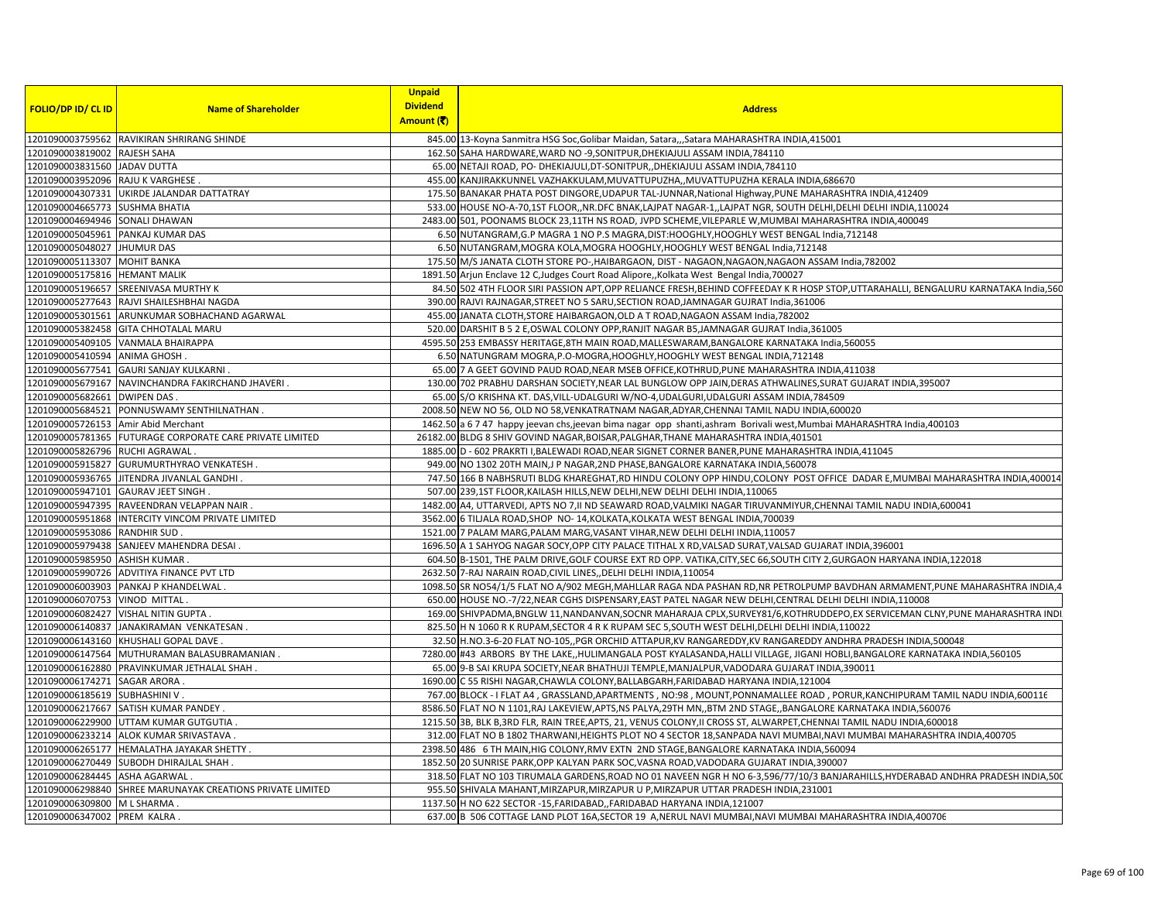|                                   |                                                            | <b>Unpaid</b>   |                                                                                                                                          |
|-----------------------------------|------------------------------------------------------------|-----------------|------------------------------------------------------------------------------------------------------------------------------------------|
| <b>FOLIO/DP ID/ CL ID</b>         | <b>Name of Shareholder</b>                                 | <b>Dividend</b> | <b>Address</b>                                                                                                                           |
|                                   |                                                            | Amount (そ)      |                                                                                                                                          |
|                                   | 1201090003759562 RAVIKIRAN SHRIRANG SHINDE                 |                 | 845.00 13-Koyna Sanmitra HSG Soc, Golibar Maidan, Satara,,,Satara MAHARASHTRA INDIA, 415001                                              |
| L201090003819002 RAJESH SAHA      |                                                            |                 | 162.50 SAHA HARDWARE, WARD NO -9, SONITPUR, DHEKIAJULI ASSAM INDIA, 784110                                                               |
| 1201090003831560 JADAV DUTTA      |                                                            |                 | 65.00 NETAJI ROAD, PO- DHEKIAJULI, DT-SONITPUR, , DHEKIAJULI ASSAM INDIA, 784110                                                         |
| 1201090003952096 RAJU K VARGHESE. |                                                            |                 | 455.00 KANJIRAKKUNNEL VAZHAKKULAM, MUVATTUPUZHA, , MUVATTUPUZHA KERALA INDIA, 686670                                                     |
|                                   | 1201090004307331 UKIRDE JALANDAR DATTATRAY                 |                 | 175.50 BANAKAR PHATA POST DINGORE, UDAPUR TAL-JUNNAR, National Highway, PUNE MAHARASHTRA INDIA, 412409                                   |
| 1201090004665773 SUSHMA BHATIA    |                                                            |                 | 533.00 HOUSE NO-A-70,1ST FLOOR,, NR. DFC BNAK, LAJPAT NAGAR-1,, LAJPAT NGR, SOUTH DELHI, DELHI IDELHI INDIA, 110024                      |
| 1201090004694946 SONALI DHAWAN    |                                                            |                 | 2483.00 501, POONAMS BLOCK 23,11TH NS ROAD, JVPD SCHEME, VILEPARLE W, MUMBAI MAHARASHTRA INDIA, 400049                                   |
|                                   | 1201090005045961 PANKAJ KUMAR DAS                          |                 | 6.50 NUTANGRAM, G.P MAGRA 1 NO P.S MAGRA, DIST: HOOGHLY, HOOGHLY WEST BENGAL India, 712148                                               |
| 1201090005048027 JHUMUR DAS       |                                                            |                 | 6.50 NUTANGRAM, MOGRA KOLA, MOGRA HOOGHLY, HOOGHLY WEST BENGAL India, 712148                                                             |
| 1201090005113307 MOHIT BANKA      |                                                            |                 | 175.50 M/S JANATA CLOTH STORE PO-, HAIBARGAON, DIST - NAGAON, NAGAON, NAGAON ASSAM India, 782002                                         |
| 1201090005175816 HEMANT MALIK     |                                                            |                 | 1891.50 Arjun Enclave 12 C, Judges Court Road Alipore, Kolkata West Bengal India, 700027                                                 |
|                                   | 1201090005196657 SREENIVASA MURTHY K                       |                 | 84.50 SOL502 4TH FLOOR SIRI PASSION APT, OPP RELIANCE FRESH, BEHIND COFFEEDAY K R HOSP STOP, UTTARAHALLI, BENGALURU KARNATAKA India, 560 |
|                                   | 1201090005277643 RAJVI SHAILESHBHAI NAGDA                  |                 | 390.00 RAJVI RAJNAGAR, STREET NO 5 SARU, SECTION ROAD, JAMNAGAR GUJRAT India, 361006                                                     |
|                                   | 1201090005301561 ARUNKUMAR SOBHACHAND AGARWAL              |                 | 455.00 JANATA CLOTH, STORE HAIBARGAON, OLD A T ROAD, NAGAON ASSAM India, 782002                                                          |
|                                   | 1201090005382458 GITA CHHOTALAL MARU                       |                 | 520.00 DARSHIT B 5 2 E, OSWAL COLONY OPP, RANJIT NAGAR B5, JAMNAGAR GUJRAT India, 361005                                                 |
|                                   | 1201090005409105 VANMALA BHAIRAPPA                         |                 | 4595.50 253 EMBASSY HERITAGE,8TH MAIN ROAD,MALLESWARAM,BANGALORE KARNATAKA India,560055                                                  |
| 1201090005410594 ANIMA GHOSH.     |                                                            |                 | 6.50 NATUNGRAM MOGRA, P.O-MOGRA, HOOGHLY, HOOGHLY WEST BENGAL INDIA, 712148                                                              |
|                                   | 1201090005677541 GAURI SANJAY KULKARNI                     |                 | 65.00 7 A GEET GOVIND PAUD ROAD, NEAR MSEB OFFICE, KOTHRUD, PUNE MAHARASHTRA INDIA, 411038                                               |
|                                   | 1201090005679167 NAVINCHANDRA FAKIRCHAND JHAVERI.          |                 | 130.00 702 PRABHU DARSHAN SOCIETY, NEAR LAL BUNGLOW OPP JAIN, DERAS ATHWALINES, SURAT GUJARAT INDIA, 395007                              |
| 1201090005682661 DWIPEN DAS.      |                                                            |                 | 65.00 S/O KRISHNA KT. DAS, VILL-UDALGURI W/NO-4, UDALGURI, UDALGURI ASSAM INDIA, 784509                                                  |
|                                   | 1201090005684521 PONNUSWAMY SENTHILNATHAN                  |                 | 2008.50 NEW NO 56, OLD NO 58, VENKATRATNAM NAGAR, ADYAR, CHENNAI TAMIL NADU INDIA, 600020                                                |
|                                   | 1201090005726153 Amir Abid Merchant                        |                 | 1462.50 a 6 7 47 happy jeevan chs, jeevan bima nagar opp shanti, ashram Borivali west, Mumbai MAHARASHTRA India, 400103                  |
|                                   | 1201090005781365 FUTURAGE CORPORATE CARE PRIVATE LIMITED   |                 | 26182.00 BLDG 8 SHIV GOVIND NAGAR, BOISAR, PALGHAR, THANE MAHARASHTRA INDIA, 401501                                                      |
| 1201090005826796 RUCHI AGRAWAL    |                                                            |                 | 1885.00 D - 602 PRAKRTI I, BALEWADI ROAD, NEAR SIGNET CORNER BANER, PUNE MAHARASHTRA INDIA, 411045                                       |
|                                   | 201090005915827 GURUMURTHYRAO VENKATESH                    |                 | 949.00 NO 1302 20TH MAIN, J P NAGAR, 2ND PHASE, BANGALORE KARNATAKA INDIA, 560078                                                        |
|                                   | 1201090005936765 JITENDRA JIVANLAL GANDHI                  |                 | 747.50 166 B NABHSRUTI BLDG KHAREGHAT,RD HINDU COLONY OPP HINDU,COLONY POST OFFICE DADAR E, MUMBAI MAHARASHTRA INDIA,400014              |
|                                   | 1201090005947101 GAURAV JEET SINGH                         |                 | 507.00 239,1ST FLOOR, KAILASH HILLS, NEW DELHI, NEW DELHI DELHI INDIA, 110065                                                            |
|                                   | 1201090005947395 RAVEENDRAN VELAPPAN NAIR.                 |                 | 1482.00 A4, UTTARVEDI, APTS NO 7, II ND SEAWARD ROAD, VALMIKI NAGAR TIRUVANMIYUR, CHENNAI TAMIL NADU INDIA, 600041                       |
|                                   | 1201090005951868 INTERCITY VINCOM PRIVATE LIMITED          |                 | 3562.00 6 TILJALA ROAD, SHOP NO-14, KOLKATA, KOLKATA WEST BENGAL INDIA, 700039                                                           |
| 1201090005953086                  | <b>RANDHIR SUD</b>                                         |                 | 1521.00 7 PALAM MARG, PALAM MARG, VASANT VIHAR, NEW DELHI DELHI INDIA, 110057                                                            |
|                                   | 1201090005979438 SANJEEV MAHENDRA DESAI                    |                 | 1696.50 A 1 SAHYOG NAGAR SOCY, OPP CITY PALACE TITHAL X RD, VALSAD SURAT, VALSAD GUJARAT INDIA, 396001                                   |
| 1201090005985950 ASHISH KUMAR     |                                                            |                 | 604.50 B-1501, THE PALM DRIVE, GOLF COURSE EXT RD OPP. VATIKA, CITY, SEC 66, SOUTH CITY 2, GURGAON HARYANA INDIA, 122018                 |
|                                   | 1201090005990726 ADVITIYA FINANCE PVT LTD                  |                 | 2632.50 7-RAJ NARAIN ROAD, CIVIL LINES, , DELHI DELHI INDIA, 110054                                                                      |
|                                   | 1201090006003903 PANKAJ P KHANDELWAL.                      |                 | 1098.50 SR NO54/1/5 FLAT NO A/902 MEGH, MAHLLAR RAGA NDA PASHAN RD, NR PETROLPUMP BAVDHAN ARMAMENT, PUNE MAHARASHTRA INDIA,4             |
| 1201090006070753 VINOD MITTAL     |                                                            |                 | 650.00 HOUSE NO.-7/22, NEAR CGHS DISPENSARY, EAST PATEL NAGAR NEW DELHI, CENTRAL DELHI DELHI INDIA, 110008                               |
|                                   | 1201090006082427 VISHAL NITIN GUPTA .                      |                 | 169.00 SHIVPADMA, BNGLW 11, NANDANVAN, SOCNR MAHARAJA CPLX, SURVEY81/6, KOTHRUDDEPO, EX SERVICEMAN CLNY, PUNE MAHARASHTRA INDI           |
|                                   | 1201090006140837 JANAKIRAMAN VENKATESAN                    |                 | 825.50 H N 1060 R K RUPAM, SECTOR 4 R K RUPAM SEC 5, SOUTH WEST DELHI, DELHI IDELHI INDIA, 110022                                        |
|                                   | 1201090006143160 KHUSHALI GOPAL DAVE                       |                 | 32.500 H.NO.3-6-20 FLAT NO-105, PGR ORCHID ATTAPUR, KV RANGAREDDY, KV RANGAREDDY ANDHRA PRADESH INDIA, 500048                            |
|                                   | 1201090006147564 MUTHURAMAN BALASUBRAMANIAN.               |                 | 7280.00 #43 ARBORS BY THE LAKE,,HULIMANGALA POST KYALASANDA,HALLI VILLAGE, JIGANI HOBLI,BANGALORE KARNATAKA INDIA,560105                 |
|                                   | 1201090006162880 PRAVINKUMAR JETHALAL SHAH                 |                 | 65.00 9-B SAI KRUPA SOCIETY, NEAR BHATHUJI TEMPLE, MANJALPUR, VADODARA GUJARAT INDIA, 390011                                             |
| 1201090006174271 SAGAR ARORA      |                                                            |                 | 1690.00 C 55 RISHI NAGAR, CHAWLA COLONY, BALLABGARH, FARIDABAD HARYANA INDIA, 121004                                                     |
| 1201090006185619 SUBHASHINI V.    |                                                            |                 | 767.00 BLOCK - I FLAT A4, GRASSLAND, APARTMENTS, NO:98, MOUNT, PONNAMALLEE ROAD, PORUR, KANCHIPURAM TAMIL NADU INDIA, 600116             |
|                                   | 1201090006217667 SATISH KUMAR PANDEY                       |                 | 8586.50 FLAT NO N 1101, RAJ LAKEVIEW, APTS, NS PALYA, 29TH MN, ,BTM 2ND STAGE, ,BANGALORE KARNATAKA INDIA, 560076                        |
|                                   | 1201090006229900 UTTAM KUMAR GUTGUTIA .                    |                 | 1215.50 3B, BLK B, 3RD FLR, RAIN TREE, APTS, 21, VENUS COLONY, II CROSS ST, ALWARPET, CHENNAI TAMIL NADU INDIA, 600018                   |
|                                   | 1201090006233214 ALOK KUMAR SRIVASTAVA                     |                 | 312.00 FLAT NO B 1802 THARWANI, HEIGHTS PLOT NO 4 SECTOR 18, SANPADA NAVI MUMBAI, NAVI MUMBAI MAHARASHTRA INDIA, 400705                  |
|                                   | 1201090006265177   HEMALATHA JAYAKAR SHETTY.               |                 | 2398.50 486 6 TH MAIN, HIG COLONY, RMV EXTN 2ND STAGE, BANGALORE KARNATAKA INDIA, 560094                                                 |
|                                   | 1201090006270449 SUBODH DHIRAJLAL SHAH                     |                 | 1852.50 20 SUNRISE PARK, OPP KALYAN PARK SOC, VASNA ROAD, VADODARA GUJARAT INDIA, 390007                                                 |
| 1201090006284445 ASHA AGARWAL     |                                                            |                 | 318.50 FLAT NO 103 TIRUMALA GARDENS, ROAD NO 01 NAVEEN NGR H NO 6-3,596/77/10/3 BANJARAHILLS, HYDERABAD ANDHRA PRADESH INDIA, 50C        |
|                                   | 1201090006298840 SHREE MARUNAYAK CREATIONS PRIVATE LIMITED |                 | 955.50 SHIVALA MAHANT, MIRZAPUR, MIRZAPUR U P, MIRZAPUR UTTAR PRADESH INDIA, 231001                                                      |
| 1201090006309800 M L SHARMA       |                                                            |                 | 1137.50 H NO 622 SECTOR -15, FARIDABAD, FARIDABAD HARYANA INDIA, 121007                                                                  |
| 1201090006347002 PREM KALRA       |                                                            |                 | 637.00 B 506 COTTAGE LAND PLOT 16A, SECTOR 19 A, NERUL NAVI MUMBAI, NAVI MUMBAI MAHARASHTRA INDIA, 400706                                |
|                                   |                                                            |                 |                                                                                                                                          |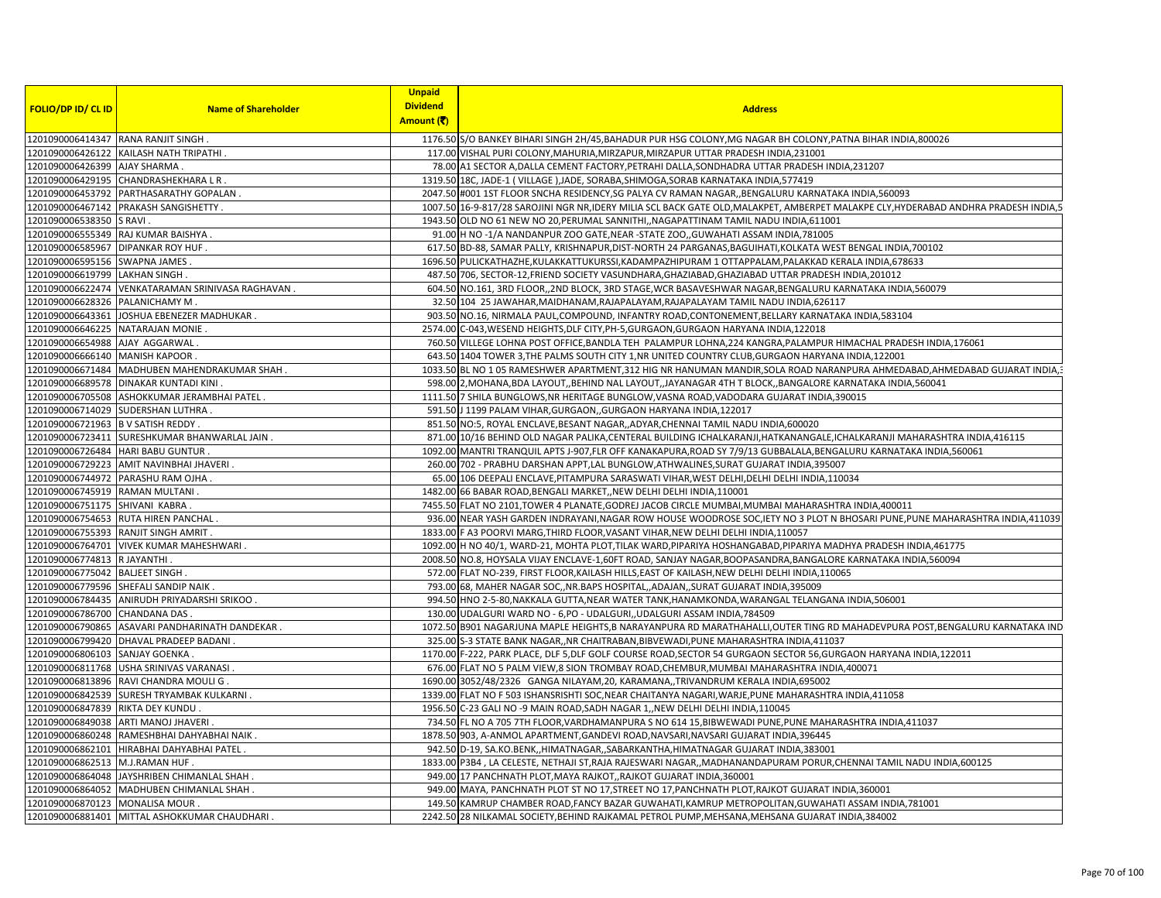|                                    |                                                  | <b>Unpaid</b>   |                                                                                                                                   |
|------------------------------------|--------------------------------------------------|-----------------|-----------------------------------------------------------------------------------------------------------------------------------|
| <b>FOLIO/DP ID/ CL ID</b>          | <b>Name of Shareholder</b>                       | <b>Dividend</b> | <b>Address</b>                                                                                                                    |
|                                    |                                                  | Amount (₹)      |                                                                                                                                   |
|                                    | 1201090006414347 RANA RANJIT SINGH               |                 | 1176.50 S/O BANKEY BIHARI SINGH 2H/45, BAHADUR PUR HSG COLONY, MG NAGAR BH COLONY, PATNA BIHAR INDIA, 800026                      |
|                                    | L201090006426122 KAILASH NATH TRIPATHI .         |                 | 117.00 VISHAL PURI COLONY, MAHURIA, MIRZAPUR, MIRZAPUR UTTAR PRADESH INDIA, 231001                                                |
| 1201090006426399 AJAY SHARMA       |                                                  |                 | 78.00 A1 SECTOR A, DALLA CEMENT FACTORY, PETRAHI DALLA, SONDHADRA UTTAR PRADESH INDIA, 231207                                     |
|                                    | 1201090006429195 CHANDRASHEKHARA L R.            |                 | 1319.50 18C, JADE-1 (VILLAGE), JADE, SORABA, SHIMOGA, SORAB KARNATAKA INDIA, 577419                                               |
|                                    | L201090006453792 PARTHASARATHY GOPALAN.          |                 | 2047.50 #001 1ST FLOOR SNCHA RESIDENCY, SG PALYA CV RAMAN NAGAR, BENGALURU KARNATAKA INDIA, 560093                                |
|                                    | 1201090006467142 PRAKASH SANGISHETTY             |                 | 1007.50 16-9-817/28 SAROJINI NGR NR,IDERY MILIA SCL BACK GATE OLD,MALAKPET, AMBERPET MALAKPE CLY,HYDERABAD ANDHRA PRADESH INDIA,5 |
| 1201090006538350 S RAVI.           |                                                  |                 | 1943.50 OLD NO 61 NEW NO 20, PERUMAL SANNITHI, , NAGAPATTINAM TAMIL NADU INDIA, 611001                                            |
|                                    | 1201090006555349 RAJ KUMAR BAISHYA               |                 | 91.00 H NO -1/A NANDANPUR ZOO GATE, NEAR -STATE ZOO, GUWAHATI ASSAM INDIA, 781005                                                 |
|                                    | 1201090006585967 DIPANKAR ROY HUF .              |                 | 617.50 BD-88, SAMAR PALLY, KRISHNAPUR, DIST-NORTH 24 PARGANAS, BAGUIHATI, KOLKATA WEST BENGAL INDIA, 700102                       |
| 1201090006595156 SWAPNA JAMES      |                                                  |                 | 1696.50 PULICKATHAZHE, KULAKKATTUKURSSI, KADAMPAZHIPURAM 1 OTTAPPALAM, PALAKKAD KERALA INDIA, 678633                              |
| 1201090006619799 LAKHAN SINGH      |                                                  |                 | 487.50 706, SECTOR-12, FRIEND SOCIETY VASUNDHARA, GHAZIABAD, GHAZIABAD UTTAR PRADESH INDIA, 201012                                |
|                                    | 1201090006622474 VENKATARAMAN SRINIVASA RAGHAVAN |                 | 604.50 NO.161, 3RD FLOOR, 2ND BLOCK, 3RD STAGE, WCR BASAVESHWAR NAGAR, BENGALURU KARNATAKA INDIA, 560079                          |
| 1201090006628326 PALANICHAMY M.    |                                                  |                 | 32.50 104 25 JAWAHAR, MAIDHANAM, RAJAPALAYAM, RAJAPALAYAM TAMIL NADU INDIA, 626117                                                |
|                                    | 1201090006643361 JOSHUA EBENEZER MADHUKAR        |                 | 903.50 NO.16, NIRMALA PAUL, COMPOUND, INFANTRY ROAD, CONTONEMENT, BELLARY KARNATAKA INDIA, 583104                                 |
|                                    | 1201090006646225 NATARAJAN MONIE.                |                 | 2574.00 C-043, WESEND HEIGHTS, DLF CITY, PH-5, GURGAON, GURGAON HARYANA INDIA, 122018                                             |
| 1201090006654988 AJAY AGGARWAL     |                                                  |                 | 760.50 VILLEGE LOHNA POST OFFICE, BANDLA TEH PALAMPUR LOHNA, 224 KANGRA, PALAMPUR HIMACHAL PRADESH INDIA, 176061                  |
| 1201090006666140 MANISH KAPOOR.    |                                                  |                 | 643.50 1404 TOWER 3, THE PALMS SOUTH CITY 1, NR UNITED COUNTRY CLUB, GURGAON HARYANA INDIA, 122001                                |
|                                    | 1201090006671484 MADHUBEN MAHENDRAKUMAR SHAH     |                 | 1033.50 BL NO 1 05 RAMESHWER APARTMENT,312 HIG NR HANUMAN MANDIR,SOLA ROAD NARANPURA AHMEDABAD,AHMEDABAD GUJARAT INDIA,           |
|                                    | 1201090006689578 DINAKAR KUNTADI KINI            |                 | 598.00 2, MOHANA, BDA LAYOUT, BEHIND NAL LAYOUT, JAYANAGAR 4TH T BLOCK, , BANGALORE KARNATAKA INDIA, 560041                       |
|                                    | 1201090006705508 ASHOKKUMAR JERAMBHAI PATEL.     |                 | 1111.50 7 SHILA BUNGLOWS, NR HERITAGE BUNGLOW, VASNA ROAD, VADODARA GUJARAT INDIA, 390015                                         |
|                                    | 1201090006714029 SUDERSHAN LUTHRA                |                 | 591.50 J 1199 PALAM VIHAR, GURGAON, , GURGAON HARYANA INDIA, 122017                                                               |
| 1201090006721963 B V SATISH REDDY  |                                                  |                 | 851.50 NO:5, ROYAL ENCLAVE, BESANT NAGAR, , ADYAR, CHENNAI TAMIL NADU INDIA, 600020                                               |
|                                    | 1201090006723411 SURESHKUMAR BHANWARLAL JAIN.    |                 | 871.00 10/16 BEHIND OLD NAGAR PALIKA, CENTERAL BUILDING ICHALKARANJI, HATKANANGALE, ICHALKARANJI MAHARASHTRA INDIA, 416115        |
|                                    | 1201090006726484 HARI BABU GUNTUR                |                 | 1092.00 MANTRI TRANQUIL APTS J-907,FLR OFF KANAKAPURA,ROAD SY 7/9/13 GUBBALALA,BENGALURU KARNATAKA INDIA,560061                   |
| 1201090006729223                   | AMIT NAVINBHAI JHAVERI.                          |                 | 260.00 702 - PRABHU DARSHAN APPT, LAL BUNGLOW, ATHWALINES, SURAT GUJARAT INDIA, 395007                                            |
|                                    | 1201090006744972 PARASHU RAM OJHA                |                 | 65.00 106 DEEPALI ENCLAVE, PITAMPURA SARASWATI VIHAR, WEST DELHI, DELHI DELHI INDIA, 110034                                       |
| 1201090006745919 RAMAN MULTANI     |                                                  |                 | 1482.00 66 BABAR ROAD, BENGALI MARKET, NEW DELHI DELHI INDIA, 110001                                                              |
| 1201090006751175 SHIVANI KABRA     |                                                  |                 | 7455.50 FLAT NO 2101, TOWER 4 PLANATE, GODREJ JACOB CIRCLE MUMBAI, MUMBAI MAHARASHTRA INDIA, 400011                               |
|                                    | 1201090006754653 RUTA HIREN PANCHAL              |                 | 936.00 NEAR YASH GARDEN INDRAYANI, NAGAR ROW HOUSE WOODROSE SOC, IETY NO 3 PLOT N BHOSARI PUNE, PUNE MAHARASHTRA INDIA, 411039    |
| 1201090006755393                   | RANJIT SINGH AMRIT                               |                 | 1833.00 F A3 POORVI MARG, THIRD FLOOR, VASANT VIHAR, NEW DELHI DELHI INDIA, 110057                                                |
|                                    | 1201090006764701 VIVEK KUMAR MAHESHWARI.         |                 | 1092.00 H NO 40/1, WARD-21, MOHTA PLOT, TILAK WARD, PIPARIYA HOSHANGABAD, PIPARIYA MADHYA PRADESH INDIA, 461775                   |
| 1201090006774813 RJAYANTHI.        |                                                  |                 | 2008.50 NO.8, HOYSALA VIJAY ENCLAVE-1,60FT ROAD, SANJAY NAGAR, BOOPASANDRA, BANGALORE KARNATAKA INDIA, 560094                     |
| 1201090006775042                   | <b>BALJEET SINGH</b>                             |                 | 572.00 FLAT NO-239, FIRST FLOOR, KAILASH HILLS, EAST OF KAILASH, NEW DELHI DELHI INDIA, 110065                                    |
|                                    | 1201090006779596 SHEFALI SANDIP NAIK.            |                 | 793.00 68, MAHER NAGAR SOC,, NR. BAPS HOSPITAL, ADAJAN, , SURAT GUJARAT INDIA, 395009                                             |
|                                    | 1201090006784435 ANIRUDH PRIYADARSHI SRIKOO      |                 | 994.50 HNO 2-5-80, NAKKALA GUTTA, NEAR WATER TANK, HANAMKONDA, WARANGAL TELANGANA INDIA, 506001                                   |
| 1201090006786700 CHANDANA DAS.     |                                                  |                 | 130.00 UDALGURI WARD NO - 6, PO - UDALGURI, UDALGURI ASSAM INDIA, 784509                                                          |
|                                    | 1201090006790865 ASAVARI PANDHARINATH DANDEKAR   |                 | 1072.50 B901 NAGARJUNA MAPLE HEIGHTS,B NARAYANPURA RD MARATHAHALLI,OUTER TING RD MAHADEVPURA POST,BENGALURU KARNATAKA IND         |
|                                    | 1201090006799420 DHAVAL PRADEEP BADANI           |                 | 325.00 S-3 STATE BANK NAGAR, NR CHAITRABAN, BIBVEWADI, PUNE MAHARASHTRA INDIA, 411037                                             |
| 1201090006806103 SANJAY GOENKA.    |                                                  |                 | 1170.00 F-222, PARK PLACE, DLF 5, DLF GOLF COURSE ROAD, SECTOR 54 GURGAON SECTOR 56, GURGAON HARYANA INDIA, 122011                |
|                                    | 1201090006811768 USHA SRINIVAS VARANASI.         |                 | 676.00 FLAT NO 5 PALM VIEW,8 SION TROMBAY ROAD, CHEMBUR, MUMBAI MAHARASHTRA INDIA, 400071                                         |
|                                    | 1201090006813896 RAVI CHANDRA MOULI G .          |                 | 1690.00 3052/48/2326 GANGA NILAYAM, 20, KARAMANA, ,TRIVANDRUM KERALA INDIA, 695002                                                |
|                                    | 1201090006842539 SURESH TRYAMBAK KULKARNI.       |                 | 1339.00 FLAT NO F 503 ISHANSRISHTI SOC, NEAR CHAITANYA NAGARI, WARJE, PUNE MAHARASHTRA INDIA, 411058                              |
|                                    |                                                  |                 |                                                                                                                                   |
| 1201090006847839 RIKTA DEY KUNDU . |                                                  |                 | 1956.50 C-23 GALI NO -9 MAIN ROAD, SADH NAGAR 1, NEW DELHI DELHI INDIA, 110045                                                    |
|                                    | 1201090006849038 ARTI MANOJ JHAVERI              |                 | 734.50 FL NO A 705 7TH FLOOR, VARDHAMANPURA S NO 614 15, BIBWEWADI PUNE, PUNE MAHARASHTRA INDIA, 411037                           |
|                                    | 1201090006860248 RAMESHBHAI DAHYABHAI NAIK.      |                 | 1878.50 903, A-ANMOL APARTMENT, GANDEVI ROAD, NAVSARI, NAVSARI GUJARAT INDIA, 396445                                              |
|                                    | 1201090006862101   HIRABHAI DAHYABHAI PATEL.     |                 | 942.50 D-19, SA.KO.BENK,,HIMATNAGAR,,SABARKANTHA,HIMATNAGAR GUJARAT INDIA,383001                                                  |
| 1201090006862513 M.J.RAMAN HUF.    |                                                  |                 | 1833.00 P3B4, LA CELESTE, NETHAJI ST,RAJA RAJESWARI NAGAR,,MADHANANDAPURAM PORUR,CHENNAI TAMIL NADU INDIA,600125                  |
|                                    | 1201090006864048 JAYSHRIBEN CHIMANLAL SHAH       |                 | 949.00 17 PANCHNATH PLOT, MAYA RAJKOT, RAJKOT GUJARAT INDIA, 360001                                                               |
| 1201090006864052                   | MADHUBEN CHIMANLAL SHAH                          |                 | 949.00 MAYA, PANCHNATH PLOT ST NO 17, STREET NO 17, PANCHNATH PLOT, RAJKOT GUJARAT INDIA, 360001                                  |
| 1201090006870123 MONALISA MOUR.    |                                                  |                 | 149.50 KAMRUP CHAMBER ROAD, FANCY BAZAR GUWAHATI, KAMRUP METROPOLITAN, GUWAHATI ASSAM INDIA, 781001                               |
|                                    | 1201090006881401 MITTAL ASHOKKUMAR CHAUDHARI     |                 | 2242.50 28 NILKAMAL SOCIETY,BEHIND RAJKAMAL PETROL PUMP,MEHSANA,MEHSANA GUJARAT INDIA,384002                                      |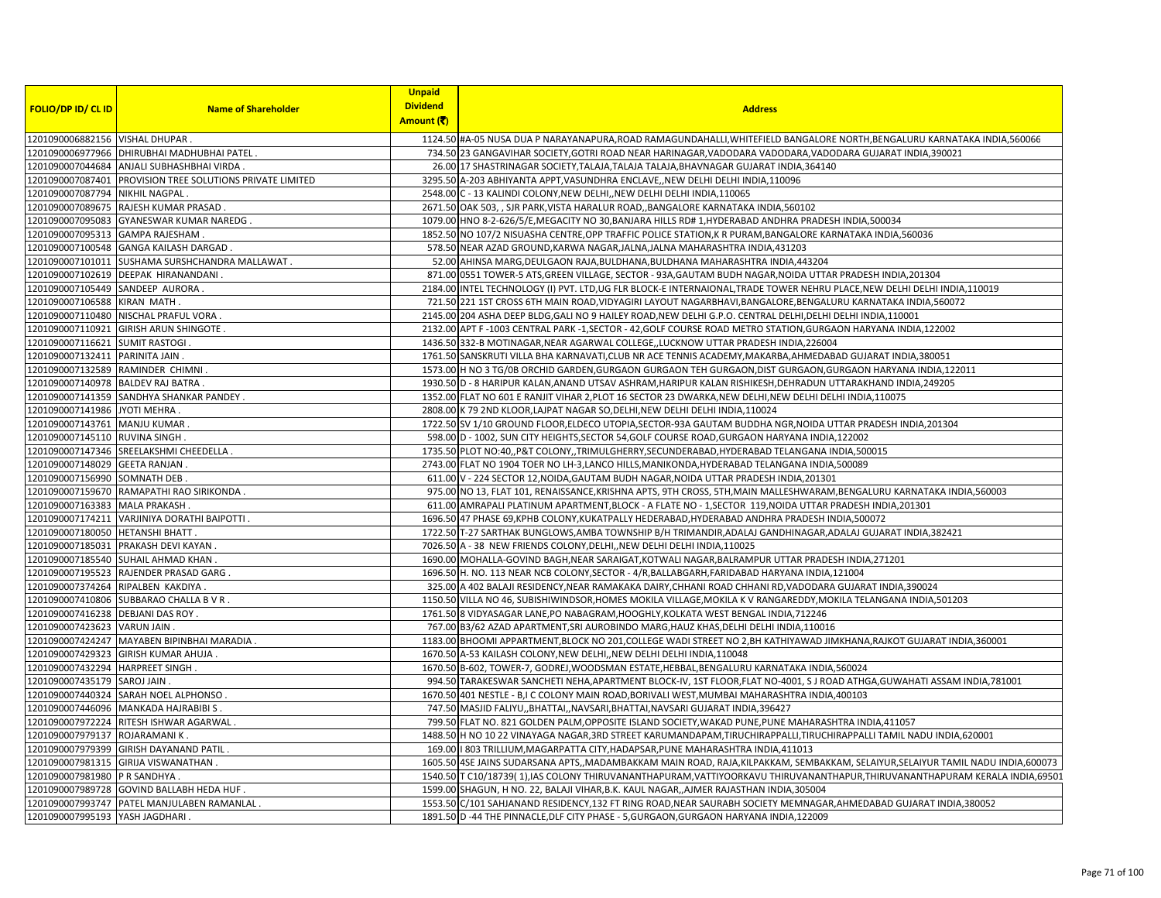| <b>FOLIO/DP ID/ CL ID</b>         | <b>Name of Shareholder</b>                                | <b>Unpaid</b><br><b>Dividend</b><br>Amount (₹) | <b>Address</b>                                                                                                                |
|-----------------------------------|-----------------------------------------------------------|------------------------------------------------|-------------------------------------------------------------------------------------------------------------------------------|
| 1201090006882156 VISHAL DHUPAR.   |                                                           |                                                | 1124.50 #A-05 NUSA DUA P NARAYANAPURA,ROAD RAMAGUNDAHALLI,WHITEFIELD BANGALORE NORTH,BENGALURU KARNATAKA INDIA,560066         |
|                                   | 1201090006977966   DHIRUBHAI MADHUBHAI PATEL.             |                                                | 734.50 23 GANGAVIHAR SOCIETY, GOTRI ROAD NEAR HARINAGAR, VADODARA VADODARA, VADODARA GUJARAT INDIA, 390021                    |
|                                   | 1201090007044684 ANJALI SUBHASHBHAI VIRDA.                |                                                | 26.00 17 SHASTRINAGAR SOCIETY, TALAJA, TALAJA, BHAVNAGAR GUJARAT INDIA, 364140                                                |
|                                   | 1201090007087401 PROVISION TREE SOLUTIONS PRIVATE LIMITED |                                                | 3295.50 A-203 ABHIYANTA APPT, VASUNDHRA ENCLAVE, NEW DELHI DELHI INDIA, 110096                                                |
| 1201090007087794 NIKHIL NAGPAL    |                                                           |                                                | 2548.00 C - 13 KALINDI COLONY, NEW DELHI, NEW DELHI DELHI INDIA, 110065                                                       |
|                                   | 1201090007089675 RAJESH KUMAR PRASAD.                     |                                                | 2671.50 OAK 503, , SJR PARK, VISTA HARALUR ROAD, BANGALORE KARNATAKA INDIA, 560102                                            |
|                                   | 1201090007095083 GYANESWAR KUMAR NAREDG                   |                                                | 1079.00 HNO 8-2-626/5/E, MEGACITY NO 30, BANJARA HILLS RD# 1, HYDERABAD ANDHRA PRADESH INDIA, 500034                          |
| 1201090007095313 GAMPA RAJESHAM   |                                                           |                                                | 1852.50 NO 107/2 NISUASHA CENTRE, OPP TRAFFIC POLICE STATION, K R PURAM, BANGALORE KARNATAKA INDIA, 560036                    |
|                                   | 1201090007100548 GANGA KAILASH DARGAD                     |                                                | 578.50 NEAR AZAD GROUND, KARWA NAGAR, JALNA, JALNA MAHARASHTRA INDIA, 431203                                                  |
|                                   | 1201090007101011 SUSHAMA SURSHCHANDRA MALLAWAT.           |                                                | 52.00 AHINSA MARG, DEULGAON RAJA, BULDHANA, BULDHANA MAHARASHTRA INDIA, 443204                                                |
|                                   | 1201090007102619 DEEPAK HIRANANDANI                       |                                                | 871.00 0551 TOWER-5 ATS, GREEN VILLAGE, SECTOR - 93A, GAUTAM BUDH NAGAR, NOIDA UTTAR PRADESH INDIA, 201304                    |
| 1201090007105449 SANDEEP AURORA.  |                                                           |                                                | 2184.00 INTEL TECHNOLOGY (I) PVT. LTD,UG FLR BLOCK-E INTERNAIONAL, TRADE TOWER NEHRU PLACE, NEW DELHI DELHI INDIA,110019      |
| 1201090007106588 KIRAN MATH.      |                                                           |                                                | 721.50 221 1ST CROSS 6TH MAIN ROAD, VIDYAGIRI LAYOUT NAGARBHAVI, BANGALORE, BENGALURU KARNATAKA INDIA, 560072                 |
|                                   | 1201090007110480 NISCHAL PRAFUL VORA                      |                                                | 2145.00 204 ASHA DEEP BLDG, GALI NO 9 HAILEY ROAD, NEW DELHI G.P.O. CENTRAL DELHI, DELHI IDELHI INDIA, 110001                 |
|                                   | 1201090007110921 GIRISH ARUN SHINGOTE.                    |                                                | 2132.00 APT F-1003 CENTRAL PARK -1, SECTOR - 42, GOLF COURSE ROAD METRO STATION, GURGAON HARYANA INDIA, 122002                |
| 1201090007116621 SUMIT RASTOGI    |                                                           |                                                | 1436.50 332-B MOTINAGAR, NEAR AGARWAL COLLEGE, LUCKNOW UTTAR PRADESH INDIA, 226004                                            |
| 1201090007132411 PARINITA JAIN.   |                                                           |                                                | 1761.50 SANSKRUTI VILLA BHA KARNAVATI, CLUB NR ACE TENNIS ACADEMY, MAKARBA, AHMEDABAD GUJARAT INDIA, 380051                   |
| 1201090007132589 RAMINDER CHIMNI  |                                                           |                                                | 1573.00 H NO 3 TG/0B ORCHID GARDEN, GURGAON GURGAON TEH GURGAON, DIST GURGAON, GURGAON HARYANA INDIA, 122011                  |
| 1201090007140978 BALDEV RAJ BATRA |                                                           |                                                | 1930.50 D - 8 HARIPUR KALAN, ANAND UTSAV ASHRAM, HARIPUR KALAN RISHIKESH, DEHRADUN UTTARAKHAND INDIA, 249205                  |
|                                   | 1201090007141359 SANDHYA SHANKAR PANDEY.                  |                                                | 1352.00 FLAT NO 601 E RANJIT VIHAR 2, PLOT 16 SECTOR 23 DWARKA, NEW DELHI, NEW DELHI IDELHI INDIA, 110075                     |
| 1201090007141986 JYOTI MEHRA.     |                                                           |                                                | 2808.00 K 79 2ND KLOOR, LAJPAT NAGAR SO, DELHI, NEW DELHI DELHI INDIA, 110024                                                 |
| 1201090007143761 MANJU KUMAR      |                                                           |                                                | 1722.50 SV 1/10 GROUND FLOOR, ELDECO UTOPIA, SECTOR-93A GAUTAM BUDDHA NGR, NOIDA UTTAR PRADESH INDIA, 201304                  |
| 1201090007145110 RUVINA SINGH.    |                                                           |                                                | 598.00 D - 1002, SUN CITY HEIGHTS, SECTOR 54, GOLF COURSE ROAD, GURGAON HARYANA INDIA, 122002                                 |
|                                   | 1201090007147346 SREELAKSHMI CHEEDELLA                    |                                                | 1735.50 PLOT NO:40,, P&T COLONY,, TRIMULGHERRY, SECUNDERABAD, HYDERABAD TELANGANA INDIA, 500015                               |
| 1201090007148029 GEETA RANJAN     |                                                           |                                                | 2743.00 FLAT NO 1904 TOER NO LH-3, LANCO HILLS, MANIKONDA, HYDERABAD TELANGANA INDIA, 500089                                  |
| 1201090007156990 SOMNATH DEB      |                                                           |                                                | 611.00 V - 224 SECTOR 12, NOIDA, GAUTAM BUDH NAGAR, NOIDA UTTAR PRADESH INDIA, 201301                                         |
|                                   | 1201090007159670 RAMAPATHI RAO SIRIKONDA.                 |                                                | 975.00 NO 13, FLAT 101, RENAISSANCE, KRISHNA APTS, 9TH CROSS, 5TH, MAIN MALLESHWARAM, BENGALURU KARNATAKA INDIA, 560003       |
| 1201090007163383 MALA PRAKASH.    |                                                           |                                                | 611.00 AMRAPALI PLATINUM APARTMENT, BLOCK - A FLATE NO - 1, SECTOR 119, NOIDA UTTAR PRADESH INDIA, 201301                     |
|                                   | 1201090007174211 VARJINIYA DORATHI BAIPOTTI.              |                                                | 1696.50 47 PHASE 69, KPHB COLONY, KUKATPALLY HEDERABAD, HYDERABAD ANDHRA PRADESH INDIA, 500072                                |
| 1201090007180050 HETANSHI BHATT   |                                                           |                                                | 1722.50 T-27 SARTHAK BUNGLOWS, AMBA TOWNSHIP B/H TRIMANDIR, ADALAJ GANDHINAGAR, ADALAJ GUJARAT INDIA, 382421                  |
|                                   | 1201090007185031 PRAKASH DEVI KAYAN.                      |                                                | 7026.50 A - 38 NEW FRIENDS COLONY, DELHI, NEW DELHI DELHI INDIA, 110025                                                       |
|                                   | 1201090007185540 SUHAIL AHMAD KHAN                        |                                                | 1690.00 MOHALLA-GOVIND BAGH, NEAR SARAIGAT, KOTWALI NAGAR, BALRAMPUR UTTAR PRADESH INDIA, 271201                              |
|                                   | 1201090007195523 RAJENDER PRASAD GARG.                    |                                                | 1696.50 H. NO. 113 NEAR NCB COLONY, SECTOR - 4/R, BALLABGARH, FARIDABAD HARYANA INDIA, 121004                                 |
| 1201090007374264 RIPALBEN KAKDIYA |                                                           |                                                | 325.00 A 402 BALAJI RESIDENCY, NEAR RAMAKAKA DAIRY, CHHANI ROAD CHHANI RD, VADODARA GUJARAT INDIA, 390024                     |
|                                   | 1201090007410806 SUBBARAO CHALLA B V R.                   |                                                | 1150.50 VILLA NO 46, SUBISHIWINDSOR, HOMES MOKILA VILLAGE, MOKILA K V RANGAREDDY, MOKILA TELANGANA INDIA, 501203              |
| 1201090007416238 DEBJANI DAS ROY. |                                                           |                                                | 1761.50 8 VIDYASAGAR LANE, PO NABAGRAM, HOOGHLY, KOLKATA WEST BENGAL INDIA, 712246                                            |
| 1201090007423623 VARUN JAIN.      |                                                           |                                                | 767.00 B3/62 AZAD APARTMENT, SRI AUROBINDO MARG, HAUZ KHAS, DELHI DELHI INDIA, 110016                                         |
|                                   | 1201090007424247 MAYABEN BIPINBHAI MARADIA                |                                                | 1183.00 BHOOMI APPARTMENT, BLOCK NO 201, COLLEGE WADI STREET NO 2, BH KATHIYAWAD JIMKHANA, RAJKOT GUJARAT INDIA, 360001       |
|                                   | 1201090007429323 GIRISH KUMAR AHUJA                       |                                                | 1670.50 A-53 KAILASH COLONY, NEW DELHI, NEW DELHI DELHI INDIA, 110048                                                         |
| 1201090007432294 HARPREET SINGH.  |                                                           |                                                | 1670.50 B-602, TOWER-7, GODREJ, WOODSMAN ESTATE, HEBBAL, BENGALURU KARNATAKA INDIA, 560024                                    |
| 1201090007435179 SAROJ JAIN       |                                                           |                                                | 994.50 TARAKESWAR SANCHETI NEHA, APARTMENT BLOCK-IV, 1ST FLOOR, FLAT NO-4001, SJ ROAD ATHGA, GUWAHATI ASSAM INDIA, 781001     |
|                                   | 1201090007440324 SARAH NOEL ALPHONSO.                     |                                                | 1670.50 401 NESTLE - B,I C COLONY MAIN ROAD, BORIVALI WEST, MUMBAI MAHARASHTRA INDIA, 400103                                  |
|                                   | 1201090007446096 MANKADA HAJRABIBI S.                     |                                                | 747.50 MASJID FALIYU,, BHATTAI,, NAVSARI, BHATTAI, NAVSARI GUJARAT INDIA, 396427                                              |
|                                   | 1201090007972224 RITESH ISHWAR AGARWAL                    |                                                | 799.50 FLAT NO. 821 GOLDEN PALM, OPPOSITE ISLAND SOCIETY, WAKAD PUNE, PUNE MAHARASHTRA INDIA, 411057                          |
| 1201090007979137 ROJARAMANI K.    |                                                           |                                                | 1488.50 H NO 10 22 VINAYAGA NAGAR,3RD STREET KARUMANDAPAM,TIRUCHIRAPPALLI,TIRUCHIRAPPALLI TAMIL NADU INDIA,620001             |
|                                   | 1201090007979399 GIRISH DAYANAND PATIL.                   |                                                | 169.00   803 TRILLIUM, MAGARPATTA CITY, HADAPSAR, PUNE MAHARASHTRA INDIA, 411013                                              |
|                                   | 1201090007981315 GIRIJA VISWANATHAN                       |                                                | 1605.50 4SE JAINS SUDARSANA APTS,,MADAMBAKKAM MAIN ROAD, RAJA,KILPAKKAM, SEMBAKKAM, SELAIYUR,SELAIYUR TAMIL NADU INDIA,600073 |
| 1201090007981980 P R SANDHYA      |                                                           |                                                | 1540.50 T C10/18739(1), IAS COLONY THIRUVANANTHAPURAM, VATTIYOORKAVU THIRUVANANTHAPUR, THIRUVANANTHAPURAM KERALA INDIA, 69501 |
|                                   | 1201090007989728 GOVIND BALLABH HEDA HUF                  |                                                | 1599.00 SHAGUN, H NO. 22, BALAJI VIHAR, B.K. KAUL NAGAR, AJMER RAJASTHAN INDIA, 305004                                        |
|                                   | 1201090007993747 PATEL MANJULABEN RAMANLAL                |                                                | 1553.50 C/101 SAHJANAND RESIDENCY, 132 FT RING ROAD, NEAR SAURABH SOCIETY MEMNAGAR, AHMEDABAD GUJARAT INDIA, 380052           |
| 1201090007995193 YASH JAGDHARI    |                                                           |                                                | 1891.50 D -44 THE PINNACLE, DLF CITY PHASE - 5, GURGAON, GURGAON HARYANA INDIA, 122009                                        |
|                                   |                                                           |                                                |                                                                                                                               |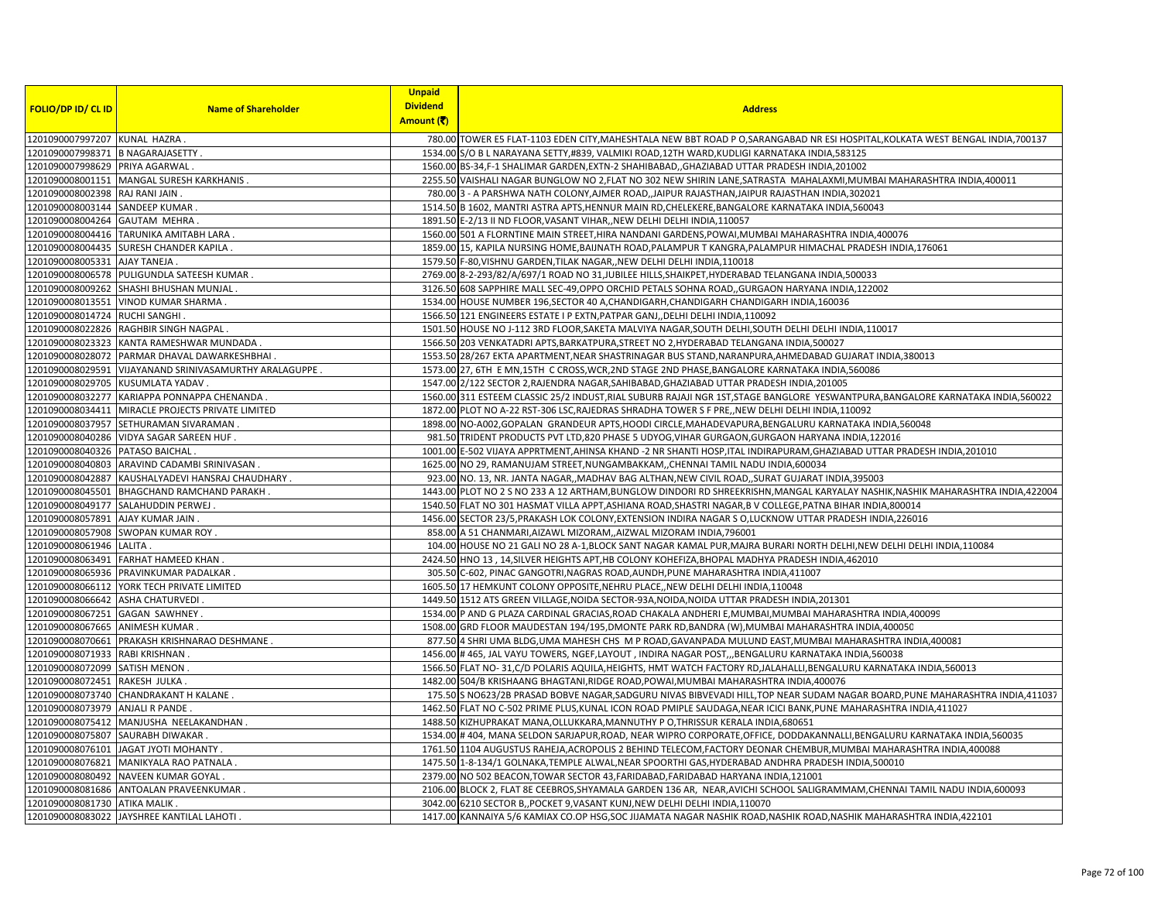|                                    |                                                         | <b>Unpaid</b>   |                                                                                                                                   |
|------------------------------------|---------------------------------------------------------|-----------------|-----------------------------------------------------------------------------------------------------------------------------------|
| <b>FOLIO/DP ID/ CL ID</b>          | <b>Name of Shareholder</b>                              | <b>Dividend</b> | <b>Address</b>                                                                                                                    |
|                                    |                                                         | Amount (そ)      |                                                                                                                                   |
| 1201090007997207 KUNAL HAZRA       |                                                         |                 | 780.00 TOWER E5 FLAT-1103 EDEN CITY, MAHESHTALA NEW BBT ROAD P O, SARANGABAD NR ESI HOSPITAL, KOLKATA WEST BENGAL INDIA, 700137   |
| 1201090007998371 B NAGARAJASETTY . |                                                         |                 | 1534.00 S/O B L NARAYANA SETTY,#839, VALMIKI ROAD,12TH WARD,KUDLIGI KARNATAKA INDIA,583125                                        |
| 1201090007998629                   | PRIYA AGARWAL                                           |                 | 1560.00 BS-34,F-1 SHALIMAR GARDEN, EXTN-2 SHAHIBABAD, GHAZIABAD UTTAR PRADESH INDIA, 201002                                       |
|                                    | 1201090008001151 MANGAL SURESH KARKHANIS.               |                 | 2255.50 VAISHALI NAGAR BUNGLOW NO 2,FLAT NO 302 NEW SHIRIN LANE, SATRASTA MAHALAXMI, MUMBAI MAHARASHTRA INDIA,400011              |
| 1201090008002398 RAJ RANI JAIN     |                                                         |                 | 780.00 3 - A PARSHWA NATH COLONY, AJMER ROAD, JAIPUR RAJASTHAN, JAIPUR RAJASTHAN INDIA, 302021                                    |
| 1201090008003144 SANDEEP KUMAR.    |                                                         |                 | 1514.50 B 1602, MANTRI ASTRA APTS, HENNUR MAIN RD, CHELEKERE, BANGALORE KARNATAKA INDIA, 560043                                   |
| 1201090008004264 GAUTAM MEHRA      |                                                         |                 | 1891.50 E-2/13 II ND FLOOR, VASANT VIHAR, , NEW DELHI DELHI INDIA, 110057                                                         |
|                                    | 1201090008004416 TARUNIKA AMITABH LARA                  |                 | 1560.00 501 A FLORNTINE MAIN STREET, HIRA NANDANI GARDENS, POWAI, MUMBAI MAHARASHTRA INDIA, 400076                                |
|                                    | 1201090008004435 SURESH CHANDER KAPILA.                 |                 | 1859.00 15, KAPILA NURSING HOME, BAIJNATH ROAD, PALAMPUR T KANGRA, PALAMPUR HIMACHAL PRADESH INDIA, 176061                        |
| 1201090008005331                   | AJAY TANEJA                                             |                 | 1579.50 F-80, VISHNU GARDEN, TILAK NAGAR, NEW DELHI DELHI INDIA, 110018                                                           |
| 1201090008006578                   | PULIGUNDLA SATEESH KUMAR.                               |                 | 2769.00 8-2-293/82/A/697/1 ROAD NO 31, JUBILEE HILLS, SHAIKPET, HYDERABAD TELANGANA INDIA, 500033                                 |
|                                    | 1201090008009262 SHASHI BHUSHAN MUNJAL.                 |                 | 3126.50 608 SAPPHIRE MALL SEC-49, OPPO ORCHID PETALS SOHNA ROAD, GURGAON HARYANA INDIA, 122002                                    |
|                                    | 1201090008013551 VINOD KUMAR SHARMA.                    |                 | 1534.00 HOUSE NUMBER 196, SECTOR 40 A, CHANDIGARH, CHANDIGARH CHANDIGARH INDIA, 160036                                            |
| 1201090008014724                   | <b>RUCHI SANGHI</b>                                     |                 | 1566.50 121 ENGINEERS ESTATE I P EXTN, PATPAR GANJ, DELHI DELHI INDIA, 110092                                                     |
|                                    | 1201090008022826 RAGHBIR SINGH NAGPAL.                  |                 | 1501.50 HOUSE NO J-112 3RD FLOOR, SAKETA MALVIYA NAGAR, SOUTH DELHI, SOUTH DELHI DELHI INDIA, 110017                              |
|                                    | 1201090008023323 KANTA RAMESHWAR MUNDADA                |                 | 1566.50 203 VENKATADRI APTS, BARKATPURA, STREET NO 2, HYDERABAD TELANGANA INDIA, 500027                                           |
|                                    | 1201090008028072 PARMAR DHAVAL DAWARKESHBHAI            |                 | 1553.50 28/267 EKTA APARTMENT, NEAR SHASTRINAGAR BUS STAND, NARANPURA, AHMEDABAD GUJARAT INDIA, 380013                            |
|                                    | 1201090008029591 VIJAYANAND SRINIVASAMURTHY ARALAGUPPE. |                 | 1573.00 27, 6TH E MN,15TH C CROSS, WCR, 2ND STAGE 2ND PHASE, BANGALORE KARNATAKA INDIA,560086                                     |
| 1201090008029705                   | KUSUMLATA YADAV.                                        |                 | 1547.00 2/122 SECTOR 2, RAJENDRA NAGAR, SAHIBABAD, GHAZIABAD UTTAR PRADESH INDIA, 201005                                          |
|                                    | 1201090008032277 KARIAPPA PONNAPPA CHENANDA             |                 | 1560.00 311 ESTEEM CLASSIC 25/2 INDUST, RIAL SUBURB RAJAJI NGR 1ST, STAGE BANGLORE YESWANTPURA, BANGALORE KARNATAKA INDIA, 560022 |
|                                    | 1201090008034411 MIRACLE PROJECTS PRIVATE LIMITED       |                 | 1872.00 PLOT NO A-22 RST-306 LSC, RAJEDRAS SHRADHA TOWER S F PRE, NEW DELHI DELHI INDIA, 110092                                   |
| 1201090008037957                   | SETHURAMAN SIVARAMAN                                    |                 | 1898.00 NO-A002, GOPALAN GRANDEUR APTS, HOODI CIRCLE, MAHADEVAPURA, BENGALURU KARNATAKA INDIA, 560048                             |
|                                    | 1201090008040286 VIDYA SAGAR SAREEN HUF.                |                 | 981.50 TRIDENT PRODUCTS PVT LTD,820 PHASE 5 UDYOG, VIHAR GURGAON, GURGAON HARYANA INDIA, 122016                                   |
| 1201090008040326 PATASO BAICHAL.   |                                                         |                 | 1001.00 E-502 VIJAYA APPRTMENT, AHINSA KHAND -2 NR SHANTI HOSP, ITAL INDIRAPURAM, GHAZIABAD UTTAR PRADESH INDIA, 201010           |
| 1201090008040803                   | ARAVIND CADAMBI SRINIVASAN                              |                 | 1625.00 NO 29, RAMANUJAM STREET, NUNGAMBAKKAM, ,CHENNAI TAMIL NADU INDIA, 600034                                                  |
| 1201090008042887                   | KAUSHALYADEVI HANSRAJ CHAUDHARY.                        |                 | 923.00 NO. 13, NR. JANTA NAGAR,, MADHAV BAG ALTHAN, NEW CIVIL ROAD,, SURAT GUJARAT INDIA, 395003                                  |
| 1201090008045501                   | <b>BHAGCHAND RAMCHAND PARAKH</b>                        |                 | 1443.00 PLOT NO 2 S NO 233 A 12 ARTHAM,BUNGLOW DINDORI RD SHREEKRISHN,MANGAL KARYALAY NASHIK,NASHIK MAHARASHTRA INDIA,422004      |
|                                    | 1201090008049177 SALAHUDDIN PERWEJ.                     |                 | 1540.50 FLAT NO 301 HASMAT VILLA APPT, ASHIANA ROAD, SHASTRI NAGAR, B V COLLEGE, PATNA BIHAR INDIA, 800014                        |
| 1201090008057891                   | AJAY KUMAR JAIN                                         |                 | 1456.00 SECTOR 23/5, PRAKASH LOK COLONY, EXTENSION INDIRA NAGAR S O, LUCKNOW UTTAR PRADESH INDIA, 226016                          |
| 1201090008057908                   | SWOPAN KUMAR ROY.                                       |                 | 858.00 A 51 CHANMARI, AIZAWL MIZORAM, , AIZWAL MIZORAM INDIA, 796001                                                              |
| 1201090008061946 LALITA.           |                                                         |                 | 104.00 HOUSE NO 21 GALI NO 28 A-1, BLOCK SANT NAGAR KAMAL PUR, MAJRA BURARI NORTH DELHI, NEW DELHI IDELHI INDIA, 110084           |
|                                    | 1201090008063491 FARHAT HAMEED KHAN                     |                 | 2424.50 HNO 13, 14, SILVER HEIGHTS APT, HB COLONY KOHEFIZA, BHOPAL MADHYA PRADESH INDIA, 462010                                   |
|                                    | 1201090008065936 PRAVINKUMAR PADALKAR                   |                 | 305.50 C-602, PINAC GANGOTRI, NAGRAS ROAD, AUNDH, PUNE MAHARASHTRA INDIA, 411007                                                  |
|                                    | 1201090008066112 YORK TECH PRIVATE LIMITED              |                 | 1605.50 17 HEMKUNT COLONY OPPOSITE, NEHRU PLACE,, NEW DELHI DELHI INDIA, 110048                                                   |
| 1201090008066642 ASHA CHATURVEDI   |                                                         |                 | 1449.50 1512 ATS GREEN VILLAGE, NOIDA SECTOR-93A, NOIDA, NOIDA UTTAR PRADESH INDIA, 201301                                        |
| 1201090008067251 GAGAN SAWHNEY.    |                                                         |                 | 1534.00 P AND G PLAZA CARDINAL GRACIAS, ROAD CHAKALA ANDHERI E, MUMBAI, MUMBAI MAHARASHTRA INDIA, 400099                          |
| 1201090008067665 ANIMESH KUMAR     |                                                         |                 | 1508.00 GRD FLOOR MAUDESTAN 194/195,DMONTE PARK RD, BANDRA (W), MUMBAI MAHARASHTRA INDIA, 400050                                  |
| 1201090008070661                   | PRAKASH KRISHNARAO DESHMANE.                            |                 | 877.50 4 SHRI UMA BLDG, UMA MAHESH CHS M P ROAD, GAVANPADA MULUND EAST, MUMBAI MAHARASHTRA INDIA, 400081                          |
| 1201090008071933 RABI KRISHNAN     |                                                         |                 | 1456.00 # 465, JAL VAYU TOWERS, NGEF, LAYOUT, INDIRA NAGAR POST,,, BENGALURU KARNATAKA INDIA, 560038                              |
| 1201090008072099 SATISH MENON      |                                                         |                 | 1566.50 FLAT NO-31,C/D POLARIS AQUILA, HEIGHTS, HMT WATCH FACTORY RD, JALAHALLI, BENGALURU KARNATAKA INDIA, 560013                |
| 1201090008072451                   | RAKESH JULKA                                            |                 | 1482.00 504/B KRISHAANG BHAGTANI, RIDGE ROAD, POWAI, MUMBAI MAHARASHTRA INDIA, 400076                                             |
|                                    | 1201090008073740 CHANDRAKANT H KALANE.                  |                 | 175.50 S NO623/2B PRASAD BOBVE NAGAR, SADGURU NIVAS BIBVEVADI HILL, TOP NEAR SUDAM NAGAR BOARD, PUNE MAHARASHTRA INDIA, 411037    |
| 1201090008073979 ANJALI R PANDE.   |                                                         |                 | 1462.50 FLAT NO C-502 PRIME PLUS, KUNAL ICON ROAD PMIPLE SAUDAGA, NEAR ICICI BANK, PUNE MAHARASHTRA INDIA, 411027                 |
|                                    | 1201090008075412 MANJUSHA NEELAKANDHAN                  |                 | 1488.50 KIZHUPRAKAT MANA, OLLUKKARA, MANNUTHY P O, THRISSUR KERALA INDIA, 680651                                                  |
| 1201090008075807 SAURABH DIWAKAR   |                                                         |                 | 1534.00 #404, MANA SELDON SARJAPUR, ROAD, NEAR WIPRO CORPORATE, OFFICE, DODDAKANNALLI, BENGALURU KARNATAKA INDIA, 560035          |
|                                    | 1201090008076101 JAGAT JYOTI MOHANTY.                   |                 | 1761.50 1104 AUGUSTUS RAHEJA, ACROPOLIS 2 BEHIND TELECOM, FACTORY DEONAR CHEMBUR, MUMBAI MAHARASHTRA INDIA, 400088                |
|                                    | 1201090008076821 MANIKYALA RAO PATNALA.                 |                 | 1475.50 1-8-134/1 GOLNAKA, TEMPLE ALWAL, NEAR SPOORTHI GAS, HYDERABAD ANDHRA PRADESH INDIA, 500010                                |
| 1201090008080492                   | NAVEEN KUMAR GOYAL                                      |                 | 2379.00 NO 502 BEACON, TOWAR SECTOR 43, FARIDABAD, FARIDABAD HARYANA INDIA, 121001                                                |
| 1201090008081686                   | ANTOALAN PRAVEENKUMAR                                   |                 | 2106.00 BLOCK 2, FLAT 8E CEEBROS, SHYAMALA GARDEN 136 AR, NEAR, AVICHI SCHOOL SALIGRAMMAM, CHENNAI TAMIL NADU INDIA, 600093       |
| 1201090008081730 ATIKA MALIK.      |                                                         |                 | 3042.00 6210 SECTOR B, POCKET 9, VASANT KUNJ, NEW DELHI DELHI INDIA, 110070                                                       |
|                                    | 1201090008083022 JAYSHREE KANTILAL LAHOTI .             |                 | 1417.00 KANNAIYA 5/6 KAMIAX CO.OP HSG,SOC JIJAMATA NAGAR NASHIK ROAD,NASHIK ROAD,NASHIK MAHARASHTRA INDIA,422101                  |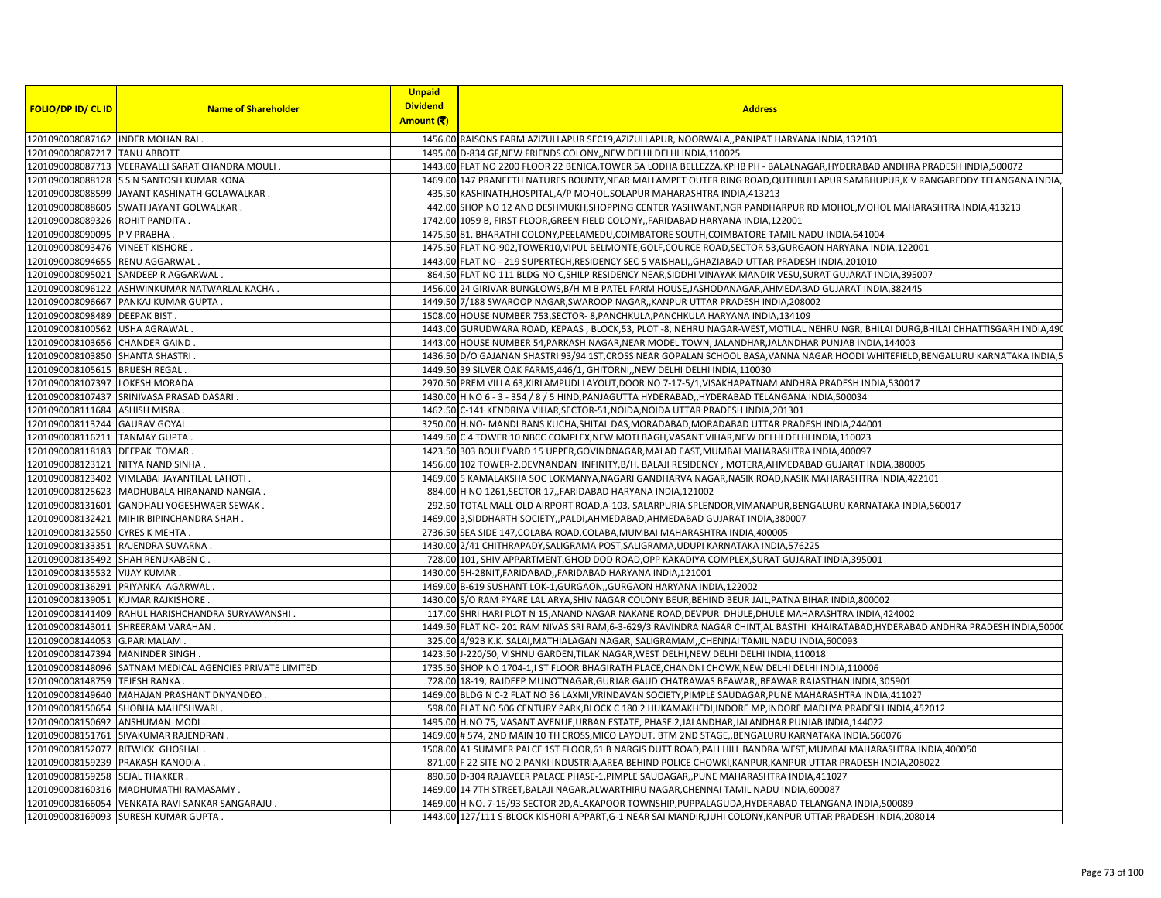|                                                                 |                                                          | <b>Unpaid</b>                 |                                                                                                                                                                                   |
|-----------------------------------------------------------------|----------------------------------------------------------|-------------------------------|-----------------------------------------------------------------------------------------------------------------------------------------------------------------------------------|
| <b>FOLIO/DP ID/ CL ID</b>                                       | <b>Name of Shareholder</b>                               | <b>Dividend</b><br>Amount (そ) | <b>Address</b>                                                                                                                                                                    |
| 1201090008087162 INDER MOHAN RAI.                               |                                                          |                               | 1456.00 RAISONS FARM AZIZULLAPUR SEC19, AZIZULLAPUR, NOORWALA, , PANIPAT HARYANA INDIA, 132103                                                                                    |
| 1201090008087217 TANU ABBOTT .                                  |                                                          |                               | 1495.00 D-834 GF, NEW FRIENDS COLONY, NEW DELHI DELHI INDIA, 110025                                                                                                               |
|                                                                 | 1201090008087713 VEERAVALLI SARAT CHANDRA MOULI          |                               | 1443.00 FLAT NO 2200 FLOOR 22 BENICA,TOWER 5A LODHA BELLEZZA,KPHB PH - BALALNAGAR,HYDERABAD ANDHRA PRADESH INDIA,500072                                                           |
|                                                                 | 1201090008088128 S S N SANTOSH KUMAR KONA                |                               | 1469.00 147 PRANEETH NATURES BOUNTY, NEAR MALLAMPET OUTER RING ROAD, QUTHBULLAPUR SAMBHUPUR, K V RANGAREDDY TELANGANA INDIA                                                       |
|                                                                 | 1201090008088599  JAYANT KASHINATH GOLAWALKAR .          |                               | 435.50 KASHINATH, HOSPITAL, A/P MOHOL, SOLAPUR MAHARASHTRA INDIA, 413213                                                                                                          |
|                                                                 | 1201090008088605 SWATI JAYANT GOLWALKAR                  |                               | 442.00 SHOP NO 12 AND DESHMUKH, SHOPPING CENTER YASHWANT, NGR PANDHARPUR RD MOHOL, MOHOL MAHARASHTRA INDIA, 413213                                                                |
|                                                                 |                                                          |                               |                                                                                                                                                                                   |
| 1201090008089326 ROHIT PANDITA                                  |                                                          |                               | 1742.00 1059 B, FIRST FLOOR, GREEN FIELD COLONY, FARIDABAD HARYANA INDIA, 122001<br>1475.50 81, BHARATHI COLONY, PEELAMEDU, COIMBATORE SOUTH, COIMBATORE TAMIL NADU INDIA, 641004 |
| 1201090008090095 P V PRABHA<br>1201090008093476 VINEET KISHORE. |                                                          |                               | 1475.50 FLAT NO-902, TOWER10, VIPUL BELMONTE, GOLF, COURCE ROAD, SECTOR 53, GURGAON HARYANA INDIA, 122001                                                                         |
| 1201090008094655 RENU AGGARWAL                                  |                                                          |                               | 1443.00 FLAT NO - 219 SUPERTECH, RESIDENCY SEC 5 VAISHALI, GHAZIABAD UTTAR PRADESH INDIA, 201010                                                                                  |
|                                                                 |                                                          |                               |                                                                                                                                                                                   |
|                                                                 | 1201090008095021 SANDEEP R AGGARWAL                      |                               | 864.50 FLAT NO 111 BLDG NO C, SHILP RESIDENCY NEAR, SIDDHI VINAYAK MANDIR VESU, SURAT GUJARAT INDIA, 395007                                                                       |
|                                                                 | 1201090008096122 ASHWINKUMAR NATWARLAL KACHA             |                               | 1456.00 24 GIRIVAR BUNGLOWS, B/H M B PATEL FARM HOUSE, JASHODANAGAR, AHMEDABAD GUJARAT INDIA, 382445                                                                              |
|                                                                 | 1201090008096667 PANKAJ KUMAR GUPTA.                     |                               | 1449.50 7/188 SWAROOP NAGAR, SWAROOP NAGAR, , KANPUR UTTAR PRADESH INDIA, 208002                                                                                                  |
| 1201090008098489 DEEPAK BIST.                                   |                                                          |                               | 1508.00 HOUSE NUMBER 753, SECTOR-8, PANCHKULA, PANCHKULA HARYANA INDIA, 134109                                                                                                    |
| 1201090008100562 USHA AGRAWAL.                                  |                                                          |                               | 1443.00 GURUDWARA ROAD, KEPAAS, BLOCK,53, PLOT-8, NEHRU NAGAR-WEST,MOTILAL NEHRU NGR, BHILAI DURG,BHILAI CHHATTISGARH INDIA,490                                                   |
| 1201090008103656 CHANDER GAIND                                  |                                                          |                               | 1443.00 HOUSE NUMBER 54, PARKASH NAGAR, NEAR MODEL TOWN, JALANDHAR, JALANDHAR PUNJAB INDIA, 144003                                                                                |
| 1201090008103850 SHANTA SHASTRI.                                |                                                          |                               | 1436.50 D/O GAJANAN SHASTRI 93/94 1ST, CROSS NEAR GOPALAN SCHOOL BASA, VANNA NAGAR HOODI WHITEFIELD, BENGALURU KARNATAKA INDIA, 5                                                 |
| 1201090008105615 BRIJESH REGAL                                  |                                                          |                               | 1449.50 39 SILVER OAK FARMS, 446/1, GHITORNI, NEW DELHI DELHI INDIA, 110030                                                                                                       |
| 1201090008107397 LOKESH MORADA                                  |                                                          |                               | 2970.50 PREM VILLA 63, KIRLAMPUDI LAYOUT, DOOR NO 7-17-5/1, VISAKHAPATNAM ANDHRA PRADESH INDIA, 530017                                                                            |
|                                                                 | 1201090008107437 SRINIVASA PRASAD DASARI.                |                               | 1430.00 H NO 6 - 3 - 354 / 8 / 5 HIND, PANJAGUTTA HYDERABAD, HYDERABAD TELANGANA INDIA, 500034                                                                                    |
| 1201090008111684 ASHISH MISRA                                   |                                                          |                               | 1462.50 C-141 KENDRIYA VIHAR, SECTOR-51, NOIDA, NOIDA UTTAR PRADESH INDIA, 201301                                                                                                 |
| 1201090008113244 GAURAV GOYAL                                   |                                                          |                               | 3250.00 H.NO- MANDI BANS KUCHA, SHITAL DAS, MORADABAD, MORADABAD UTTAR PRADESH INDIA, 244001                                                                                      |
| 1201090008116211 TANMAY GUPTA.                                  |                                                          |                               | 1449.50 C 4 TOWER 10 NBCC COMPLEX, NEW MOTI BAGH, VASANT VIHAR, NEW DELHI DELHI INDIA, 110023                                                                                     |
| 1201090008118183 DEEPAK TOMAR                                   |                                                          |                               | 1423.50 303 BOULEVARD 15 UPPER, GOVINDNAGAR, MALAD EAST, MUMBAI MAHARASHTRA INDIA, 400097                                                                                         |
|                                                                 | 1201090008123121 NITYA NAND SINHA                        |                               | 1456.00 102 TOWER-2, DEVNANDAN INFINITY, B/H. BALAJI RESIDENCY, MOTERA, AHMEDABAD GUJARAT INDIA, 380005                                                                           |
|                                                                 | 1201090008123402 VIMLABAI JAYANTILAL LAHOTI              |                               | 1469.00 5 KAMALAKSHA SOC LOKMANYA, NAGARI GANDHARVA NAGAR, NASIK ROAD, NASIK MAHARASHTRA INDIA, 422101                                                                            |
|                                                                 | 1201090008125623  MADHUBALA HIRANAND NANGIA              |                               | 884.00 H NO 1261, SECTOR 17, FARIDABAD HARYANA INDIA, 121002                                                                                                                      |
|                                                                 | 1201090008131601 GANDHALI YOGESHWAER SEWAK.              |                               | 292.50 TOTAL MALL OLD AIRPORT ROAD, A-103, SALARPURIA SPLENDOR, VIMANAPUR, BENGALURU KARNATAKA INDIA, 560017                                                                      |
|                                                                 | 1201090008132421 MIHIR BIPINCHANDRA SHAH                 |                               | 1469.00 3, SIDDHARTH SOCIETY, , PALDI, AHMEDABAD, AHMEDABAD GUJARAT INDIA, 380007                                                                                                 |
| 1201090008132550 CYRES K MEHTA                                  |                                                          |                               | 2736.50 SEA SIDE 147, COLABA ROAD, COLABA, MUMBAI MAHARASHTRA INDIA, 400005                                                                                                       |
|                                                                 | 1201090008133351 RAJENDRA SUVARNA.                       |                               | 1430.00 2/41 CHITHRAPADY, SALIGRAMA POST, SALIGRAMA, UDUPI KARNATAKA INDIA, 576225                                                                                                |
|                                                                 | 1201090008135492 SHAH RENUKABEN C.                       |                               | 728.00 101, SHIV APPARTMENT, GHOD DOD ROAD, OPP KAKADIYA COMPLEX, SURAT GUJARAT INDIA, 395001                                                                                     |
| 1201090008135532 VIJAY KUMAR                                    |                                                          |                               | 1430.00 5H-28NIT, FARIDABAD, , FARIDABAD HARYANA INDIA, 121001                                                                                                                    |
|                                                                 | 1201090008136291 PRIYANKA AGARWAL.                       |                               | 1469.00 B-619 SUSHANT LOK-1, GURGAON, GURGAON HARYANA INDIA, 122002                                                                                                               |
|                                                                 | 1201090008139051 KUMAR RAJKISHORE.                       |                               | 1430.00 S/O RAM PYARE LAL ARYA, SHIV NAGAR COLONY BEUR, BEHIND BEUR JAIL, PATNA BIHAR INDIA, 800002                                                                               |
|                                                                 | 1201090008141409 RAHUL HARISHCHANDRA SURYAWANSHI         |                               | 117.00 SHRI HARI PLOT N 15, ANAND NAGAR NAKANE ROAD, DEVPUR DHULE, DHULE MAHARASHTRA INDIA, 424002                                                                                |
|                                                                 | 1201090008143011 SHREERAM VARAHAN                        |                               | 1449.50 FLAT NO-201 RAM NIVAS SRI RAM, 6-3-629/3 RAVINDRA NAGAR CHINT, AL BASTHI KHAIRATABAD, HYDERABAD ANDHRA PRADESH INDIA, 50000                                               |
| 1201090008144053 G.PARIMALAM                                    |                                                          |                               | 325.00 4/92B K.K. SALAI, MATHIALAGAN NAGAR, SALIGRAMAM, ,CHENNAI TAMIL NADU INDIA, 600093                                                                                         |
| 1201090008147394 MANINDER SINGH.                                |                                                          |                               | 1423.50 J-220/50, VISHNU GARDEN, TILAK NAGAR, WEST DELHI, NEW DELHI DELHI INDIA, 110018                                                                                           |
|                                                                 | 1201090008148096 SATNAM MEDICAL AGENCIES PRIVATE LIMITED |                               | 1735.50 SHOP NO 1704-1, I ST FLOOR BHAGIRATH PLACE, CHANDNI CHOWK, NEW DELHI DELHI INDIA, 110006                                                                                  |
| 1201090008148759 TEJESH RANKA                                   |                                                          |                               | 728.00 18-19, RAJDEEP MUNOTNAGAR, GURJAR GAUD CHATRAWAS BEAWAR, BEAWAR RAJASTHAN INDIA, 305901                                                                                    |
|                                                                 | 1201090008149640 MAHAJAN PRASHANT DNYANDEO.              |                               | 1469.00 BLDG N C-2 FLAT NO 36 LAXMI, VRINDAVAN SOCIETY, PIMPLE SAUDAGAR, PUNE MAHARASHTRA INDIA, 411027                                                                           |
|                                                                 | 1201090008150654 SHOBHA MAHESHWARI                       |                               | 598.00 FLAT NO 506 CENTURY PARK, BLOCK C 180 2 HUKAMAKHEDI, INDORE MP, INDORE MADHYA PRADESH INDIA, 452012                                                                        |
|                                                                 | 1201090008150692 ANSHUMAN MODI                           |                               | 1495.00 H.NO 75, VASANT AVENUE, URBAN ESTATE, PHASE 2, JALANDHAR, JALANDHAR PUNJAB INDIA, 144022                                                                                  |
|                                                                 | 1201090008151761 SIVAKUMAR RAJENDRAN.                    |                               | 1469.00 # 574, 2ND MAIN 10 TH CROSS, MICO LAYOUT. BTM 2ND STAGE, BENGALURU KARNATAKA INDIA, 560076                                                                                |
| 1201090008152077 RITWICK GHOSHAL                                |                                                          |                               | 1508.00 A1 SUMMER PALCE 1ST FLOOR,61 B NARGIS DUTT ROAD, PALI HILL BANDRA WEST, MUMBAI MAHARASHTRA INDIA, 400050                                                                  |
|                                                                 | 1201090008159239 PRAKASH KANODIA.                        |                               | 871.00 F 22 SITE NO 2 PANKI INDUSTRIA, AREA BEHIND POLICE CHOWKI, KANPUR, KANPUR UTTAR PRADESH INDIA, 208022                                                                      |
| 1201090008159258 SEJAL THAKKER                                  |                                                          |                               | 890.50 D-304 RAJAVEER PALACE PHASE-1, PIMPLE SAUDAGAR,, PUNE MAHARASHTRA INDIA, 411027                                                                                            |
|                                                                 | 1201090008160316 MADHUMATHI RAMASAMY                     |                               | 1469.00 14 7TH STREET, BALAJI NAGAR, ALWARTHIRU NAGAR, CHENNAI TAMIL NADU INDIA, 600087                                                                                           |
|                                                                 | 1201090008166054 VENKATA RAVI SANKAR SANGARAJU.          |                               | 1469.00 H NO. 7-15/93 SECTOR 2D, ALAKAPOOR TOWNSHIP, PUPPALAGUDA, HYDERABAD TELANGANA INDIA, 500089                                                                               |
|                                                                 | 1201090008169093 SURESH KUMAR GUPTA                      |                               | 1443.00 127/111 S-BLOCK KISHORI APPART, G-1 NEAR SAI MANDIR, JUHI COLONY, KANPUR UTTAR PRADESH INDIA, 208014                                                                      |
|                                                                 |                                                          |                               |                                                                                                                                                                                   |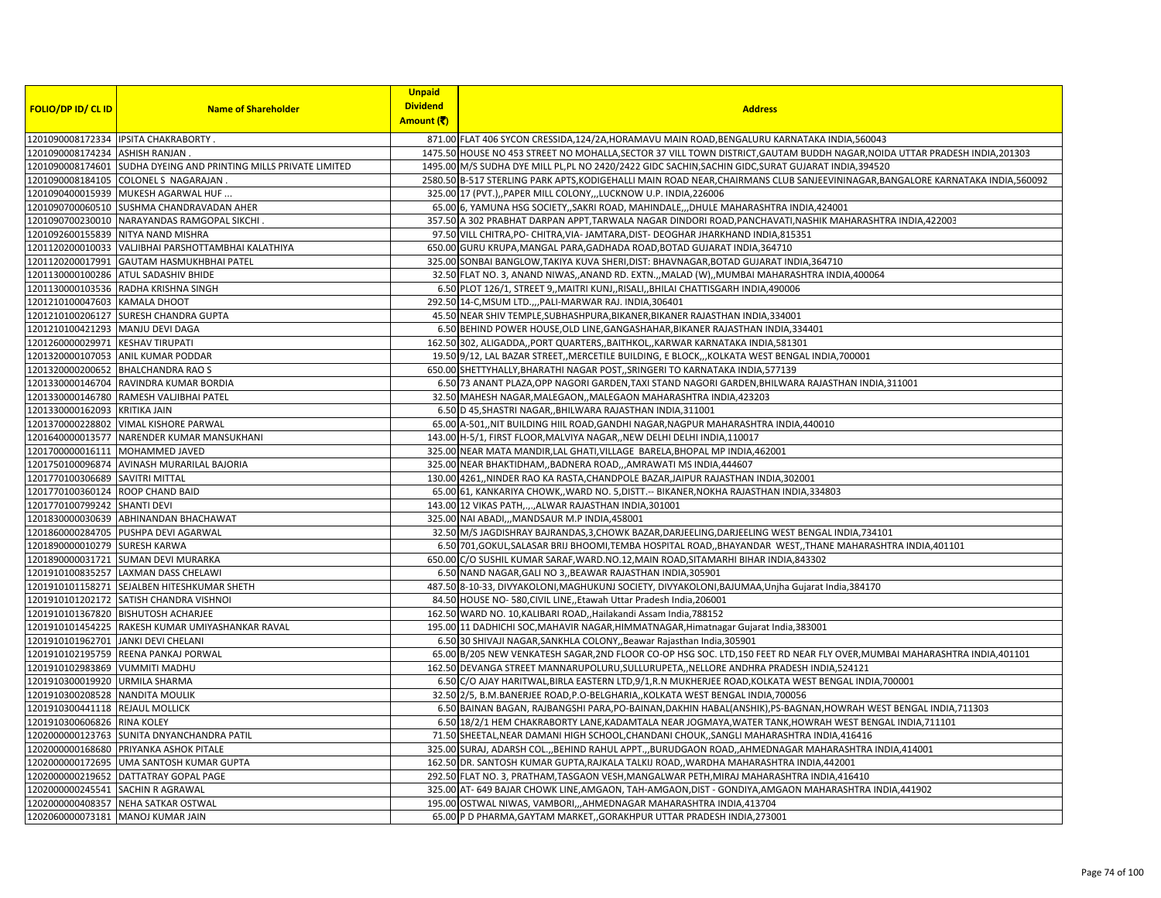|                                     |                                                                  | <b>Unpaid</b>   |                                                                                                                                                                          |
|-------------------------------------|------------------------------------------------------------------|-----------------|--------------------------------------------------------------------------------------------------------------------------------------------------------------------------|
| <b>FOLIO/DP ID/ CL ID</b>           | <b>Name of Shareholder</b>                                       | <b>Dividend</b> | <b>Address</b>                                                                                                                                                           |
|                                     |                                                                  | Amount (₹)      |                                                                                                                                                                          |
|                                     | 1201090008172334 IPSITA CHAKRABORTY.                             |                 | 871.00 FLAT 406 SYCON CRESSIDA, 124/2A, HORAMAVU MAIN ROAD, BENGALURU KARNATAKA INDIA, 560043                                                                            |
| 1201090008174234 ASHISH RANJAN      |                                                                  |                 | 1475.50 HOUSE NO 453 STREET NO MOHALLA, SECTOR 37 VILL TOWN DISTRICT, GAUTAM BUDDH NAGAR, NOIDA UTTAR PRADESH INDIA, 201303                                              |
|                                     | 1201090008174601 SUDHA DYEING AND PRINTING MILLS PRIVATE LIMITED |                 | 1495.00 M/S SUDHA DYE MILL PL,PL NO 2420/2422 GIDC SACHIN, SACHIN GIDC, SURAT GUJARAT INDIA, 394520                                                                      |
|                                     | 1201090008184105 COLONEL S NAGARAJAN.                            |                 | 2580.50 B-517 STERLING PARK APTS, KODIGEHALLI MAIN ROAD NEAR, CHAIRMANS CLUB SANJEEVININAGAR, BANGALORE KARNATAKA INDIA, 560092                                          |
|                                     | 1201090400015939 MUKESH AGARWAL HUF                              |                 | 325.00 17 (PVT.),, PAPER MILL COLONY,,, LUCKNOW U.P. INDIA, 226006                                                                                                       |
|                                     | 1201090700060510 SUSHMA CHANDRAVADAN AHER                        |                 | 65.00 6, YAMUNA HSG SOCIETY, SAKRI ROAD, MAHINDALE, ,DHULE MAHARASHTRA INDIA, 424001                                                                                     |
|                                     | 1201090700230010 NARAYANDAS RAMGOPAL SIKCHI.                     |                 | 357.50 A 302 PRABHAT DARPAN APPT, TARWALA NAGAR DINDORI ROAD, PANCHAVATI, NASHIK MAHARASHTRA INDIA, 422003                                                               |
|                                     | 1201092600155839 NITYA NAND MISHRA                               |                 | 97.50 VILL CHITRA, PO- CHITRA, VIA- JAMTARA, DIST- DEOGHAR JHARKHAND INDIA, 815351                                                                                       |
|                                     | 1201120200010033 VALJIBHAI PARSHOTTAMBHAI KALATHIYA              |                 | 650.00 GURU KRUPA, MANGAL PARA, GADHADA ROAD, BOTAD GUJARAT INDIA, 364710                                                                                                |
|                                     | 1201120200017991 GAUTAM HASMUKHBHAI PATEL                        |                 | 325.00 SONBAI BANGLOW, TAKIYA KUVA SHERI, DIST: BHAVNAGAR, BOTAD GUJARAT INDIA, 364710                                                                                   |
|                                     | 1201130000100286 ATUL SADASHIV BHIDE                             |                 | 32.50 FLAT NO. 3, ANAND NIWAS, ANAND RD. EXTN., MALAD (W), MUMBAI MAHARASHTRA INDIA, 400064                                                                              |
|                                     | 1201130000103536 RADHA KRISHNA SINGH                             |                 | 6.50 PLOT 126/1, STREET 9,, MAITRI KUNJ,, RISALI,, BHILAI CHATTISGARH INDIA, 490006                                                                                      |
| 1201210100047603 KAMALA DHOOT       |                                                                  |                 | 292.50 14-C, MSUM LTD.,,, PALI-MARWAR RAJ. INDIA, 306401                                                                                                                 |
|                                     | 1201210100206127 SURESH CHANDRA GUPTA                            |                 | 45.50 NEAR SHIV TEMPLE, SUBHASHPURA, BIKANER, BIKANER RAJASTHAN INDIA, 334001                                                                                            |
| 1201210100421293 MANJU DEVI DAGA    |                                                                  |                 | 6.50 BEHIND POWER HOUSE, OLD LINE, GANGASHAHAR, BIKANER RAJASTHAN INDIA, 334401                                                                                          |
| 1201260000029971 KESHAV TIRUPATI    |                                                                  |                 | 162.50 302, ALIGADDA,, PORT QUARTERS,, BAITHKOL,, KARWAR KARNATAKA INDIA, 581301                                                                                         |
|                                     | 1201320000107053 ANIL KUMAR PODDAR                               |                 | 19.50 9/12, LAL BAZAR STREET,, MERCETILE BUILDING, E BLOCK,, , KOLKATA WEST BENGAL INDIA, 700001                                                                         |
|                                     | 1201320000200652 BHALCHANDRA RAO S                               |                 | 650.00 SHETTYHALLY, BHARATHI NAGAR POST, SRINGERI TO KARNATAKA INDIA, 577139                                                                                             |
|                                     | 1201330000146704 RAVINDRA KUMAR BORDIA                           |                 | 6.50 73 ANANT PLAZA, OPP NAGORI GARDEN, TAXI STAND NAGORI GARDEN, BHILWARA RAJASTHAN INDIA, 311001                                                                       |
|                                     | 1201330000146780 RAMESH VALJIBHAI PATEL                          |                 | 32.50 MAHESH NAGAR, MALEGAON, , MALEGAON MAHARASHTRA INDIA, 423203                                                                                                       |
| 1201330000162093 KRITIKA JAIN       |                                                                  |                 | 6.50 D 45, SHASTRI NAGAR, BHILWARA RAJASTHAN INDIA, 311001                                                                                                               |
|                                     | 1201370000228802 VIMAL KISHORE PARWAL                            |                 | 65.00 A-501,,NIT BUILDING HIIL ROAD, GANDHI NAGAR, NAGPUR MAHARASHTRA INDIA, 440010                                                                                      |
|                                     | 1201640000013577 NARENDER KUMAR MANSUKHANI                       |                 | 143.00 H-5/1, FIRST FLOOR, MALVIYA NAGAR, NEW DELHI DELHI INDIA, 110017                                                                                                  |
| 1201700000016111 MOHAMMED JAVED     |                                                                  |                 | 325.00 NEAR MATA MANDIR, LAL GHATI, VILLAGE BARELA, BHOPAL MP INDIA, 462001                                                                                              |
|                                     | 1201750100096874 AVINASH MURARILAL BAJORIA                       |                 | 325.00 NEAR BHAKTIDHAM, BADNERA ROAD, , AMRAWATI MS INDIA, 444607                                                                                                        |
| 1201770100306689 SAVITRI MITTAL     |                                                                  |                 | 130.00 4261, NINDER RAO KA RASTA, CHANDPOLE BAZAR, JAIPUR RAJASTHAN INDIA, 302001                                                                                        |
| 1201770100360124 ROOP CHAND BAID    |                                                                  |                 | 65.00 61, KANKARIYA CHOWK,, WARD NO. 5, DISTT. -- BIKANER, NOKHA RAJASTHAN INDIA, 334803                                                                                 |
| 1201770100799242 SHANTI DEVI        |                                                                  |                 | 143.00 12 VIKAS PATH,.,.,ALWAR RAJASTHAN INDIA,301001                                                                                                                    |
|                                     | 1201830000030639 ABHINANDAN BHACHAWAT                            |                 | 325.00 NAI ABADI,,, MANDSAUR M.P INDIA, 458001                                                                                                                           |
|                                     | 1201860000284705 PUSHPA DEVI AGARWAL                             |                 | 32.50 M/S JAGDISHRAY BAJRANDAS, 3, CHOWK BAZAR, DARJEELING, DARJEELING WEST BENGAL INDIA, 734101                                                                         |
| 1201890000010279 SURESH KARWA       | 1201890000031721 SUMAN DEVI MURARKA                              |                 | 6.50 701, GOKUL, SALASAR BRIJ BHOOMI, TEMBA HOSPITAL ROAD, , BHAYANDAR WEST, , THANE MAHARASHTRA INDIA, 401101                                                           |
|                                     | 1201910100835257 LAXMAN DASS CHELAWI                             |                 | 650.00 C/O SUSHIL KUMAR SARAF, WARD.NO.12, MAIN ROAD, SITAMARHI BIHAR INDIA, 843302<br>6.50 NAND NAGAR, GALI NO 3, BEAWAR RAJASTHAN INDIA, 305901                        |
|                                     | 1201910101158271 SEJALBEN HITESHKUMAR SHETH                      |                 |                                                                                                                                                                          |
|                                     | 1201910101202172 SATISH CHANDRA VISHNOI                          |                 | 487.50 8-10-33, DIVYAKOLONI, MAGHUKUNJ SOCIETY, DIVYAKOLONI, BAJUMAA, Unjha Gujarat India, 384170<br>84.50 HOUSE NO-580, CIVIL LINE,, Etawah Uttar Pradesh India, 206001 |
|                                     | 1201910101367820 BISHUTOSH ACHARJEE                              |                 | 162.50 WARD NO. 10, KALIBARI ROAD,, Hailakandi Assam India, 788152                                                                                                       |
|                                     | 1201910101454225 RAKESH KUMAR UMIYASHANKAR RAVAL                 |                 | 195.00 11 DADHICHI SOC, MAHAVIR NAGAR, HIMMATNAGAR, Himatnagar Gujarat India, 383001                                                                                     |
| 1201910101962701 JANKI DEVI CHELANI |                                                                  |                 | 6.50 30 SHIVAJI NAGAR, SANKHLA COLONY, Beawar Rajasthan India, 305901                                                                                                    |
|                                     | 1201910102195759 REENA PANKAJ PORWAL                             |                 | 65.00 B/205 NEW VENKATESH SAGAR, 2ND FLOOR CO-OP HSG SOC. LTD, 150 FEET RD NEAR FLY OVER, MUMBAI MAHARASHTRA INDIA, 401101                                               |
| 1201910102983869 VUMMITI MADHU      |                                                                  |                 | 162.50 DEVANGA STREET MANNARUPOLURU, SULLURUPETA, , NELLORE ANDHRA PRADESH INDIA, 524121                                                                                 |
| 1201910300019920 URMILA SHARMA      |                                                                  |                 | 6.50 C/O AJAY HARITWAL, BIRLA EASTERN LTD, 9/1, R.N MUKHERJEE ROAD, KOLKATA WEST BENGAL INDIA, 700001                                                                    |
| 1201910300208528 NANDITA MOULIK     |                                                                  |                 | 32.50 2/5, B.M.BANERJEE ROAD, P.O-BELGHARIA,, KOLKATA WEST BENGAL INDIA, 700056                                                                                          |
| 1201910300441118 REJAUL MOLLICK     |                                                                  |                 | 6.50 BAINAN BAGAN, RAJBANGSHI PARA, PO-BAINAN, DAKHIN HABAL (ANSHIK), PS-BAGNAN, HOWRAH WEST BENGAL INDIA, 711303                                                        |
| 1201910300606826 RINA KOLEY         |                                                                  |                 | 6.50 18/2/1 HEM CHAKRABORTY LANE, KADAMTALA NEAR JOGMAYA, WATER TANK, HOWRAH WEST BENGAL INDIA, 711101                                                                   |
|                                     | 1202000000123763 SUNITA DNYANCHANDRA PATIL                       |                 | 71.50 SHEETAL, NEAR DAMANI HIGH SCHOOL, CHANDANI CHOUK, , SANGLI MAHARASHTRA INDIA, 416416                                                                               |
|                                     | 1202000000168680 PRIYANKA ASHOK PITALE                           |                 | 325.00 SURAJ, ADARSH COL.,,BEHIND RAHUL APPT.,,BURUDGAON ROAD,,AHMEDNAGAR MAHARASHTRA INDIA,414001                                                                       |
|                                     | 1202000000172695 UMA SANTOSH KUMAR GUPTA                         |                 | 162.50 DR. SANTOSH KUMAR GUPTA, RAJKALA TALKIJ ROAD, , WARDHA MAHARASHTRA INDIA, 442001                                                                                  |
|                                     | 1202000000219652 DATTATRAY GOPAL PAGE                            |                 | 292.50 FLAT NO. 3, PRATHAM, TASGAON VESH, MANGALWAR PETH, MIRAJ MAHARASHTRA INDIA, 416410                                                                                |
| 1202000000245541 SACHIN R AGRAWAL   |                                                                  |                 | 325.00 AT-649 BAJAR CHOWK LINE, AMGAON, TAH-AMGAON, DIST - GONDIYA, AMGAON MAHARASHTRA INDIA, 441902                                                                     |
|                                     | 1202000000408357 NEHA SATKAR OSTWAL                              |                 | 195.00 OSTWAL NIWAS, VAMBORI,,,AHMEDNAGAR MAHARASHTRA INDIA,413704                                                                                                       |
| 1202060000073181 MANOJ KUMAR JAIN   |                                                                  |                 | 65.00 P D PHARMA, GAYTAM MARKET, , GORAKHPUR UTTAR PRADESH INDIA, 273001                                                                                                 |
|                                     |                                                                  |                 |                                                                                                                                                                          |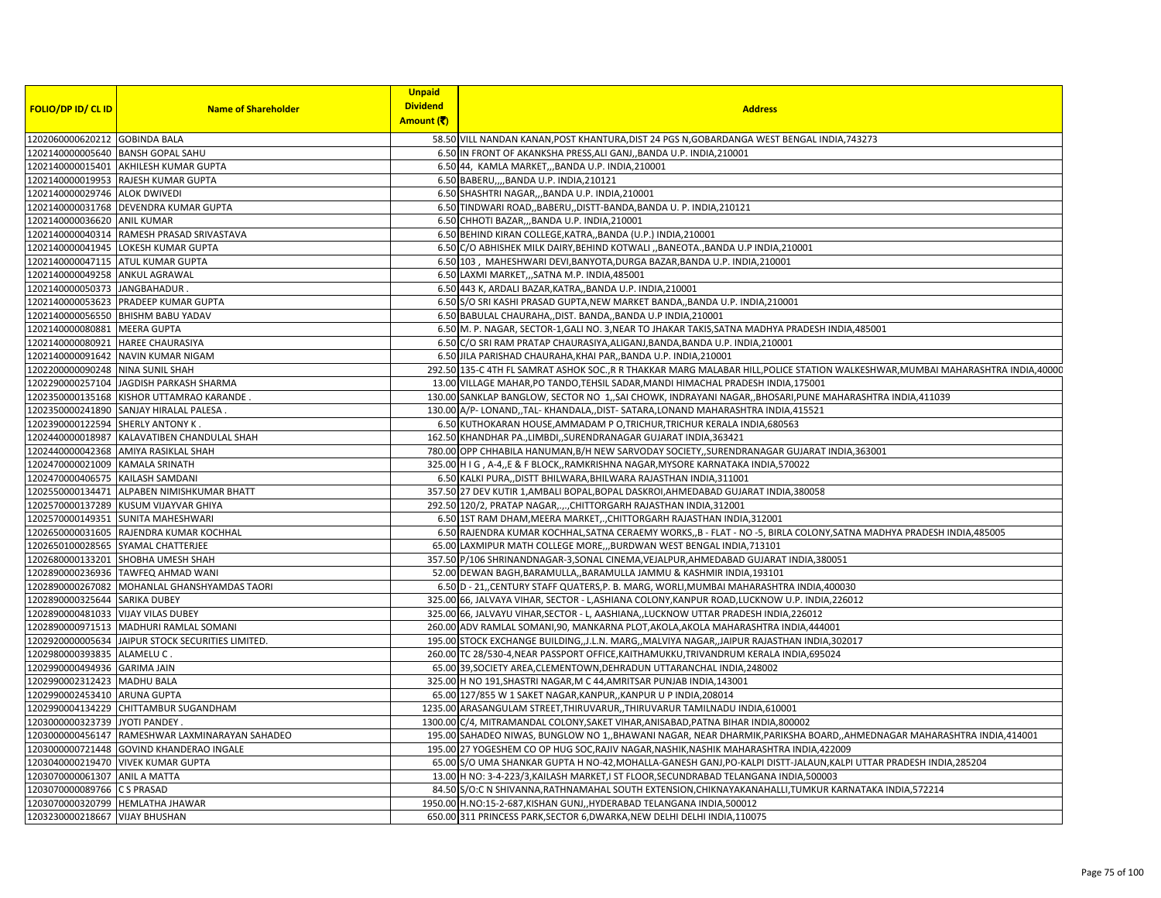| <b>FOLIO/DP ID/ CL ID</b>          | <b>Name of Shareholder</b>                        | <b>Unpaid</b><br><b>Dividend</b> | <b>Address</b>                                                                                                                   |
|------------------------------------|---------------------------------------------------|----------------------------------|----------------------------------------------------------------------------------------------------------------------------------|
|                                    |                                                   | Amount (そ)                       |                                                                                                                                  |
| 1202060000620212 GOBINDA BALA      |                                                   |                                  | 58.50 VILL NANDAN KANAN, POST KHANTURA, DIST 24 PGS N, GOBARDANGA WEST BENGAL INDIA, 743273                                      |
| 1202140000005640 BANSH GOPAL SAHU  |                                                   |                                  | 6.50 IN FRONT OF AKANKSHA PRESS, ALI GANJ,, BANDA U.P. INDIA, 210001                                                             |
|                                    | 1202140000015401 AKHILESH KUMAR GUPTA             |                                  | 6.50 44, KAMLA MARKET, ,,BANDA U.P. INDIA,210001                                                                                 |
|                                    | 1202140000019953 RAJESH KUMAR GUPTA               |                                  | 6.50 BABERU,,,,BANDA U.P. INDIA,210121                                                                                           |
| 1202140000029746 ALOK DWIVEDI      |                                                   |                                  | 6.50 SHASHTRI NAGAR,,,BANDA U.P. INDIA,210001                                                                                    |
|                                    | 1202140000031768 DEVENDRA KUMAR GUPTA             |                                  | 6.50 TINDWARI ROAD,, BABERU,, DISTT-BANDA, BANDA U. P. INDIA, 210121                                                             |
| 1202140000036620 ANIL KUMAR        |                                                   |                                  | 6.50 CHHOTI BAZAR,,,BANDA U.P. INDIA,210001                                                                                      |
|                                    | 1202140000040314 RAMESH PRASAD SRIVASTAVA         |                                  | 6.50 BEHIND KIRAN COLLEGE, KATRA,, BANDA (U.P.) INDIA, 210001                                                                    |
|                                    | 1202140000041945 LOKESH KUMAR GUPTA               |                                  | 6.50 C/O ABHISHEK MILK DAIRY, BEHIND KOTWALI "BANEOTA., BANDA U.P INDIA, 210001                                                  |
| 1202140000047115 ATUL KUMAR GUPTA  |                                                   |                                  | 6.50 103, MAHESHWARI DEVI, BANYOTA, DURGA BAZAR, BANDA U.P. INDIA, 210001                                                        |
| 1202140000049258 ANKUL AGRAWAL     |                                                   |                                  | 6.50 LAXMI MARKET, SATNA M.P. INDIA, 485001                                                                                      |
| 1202140000050373 JANGBAHADUR.      |                                                   |                                  | 6.50 443 K, ARDALI BAZAR, KATRA,, BANDA U.P. INDIA, 210001                                                                       |
|                                    | 1202140000053623 PRADEEP KUMAR GUPTA              |                                  | 6.50 S/O SRI KASHI PRASAD GUPTA, NEW MARKET BANDA,, BANDA U.P. INDIA, 210001                                                     |
|                                    | 1202140000056550 BHISHM BABU YADAV                |                                  | 6.50 BABULAL CHAURAHA,, DIST. BANDA,, BANDA U.P INDIA, 210001                                                                    |
| 1202140000080881 MEERA GUPTA       |                                                   |                                  | 6.50 M. P. NAGAR, SECTOR-1, GALI NO. 3, NEAR TO JHAKAR TAKIS, SATNA MADHYA PRADESH INDIA, 485001                                 |
| 1202140000080921 HAREE CHAURASIYA  |                                                   |                                  | 6.50 C/O SRI RAM PRATAP CHAURASIYA, ALIGANJ, BANDA, BANDA U.P. INDIA, 210001                                                     |
|                                    | 1202140000091642 NAVIN KUMAR NIGAM                |                                  | 6.50 JILA PARISHAD CHAURAHA, KHAI PAR,, BANDA U.P. INDIA, 210001                                                                 |
| 1202200000090248 NINA SUNIL SHAH   |                                                   |                                  | 292.50 135-C 4TH FL SAMRAT ASHOK SOC., R R THAKKAR MARG MALABAR HILL, POLICE STATION WALKESHWAR, MUMBAI MAHARASHTRA INDIA, 40000 |
|                                    | 1202290000257104  JAGDISH PARKASH SHARMA          |                                  | 13.00 VILLAGE MAHAR, PO TANDO, TEHSIL SADAR, MANDI HIMACHAL PRADESH INDIA, 175001                                                |
|                                    | 1202350000135168 KISHOR UTTAMRAO KARANDE.         |                                  | 130.00 SANKLAP BANGLOW, SECTOR NO 1,,SAI CHOWK, INDRAYANI NAGAR, BHOSARI, PUNE MAHARASHTRA INDIA, 411039                         |
|                                    | 1202350000241890 SANJAY HIRALAL PALESA            |                                  | 130.00 A/P-LONAND,,TAL-KHANDALA,,DIST-SATARA,LONAND MAHARASHTRA INDIA,415521                                                     |
| 1202390000122594                   | <b>SHERLY ANTONY K</b>                            |                                  | 6.50 KUTHOKARAN HOUSE, AMMADAM P O, TRICHUR, TRICHUR KERALA INDIA, 680563                                                        |
|                                    | 1202440000018987 KALAVATIBEN CHANDULAL SHAH       |                                  | 162.50 KHANDHAR PA., LIMBDI, , SURENDRANAGAR GUJARAT INDIA, 363421                                                               |
|                                    | 1202440000042368 AMIYA RASIKLAL SHAH              |                                  | 780.00 OPP CHHABILA HANUMAN, B/H NEW SARVODAY SOCIETY, , SURENDRANAGAR GUJARAT INDIA, 363001                                     |
| 1202470000021009 KAMALA SRINATH    |                                                   |                                  | 325.00 H I G , A-4, E & F BLOCK, RAMKRISHNA NAGAR, MYSORE KARNATAKA INDIA, 570022                                                |
| 1202470000406575 KAILASH SAMDANI   |                                                   |                                  | 6.50 KALKI PURA,, DISTT BHILWARA, BHILWARA RAJASTHAN INDIA, 311001                                                               |
|                                    | 1202550000134471 ALPABEN NIMISHKUMAR BHATT        |                                  | 357.50 27 DEV KUTIR 1, AMBALI BOPAL, BOPAL DASKROI, AHMEDABAD GUJARAT INDIA, 380058                                              |
| 1202570000137289                   | KUSUM VIJAYVAR GHIYA                              |                                  | 292.50 120/2, PRATAP NAGAR,.,., CHITTORGARH RAJASTHAN INDIA, 312001                                                              |
|                                    | 1202570000149351 SUNITA MAHESHWARI                |                                  | 6.50 1ST RAM DHAM, MEERA MARKET,., CHITTORGARH RAJASTHAN INDIA, 312001                                                           |
| 1202650000031605                   | RAJENDRA KUMAR KOCHHAL                            |                                  | 6.50 RAJENDRA KUMAR KOCHHAL,SATNA CERAEMY WORKS,,B - FLAT - NO -5, BIRLA COLONY,SATNA MADHYA PRADESH INDIA,485005                |
|                                    | 1202650100028565 SYAMAL CHATTERJEE                |                                  | 65.00 LAXMIPUR MATH COLLEGE MORE,,,BURDWAN WEST BENGAL INDIA, 713101                                                             |
|                                    | 1202680000133201 SHOBHA UMESH SHAH                |                                  | 357.50 P/106 SHRINANDNAGAR-3, SONAL CINEMA, VEJALPUR, AHMEDABAD GUJARAT INDIA, 380051                                            |
|                                    | 1202890000236936 TAWFEQ AHMAD WAN                 |                                  | 52.00 DEWAN BAGH, BARAMULLA, BARAMULLA JAMMU & KASHMIR INDIA, 193101                                                             |
|                                    | 1202890000267082 MOHANLAL GHANSHYAMDAS TAORI      |                                  | 6.50 D - 21, CENTURY STAFF QUATERS, P. B. MARG, WORLI, MUMBAI MAHARASHTRA INDIA, 400030                                          |
| 1202890000325644 SARIKA DUBEY      |                                                   |                                  | 325.00 66, JALVAYA VIHAR, SECTOR - L, ASHIANA COLONY, KANPUR ROAD, LUCKNOW U.P. INDIA, 226012                                    |
| 1202890000481033                   | <b>VIJAY VILAS DUBEY</b>                          |                                  | 325.00 66, JALVAYU VIHAR, SECTOR - L, AASHIANA,, LUCKNOW UTTAR PRADESH INDIA, 226012                                             |
|                                    | 1202890000971513 MADHURI RAMLAL SOMANI            |                                  | 260.00 ADV RAMLAL SOMANI, 90, MANKARNA PLOT, AKOLA, AKOLA MAHARASHTRA INDIA, 444001                                              |
|                                    | 1202920000005634 JAIPUR STOCK SECURITIES LIMITED. |                                  | 195.00 STOCK EXCHANGE BUILDING, J.L.N. MARG, MALVIYA NAGAR, JAIPUR RAJASTHAN INDIA, 302017                                       |
| 1202980000393835 ALAMELU C.        |                                                   |                                  | 260.00 TC 28/530-4, NEAR PASSPORT OFFICE, KAITHAMUKKU, TRIVANDRUM KERALA INDIA, 695024                                           |
| 1202990000494936 GARIMA JAIN       |                                                   |                                  | 65.00 39, SOCIETY AREA, CLEMENTOWN, DEHRADUN UTTARANCHAL INDIA, 248002                                                           |
| 1202990002312423                   | <b>MADHU BALA</b>                                 |                                  | 325.00 H NO 191, SHASTRI NAGAR, M C 44, AMRITSAR PUNJAB INDIA, 143001                                                            |
| 1202990002453410 ARUNA GUPTA       |                                                   |                                  | 65.00 127/855 W 1 SAKET NAGAR, KANPUR, , KANPUR U P INDIA, 208014                                                                |
|                                    | 1202990004134229 CHITTAMBUR SUGANDHAM             |                                  | 1235.00 ARASANGULAM STREET, THIRUVARUR, THIRUVARUR TAMILNADU INDIA, 610001                                                       |
| 1203000000323739 JYOTI PANDEY      |                                                   |                                  | 1300.00 C/4, MITRAMANDAL COLONY, SAKET VIHAR, ANISABAD, PATNA BIHAR INDIA, 800002                                                |
|                                    | 1203000000456147 RAMESHWAR LAXMINARAYAN SAHADEO   |                                  | 195.00 SAHADEO NIWAS, BUNGLOW NO 1,, BHAWANI NAGAR, NEAR DHARMIK, PARIKSHA BOARD, , AHMEDNAGAR MAHARASHTRA INDIA, 414001         |
|                                    | 1203000000721448 GOVIND KHANDERAO INGALE          |                                  | 195.00 27 YOGESHEM CO OP HUG SOC, RAJIV NAGAR, NASHIK, NASHIK MAHARASHTRA INDIA, 422009                                          |
|                                    | 1203040000219470 VIVEK KUMAR GUPTA                |                                  | 65.00 S/O UMA SHANKAR GUPTA H NO-42, MOHALLA-GANESH GANJ, PO-KALPI DISTT-JALAUN, KALPI UTTAR PRADESH INDIA, 285204               |
| 1203070000061307 ANIL A MATTA      |                                                   |                                  | 13.00 H NO: 3-4-223/3, KAILASH MARKET, I ST FLOOR, SECUNDRABAD TELANGANA INDIA, 500003                                           |
| 1203070000089766                   | <b>CS PRASAD</b>                                  |                                  | 84.50 S/O:C N SHIVANNA, RATHNAMAHAL SOUTH EXTENSION, CHIKNAYAKANAHALLI, TUMKUR KARNATAKA INDIA, 572214                           |
| 1203070000320799   HEMLATHA JHAWAR |                                                   |                                  | 1950.00 H.NO:15-2-687, KISHAN GUNJ, , HYDERABAD TELANGANA INDIA, 500012                                                          |
| 1203230000218667 VIJAY BHUSHAN     |                                                   |                                  | 650.00 311 PRINCESS PARK, SECTOR 6, DWARKA, NEW DELHI DELHI INDIA, 110075                                                        |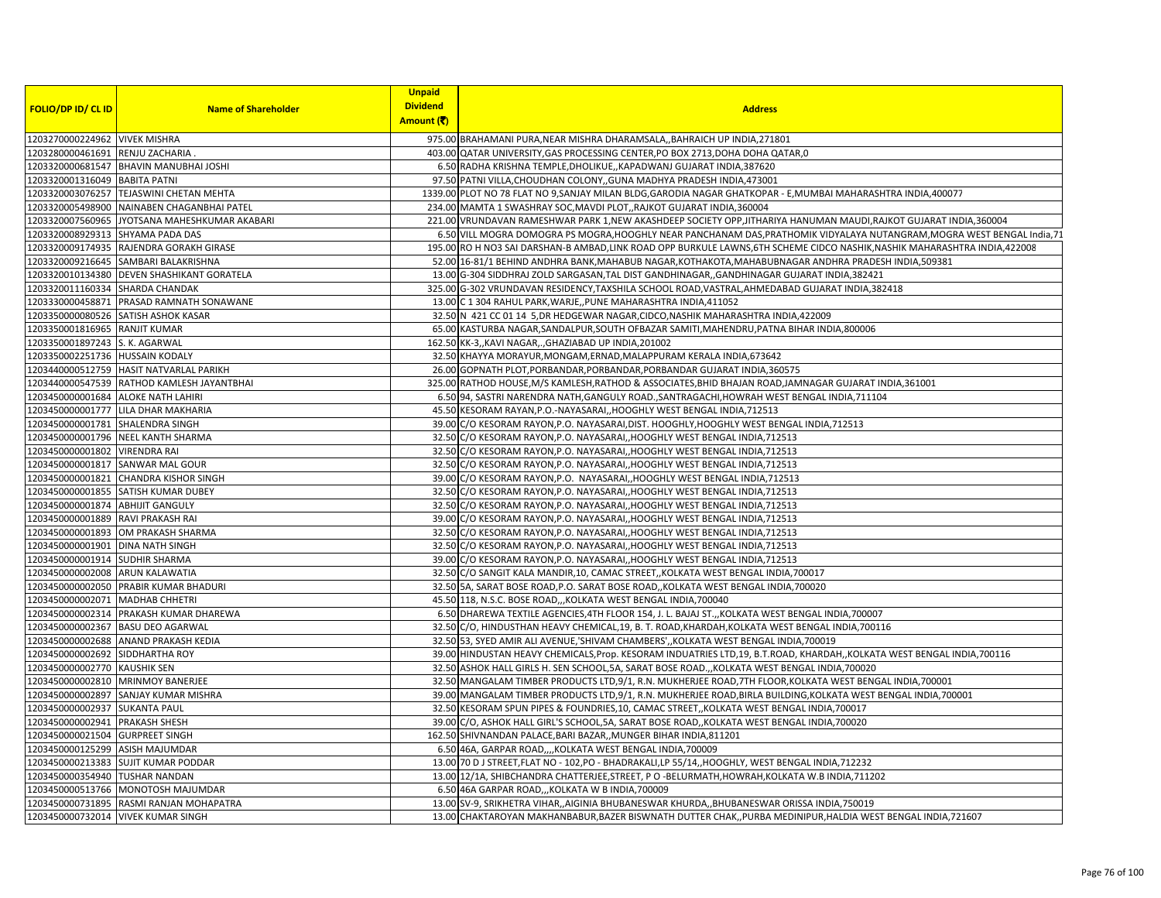|                                                      |                                                                      | <b>Unpaid</b>                 |                                                                                                                                                                                           |
|------------------------------------------------------|----------------------------------------------------------------------|-------------------------------|-------------------------------------------------------------------------------------------------------------------------------------------------------------------------------------------|
| <b>FOLIO/DP ID/ CL ID</b>                            | <b>Name of Shareholder</b>                                           | <b>Dividend</b><br>Amount (そ) | <b>Address</b>                                                                                                                                                                            |
|                                                      |                                                                      |                               |                                                                                                                                                                                           |
| 1203270000224962 VIVEK MISHRA                        |                                                                      |                               | 975.00 BRAHAMANI PURA, NEAR MISHRA DHARAMSALA,, BAHRAICH UP INDIA, 271801<br>403.00 QATAR UNIVERSITY, GAS PROCESSING CENTER, PO BOX 2713, DOHA DOHA QATAR, 0                              |
| 1203280000461691 RENJU ZACHARIA                      |                                                                      |                               |                                                                                                                                                                                           |
| 1203320001316049 BABITA PATNI                        | 1203320000681547 BHAVIN MANUBHAI JOSHI                               |                               | 6.50 RADHA KRISHNA TEMPLE, DHOLIKUE,, KAPADWANJ GUJARAT INDIA, 387620                                                                                                                     |
|                                                      |                                                                      |                               | 97.50 PATNI VILLA, CHOUDHAN COLONY, GUNA MADHYA PRADESH INDIA, 473001                                                                                                                     |
| 1203320005498900                                     | 1203320003076257 TEJASWINI CHETAN MEHTA<br>NAINABEN CHAGANBHAI PATEL |                               | 1339.00 PLOT NO 78 FLAT NO 9, SANJAY MILAN BLDG, GARODIA NAGAR GHATKOPAR - E, MUMBAI MAHARASHTRA INDIA, 400077<br>234.00 MAMTA 1 SWASHRAY SOC, MAVDI PLOT, , RAJKOT GUJARAT INDIA, 360004 |
|                                                      | 1203320007560965 JYOTSANA MAHESHKUMAR AKABARI                        |                               |                                                                                                                                                                                           |
|                                                      |                                                                      |                               | 221.00 VRUNDAVAN RAMESHWAR PARK 1,NEW AKASHDEEP SOCIETY OPP,JITHARIYA HANUMAN MAUDI,RAJKOT GUJARAT INDIA,360004                                                                           |
| 1203320008929313 SHYAMA PADA DAS<br>1203320009174935 |                                                                      |                               | 6.50 VILL MOGRA DOMOGRA PS MOGRA, HOOGHLY NEAR PANCHANAM DAS, PRATHOMIK VIDYALAYA NUTANGRAM, MOGRA WEST BENGAL India, 71                                                                  |
|                                                      | RAJENDRA GORAKH GIRASE                                               |                               | 195.00 RO H NO3 SAI DARSHAN-B AMBAD, LINK ROAD OPP BURKULE LAWNS, 6TH SCHEME CIDCO NASHIK, NASHIK MAHARASHTRA INDIA, 422008                                                               |
|                                                      | 1203320009216645 SAMBARI BALAKRISHNA                                 |                               | 52.00 16-81/1 BEHIND ANDHRA BANK, MAHABUB NAGAR, KOTHAKOTA, MAHABUBNAGAR ANDHRA PRADESH INDIA, 509381                                                                                     |
|                                                      | 1203320010134380 DEVEN SHASHIKANT GORATELA                           |                               | 13.00 G-304 SIDDHRAJ ZOLD SARGASAN, TAL DIST GANDHINAGAR, GANDHINAGAR GUJARAT INDIA, 382421                                                                                               |
| 1203320011160334 SHARDA CHANDAK                      |                                                                      |                               | 325.00 G-302 VRUNDAVAN RESIDENCY, TAXSHILA SCHOOL ROAD, VASTRAL, AHMEDABAD GUJARAT INDIA, 382418                                                                                          |
|                                                      | 1203330000458871 PRASAD RAMNATH SONAWANE                             |                               | 13.00 C 1 304 RAHUL PARK, WARJE, , PUNE MAHARASHTRA INDIA, 411052                                                                                                                         |
|                                                      | 1203350000080526 SATISH ASHOK KASAR                                  |                               | 32.50 N 421 CC 01 14 5, DR HEDGEWAR NAGAR, CIDCO, NASHIK MAHARASHTRA INDIA, 422009                                                                                                        |
| 1203350001816965 RANJIT KUMAR                        |                                                                      |                               | 65.00 KASTURBA NAGAR, SANDALPUR, SOUTH OFBAZAR SAMITI, MAHENDRU, PATNA BIHAR INDIA, 800006                                                                                                |
| 1203350001897243 S. K. AGARWAL                       |                                                                      |                               | 162.50 KK-3,, KAVI NAGAR,., GHAZIABAD UP INDIA, 201002                                                                                                                                    |
| 1203350002251736 HUSSAIN KODALY                      |                                                                      |                               | 32.50 KHAYYA MORAYUR, MONGAM, ERNAD, MALAPPURAM KERALA INDIA, 673642                                                                                                                      |
|                                                      | 1203440000512759 HASIT NATVARLAL PARIKH                              |                               | 26.00 GOPNATH PLOT, PORBANDAR, PORBANDAR, PORBANDAR GUJARAT INDIA, 360575                                                                                                                 |
|                                                      | 1203440000547539 RATHOD KAMLESH JAYANTBHAI                           |                               | 325.00 RATHOD HOUSE, M/S KAMLESH, RATHOD & ASSOCIATES, BHID BHAJAN ROAD, JAMNAGAR GUJARAT INDIA, 361001                                                                                   |
| 1203450000001684 ALOKE NATH LAHIRI                   |                                                                      |                               | 6.50 94, SASTRI NARENDRA NATH, GANGULY ROAD., SANTRAGACHI, HOWRAH WEST BENGAL INDIA, 711104                                                                                               |
|                                                      | 1203450000001777 LILA DHAR MAKHARIA                                  |                               | 45.50 KESORAM RAYAN, P.O.-NAYASARAI,, HOOGHLY WEST BENGAL INDIA, 712513                                                                                                                   |
| 1203450000001781                                     | SHALENDRA SINGH                                                      |                               | 39.00 C/O KESORAM RAYON, P.O. NAYASARAI, DIST. HOOGHLY, HOOGHLY WEST BENGAL INDIA, 712513                                                                                                 |
|                                                      | 1203450000001796 NEEL KANTH SHARMA                                   |                               | 32.50 C/O KESORAM RAYON, P.O. NAYASARAI, HOOGHLY WEST BENGAL INDIA, 712513                                                                                                                |
| 1203450000001802 VIRENDRA RAI                        |                                                                      |                               | 32.50 C/O KESORAM RAYON, P.O. NAYASARAI, HOOGHLY WEST BENGAL INDIA, 712513                                                                                                                |
| 1203450000001817 SANWAR MAL GOUR                     |                                                                      |                               | 32.50 C/O KESORAM RAYON, P.O. NAYASARAI, HOOGHLY WEST BENGAL INDIA, 712513                                                                                                                |
|                                                      | 1203450000001821 CHANDRA KISHOR SINGH                                |                               | 39.00 C/O KESORAM RAYON, P.O. NAYASARAI, HOOGHLY WEST BENGAL INDIA, 712513                                                                                                                |
|                                                      | 1203450000001855 SATISH KUMAR DUBEY                                  |                               | 32.50 C/O KESORAM RAYON, P.O. NAYASARAI, HOOGHLY WEST BENGAL INDIA, 712513                                                                                                                |
| 1203450000001874 ABHIJIT GANGULY                     |                                                                      |                               | 32.50 C/O KESORAM RAYON, P.O. NAYASARAI, HOOGHLY WEST BENGAL INDIA, 712513                                                                                                                |
| 1203450000001889 RAVI PRAKASH RAI                    |                                                                      |                               | 39.00 C/O KESORAM RAYON, P.O. NAYASARAI, HOOGHLY WEST BENGAL INDIA, 712513                                                                                                                |
|                                                      | 1203450000001893 OM PRAKASH SHARMA                                   |                               | 32.50 C/O KESORAM RAYON, P.O. NAYASARAI, HOOGHLY WEST BENGAL INDIA, 712513                                                                                                                |
| 1203450000001901 DINA NATH SINGH                     |                                                                      |                               | 32.50 C/O KESORAM RAYON, P.O. NAYASARAI, HOOGHLY WEST BENGAL INDIA, 712513                                                                                                                |
| 1203450000001914 SUDHIR SHARMA                       |                                                                      |                               | 39.00 C/O KESORAM RAYON, P.O. NAYASARAI,, HOOGHLY WEST BENGAL INDIA, 712513                                                                                                               |
| 1203450000002008 ARUN KALAWATIA                      |                                                                      |                               | 32.50 C/O SANGIT KALA MANDIR, 10, CAMAC STREET, KOLKATA WEST BENGAL INDIA, 700017                                                                                                         |
|                                                      | 1203450000002050 PRABIR KUMAR BHADURI                                |                               | 32.50 5A, SARAT BOSE ROAD, P.O. SARAT BOSE ROAD, KOLKATA WEST BENGAL INDIA, 700020                                                                                                        |
| 1203450000002071 MADHAB CHHETRI                      |                                                                      |                               | 45.50 118, N.S.C. BOSE ROAD,,,KOLKATA WEST BENGAL INDIA,700040                                                                                                                            |
|                                                      | 1203450000002314 PRAKASH KUMAR DHAREWA                               |                               | 6.50 DHAREWA TEXTILE AGENCIES, 4TH FLOOR 154, J. L. BAJAJ ST., KOLKATA WEST BENGAL INDIA, 700007                                                                                          |
|                                                      | 1203450000002367 BASU DEO AGARWAL                                    |                               | 32.50 C/O, HINDUSTHAN HEAVY CHEMICAL, 19, B. T. ROAD, KHARDAH, KOLKATA WEST BENGAL INDIA, 700116                                                                                          |
|                                                      | 1203450000002688 ANAND PRAKASH KEDIA                                 |                               | 32.50 53, SYED AMIR ALI AVENUE, SHIVAM CHAMBERS', KOLKATA WEST BENGAL INDIA, 700019                                                                                                       |
| 1203450000002692 SIDDHARTHA ROY                      |                                                                      |                               | 39.00 HINDUSTAN HEAVY CHEMICALS, Prop. KESORAM INDUATRIES LTD, 19, B.T.ROAD, KHARDAH,, KOLKATA WEST BENGAL INDIA, 700116                                                                  |
| 1203450000002770 KAUSHIK SEN                         |                                                                      |                               | 32.50 ASHOK HALL GIRLS H. SEN SCHOOL, 5A, SARAT BOSE ROAD., , KOLKATA WEST BENGAL INDIA, 700020                                                                                           |
| 1203450000002810                                     | <b>MRINMOY BANERJEE</b>                                              |                               | 32.50 MANGALAM TIMBER PRODUCTS LTD, 9/1, R.N. MUKHERJEE ROAD, 7TH FLOOR, KOLKATA WEST BENGAL INDIA, 700001                                                                                |
|                                                      | 1203450000002897 SANJAY KUMAR MISHRA                                 |                               | 39.00 MANGALAM TIMBER PRODUCTS LTD, 9/1, R.N. MUKHERJEE ROAD, BIRLA BUILDING, KOLKATA WEST BENGAL INDIA, 700001                                                                           |
| 1203450000002937 SUKANTA PAUL                        |                                                                      |                               | 32.50 KESORAM SPUN PIPES & FOUNDRIES, 10, CAMAC STREET,, KOLKATA WEST BENGAL INDIA, 700017                                                                                                |
| 1203450000002941                                     | <b>PRAKASH SHESH</b>                                                 |                               | 39.00 C/O, ASHOK HALL GIRL'S SCHOOL, 5A, SARAT BOSE ROAD, KOLKATA WEST BENGAL INDIA, 700020                                                                                               |
| 1203450000021504 GURPREET SINGH                      |                                                                      |                               | 162.50 SHIVNANDAN PALACE, BARI BAZAR,, MUNGER BIHAR INDIA, 811201                                                                                                                         |
| 1203450000125299 ASISH MAJUMDAR                      |                                                                      |                               | 6.50 46A, GARPAR ROAD,,,,KOLKATA WEST BENGAL INDIA, 700009                                                                                                                                |
|                                                      | 1203450000213383 SUJIT KUMAR PODDAR                                  |                               | 13.00 70 D J STREET, FLAT NO - 102, PO - BHADRAKALI, LP 55/14,, HOOGHLY, WEST BENGAL INDIA, 712232                                                                                        |
| 1203450000354940 TUSHAR NANDAN                       |                                                                      |                               | 13.00 12/1A, SHIBCHANDRA CHATTERJEE, STREET, P O -BELURMATH, HOWRAH, KOLKATA W.B INDIA, 711202                                                                                            |
|                                                      | 1203450000513766 MONOTOSH MAJUMDAR                                   |                               | 6.50 46A GARPAR ROAD,,, KOLKATA W B INDIA, 700009                                                                                                                                         |
|                                                      | 1203450000731895 RASMI RANJAN MOHAPATRA                              |                               | 13.00 SV-9, SRIKHETRA VIHAR, AIGINIA BHUBANESWAR KHURDA, BHUBANESWAR ORISSA INDIA, 750019                                                                                                 |
| 1203450000732014 VIVEK KUMAR SINGH                   |                                                                      |                               | 13.00 CHAKTAROYAN MAKHANBABUR, BAZER BISWNATH DUTTER CHAK,, PURBA MEDINIPUR, HALDIA WEST BENGAL INDIA, 721607                                                                             |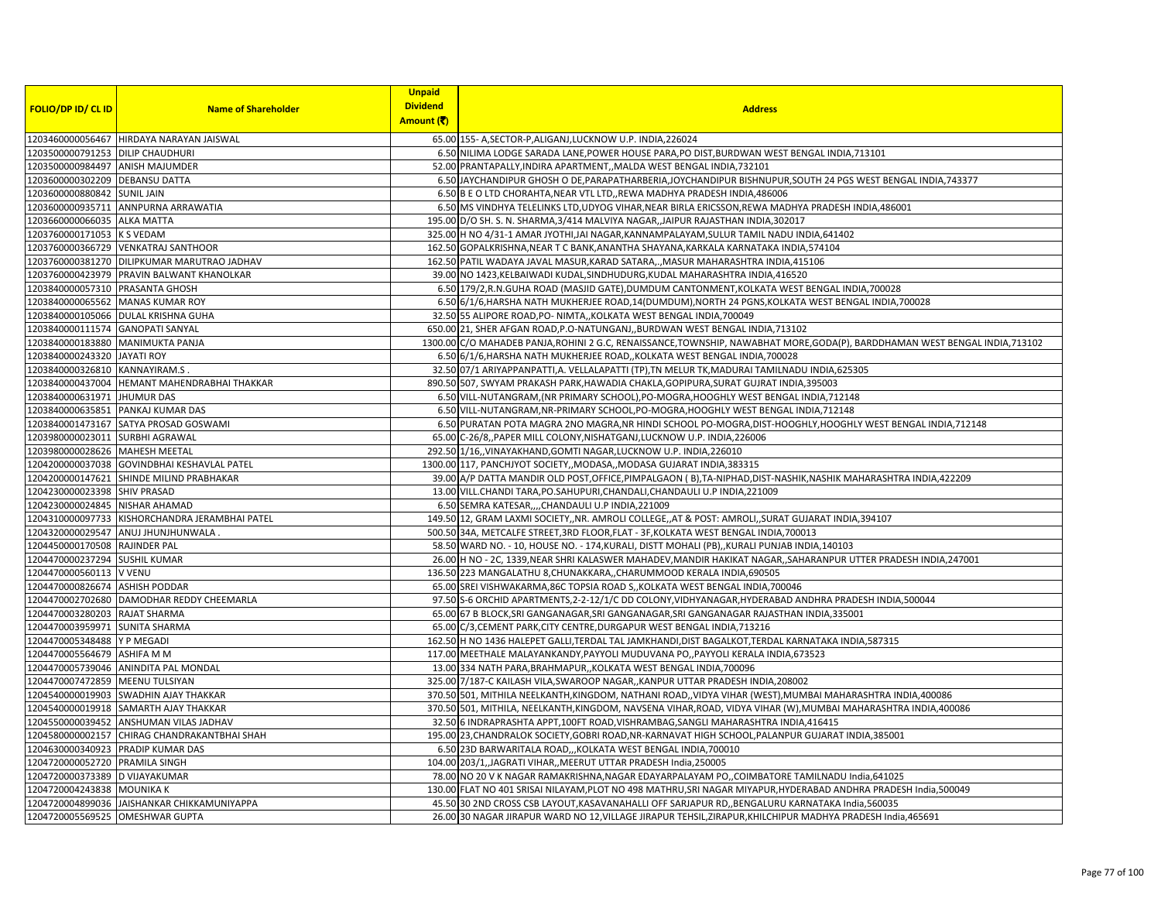|                                  |                                                | <b>Unpaid</b>   |                                                                                                                              |
|----------------------------------|------------------------------------------------|-----------------|------------------------------------------------------------------------------------------------------------------------------|
| <b>FOLIO/DP ID/ CL ID</b>        | <b>Name of Shareholder</b>                     | <b>Dividend</b> | <b>Address</b>                                                                                                               |
|                                  |                                                | Amount (₹)      |                                                                                                                              |
|                                  | 1203460000056467 HIRDAYA NARAYAN JAISWAL       |                 | 65.00 155- A, SECTOR-P, ALIGANJ, LUCKNOW U.P. INDIA, 226024                                                                  |
| 1203500000791253 DILIP CHAUDHURI |                                                |                 | 6.50 NILIMA LODGE SARADA LANE, POWER HOUSE PARA, PO DIST, BURDWAN WEST BENGAL INDIA, 713101                                  |
| 1203500000984497 ANISH MAJUMDER  |                                                |                 | 52.00 PRANTAPALLY, INDIRA APARTMENT, MALDA WEST BENGAL INDIA, 732101                                                         |
| 1203600000302209 DEBANSU DATTA   |                                                |                 | 6.50 JAYCHANDIPUR GHOSH O DE, PARAPATHARBERIA, JOYCHANDIPUR BISHNUPUR, SOUTH 24 PGS WEST BENGAL INDIA, 743377                |
| 1203600000880842 SUNIL JAIN      |                                                |                 | 6.50 B E O LTD CHORAHTA, NEAR VTL LTD,, REWA MADHYA PRADESH INDIA, 486006                                                    |
|                                  | 1203600000935711 ANNPURNA ARRAWATIA            |                 | 6.50 MS VINDHYA TELELINKS LTD, UDYOG VIHAR, NEAR BIRLA ERICSSON, REWA MADHYA PRADESH INDIA, 486001                           |
| 1203660000066035 ALKA MATTA      |                                                |                 | 195.00 D/O SH. S. N. SHARMA, 3/414 MALVIYA NAGAR, JAIPUR RAJASTHAN INDIA, 302017                                             |
| 1203760000171053 K S VEDAM       |                                                |                 | 325.00 H NO 4/31-1 AMAR JYOTHI, JAI NAGAR, KANNAMPALAYAM, SULUR TAMIL NADU INDIA, 641402                                     |
|                                  | 1203760000366729 VENKATRAJ SANTHOOR            |                 | 162.50 GOPALKRISHNA, NEAR T C BANK, ANANTHA SHAYANA, KARKALA KARNATAKA INDIA, 574104                                         |
|                                  | 1203760000381270 DILIPKUMAR MARUTRAO JADHAV    |                 | 162.50 PATIL WADAYA JAVAL MASUR, KARAD SATARA,., MASUR MAHARASHTRA INDIA, 415106                                             |
|                                  | 1203760000423979 PRAVIN BALWANT KHANOLKAR      |                 | 39.00 NO 1423, KELBAIWADI KUDAL, SINDHUDURG, KUDAL MAHARASHTRA INDIA, 416520                                                 |
| 1203840000057310 PRASANTA GHOSH  |                                                |                 | 6.50 179/2,R.N.GUHA ROAD (MASJID GATE),DUMDUM CANTONMENT,KOLKATA WEST BENGAL INDIA,700028                                    |
|                                  | 1203840000065562 MANAS KUMAR ROY               |                 | 6.50 6/1/6, HARSHA NATH MUKHERJEE ROAD, 14 (DUMDUM), NORTH 24 PGNS, KOLKATA WEST BENGAL INDIA, 700028                        |
|                                  | 1203840000105066 DULAL KRISHNA GUHA            |                 | 32.50 55 ALIPORE ROAD, PO- NIMTA,, KOLKATA WEST BENGAL INDIA, 700049                                                         |
| 1203840000111574 GANOPATI SANYAL |                                                |                 | 650.00 21, SHER AFGAN ROAD, P.O-NATUNGANJ, BURDWAN WEST BENGAL INDIA, 713102                                                 |
|                                  | 1203840000183880 MANIMUKTA PANJA               |                 | 1300.00 C/O MAHADEB PANJA, ROHINI 2 G.C, RENAISSANCE, TOWNSHIP, NAWABHAT MORE, GODA(P), BARDDHAMAN WEST BENGAL INDIA, 713102 |
| 1203840000243320 JAYATI ROY      |                                                |                 | 6.50 6/1/6, HARSHA NATH MUKHERJEE ROAD,, KOLKATA WEST BENGAL INDIA, 700028                                                   |
| 1203840000326810 KANNAYIRAM.S.   |                                                |                 | 32.50 07/1 ARIYAPPANPATTI, A. VELLALAPATTI (TP), TN MELUR TK, MADURAI TAMILNADU INDIA, 625305                                |
|                                  | 1203840000437004  HEMANT MAHENDRABHAI THAKKAR  |                 | 890.50 S07, SWYAM PRAKASH PARK, HAWADIA CHAKLA, GOPIPURA, SURAT GUJRAT INDIA, 395003                                         |
| 1203840000631971 JHUMUR DAS      |                                                |                 | 6.50 VILL-NUTANGRAM, (NR PRIMARY SCHOOL), PO-MOGRA, HOOGHLY WEST BENGAL INDIA, 712148                                        |
|                                  | 1203840000635851 PANKAJ KUMAR DAS              |                 | 6.50 VILL-NUTANGRAM, NR-PRIMARY SCHOOL, PO-MOGRA, HOOGHLY WEST BENGAL INDIA, 712148                                          |
|                                  | 1203840001473167 SATYA PROSAD GOSWAMI          |                 | 6.50 PURATAN POTA MAGRA 2NO MAGRA, NR HINDI SCHOOL PO-MOGRA, DIST-HOOGHLY, HOOGHLY WEST BENGAL INDIA, 712148                 |
| 1203980000023011 SURBHI AGRAWAL  |                                                |                 | 65.00 C-26/8, PAPER MILL COLONY, NISHATGANJ, LUCKNOW U.P. INDIA, 226006                                                      |
| 1203980000028626 MAHESH MEETAL   |                                                |                 | 292.50 1/16, VINAYAKHAND, GOMTI NAGAR, LUCKNOW U.P. INDIA, 226010                                                            |
|                                  | 1204200000037038 GOVINDBHAI KESHAVLAL PATEL    |                 | 1300.00 117, PANCHJYOT SOCIETY, MODASA, MODASA GUJARAT INDIA, 383315                                                         |
|                                  | 1204200000147621 SHINDE MILIND PRABHAKAR       |                 | 39.00 A/P DATTA MANDIR OLD POST, OFFICE, PIMPALGAON (B), TA-NIPHAD, DIST-NASHIK, NASHIK MAHARASHTRA INDIA, 422209            |
| 1204230000023398 SHIV PRASAD     |                                                |                 | 13.00 VILL.CHANDI TARA, PO.SAHUPURI, CHANDALI, CHANDAULI U.P INDIA, 221009                                                   |
| 1204230000024845 NISHAR AHAMAD   |                                                |                 | 6.50 SEMRA KATESAR,,,,CHANDAULI U.P INDIA,221009                                                                             |
|                                  | 1204310000097733 KISHORCHANDRA JERAMBHAI PATEL |                 | 149.50 12, GRAM LAXMI SOCIETY,,NR. AMROLI COLLEGE,,AT & POST: AMROLI,,SURAT GUJARAT INDIA,394107                             |
|                                  | 1204320000029547 ANUJ JHUNJHUNWALA.            |                 | 500.50 34A, METCALFE STREET, 3RD FLOOR, FLAT - 3F, KOLKATA WEST BENGAL INDIA, 700013                                         |
| 1204450000170508 RAJINDER PAL    |                                                |                 | 58.50 WARD NO. - 10, HOUSE NO. - 174, KURALI, DISTT MOHALI (PB), KURALI PUNJAB INDIA, 140103                                 |
| 1204470000237294 SUSHIL KUMAR    |                                                |                 | 26.00 H NO - 2C, 1339, NEAR SHRI KALASWER MAHADEV, MANDIR HAKIKAT NAGAR, , SAHARANPUR UTTER PRADESH INDIA, 247001            |
| 1204470000560113 V VENU          |                                                |                 | 136.50 223 MANGALATHU 8, CHUNAKKARA,, CHARUMMOOD KERALA INDIA, 690505                                                        |
| 1204470000826674 ASHISH PODDAR   |                                                |                 | 65.00 SREI VISHWAKARMA, 86C TOPSIA ROAD S, KOLKATA WEST BENGAL INDIA, 700046                                                 |
|                                  | 1204470002702680 DAMODHAR REDDY CHEEMARLA      |                 | 97.50 S-6 ORCHID APARTMENTS, 2-2-12/1/C DD COLONY, VIDHYANAGAR, HYDERABAD ANDHRA PRADESH INDIA, 500044                       |
| 1204470003280203 RAJAT SHARMA    |                                                |                 | 65.00 67 B BLOCK, SRI GANGANAGAR, SRI GANGANAGAR, SRI GANGANAGAR RAJASTHAN INDIA, 335001                                     |
| 1204470003959971 SUNITA SHARMA   |                                                |                 | 65.00 C/3, CEMENT PARK, CITY CENTRE, DURGAPUR WEST BENGAL INDIA, 713216                                                      |
| 1204470005348488 Y P MEGADI      |                                                |                 | 162.50 H NO 1436 HALEPET GALLI, TERDAL TAL JAMKHANDI, DIST BAGALKOT, TERDAL KARNATAKA INDIA, 587315                          |
| 1204470005564679 ASHIFA M M      |                                                |                 | 117.00 MEETHALE MALAYANKANDY, PAYYOLI MUDUVANA PO,, PAYYOLI KERALA INDIA, 673523                                             |
|                                  | 1204470005739046 ANINDITA PAL MONDAL           |                 | 13.00 334 NATH PARA, BRAHMAPUR,, KOLKATA WEST BENGAL INDIA, 700096                                                           |
| 1204470007472859 MEENU TULSIYAN  |                                                |                 | 325.00 7/187-C KAILASH VILA, SWAROOP NAGAR, , KANPUR UTTAR PRADESH INDIA, 208002                                             |
|                                  | 1204540000019903 SWADHIN AJAY THAKKAR          |                 | 370.50 501, MITHILA NEELKANTH, KINGDOM, NATHANI ROAD,, VIDYA VIHAR (WEST), MUMBAI MAHARASHTRA INDIA, 400086                  |
|                                  | 1204540000019918 SAMARTH AJAY THAKKAR          |                 | 370.50 501, MITHILA, NEELKANTH, KINGDOM, NAVSENA VIHAR, ROAD, VIDYA VIHAR (W), MUMBAI MAHARASHTRA INDIA, 400086              |
|                                  | 1204550000039452 ANSHUMAN VILAS JADHAV         |                 | 32.50 6 INDRAPRASHTA APPT, 100FT ROAD, VISHRAMBAG, SANGLI MAHARASHTRA INDIA, 416415                                          |
|                                  | 1204580000002157 CHIRAG CHANDRAKANTBHAI SHAH   |                 | 195.00 23, CHANDRALOK SOCIETY, GOBRI ROAD, NR-KARNAVAT HIGH SCHOOL, PALANPUR GUJARAT INDIA, 385001                           |
|                                  | 1204630000340923 PRADIP KUMAR DAS              |                 | 6.50 23D BARWARITALA ROAD,,,KOLKATA WEST BENGAL INDIA,700010                                                                 |
| 1204720000052720 PRAMILA SINGH   |                                                |                 | 104.00 203/1, JAGRATI VIHAR, , MEERUT UTTAR PRADESH India, 250005                                                            |
| 1204720000373389 D VIJAYAKUMAR   |                                                |                 | 78.00 NO 20 V K NAGAR RAMAKRISHNA, NAGAR EDAYARPALAYAM PO,, COIMBATORE TAMILNADU India, 641025                               |
| 1204720004243838 MOUNIKA K       |                                                |                 | 130.00 FLAT NO 401 SRISAI NILAYAM, PLOT NO 498 MATHRU, SRI NAGAR MIYAPUR, HYDERABAD ANDHRA PRADESH India, 500049             |
|                                  | 1204720004899036 JAISHANKAR CHIKKAMUNIYAPPA    |                 | 45.50030 2ND CROSS CSB LAYOUT, KASAVANAHALLI OFF SARJAPUR RD,, BENGALURU KARNATAKA India, 560035                             |
| 1204720005569525 OMESHWAR GUPTA  |                                                |                 | 26.00 30 NAGAR JIRAPUR WARD NO 12, VILLAGE JIRAPUR TEHSIL, ZIRAPUR, KHILCHIPUR MADHYA PRADESH India, 465691                  |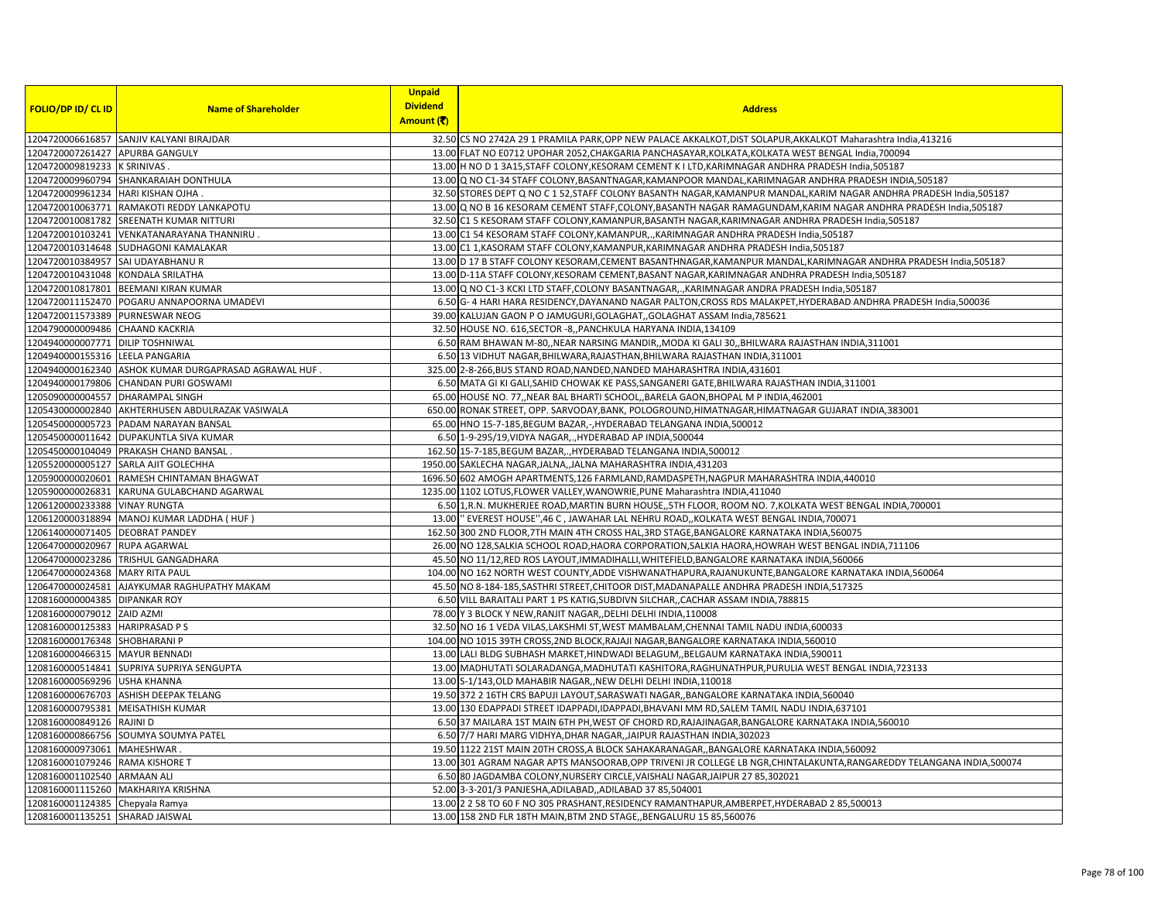|                                   |                                                      | <b>Unpaid</b>   |                                                                                                                        |
|-----------------------------------|------------------------------------------------------|-----------------|------------------------------------------------------------------------------------------------------------------------|
| <b>FOLIO/DP ID/ CL ID</b>         | <b>Name of Shareholder</b>                           | <b>Dividend</b> | <b>Address</b>                                                                                                         |
|                                   |                                                      | Amount (そ)      |                                                                                                                        |
|                                   | 1204720006616857 SANJIV KALYANI BIRAJDAR             |                 | 32.50 CS NO 2742A 29 1 PRAMILA PARK, OPP NEW PALACE AKKALKOT, DIST SOLAPUR, AKKALKOT Maharashtra India, 413216         |
| 1204720007261427 APURBA GANGULY   |                                                      |                 | 13.00 FLAT NO E0712 UPOHAR 2052, CHAKGARIA PANCHASAYAR, KOLKATA, KOLKATA WEST BENGAL India, 700094                     |
| 1204720009819233 K SRINIVAS       |                                                      |                 | 13.00 H NO D 1 3A15, STAFF COLONY, KESORAM CEMENT K I LTD, KARIMNAGAR ANDHRA PRADESH India, 505187                     |
|                                   | 1204720009960794 SHANKARAIAH DONTHULA                |                 | 13.00 Q NO C1-34 STAFF COLONY, BASANTNAGAR, KAMANPOOR MANDAL, KARIMNAGAR ANDHRA PRADESH INDIA, 505187                  |
| 1204720009961234 HARI KISHAN OJHA |                                                      |                 | 32.50 STORES DEPT Q NO C 1 52, STAFF COLONY BASANTH NAGAR, KAMANPUR MANDAL, KARIM NAGAR ANDHRA PRADESH India, 505187   |
|                                   | 1204720010063771 RAMAKOTI REDDY LANKAPOTU            |                 | 13.00 Q NO B 16 KESORAM CEMENT STAFF, COLONY, BASANTH NAGAR RAMAGUNDAM, KARIM NAGAR ANDHRA PRADESH India, 505187       |
|                                   | 1204720010081782 SREENATH KUMAR NITTURI              |                 | 32.50 C1 5 KESORAM STAFF COLONY, KAMANPUR, BASANTH NAGAR, KARIMNAGAR ANDHRA PRADESH India, 505187                      |
| 1204720010103241                  | VENKATANARAYANA THANNIRU                             |                 | 13.00 C1 54 KESORAM STAFF COLONY, KAMANPUR, ., KARIMNAGAR ANDHRA PRADESH India, 505187                                 |
|                                   | 1204720010314648 SUDHAGONI KAMALAKAR                 |                 | 13.00 C1 1, KASORAM STAFF COLONY, KAMANPUR, KARIMNAGAR ANDHRA PRADESH India, 505187                                    |
| 1204720010384957 SAI UDAYABHANU R |                                                      |                 | 13.00 D 17 B STAFF COLONY KESORAM, CEMENT BASANTHNAGAR, KAMANPUR MANDAL, KARIMNAGAR ANDHRA PRADESH India, 505187       |
| 1204720010431048 KONDALA SRILATHA |                                                      |                 | 13.00 D-11A STAFF COLONY, KESORAM CEMENT, BASANT NAGAR, KARIMNAGAR ANDHRA PRADESH India, 505187                        |
|                                   | 1204720010817801 BEEMANI KIRAN KUMAR                 |                 | 13.00 Q NO C1-3 KCKI LTD STAFF, COLONY BASANTNAGAR,., KARIMNAGAR ANDRA PRADESH India, 505187                           |
|                                   | 1204720011152470 POGARU ANNAPOORNA UMADEVI           |                 | 6.50 G-4 HARI HARA RESIDENCY, DAYANAND NAGAR PALTON, CROSS RDS MALAKPET, HYDERABAD ANDHRA PRADESH India, 500036        |
| 1204720011573389                  | <b>PURNESWAR NEOG</b>                                |                 | 39.00 KALUJAN GAON P O JAMUGURI, GOLAGHAT, GOLAGHAT ASSAM India, 785621                                                |
| 1204790000009486 CHAAND KACKRIA   |                                                      |                 | 32.50 HOUSE NO. 616, SECTOR - 8, PANCHKULA HARYANA INDIA, 134109                                                       |
| 1204940000007771 DILIP TOSHNIWAL  |                                                      |                 | 6.50 RAM BHAWAN M-80,, NEAR NARSING MANDIR,, MODA KI GALI 30,, BHILWARA RAJASTHAN INDIA, 311001                        |
| 1204940000155316 LEELA PANGARIA   |                                                      |                 | 6.50 13 VIDHUT NAGAR, BHILWARA, RAJASTHAN, BHILWARA RAJASTHAN INDIA, 311001                                            |
|                                   | 1204940000162340 ASHOK KUMAR DURGAPRASAD AGRAWAL HUF |                 | 325.00 2-8-266, BUS STAND ROAD, NANDED, NANDED MAHARASHTRA INDIA, 431601                                               |
|                                   | 1204940000179806 CHANDAN PURI GOSWAMI                |                 | 6.50 MATA GI KI GALI, SAHID CHOWAK KE PASS, SANGANERI GATE, BHILWARA RAJASTHAN INDIA, 311001                           |
| 1205090000004557 DHARAMPAL SINGH  |                                                      |                 | 65.00 HOUSE NO. 77, NEAR BAL BHARTI SCHOOL, BARELA GAON, BHOPAL M P INDIA, 462001                                      |
|                                   | 1205430000002840 AKHTERHUSEN ABDULRAZAK VASIWALA     |                 | 650.00 RONAK STREET, OPP. SARVODAY,BANK, POLOGROUND,HIMATNAGAR,HIMATNAGAR GUJARAT INDIA,383001                         |
| 1205450000005723                  | PADAM NARAYAN BANSAL                                 |                 | 65.00 HNO 15-7-185, BEGUM BAZAR, -, HYDERABAD TELANGANA INDIA, 500012                                                  |
|                                   | 1205450000011642   DUPAKUNTLA SIVA KUMAR             |                 | 6.50 1-9-295/19, VIDYA NAGAR, ., HYDERABAD AP INDIA, 500044                                                            |
|                                   | 1205450000104049 PRAKASH CHAND BANSAL                |                 | 162.50 15-7-185, BEGUM BAZAR,., HYDERABAD TELANGANA INDIA, 500012                                                      |
|                                   | 1205520000005127 SARLA AJIT GOLECHHA                 |                 | 1950.00 SAKLECHA NAGAR, JALNA, JALNA MAHARASHTRA INDIA, 431203                                                         |
|                                   | 1205900000020601 RAMESH CHINTAMAN BHAGWAT            |                 | 1696.50 602 AMOGH APARTMENTS, 126 FARMLAND, RAMDASPETH, NAGPUR MAHARASHTRA INDIA, 440010                               |
|                                   | 1205900000026831 KARUNA GULABCHAND AGARWAL           |                 | 1235.00 1102 LOTUS, FLOWER VALLEY, WANOWRIE, PUNE Maharashtra INDIA, 411040                                            |
| 1206120000233388 VINAY RUNGTA     |                                                      |                 | 6.50 1, R.N. MUKHERJEE ROAD, MARTIN BURN HOUSE, 5TH FLOOR, ROOM NO. 7, KOLKATA WEST BENGAL INDIA, 700001               |
|                                   | 1206120000318894 MANOJ KUMAR LADDHA ( HUF )          |                 | 13.00 EVEREST HOUSE", 46 C, JAWAHAR LAL NEHRU ROAD,, KOLKATA WEST BENGAL INDIA, 700071                                 |
| 1206140000071405                  | <b>DEOBRAT PANDEY</b>                                |                 | 162.50 300 2ND FLOOR, 7TH MAIN 4TH CROSS HAL, 3RD STAGE, BANGALORE KARNATAKA INDIA, 560075                             |
| 1206470000020967 RUPA AGARWAL     |                                                      |                 | 26.00 NO 128, SALKIA SCHOOL ROAD, HAORA CORPORATION, SALKIA HAORA, HOWRAH WEST BENGAL INDIA, 711106                    |
|                                   | 1206470000023286 TRISHUL GANGADHARA                  |                 | 45.50 NO 11/12, RED ROS LAYOUT, IMMADIHALLI, WHITEFIELD, BANGALORE KARNATAKA INDIA, 560066                             |
| 1206470000024368 MARY RITA PAUL   |                                                      |                 | 104.00 NO 162 NORTH WEST COUNTY,ADDE VISHWANATHAPURA,RAJANUKUNTE,BANGALORE KARNATAKA INDIA,560064                      |
|                                   | 1206470000024581 AJAYKUMAR RAGHUPATHY MAKAM          |                 | 45.50 NO 8-184-185, SASTHRI STREET, CHITOOR DIST, MADANAPALLE ANDHRA PRADESH INDIA, 517325                             |
| 1208160000004385 DIPANKAR ROY     |                                                      |                 | 6.50 VILL BARAITALI PART 1 PS KATIG, SUBDIVN SILCHAR, CACHAR ASSAM INDIA, 788815                                       |
| 1208160000079012 ZAID AZMI        |                                                      |                 | 78.00 Y 3 BLOCK Y NEW, RANJIT NAGAR, DELHI DELHI INDIA, 110008                                                         |
| 1208160000125383 HARIPRASAD P S   |                                                      |                 | 32.50 NO 16 1 VEDA VILAS, LAKSHMI ST, WEST MAMBALAM, CHENNAI TAMIL NADU INDIA, 600033                                  |
| 1208160000176348 SHOBHARANI P     |                                                      |                 | 104.00 NO 1015 39TH CROSS, 2ND BLOCK, RAJAJI NAGAR, BANGALORE KARNATAKA INDIA, 560010                                  |
| 1208160000466315 MAYUR BENNADI    |                                                      |                 | 13.00 LALI BLDG SUBHASH MARKET, HINDWADI BELAGUM, BELGAUM KARNATAKA INDIA, 590011                                      |
|                                   | 1208160000514841 SUPRIYA SUPRIYA SENGUPTA            |                 | 13.00 MADHUTATI SOLARADANGA, MADHUTATI KASHITORA, RAGHUNATHPUR, PURULIA WEST BENGAL INDIA, 723133                      |
| 1208160000569296 USHA KHANNA      |                                                      |                 | 13.00 S-1/143, OLD MAHABIR NAGAR, NEW DELHI DELHI INDIA, 110018                                                        |
|                                   | 1208160000676703 ASHISH DEEPAK TELANG                |                 | 19.50 372 2 16TH CRS BAPUJI LAYOUT, SARASWATI NAGAR, BANGALORE KARNATAKA INDIA, 560040                                 |
| 1208160000795381 MEISATHISH KUMAR |                                                      |                 | 13.00 130 EDAPPADI STREET IDAPPADI, IDAPPADI, BHAVANI MM RD, SALEM TAMIL NADU INDIA, 637101                            |
| 1208160000849126 RAJINI D         |                                                      |                 | 6.50 37 MAILARA 1ST MAIN 6TH PH, WEST OF CHORD RD, RAJAJINAGAR, BANGALORE KARNATAKA INDIA, 560010                      |
|                                   | 1208160000866756 SOUMYA SOUMYA PATEL                 |                 | 6.50 7/7 HARI MARG VIDHYA, DHAR NAGAR, , JAIPUR RAJASTHAN INDIA, 302023                                                |
| 1208160000973061 MAHESHWAR        |                                                      |                 | 19.50 1122 21ST MAIN 20TH CROSS, A BLOCK SAHAKARANAGAR, BANGALORE KARNATAKA INDIA, 560092                              |
| 1208160001079246 RAMA KISHORE T   |                                                      |                 | 13.00 301 AGRAM NAGAR APTS MANSOORAB, OPP TRIVENI JR COLLEGE LB NGR, CHINTALAKUNTA, RANGAREDDY TELANGANA INDIA, 500074 |
| 1208160001102540 ARMAAN ALI       |                                                      |                 | 6.50 80 JAGDAMBA COLONY, NURSERY CIRCLE, VAISHALI NAGAR, JAIPUR 27 85, 302021                                          |
| 1208160001115260                  | <b>MAKHARIYA KRISHNA</b>                             |                 | 52.00 3-3-201/3 PANJESHA, ADILABAD, , ADILABAD 37 85, 504001                                                           |
| 1208160001124385 Chepyala Ramya   |                                                      |                 | 13.00 2 2 58 TO 60 F NO 305 PRASHANT, RESIDENCY RAMANTHAPUR, AMBERPET, HYDERABAD 2 85,500013                           |
| 1208160001135251 SHARAD JAISWAL   |                                                      |                 |                                                                                                                        |
|                                   |                                                      |                 | 13.00 158 2ND FLR 18TH MAIN, BTM 2ND STAGE,, BENGALURU 15 85,560076                                                    |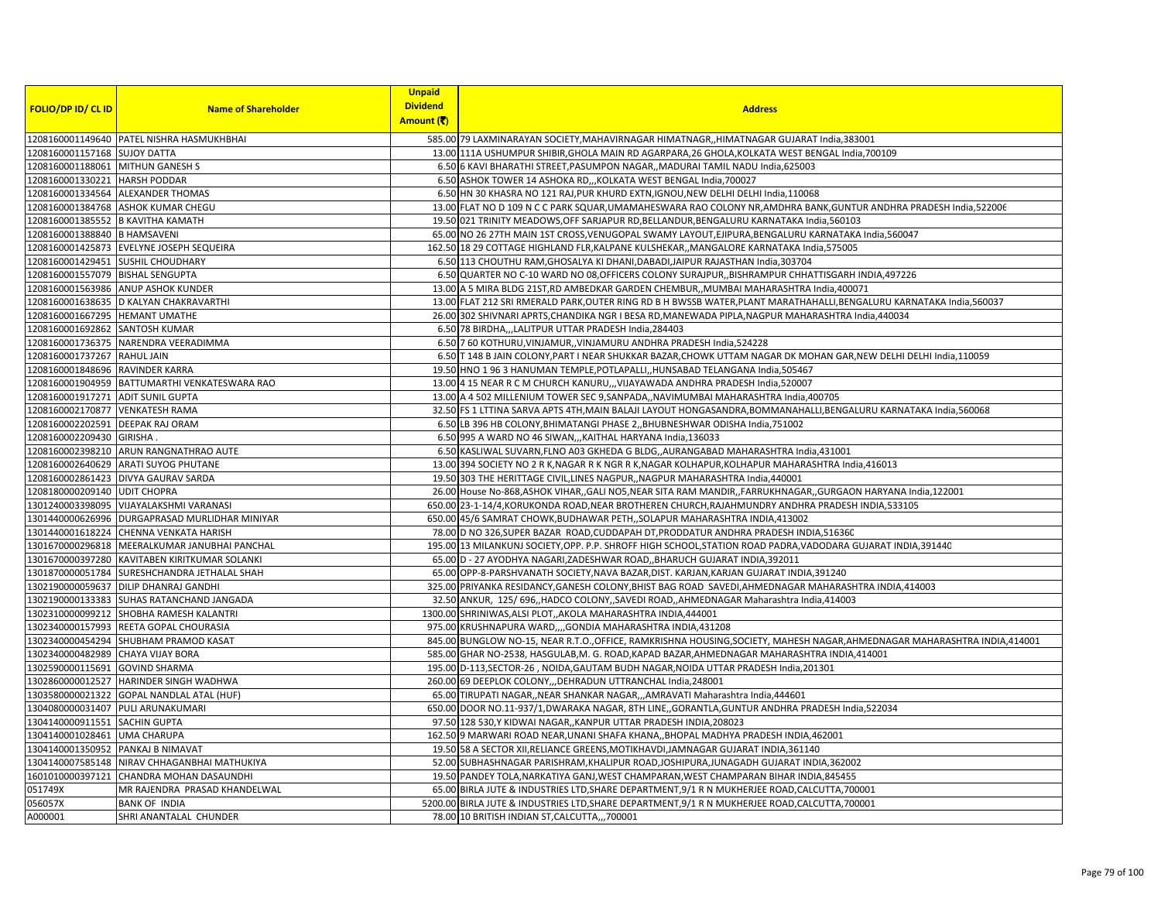|                                   |                                                 | <b>Unpaid</b>   |                                                                                                                            |
|-----------------------------------|-------------------------------------------------|-----------------|----------------------------------------------------------------------------------------------------------------------------|
| <b>FOLIO/DP ID/ CL ID</b>         | <b>Name of Shareholder</b>                      | <b>Dividend</b> | <b>Address</b>                                                                                                             |
|                                   |                                                 | Amount (そ)      |                                                                                                                            |
|                                   | 1208160001149640 PATEL NISHRA HASMUKHBHAI       |                 | 585.00 79 LAXMINARAYAN SOCIETY, MAHAVIRNAGAR HIMATNAGR, HIMATNAGAR GUJARAT India, 383001                                   |
| 1208160001157168 SUJOY DATTA      |                                                 |                 | 13.00 111A USHUMPUR SHIBIR, GHOLA MAIN RD AGARPARA, 26 GHOLA, KOLKATA WEST BENGAL India, 700109                            |
| 1208160001188061 MITHUN GANESH S  |                                                 |                 | 6.50 6 KAVI BHARATHI STREET, PASUMPON NAGAR, MADURAI TAMIL NADU India, 625003                                              |
| 1208160001330221 HARSH PODDAR     |                                                 |                 | 6.50 ASHOK TOWER 14 ASHOKA RD,,, KOLKATA WEST BENGAL India, 700027                                                         |
|                                   | 1208160001334564 ALEXANDER THOMAS               |                 | 6.50 HN 30 KHASRA NO 121 RAJ, PUR KHURD EXTN, IGNOU, NEW DELHI DELHI India, 110068                                         |
|                                   | 1208160001384768 ASHOK KUMAR CHEGU              |                 | 13.00 FLAT NO D 109 N C C PARK SQUAR, UMAMAHESWARA RAO COLONY NR, AMDHRA BANK, GUNTUR ANDHRA PRADESH India, 522006         |
| 1208160001385552 B KAVITHA KAMATH |                                                 |                 | 19.50 021 TRINITY MEADOWS, OFF SARJAPUR RD, BELLANDUR, BENGALURU KARNATAKA India, 560103                                   |
| 1208160001388840 B HAMSAVENI      |                                                 |                 | 65.00 NO 26 27TH MAIN 1ST CROSS, VENUGOPAL SWAMY LAYOUT, EJIPURA, BENGALURU KARNATAKA India, 560047                        |
|                                   | 1208160001425873 EVELYNE JOSEPH SEQUEIRA        |                 | 162.50 18 29 COTTAGE HIGHLAND FLR, KALPANE KULSHEKAR, , MANGALORE KARNATAKA India, 575005                                  |
| 1208160001429451 SUSHIL CHOUDHARY |                                                 |                 | 6.50 113 CHOUTHU RAM, GHOSALYA KI DHANI, DABADI, JAIPUR RAJASTHAN India, 303704                                            |
| 1208160001557079                  | <b>BISHAL SENGUPTA</b>                          |                 | 6.50 QUARTER NO C-10 WARD NO 08, OFFICERS COLONY SURAJPUR, BISHRAMPUR CHHATTISGARH INDIA, 497226                           |
|                                   | 1208160001563986 ANUP ASHOK KUNDER              |                 | 13.00 A 5 MIRA BLDG 21ST, RD AMBEDKAR GARDEN CHEMBUR, MUMBAI MAHARASHTRA India, 400071                                     |
|                                   | 1208160001638635 D KALYAN CHAKRAVARTHI          |                 | 13.00 FLAT 212 SRI RMERALD PARK, OUTER RING RD B H BWSSB WATER, PLANT MARATHAHALLI, BENGALURU KARNATAKA India, 560037      |
| 1208160001667295                  | <b>HEMANT UMATHE</b>                            |                 | 26.00 302 SHIVNARI APRTS, CHANDIKA NGR I BESA RD, MANEWADA PIPLA, NAGPUR MAHARASHTRA India, 440034                         |
| 1208160001692862 SANTOSH KUMAR    |                                                 |                 | 6.50 78 BIRDHA,,,LALITPUR UTTAR PRADESH India, 284403                                                                      |
|                                   | 1208160001736375 NARENDRA VEERADIMMA            |                 | 6.50 7 60 KOTHURU, VINJAMUR, VINJAMURU ANDHRA PRADESH India, 524228                                                        |
| 1208160001737267 RAHUL JAIN       |                                                 |                 | 6.50 T 148 B JAIN COLONY, PART I NEAR SHUKKAR BAZAR, CHOWK UTTAM NAGAR DK MOHAN GAR, NEW DELHI DELHI India, 110059         |
| 1208160001848696 RAVINDER KARRA   |                                                 |                 | 19.50 HNO 1 96 3 HANUMAN TEMPLE, POTLAPALLI, HUNSABAD TELANGANA India, 505467                                              |
|                                   | 1208160001904959 BATTUMARTHI VENKATESWARA RAO   |                 | 13.00 4 15 NEAR R C M CHURCH KANURU,,,VIJAYAWADA ANDHRA PRADESH India,520007                                               |
| 1208160001917271 ADIT SUNIL GUPTA |                                                 |                 | 13.00 A 4 502 MILLENIUM TOWER SEC 9, SANPADA,, NAVIMUMBAI MAHARASHTRA India, 400705                                        |
| 1208160002170877 VENKATESH RAMA   |                                                 |                 | 32.50 FS 1 LTTINA SARVA APTS 4TH, MAIN BALAJI LAYOUT HONGASANDRA, BOMMANAHALLI, BENGALURU KARNATAKA India, 560068          |
| 1208160002202591                  | <b>DEEPAK RAJ ORAM</b>                          |                 | 6.50 LB 396 HB COLONY, BHIMATANGI PHASE 2,, BHUBNESHWAR ODISHA India, 751002                                               |
| 1208160002209430 GIRISHA.         |                                                 |                 | 6.50 995 A WARD NO 46 SIWAN,,,KAITHAL HARYANA India,136033                                                                 |
|                                   | 1208160002398210 ARUN RANGNATHRAO AUTE          |                 | 6.50 KASLIWAL SUVARN, FLNO A03 GKHEDA G BLDG, AURANGABAD MAHARASHTRA India, 431001                                         |
| 1208160002640629                  | <b>ARATI SUYOG PHUTANE</b>                      |                 | 13.00 394 SOCIETY NO 2 R K, NAGAR R K NGR R K, NAGAR KOLHAPUR, KOLHAPUR MAHARASHTRA India, 416013                          |
|                                   | 1208160002861423 DIVYA GAURAV SARDA             |                 | 19.50 303 THE HERITTAGE CIVIL, LINES NAGPUR, NAGPUR MAHARASHTRA India, 440001                                              |
| 1208180000209140 UDIT CHOPRA      |                                                 |                 | 26.00 House No-868, ASHOK VIHAR, GALI NO5, NEAR SITA RAM MANDIR, FARRUKHNAGAR, GURGAON HARYANA India, 122001               |
|                                   | 1301240003398095 VIJAYALAKSHMI VARANASI         |                 | 650.00 23-1-14/4, KORUKONDA ROAD, NEAR BROTHEREN CHURCH, RAJAHMUNDRY ANDHRA PRADESH INDIA, 533105                          |
|                                   | 1301440000626996 DURGAPRASAD MURLIDHAR MINIYAR  |                 | 650.00 45/6 SAMRAT CHOWK, BUDHAWAR PETH,, SOLAPUR MAHARASHTRA INDIA, 413002                                                |
|                                   | 1301440001618224 CHENNA VENKATA HARISH          |                 | 78.00 D NO 326, SUPER BAZAR ROAD, CUDDAPAH DT, PRODDATUR ANDHRA PRADESH INDIA, 516360                                      |
|                                   | 1301670000296818   MEERALKUMAR JANUBHAI PANCHAL |                 | 195.00 13 MILANKUNJ SOCIETY, OPP. P.P. SHROFF HIGH SCHOOL, STATION ROAD PADRA, VADODARA GUJARAT INDIA, 391440              |
|                                   | 1301670000397280 KAVITABEN KIRITKUMAR SOLANKI   |                 | 65.00 D - 27 AYODHYA NAGARI, ZADESHWAR ROAD, BHARUCH GUJARAT INDIA, 392011                                                 |
|                                   | 1301870000051784 SURESHCHANDRA JETHALAL SHAH    |                 | 65.00 OPP-8-PARSHVANATH SOCIETY, NAVA BAZAR, DIST. KARJAN, KARJAN GUJARAT INDIA, 391240                                    |
|                                   | 1302190000059637 DILIP DHANRAJ GANDHI           |                 | 325.00 PRIYANKA RESIDANCY, GANESH COLONY, BHIST BAG ROAD SAVEDI, AHMEDNAGAR MAHARASHTRA INDIA, 414003                      |
|                                   | 1302190000133383 SUHAS RATANCHAND JANGADA       |                 | 32.50 ANKUR, 125/696, HADCO COLONY, SAVEDI ROAD, AHMEDNAGAR Maharashtra India, 414003                                      |
|                                   | 1302310000099212 SHOBHA RAMESH KALANTRI         |                 | 1300.00 SHRINIWAS, ALSI PLOT,, AKOLA MAHARASHTRA INDIA, 444001                                                             |
|                                   | 1302340000157993 REETA GOPAL CHOURASIA          |                 | 975.00 KRUSHNAPURA WARD,,,,GONDIA MAHARASHTRA INDIA,431208                                                                 |
|                                   | 1302340000454294 SHUBHAM PRAMOD KASAT           |                 | 845.00 BUNGLOW NO-15, NEAR R.T.O., OFFICE, RAMKRISHNA HOUSING, SOCIETY, MAHESH NAGAR, AHMEDNAGAR MAHARASHTRA INDIA, 414001 |
| 1302340000482989 CHAYA VIJAY BORA |                                                 |                 | 585.00 GHAR NO-2538, HASGULAB, M. G. ROAD, KAPAD BAZAR, AHMEDNAGAR MAHARASHTRA INDIA, 414001                               |
| 1302590000115691 GOVIND SHARMA    |                                                 |                 | 195.00 D-113, SECTOR-26, NOIDA, GAUTAM BUDH NAGAR, NOIDA UTTAR PRADESH India, 201301                                       |
| 1302860000012527                  | <b>HARINDER SINGH WADHWA</b>                    |                 | 260.00 69 DEEPLOK COLONY, , DEHRADUN UTTRANCHAL India, 248001                                                              |
|                                   | 1303580000021322 GOPAL NANDLAL ATAL (HUF)       |                 | 65.00 TIRUPATI NAGAR, NEAR SHANKAR NAGAR, , , AMRAVATI Maharashtra India, 444601                                           |
| 1304080000031407 PULI ARUNAKUMARI |                                                 |                 | 650.00 DOOR NO.11-937/1, DWARAKA NAGAR, 8TH LINE, GORANTLA, GUNTUR ANDHRA PRADESH India, 522034                            |
| 1304140000911551 SACHIN GUPTA     |                                                 |                 | 97.50 128 530, Y KIDWAI NAGAR,, KANPUR UTTAR PRADESH INDIA, 208023                                                         |
| 1304140001028461 UMA CHARUPA      |                                                 |                 | 162.50 9 MARWARI ROAD NEAR, UNANI SHAFA KHANA, , BHOPAL MADHYA PRADESH INDIA, 462001                                       |
| 1304140001350952 PANKAJ B NIMAVAT |                                                 |                 | 19.50 58 A SECTOR XII, RELIANCE GREENS, MOTIKHAVDI, JAMNAGAR GUJARAT INDIA, 361140                                         |
|                                   | 1304140007585148 NIRAV CHHAGANBHAI MATHUKIYA    |                 | 52.00 SUBHASHNAGAR PARISHRAM, KHALIPUR ROAD, JOSHIPURA, JUNAGADH GUJARAT INDIA, 362002                                     |
| 1601010000397121                  | CHANDRA MOHAN DASAUNDHI                         |                 | 19.50 PANDEY TOLA, NARKATIYA GANJ, WEST CHAMPARAN, WEST CHAMPARAN BIHAR INDIA, 845455                                      |
| 051749X                           | MR RAJENDRA PRASAD KHANDELWAL                   |                 | 65.00 BIRLA JUTE & INDUSTRIES LTD, SHARE DEPARTMENT, 9/1 R N MUKHERJEE ROAD, CALCUTTA, 700001                              |
| 056057X                           | <b>BANK OF INDIA</b>                            |                 | 5200.00 BIRLA JUTE & INDUSTRIES LTD, SHARE DEPARTMENT, 9/1 R N MUKHERJEE ROAD, CALCUTTA, 700001                            |
| A000001                           | SHRI ANANTALAL CHUNDER                          |                 | 78.00 10 BRITISH INDIAN ST, CALCUTTA,,, 700001                                                                             |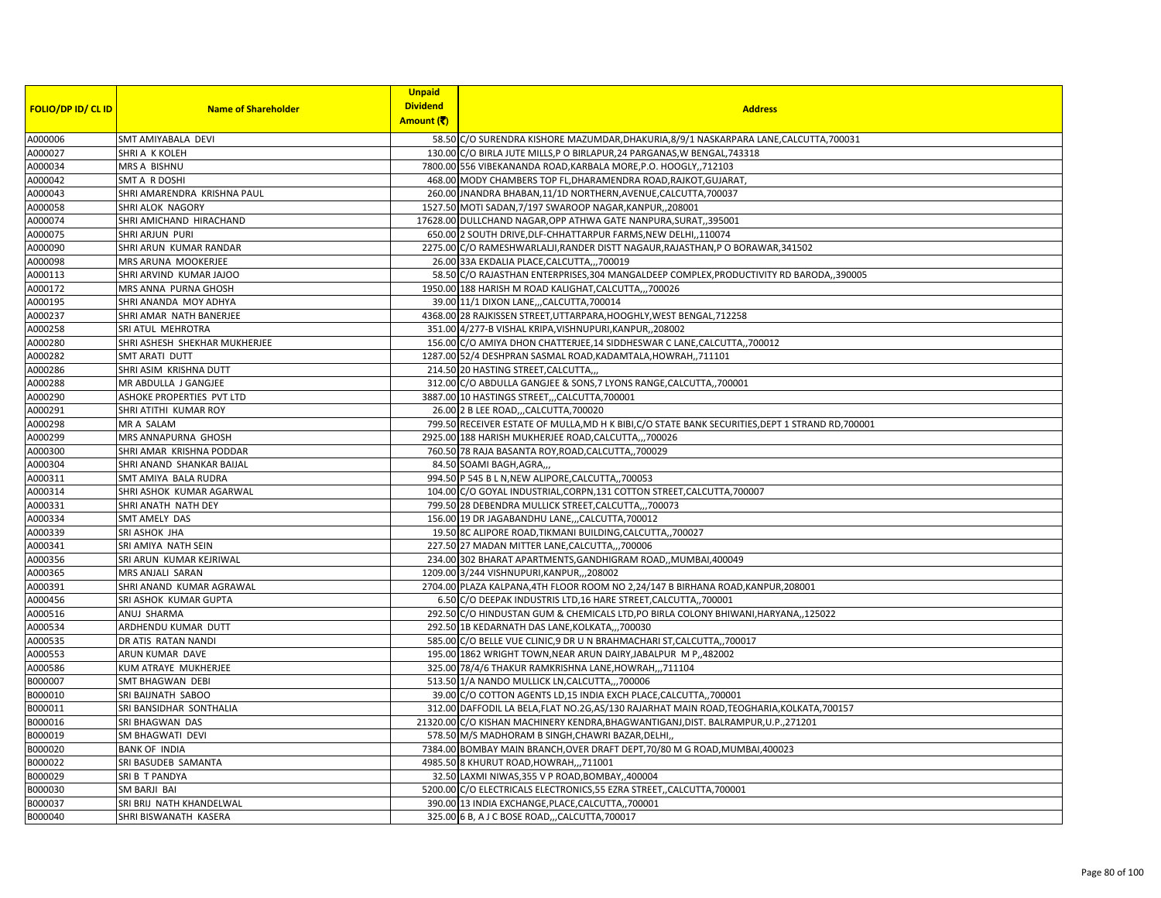| <b>FOLIO/DP ID/ CL ID</b> | <b>Name of Shareholder</b>    | <b>Unpaid</b><br><b>Dividend</b> | <b>Address</b>                                                                                    |
|---------------------------|-------------------------------|----------------------------------|---------------------------------------------------------------------------------------------------|
|                           |                               | Amount (そ)                       |                                                                                                   |
| A000006                   | SMT AMIYABALA DEVI            |                                  | 58.50 C/O SURENDRA KISHORE MAZUMDAR, DHAKURIA, 8/9/1 NASKARPARA LANE, CALCUTTA, 700031            |
| A000027                   | SHRI A K KOLEH                |                                  | 130.00 C/O BIRLA JUTE MILLS, P O BIRLAPUR, 24 PARGANAS, W BENGAL, 743318                          |
| A000034                   | MRS A BISHNU                  |                                  | 7800.00 556 VIBEKANANDA ROAD, KARBALA MORE, P.O. HOOGLY, 712103                                   |
| A000042                   | SMT A R DOSHI                 |                                  | 468.00 MODY CHAMBERS TOP FL, DHARAMENDRA ROAD, RAJKOT, GUJARAT,                                   |
| A000043                   | SHRI AMARENDRA KRISHNA PAUL   |                                  | 260.00 JNANDRA BHABAN, 11/1D NORTHERN, AVENUE, CALCUTTA, 700037                                   |
| A000058                   | <b>SHRI ALOK NAGORY</b>       |                                  | 1527.50 MOTI SADAN, 7/197 SWAROOP NAGAR, KANPUR, , 208001                                         |
| A000074                   | SHRI AMICHAND HIRACHAND       |                                  | 17628.00 DULLCHAND NAGAR, OPP ATHWA GATE NANPURA, SURAT, 395001                                   |
| A000075                   | SHRI ARJUN PURI               |                                  | 650.00 2 SOUTH DRIVE, DLF-CHHATTARPUR FARMS, NEW DELHI,, 110074                                   |
| A000090                   | SHRI ARUN KUMAR RANDAR        |                                  | 2275.00 C/O RAMESHWARLALJI, RANDER DISTT NAGAUR, RAJASTHAN, P O BORAWAR, 341502                   |
| A000098                   | MRS ARUNA MOOKERJEE           |                                  | 26.00 33A EKDALIA PLACE, CALCUTTA,,,700019                                                        |
| A000113                   | SHRI ARVIND KUMAR JAJOO       |                                  | 58.50 C/O RAJASTHAN ENTERPRISES, 304 MANGALDEEP COMPLEX, PRODUCTIVITY RD BARODA,, 390005          |
| A000172                   | MRS ANNA PURNA GHOSH          |                                  | 1950.00 188 HARISH M ROAD KALIGHAT, CALCUTTA,,,700026                                             |
| A000195                   | SHRI ANANDA MOY ADHYA         |                                  | 39.00 11/1 DIXON LANE, , CALCUTTA, 700014                                                         |
| A000237                   | SHRI AMAR NATH BANERJEE       |                                  | 4368.00 28 RAJKISSEN STREET, UTTARPARA, HOOGHLY, WEST BENGAL, 712258                              |
| A000258                   | SRI ATUL MEHROTRA             |                                  | 351.00 4/277-B VISHAL KRIPA, VISHNUPURI, KANPUR, 208002                                           |
| A000280                   | SHRI ASHESH SHEKHAR MUKHERJEE |                                  | 156.00 C/O AMIYA DHON CHATTERJEE, 14 SIDDHESWAR C LANE, CALCUTTA,, 700012                         |
| A000282                   | SMT ARATI DUTT                |                                  | 1287.00 52/4 DESHPRAN SASMAL ROAD, KADAMTALA, HOWRAH,, 711101                                     |
| A000286                   | SHRI ASIM KRISHNA DUTT        |                                  | 214.50 20 HASTING STREET, CALCUTTA,,                                                              |
| A000288                   | MR ABDULLA J GANGJEE          |                                  | 312.00 C/O ABDULLA GANGJEE & SONS, 7 LYONS RANGE, CALCUTTA,, 700001                               |
| A000290                   | ASHOKE PROPERTIES PVT LTD     |                                  | 3887.00 10 HASTINGS STREET,,,CALCUTTA,700001                                                      |
| A000291                   | SHRI ATITHI KUMAR ROY         |                                  | 26.00 2 B LEE ROAD,,,CALCUTTA,700020                                                              |
| A000298                   | MR A SALAM                    |                                  | 799.50 RECEIVER ESTATE OF MULLA, MD H K BIBI, C/O STATE BANK SECURITIES, DEPT 1 STRAND RD, 700001 |
| A000299                   | MRS ANNAPURNA GHOSH           |                                  | 2925.00 188 HARISH MUKHERJEE ROAD, CALCUTTA,,, 700026                                             |
| A000300                   | SHRI AMAR KRISHNA PODDAR      |                                  | 760.50 78 RAJA BASANTA ROY, ROAD, CALCUTTA, ,700029                                               |
| A000304                   | SHRI ANAND SHANKAR BAIJAL     |                                  | 84.50 SOAMI BAGH, AGRA,                                                                           |
| A000311                   | SMT AMIYA BALA RUDRA          |                                  | 994.50 P 545 B L N, NEW ALIPORE, CALCUTTA, , 700053                                               |
| A000314                   | SHRI ASHOK KUMAR AGARWAL      |                                  | 104.00 C/O GOYAL INDUSTRIAL, CORPN, 131 COTTON STREET, CALCUTTA, 700007                           |
| A000331                   | SHRI ANATH NATH DEY           |                                  | 799.50 28 DEBENDRA MULLICK STREET, CALCUTTA,,, 700073                                             |
| A000334                   | SMT AMELY DAS                 |                                  | 156.00 19 DR JAGABANDHU LANE,,,CALCUTTA,700012                                                    |
| A000339                   | SRI ASHOK JHA                 |                                  | 19.50 8C ALIPORE ROAD, TIKMANI BUILDING, CALCUTTA, 700027                                         |
| A000341                   | SRI AMIYA NATH SEIN           |                                  | 227.50 27 MADAN MITTER LANE, CALCUTTA,, 700006                                                    |
| A000356                   | SRI ARUN KUMAR KEJRIWAL       |                                  | 234.00 302 BHARAT APARTMENTS, GANDHIGRAM ROAD,, MUMBAI, 400049                                    |
| A000365                   | MRS ANJALI SARAN              |                                  | 1209.00 3/244 VISHNUPURI, KANPUR, ,, 208002                                                       |
| A000391                   | SHRI ANAND KUMAR AGRAWAL      |                                  | 2704.00 PLAZA KALPANA, 4TH FLOOR ROOM NO 2,24/147 B BIRHANA ROAD, KANPUR, 208001                  |
| A000456                   | SRI ASHOK KUMAR GUPTA         |                                  | 6.50 C/O DEEPAK INDUSTRIS LTD, 16 HARE STREET, CALCUTTA, 700001                                   |
| A000516                   | ANUJ SHARMA                   |                                  | 292.50 C/O HINDUSTAN GUM & CHEMICALS LTD, PO BIRLA COLONY BHIWANI, HARYANA, 125022                |
| A000534                   | ARDHENDU KUMAR DUTT           |                                  | 292.50 1B KEDARNATH DAS LANE, KOLKATA,,,700030                                                    |
| A000535                   | DR ATIS RATAN NANDI           |                                  | 585.00 C/O BELLE VUE CLINIC, 9 DR U N BRAHMACHARI ST, CALCUTTA, 700017                            |
| A000553                   | ARUN KUMAR DAVE               |                                  | 195.00 1862 WRIGHT TOWN, NEAR ARUN DAIRY, JABALPUR M P,, 482002                                   |
| A000586                   | KUM ATRAYE MUKHERJEE          |                                  | 325.00 78/4/6 THAKUR RAMKRISHNA LANE, HOWRAH,,,711104                                             |
| B000007                   | SMT BHAGWAN DEBI              |                                  | 513.50 1/A NANDO MULLICK LN, CALCUTTA,, 700006                                                    |
| B000010                   | SRI BAIJNATH SABOO            |                                  | 39.00 C/O COTTON AGENTS LD, 15 INDIA EXCH PLACE, CALCUTTA,, 700001                                |
| B000011                   | SRI BANSIDHAR SONTHALIA       |                                  | 312.00 DAFFODIL LA BELA, FLAT NO.2G, AS/130 RAJARHAT MAIN ROAD, TEOGHARIA, KOLKATA, 700157        |
| B000016                   | SRI BHAGWAN DAS               |                                  | 21320.00 C/O KISHAN MACHINERY KENDRA, BHAGWANTIGANJ, DIST. BALRAMPUR, U.P., 271201                |
| B000019                   | SM BHAGWATI DEVI              |                                  | 578.50 M/S MADHORAM B SINGH, CHAWRI BAZAR, DELHI,                                                 |
| B000020                   | <b>BANK OF INDIA</b>          |                                  | 7384.00 BOMBAY MAIN BRANCH, OVER DRAFT DEPT, 70/80 M G ROAD, MUMBAI, 400023                       |
| B000022                   | SRI BASUDEB SAMANTA           |                                  | 4985.50 8 KHURUT ROAD, HOWRAH,,,711001                                                            |
| B000029                   | SRI B T PANDYA                |                                  | 32.50 LAXMI NIWAS, 355 V P ROAD, BOMBAY, ,400004                                                  |
| B000030                   | SM BARJI BAI                  |                                  | 5200.00 C/O ELECTRICALS ELECTRONICS, 55 EZRA STREET, CALCUTTA, 700001                             |
| B000037                   | SRI BRIJ NATH KHANDELWAL      |                                  | 390.00 13 INDIA EXCHANGE, PLACE, CALCUTTA,, 700001                                                |
| B000040                   | SHRI BISWANATH KASERA         |                                  | 325.00 6 B, A J C BOSE ROAD, ,, CALCUTTA, 700017                                                  |
|                           |                               |                                  |                                                                                                   |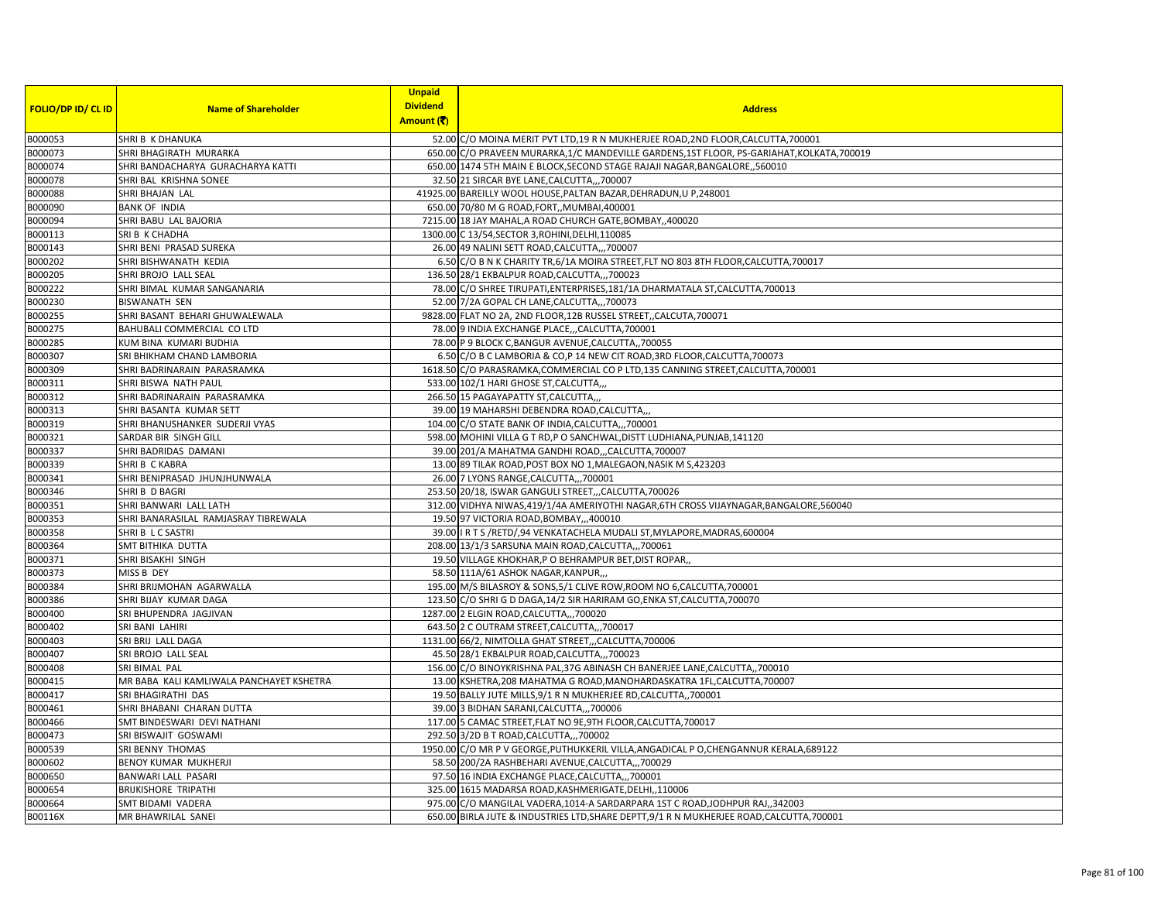|                           |                                          | <b>Unpaid</b>   |                                                                                             |
|---------------------------|------------------------------------------|-----------------|---------------------------------------------------------------------------------------------|
| <b>FOLIO/DP ID/ CL ID</b> | <b>Name of Shareholder</b>               | <b>Dividend</b> | <b>Address</b>                                                                              |
|                           |                                          | Amount (そ)      |                                                                                             |
| B000053                   | SHRI B K DHANUKA                         |                 | 52.00 C/O MOINA MERIT PVT LTD,19 R N MUKHERJEE ROAD,2ND FLOOR,CALCUTTA,700001               |
| B000073                   | SHRI BHAGIRATH MURARKA                   |                 | 650.00 C/O PRAVEEN MURARKA, 1/C MANDEVILLE GARDENS, 1ST FLOOR, PS-GARIAHAT, KOLKATA, 700019 |
| B000074                   | SHRI BANDACHARYA GURACHARYA KATTI        |                 | 650.00 1474 5TH MAIN E BLOCK, SECOND STAGE RAJAJI NAGAR, BANGALORE, 560010                  |
| B000078                   | SHRI BAL KRISHNA SONEE                   |                 | 32.50 21 SIRCAR BYE LANE, CALCUTTA,,, 700007                                                |
| B000088                   | SHRI BHAJAN LAL                          |                 | 41925.00 BAREILLY WOOL HOUSE, PALTAN BAZAR, DEHRADUN, U P, 248001                           |
| B000090                   | <b>BANK OF INDIA</b>                     |                 | 650.00 70/80 M G ROAD, FORT, , MUMBAI, 400001                                               |
| B000094                   | SHRI BABU LAL BAJORIA                    |                 | 7215.00 18 JAY MAHAL, A ROAD CHURCH GATE, BOMBAY, ,400020                                   |
| B000113                   | SRI B K CHADHA                           |                 | 1300.00 C 13/54, SECTOR 3, ROHINI, DELHI, 110085                                            |
| B000143                   | SHRI BENI PRASAD SUREKA                  |                 | 26.00 49 NALINI SETT ROAD, CALCUTTA,,, 700007                                               |
| B000202                   | SHRI BISHWANATH KEDIA                    |                 | 6.50 C/O B N K CHARITY TR, 6/1A MOIRA STREET, FLT NO 803 8TH FLOOR, CALCUTTA, 700017        |
| B000205                   | SHRI BROJO LALL SEAL                     |                 | 136.50 28/1 EKBALPUR ROAD, CALCUTTA,,,700023                                                |
| B000222                   | SHRI BIMAL KUMAR SANGANARIA              |                 | 78.00 C/O SHREE TIRUPATI, ENTERPRISES, 181/1A DHARMATALA ST, CALCUTTA, 700013               |
| B000230                   | <b>BISWANATH SEN</b>                     |                 | 52.00 7/2A GOPAL CH LANE, CALCUTTA,,, 700073                                                |
| B000255                   | SHRI BASANT BEHARI GHUWALEWALA           |                 | 9828.00 FLAT NO 2A, 2ND FLOOR, 12B RUSSEL STREET, CALCUTA, 700071                           |
| B000275                   | BAHUBALI COMMERCIAL CO LTD               |                 | 78.00 9 INDIA EXCHANGE PLACE,,,CALCUTTA,700001                                              |
| B000285                   | KUM BINA KUMARI BUDHIA                   |                 | 78.00 P 9 BLOCK C, BANGUR AVENUE, CALCUTTA, 700055                                          |
| B000307                   | SRI BHIKHAM CHAND LAMBORIA               |                 | 6.50 C/O B C LAMBORIA & CO,P 14 NEW CIT ROAD, 3RD FLOOR, CALCUTTA, 700073                   |
| B000309                   | SHRI BADRINARAIN PARASRAMKA              |                 | 1618.50 C/O PARASRAMKA, COMMERCIAL CO P LTD, 135 CANNING STREET, CALCUTTA, 700001           |
| B000311                   | SHRI BISWA NATH PAUL                     |                 | 533.00 102/1 HARI GHOSE ST, CALCUTTA,,                                                      |
| B000312                   | SHRI BADRINARAIN PARASRAMKA              |                 | 266.50 15 PAGAYAPATTY ST, CALCUTTA,,,                                                       |
| B000313                   | SHRI BASANTA KUMAR SETT                  |                 | 39.00 19 MAHARSHI DEBENDRA ROAD, CALCUTTA,,                                                 |
| B000319                   | SHRI BHANUSHANKER SUDERJI VYAS           |                 | 104.00 C/O STATE BANK OF INDIA, CALCUTTA,,,700001                                           |
| B000321                   | SARDAR BIR SINGH GILL                    |                 | 598.00 MOHINI VILLA G T RD, P O SANCHWAL, DISTT LUDHIANA, PUNJAB, 141120                    |
| B000337                   | SHRI BADRIDAS DAMANI                     |                 | 39.00 201/A MAHATMA GANDHI ROAD,,,CALCUTTA,700007                                           |
| B000339                   | <b>SHRIB CKABRA</b>                      |                 | 13.00 89 TILAK ROAD, POST BOX NO 1, MALEGAON, NASIK M S, 423203                             |
| B000341                   | SHRI BENIPRASAD JHUNJHUNWALA             |                 | 26.00 7 LYONS RANGE, CALCUTTA,,,700001                                                      |
| B000346                   | SHRI B D BAGRI                           |                 | 253.50 20/18, ISWAR GANGULI STREET, , CALCUTTA, 700026                                      |
| B000351                   | SHRI BANWARI LALL LATH                   |                 | 312.00 VIDHYA NIWAS, 419/1/4A AMERIYOTHI NAGAR, 6TH CROSS VIJAYNAGAR, BANGALORE, 560040     |
| B000353                   | SHRI BANARASILAL RAMJASRAY TIBREWALA     |                 | 19.50 97 VICTORIA ROAD, BOMBAY, ,,400010                                                    |
| B000358                   | SHRI B L C SASTRI                        |                 | 39.00   R T S /RETD/,94 VENKATACHELA MUDALI ST, MYLAPORE, MADRAS, 600004                    |
| B000364                   | SMT BITHIKA DUTTA                        |                 | 208.00 13/1/3 SARSUNA MAIN ROAD, CALCUTTA,,, 700061                                         |
| B000371                   | SHRI BISAKHI SINGH                       |                 | 19.50 VILLAGE KHOKHAR, P O BEHRAMPUR BET, DIST ROPAR,                                       |
| B000373                   | MISS B DEY                               |                 | 58.50 111A/61 ASHOK NAGAR, KANPUR,                                                          |
| B000384                   | SHRI BRIJMOHAN AGARWALLA                 |                 | 195.00 M/S BILASROY & SONS, 5/1 CLIVE ROW, ROOM NO 6, CALCUTTA, 700001                      |
| B000386                   | SHRI BIJAY KUMAR DAGA                    |                 | 123.50 C/O SHRI G D DAGA, 14/2 SIR HARIRAM GO, ENKA ST, CALCUTTA, 700070                    |
| B000400                   | SRI BHUPENDRA JAGJIVAN                   |                 | 1287.00 2 ELGIN ROAD, CALCUTTA,,, 700020                                                    |
| B000402                   | SRI BANI LAHIRI                          |                 | 643.50 2 C OUTRAM STREET, CALCUTTA,,, 700017                                                |
| B000403                   | SRI BRIJ LALL DAGA                       |                 | 1131.00 66/2, NIMTOLLA GHAT STREET,,,CALCUTTA,700006                                        |
| B000407                   | SRI BROJO LALL SEAL                      |                 | 45.50 28/1 EKBALPUR ROAD, CALCUTTA,,,700023                                                 |
| B000408                   | SRI BIMAL PAL                            |                 | 156.00 C/O BINOYKRISHNA PAL, 37G ABINASH CH BANERJEE LANE, CALCUTTA,, 700010                |
| B000415                   | MR BABA KALI KAMLIWALA PANCHAYET KSHETRA |                 | 13.00 KSHETRA, 208 MAHATMA G ROAD, MANOHARDASKATRA 1FL, CALCUTTA, 700007                    |
| B000417                   | SRI BHAGIRATHI DAS                       |                 | 19.50 BALLY JUTE MILLS, 9/1 R N MUKHERJEE RD, CALCUTTA,, 700001                             |
| B000461                   | SHRI BHABANI CHARAN DUTTA                |                 | 39.00 3 BIDHAN SARANI, CALCUTTA,,, 700006                                                   |
| B000466                   | SMT BINDESWARI DEVI NATHANI              |                 | 117.00 5 CAMAC STREET, FLAT NO 9E, 9TH FLOOR, CALCUTTA, 700017                              |
| B000473                   | SRI BISWAJIT GOSWAMI                     |                 | 292.50 3/2D B T ROAD, CALCUTTA,,, 700002                                                    |
| B000539                   | SRI BENNY THOMAS                         |                 | 1950.00 C/O MR P V GEORGE, PUTHUKKERIL VILLA, ANGADICAL P O, CHENGANNUR KERALA, 689122      |
| B000602                   | BENOY KUMAR MUKHERJI                     |                 | 58.50 200/2A RASHBEHARI AVENUE, CALCUTTA,,,700029                                           |
| B000650                   | BANWARI LALL PASARI                      |                 | 97.50 16 INDIA EXCHANGE PLACE, CALCUTTA,,, 700001                                           |
| B000654                   | <b>BRIJKISHORE TRIPATHI</b>              |                 | 325.00 1615 MADARSA ROAD, KASHMERIGATE, DELHI, ,110006                                      |
| B000664                   | SMT BIDAMI VADERA                        |                 | 975.00 C/O MANGILAL VADERA, 1014-A SARDARPARA 1ST C ROAD, JODHPUR RAJ, 342003               |
| B00116X                   | MR BHAWRILAL SANEI                       |                 | 650.00 BIRLA JUTE & INDUSTRIES LTD, SHARE DEPTT, 9/1 R N MUKHERJEE ROAD, CALCUTTA, 700001   |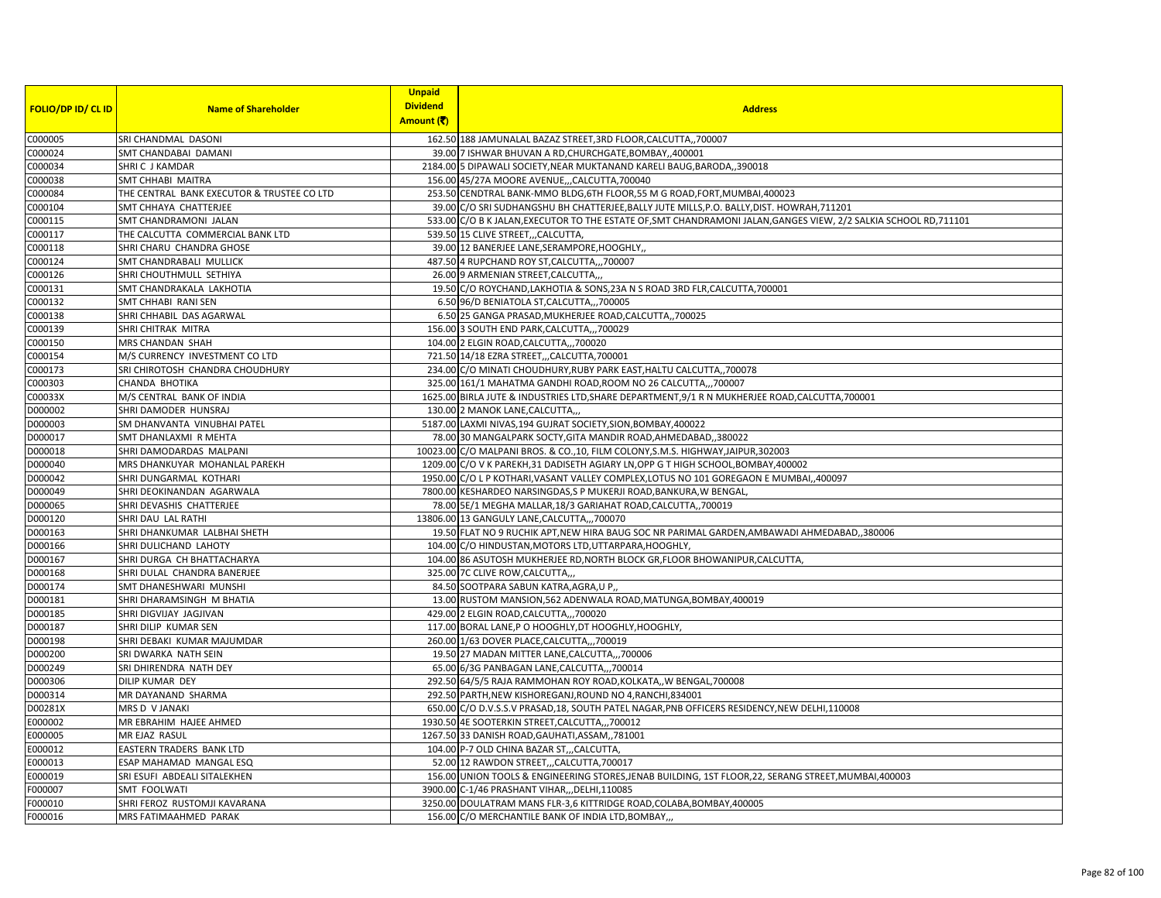|                           |                                              | <b>Unpaid</b>   |                                                                                                                                                       |
|---------------------------|----------------------------------------------|-----------------|-------------------------------------------------------------------------------------------------------------------------------------------------------|
| <b>FOLIO/DP ID/ CL ID</b> | <b>Name of Shareholder</b>                   | <b>Dividend</b> | <b>Address</b>                                                                                                                                        |
|                           |                                              | Amount (そ)      |                                                                                                                                                       |
| C000005                   | SRI CHANDMAL DASONI                          |                 | 162.50 188 JAMUNALAL BAZAZ STREET, 3RD FLOOR, CALCUTTA, ,700007                                                                                       |
| C000024                   | SMT CHANDABAI DAMANI                         |                 | 39.00 7 ISHWAR BHUVAN A RD, CHURCHGATE, BOMBAY, ,400001                                                                                               |
| C000034                   | SHRIC J KAMDAR                               |                 | 2184.00 5 DIPAWALI SOCIETY, NEAR MUKTANAND KARELI BAUG, BARODA, ,390018                                                                               |
| C000038                   | SMT CHHABI MAITRA                            |                 | 156.00 45/27A MOORE AVENUE,,,CALCUTTA,700040                                                                                                          |
| C000084                   | THE CENTRAL BANK EXECUTOR & TRUSTEE CO LTD   |                 | 253.50 CENDTRAL BANK-MMO BLDG, 6TH FLOOR, 55 M G ROAD, FORT, MUMBAI, 400023                                                                           |
| C000104                   | SMT CHHAYA CHATTERJEE                        |                 | 39.00 C/O SRI SUDHANGSHU BH CHATTERJEE, BALLY JUTE MILLS, P.O. BALLY, DIST. HOWRAH, 711201                                                            |
| C000115                   | SMT CHANDRAMONI JALAN                        |                 | 533.00 C/O B K JALAN, EXECUTOR TO THE ESTATE OF, SMT CHANDRAMONI JALAN, GANGES VIEW, 2/2 SALKIA SCHOOL RD, 711101                                     |
| C000117                   | THE CALCUTTA COMMERCIAL BANK LTD             |                 | 539.50 15 CLIVE STREET, ,CALCUTTA,                                                                                                                    |
| C000118                   | SHRI CHARU CHANDRA GHOSE                     |                 | 39.00 12 BANERJEE LANE, SERAMPORE, HOOGHLY,                                                                                                           |
| C000124                   | SMT CHANDRABALI MULLICK                      |                 | 487.50 4 RUPCHAND ROY ST, CALCUTTA,, 700007                                                                                                           |
| C000126                   | SHRI CHOUTHMULL SETHIYA                      |                 | 26.00 9 ARMENIAN STREET, CALCUTTA,                                                                                                                    |
| C000131                   | SMT CHANDRAKALA LAKHOTIA                     |                 | 19.50 C/O ROYCHAND, LAKHOTIA & SONS, 23A N S ROAD 3RD FLR, CALCUTTA, 700001                                                                           |
| C000132                   | SMT CHHABI RANI SEN                          |                 | 6.50 96/D BENIATOLA ST, CALCUTTA,,, 700005                                                                                                            |
| C000138                   | SHRI CHHABIL DAS AGARWAL                     |                 | 6.50 25 GANGA PRASAD, MUKHERJEE ROAD, CALCUTTA,, 700025                                                                                               |
| C000139                   | SHRI CHITRAK MITRA                           |                 | 156.00 3 SOUTH END PARK, CALCUTTA,,, 700029                                                                                                           |
| C000150                   | MRS CHANDAN SHAH                             |                 | 104.00 2 ELGIN ROAD, CALCUTTA,,, 700020                                                                                                               |
| C000154                   | M/S CURRENCY INVESTMENT CO LTD               |                 | 721.50 14/18 EZRA STREET,,,CALCUTTA,700001                                                                                                            |
| C000173                   | SRI CHIROTOSH CHANDRA CHOUDHURY              |                 | 234.00 C/O MINATI CHOUDHURY, RUBY PARK EAST, HALTU CALCUTTA,, 700078                                                                                  |
| C000303                   | CHANDA BHOTIKA                               |                 | 325.00 161/1 MAHATMA GANDHI ROAD, ROOM NO 26 CALCUTTA,,,700007                                                                                        |
| C00033X                   | M/S CENTRAL BANK OF INDIA                    |                 | 1625.00 BIRLA JUTE & INDUSTRIES LTD, SHARE DEPARTMENT, 9/1 R N MUKHERJEE ROAD, CALCUTTA, 700001                                                       |
| D000002                   | SHRI DAMODER HUNSRAJ                         |                 | 130.00 2 MANOK LANE, CALCUTTA,                                                                                                                        |
| D000003                   | SM DHANVANTA VINUBHAI PATEL                  |                 | 5187.00 LAXMI NIVAS, 194 GUJRAT SOCIETY, SION, BOMBAY, 400022                                                                                         |
| D000017                   | SMT DHANLAXMI R MEHTA                        |                 | 78.00 30 MANGALPARK SOCTY, GITA MANDIR ROAD, AHMEDABAD, ,380022                                                                                       |
| D000018                   | SHRI DAMODARDAS MALPANI                      |                 | 10023.00 C/O MALPANI BROS. & CO., 10, FILM COLONY, S.M.S. HIGHWAY, JAIPUR, 302003                                                                     |
| D000040                   | MRS DHANKUYAR MOHANLAL PAREKH                |                 | 1209.00 C/O V K PAREKH, 31 DADISETH AGIARY LN, OPP G T HIGH SCHOOL, BOMBAY, 400002                                                                    |
| D000042                   | SHRI DUNGARMAL KOTHARI                       |                 | 1950.00 C/O L P KOTHARI, VASANT VALLEY COMPLEX, LOTUS NO 101 GOREGAON E MUMBAI, 400097                                                                |
| D000049                   | SHRI DEOKINANDAN AGARWALA                    |                 | 7800.00 KESHARDEO NARSINGDAS, S P MUKERJI ROAD, BANKURA, W BENGAL,                                                                                    |
| D000065                   | SHRI DEVASHIS CHATTERJEE                     |                 | 78.00 5E/1 MEGHA MALLAR, 18/3 GARIAHAT ROAD, CALCUTTA,, 700019                                                                                        |
| D000120                   | SHRI DAU LAL RATHI                           |                 | 13806.00 13 GANGULY LANE, CALCUTTA,,, 700070                                                                                                          |
| D000163                   | SHRI DHANKUMAR LALBHAI SHETH                 |                 | 19.50 FLAT NO 9 RUCHIK APT, NEW HIRA BAUG SOC NR PARIMAL GARDEN, AMBAWADI AHMEDABAD,, 380006                                                          |
| D000166                   | SHRI DULICHAND LAHOTY                        |                 | 104.00 C/O HINDUSTAN, MOTORS LTD, UTTARPARA, HOOGHLY,                                                                                                 |
| D000167                   | SHRI DURGA CH BHATTACHARYA                   |                 | 104.00 86 ASUTOSH MUKHERJEE RD, NORTH BLOCK GR, FLOOR BHOWANIPUR, CALCUTTA,                                                                           |
| D000168                   | SHRI DULAL CHANDRA BANERJEE                  |                 | 325.00 7C CLIVE ROW, CALCUTTA,                                                                                                                        |
| D000174                   | SMT DHANESHWARI MUNSHI                       |                 | 84.50 SOOTPARA SABUN KATRA, AGRA, U P,,                                                                                                               |
| D000181                   | SHRI DHARAMSINGH M BHATIA                    |                 | 13.00 RUSTOM MANSION, 562 ADENWALA ROAD, MATUNGA, BOMBAY, 400019                                                                                      |
| D000185                   | SHRI DIGVIJAY JAGJIVAN                       |                 | 429.00 2 ELGIN ROAD, CALCUTTA,,, 700020                                                                                                               |
| D000187                   | SHRI DILIP KUMAR SEN                         |                 | 117.00 BORAL LANE, P O HOOGHLY, DT HOOGHLY, HOOGHLY,                                                                                                  |
| D000198                   | SHRI DEBAKI KUMAR MAJUMDAR                   |                 | 260.00 1/63 DOVER PLACE, CALCUTTA,,, 700019                                                                                                           |
| D000200                   | SRI DWARKA NATH SEIN                         |                 | 19.50 27 MADAN MITTER LANE, CALCUTTA,,, 700006                                                                                                        |
| D000249                   | SRI DHIRENDRA NATH DEY                       |                 | 65.00 6/3G PANBAGAN LANE, CALCUTTA,,,700014                                                                                                           |
| D000306                   | DILIP KUMAR DEY                              |                 | 292.50 64/5/5 RAJA RAMMOHAN ROY ROAD, KOLKATA,, W BENGAL, 700008                                                                                      |
| D000314                   | MR DAYANAND SHARMA                           |                 | 292.50 PARTH, NEW KISHOREGANJ, ROUND NO 4, RANCHI, 834001                                                                                             |
| D00281X                   | MRS D V JANAKI                               |                 | 650.00 C/O D.V.S.S.V PRASAD,18, SOUTH PATEL NAGAR, PNB OFFICERS RESIDENCY, NEW DELHI, 110008                                                          |
|                           |                                              |                 |                                                                                                                                                       |
| E000002<br>E000005        | MR EBRAHIM HAJEE AHMED<br>MR EJAZ RASUL      |                 | 1930.50 4E SOOTERKIN STREET, CALCUTTA,,, 700012<br>1267.50 33 DANISH ROAD, GAUHATI, ASSAM, , 781001                                                   |
| E000012                   |                                              |                 |                                                                                                                                                       |
|                           | EASTERN TRADERS BANK LTD                     |                 | 104.00 P-7 OLD CHINA BAZAR ST, , CALCUTTA                                                                                                             |
| E000013                   | ESAP MAHAMAD MANGAL ESQ                      |                 | 52.00 12 RAWDON STREET,,,CALCUTTA,700017                                                                                                              |
| E000019<br>F000007        | SRI ESUFI ABDEALI SITALEKHEN<br>SMT FOOLWATI |                 | 156.00 UNION TOOLS & ENGINEERING STORES, JENAB BUILDING, 1ST FLOOR, 22, SERANG STREET, MUMBAI, 400003<br>3900.00 C-1/46 PRASHANT VIHAR,,,DELHI,110085 |
| F000010                   |                                              |                 |                                                                                                                                                       |
| F000016                   | SHRI FEROZ RUSTOMJI KAVARANA                 |                 | 3250.00 DOULATRAM MANS FLR-3,6 KITTRIDGE ROAD, COLABA, BOMBAY, 400005                                                                                 |
|                           | MRS FATIMAAHMED PARAK                        |                 | 156.00 C/O MERCHANTILE BANK OF INDIA LTD, BOMBAY,,,                                                                                                   |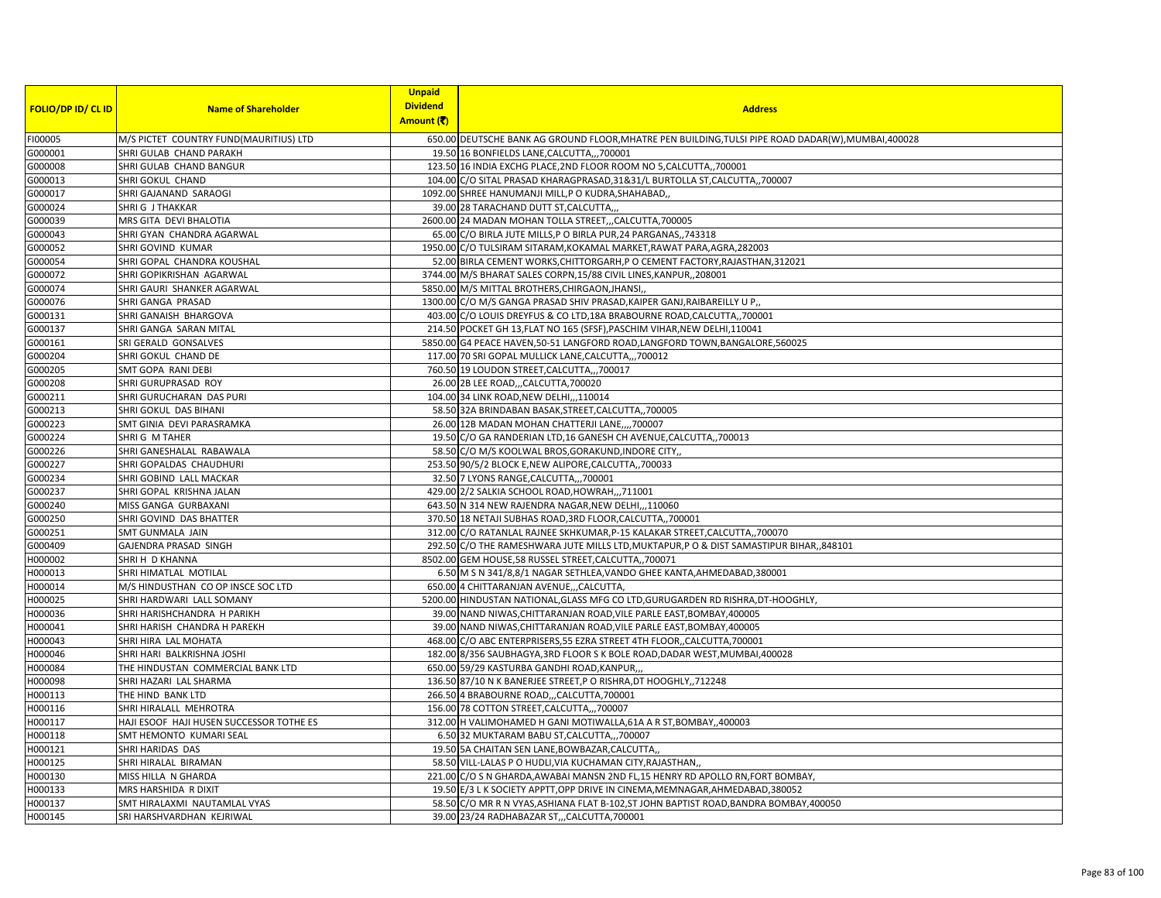| <b>FOLIO/DP ID/ CL ID</b> | <b>Name of Shareholder</b>               | <b>Unpaid</b><br><b>Dividend</b> | <b>Address</b>                                                                                      |
|---------------------------|------------------------------------------|----------------------------------|-----------------------------------------------------------------------------------------------------|
|                           |                                          | Amount (そ)                       |                                                                                                     |
| FI00005                   | M/S PICTET COUNTRY FUND(MAURITIUS) LTD   |                                  | 650.00 DEUTSCHE BANK AG GROUND FLOOR, MHATRE PEN BUILDING, TULSI PIPE ROAD DADAR(W), MUMBAI, 400028 |
| G000001                   | SHRI GULAB CHAND PARAKH                  |                                  | 19.50 16 BONFIELDS LANE, CALCUTTA,,, 700001                                                         |
| G000008                   | SHRI GULAB CHAND BANGUR                  |                                  | 123.50 16 INDIA EXCHG PLACE, 2ND FLOOR ROOM NO 5, CALCUTTA,, 700001                                 |
| G000013                   | SHRI GOKUL CHAND                         |                                  | 104.00 C/O SITAL PRASAD KHARAGPRASAD, 31&31/L BURTOLLA ST, CALCUTTA, 700007                         |
| G000017                   | SHRI GAJANAND SARAOGI                    |                                  | 1092.00 SHREE HANUMANJI MILL,P O KUDRA, SHAHABAD,                                                   |
| G000024                   | SHRI G J THAKKAR                         |                                  | 39.00 28 TARACHAND DUTT ST, CALCUTTA,,,                                                             |
| G000039                   | MRS GITA DEVI BHALOTIA                   |                                  | 2600.00 24 MADAN MOHAN TOLLA STREET,,,CALCUTTA,700005                                               |
| G000043                   | SHRI GYAN CHANDRA AGARWAL                |                                  | 65.00 C/O BIRLA JUTE MILLS, P O BIRLA PUR, 24 PARGANAS,, 743318                                     |
| G000052                   | SHRI GOVIND KUMAR                        |                                  | 1950.00 C/O TULSIRAM SITARAM, KOKAMAL MARKET, RAWAT PARA, AGRA, 282003                              |
| G000054                   | SHRI GOPAL CHANDRA KOUSHAL               |                                  | 52.00 BIRLA CEMENT WORKS, CHITTORGARH, P O CEMENT FACTORY, RAJASTHAN, 312021                        |
| G000072                   | SHRI GOPIKRISHAN AGARWAL                 |                                  | 3744.00 M/S BHARAT SALES CORPN, 15/88 CIVIL LINES, KANPUR, 208001                                   |
| G000074                   | SHRI GAURI SHANKER AGARWAL               |                                  | 5850.00 M/S MITTAL BROTHERS, CHIRGAON, JHANSI,                                                      |
| G000076                   | SHRI GANGA PRASAD                        |                                  | 1300.00 C/O M/S GANGA PRASAD SHIV PRASAD, KAIPER GANJ, RAIBAREILLY U P,                             |
| G000131                   | SHRI GANAISH BHARGOVA                    |                                  | 403.00 C/O LOUIS DREYFUS & CO LTD, 18A BRABOURNE ROAD, CALCUTTA,, 700001                            |
| G000137                   | SHRI GANGA SARAN MITAL                   |                                  | 214.50 POCKET GH 13, FLAT NO 165 (SFSF), PASCHIM VIHAR, NEW DELHI, 110041                           |
| G000161                   | SRI GERALD GONSALVES                     |                                  | 5850.00 G4 PEACE HAVEN, 50-51 LANGFORD ROAD, LANGFORD TOWN, BANGALORE, 560025                       |
| G000204                   | SHRI GOKUL CHAND DE                      |                                  | 117.00 70 SRI GOPAL MULLICK LANE, CALCUTTA,,, 700012                                                |
| G000205                   | SMT GOPA RANI DEBI                       |                                  | 760.50 19 LOUDON STREET, CALCUTTA,,, 700017                                                         |
| G000208                   | SHRI GURUPRASAD ROY                      |                                  | 26.00 2B LEE ROAD,,,CALCUTTA,700020                                                                 |
| G000211                   | SHRI GURUCHARAN DAS PURI                 |                                  | 104.00 34 LINK ROAD, NEW DELHI, , 110014                                                            |
| G000213                   | SHRI GOKUL DAS BIHANI                    |                                  | 58.50 32A BRINDABAN BASAK, STREET, CALCUTTA,, 700005                                                |
| G000223                   | SMT GINIA DEVI PARASRAMKA                |                                  | 26.00 12B MADAN MOHAN CHATTERJI LANE,,,,700007                                                      |
| G000224                   | SHRIG M TAHER                            |                                  | 19.50 C/O GA RANDERIAN LTD, 16 GANESH CH AVENUE, CALCUTTA,, 700013                                  |
| G000226                   | SHRI GANESHALAL RABAWALA                 |                                  | 58.50 C/O M/S KOOLWAL BROS, GORAKUND, INDORE CITY,                                                  |
| G000227                   | SHRI GOPALDAS CHAUDHURI                  |                                  | 253.50 90/5/2 BLOCK E, NEW ALIPORE, CALCUTTA,, 700033                                               |
| G000234                   | SHRI GOBIND LALL MACKAR                  |                                  | 32.50 7 LYONS RANGE, CALCUTTA,,, 700001                                                             |
| G000237                   | SHRI GOPAL KRISHNA JALAN                 |                                  | 429.00 2/2 SALKIA SCHOOL ROAD, HOWRAH,,,711001                                                      |
| G000240                   | MISS GANGA GURBAXANI                     |                                  | 643.50 N 314 NEW RAJENDRA NAGAR, NEW DELHI,,,110060                                                 |
| G000250                   | SHRI GOVIND DAS BHATTER                  |                                  | 370.50 18 NETAJI SUBHAS ROAD, 3RD FLOOR, CALCUTTA,, 700001                                          |
| G000251                   | SMT GUNMALA JAIN                         |                                  | 312.00 C/O RATANLAL RAJNEE SKHKUMAR, P-15 KALAKAR STREET, CALCUTTA,, 700070                         |
| G000409                   | GAJENDRA PRASAD SINGH                    |                                  | 292.50 C/O THE RAMESHWARA JUTE MILLS LTD, MUKTAPUR, PO & DIST SAMASTIPUR BIHAR, 848101              |
| H000002                   | SHRI H D KHANNA                          |                                  | 8502.00 GEM HOUSE,58 RUSSEL STREET, CALCUTTA,, 700071                                               |
| H000013                   | SHRI HIMATLAL MOTILAL                    |                                  | 6.50 M S N 341/8,8/1 NAGAR SETHLEA, VANDO GHEE KANTA, AHMEDABAD, 380001                             |
| H000014                   | M/S HINDUSTHAN CO OP INSCE SOC LTD       |                                  | 650.00 4 CHITTARANJAN AVENUE,,,CALCUTTA,                                                            |
| H000025                   | SHRI HARDWARI LALL SOMANY                |                                  | 5200.00 HINDUSTAN NATIONAL, GLASS MFG CO LTD, GURUGARDEN RD RISHRA, DT-HOOGHLY,                     |
| H000036                   | SHRI HARISHCHANDRA H PARIKH              |                                  | 39.00 NAND NIWAS, CHITTARANJAN ROAD, VILE PARLE EAST, BOMBAY, 400005                                |
| H000041                   | SHRI HARISH CHANDRA H PAREKH             |                                  | 39.00 NAND NIWAS, CHITTARANJAN ROAD, VILE PARLE EAST, BOMBAY, 400005                                |
| H000043                   | SHRI HIRA LAL MOHATA                     |                                  | 468.00 C/O ABC ENTERPRISERS, 55 EZRA STREET 4TH FLOOR, CALCUTTA, 700001                             |
| H000046                   | SHRI HARI BALKRISHNA JOSHI               |                                  | 182.00 8/356 SAUBHAGYA, 3RD FLOOR S K BOLE ROAD, DADAR WEST, MUMBAI, 400028                         |
| H000084                   | THE HINDUSTAN COMMERCIAL BANK LTD        |                                  | 650.00 59/29 KASTURBA GANDHI ROAD, KANPUR,,,                                                        |
| H000098                   | SHRI HAZARI LAL SHARMA                   |                                  | 136.50 87/10 N K BANERJEE STREET, P O RISHRA, DT HOOGHLY, 712248                                    |
| H000113                   | THE HIND BANK LTD                        |                                  | 266.50 4 BRABOURNE ROAD,,,CALCUTTA,700001                                                           |
| H000116                   | SHRI HIRALALL MEHROTRA                   |                                  | 156.00 78 COTTON STREET, CALCUTTA,, 700007                                                          |
| H000117                   | HAJI ESOOF HAJI HUSEN SUCCESSOR TOTHE ES |                                  | 312.00 H VALIMOHAMED H GANI MOTIWALLA, 61A A R ST, BOMBAY, 400003                                   |
| H000118                   | SMT HEMONTO KUMARI SEAL                  |                                  | 6.50 32 MUKTARAM BABU ST, CALCUTTA,, 700007                                                         |
| H000121                   | SHRI HARIDAS DAS                         |                                  | 19.50 5A CHAITAN SEN LANE, BOWBAZAR, CALCUTTA,                                                      |
| H000125                   | SHRI HIRALAL BIRAMAN                     |                                  | 58.50 VILL-LALAS P O HUDLI, VIA KUCHAMAN CITY, RAJASTHAN,                                           |
| H000130                   | MISS HILLA N GHARDA                      |                                  | 221.00 C/O S N GHARDA, AWABAI MANSN 2ND FL, 15 HENRY RD APOLLO RN, FORT BOMBAY,                     |
| H000133                   | MRS HARSHIDA R DIXIT                     |                                  | 19.50 E/3 L K SOCIETY APPTT, OPP DRIVE IN CINEMA, MEMNAGAR, AHMEDABAD, 380052                       |
| H000137                   | SMT HIRALAXMI NAUTAMLAL VYAS             |                                  | 58.50 C/O MR R N VYAS, ASHIANA FLAT B-102, ST JOHN BAPTIST ROAD, BANDRA BOMBAY, 400050              |
| H000145                   | SRI HARSHVARDHAN KEJRIWAL                |                                  | 39.00 23/24 RADHABAZAR ST,,,CALCUTTA,700001                                                         |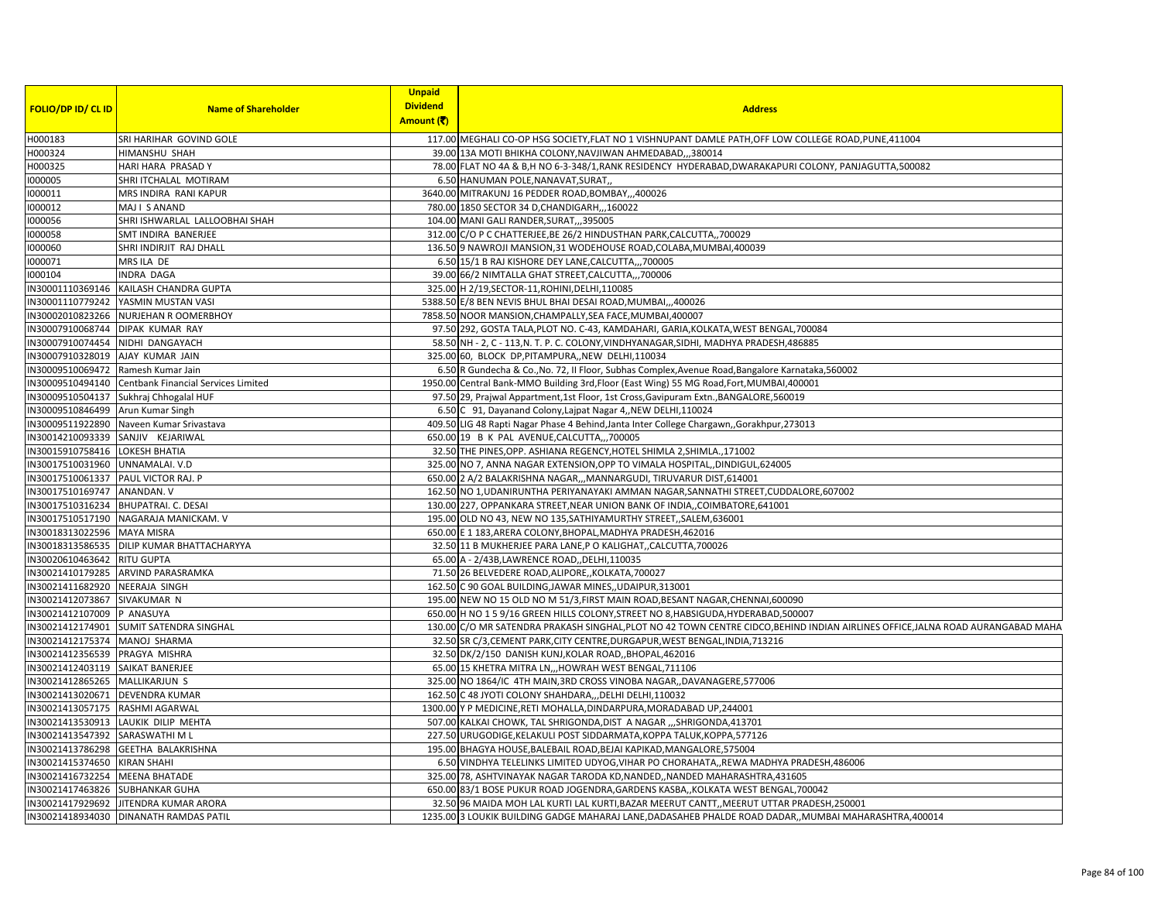| Amount (₹)<br>117.00 MEGHALI CO-OP HSG SOCIETY, FLAT NO 1 VISHNUPANT DAMLE PATH, OFF LOW COLLEGE ROAD, PUNE, 411004<br>SRI HARIHAR GOVIND GOLE<br>HIMANSHU SHAH<br>39.00 13A MOTI BHIKHA COLONY, NAVJIWAN AHMEDABAD,, ,380014<br>H000325<br>78.00 FLAT NO 4A & B,H NO 6-3-348/1, RANK RESIDENCY HYDERABAD, DWARAKAPURI COLONY, PANJAGUTTA, 500082<br>HARI HARA PRASAD Y<br>1000005<br>SHRI ITCHALAL MOTIRAM<br>6.50 HANUMAN POLE, NANAVAT, SURAT,<br>1000011<br>MRS INDIRA RANI KAPUR<br>3640.00 MITRAKUNJ 16 PEDDER ROAD, BOMBAY,,,400026<br>1000012<br>MAJ I S ANAND<br>780.00 1850 SECTOR 34 D, CHANDIGARH,, 160022<br>1000056<br>SHRI ISHWARLAL LALLOOBHAI SHAH<br>104.00 MANI GALI RANDER, SURAT, ,,395005<br>1000058<br>SMT INDIRA BANERJEE<br>312.00 C/O P C CHATTERJEE, BE 26/2 HINDUSTHAN PARK, CALCUTTA, 700029<br>1000060<br>SHRI INDIRJIT RAJ DHALL<br>136.50 9 NAWROJI MANSION, 31 WODEHOUSE ROAD, COLABA, MUMBAI, 400039<br>1000071<br>MRS ILA DE<br>6.50 15/1 B RAJ KISHORE DEY LANE, CALCUTTA,,, 700005<br>1000104<br><b>INDRA DAGA</b><br>39.00 66/2 NIMTALLA GHAT STREET, CALCUTTA,,, 700006<br>IN30001110369146 KAILASH CHANDRA GUPTA<br>325.00 H 2/19, SECTOR-11, ROHINI, DELHI, 110085<br>IN30001110779242 YASMIN MUSTAN VASI<br>5388.50 E/8 BEN NEVIS BHUL BHAI DESAI ROAD, MUMBAI,,,400026<br>IN30002010823266 NURJEHAN R OOMERBHOY<br>7858.50 NOOR MANSION, CHAMPALLY, SEA FACE, MUMBAI, 400007<br>IN30007910068744 DIPAK KUMAR RAY<br>97.50 292, GOSTA TALA, PLOT NO. C-43, KAMDAHARI, GARIA, KOLKATA, WEST BENGAL, 700084<br>IN30007910074454 NIDHI DANGAYACH<br>58.50 NH - 2, C - 113, N. T. P. C. COLONY, VINDHYANAGAR, SIDHI, MADHYA PRADESH, 486885<br>IN30007910328019 AJAY KUMAR JAIN<br>325.00 60, BLOCK DP, PITAMPURA,, NEW DELHI, 110034<br>IN30009510069472 Ramesh Kumar Jain<br>6.50 R Gundecha & Co., No. 72, II Floor, Subhas Complex, Avenue Road, Bangalore Karnataka, 560002<br>IN30009510494140 Centbank Financial Services Limited<br>1950.00 Central Bank-MMO Building 3rd, Floor (East Wing) 55 MG Road, Fort, MUMBAI, 400001<br>IN30009510504137 Sukhraj Chhogalal HUF<br>97.50 29, Prajwal Appartment,1st Floor, 1st Cross,Gavipuram Extn.,BANGALORE,560019<br>IN30009510846499 Arun Kumar Singh<br>6.50 C 91, Dayanand Colony, Lajpat Nagar 4,, NEW DELHI, 110024<br>IN30009511922890 Naveen Kumar Srivastava<br>409.50 LIG 48 Rapti Nagar Phase 4 Behind, Janta Inter College Chargawn, Gorakhpur, 273013<br>IN30014210093339 SANJIV KEJARIWAL<br>650.00 19 B K PAL AVENUE, CALCUTTA,,, 700005<br>IN30015910758416 LOKESH BHATIA<br>32.50 THE PINES, OPP. ASHIANA REGENCY, HOTEL SHIMLA 2, SHIMLA., 171002<br>IN30017510031960 UNNAMALAI. V.D<br>325.00 NO 7, ANNA NAGAR EXTENSION, OPP TO VIMALA HOSPITAL, DINDIGUL, 624005<br>IN30017510061337 PAUL VICTOR RAJ. P<br>650.00 2 A/2 BALAKRISHNA NAGAR,,,MANNARGUDI, TIRUVARUR DIST,614001<br>IN30017510169747 ANANDAN. V<br>162.50 NO 1, UDANIRUNTHA PERIYANAYAKI AMMAN NAGAR, SANNATHI STREET, CUDDALORE, 607002<br>IN30017510316234   BHUPATRAI. C. DESAI<br>130.00 227, OPPANKARA STREET, NEAR UNION BANK OF INDIA,, COIMBATORE, 641001<br>IN30017510517190 NAGARAJA MANICKAM. V<br>195.00 OLD NO 43, NEW NO 135, SATHIYAMURTHY STREET, SALEM, 636001<br>IN30018313022596 MAYA MISRA<br>650.00 E 1 183, ARERA COLONY, BHOPAL, MADHYA PRADESH, 462016<br>IN30018313586535 DILIP KUMAR BHATTACHARYYA<br>32.50 11 B MUKHERJEE PARA LANE, P O KALIGHAT, CALCUTTA, 700026<br>IN30020610463642 RITU GUPTA<br>65.00 A - 2/43B,LAWRENCE ROAD,,DELHI,110035<br>IN30021410179285 ARVIND PARASRAMKA<br>71.50 26 BELVEDERE ROAD, ALIPORE, KOLKATA, 700027<br>IN30021411682920 NEERAJA SINGH<br>162.50 C 90 GOAL BUILDING, JAWAR MINES,, UDAIPUR, 313001<br>IN30021412073867 SIVAKUMAR N<br>195.00 NEW NO 15 OLD NO M 51/3, FIRST MAIN ROAD, BESANT NAGAR, CHENNAI, 600090<br>IN30021412107009 P ANASUYA<br>650.00 H NO 1 5 9/16 GREEN HILLS COLONY, STREET NO 8, HABSIGUDA, HYDERABAD, 500007<br>IN30021412174901 SUMIT SATENDRA SINGHAL<br>130.00 C/O MR SATENDRA PRAKASH SINGHAL, PLOT NO 42 TOWN CENTRE CIDCO, BEHIND INDIAN AIRLINES OFFICE, JALNA ROAD AURANGABAD MAHA<br>IN30021412175374 MANOJ SHARMA<br>32.50 SR C/3, CEMENT PARK, CITY CENTRE, DURGAPUR, WEST BENGAL, INDIA, 713216<br>IN30021412356539 PRAGYA MISHRA<br>32.50 DK/2/150 DANISH KUNJ, KOLAR ROAD, , BHOPAL, 462016<br>IN30021412403119 SAIKAT BANERJEE<br>65.00 15 KHETRA MITRA LN,,,HOWRAH WEST BENGAL, 711106<br>IN30021412865265 MALLIKARJUN S<br>325.00 NO 1864/IC 4TH MAIN, 3RD CROSS VINOBA NAGAR, DAVANAGERE, 577006<br>IN30021413020671 DEVENDRA KUMAR<br>162.50 C 48 JYOTI COLONY SHAHDARA,,,DELHI DELHI,110032<br>IN30021413057175 RASHMI AGARWAL<br>1300.00 Y P MEDICINE, RETI MOHALLA, DINDARPURA, MORADABAD UP, 244001<br>IN30021413530913 LAUKIK DILIP MEHTA<br>507.00 KALKAI CHOWK, TAL SHRIGONDA, DIST A NAGAR  SHRIGONDA, 413701<br>IN30021413547392 SARASWATHI M L<br>227.50 URUGODIGE, KELAKULI POST SIDDARMATA, KOPPA TALUK, KOPPA, 577126<br>IN30021413786298 GEETHA BALAKRISHNA<br>195.00 BHAGYA HOUSE, BALEBAIL ROAD, BEJAI KAPIKAD, MANGALORE, 575004<br>IN30021415374650 KIRAN SHAHI<br>6.50 VINDHYA TELELINKS LIMITED UDYOG, VIHAR PO CHORAHATA,, REWA MADHYA PRADESH, 486006<br>IN30021416732254 MEENA BHATADE<br>325.00 78, ASHTVINAYAK NAGAR TARODA KD, NANDED, NANDED MAHARASHTRA, 431605<br>IN30021417463826 SUBHANKAR GUHA<br>650.00 83/1 BOSE PUKUR ROAD JOGENDRA, GARDENS KASBA,, KOLKATA WEST BENGAL, 700042<br>32.50 96 MAIDA MOH LAL KURTI LAL KURTI, BAZAR MEERUT CANTT, MEERUT UTTAR PRADESH, 250001<br>IN30021417929692 JITENDRA KUMAR ARORA<br>IN30021418934030 DINANATH RAMDAS PATIL<br>1235.00 3 LOUKIK BUILDING GADGE MAHARAJ LANE, DADASAHEB PHALDE ROAD DADAR, , MUMBAI MAHARASHTRA, 400014 |                           |                            | <b>Unpaid</b><br><b>Dividend</b> |                |  |
|------------------------------------------------------------------------------------------------------------------------------------------------------------------------------------------------------------------------------------------------------------------------------------------------------------------------------------------------------------------------------------------------------------------------------------------------------------------------------------------------------------------------------------------------------------------------------------------------------------------------------------------------------------------------------------------------------------------------------------------------------------------------------------------------------------------------------------------------------------------------------------------------------------------------------------------------------------------------------------------------------------------------------------------------------------------------------------------------------------------------------------------------------------------------------------------------------------------------------------------------------------------------------------------------------------------------------------------------------------------------------------------------------------------------------------------------------------------------------------------------------------------------------------------------------------------------------------------------------------------------------------------------------------------------------------------------------------------------------------------------------------------------------------------------------------------------------------------------------------------------------------------------------------------------------------------------------------------------------------------------------------------------------------------------------------------------------------------------------------------------------------------------------------------------------------------------------------------------------------------------------------------------------------------------------------------------------------------------------------------------------------------------------------------------------------------------------------------------------------------------------------------------------------------------------------------------------------------------------------------------------------------------------------------------------------------------------------------------------------------------------------------------------------------------------------------------------------------------------------------------------------------------------------------------------------------------------------------------------------------------------------------------------------------------------------------------------------------------------------------------------------------------------------------------------------------------------------------------------------------------------------------------------------------------------------------------------------------------------------------------------------------------------------------------------------------------------------------------------------------------------------------------------------------------------------------------------------------------------------------------------------------------------------------------------------------------------------------------------------------------------------------------------------------------------------------------------------------------------------------------------------------------------------------------------------------------------------------------------------------------------------------------------------------------------------------------------------------------------------------------------------------------------------------------------------------------------------------------------------------------------------------------------------------------------------------------------------------------------------------------------------------------------------------------------------------------------------------------------------------------------------------------------------------------------------------------------------------------------------------------------------------------------------------------------------------------------------------------------------------------------------------------------------------------------------------------------------------------------------------------------------------------------------------------------------------------------------------------------------------------------------------------------------------------------------------------------------------------------------------------------------------------------------------------------------------------------------------------------------------------------------------------------------------------------------------------------------------------------------------------------------------------------------------------------------------------------------------------------------------------------------------------------------------------------------------------------------------------------------------------------------------------------------------------------------------------------------------------------------------------------------------------------------------------------------|---------------------------|----------------------------|----------------------------------|----------------|--|
|                                                                                                                                                                                                                                                                                                                                                                                                                                                                                                                                                                                                                                                                                                                                                                                                                                                                                                                                                                                                                                                                                                                                                                                                                                                                                                                                                                                                                                                                                                                                                                                                                                                                                                                                                                                                                                                                                                                                                                                                                                                                                                                                                                                                                                                                                                                                                                                                                                                                                                                                                                                                                                                                                                                                                                                                                                                                                                                                                                                                                                                                                                                                                                                                                                                                                                                                                                                                                                                                                                                                                                                                                                                                                                                                                                                                                                                                                                                                                                                                                                                                                                                                                                                                                                                                                                                                                                                                                                                                                                                                                                                                                                                                                                                                                                                                                                                                                                                                                                                                                                                                                                                                                                                                                                                                                                                                                                                                                                                                                                                                                                                                                                                                                                                                                                                                            | <b>FOLIO/DP ID/ CL ID</b> | <b>Name of Shareholder</b> |                                  | <b>Address</b> |  |
|                                                                                                                                                                                                                                                                                                                                                                                                                                                                                                                                                                                                                                                                                                                                                                                                                                                                                                                                                                                                                                                                                                                                                                                                                                                                                                                                                                                                                                                                                                                                                                                                                                                                                                                                                                                                                                                                                                                                                                                                                                                                                                                                                                                                                                                                                                                                                                                                                                                                                                                                                                                                                                                                                                                                                                                                                                                                                                                                                                                                                                                                                                                                                                                                                                                                                                                                                                                                                                                                                                                                                                                                                                                                                                                                                                                                                                                                                                                                                                                                                                                                                                                                                                                                                                                                                                                                                                                                                                                                                                                                                                                                                                                                                                                                                                                                                                                                                                                                                                                                                                                                                                                                                                                                                                                                                                                                                                                                                                                                                                                                                                                                                                                                                                                                                                                                            | H000183                   |                            |                                  |                |  |
|                                                                                                                                                                                                                                                                                                                                                                                                                                                                                                                                                                                                                                                                                                                                                                                                                                                                                                                                                                                                                                                                                                                                                                                                                                                                                                                                                                                                                                                                                                                                                                                                                                                                                                                                                                                                                                                                                                                                                                                                                                                                                                                                                                                                                                                                                                                                                                                                                                                                                                                                                                                                                                                                                                                                                                                                                                                                                                                                                                                                                                                                                                                                                                                                                                                                                                                                                                                                                                                                                                                                                                                                                                                                                                                                                                                                                                                                                                                                                                                                                                                                                                                                                                                                                                                                                                                                                                                                                                                                                                                                                                                                                                                                                                                                                                                                                                                                                                                                                                                                                                                                                                                                                                                                                                                                                                                                                                                                                                                                                                                                                                                                                                                                                                                                                                                                            | H000324                   |                            |                                  |                |  |
|                                                                                                                                                                                                                                                                                                                                                                                                                                                                                                                                                                                                                                                                                                                                                                                                                                                                                                                                                                                                                                                                                                                                                                                                                                                                                                                                                                                                                                                                                                                                                                                                                                                                                                                                                                                                                                                                                                                                                                                                                                                                                                                                                                                                                                                                                                                                                                                                                                                                                                                                                                                                                                                                                                                                                                                                                                                                                                                                                                                                                                                                                                                                                                                                                                                                                                                                                                                                                                                                                                                                                                                                                                                                                                                                                                                                                                                                                                                                                                                                                                                                                                                                                                                                                                                                                                                                                                                                                                                                                                                                                                                                                                                                                                                                                                                                                                                                                                                                                                                                                                                                                                                                                                                                                                                                                                                                                                                                                                                                                                                                                                                                                                                                                                                                                                                                            |                           |                            |                                  |                |  |
|                                                                                                                                                                                                                                                                                                                                                                                                                                                                                                                                                                                                                                                                                                                                                                                                                                                                                                                                                                                                                                                                                                                                                                                                                                                                                                                                                                                                                                                                                                                                                                                                                                                                                                                                                                                                                                                                                                                                                                                                                                                                                                                                                                                                                                                                                                                                                                                                                                                                                                                                                                                                                                                                                                                                                                                                                                                                                                                                                                                                                                                                                                                                                                                                                                                                                                                                                                                                                                                                                                                                                                                                                                                                                                                                                                                                                                                                                                                                                                                                                                                                                                                                                                                                                                                                                                                                                                                                                                                                                                                                                                                                                                                                                                                                                                                                                                                                                                                                                                                                                                                                                                                                                                                                                                                                                                                                                                                                                                                                                                                                                                                                                                                                                                                                                                                                            |                           |                            |                                  |                |  |
|                                                                                                                                                                                                                                                                                                                                                                                                                                                                                                                                                                                                                                                                                                                                                                                                                                                                                                                                                                                                                                                                                                                                                                                                                                                                                                                                                                                                                                                                                                                                                                                                                                                                                                                                                                                                                                                                                                                                                                                                                                                                                                                                                                                                                                                                                                                                                                                                                                                                                                                                                                                                                                                                                                                                                                                                                                                                                                                                                                                                                                                                                                                                                                                                                                                                                                                                                                                                                                                                                                                                                                                                                                                                                                                                                                                                                                                                                                                                                                                                                                                                                                                                                                                                                                                                                                                                                                                                                                                                                                                                                                                                                                                                                                                                                                                                                                                                                                                                                                                                                                                                                                                                                                                                                                                                                                                                                                                                                                                                                                                                                                                                                                                                                                                                                                                                            |                           |                            |                                  |                |  |
|                                                                                                                                                                                                                                                                                                                                                                                                                                                                                                                                                                                                                                                                                                                                                                                                                                                                                                                                                                                                                                                                                                                                                                                                                                                                                                                                                                                                                                                                                                                                                                                                                                                                                                                                                                                                                                                                                                                                                                                                                                                                                                                                                                                                                                                                                                                                                                                                                                                                                                                                                                                                                                                                                                                                                                                                                                                                                                                                                                                                                                                                                                                                                                                                                                                                                                                                                                                                                                                                                                                                                                                                                                                                                                                                                                                                                                                                                                                                                                                                                                                                                                                                                                                                                                                                                                                                                                                                                                                                                                                                                                                                                                                                                                                                                                                                                                                                                                                                                                                                                                                                                                                                                                                                                                                                                                                                                                                                                                                                                                                                                                                                                                                                                                                                                                                                            |                           |                            |                                  |                |  |
|                                                                                                                                                                                                                                                                                                                                                                                                                                                                                                                                                                                                                                                                                                                                                                                                                                                                                                                                                                                                                                                                                                                                                                                                                                                                                                                                                                                                                                                                                                                                                                                                                                                                                                                                                                                                                                                                                                                                                                                                                                                                                                                                                                                                                                                                                                                                                                                                                                                                                                                                                                                                                                                                                                                                                                                                                                                                                                                                                                                                                                                                                                                                                                                                                                                                                                                                                                                                                                                                                                                                                                                                                                                                                                                                                                                                                                                                                                                                                                                                                                                                                                                                                                                                                                                                                                                                                                                                                                                                                                                                                                                                                                                                                                                                                                                                                                                                                                                                                                                                                                                                                                                                                                                                                                                                                                                                                                                                                                                                                                                                                                                                                                                                                                                                                                                                            |                           |                            |                                  |                |  |
|                                                                                                                                                                                                                                                                                                                                                                                                                                                                                                                                                                                                                                                                                                                                                                                                                                                                                                                                                                                                                                                                                                                                                                                                                                                                                                                                                                                                                                                                                                                                                                                                                                                                                                                                                                                                                                                                                                                                                                                                                                                                                                                                                                                                                                                                                                                                                                                                                                                                                                                                                                                                                                                                                                                                                                                                                                                                                                                                                                                                                                                                                                                                                                                                                                                                                                                                                                                                                                                                                                                                                                                                                                                                                                                                                                                                                                                                                                                                                                                                                                                                                                                                                                                                                                                                                                                                                                                                                                                                                                                                                                                                                                                                                                                                                                                                                                                                                                                                                                                                                                                                                                                                                                                                                                                                                                                                                                                                                                                                                                                                                                                                                                                                                                                                                                                                            |                           |                            |                                  |                |  |
|                                                                                                                                                                                                                                                                                                                                                                                                                                                                                                                                                                                                                                                                                                                                                                                                                                                                                                                                                                                                                                                                                                                                                                                                                                                                                                                                                                                                                                                                                                                                                                                                                                                                                                                                                                                                                                                                                                                                                                                                                                                                                                                                                                                                                                                                                                                                                                                                                                                                                                                                                                                                                                                                                                                                                                                                                                                                                                                                                                                                                                                                                                                                                                                                                                                                                                                                                                                                                                                                                                                                                                                                                                                                                                                                                                                                                                                                                                                                                                                                                                                                                                                                                                                                                                                                                                                                                                                                                                                                                                                                                                                                                                                                                                                                                                                                                                                                                                                                                                                                                                                                                                                                                                                                                                                                                                                                                                                                                                                                                                                                                                                                                                                                                                                                                                                                            |                           |                            |                                  |                |  |
|                                                                                                                                                                                                                                                                                                                                                                                                                                                                                                                                                                                                                                                                                                                                                                                                                                                                                                                                                                                                                                                                                                                                                                                                                                                                                                                                                                                                                                                                                                                                                                                                                                                                                                                                                                                                                                                                                                                                                                                                                                                                                                                                                                                                                                                                                                                                                                                                                                                                                                                                                                                                                                                                                                                                                                                                                                                                                                                                                                                                                                                                                                                                                                                                                                                                                                                                                                                                                                                                                                                                                                                                                                                                                                                                                                                                                                                                                                                                                                                                                                                                                                                                                                                                                                                                                                                                                                                                                                                                                                                                                                                                                                                                                                                                                                                                                                                                                                                                                                                                                                                                                                                                                                                                                                                                                                                                                                                                                                                                                                                                                                                                                                                                                                                                                                                                            |                           |                            |                                  |                |  |
|                                                                                                                                                                                                                                                                                                                                                                                                                                                                                                                                                                                                                                                                                                                                                                                                                                                                                                                                                                                                                                                                                                                                                                                                                                                                                                                                                                                                                                                                                                                                                                                                                                                                                                                                                                                                                                                                                                                                                                                                                                                                                                                                                                                                                                                                                                                                                                                                                                                                                                                                                                                                                                                                                                                                                                                                                                                                                                                                                                                                                                                                                                                                                                                                                                                                                                                                                                                                                                                                                                                                                                                                                                                                                                                                                                                                                                                                                                                                                                                                                                                                                                                                                                                                                                                                                                                                                                                                                                                                                                                                                                                                                                                                                                                                                                                                                                                                                                                                                                                                                                                                                                                                                                                                                                                                                                                                                                                                                                                                                                                                                                                                                                                                                                                                                                                                            |                           |                            |                                  |                |  |
|                                                                                                                                                                                                                                                                                                                                                                                                                                                                                                                                                                                                                                                                                                                                                                                                                                                                                                                                                                                                                                                                                                                                                                                                                                                                                                                                                                                                                                                                                                                                                                                                                                                                                                                                                                                                                                                                                                                                                                                                                                                                                                                                                                                                                                                                                                                                                                                                                                                                                                                                                                                                                                                                                                                                                                                                                                                                                                                                                                                                                                                                                                                                                                                                                                                                                                                                                                                                                                                                                                                                                                                                                                                                                                                                                                                                                                                                                                                                                                                                                                                                                                                                                                                                                                                                                                                                                                                                                                                                                                                                                                                                                                                                                                                                                                                                                                                                                                                                                                                                                                                                                                                                                                                                                                                                                                                                                                                                                                                                                                                                                                                                                                                                                                                                                                                                            |                           |                            |                                  |                |  |
|                                                                                                                                                                                                                                                                                                                                                                                                                                                                                                                                                                                                                                                                                                                                                                                                                                                                                                                                                                                                                                                                                                                                                                                                                                                                                                                                                                                                                                                                                                                                                                                                                                                                                                                                                                                                                                                                                                                                                                                                                                                                                                                                                                                                                                                                                                                                                                                                                                                                                                                                                                                                                                                                                                                                                                                                                                                                                                                                                                                                                                                                                                                                                                                                                                                                                                                                                                                                                                                                                                                                                                                                                                                                                                                                                                                                                                                                                                                                                                                                                                                                                                                                                                                                                                                                                                                                                                                                                                                                                                                                                                                                                                                                                                                                                                                                                                                                                                                                                                                                                                                                                                                                                                                                                                                                                                                                                                                                                                                                                                                                                                                                                                                                                                                                                                                                            |                           |                            |                                  |                |  |
|                                                                                                                                                                                                                                                                                                                                                                                                                                                                                                                                                                                                                                                                                                                                                                                                                                                                                                                                                                                                                                                                                                                                                                                                                                                                                                                                                                                                                                                                                                                                                                                                                                                                                                                                                                                                                                                                                                                                                                                                                                                                                                                                                                                                                                                                                                                                                                                                                                                                                                                                                                                                                                                                                                                                                                                                                                                                                                                                                                                                                                                                                                                                                                                                                                                                                                                                                                                                                                                                                                                                                                                                                                                                                                                                                                                                                                                                                                                                                                                                                                                                                                                                                                                                                                                                                                                                                                                                                                                                                                                                                                                                                                                                                                                                                                                                                                                                                                                                                                                                                                                                                                                                                                                                                                                                                                                                                                                                                                                                                                                                                                                                                                                                                                                                                                                                            |                           |                            |                                  |                |  |
|                                                                                                                                                                                                                                                                                                                                                                                                                                                                                                                                                                                                                                                                                                                                                                                                                                                                                                                                                                                                                                                                                                                                                                                                                                                                                                                                                                                                                                                                                                                                                                                                                                                                                                                                                                                                                                                                                                                                                                                                                                                                                                                                                                                                                                                                                                                                                                                                                                                                                                                                                                                                                                                                                                                                                                                                                                                                                                                                                                                                                                                                                                                                                                                                                                                                                                                                                                                                                                                                                                                                                                                                                                                                                                                                                                                                                                                                                                                                                                                                                                                                                                                                                                                                                                                                                                                                                                                                                                                                                                                                                                                                                                                                                                                                                                                                                                                                                                                                                                                                                                                                                                                                                                                                                                                                                                                                                                                                                                                                                                                                                                                                                                                                                                                                                                                                            |                           |                            |                                  |                |  |
|                                                                                                                                                                                                                                                                                                                                                                                                                                                                                                                                                                                                                                                                                                                                                                                                                                                                                                                                                                                                                                                                                                                                                                                                                                                                                                                                                                                                                                                                                                                                                                                                                                                                                                                                                                                                                                                                                                                                                                                                                                                                                                                                                                                                                                                                                                                                                                                                                                                                                                                                                                                                                                                                                                                                                                                                                                                                                                                                                                                                                                                                                                                                                                                                                                                                                                                                                                                                                                                                                                                                                                                                                                                                                                                                                                                                                                                                                                                                                                                                                                                                                                                                                                                                                                                                                                                                                                                                                                                                                                                                                                                                                                                                                                                                                                                                                                                                                                                                                                                                                                                                                                                                                                                                                                                                                                                                                                                                                                                                                                                                                                                                                                                                                                                                                                                                            |                           |                            |                                  |                |  |
|                                                                                                                                                                                                                                                                                                                                                                                                                                                                                                                                                                                                                                                                                                                                                                                                                                                                                                                                                                                                                                                                                                                                                                                                                                                                                                                                                                                                                                                                                                                                                                                                                                                                                                                                                                                                                                                                                                                                                                                                                                                                                                                                                                                                                                                                                                                                                                                                                                                                                                                                                                                                                                                                                                                                                                                                                                                                                                                                                                                                                                                                                                                                                                                                                                                                                                                                                                                                                                                                                                                                                                                                                                                                                                                                                                                                                                                                                                                                                                                                                                                                                                                                                                                                                                                                                                                                                                                                                                                                                                                                                                                                                                                                                                                                                                                                                                                                                                                                                                                                                                                                                                                                                                                                                                                                                                                                                                                                                                                                                                                                                                                                                                                                                                                                                                                                            |                           |                            |                                  |                |  |
|                                                                                                                                                                                                                                                                                                                                                                                                                                                                                                                                                                                                                                                                                                                                                                                                                                                                                                                                                                                                                                                                                                                                                                                                                                                                                                                                                                                                                                                                                                                                                                                                                                                                                                                                                                                                                                                                                                                                                                                                                                                                                                                                                                                                                                                                                                                                                                                                                                                                                                                                                                                                                                                                                                                                                                                                                                                                                                                                                                                                                                                                                                                                                                                                                                                                                                                                                                                                                                                                                                                                                                                                                                                                                                                                                                                                                                                                                                                                                                                                                                                                                                                                                                                                                                                                                                                                                                                                                                                                                                                                                                                                                                                                                                                                                                                                                                                                                                                                                                                                                                                                                                                                                                                                                                                                                                                                                                                                                                                                                                                                                                                                                                                                                                                                                                                                            |                           |                            |                                  |                |  |
|                                                                                                                                                                                                                                                                                                                                                                                                                                                                                                                                                                                                                                                                                                                                                                                                                                                                                                                                                                                                                                                                                                                                                                                                                                                                                                                                                                                                                                                                                                                                                                                                                                                                                                                                                                                                                                                                                                                                                                                                                                                                                                                                                                                                                                                                                                                                                                                                                                                                                                                                                                                                                                                                                                                                                                                                                                                                                                                                                                                                                                                                                                                                                                                                                                                                                                                                                                                                                                                                                                                                                                                                                                                                                                                                                                                                                                                                                                                                                                                                                                                                                                                                                                                                                                                                                                                                                                                                                                                                                                                                                                                                                                                                                                                                                                                                                                                                                                                                                                                                                                                                                                                                                                                                                                                                                                                                                                                                                                                                                                                                                                                                                                                                                                                                                                                                            |                           |                            |                                  |                |  |
|                                                                                                                                                                                                                                                                                                                                                                                                                                                                                                                                                                                                                                                                                                                                                                                                                                                                                                                                                                                                                                                                                                                                                                                                                                                                                                                                                                                                                                                                                                                                                                                                                                                                                                                                                                                                                                                                                                                                                                                                                                                                                                                                                                                                                                                                                                                                                                                                                                                                                                                                                                                                                                                                                                                                                                                                                                                                                                                                                                                                                                                                                                                                                                                                                                                                                                                                                                                                                                                                                                                                                                                                                                                                                                                                                                                                                                                                                                                                                                                                                                                                                                                                                                                                                                                                                                                                                                                                                                                                                                                                                                                                                                                                                                                                                                                                                                                                                                                                                                                                                                                                                                                                                                                                                                                                                                                                                                                                                                                                                                                                                                                                                                                                                                                                                                                                            |                           |                            |                                  |                |  |
|                                                                                                                                                                                                                                                                                                                                                                                                                                                                                                                                                                                                                                                                                                                                                                                                                                                                                                                                                                                                                                                                                                                                                                                                                                                                                                                                                                                                                                                                                                                                                                                                                                                                                                                                                                                                                                                                                                                                                                                                                                                                                                                                                                                                                                                                                                                                                                                                                                                                                                                                                                                                                                                                                                                                                                                                                                                                                                                                                                                                                                                                                                                                                                                                                                                                                                                                                                                                                                                                                                                                                                                                                                                                                                                                                                                                                                                                                                                                                                                                                                                                                                                                                                                                                                                                                                                                                                                                                                                                                                                                                                                                                                                                                                                                                                                                                                                                                                                                                                                                                                                                                                                                                                                                                                                                                                                                                                                                                                                                                                                                                                                                                                                                                                                                                                                                            |                           |                            |                                  |                |  |
|                                                                                                                                                                                                                                                                                                                                                                                                                                                                                                                                                                                                                                                                                                                                                                                                                                                                                                                                                                                                                                                                                                                                                                                                                                                                                                                                                                                                                                                                                                                                                                                                                                                                                                                                                                                                                                                                                                                                                                                                                                                                                                                                                                                                                                                                                                                                                                                                                                                                                                                                                                                                                                                                                                                                                                                                                                                                                                                                                                                                                                                                                                                                                                                                                                                                                                                                                                                                                                                                                                                                                                                                                                                                                                                                                                                                                                                                                                                                                                                                                                                                                                                                                                                                                                                                                                                                                                                                                                                                                                                                                                                                                                                                                                                                                                                                                                                                                                                                                                                                                                                                                                                                                                                                                                                                                                                                                                                                                                                                                                                                                                                                                                                                                                                                                                                                            |                           |                            |                                  |                |  |
|                                                                                                                                                                                                                                                                                                                                                                                                                                                                                                                                                                                                                                                                                                                                                                                                                                                                                                                                                                                                                                                                                                                                                                                                                                                                                                                                                                                                                                                                                                                                                                                                                                                                                                                                                                                                                                                                                                                                                                                                                                                                                                                                                                                                                                                                                                                                                                                                                                                                                                                                                                                                                                                                                                                                                                                                                                                                                                                                                                                                                                                                                                                                                                                                                                                                                                                                                                                                                                                                                                                                                                                                                                                                                                                                                                                                                                                                                                                                                                                                                                                                                                                                                                                                                                                                                                                                                                                                                                                                                                                                                                                                                                                                                                                                                                                                                                                                                                                                                                                                                                                                                                                                                                                                                                                                                                                                                                                                                                                                                                                                                                                                                                                                                                                                                                                                            |                           |                            |                                  |                |  |
|                                                                                                                                                                                                                                                                                                                                                                                                                                                                                                                                                                                                                                                                                                                                                                                                                                                                                                                                                                                                                                                                                                                                                                                                                                                                                                                                                                                                                                                                                                                                                                                                                                                                                                                                                                                                                                                                                                                                                                                                                                                                                                                                                                                                                                                                                                                                                                                                                                                                                                                                                                                                                                                                                                                                                                                                                                                                                                                                                                                                                                                                                                                                                                                                                                                                                                                                                                                                                                                                                                                                                                                                                                                                                                                                                                                                                                                                                                                                                                                                                                                                                                                                                                                                                                                                                                                                                                                                                                                                                                                                                                                                                                                                                                                                                                                                                                                                                                                                                                                                                                                                                                                                                                                                                                                                                                                                                                                                                                                                                                                                                                                                                                                                                                                                                                                                            |                           |                            |                                  |                |  |
|                                                                                                                                                                                                                                                                                                                                                                                                                                                                                                                                                                                                                                                                                                                                                                                                                                                                                                                                                                                                                                                                                                                                                                                                                                                                                                                                                                                                                                                                                                                                                                                                                                                                                                                                                                                                                                                                                                                                                                                                                                                                                                                                                                                                                                                                                                                                                                                                                                                                                                                                                                                                                                                                                                                                                                                                                                                                                                                                                                                                                                                                                                                                                                                                                                                                                                                                                                                                                                                                                                                                                                                                                                                                                                                                                                                                                                                                                                                                                                                                                                                                                                                                                                                                                                                                                                                                                                                                                                                                                                                                                                                                                                                                                                                                                                                                                                                                                                                                                                                                                                                                                                                                                                                                                                                                                                                                                                                                                                                                                                                                                                                                                                                                                                                                                                                                            |                           |                            |                                  |                |  |
|                                                                                                                                                                                                                                                                                                                                                                                                                                                                                                                                                                                                                                                                                                                                                                                                                                                                                                                                                                                                                                                                                                                                                                                                                                                                                                                                                                                                                                                                                                                                                                                                                                                                                                                                                                                                                                                                                                                                                                                                                                                                                                                                                                                                                                                                                                                                                                                                                                                                                                                                                                                                                                                                                                                                                                                                                                                                                                                                                                                                                                                                                                                                                                                                                                                                                                                                                                                                                                                                                                                                                                                                                                                                                                                                                                                                                                                                                                                                                                                                                                                                                                                                                                                                                                                                                                                                                                                                                                                                                                                                                                                                                                                                                                                                                                                                                                                                                                                                                                                                                                                                                                                                                                                                                                                                                                                                                                                                                                                                                                                                                                                                                                                                                                                                                                                                            |                           |                            |                                  |                |  |
|                                                                                                                                                                                                                                                                                                                                                                                                                                                                                                                                                                                                                                                                                                                                                                                                                                                                                                                                                                                                                                                                                                                                                                                                                                                                                                                                                                                                                                                                                                                                                                                                                                                                                                                                                                                                                                                                                                                                                                                                                                                                                                                                                                                                                                                                                                                                                                                                                                                                                                                                                                                                                                                                                                                                                                                                                                                                                                                                                                                                                                                                                                                                                                                                                                                                                                                                                                                                                                                                                                                                                                                                                                                                                                                                                                                                                                                                                                                                                                                                                                                                                                                                                                                                                                                                                                                                                                                                                                                                                                                                                                                                                                                                                                                                                                                                                                                                                                                                                                                                                                                                                                                                                                                                                                                                                                                                                                                                                                                                                                                                                                                                                                                                                                                                                                                                            |                           |                            |                                  |                |  |
|                                                                                                                                                                                                                                                                                                                                                                                                                                                                                                                                                                                                                                                                                                                                                                                                                                                                                                                                                                                                                                                                                                                                                                                                                                                                                                                                                                                                                                                                                                                                                                                                                                                                                                                                                                                                                                                                                                                                                                                                                                                                                                                                                                                                                                                                                                                                                                                                                                                                                                                                                                                                                                                                                                                                                                                                                                                                                                                                                                                                                                                                                                                                                                                                                                                                                                                                                                                                                                                                                                                                                                                                                                                                                                                                                                                                                                                                                                                                                                                                                                                                                                                                                                                                                                                                                                                                                                                                                                                                                                                                                                                                                                                                                                                                                                                                                                                                                                                                                                                                                                                                                                                                                                                                                                                                                                                                                                                                                                                                                                                                                                                                                                                                                                                                                                                                            |                           |                            |                                  |                |  |
|                                                                                                                                                                                                                                                                                                                                                                                                                                                                                                                                                                                                                                                                                                                                                                                                                                                                                                                                                                                                                                                                                                                                                                                                                                                                                                                                                                                                                                                                                                                                                                                                                                                                                                                                                                                                                                                                                                                                                                                                                                                                                                                                                                                                                                                                                                                                                                                                                                                                                                                                                                                                                                                                                                                                                                                                                                                                                                                                                                                                                                                                                                                                                                                                                                                                                                                                                                                                                                                                                                                                                                                                                                                                                                                                                                                                                                                                                                                                                                                                                                                                                                                                                                                                                                                                                                                                                                                                                                                                                                                                                                                                                                                                                                                                                                                                                                                                                                                                                                                                                                                                                                                                                                                                                                                                                                                                                                                                                                                                                                                                                                                                                                                                                                                                                                                                            |                           |                            |                                  |                |  |
|                                                                                                                                                                                                                                                                                                                                                                                                                                                                                                                                                                                                                                                                                                                                                                                                                                                                                                                                                                                                                                                                                                                                                                                                                                                                                                                                                                                                                                                                                                                                                                                                                                                                                                                                                                                                                                                                                                                                                                                                                                                                                                                                                                                                                                                                                                                                                                                                                                                                                                                                                                                                                                                                                                                                                                                                                                                                                                                                                                                                                                                                                                                                                                                                                                                                                                                                                                                                                                                                                                                                                                                                                                                                                                                                                                                                                                                                                                                                                                                                                                                                                                                                                                                                                                                                                                                                                                                                                                                                                                                                                                                                                                                                                                                                                                                                                                                                                                                                                                                                                                                                                                                                                                                                                                                                                                                                                                                                                                                                                                                                                                                                                                                                                                                                                                                                            |                           |                            |                                  |                |  |
|                                                                                                                                                                                                                                                                                                                                                                                                                                                                                                                                                                                                                                                                                                                                                                                                                                                                                                                                                                                                                                                                                                                                                                                                                                                                                                                                                                                                                                                                                                                                                                                                                                                                                                                                                                                                                                                                                                                                                                                                                                                                                                                                                                                                                                                                                                                                                                                                                                                                                                                                                                                                                                                                                                                                                                                                                                                                                                                                                                                                                                                                                                                                                                                                                                                                                                                                                                                                                                                                                                                                                                                                                                                                                                                                                                                                                                                                                                                                                                                                                                                                                                                                                                                                                                                                                                                                                                                                                                                                                                                                                                                                                                                                                                                                                                                                                                                                                                                                                                                                                                                                                                                                                                                                                                                                                                                                                                                                                                                                                                                                                                                                                                                                                                                                                                                                            |                           |                            |                                  |                |  |
|                                                                                                                                                                                                                                                                                                                                                                                                                                                                                                                                                                                                                                                                                                                                                                                                                                                                                                                                                                                                                                                                                                                                                                                                                                                                                                                                                                                                                                                                                                                                                                                                                                                                                                                                                                                                                                                                                                                                                                                                                                                                                                                                                                                                                                                                                                                                                                                                                                                                                                                                                                                                                                                                                                                                                                                                                                                                                                                                                                                                                                                                                                                                                                                                                                                                                                                                                                                                                                                                                                                                                                                                                                                                                                                                                                                                                                                                                                                                                                                                                                                                                                                                                                                                                                                                                                                                                                                                                                                                                                                                                                                                                                                                                                                                                                                                                                                                                                                                                                                                                                                                                                                                                                                                                                                                                                                                                                                                                                                                                                                                                                                                                                                                                                                                                                                                            |                           |                            |                                  |                |  |
|                                                                                                                                                                                                                                                                                                                                                                                                                                                                                                                                                                                                                                                                                                                                                                                                                                                                                                                                                                                                                                                                                                                                                                                                                                                                                                                                                                                                                                                                                                                                                                                                                                                                                                                                                                                                                                                                                                                                                                                                                                                                                                                                                                                                                                                                                                                                                                                                                                                                                                                                                                                                                                                                                                                                                                                                                                                                                                                                                                                                                                                                                                                                                                                                                                                                                                                                                                                                                                                                                                                                                                                                                                                                                                                                                                                                                                                                                                                                                                                                                                                                                                                                                                                                                                                                                                                                                                                                                                                                                                                                                                                                                                                                                                                                                                                                                                                                                                                                                                                                                                                                                                                                                                                                                                                                                                                                                                                                                                                                                                                                                                                                                                                                                                                                                                                                            |                           |                            |                                  |                |  |
|                                                                                                                                                                                                                                                                                                                                                                                                                                                                                                                                                                                                                                                                                                                                                                                                                                                                                                                                                                                                                                                                                                                                                                                                                                                                                                                                                                                                                                                                                                                                                                                                                                                                                                                                                                                                                                                                                                                                                                                                                                                                                                                                                                                                                                                                                                                                                                                                                                                                                                                                                                                                                                                                                                                                                                                                                                                                                                                                                                                                                                                                                                                                                                                                                                                                                                                                                                                                                                                                                                                                                                                                                                                                                                                                                                                                                                                                                                                                                                                                                                                                                                                                                                                                                                                                                                                                                                                                                                                                                                                                                                                                                                                                                                                                                                                                                                                                                                                                                                                                                                                                                                                                                                                                                                                                                                                                                                                                                                                                                                                                                                                                                                                                                                                                                                                                            |                           |                            |                                  |                |  |
|                                                                                                                                                                                                                                                                                                                                                                                                                                                                                                                                                                                                                                                                                                                                                                                                                                                                                                                                                                                                                                                                                                                                                                                                                                                                                                                                                                                                                                                                                                                                                                                                                                                                                                                                                                                                                                                                                                                                                                                                                                                                                                                                                                                                                                                                                                                                                                                                                                                                                                                                                                                                                                                                                                                                                                                                                                                                                                                                                                                                                                                                                                                                                                                                                                                                                                                                                                                                                                                                                                                                                                                                                                                                                                                                                                                                                                                                                                                                                                                                                                                                                                                                                                                                                                                                                                                                                                                                                                                                                                                                                                                                                                                                                                                                                                                                                                                                                                                                                                                                                                                                                                                                                                                                                                                                                                                                                                                                                                                                                                                                                                                                                                                                                                                                                                                                            |                           |                            |                                  |                |  |
|                                                                                                                                                                                                                                                                                                                                                                                                                                                                                                                                                                                                                                                                                                                                                                                                                                                                                                                                                                                                                                                                                                                                                                                                                                                                                                                                                                                                                                                                                                                                                                                                                                                                                                                                                                                                                                                                                                                                                                                                                                                                                                                                                                                                                                                                                                                                                                                                                                                                                                                                                                                                                                                                                                                                                                                                                                                                                                                                                                                                                                                                                                                                                                                                                                                                                                                                                                                                                                                                                                                                                                                                                                                                                                                                                                                                                                                                                                                                                                                                                                                                                                                                                                                                                                                                                                                                                                                                                                                                                                                                                                                                                                                                                                                                                                                                                                                                                                                                                                                                                                                                                                                                                                                                                                                                                                                                                                                                                                                                                                                                                                                                                                                                                                                                                                                                            |                           |                            |                                  |                |  |
|                                                                                                                                                                                                                                                                                                                                                                                                                                                                                                                                                                                                                                                                                                                                                                                                                                                                                                                                                                                                                                                                                                                                                                                                                                                                                                                                                                                                                                                                                                                                                                                                                                                                                                                                                                                                                                                                                                                                                                                                                                                                                                                                                                                                                                                                                                                                                                                                                                                                                                                                                                                                                                                                                                                                                                                                                                                                                                                                                                                                                                                                                                                                                                                                                                                                                                                                                                                                                                                                                                                                                                                                                                                                                                                                                                                                                                                                                                                                                                                                                                                                                                                                                                                                                                                                                                                                                                                                                                                                                                                                                                                                                                                                                                                                                                                                                                                                                                                                                                                                                                                                                                                                                                                                                                                                                                                                                                                                                                                                                                                                                                                                                                                                                                                                                                                                            |                           |                            |                                  |                |  |
|                                                                                                                                                                                                                                                                                                                                                                                                                                                                                                                                                                                                                                                                                                                                                                                                                                                                                                                                                                                                                                                                                                                                                                                                                                                                                                                                                                                                                                                                                                                                                                                                                                                                                                                                                                                                                                                                                                                                                                                                                                                                                                                                                                                                                                                                                                                                                                                                                                                                                                                                                                                                                                                                                                                                                                                                                                                                                                                                                                                                                                                                                                                                                                                                                                                                                                                                                                                                                                                                                                                                                                                                                                                                                                                                                                                                                                                                                                                                                                                                                                                                                                                                                                                                                                                                                                                                                                                                                                                                                                                                                                                                                                                                                                                                                                                                                                                                                                                                                                                                                                                                                                                                                                                                                                                                                                                                                                                                                                                                                                                                                                                                                                                                                                                                                                                                            |                           |                            |                                  |                |  |
|                                                                                                                                                                                                                                                                                                                                                                                                                                                                                                                                                                                                                                                                                                                                                                                                                                                                                                                                                                                                                                                                                                                                                                                                                                                                                                                                                                                                                                                                                                                                                                                                                                                                                                                                                                                                                                                                                                                                                                                                                                                                                                                                                                                                                                                                                                                                                                                                                                                                                                                                                                                                                                                                                                                                                                                                                                                                                                                                                                                                                                                                                                                                                                                                                                                                                                                                                                                                                                                                                                                                                                                                                                                                                                                                                                                                                                                                                                                                                                                                                                                                                                                                                                                                                                                                                                                                                                                                                                                                                                                                                                                                                                                                                                                                                                                                                                                                                                                                                                                                                                                                                                                                                                                                                                                                                                                                                                                                                                                                                                                                                                                                                                                                                                                                                                                                            |                           |                            |                                  |                |  |
|                                                                                                                                                                                                                                                                                                                                                                                                                                                                                                                                                                                                                                                                                                                                                                                                                                                                                                                                                                                                                                                                                                                                                                                                                                                                                                                                                                                                                                                                                                                                                                                                                                                                                                                                                                                                                                                                                                                                                                                                                                                                                                                                                                                                                                                                                                                                                                                                                                                                                                                                                                                                                                                                                                                                                                                                                                                                                                                                                                                                                                                                                                                                                                                                                                                                                                                                                                                                                                                                                                                                                                                                                                                                                                                                                                                                                                                                                                                                                                                                                                                                                                                                                                                                                                                                                                                                                                                                                                                                                                                                                                                                                                                                                                                                                                                                                                                                                                                                                                                                                                                                                                                                                                                                                                                                                                                                                                                                                                                                                                                                                                                                                                                                                                                                                                                                            |                           |                            |                                  |                |  |
|                                                                                                                                                                                                                                                                                                                                                                                                                                                                                                                                                                                                                                                                                                                                                                                                                                                                                                                                                                                                                                                                                                                                                                                                                                                                                                                                                                                                                                                                                                                                                                                                                                                                                                                                                                                                                                                                                                                                                                                                                                                                                                                                                                                                                                                                                                                                                                                                                                                                                                                                                                                                                                                                                                                                                                                                                                                                                                                                                                                                                                                                                                                                                                                                                                                                                                                                                                                                                                                                                                                                                                                                                                                                                                                                                                                                                                                                                                                                                                                                                                                                                                                                                                                                                                                                                                                                                                                                                                                                                                                                                                                                                                                                                                                                                                                                                                                                                                                                                                                                                                                                                                                                                                                                                                                                                                                                                                                                                                                                                                                                                                                                                                                                                                                                                                                                            |                           |                            |                                  |                |  |
|                                                                                                                                                                                                                                                                                                                                                                                                                                                                                                                                                                                                                                                                                                                                                                                                                                                                                                                                                                                                                                                                                                                                                                                                                                                                                                                                                                                                                                                                                                                                                                                                                                                                                                                                                                                                                                                                                                                                                                                                                                                                                                                                                                                                                                                                                                                                                                                                                                                                                                                                                                                                                                                                                                                                                                                                                                                                                                                                                                                                                                                                                                                                                                                                                                                                                                                                                                                                                                                                                                                                                                                                                                                                                                                                                                                                                                                                                                                                                                                                                                                                                                                                                                                                                                                                                                                                                                                                                                                                                                                                                                                                                                                                                                                                                                                                                                                                                                                                                                                                                                                                                                                                                                                                                                                                                                                                                                                                                                                                                                                                                                                                                                                                                                                                                                                                            |                           |                            |                                  |                |  |
|                                                                                                                                                                                                                                                                                                                                                                                                                                                                                                                                                                                                                                                                                                                                                                                                                                                                                                                                                                                                                                                                                                                                                                                                                                                                                                                                                                                                                                                                                                                                                                                                                                                                                                                                                                                                                                                                                                                                                                                                                                                                                                                                                                                                                                                                                                                                                                                                                                                                                                                                                                                                                                                                                                                                                                                                                                                                                                                                                                                                                                                                                                                                                                                                                                                                                                                                                                                                                                                                                                                                                                                                                                                                                                                                                                                                                                                                                                                                                                                                                                                                                                                                                                                                                                                                                                                                                                                                                                                                                                                                                                                                                                                                                                                                                                                                                                                                                                                                                                                                                                                                                                                                                                                                                                                                                                                                                                                                                                                                                                                                                                                                                                                                                                                                                                                                            |                           |                            |                                  |                |  |
|                                                                                                                                                                                                                                                                                                                                                                                                                                                                                                                                                                                                                                                                                                                                                                                                                                                                                                                                                                                                                                                                                                                                                                                                                                                                                                                                                                                                                                                                                                                                                                                                                                                                                                                                                                                                                                                                                                                                                                                                                                                                                                                                                                                                                                                                                                                                                                                                                                                                                                                                                                                                                                                                                                                                                                                                                                                                                                                                                                                                                                                                                                                                                                                                                                                                                                                                                                                                                                                                                                                                                                                                                                                                                                                                                                                                                                                                                                                                                                                                                                                                                                                                                                                                                                                                                                                                                                                                                                                                                                                                                                                                                                                                                                                                                                                                                                                                                                                                                                                                                                                                                                                                                                                                                                                                                                                                                                                                                                                                                                                                                                                                                                                                                                                                                                                                            |                           |                            |                                  |                |  |
|                                                                                                                                                                                                                                                                                                                                                                                                                                                                                                                                                                                                                                                                                                                                                                                                                                                                                                                                                                                                                                                                                                                                                                                                                                                                                                                                                                                                                                                                                                                                                                                                                                                                                                                                                                                                                                                                                                                                                                                                                                                                                                                                                                                                                                                                                                                                                                                                                                                                                                                                                                                                                                                                                                                                                                                                                                                                                                                                                                                                                                                                                                                                                                                                                                                                                                                                                                                                                                                                                                                                                                                                                                                                                                                                                                                                                                                                                                                                                                                                                                                                                                                                                                                                                                                                                                                                                                                                                                                                                                                                                                                                                                                                                                                                                                                                                                                                                                                                                                                                                                                                                                                                                                                                                                                                                                                                                                                                                                                                                                                                                                                                                                                                                                                                                                                                            |                           |                            |                                  |                |  |
|                                                                                                                                                                                                                                                                                                                                                                                                                                                                                                                                                                                                                                                                                                                                                                                                                                                                                                                                                                                                                                                                                                                                                                                                                                                                                                                                                                                                                                                                                                                                                                                                                                                                                                                                                                                                                                                                                                                                                                                                                                                                                                                                                                                                                                                                                                                                                                                                                                                                                                                                                                                                                                                                                                                                                                                                                                                                                                                                                                                                                                                                                                                                                                                                                                                                                                                                                                                                                                                                                                                                                                                                                                                                                                                                                                                                                                                                                                                                                                                                                                                                                                                                                                                                                                                                                                                                                                                                                                                                                                                                                                                                                                                                                                                                                                                                                                                                                                                                                                                                                                                                                                                                                                                                                                                                                                                                                                                                                                                                                                                                                                                                                                                                                                                                                                                                            |                           |                            |                                  |                |  |
|                                                                                                                                                                                                                                                                                                                                                                                                                                                                                                                                                                                                                                                                                                                                                                                                                                                                                                                                                                                                                                                                                                                                                                                                                                                                                                                                                                                                                                                                                                                                                                                                                                                                                                                                                                                                                                                                                                                                                                                                                                                                                                                                                                                                                                                                                                                                                                                                                                                                                                                                                                                                                                                                                                                                                                                                                                                                                                                                                                                                                                                                                                                                                                                                                                                                                                                                                                                                                                                                                                                                                                                                                                                                                                                                                                                                                                                                                                                                                                                                                                                                                                                                                                                                                                                                                                                                                                                                                                                                                                                                                                                                                                                                                                                                                                                                                                                                                                                                                                                                                                                                                                                                                                                                                                                                                                                                                                                                                                                                                                                                                                                                                                                                                                                                                                                                            |                           |                            |                                  |                |  |
|                                                                                                                                                                                                                                                                                                                                                                                                                                                                                                                                                                                                                                                                                                                                                                                                                                                                                                                                                                                                                                                                                                                                                                                                                                                                                                                                                                                                                                                                                                                                                                                                                                                                                                                                                                                                                                                                                                                                                                                                                                                                                                                                                                                                                                                                                                                                                                                                                                                                                                                                                                                                                                                                                                                                                                                                                                                                                                                                                                                                                                                                                                                                                                                                                                                                                                                                                                                                                                                                                                                                                                                                                                                                                                                                                                                                                                                                                                                                                                                                                                                                                                                                                                                                                                                                                                                                                                                                                                                                                                                                                                                                                                                                                                                                                                                                                                                                                                                                                                                                                                                                                                                                                                                                                                                                                                                                                                                                                                                                                                                                                                                                                                                                                                                                                                                                            |                           |                            |                                  |                |  |
|                                                                                                                                                                                                                                                                                                                                                                                                                                                                                                                                                                                                                                                                                                                                                                                                                                                                                                                                                                                                                                                                                                                                                                                                                                                                                                                                                                                                                                                                                                                                                                                                                                                                                                                                                                                                                                                                                                                                                                                                                                                                                                                                                                                                                                                                                                                                                                                                                                                                                                                                                                                                                                                                                                                                                                                                                                                                                                                                                                                                                                                                                                                                                                                                                                                                                                                                                                                                                                                                                                                                                                                                                                                                                                                                                                                                                                                                                                                                                                                                                                                                                                                                                                                                                                                                                                                                                                                                                                                                                                                                                                                                                                                                                                                                                                                                                                                                                                                                                                                                                                                                                                                                                                                                                                                                                                                                                                                                                                                                                                                                                                                                                                                                                                                                                                                                            |                           |                            |                                  |                |  |
|                                                                                                                                                                                                                                                                                                                                                                                                                                                                                                                                                                                                                                                                                                                                                                                                                                                                                                                                                                                                                                                                                                                                                                                                                                                                                                                                                                                                                                                                                                                                                                                                                                                                                                                                                                                                                                                                                                                                                                                                                                                                                                                                                                                                                                                                                                                                                                                                                                                                                                                                                                                                                                                                                                                                                                                                                                                                                                                                                                                                                                                                                                                                                                                                                                                                                                                                                                                                                                                                                                                                                                                                                                                                                                                                                                                                                                                                                                                                                                                                                                                                                                                                                                                                                                                                                                                                                                                                                                                                                                                                                                                                                                                                                                                                                                                                                                                                                                                                                                                                                                                                                                                                                                                                                                                                                                                                                                                                                                                                                                                                                                                                                                                                                                                                                                                                            |                           |                            |                                  |                |  |
|                                                                                                                                                                                                                                                                                                                                                                                                                                                                                                                                                                                                                                                                                                                                                                                                                                                                                                                                                                                                                                                                                                                                                                                                                                                                                                                                                                                                                                                                                                                                                                                                                                                                                                                                                                                                                                                                                                                                                                                                                                                                                                                                                                                                                                                                                                                                                                                                                                                                                                                                                                                                                                                                                                                                                                                                                                                                                                                                                                                                                                                                                                                                                                                                                                                                                                                                                                                                                                                                                                                                                                                                                                                                                                                                                                                                                                                                                                                                                                                                                                                                                                                                                                                                                                                                                                                                                                                                                                                                                                                                                                                                                                                                                                                                                                                                                                                                                                                                                                                                                                                                                                                                                                                                                                                                                                                                                                                                                                                                                                                                                                                                                                                                                                                                                                                                            |                           |                            |                                  |                |  |
|                                                                                                                                                                                                                                                                                                                                                                                                                                                                                                                                                                                                                                                                                                                                                                                                                                                                                                                                                                                                                                                                                                                                                                                                                                                                                                                                                                                                                                                                                                                                                                                                                                                                                                                                                                                                                                                                                                                                                                                                                                                                                                                                                                                                                                                                                                                                                                                                                                                                                                                                                                                                                                                                                                                                                                                                                                                                                                                                                                                                                                                                                                                                                                                                                                                                                                                                                                                                                                                                                                                                                                                                                                                                                                                                                                                                                                                                                                                                                                                                                                                                                                                                                                                                                                                                                                                                                                                                                                                                                                                                                                                                                                                                                                                                                                                                                                                                                                                                                                                                                                                                                                                                                                                                                                                                                                                                                                                                                                                                                                                                                                                                                                                                                                                                                                                                            |                           |                            |                                  |                |  |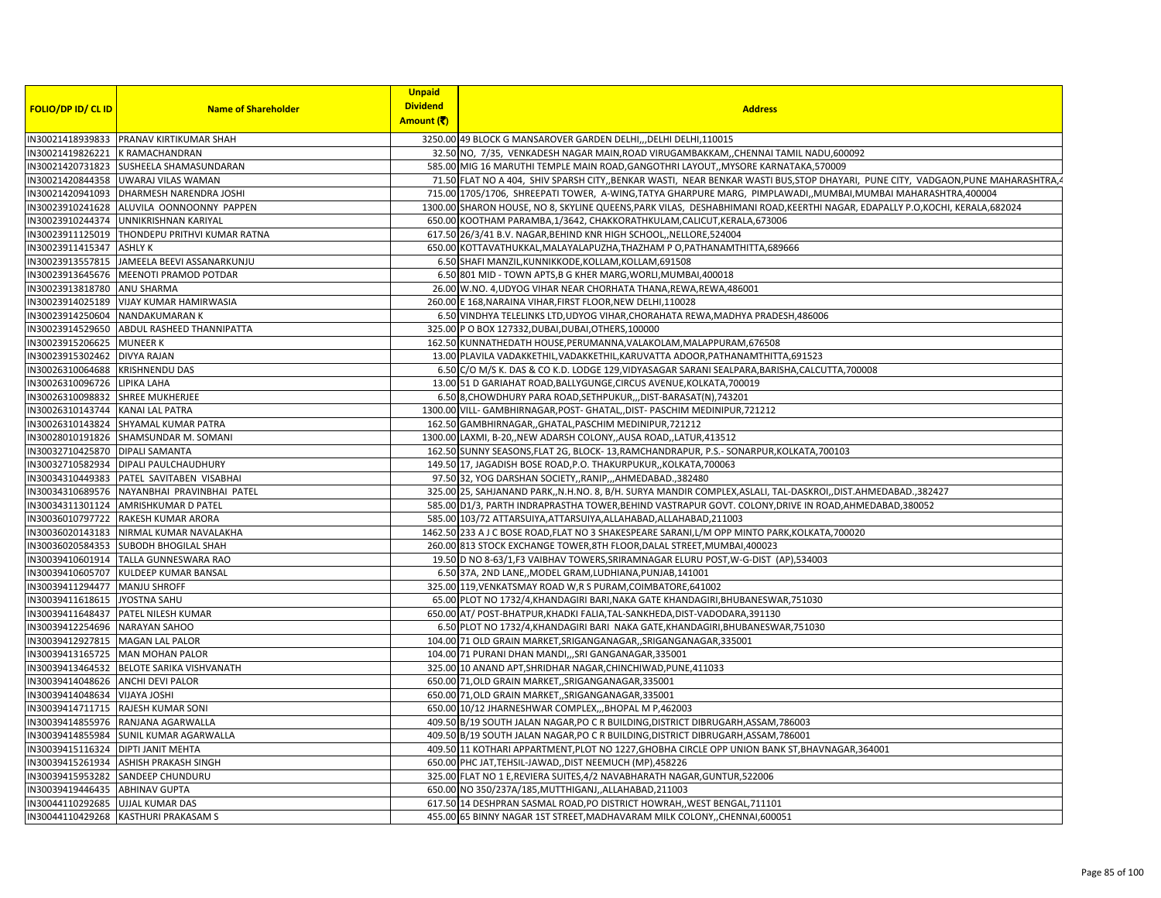|                                    |                                                 | <b>Unpaid</b>   |                                                                                                                                        |
|------------------------------------|-------------------------------------------------|-----------------|----------------------------------------------------------------------------------------------------------------------------------------|
| <b>FOLIO/DP ID/ CL ID</b>          | <b>Name of Shareholder</b>                      | <b>Dividend</b> | <b>Address</b>                                                                                                                         |
|                                    |                                                 | Amount (そ)      |                                                                                                                                        |
|                                    | IN30021418939833 PRANAV KIRTIKUMAR SHAH         |                 | 3250.00 49 BLOCK G MANSAROVER GARDEN DELHI, , DELHI DELHI, 110015                                                                      |
| IN30021419826221 K RAMACHANDRAN    |                                                 |                 | 32.50 NO, 7/35, VENKADESH NAGAR MAIN, ROAD VIRUGAMBAKKAM, CHENNAI TAMIL NADU, 600092                                                   |
| IN30021420731823                   | SUSHEELA SHAMASUNDARAN                          |                 | 585.00 MIG 16 MARUTHI TEMPLE MAIN ROAD, GANGOTHRI LAYOUT, MYSORE KARNATAKA, 570009                                                     |
|                                    | IN30021420844358 UWARAJ VILAS WAMAN             |                 | 71.50 FLAT NO A 404, SHIV SPARSH CITY,, BENKAR WASTI, NEAR BENKAR WASTI BUS, STOP DHAYARI, PUNE CITY, VADGAON, PUNE MAHARASHTRA,       |
|                                    | IN30021420941093 DHARMESH NARENDRA JOSHI        |                 | 715.00 1705/1706, SHREEPATI TOWER, A-WING, TATYA GHARPURE MARG, PIMPLAWADI,, MUMBAI, MUMBAI MAHARASHTRA, 400004                        |
|                                    | IN30023910241628 ALUVILA OONNOONNY PAPPEN       |                 | 1300.00 SHARON HOUSE, NO 8, SKYLINE QUEENS, PARK VILAS, DESHABHIMANI ROAD, KEERTHI NAGAR, EDAPALLY P.O, KOCHI, KERALA, 682024          |
|                                    | IN30023910244374 UNNIKRISHNAN KARIYAL           |                 | 650.00 KOOTHAM PARAMBA,1/3642, CHAKKORATHKULAM,CALICUT,KERALA,673006                                                                   |
|                                    | IN30023911125019   THONDEPU PRITHVI KUMAR RATNA |                 | 617.50 26/3/41 B.V. NAGAR, BEHIND KNR HIGH SCHOOL, NELLORE, 524004                                                                     |
| IN30023911415347 ASHLYK            |                                                 |                 | 650.00 KOTTAVATHUKKAL, MALAYALAPUZHA, THAZHAM P O, PATHANAMTHITTA, 689666                                                              |
|                                    | IN30023913557815 JAMEELA BEEVI ASSANARKUNJU     |                 | 6.50 SHAFI MANZIL, KUNNIKKODE, KOLLAM, KOLLAM, 691508                                                                                  |
|                                    | IN30023913645676 MEENOTI PRAMOD POTDAR          |                 | 6.50 801 MID - TOWN APTS, B G KHER MARG, WORLI, MUMBAI, 400018                                                                         |
| IN30023913818780 ANU SHARMA        |                                                 |                 | 26.00 W.NO. 4, UDYOG VIHAR NEAR CHORHATA THANA, REWA, REWA, 486001                                                                     |
|                                    | IN30023914025189 VIJAY KUMAR HAMIRWASIA         |                 | 260.00 E 168, NARAINA VIHAR, FIRST FLOOR, NEW DELHI, 110028                                                                            |
| IN30023914250604 NANDAKUMARAN K    |                                                 |                 | 6.50 VINDHYA TELELINKS LTD, UDYOG VIHAR, CHORAHATA REWA, MADHYA PRADESH, 486006                                                        |
|                                    | IN30023914529650 ABDUL RASHEED THANNIPATTA      |                 | 325.00 P O BOX 127332, DUBAI, DUBAI, OTHERS, 100000                                                                                    |
| IN30023915206625 MUNEER K          |                                                 |                 | 162.50 KUNNATHEDATH HOUSE, PERUMANNA, VALAKOLAM, MALAPPURAM, 676508                                                                    |
| IN30023915302462 DIVYA RAJAN       |                                                 |                 | 13.00 PLAVILA VADAKKETHIL, VADAKKETHIL, KARUVATTA ADOOR, PATHANAMTHITTA, 691523                                                        |
| IN30026310064688 KRISHNENDU DAS    |                                                 |                 | 6.50 C/O M/S K. DAS & CO K.D. LODGE 129, VIDYASAGAR SARANI SEALPARA, BARISHA, CALCUTTA, 700008                                         |
| IN30026310096726 LIPIKA LAHA       |                                                 |                 | 13.00 51 D GARIAHAT ROAD, BALLYGUNGE, CIRCUS AVENUE, KOLKATA, 700019                                                                   |
| IN30026310098832 SHREE MUKHERJEE   |                                                 |                 | 6.50 8, CHOWDHURY PARA ROAD, SETHPUKUR,,, DIST-BARASAT(N), 743201                                                                      |
| IN30026310143744 KANAI LAL PATRA   |                                                 |                 |                                                                                                                                        |
| IN30026310143824                   | SHYAMAL KUMAR PATRA                             |                 | 1300.00 VILL- GAMBHIRNAGAR, POST- GHATAL, , DIST- PASCHIM MEDINIPUR, 721212<br>162.50 GAMBHIRNAGAR,, GHATAL, PASCHIM MEDINIPUR, 721212 |
|                                    | IN30028010191826 SHAMSUNDAR M. SOMANI           |                 | 1300.00 LAXMI, B-20, NEW ADARSH COLONY, AUSA ROAD, LATUR, 413512                                                                       |
|                                    |                                                 |                 |                                                                                                                                        |
| IN30032710425870   DIPALI SAMANTA  |                                                 |                 | 162.50 SUNNY SEASONS, FLAT 2G, BLOCK-13, RAMCHANDRAPUR, P.S.-SONARPUR, KOLKATA, 700103                                                 |
|                                    | IN30032710582934 DIPALI PAULCHAUDHURY           |                 | 149.50 17, JAGADISH BOSE ROAD, P.O. THAKURPUKUR,, KOLKATA, 700063                                                                      |
|                                    | IN30034310449383 PATEL SAVITABEN VISABHAI       |                 | 97.50 32, YOG DARSHAN SOCIETY, RANIP, , AHMEDABAD., 382480                                                                             |
|                                    | IN30034310689576 NAYANBHAI PRAVINBHAI PATEL     |                 | 325.00 25, SAHJANAND PARK,,N.H.NO. 8, B/H. SURYA MANDIR COMPLEX,ASLALI, TAL-DASKROI,,DIST.AHMEDABAD.,382427                            |
|                                    | IN30034311301124 AMRISHKUMAR D PATEL            |                 | 585.00 D1/3, PARTH INDRAPRASTHA TOWER, BEHIND VASTRAPUR GOVT. COLONY, DRIVE IN ROAD, AHMEDABAD, 380052                                 |
|                                    | IN30036010797722 RAKESH KUMAR ARORA             |                 | 585.00 103/72 ATTARSUIYA, ATTARSUIYA, ALLAHABAD, ALLAHABAD, 211003                                                                     |
|                                    | IN30036020143183 NIRMAL KUMAR NAVALAKHA         |                 | 1462.50 233 A J C BOSE ROAD, FLAT NO 3 SHAKESPEARE SARANI, L/M OPP MINTO PARK, KOLKATA, 700020                                         |
|                                    | IN30036020584353 SUBODH BHOGILAL SHAH           |                 | 260.00 813 STOCK EXCHANGE TOWER, 8TH FLOOR, DALAL STREET, MUMBAI, 400023                                                               |
|                                    | IN30039410601914 TALLA GUNNESWARA RAO           |                 | 19.50 D NO 8-63/1, F3 VAIBHAV TOWERS, SRIRAMNAGAR ELURU POST, W-G-DIST (AP), 534003                                                    |
|                                    | IN30039410605707 KULDEEP KUMAR BANSAL           |                 | 6.50 37A, 2ND LANE, MODEL GRAM, LUDHIANA, PUNJAB, 141001                                                                               |
| IN30039411294477 MANJU SHROFF      |                                                 |                 | 325.00 119, VENKATSMAY ROAD W, R S PURAM, COIMBATORE, 641002                                                                           |
| IN30039411618615 JYOSTNA SAHU      |                                                 |                 | 65.00 PLOT NO 1732/4, KHANDAGIRI BARI, NAKA GATE KHANDAGIRI, BHUBANESWAR, 751030                                                       |
|                                    | IN30039411648437 PATEL NILESH KUMAR             |                 | 650.00 AT/ POST-BHATPUR, KHADKI FALIA, TAL-SANKHEDA, DIST-VADODARA, 391130                                                             |
| IN30039412254696 NARAYAN SAHOO     |                                                 |                 | 6.50 PLOT NO 1732/4, KHANDAGIRI BARI NAKA GATE, KHANDAGIRI, BHUBANESWAR, 751030                                                        |
| IN30039412927815 MAGAN LAL PALOR   |                                                 |                 | 104.00 71 OLD GRAIN MARKET, SRIGANGANAGAR, , SRIGANGANAGAR, 335001                                                                     |
|                                    | IN30039413165725 MAN MOHAN PALOR                |                 | 104.00 71 PURANI DHAN MANDI,,,SRI GANGANAGAR,335001                                                                                    |
|                                    | IN30039413464532 BELOTE SARIKA VISHVANATH       |                 | 325.00 10 ANAND APT, SHRIDHAR NAGAR, CHINCHIWAD, PUNE, 411033                                                                          |
| IN30039414048626 ANCHI DEVI PALOR  |                                                 |                 | 650.00 71, OLD GRAIN MARKET, SRIGANGANAGAR, 335001                                                                                     |
| IN30039414048634 VIJAYA JOSHI      |                                                 |                 | 650.00 71, OLD GRAIN MARKET, SRIGANGANAGAR, 335001                                                                                     |
|                                    | IN30039414711715 RAJESH KUMAR SONI              |                 | 650.00 10/12 JHARNESHWAR COMPLEX,,, BHOPAL M P, 462003                                                                                 |
|                                    | IN30039414855976 RANJANA AGARWALLA              |                 | 409.50 B/19 SOUTH JALAN NAGAR, PO C R BUILDING, DISTRICT DIBRUGARH, ASSAM, 786003                                                      |
|                                    | IN30039414855984 SUNIL KUMAR AGARWALLA          |                 | 409.50 B/19 SOUTH JALAN NAGAR, PO C R BUILDING, DISTRICT DIBRUGARH, ASSAM, 786001                                                      |
| IN30039415116324 DIPTI JANIT MEHTA |                                                 |                 | 409.50 11 KOTHARI APPARTMENT, PLOT NO 1227, GHOBHA CIRCLE OPP UNION BANK ST, BHAVNAGAR, 364001                                         |
|                                    | IN30039415261934 ASHISH PRAKASH SINGH           |                 | 650.00 PHC JAT, TEHSIL-JAWAD, , DIST NEEMUCH (MP), 458226                                                                              |
| IN30039415953282                   | <b>SANDEEP CHUNDURU</b>                         |                 | 325.00 FLAT NO 1 E, REVIERA SUITES, 4/2 NAVABHARATH NAGAR, GUNTUR, 522006                                                              |
| IN30039419446435                   | <b>ABHINAV GUPTA</b>                            |                 | 650.00 NO 350/237A/185, MUTTHIGANJ, ALLAHABAD, 211003                                                                                  |
| IN30044110292685 UJJAL KUMAR DAS   |                                                 |                 | 617.50 14 DESHPRAN SASMAL ROAD, PO DISTRICT HOWRAH, WEST BENGAL, 711101                                                                |
|                                    | IN30044110429268 KASTHURI PRAKASAM S            |                 | 455.00 65 BINNY NAGAR 1ST STREET, MADHAVARAM MILK COLONY, , CHENNAI, 600051                                                            |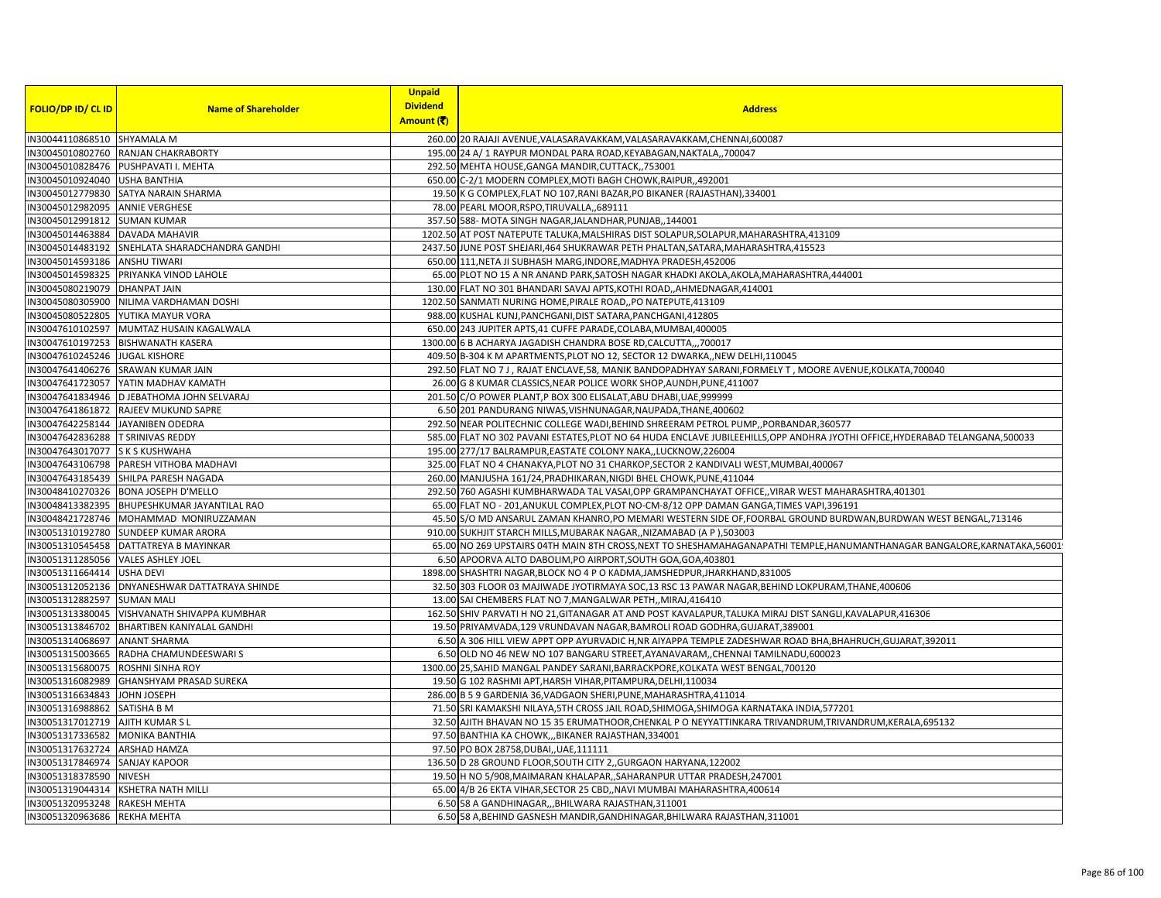|                                    |                                            | <b>Unpaid</b>   |                                                                                                                                |
|------------------------------------|--------------------------------------------|-----------------|--------------------------------------------------------------------------------------------------------------------------------|
| FOLIO/DP ID/ CL ID                 | <b>Name of Shareholder</b>                 | <b>Dividend</b> | <b>Address</b>                                                                                                                 |
|                                    |                                            | Amount (そ)      |                                                                                                                                |
| IN30044110868510 SHYAMALA M        |                                            |                 | 260.00 20 RAJAJI AVENUE, VALASARAVAKKAM, VALASARAVAKKAM, CHENNAI, 600087                                                       |
| IN30045010802760                   | RANJAN CHAKRABORTY                         |                 | 195.00 24 A/ 1 RAYPUR MONDAL PARA ROAD, KEYABAGAN, NAKTALA, ,700047                                                            |
| IN30045010828476                   | PUSHPAVATI I. MEHTA                        |                 | 292.50 MEHTA HOUSE, GANGA MANDIR, CUTTACK, ,753001                                                                             |
| IN30045010924040 USHA BANTHIA      |                                            |                 | 650.00 C-2/1 MODERN COMPLEX, MOTI BAGH CHOWK, RAIPUR, 492001                                                                   |
| IN30045012779830                   | SATYA NARAIN SHARMA                        |                 | 19.50 K G COMPLEX, FLAT NO 107, RANI BAZAR, PO BIKANER (RAJASTHAN), 334001                                                     |
| IN30045012982095                   | <b>ANNIE VERGHESE</b>                      |                 | 78.00 PEARL MOOR, RSPO, TIRUVALLA, ,689111                                                                                     |
| IN30045012991812                   | <b>SUMAN KUMAR</b>                         |                 | 357.50 588-MOTA SINGH NAGAR, JALANDHAR, PUNJAB,, 144001                                                                        |
| IN30045014463884                   | <b>DAVADA MAHAVIR</b>                      |                 | 1202.50 AT POST NATEPUTE TALUKA, MALSHIRAS DIST SOLAPUR, SOLAPUR, MAHARASHTRA, 413109                                          |
| IN30045014483192                   | SNEHLATA SHARADCHANDRA GANDHI              |                 | 2437.50 JUNE POST SHEJARI, 464 SHUKRAWAR PETH PHALTAN, SATARA, MAHARASHTRA, 415523                                             |
| IN30045014593186                   | <b>ANSHU TIWARI</b>                        |                 | 650.00 111, NETA JI SUBHASH MARG, INDORE, MADHYA PRADESH, 452006                                                               |
| IN30045014598325                   | PRIYANKA VINOD LAHOLE                      |                 | 65.00 PLOT NO 15 A NR ANAND PARK, SATOSH NAGAR KHADKI AKOLA, AKOLA, MAHARASHTRA, 444001                                        |
| IN30045080219079                   | <b>DHANPAT JAIN</b>                        |                 | 130.00 FLAT NO 301 BHANDARI SAVAJ APTS, KOTHI ROAD,, AHMEDNAGAR, 414001                                                        |
| IN30045080305900                   | NILIMA VARDHAMAN DOSHI                     |                 | 1202.50 SANMATI NURING HOME, PIRALE ROAD,, PO NATEPUTE, 413109                                                                 |
| IN30045080522805                   | YUTIKA MAYUR VORA                          |                 | 988.00 KUSHAL KUNJ, PANCHGANI, DIST SATARA, PANCHGANI, 412805                                                                  |
| IN30047610102597                   | MUMTAZ HUSAIN KAGALWALA                    |                 | 650.00 243 JUPITER APTS,41 CUFFE PARADE, COLABA, MUMBAI, 400005                                                                |
| IN30047610197253                   | <b>BISHWANATH KASERA</b>                   |                 | 1300.00 6 B ACHARYA JAGADISH CHANDRA BOSE RD, CALCUTTA,,, 700017                                                               |
| IN30047610245246                   | <b>JUGAL KISHORE</b>                       |                 | 409.50 B-304 K M APARTMENTS, PLOT NO 12, SECTOR 12 DWARKA, NEW DELHI, 110045                                                   |
|                                    | IN30047641406276 SRAWAN KUMAR JAIN         |                 | 292.50 FLAT NO 7 J, RAJAT ENCLAVE, 58, MANIK BANDOPADHYAY SARANI, FORMELY T, MOORE AVENUE, KOLKATA, 700040                     |
| IN30047641723057                   | YATIN MADHAV KAMATH                        |                 | 26.00 G 8 KUMAR CLASSICS, NEAR POLICE WORK SHOP, AUNDH, PUNE, 411007                                                           |
|                                    | IN30047641834946 D JEBATHOMA JOHN SELVARAJ |                 | 201.50 C/O POWER PLANT, P BOX 300 ELISALAT, ABU DHABI, UAE, 999999                                                             |
| IN30047641861872                   | RAJEEV MUKUND SAPRE                        |                 | 6.50 201 PANDURANG NIWAS, VISHNUNAGAR, NAUPADA, THANE, 400602                                                                  |
| IN30047642258144                   | JAYANIBEN ODEDRA                           |                 | 292.50 NEAR POLITECHNIC COLLEGE WADI, BEHIND SHREERAM PETROL PUMP, , PORBANDAR, 360577                                         |
| IN30047642836288                   | <b>T SRINIVAS REDDY</b>                    |                 | 585.00 FLAT NO 302 PAVANI ESTATES, PLOT NO 64 HUDA ENCLAVE JUBILEEHILLS, OPP ANDHRA JYOTHI OFFICE, HYDERABAD TELANGANA, 500033 |
| IN30047643017077 S K S KUSHWAHA    |                                            |                 | 195.00 277/17 BALRAMPUR, EASTATE COLONY NAKA,, LUCKNOW, 226004                                                                 |
| IN30047643106798                   | PARESH VITHOBA MADHAVI                     |                 | 325.00 FLAT NO 4 CHANAKYA, PLOT NO 31 CHARKOP, SECTOR 2 KANDIVALI WEST, MUMBAI, 400067                                         |
| IN30047643185439                   | SHILPA PARESH NAGADA                       |                 | 260.00 MANJUSHA 161/24, PRADHIKARAN, NIGDI BHEL CHOWK, PUNE, 411044                                                            |
| IN30048410270326                   | <b>BONA JOSEPH D'MELLO</b>                 |                 | 292.50 760 AGASHI KUMBHARWADA TAL VASAI, OPP GRAMPANCHAYAT OFFICE,, VIRAR WEST MAHARASHTRA, 401301                             |
| IN30048413382395                   | BHUPESHKUMAR JAYANTILAL RAO                |                 | 65.00 FLAT NO - 201, ANUKUL COMPLEX, PLOT NO-CM-8/12 OPP DAMAN GANGA, TIMES VAPI, 396191                                       |
| IN30048421728746                   | MOHAMMAD MONIRUZZAMAN                      |                 | 45.50 S/O MD ANSARUL ZAMAN KHANRO,PO MEMARI WESTERN SIDE OF,FOORBAL GROUND BURDWAN,BURDWAN WEST BENGAL,713146                  |
| IN30051310192780                   | <b>SUNDEEP KUMAR ARORA</b>                 |                 | 910.00 SUKHJIT STARCH MILLS, MUBARAK NAGAR,, NIZAMABAD (A P), 503003                                                           |
| IN30051310545458                   | DATTATREYA B MAYINKAR                      |                 | 65.00 NO 269 UPSTAIRS 04TH MAIN 8TH CROSS, NEXT TO SHESHAMAHAGANAPATHI TEMPLE, HANUMANTHANAGAR BANGALORE, KARNATAKA, 56001     |
| IN30051311285056 VALES ASHLEY JOEL |                                            |                 | 6.50 APOORVA ALTO DABOLIM, PO AIRPORT, SOUTH GOA, GOA, 403801                                                                  |
| IN30051311664414                   | <b>USHA DEVI</b>                           |                 | 1898.00 SHASHTRI NAGAR, BLOCK NO 4 P O KADMA, JAMSHEDPUR, JHARKHAND, 831005                                                    |
| IN30051312052136                   | DNYANESHWAR DATTATRAYA SHINDE              |                 | 32.50 303 FLOOR 03 MAJIWADE JYOTIRMAYA SOC,13 RSC 13 PAWAR NAGAR, BEHIND LOKPURAM, THANE, 400606                               |
| IN30051312882597                   | <b>SUMAN MALI</b>                          |                 | 13.00 SAI CHEMBERS FLAT NO 7, MANGALWAR PETH,, MIRAJ, 416410                                                                   |
| IN30051313380045                   | VISHVANATH SHIVAPPA KUMBHAR                |                 | 162.50 SHIV PARVATI H NO 21, GITANAGAR AT AND POST KAVALAPUR, TALUKA MIRAJ DIST SANGLI, KAVALAPUR, 416306                      |
| IN30051313846702                   | <b>BHARTIBEN KANIYALAL GANDHI</b>          |                 | 19.50 PRIYAMVADA,129 VRUNDAVAN NAGAR,BAMROLI ROAD GODHRA,GUJARAT,389001                                                        |
| IN30051314068697                   | <b>ANANT SHARMA</b>                        |                 | 6.50 A 306 HILL VIEW APPT OPP AYURVADIC H, NR AIYAPPA TEMPLE ZADESHWAR ROAD BHA, BHAHRUCH, GUJARAT, 392011                     |
| IN30051315003665                   | RADHA CHAMUNDEESWARI S                     |                 | 6.50 OLD NO 46 NEW NO 107 BANGARU STREET, AYANAVARAM, , CHENNAI TAMILNADU, 600023                                              |
| IN30051315680075                   | <b>ROSHNI SINHA ROY</b>                    |                 | 1300.00 25, SAHID MANGAL PANDEY SARANI, BARRACKPORE, KOLKATA WEST BENGAL, 700120                                               |
| IN30051316082989                   | <b>GHANSHYAM PRASAD SUREKA</b>             |                 | 19.50 G 102 RASHMI APT, HARSH VIHAR, PITAMPURA, DELHI, 110034                                                                  |
| IN30051316634843                   | JOHN JOSEPH                                |                 | 286.00 B 5 9 GARDENIA 36, VADGAON SHERI, PUNE, MAHARASHTRA, 411014                                                             |
| IN30051316988862                   | SATISHA B M                                |                 | 71.50 SRI KAMAKSHI NILAYA, 5TH CROSS JAIL ROAD, SHIMOGA, SHIMOGA KARNATAKA INDIA, 577201                                       |
| IN30051317012719                   | <b>AJITH KUMAR S L</b>                     |                 | 32.50 AJITH BHAVAN NO 15 35 ERUMATHOOR, CHENKAL P O NEYYATTINKARA TRIVANDRUM, TRIVANDRUM, KERALA, 695132                       |
| IN30051317336582                   | <b>MONIKA BANTHIA</b>                      |                 | 97.50 BANTHIA KA CHOWK,,, BIKANER RAJASTHAN, 334001                                                                            |
| IN30051317632724                   | <b>ARSHAD HAMZA</b>                        |                 | 97.50 PO BOX 28758, DUBAI,, UAE, 111111                                                                                        |
| IN30051317846974                   | <b>SANJAY KAPOOR</b>                       |                 | 136.50 D 28 GROUND FLOOR, SOUTH CITY 2, GURGAON HARYANA, 122002                                                                |
| IN30051318378590                   | <b>NIVESH</b>                              |                 | 19.50 H NO 5/908, MAIMARAN KHALAPAR, , SAHARANPUR UTTAR PRADESH, 247001                                                        |
| IN30051319044314                   | KSHETRA NATH MILLI                         |                 | 65.00 4/B 26 EKTA VIHAR, SECTOR 25 CBD, , NAVI MUMBAI MAHARASHTRA, 400614                                                      |
| IN30051320953248                   | <b>RAKESH MEHTA</b>                        |                 | 6.50 58 A GANDHINAGAR,,,BHILWARA RAJASTHAN,311001                                                                              |
| IN30051320963686 REKHA MEHTA       |                                            |                 | 6.50 58 A, BEHIND GASNESH MANDIR, GANDHINAGAR, BHILWARA RAJASTHAN, 311001                                                      |
|                                    |                                            |                 |                                                                                                                                |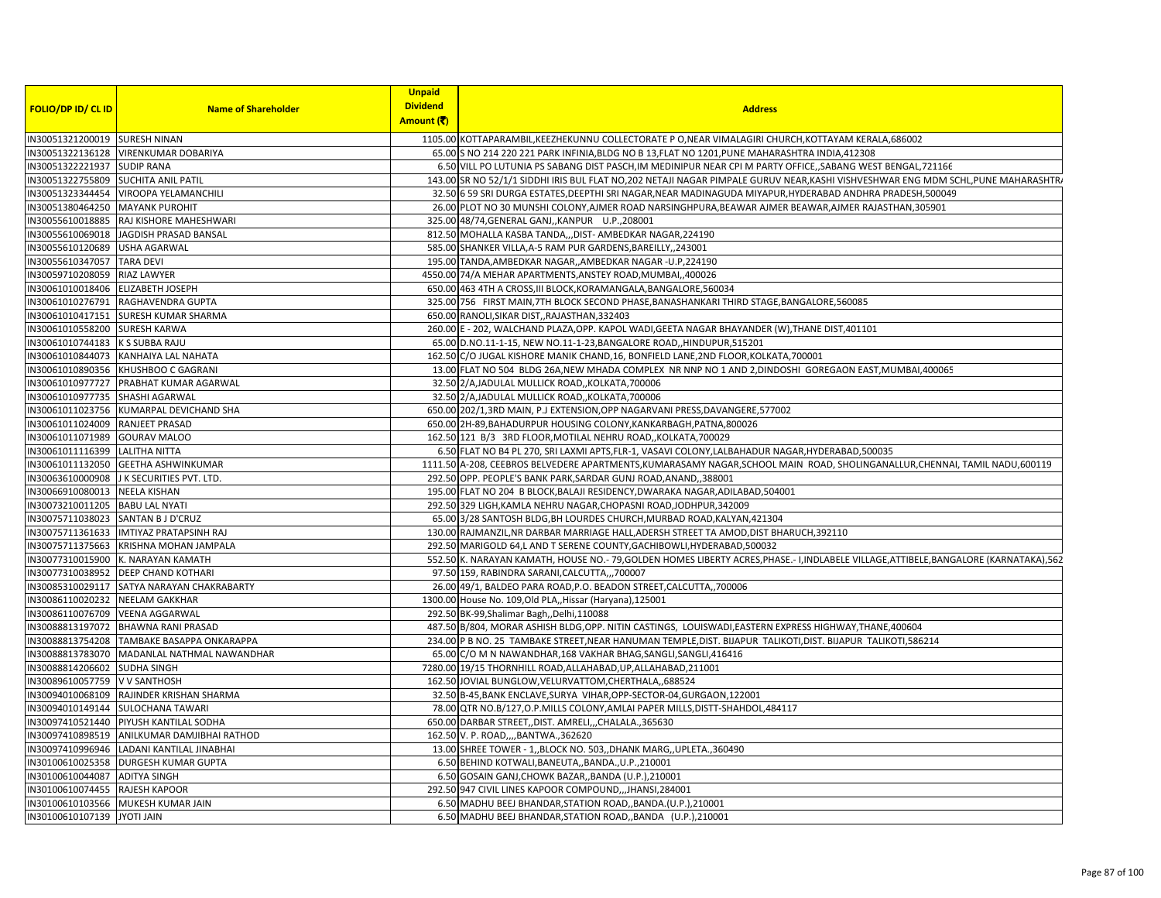|                                     |                                            | <b>Unpaid</b>   |                                                                                                                                   |
|-------------------------------------|--------------------------------------------|-----------------|-----------------------------------------------------------------------------------------------------------------------------------|
| <b>FOLIO/DP ID/ CL ID</b>           | <b>Name of Shareholder</b>                 | <b>Dividend</b> | <b>Address</b>                                                                                                                    |
|                                     |                                            | Amount (₹)      |                                                                                                                                   |
| IN30051321200019 SURESH NINAN       |                                            |                 | 1105.00 KOTTAPARAMBIL, KEEZHEKUNNU COLLECTORATE PO, NEAR VIMALAGIRI CHURCH, KOTTAYAM KERALA, 686002                               |
| IN30051322136128                    | <b>VIRENKUMAR DOBARIYA</b>                 |                 | 65.00 S NO 214 220 221 PARK INFINIA, BLDG NO B 13, FLAT NO 1201, PUNE MAHARASHTRA INDIA, 412308                                   |
| IN30051322221937                    | <b>SUDIP RANA</b>                          |                 | 6.50 VILL PO LUTUNIA PS SABANG DIST PASCH, IM MEDINIPUR NEAR CPI M PARTY OFFICE, SABANG WEST BENGAL, 721166                       |
| IN30051322755809 SUCHITA ANIL PATIL |                                            |                 | 143.00 SR NO 52/1/1 SIDDHI IRIS BUL FLAT NO,202 NETAJI NAGAR PIMPALE GURUV NEAR, KASHI VISHVESHWAR ENG MDM SCHL, PUNE MAHARASHTR/ |
| IN30051323344454                    | VIROOPA YELAMANCHILI                       |                 | 32.50 6 59 SRI DURGA ESTATES, DEEPTHI SRI NAGAR, NEAR MADINAGUDA MIYAPUR, HYDERABAD ANDHRA PRADESH, 500049                        |
| IN30051380464250                    | <b>MAYANK PUROHIT</b>                      |                 | 26.00 PLOT NO 30 MUNSHI COLONY, AJMER ROAD NARSINGHPURA, BEAWAR AJMER BEAWAR, AJMER RAJASTHAN, 305901                             |
| IN30055610018885                    | RAJ KISHORE MAHESHWARI                     |                 | 325.00 48/74, GENERAL GANJ, , KANPUR U.P., 208001                                                                                 |
|                                     | IN30055610069018 JAGDISH PRASAD BANSAL     |                 | 812.50 MOHALLA KASBA TANDA,,,DIST- AMBEDKAR NAGAR,224190                                                                          |
| IN30055610120689                    | <b>USHA AGARWAL</b>                        |                 | 585.00 SHANKER VILLA, A-5 RAM PUR GARDENS, BAREILLY,, 243001                                                                      |
| IN30055610347057                    | <b>TARA DEVI</b>                           |                 | 195.00 TANDA, AMBEDKAR NAGAR, , AMBEDKAR NAGAR - U.P, 224190                                                                      |
| IN30059710208059                    | RIAZ LAWYER                                |                 | 4550.00 74/A MEHAR APARTMENTS, ANSTEY ROAD, MUMBAI, 400026                                                                        |
| IN30061010018406                    | <b>ELIZABETH JOSEPH</b>                    |                 | 650.00 463 4TH A CROSS, III BLOCK, KORAMANGALA, BANGALORE, 560034                                                                 |
| IN30061010276791                    | RAGHAVENDRA GUPTA                          |                 | 325.00 756 FIRST MAIN, 7TH BLOCK SECOND PHASE, BANASHANKARI THIRD STAGE, BANGALORE, 560085                                        |
| IN30061010417151                    | <b>SURESH KUMAR SHARMA</b>                 |                 | 650.00 RANOLI, SIKAR DIST, RAJASTHAN, 332403                                                                                      |
| IN30061010558200 SURESH KARWA       |                                            |                 | 260.00 E - 202, WALCHAND PLAZA, OPP. KAPOL WADI, GEETA NAGAR BHAYANDER (W), THANE DIST, 401101                                    |
| IN30061010744183                    | K S SUBBA RAJU                             |                 | 65.00 D.NO.11-1-15, NEW NO.11-1-23, BANGALORE ROAD, HINDUPUR, 515201                                                              |
| IN30061010844073                    | KANHAIYA LAL NAHATA                        |                 | 162.50 C/O JUGAL KISHORE MANIK CHAND, 16, BONFIELD LANE, 2ND FLOOR, KOLKATA, 700001                                               |
| IN30061010890356                    | KHUSHBOO C GAGRANI                         |                 | 13.00 FLAT NO 504 BLDG 26A, NEW MHADA COMPLEX NR NNP NO 1 AND 2, DINDOSHI GOREGAON EAST, MUMBAI, 400065                           |
| IN30061010977727                    | PRABHAT KUMAR AGARWAL                      |                 | 32.50 2/A, JADULAL MULLICK ROAD, KOLKATA, 700006                                                                                  |
| IN30061010977735 SHASHI AGARWAL     |                                            |                 | 32.50 2/A, JADULAL MULLICK ROAD,, KOLKATA, 700006                                                                                 |
| IN30061011023756                    | KUMARPAL DEVICHAND SHA                     |                 | 650.00 202/1,3RD MAIN, P.J EXTENSION, OPP NAGARVANI PRESS, DAVANGERE, 577002                                                      |
| IN30061011024009                    | <b>RANJEET PRASAD</b>                      |                 | 650.00 2H-89, BAHADURPUR HOUSING COLONY, KANKARBAGH, PATNA, 800026                                                                |
| IN30061011071989                    | <b>GOURAV MALOO</b>                        |                 | 162.50 121 B/3 3RD FLOOR, MOTILAL NEHRU ROAD,, KOLKATA, 700029                                                                    |
| IN30061011116399                    | <b>LALITHA NITTA</b>                       |                 | 6.50 FLAT NO B4 PL 270, SRI LAXMI APTS, FLR-1, VASAVI COLONY, LALBAHADUR NAGAR, HYDERABAD, 500035                                 |
| IN30061011132050                    | <b>GEETHA ASHWINKUMAR</b>                  |                 | 1111.50 A-208, CEEBROS BELVEDERE APARTMENTS, KUMARASAMY NAGAR, SCHOOL MAIN ROAD, SHOLINGANALLUR, CHENNAI, TAMIL NADU, 600119      |
|                                     | IN30063610000908 J K SECURITIES PVT. LTD.  |                 | 292.50 OPP. PEOPLE'S BANK PARK, SARDAR GUNJ ROAD, ANAND, 388001                                                                   |
| IN30066910080013                    | <b>NEELA KISHAN</b>                        |                 | 195.00 FLAT NO 204 B BLOCK, BALAJI RESIDENCY, DWARAKA NAGAR, ADILABAD, 504001                                                     |
| IN30073210011205                    | <b>BABU LAL NYATI</b>                      |                 | 292.50 329 LIGH, KAMLA NEHRU NAGAR, CHOPASNI ROAD, JODHPUR, 342009                                                                |
| IN30075711038023 SANTAN BJ D'CRUZ   |                                            |                 | 65.00 3/28 SANTOSH BLDG, BH LOURDES CHURCH, MURBAD ROAD, KALYAN, 421304                                                           |
| IN30075711361633                    | IMTIYAZ PRATAPSINH RAJ                     |                 | 130.00 RAJMANZIL, NR DARBAR MARRIAGE HALL, ADERSH STREET TA AMOD, DIST BHARUCH, 392110                                            |
| IN30075711375663                    | KRISHNA MOHAN JAMPALA                      |                 | 292.50 MARIGOLD 64,L AND T SERENE COUNTY, GACHIBOWLI, HYDERABAD, 500032                                                           |
| IN30077310015900                    | K. NARAYAN KAMATH                          |                 | 552.50 K. NARAYAN KAMATH, HOUSE NO.-79,GOLDEN HOMES LIBERTY ACRES,PHASE.- I,INDLABELE VILLAGE,ATTIBELE,BANGALORE (KARNATAKA),562  |
| IN30077310038952                    | <b>DEEP CHAND KOTHARI</b>                  |                 | 97.50 159, RABINDRA SARANI, CALCUTTA,,, 700007                                                                                    |
|                                     | IN30085310029117 SATYA NARAYAN CHAKRABARTY |                 | 26.00 49/1, BALDEO PARA ROAD, P.O. BEADON STREET, CALCUTTA, 700006                                                                |
| IN30086110020232                    | <b>NEELAM GAKKHAR</b>                      |                 | 1300.00 House No. 109, Old PLA,, Hissar (Haryana), 125001                                                                         |
| IN30086110076709                    | <b>VEENA AGGARWAL</b>                      |                 | 292.50 BK-99, Shalimar Bagh, , Delhi, 110088                                                                                      |
| IN30088813197072                    | BHAWNA RANI PRASAD                         |                 | 487.50 B/804, MORAR ASHISH BLDG, OPP. NITIN CASTINGS, LOUISWADI, EASTERN EXPRESS HIGHWAY, THANE, 400604                           |
| IN30088813754208                    | TAMBAKE BASAPPA ONKARAPPA                  |                 | 234.00 P B NO. 25 TAMBAKE STREET, NEAR HANUMAN TEMPLE, DIST. BIJAPUR TALIKOTI, DIST. BIJAPUR TALIKOTI, 586214                     |
| IN30088813783070                    | MADANLAL NATHMAL NAWANDHAR                 |                 | 65.00 C/O M N NAWANDHAR, 168 VAKHAR BHAG, SANGLI, SANGLI, 416416                                                                  |
| IN30088814206602                    | <b>SUDHA SINGH</b>                         |                 | 7280.00 19/15 THORNHILL ROAD, ALLAHABAD, UP, ALLAHABAD, 211001                                                                    |
| IN30089610057759                    | <b>V V SANTHOSH</b>                        |                 | 162.50 JOVIAL BUNGLOW, VELURVATTOM, CHERTHALA, ,688524                                                                            |
| IN30094010068109                    | RAJINDER KRISHAN SHARMA                    |                 | 32.50 B-45, BANK ENCLAVE, SURYA VIHAR, OPP-SECTOR-04, GURGAON, 122001                                                             |
|                                     | IN30094010149144 SULOCHANA TAWARI          |                 | 78.00 QTR NO.B/127, O.P. MILLS COLONY, AMLAI PAPER MILLS, DISTT-SHAHDOL, 484117                                                   |
| IN30097410521440                    | PIYUSH KANTILAL SODHA                      |                 | 650.00 DARBAR STREET,, DIST. AMRELI,,, CHALALA., 365630                                                                           |
| IN30097410898519                    | ANILKUMAR DAMJIBHAI RATHOD                 |                 | 162.50 V. P. ROAD,,,,BANTWA.,362620                                                                                               |
| IN30097410996946                    | LADANI KANTILAL JINABHAI                   |                 | 13.00 SHREE TOWER - 1, BLOCK NO. 503, DHANK MARG, UPLETA., 360490                                                                 |
| IN30100610025358                    | <b>DURGESH KUMAR GUPTA</b>                 |                 | 6.50 BEHIND KOTWALI, BANEUTA, BANDA., U.P., 210001                                                                                |
| IN30100610044087                    | <b>ADITYA SINGH</b>                        |                 | 6.50 GOSAIN GANJ, CHOWK BAZAR, BANDA (U.P.), 210001                                                                               |
| IN30100610074455                    | RAJESH KAPOOR                              |                 | 292.50 947 CIVIL LINES KAPOOR COMPOUND,,,JHANSI,284001                                                                            |
|                                     | IN30100610103566 MUKESH KUMAR JAIN         |                 | 6.50 MADHU BEEJ BHANDAR, STATION ROAD, BANDA. (U.P.), 210001                                                                      |
| IN30100610107139 JYOTI JAIN         |                                            |                 | 6.50 MADHU BEEJ BHANDAR, STATION ROAD,, BANDA (U.P.), 210001                                                                      |
|                                     |                                            |                 |                                                                                                                                   |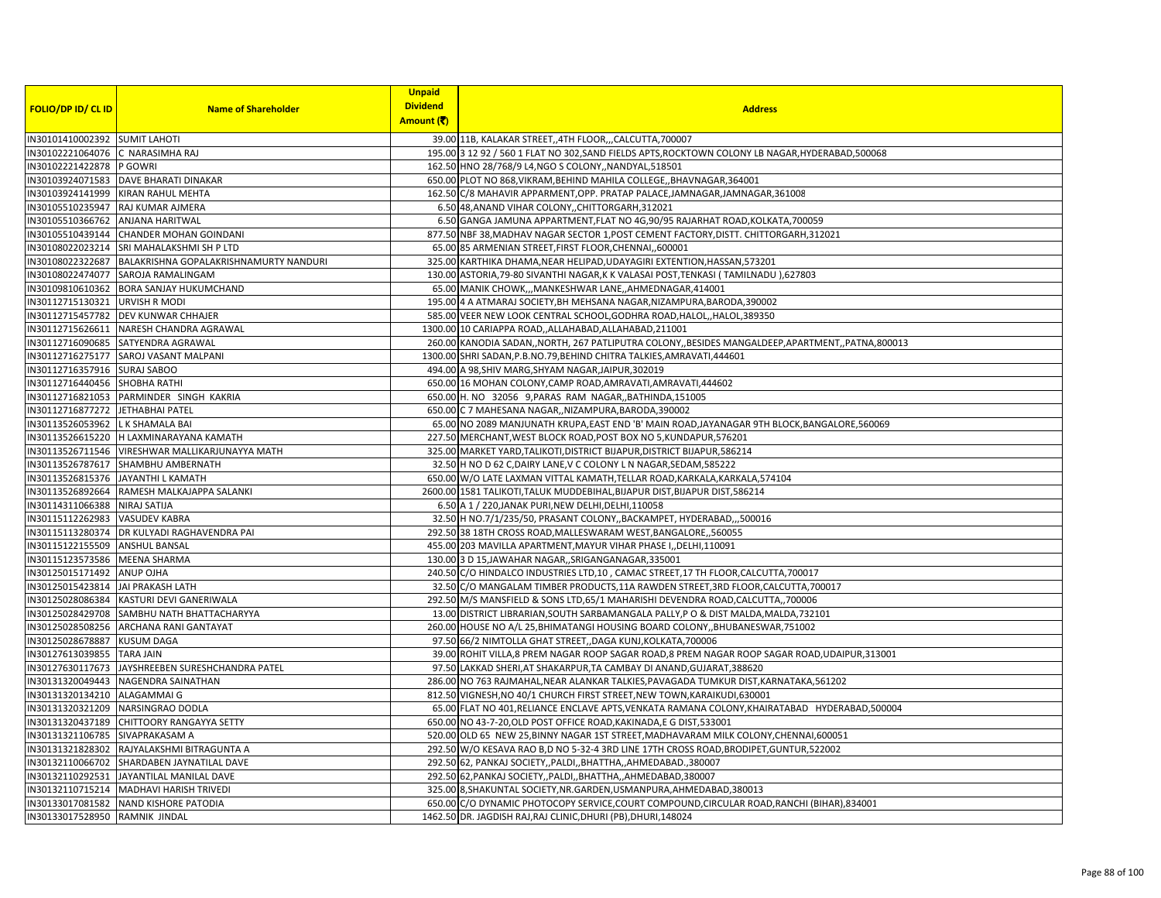|                                   |                                                  | <b>Unpaid</b>   |                                                                                                   |
|-----------------------------------|--------------------------------------------------|-----------------|---------------------------------------------------------------------------------------------------|
| <b>FOLIO/DP ID/ CL ID</b>         | <b>Name of Shareholder</b>                       | <b>Dividend</b> | <b>Address</b>                                                                                    |
|                                   |                                                  | Amount (そ)      |                                                                                                   |
| IN30101410002392 SUMIT LAHOTI     |                                                  |                 | 39.00 11B, KALAKAR STREET, 4TH FLOOR, , CALCUTTA, 700007                                          |
| IN30102221064076 C NARASIMHA RAJ  |                                                  |                 | 195.00 3 12 92 / 560 1 FLAT NO 302, SAND FIELDS APTS, ROCKTOWN COLONY LB NAGAR, HYDERABAD, 500068 |
| IN30102221422878                  | P GOWRI                                          |                 | 162.50 HNO 28/768/9 L4, NGO S COLONY,, NANDYAL, 518501                                            |
|                                   | IN30103924071583 DAVE BHARATI DINAKAR            |                 | 650.00 PLOT NO 868, VIKRAM, BEHIND MAHILA COLLEGE, BHAVNAGAR, 364001                              |
|                                   | IN30103924141999 KIRAN RAHUL MEHTA               |                 | 162.50 C/8 MAHAVIR APPARMENT, OPP. PRATAP PALACE, JAMNAGAR, JAMNAGAR, 361008                      |
| IN30105510235947                  | RAJ KUMAR AJMERA                                 |                 | 6.50 48, ANAND VIHAR COLONY, CHITTORGARH, 312021                                                  |
| IN30105510366762 ANJANA HARITWAL  |                                                  |                 | 6.50 GANGA JAMUNA APPARTMENT, FLAT NO 4G, 90/95 RAJARHAT ROAD, KOLKATA, 700059                    |
|                                   | IN30105510439144 CHANDER MOHAN GOINDANI          |                 | 877.50 NBF 38, MADHAV NAGAR SECTOR 1, POST CEMENT FACTORY, DISTT. CHITTORGARH, 312021             |
| IN30108022023214                  | SRI MAHALAKSHMI SH P LTD                         |                 | 65.00 85 ARMENIAN STREET, FIRST FLOOR, CHENNAI,, 600001                                           |
| IN30108022322687                  | BALAKRISHNA GOPALAKRISHNAMURTY NANDURI           |                 | 325.00 KARTHIKA DHAMA, NEAR HELIPAD, UDAYAGIRI EXTENTION, HASSAN, 573201                          |
| IN30108022474077                  | <b>SAROJA RAMALINGAM</b>                         |                 | 130.00 ASTORIA, 79-80 SIVANTHI NAGAR, K K VALASAI POST, TENKASI (TAMILNADU), 627803               |
|                                   | IN30109810610362 BORA SANJAY HUKUMCHAND          |                 | 65.00 MANIK CHOWK,,,MANKESHWAR LANE,,AHMEDNAGAR,414001                                            |
| IN30112715130321 URVISH R MODI    |                                                  |                 | 195.00 4 A ATMARAJ SOCIETY, BH MEHSANA NAGAR, NIZAMPURA, BARODA, 390002                           |
|                                   | IN30112715457782 DEV KUNWAR CHHAJER              |                 | 585.00 VEER NEW LOOK CENTRAL SCHOOL, GODHRA ROAD, HALOL, HALOL, 389350                            |
|                                   | IN30112715626611 NARESH CHANDRA AGRAWAL          |                 | 1300.00 10 CARIAPPA ROAD,,ALLAHABAD,ALLAHABAD,211001                                              |
|                                   | IN30112716090685 SATYENDRA AGRAWAL               |                 | 260.00 KANODIA SADAN, NORTH, 267 PATLIPUTRA COLONY, BESIDES MANGALDEEP, APARTMENT, PATNA, 800013  |
|                                   | IN30112716275177 SAROJ VASANT MALPANI            |                 | 1300.00 SHRI SADAN, P.B.NO.79, BEHIND CHITRA TALKIES, AMRAVATI, 444601                            |
| IN30112716357916 SURAJ SABOO      |                                                  |                 | 494.00 A 98, SHIV MARG, SHYAM NAGAR, JAIPUR, 302019                                               |
| IN30112716440456 SHOBHA RATHI     |                                                  |                 | 650.00 16 MOHAN COLONY, CAMP ROAD, AMRAVATI, AMRAVATI, 444602                                     |
|                                   | IN30112716821053 PARMINDER SINGH KAKRIA          |                 | 650.00 H. NO 32056 9, PARAS RAM NAGAR,, BATHINDA, 151005                                          |
| IN30112716877272 JETHABHAI PATEL  |                                                  |                 | 650.00 C 7 MAHESANA NAGAR,, NIZAMPURA, BARODA, 390002                                             |
| IN30113526053962 LK SHAMALA BAI   |                                                  |                 | 65.00 NO 2089 MANJUNATH KRUPA, EAST END 'B' MAIN ROAD, JAYANAGAR 9TH BLOCK, BANGALORE, 560069     |
|                                   | IN30113526615220 H LAXMINARAYANA KAMATH          |                 | 227.50 MERCHANT, WEST BLOCK ROAD, POST BOX NO 5, KUNDAPUR, 576201                                 |
|                                   | IN30113526711546 VIRESHWAR MALLIKARJUNAYYA MATH  |                 | 325.00 MARKET YARD, TALIKOTI, DISTRICT BIJAPUR, DISTRICT BIJAPUR, 586214                          |
|                                   | IN30113526787617 SHAMBHU AMBERNATH               |                 | 32.50 H NO D 62 C, DAIRY LANE, V C COLONY L N NAGAR, SEDAM, 585222                                |
|                                   | IN30113526815376 JAYANTHI L KAMATH               |                 | 650.00 W/O LATE LAXMAN VITTAL KAMATH, TELLAR ROAD, KARKALA, KARKALA, 574104                       |
|                                   | IN30113526892664 RAMESH MALKAJAPPA SALANKI       |                 | 2600.00 1581 TALIKOTI, TALUK MUDDEBIHAL, BIJAPUR DIST, BIJAPUR DIST, 586214                       |
| IN30114311066388 NIRAJ SATIJA     |                                                  |                 | 6.50 A 1 / 220, JANAK PURI, NEW DELHI, DELHI, 110058                                              |
| IN30115112262983                  | <b>VASUDEV KABRA</b>                             |                 | 32.50 H NO.7/1/235/50, PRASANT COLONY,, BACKAMPET, HYDERABAD,,, 500016                            |
| IN30115113280374                  | DR KULYADI RAGHAVENDRA PAI                       |                 | 292.50 38 18TH CROSS ROAD, MALLESWARAM WEST, BANGALORE, ,560055                                   |
| IN30115122155509 ANSHUL BANSAL    |                                                  |                 | 455.00 203 MAVILLA APARTMENT, MAYUR VIHAR PHASE I, DELHI, 110091                                  |
| IN30115123573586 MEENA SHARMA     |                                                  |                 | 130.00 3 D 15, JAWAHAR NAGAR, SRIGANGANAGAR, 335001                                               |
| IN30125015171492                  | <b>ANUP OJHA</b>                                 |                 | 240.50 C/O HINDALCO INDUSTRIES LTD,10, CAMAC STREET,17 TH FLOOR, CALCUTTA, 700017                 |
| IN30125015423814 JAI PRAKASH LATH |                                                  |                 | 32.50 C/O MANGALAM TIMBER PRODUCTS, 11A RAWDEN STREET, 3RD FLOOR, CALCUTTA, 700017                |
|                                   | IN30125028086384 KASTURI DEVI GANERIWALA         |                 | 292.50 M/S MANSFIELD & SONS LTD,65/1 MAHARISHI DEVENDRA ROAD, CALCUTTA,, 700006                   |
| IN30125028429708                  | SAMBHU NATH BHATTACHARYYA                        |                 | 13.00 DISTRICT LIBRARIAN, SOUTH SARBAMANGALA PALLY, P O & DIST MALDA, MALDA, 732101               |
|                                   | IN30125028508256 ARCHANA RANI GANTAYAT           |                 | 260.00 HOUSE NO A/L 25, BHIMATANGI HOUSING BOARD COLONY, BHUBANESWAR, 751002                      |
| IN30125028678887                  | <b>KUSUM DAGA</b>                                |                 | 97.50 66/2 NIMTOLLA GHAT STREET, DAGA KUNJ, KOLKATA, 700006                                       |
| IN30127613039855                  | <b>TARA JAIN</b>                                 |                 | 39.00 ROHIT VILLA,8 PREM NAGAR ROOP SAGAR ROAD,8 PREM NAGAR ROOP SAGAR ROAD, UDAIPUR, 313001      |
|                                   | IN30127630117673 JAYSHREEBEN SURESHCHANDRA PATEL |                 | 97.50 LAKKAD SHERI, AT SHAKARPUR, TA CAMBAY DI ANAND, GUJARAT, 388620                             |
| IN30131320049443                  | NAGENDRA SAINATHAN                               |                 | 286.00 NO 763 RAJMAHAL, NEAR ALANKAR TALKIES, PAVAGADA TUMKUR DIST, KARNATAKA, 561202             |
| IN30131320134210 ALAGAMMAI G      |                                                  |                 | 812.50 VIGNESH, NO 40/1 CHURCH FIRST STREET, NEW TOWN, KARAIKUDI, 630001                          |
|                                   | IN30131320321209 NARSINGRAO DODLA                |                 | 65.00 FLAT NO 401, RELIANCE ENCLAVE APTS, VENKATA RAMANA COLONY, KHAIRATABAD HYDERABAD, 500004    |
| IN30131320437189                  | CHITTOORY RANGAYYA SETTY                         |                 | 650.00 NO 43-7-20, OLD POST OFFICE ROAD, KAKINADA, E G DIST, 533001                               |
| IN30131321106785 SIVAPRAKASAM A   |                                                  |                 | 520.00 OLD 65 NEW 25, BINNY NAGAR 1ST STREET, MADHAVARAM MILK COLONY, CHENNAI, 600051             |
|                                   | IN30131321828302 RAJYALAKSHMI BITRAGUNTA A       |                 | 292.50 W/O KESAVA RAO B,D NO 5-32-4 3RD LINE 17TH CROSS ROAD, BRODIPET, GUNTUR, 522002            |
|                                   | IN30132110066702 SHARDABEN JAYNATILAL DAVE       |                 | 292.50 62, PANKAJ SOCIETY, PALDI, BHATTHA, AHMEDABAD., 380007                                     |
| IN30132110292531                  | JAYANTILAL MANILAL DAVE                          |                 | 292.50 62, PANKAJ SOCIETY, , PALDI, , BHATTHA, , AHMEDABAD, 380007                                |
| IN30132110715214                  | MADHAVI HARISH TRIVEDI                           |                 | 325.00 8, SHAKUNTAL SOCIETY, NR. GARDEN, USMANPURA, AHMEDABAD, 380013                             |
|                                   | IN30133017081582 NAND KISHORE PATODIA            |                 | 650.00 C/O DYNAMIC PHOTOCOPY SERVICE, COURT COMPOUND, CIRCULAR ROAD, RANCHI (BIHAR), 834001       |
| IN30133017528950 RAMNIK JINDAL    |                                                  |                 | 1462.50 DR. JAGDISH RAJ, RAJ CLINIC, DHURI (PB), DHURI, 148024                                    |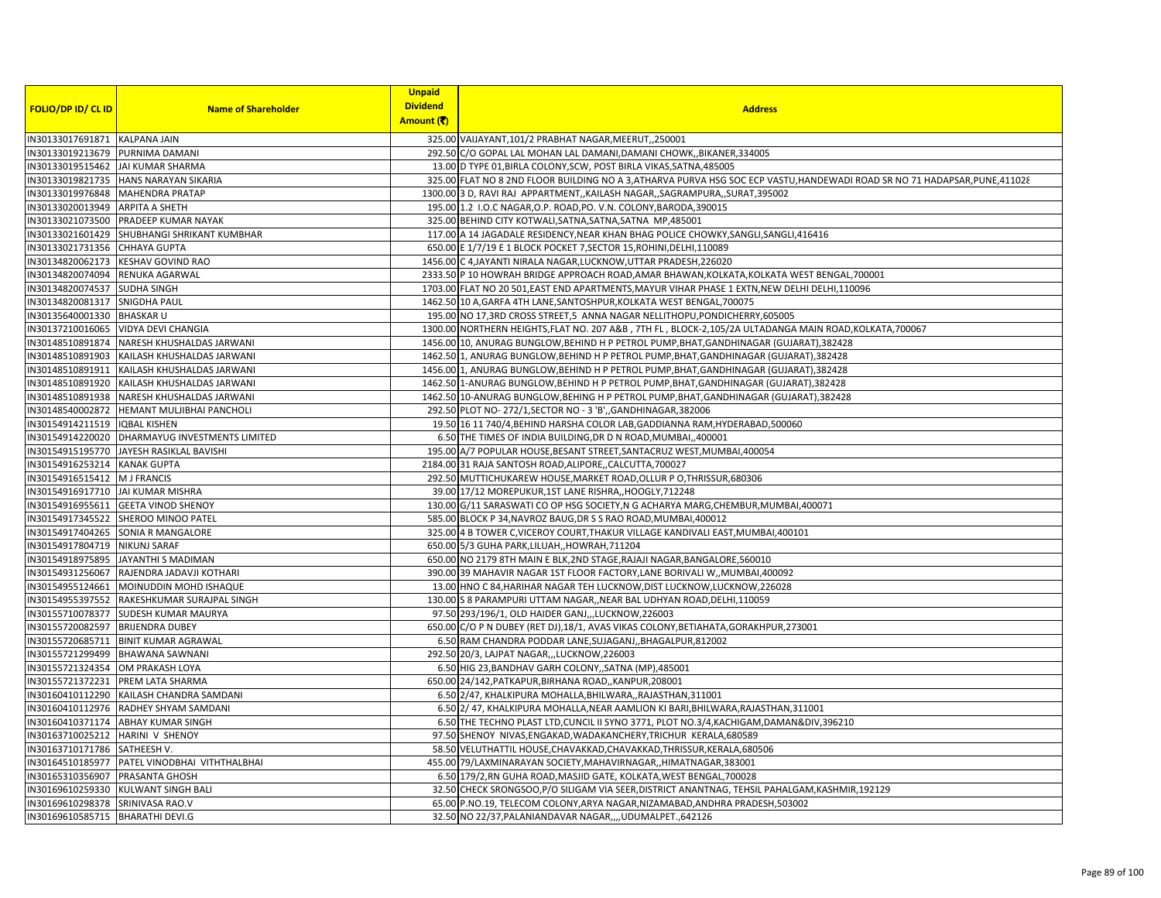|                                   |                                            | <b>Unpaid</b>   |                                                                                                                             |
|-----------------------------------|--------------------------------------------|-----------------|-----------------------------------------------------------------------------------------------------------------------------|
| FOLIO/DP ID/ CL ID                | <b>Name of Shareholder</b>                 | <b>Dividend</b> | <b>Address</b>                                                                                                              |
|                                   |                                            | Amount (₹)      |                                                                                                                             |
| IN30133017691871                  | <b>KALPANA JAIN</b>                        |                 | 325.00 VAIJAYANT, 101/2 PRABHAT NAGAR, MEERUT, 250001                                                                       |
| IN30133019213679 PURNIMA DAMANI   |                                            |                 | 292.50 C/O GOPAL LAL MOHAN LAL DAMANI, DAMANI CHOWK,, BIKANER, 334005                                                       |
| IN30133019515462                  | <b>JAI KUMAR SHARMA</b>                    |                 | 13.00 D TYPE 01, BIRLA COLONY, SCW, POST BIRLA VIKAS, SATNA, 485005                                                         |
| IN30133019821735                  | <b>HANS NARAYAN SIKARIA</b>                |                 | 325.00 FLAT NO 8 2ND FLOOR BUILDING NO A 3, ATHARVA PURVA HSG SOC ECP VASTU, HANDEWADI ROAD SR NO 71 HADAPSAR, PUNE, 411028 |
| IN30133019976848                  | <b>MAHENDRA PRATAP</b>                     |                 | 1300.00 3 D, RAVI RAJ APPARTMENT, KAILASH NAGAR, SAGRAMPURA, SURAT, 395002                                                  |
| IN30133020013949                  | <b>ARPITA A SHETH</b>                      |                 | 195.00 1.2 I.O.C NAGAR, O.P. ROAD, PO. V.N. COLONY, BARODA, 390015                                                          |
| IN30133021073500                  | PRADEEP KUMAR NAYAK                        |                 | 325.00 BEHIND CITY KOTWALI, SATNA, SATNA, SATNA MP, 485001                                                                  |
| IN30133021601429                  | SHUBHANGI SHRIKANT KUMBHAR                 |                 | 117.00 A 14 JAGADALE RESIDENCY, NEAR KHAN BHAG POLICE CHOWKY, SANGLI, SANGLI, 416416                                        |
| IN30133021731356                  | <b>CHHAYA GUPTA</b>                        |                 | 650.00 E 1/7/19 E 1 BLOCK POCKET 7, SECTOR 15, ROHINI, DELHI, 110089                                                        |
| IN30134820062173                  | <b>KESHAV GOVIND RAO</b>                   |                 | 1456.00 C 4, JAYANTI NIRALA NAGAR, LUCKNOW, UTTAR PRADESH, 226020                                                           |
| IN30134820074094                  | RENUKA AGARWAL                             |                 | 2333.50 P 10 HOWRAH BRIDGE APPROACH ROAD, AMAR BHAWAN, KOLKATA, KOLKATA WEST BENGAL, 700001                                 |
| IN30134820074537                  | <b>SUDHA SINGH</b>                         |                 | 1703.00 FLAT NO 20 501, EAST END APARTMENTS, MAYUR VIHAR PHASE 1 EXTN, NEW DELHI DELHI, 110096                              |
| IN30134820081317                  | <b>SNIGDHA PAUL</b>                        |                 | 1462.50 10 A, GARFA 4TH LANE, SANTOSHPUR, KOLKATA WEST BENGAL, 700075                                                       |
| IN30135640001330                  | <b>BHASKAR U</b>                           |                 | 195.00 NO 17,3RD CROSS STREET,5 ANNA NAGAR NELLITHOPU, PONDICHERRY, 605005                                                  |
|                                   | IN30137210016065 VIDYA DEVI CHANGIA        |                 | 1300.00 NORTHERN HEIGHTS, FLAT NO. 207 A&B, 7TH FL, BLOCK-2,105/2A ULTADANGA MAIN ROAD, KOLKATA, 700067                     |
|                                   | IN30148510891874 NARESH KHUSHALDAS JARWANI |                 | 1456.00 10, ANURAG BUNGLOW, BEHIND H P PETROL PUMP, BHAT, GANDHINAGAR (GUJARAT), 382428                                     |
| IN30148510891903                  | KAILASH KHUSHALDAS JARWANI                 |                 | 1462.50 1, ANURAG BUNGLOW, BEHIND H P PETROL PUMP, BHAT, GANDHINAGAR (GUJARAT), 382428                                      |
| IN30148510891911                  | KAILASH KHUSHALDAS JARWANI                 |                 | 1456.00 1, ANURAG BUNGLOW, BEHIND H P PETROL PUMP, BHAT, GANDHINAGAR (GUJARAT), 382428                                      |
| IN30148510891920                  | KAILASH KHUSHALDAS JARWANI                 |                 | 1462.50 1-ANURAG BUNGLOW, BEHIND H P PETROL PUMP, BHAT, GANDHINAGAR (GUJARAT), 382428                                       |
| IN30148510891938                  | NARESH KHUSHALDAS JARWANI                  |                 | 1462.50 10-ANURAG BUNGLOW, BEHING H P PETROL PUMP, BHAT, GANDHINAGAR (GUJARAT), 382428                                      |
| IN30148540002872                  | HEMANT MULJIBHAI PANCHOLI                  |                 | 292.50 PLOT NO-272/1, SECTOR NO - 3 'B', GANDHINAGAR, 382006                                                                |
| IN30154914211519                  | <b>IOBAL KISHEN</b>                        |                 | 19.50 16 11 740/4, BEHIND HARSHA COLOR LAB, GADDIANNA RAM, HYDERABAD, 500060                                                |
| IN30154914220020                  | DHARMAYUG INVESTMENTS LIMITED              |                 | 6.50 THE TIMES OF INDIA BUILDING, DR D N ROAD, MUMBAI, 400001                                                               |
| IN30154915195770                  | JAYESH RASIKLAL BAVISHI                    |                 | 195.00 A/7 POPULAR HOUSE, BESANT STREET, SANTACRUZ WEST, MUMBAI, 400054                                                     |
| IN30154916253214 KANAK GUPTA      |                                            |                 | 2184.00 31 RAJA SANTOSH ROAD, ALIPORE, CALCUTTA, 700027                                                                     |
| IN30154916515412 M J FRANCIS      |                                            |                 | 292.50 MUTTICHUKAREW HOUSE, MARKET ROAD, OLLUR PO, THRISSUR, 680306                                                         |
| IN30154916917710 JAI KUMAR MISHRA |                                            |                 | 39.00 17/12 MOREPUKUR, 1ST LANE RISHRA,, HOOGLY, 712248                                                                     |
| IN30154916955611                  | <b>GEETA VINOD SHENOY</b>                  |                 | 130.00 G/11 SARASWATI CO OP HSG SOCIETY, N G ACHARYA MARG, CHEMBUR, MUMBAI, 400071                                          |
| IN30154917345522                  | SHEROO MINOO PATEL                         |                 | 585.00 BLOCK P 34, NAVROZ BAUG, DR S S RAO ROAD, MUMBAI, 400012                                                             |
| IN30154917404265                  | <b>SONIA R MANGALORE</b>                   |                 | 325.00 4 B TOWER C, VICEROY COURT, THAKUR VILLAGE KANDIVALI EAST, MUMBAI, 400101                                            |
| IN30154917804719 NIKUNJ SARAF     |                                            |                 | 650.00 5/3 GUHA PARK, LILUAH, HOWRAH, 711204                                                                                |
| IN30154918975895                  | JAYANTHI S MADIMAN                         |                 | 650.00 NO 2179 8TH MAIN E BLK, 2ND STAGE, RAJAJI NAGAR, BANGALORE, 560010                                                   |
| IN30154931256067                  | RAJENDRA JADAVJI KOTHARI                   |                 | 390.00 39 MAHAVIR NAGAR 1ST FLOOR FACTORY, LANE BORIVALI W,, MUMBAI, 400092                                                 |
| IN30154955124661                  | MOINUDDIN MOHD ISHAQUE                     |                 | 13.00 HNO C 84, HARIHAR NAGAR TEH LUCKNOW, DIST LUCKNOW, LUCKNOW, 226028                                                    |
| IN30154955397552                  | RAKESHKUMAR SURAJPAL SINGH                 |                 | 130.00 S 8 PARAMPURI UTTAM NAGAR, NEAR BAL UDHYAN ROAD, DELHI, 110059                                                       |
| IN30155710078377                  | <b>SUDESH KUMAR MAURYA</b>                 |                 | 97.50 293/196/1, OLD HAIDER GANJ,,,LUCKNOW,226003                                                                           |
| IN30155720082597                  | <b>BRIJENDRA DUBEY</b>                     |                 | 650.00 C/O P N DUBEY (RET DJ),18/1, AVAS VIKAS COLONY, BETIAHATA, GORAKHPUR, 273001                                         |
| IN30155720685711                  | <b>BINIT KUMAR AGRAWAL</b>                 |                 | 6.50 RAM CHANDRA PODDAR LANE, SUJAGANJ,, BHAGALPUR, 812002                                                                  |
| IN30155721299499                  | <b>BHAWANA SAWNANI</b>                     |                 | 292.50 20/3, LAJPAT NAGAR,,,LUCKNOW,226003                                                                                  |
| IN30155721324354 OM PRAKASH LOYA  |                                            |                 | 6.50 HIG 23, BANDHAV GARH COLONY,, SATNA (MP), 485001                                                                       |
| IN30155721372231                  | PREM LATA SHARMA                           |                 | 650.00 24/142, PATKAPUR, BIRHANA ROAD, , KANPUR, 208001                                                                     |
| IN30160410112290                  | KAILASH CHANDRA SAMDANI                    |                 | 6.50 2/47, KHALKIPURA MOHALLA, BHILWARA,, RAJASTHAN, 311001                                                                 |
| IN30160410112976                  | RADHEY SHYAM SAMDANI                       |                 | 6.50 2/ 47, KHALKIPURA MOHALLA, NEAR AAMLION KI BARI, BHILWARA, RAJASTHAN, 311001                                           |
| IN30160410371174                  | <b>ABHAY KUMAR SINGH</b>                   |                 | 6.50 THE TECHNO PLAST LTD, CUNCIL II SYNO 3771, PLOT NO.3/4, KACHIGAM, DAMAN&DIV, 396210                                    |
| IN30163710025212                  | <b>HARINI V SHENOY</b>                     |                 | 97.50 SHENOY NIVAS, ENGAKAD, WADAKANCHERY, TRICHUR KERALA, 680589                                                           |
| IN30163710171786 SATHEESH V.      |                                            |                 | 58.50 VELUTHATTIL HOUSE, CHAVAKKAD, CHAVAKKAD, THRISSUR, KERALA, 680506                                                     |
| IN30164510185977                  | PATEL VINODBHAI VITHTHALBHAI               |                 | 455.00 79/LAXMINARAYAN SOCIETY, MAHAVIRNAGAR, HIMATNAGAR, 383001                                                            |
| IN30165310356907                  | <b>PRASANTA GHOSH</b>                      |                 | 6.50 179/2,RN GUHA ROAD, MASJID GATE, KOLKATA, WEST BENGAL, 700028                                                          |
| IN30169610259330                  | <b>KULWANT SINGH BALI</b>                  |                 | 32.50 CHECK SRONGSOO, P/O SILIGAM VIA SEER, DISTRICT ANANTNAG, TEHSIL PAHALGAM, KASHMIR, 192129                             |
| IN30169610298378                  | SRINIVASA RAO.V                            |                 | 65.00 P.NO.19, TELECOM COLONY, ARYA NAGAR, NIZAMABAD, ANDHRA PRADESH, 503002                                                |
| IN30169610585715                  | <b>BHARATHI DEVI.G</b>                     |                 | 32.50 NO 22/37, PALANIANDAVAR NAGAR,,,, UDUMALPET., 642126                                                                  |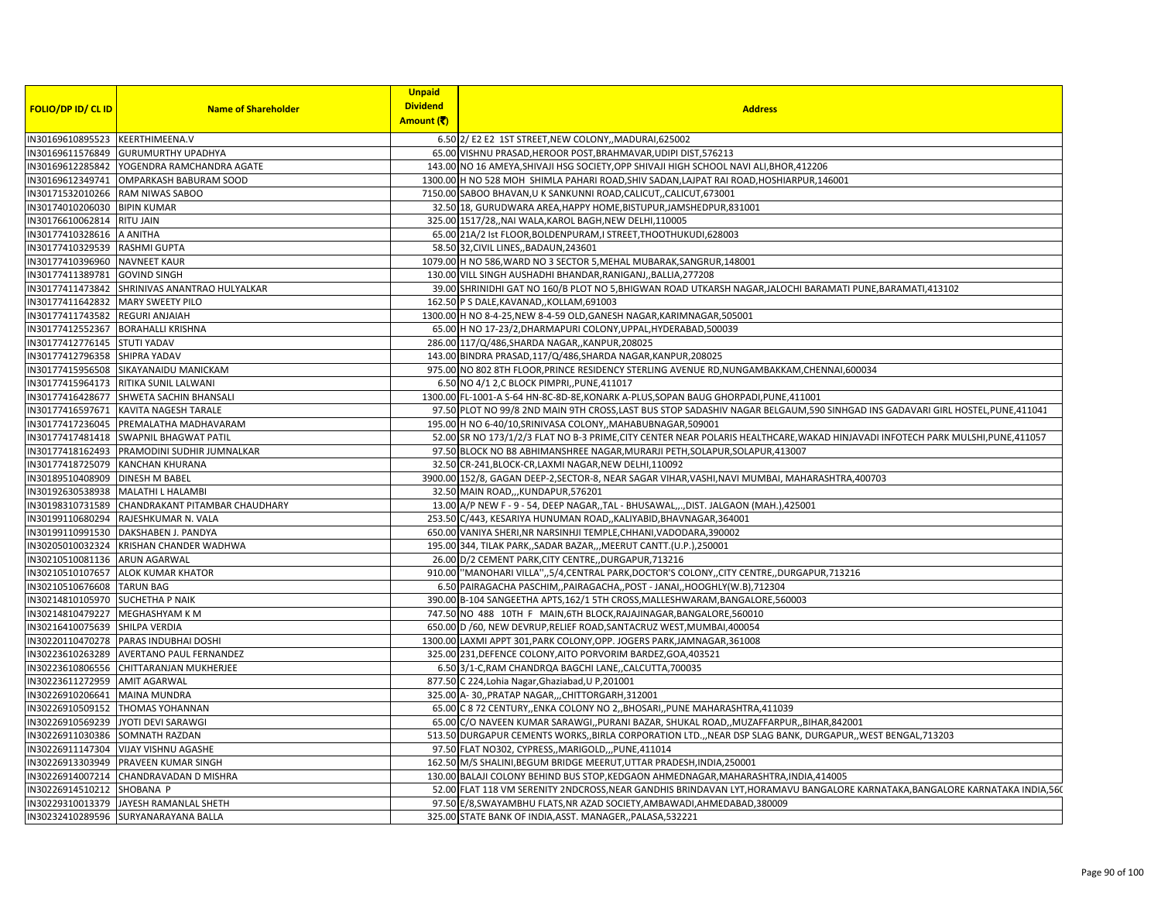|                                 |                                        | <b>Unpaid</b>   |                                                                                                                                  |
|---------------------------------|----------------------------------------|-----------------|----------------------------------------------------------------------------------------------------------------------------------|
| <b>FOLIO/DP ID/ CL ID</b>       | <b>Name of Shareholder</b>             | <b>Dividend</b> | <b>Address</b>                                                                                                                   |
|                                 |                                        | Amount (そ)      |                                                                                                                                  |
| IN30169610895523 KEERTHIMEENA.V |                                        |                 | 6.50 2/ E2 E2 1ST STREET, NEW COLONY, , MADURAI, 625002                                                                          |
|                                 | IN30169611576849 GURUMURTHY UPADHYA    |                 | 65.00 VISHNU PRASAD, HEROOR POST, BRAHMAVAR, UDIPI DIST, 576213                                                                  |
| IN30169612285842                | YOGENDRA RAMCHANDRA AGATE              |                 | 143.00 NO 16 AMEYA, SHIVAJI HSG SOCIETY, OPP SHIVAJI HIGH SCHOOL NAVI ALI, BHOR, 412206                                          |
| IN30169612349741                | OMPARKASH BABURAM SOOD                 |                 | 1300.00 H NO 528 MOH SHIMLA PAHARI ROAD, SHIV SADAN, LAJPAT RAI ROAD, HOSHIARPUR, 146001                                         |
| IN30171532010266                | RAM NIWAS SABOO                        |                 | 7150.00 SABOO BHAVAN, U K SANKUNNI ROAD, CALICUT, CALICUT, 673001                                                                |
| IN30174010206030                | <b>BIPIN KUMAR</b>                     |                 | 32.50 18, GURUDWARA AREA, HAPPY HOME, BISTUPUR, JAMSHEDPUR, 831001                                                               |
| IN30176610062814                | <b>RITU JAIN</b>                       |                 | 325.00 1517/28, NAI WALA, KAROL BAGH, NEW DELHI, 110005                                                                          |
| IN30177410328616                | A ANITHA                               |                 | 65.00 21A/2 Ist FLOOR, BOLDENPURAM, I STREET, THOOTHUKUDI, 628003                                                                |
| IN30177410329539                | <b>RASHMI GUPTA</b>                    |                 | 58.50 32, CIVIL LINES,, BADAUN, 243601                                                                                           |
| IN30177410396960                | <b>NAVNEET KAUR</b>                    |                 | 1079.00 H NO 586, WARD NO 3 SECTOR 5, MEHAL MUBARAK, SANGRUR, 148001                                                             |
| IN30177411389781                | <b>GOVIND SINGH</b>                    |                 | 130.00 VILL SINGH AUSHADHI BHANDAR, RANIGANJ, BALLIA, 277208                                                                     |
| IN30177411473842                | SHRINIVAS ANANTRAO HULYALKAR           |                 | 39.00 SHRINIDHI GAT NO 160/B PLOT NO 5, BHIGWAN ROAD UTKARSH NAGAR, JALOCHI BARAMATI PUNE, BARAMATI, 413102                      |
| IN30177411642832                | <b>MARY SWEETY PILO</b>                |                 | 162.50 P S DALE, KAVANAD, , KOLLAM, 691003                                                                                       |
| IN30177411743582                | <b>REGURI ANJAIAH</b>                  |                 | 1300.00 H NO 8-4-25, NEW 8-4-59 OLD, GANESH NAGAR, KARIMNAGAR, 505001                                                            |
| IN30177412552367                | <b>BORAHALLI KRISHNA</b>               |                 | 65.00 H NO 17-23/2, DHARMAPURI COLONY, UPPAL, HYDERABAD, 500039                                                                  |
| IN30177412776145                | <b>STUTI YADAV</b>                     |                 | 286.00 117/Q/486, SHARDA NAGAR, , KANPUR, 208025                                                                                 |
| IN30177412796358                | <b>SHIPRA YADAV</b>                    |                 | 143.00 BINDRA PRASAD, 117/Q/486, SHARDA NAGAR, KANPUR, 208025                                                                    |
|                                 | IN30177415956508 SIKAYANAIDU MANICKAM  |                 | 975.00 NO 802 8TH FLOOR, PRINCE RESIDENCY STERLING AVENUE RD, NUNGAMBAKKAM, CHENNAI, 600034                                      |
| IN30177415964173                | RITIKA SUNIL LALWANI                   |                 | 6.50 NO 4/1 2,C BLOCK PIMPRI,, PUNE, 411017                                                                                      |
| IN30177416428677                | SHWETA SACHIN BHANSALI                 |                 | 1300.00 FL-1001-A S-64 HN-8C-8D-8E, KONARK A-PLUS, SOPAN BAUG GHORPADI, PUNE, 411001                                             |
| IN30177416597671                | KAVITA NAGESH TARALE                   |                 | 97.50 PLOT NO 99/8 2ND MAIN 9TH CROSS, LAST BUS STOP SADASHIV NAGAR BELGAUM, 590 SINHGAD INS GADAVARI GIRL HOSTEL, PUNE, 411041  |
| IN30177417236045                | PREMALATHA MADHAVARAM                  |                 | 195.00 H NO 6-40/10, SRINIVASA COLONY, MAHABUBNAGAR, 509001                                                                      |
|                                 | IN30177417481418 SWAPNIL BHAGWAT PATIL |                 | 52.00 SR NO 173/1/2/3 FLAT NO B-3 PRIME, CITY CENTER NEAR POLARIS HEALTHCARE, WAKAD HINJAVADI INFOTECH PARK MULSHI, PUNE, 411057 |
| IN30177418162493                | PRAMODINI SUDHIR JUMNALKAR             |                 | 97.50 BLOCK NO B8 ABHIMANSHREE NAGAR, MURARJI PETH, SOLAPUR, SOLAPUR, 413007                                                     |
| IN30177418725079                | <b>KANCHAN KHURANA</b>                 |                 | 32.50 CR-241, BLOCK-CR, LAXMI NAGAR, NEW DELHI, 110092                                                                           |
| IN30189510408909                | <b>DINESH M BABEL</b>                  |                 | 3900.00 152/8, GAGAN DEEP-2, SECTOR-8, NEAR SAGAR VIHAR, VASHI, NAVI MUMBAI, MAHARASHTRA, 400703                                 |
| IN30192630538938                | MALATHI L HALAMBI                      |                 | 32.50 MAIN ROAD,,,KUNDAPUR,576201                                                                                                |
| IN30198310731589                | CHANDRAKANT PITAMBAR CHAUDHARY         |                 | 13.00 A/P NEW F - 9 - 54, DEEP NAGAR,,TAL - BHUSAWAL,,.,DIST. JALGAON (MAH.),425001                                              |
| IN30199110680294                | RAJESHKUMAR N. VALA                    |                 | 253.50 C/443, KESARIYA HUNUMAN ROAD,, KALIYABID, BHAVNAGAR, 364001                                                               |
| IN30199110991530                | DAKSHABEN J. PANDYA                    |                 | 650.00 VANIYA SHERI, NR NARSINHJI TEMPLE, CHHANI, VADODARA, 390002                                                               |
| IN30205010032324                | KRISHAN CHANDER WADHWA                 |                 | 195.00 344, TILAK PARK,, SADAR BAZAR,, , MEERUT CANTT. (U.P.), 250001                                                            |
| IN30210510081136                | <b>ARUN AGARWAL</b>                    |                 | 26.00 D/2 CEMENT PARK, CITY CENTRE, , DURGAPUR, 713216                                                                           |
| IN30210510107657                | <b>ALOK KUMAR KHATOR</b>               |                 | 910.00 "MANOHARI VILLA",,5/4,CENTRAL PARK,DOCTOR'S COLONY,,CITY CENTRE,,DURGAPUR,713216                                          |
| IN30210510676608 TARUN BAG      |                                        |                 | 6.50 PAIRAGACHA PASCHIM,, PAIRAGACHA,, POST - JANAI,, HOOGHLY(W.B), 712304                                                       |
| IN30214810105970                | <b>SUCHETHA P NAIK</b>                 |                 | 390.00 B-104 SANGEETHA APTS, 162/1 5TH CROSS, MALLESHWARAM, BANGALORE, 560003                                                    |
| IN30214810479227                | MEGHASHYAM K M                         |                 | 747.50 NO 488 10TH F MAIN, 6TH BLOCK, RAJAJINAGAR, BANGALORE, 560010                                                             |
| IN30216410075639                | <b>SHILPA VERDIA</b>                   |                 | 650.00 D /60, NEW DEVRUP, RELIEF ROAD, SANTACRUZ WEST, MUMBAI, 400054                                                            |
| IN30220110470278                | PARAS INDUBHAI DOSHI                   |                 | 1300.00 LAXMI APPT 301, PARK COLONY, OPP. JOGERS PARK, JAMNAGAR, 361008                                                          |
| IN30223610263289                | <b>AVERTANO PAUL FERNANDEZ</b>         |                 | 325.00 231, DEFENCE COLONY, AITO PORVORIM BARDEZ, GOA, 403521                                                                    |
| IN30223610806556                | CHITTARANJAN MUKHERJEE                 |                 | 6.50 3/1-C, RAM CHANDRQA BAGCHI LANE,, CALCUTTA, 700035                                                                          |
| IN30223611272959                | <b>AMIT AGARWAL</b>                    |                 | 877.50 C 224, Lohia Nagar, Ghaziabad, U P, 201001                                                                                |
| IN30226910206641                | <b>MAINA MUNDRA</b>                    |                 | 325.00 A-30,, PRATAP NAGAR,, , CHITTORGARH, 312001                                                                               |
|                                 | IN30226910509152 THOMAS YOHANNAN       |                 | 65.00 C 8 72 CENTURY, ENKA COLONY NO 2, BHOSARI, PUNE MAHARASHTRA, 411039                                                        |
| IN30226910569239                | <b>JYOTI DEVI SARAWGI</b>              |                 | 65.00 C/O NAVEEN KUMAR SARAWGI, PURANI BAZAR, SHUKAL ROAD, MUZAFFARPUR, BIHAR, 842001                                            |
| IN30226911030386                | SOMNATH RAZDAN                         |                 | 513.50 DURGAPUR CEMENTS WORKS, BIRLA CORPORATION LTD., NEAR DSP SLAG BANK, DURGAPUR, WEST BENGAL, 713203                         |
| IN30226911147304                | VIJAY VISHNU AGASHE                    |                 | 97.50 FLAT NO302, CYPRESS, MARIGOLD, , PUNE, 411014                                                                              |
| IN30226913303949                | PRAVEEN KUMAR SINGH                    |                 | 162.50 M/S SHALINI, BEGUM BRIDGE MEERUT, UTTAR PRADESH, INDIA, 250001                                                            |
| IN30226914007214                | CHANDRAVADAN D MISHRA                  |                 | 130.00 BALAJI COLONY BEHIND BUS STOP, KEDGAON AHMEDNAGAR, MAHARASHTRA, INDIA, 414005                                             |
| IN30226914510212                | SHOBANA P                              |                 | 52.00 FLAT 118 VM SERENITY 2NDCROSS, NEAR GANDHIS BRINDAVAN LYT, HORAMAVU BANGALORE KARNATAKA, BANGALORE KARNATAKA INDIA, 56     |
|                                 | IN30229310013379 JAYESH RAMANLAL SHETH |                 | 97.50 E/8,SWAYAMBHU FLATS, NR AZAD SOCIETY, AMBAWADI, AHMEDABAD, 380009                                                          |
|                                 | IN30232410289596 SURYANARAYANA BALLA   |                 | 325.00 STATE BANK OF INDIA, ASST. MANAGER, , PALASA, 532221                                                                      |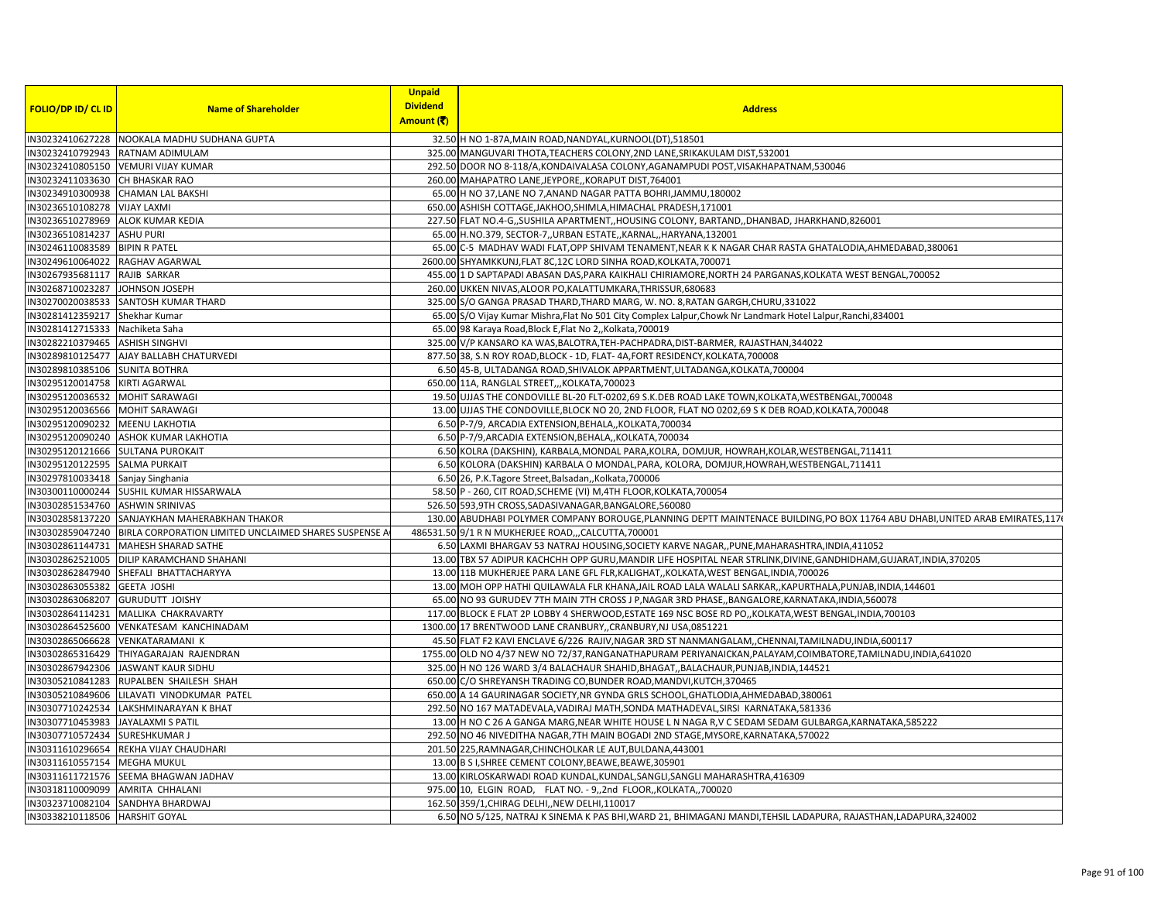|                                   |                                                       | <b>Unpaid</b>   |                                                                                                                                 |
|-----------------------------------|-------------------------------------------------------|-----------------|---------------------------------------------------------------------------------------------------------------------------------|
| <b>FOLIO/DP ID/ CL ID</b>         | <b>Name of Shareholder</b>                            | <b>Dividend</b> | <b>Address</b>                                                                                                                  |
|                                   |                                                       | Amount (₹)      |                                                                                                                                 |
|                                   | IN30232410627228 NOOKALA MADHU SUDHANA GUPTA          |                 | 32.50 H NO 1-87A, MAIN ROAD, NANDYAL, KURNOOL (DT), 518501                                                                      |
|                                   | IN30232410792943 RATNAM ADIMULAM                      |                 | 325.00 MANGUVARI THOTA, TEACHERS COLONY, 2ND LANE, SRIKAKULAM DIST, 532001                                                      |
| IN30232410805150                  | <b>VEMURI VIJAY KUMAR</b>                             |                 | 292.50 DOOR NO 8-118/A, KONDAIVALASA COLONY, AGANAMPUDI POST, VISAKHAPATNAM, 530046                                             |
| IN30232411033630 CH BHASKAR RAO   |                                                       |                 | 260.00 MAHAPATRO LANE, JEYPORE, KORAPUT DIST, 764001                                                                            |
|                                   | IN30234910300938 CHAMAN LAL BAKSHI                    |                 | 65.00 H NO 37, LANE NO 7, ANAND NAGAR PATTA BOHRI, JAMMU, 180002                                                                |
| IN30236510108278                  | <b>VIJAY LAXMI</b>                                    |                 | 650.00 ASHISH COTTAGE, JAKHOO, SHIMLA, HIMACHAL PRADESH, 171001                                                                 |
| IN30236510278969 ALOK KUMAR KEDIA |                                                       |                 | 227.50 FLAT NO.4-G,,SUSHILA APARTMENT,,HOUSING COLONY, BARTAND,,DHANBAD, JHARKHAND,826001                                       |
| IN30236510814237                  | <b>ASHU PURI</b>                                      |                 | 65.00 H.NO.379, SECTOR-7, URBAN ESTATE, KARNAL, HARYANA, 132001                                                                 |
| IN30246110083589                  | <b>BIPIN R PATEL</b>                                  |                 | 65.00 C-5 MADHAV WADI FLAT, OPP SHIVAM TENAMENT, NEAR K K NAGAR CHAR RASTA GHATALODIA, AHMEDABAD, 380061                        |
| IN30249610064022                  | RAGHAV AGARWAL                                        |                 | 2600.00 SHYAMKKUNJ, FLAT 8C, 12C LORD SINHA ROAD, KOLKATA, 700071                                                               |
| IN30267935681117                  | RAJIB SARKAR                                          |                 | 455.00 1 D SAPTAPADI ABASAN DAS, PARA KAIKHALI CHIRIAMORE, NORTH 24 PARGANAS, KOLKATA WEST BENGAL, 700052                       |
| IN30268710023287 JOHNSON JOSEPH   |                                                       |                 | 260.00 UKKEN NIVAS, ALOOR PO, KALATTUMKARA, THRISSUR, 680683                                                                    |
| IN30270020038533                  | <b>SANTOSH KUMAR THARD</b>                            |                 | 325.00 S/O GANGA PRASAD THARD, THARD MARG, W. NO. 8, RATAN GARGH, CHURU, 331022                                                 |
| IN30281412359217 Shekhar Kumar    |                                                       |                 | 65.00 S/O Vijay Kumar Mishra, Flat No 501 City Complex Lalpur, Chowk Nr Landmark Hotel Lalpur, Ranchi, 834001                   |
| IN30281412715333 Nachiketa Saha   |                                                       |                 | 65.00 98 Karaya Road, Block E, Flat No 2,, Kolkata, 700019                                                                      |
| IN30282210379465 ASHISH SINGHVI   |                                                       |                 | 325.00 V/P KANSARO KA WAS, BALOTRA, TEH-PACHPADRA, DIST-BARMER, RAJASTHAN, 344022                                               |
| IN30289810125477                  | AJAY BALLABH CHATURVEDI                               |                 | 877.50 38, S.N ROY ROAD, BLOCK - 1D, FLAT-4A, FORT RESIDENCY, KOLKATA, 700008                                                   |
| IN30289810385106 SUNITA BOTHRA    |                                                       |                 | 6.50 45-B, ULTADANGA ROAD, SHIVALOK APPARTMENT, ULTADANGA, KOLKATA, 700004                                                      |
| IN30295120014758                  | <b>KIRTI AGARWAL</b>                                  |                 | 650.00 11A, RANGLAL STREET,,,KOLKATA,700023                                                                                     |
| IN30295120036532                  | <b>MOHIT SARAWAGI</b>                                 |                 | 19.50 UJJAS THE CONDOVILLE BL-20 FLT-0202,69 S.K.DEB ROAD LAKE TOWN, KOLKATA, WESTBENGAL, 700048                                |
| IN30295120036566 MOHIT SARAWAGI   |                                                       |                 | 13.00 UJJAS THE CONDOVILLE, BLOCK NO 20, 2ND FLOOR, FLAT NO 0202,69 S K DEB ROAD, KOLKATA, 700048                               |
| IN30295120090232                  | <b>MEENU LAKHOTIA</b>                                 |                 | 6.50 P-7/9, ARCADIA EXTENSION, BEHALA,, KOLKATA, 700034                                                                         |
|                                   | IN30295120090240 ASHOK KUMAR LAKHOTIA                 |                 | 6.50 P-7/9, ARCADIA EXTENSION, BEHALA,, KOLKATA, 700034                                                                         |
| IN30295120121666 SULTANA PUROKAIT |                                                       |                 | 6.50 KOLRA (DAKSHIN), KARBALA, MONDAL PARA, KOLRA, DOMJUR, HOWRAH, KOLAR, WESTBENGAL, 711411                                    |
| IN30295120122595                  | <b>SALMA PURKAIT</b>                                  |                 | 6.50 KOLORA (DAKSHIN) KARBALA O MONDAL, PARA, KOLORA, DOMJUR, HOWRAH, WESTBENGAL, 711411                                        |
| IN30297810033418 Sanjay Singhania |                                                       |                 | 6.50 26, P.K.Tagore Street, Balsadan,, Kolkata, 700006                                                                          |
| IN30300110000244                  | SUSHIL KUMAR HISSARWALA                               |                 | 58.50 P - 260, CIT ROAD, SCHEME (VI) M, 4TH FLOOR, KOLKATA, 700054                                                              |
| IN30302851534760                  | <b>ASHWIN SRINIVAS</b>                                |                 | 526.50 593,9TH CROSS, SADASIVANAGAR, BANGALORE, 560080                                                                          |
| IN30302858137220                  | SANJAYKHAN MAHERABKHAN THAKOR                         |                 | 130.00 ABUDHABI POLYMER COMPANY BOROUGE, PLANNING DEPTT MAINTENACE BUILDING, PO BOX 11764 ABU DHABI, UNITED ARAB EMIRATES, 1176 |
| IN30302859047240                  | BIRLA CORPORATION LIMITED UNCLAIMED SHARES SUSPENSE A |                 | 486531.50 9/1 R N MUKHERJEE ROAD,,,CALCUTTA,700001                                                                              |
|                                   | IN30302861144731 MAHESH SHARAD SATHE                  |                 | 6.50 LAXMI BHARGAV 53 NATRAJ HOUSING, SOCIETY KARVE NAGAR, , PUNE, MAHARASHTRA, INDIA, 411052                                   |
|                                   | IN30302862521005 DILIP KARAMCHAND SHAHANI             |                 | 13.00 TBX 57 ADIPUR KACHCHH OPP GURU, MANDIR LIFE HOSPITAL NEAR STRLINK, DIVINE, GANDHIDHAM, GUJARAT, INDIA, 370205             |
| IN30302862847940                  | SHEFALI BHATTACHARYYA                                 |                 | 13.00 11B MUKHERJEE PARA LANE GFL FLR, KALIGHAT, , KOLKATA, WEST BENGAL, INDIA, 700026                                          |
| IN30302863055382                  | <b>GEETA JOSHI</b>                                    |                 | 13.00 MOH OPP HATHI QUILAWALA FLR KHANA, JAIL ROAD LALA WALALI SARKAR, , KAPURTHALA, PUNJAB, INDIA, 144601                      |
| IN30302863068207                  | <b>GURUDUTT JOISHY</b>                                |                 | 65.00 NO 93 GURUDEV 7TH MAIN 7TH CROSS J P, NAGAR 3RD PHASE, BANGALORE, KARNATAKA, INDIA, 560078                                |
| IN30302864114231                  | MALLIKA CHAKRAVARTY                                   |                 | 117.00 BLOCK E FLAT 2P LOBBY 4 SHERWOOD, ESTATE 169 NSC BOSE RD PO,, KOLKATA, WEST BENGAL, INDIA, 700103                        |
| IN30302864525600                  | VENKATESAM KANCHINADAM                                |                 | 1300.00 17 BRENTWOOD LANE CRANBURY, CRANBURY, NJ USA, 0851221                                                                   |
| IN30302865066628                  | <b>VENKATARAMANI K</b>                                |                 | 45.50 FLAT F2 KAVI ENCLAVE 6/226 RAJIV, NAGAR 3RD ST NANMANGALAM, , CHENNAI, TAMILNADU, INDIA, 600117                           |
|                                   | IN30302865316429 THIYAGARAJAN RAJENDRAN               |                 | 1755.00 OLD NO 4/37 NEW NO 72/37, RANGANATHAPURAM PERIYANAICKAN, PALAYAM, COIMBATORE, TAMILNADU, INDIA, 641020                  |
| IN30302867942306                  | JASWANT KAUR SIDHU                                    |                 | 325.00 H NO 126 WARD 3/4 BALACHAUR SHAHID, BHAGAT, BALACHAUR, PUNJAB, INDIA, 144521                                             |
| IN30305210841283                  | RUPALBEN SHAILESH SHAH                                |                 | 650.00 C/O SHREYANSH TRADING CO, BUNDER ROAD, MANDVI, KUTCH, 370465                                                             |
| IN30305210849606                  | LILAVATI VINODKUMAR PATEL                             |                 | 650.00 A 14 GAURINAGAR SOCIETY, NR GYNDA GRLS SCHOOL, GHATLODIA, AHMEDABAD, 380061                                              |
|                                   | IN30307710242534 LAKSHMINARAYAN K BHAT                |                 | 292.50 NO 167 MATADEVALA, VADIRAJ MATH, SONDA MATHADEVAL, SIRSI KARNATAKA, 581336                                               |
| IN30307710453983                  | <b>JAYALAXMI S PATIL</b>                              |                 | 13.00 H NO C 26 A GANGA MARG, NEAR WHITE HOUSE L N NAGA R, V C SEDAM SEDAM GULBARGA, KARNATAKA, 585222                          |
| IN30307710572434 SURESHKUMAR J    |                                                       |                 | 292.50 NO 46 NIVEDITHA NAGAR, 7TH MAIN BOGADI 2ND STAGE, MYSORE, KARNATAKA, 570022                                              |
| IN30311610296654                  | REKHA VIJAY CHAUDHARI                                 |                 | 201.50 225, RAMNAGAR, CHINCHOLKAR LE AUT, BULDANA, 443001                                                                       |
| IN30311610557154 MEGHA MUKUL      |                                                       |                 | 13.00 B S I, SHREE CEMENT COLONY, BEAWE, BEAWE, 305901                                                                          |
| IN30311611721576                  | SEEMA BHAGWAN JADHAV                                  |                 | 13.00 KIRLOSKARWADI ROAD KUNDAL, KUNDAL, SANGLI, SANGLI MAHARASHTRA, 416309                                                     |
| IN30318110009099                  | AMRITA CHHALANI                                       |                 | 975.00 10, ELGIN ROAD, FLAT NO. - 9,,2nd FLOOR,,KOLKATA,,700020                                                                 |
|                                   | IN30323710082104 SANDHYA BHARDWAJ                     |                 | 162.50 359/1, CHIRAG DELHI, NEW DELHI, 110017                                                                                   |
| IN30338210118506 HARSHIT GOYAL    |                                                       |                 | 6.50 NO 5/125, NATRAJ K SINEMA K PAS BHI, WARD 21, BHIMAGANJ MANDI, TEHSIL LADAPURA, RAJASTHAN, LADAPURA, 324002                |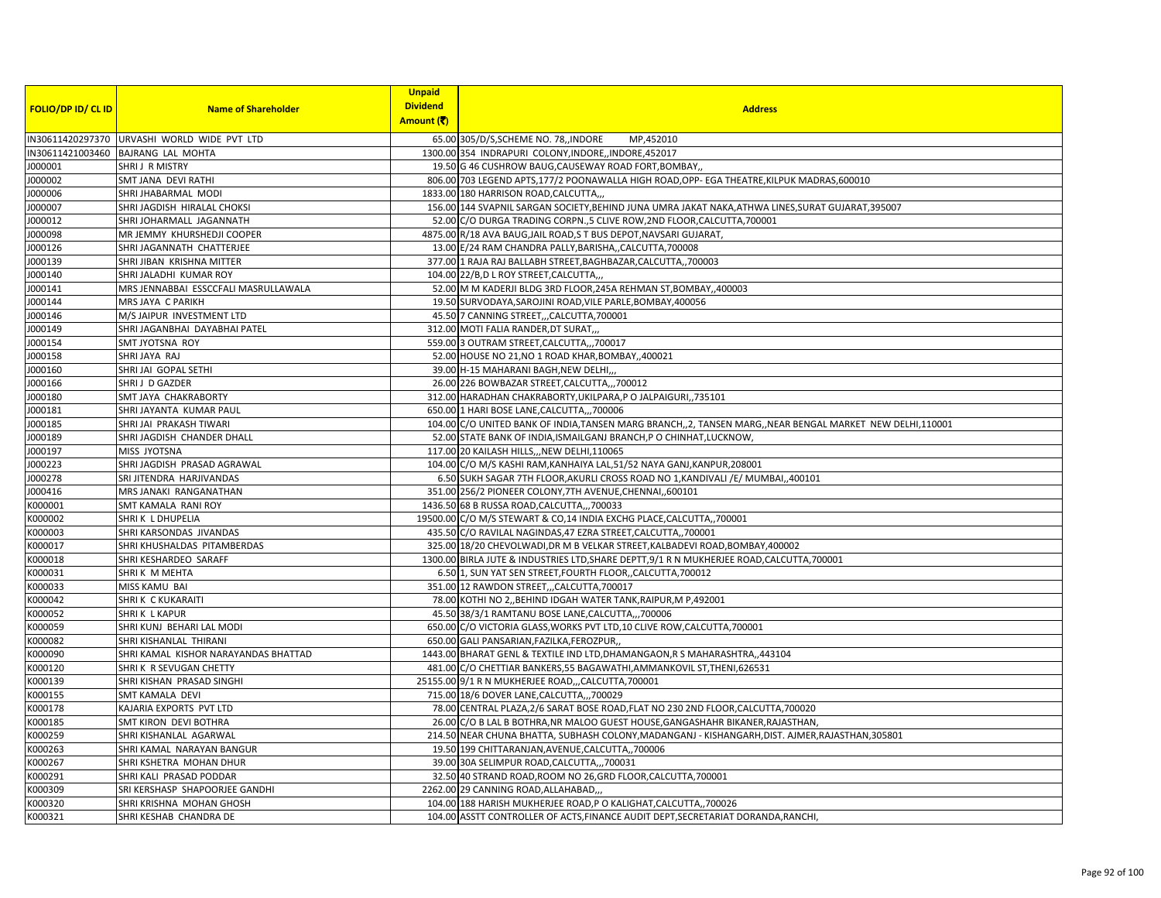| <b>FOLIO/DP ID/ CL ID</b> | <b>Name of Shareholder</b>                  | <b>Unpaid</b><br><b>Dividend</b><br>Amount (そ) | <b>Address</b>                                                                                             |
|---------------------------|---------------------------------------------|------------------------------------------------|------------------------------------------------------------------------------------------------------------|
|                           | IN30611420297370 URVASHI WORLD WIDE PVT LTD |                                                | 65.00 305/D/S, SCHEME NO. 78, INDORE<br>MP,452010                                                          |
|                           | IN30611421003460 BAJRANG LAL MOHTA          |                                                | 1300.00 354 INDRAPURI COLONY, INDORE, INDORE, 452017                                                       |
| J000001                   | SHRIJ R MISTRY                              |                                                | 19.50 G 46 CUSHROW BAUG, CAUSEWAY ROAD FORT, BOMBAY,                                                       |
| J000002                   | SMT JANA DEVI RATHI                         |                                                | 806.00 703 LEGEND APTS, 177/2 POONAWALLA HIGH ROAD, OPP- EGA THEATRE, KILPUK MADRAS, 600010                |
| J000006                   | SHRI JHABARMAL MODI                         |                                                | 1833.00 180 HARRISON ROAD, CALCUTTA,                                                                       |
| J000007                   | SHRI JAGDISH HIRALAL CHOKSI                 |                                                | 156.00 144 SVAPNIL SARGAN SOCIETY, BEHIND JUNA UMRA JAKAT NAKA, ATHWA LINES, SURAT GUJARAT, 395007         |
| J000012                   | SHRI JOHARMALL JAGANNATH                    |                                                | 52.00 C/O DURGA TRADING CORPN., 5 CLIVE ROW, 2ND FLOOR, CALCUTTA, 700001                                   |
| J000098                   | MR JEMMY KHURSHEDJI COOPER                  |                                                | 4875.00 R/18 AVA BAUG, JAIL ROAD, S T BUS DEPOT, NAVSARI GUJARAT,                                          |
| J000126                   | SHRI JAGANNATH CHATTERJEE                   |                                                | 13.00 E/24 RAM CHANDRA PALLY, BARISHA,, CALCUTTA, 700008                                                   |
| J000139                   | SHRI JIBAN KRISHNA MITTER                   |                                                | 377.00 1 RAJA RAJ BALLABH STREET, BAGHBAZAR, CALCUTTA,, 700003                                             |
| J000140                   | SHRI JALADHI KUMAR ROY                      |                                                | 104.00 22/B,D L ROY STREET,CALCUTTA,                                                                       |
| J000141                   | MRS JENNABBAI ESSCCFALI MASRULLAWALA        |                                                | 52.00 M M KADERJI BLDG 3RD FLOOR, 245A REHMAN ST, BOMBAY, 400003                                           |
| J000144                   | MRS JAYA C PARIKH                           |                                                | 19.50 SURVODAYA, SAROJINI ROAD, VILE PARLE, BOMBAY, 400056                                                 |
| J000146                   | M/S JAIPUR INVESTMENT LTD                   |                                                | 45.50 7 CANNING STREET,,,CALCUTTA,700001                                                                   |
| J000149                   | SHRI JAGANBHAI DAYABHAI PATEL               |                                                | 312.00 MOTI FALIA RANDER, DT SURAT,                                                                        |
| J000154                   | SMT JYOTSNA ROY                             |                                                | 559.00 3 OUTRAM STREET, CALCUTTA,,, 700017                                                                 |
| J000158                   | SHRI JAYA RAJ                               |                                                | 52.00 HOUSE NO 21, NO 1 ROAD KHAR, BOMBAY, ,400021                                                         |
| J000160                   | SHRI JAI GOPAL SETHI                        |                                                | 39.00 H-15 MAHARANI BAGH, NEW DELHI,                                                                       |
| J000166                   | SHRIJ D GAZDER                              |                                                | 26.00 226 BOWBAZAR STREET, CALCUTTA,,,700012                                                               |
| 000180                    | SMT JAYA CHAKRABORTY                        |                                                | 312.00 HARADHAN CHAKRABORTY, UKILPARA, PO JALPAIGURI, 735101                                               |
| J000181                   | SHRI JAYANTA KUMAR PAUL                     |                                                | 650.00 1 HARI BOSE LANE, CALCUTTA,,, 700006                                                                |
| J000185                   | SHRI JAI PRAKASH TIWARI                     |                                                | 104.00 C/O UNITED BANK OF INDIA, TANSEN MARG BRANCH,, 2, TANSEN MARG, NEAR BENGAL MARKET NEW DELHI, 110001 |
| J000189                   | SHRI JAGDISH CHANDER DHALL                  |                                                | 52.00 STATE BANK OF INDIA, ISMAILGANJ BRANCH, PO CHINHAT, LUCKNOW,                                         |
| J000197                   | MISS JYOTSNA                                |                                                | 117.00 20 KAILASH HILLS,,, NEW DELHI, 110065                                                               |
| J000223                   | SHRI JAGDISH PRASAD AGRAWAL                 |                                                | 104.00 C/O M/S KASHI RAM, KANHAIYA LAL, 51/52 NAYA GANJ, KANPUR, 208001                                    |
| J000278                   | SRI JITENDRA HARJIVANDAS                    |                                                | 6.50 SUKH SAGAR 7TH FLOOR, AKURLI CROSS ROAD NO 1, KANDIVALI /E/ MUMBAI, ,400101                           |
| J000416                   | MRS JANAKI RANGANATHAN                      |                                                | 351.00 256/2 PIONEER COLONY, 7TH AVENUE, CHENNAI,, 600101                                                  |
| K000001                   | SMT KAMALA RANI ROY                         |                                                | 1436.50 68 B RUSSA ROAD, CALCUTTA,,, 700033                                                                |
| K000002                   | SHRIK L DHUPELIA                            |                                                | 19500.00 C/O M/S STEWART & CO,14 INDIA EXCHG PLACE, CALCUTTA,, 700001                                      |
| K000003                   | SHRI KARSONDAS JIVANDAS                     |                                                | 435.50 C/O RAVILAL NAGINDAS, 47 EZRA STREET, CALCUTTA,, 700001                                             |
| K000017                   | SHRI KHUSHALDAS PITAMBERDAS                 |                                                | 325.00 18/20 CHEVOLWADI, DR M B VELKAR STREET, KALBADEVI ROAD, BOMBAY, 400002                              |
| K000018                   | SHRI KESHARDEO SARAFF                       |                                                | 1300.00 BIRLA JUTE & INDUSTRIES LTD, SHARE DEPTT, 9/1 R N MUKHERJEE ROAD, CALCUTTA, 700001                 |
| K000031                   | SHRIK M MEHTA                               |                                                | 6.50 1, SUN YAT SEN STREET, FOURTH FLOOR, CALCUTTA, 700012                                                 |
| K000033                   | MISS KAMU BAI                               |                                                | 351.00 12 RAWDON STREET,,,CALCUTTA,700017                                                                  |
| K000042                   | SHRIK CKUKARAITI                            |                                                | 78.00 KOTHI NO 2,, BEHIND IDGAH WATER TANK, RAIPUR, M P, 492001                                            |
| K000052                   | SHRIK L KAPUR                               |                                                | 45.50 38/3/1 RAMTANU BOSE LANE, CALCUTTA,,, 700006                                                         |
| K000059                   | SHRI KUNJ BEHARI LAL MODI                   |                                                | 650.00 C/O VICTORIA GLASS, WORKS PVT LTD, 10 CLIVE ROW, CALCUTTA, 700001                                   |
| K000082                   | SHRI KISHANLAL THIRANI                      |                                                | 650.00 GALI PANSARIAN, FAZILKA, FEROZPUR,                                                                  |
| K000090                   | SHRI KAMAL KISHOR NARAYANDAS BHATTAD        |                                                | 1443.00 BHARAT GENL & TEXTILE IND LTD, DHAMANGAON, R S MAHARASHTRA, ,443104                                |
| K000120                   | SHRIK R SEVUGAN CHETTY                      |                                                | 481.00 C/O CHETTIAR BANKERS, 55 BAGAWATHI, AMMANKOVIL ST, THENI, 626531                                    |
| K000139                   | SHRI KISHAN PRASAD SINGHI                   |                                                | 25155.00 9/1 R N MUKHERJEE ROAD,,,CALCUTTA,700001                                                          |
| K000155                   | SMT KAMALA DEVI                             |                                                | 715.00 18/6 DOVER LANE, CALCUTTA,,, 700029                                                                 |
| K000178                   | KAJARIA EXPORTS PVT LTD                     |                                                | 78.00 CENTRAL PLAZA, 2/6 SARAT BOSE ROAD, FLAT NO 230 2ND FLOOR, CALCUTTA, 700020                          |
| K000185                   | <b>SMT KIRON DEVI BOTHRA</b>                |                                                | 26.00 C/O B LAL B BOTHRA, NR MALOO GUEST HOUSE, GANGASHAHR BIKANER, RAJASTHAN                              |
| K000259                   | SHRI KISHANLAL AGARWAL                      |                                                | 214.50 NEAR CHUNA BHATTA, SUBHASH COLONY, MADANGANJ - KISHANGARH, DIST. AJMER, RAJASTHAN, 305801           |
| K000263                   | SHRI KAMAL NARAYAN BANGUR                   |                                                | 19.50 199 CHITTARANJAN, AVENUE, CALCUTTA, ,700006                                                          |
| K000267                   | SHRI KSHETRA MOHAN DHUR                     |                                                | 39.00 30A SELIMPUR ROAD, CALCUTTA,,, 700031                                                                |
| K000291                   | SHRI KALI PRASAD PODDAR                     |                                                | 32.50 40 STRAND ROAD, ROOM NO 26, GRD FLOOR, CALCUTTA, 700001                                              |
| K000309                   | SRI KERSHASP SHAPOORJEE GANDHI              |                                                | 2262.00 29 CANNING ROAD, ALLAHABAD,,                                                                       |
| K000320                   | SHRI KRISHNA MOHAN GHOSH                    |                                                | 104.00 188 HARISH MUKHERJEE ROAD,P O KALIGHAT, CALCUTTA,, 700026                                           |
| K000321                   | SHRI KESHAB CHANDRA DE                      |                                                | 104.00 ASSTT CONTROLLER OF ACTS, FINANCE AUDIT DEPT, SECRETARIAT DORANDA, RANCHI                           |
|                           |                                             |                                                |                                                                                                            |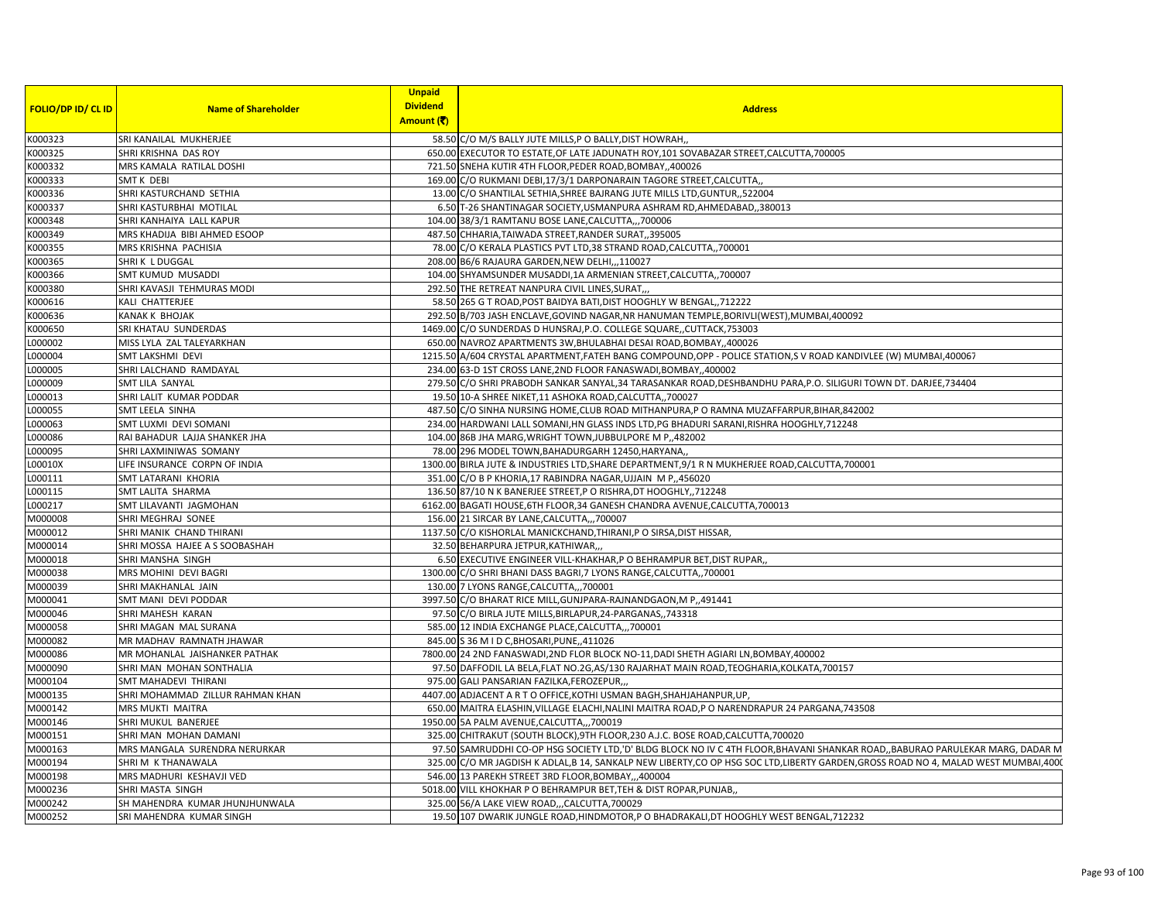|                    |                                  | <b>Unpaid</b>   |                                                                                                                                  |
|--------------------|----------------------------------|-----------------|----------------------------------------------------------------------------------------------------------------------------------|
| FOLIO/DP ID/ CL ID | <b>Name of Shareholder</b>       | <b>Dividend</b> | <b>Address</b>                                                                                                                   |
|                    |                                  | Amount (そ)      |                                                                                                                                  |
| K000323            | SRI KANAILAL MUKHERJEE           | 58.50           | C/O M/S BALLY JUTE MILLS, P O BALLY, DIST HOWRAH,                                                                                |
| K000325            | SHRI KRISHNA DAS ROY             | 650.00          | EXECUTOR TO ESTATE, OF LATE JADUNATH ROY, 101 SOVABAZAR STREET, CALCUTTA, 700005                                                 |
| K000332            | MRS KAMALA RATILAL DOSHI         |                 | 721.50 SNEHA KUTIR 4TH FLOOR, PEDER ROAD, BOMBAY, ,400026                                                                        |
| K000333            | SMT K DEBI                       |                 | 169.00 C/O RUKMANI DEBI,17/3/1 DARPONARAIN TAGORE STREET, CALCUTTA,                                                              |
| K000336            | SHRI KASTURCHAND SETHIA          |                 | 13.00 C/O SHANTILAL SETHIA, SHREE BAJRANG JUTE MILLS LTD, GUNTUR, ,522004                                                        |
| K000337            | SHRI KASTURBHAI MOTILAL          |                 | 6.50 T-26 SHANTINAGAR SOCIETY, USMANPURA ASHRAM RD, AHMEDABAD,, 380013                                                           |
| K000348            | SHRI KANHAIYA LALL KAPUR         |                 | 104.00 38/3/1 RAMTANU BOSE LANE, CALCUTTA,,, 700006                                                                              |
| K000349            | MRS KHADIJA BIBI AHMED ESOOP     |                 | 487.50 CHHARIA, TAIWADA STREET, RANDER SURAT, 395005                                                                             |
| K000355            | MRS KRISHNA PACHISIA             |                 | 78.00 C/O KERALA PLASTICS PVT LTD, 38 STRAND ROAD, CALCUTTA, 700001                                                              |
| K000365            | SHRIK LDUGGAL                    |                 | 208.00 B6/6 RAJAURA GARDEN, NEW DELHI, , 110027                                                                                  |
| K000366            | SMT KUMUD MUSADDI                |                 | 104.00 SHYAMSUNDER MUSADDI,1A ARMENIAN STREET,CALCUTTA,,700007                                                                   |
| K000380            | SHRI KAVASJI TEHMURAS MODI       |                 | 292.50 THE RETREAT NANPURA CIVIL LINES, SURAT,                                                                                   |
| K000616            | KALI CHATTERJEE                  |                 | 58.50 265 G T ROAD, POST BAIDYA BATI, DIST HOOGHLY W BENGAL, 712222                                                              |
| K000636            | KANAK K BHOJAK                   |                 | 292.50 B/703 JASH ENCLAVE, GOVIND NAGAR, NR HANUMAN TEMPLE, BORIVLI (WEST), MUMBAI, 400092                                       |
| K000650            | SRI KHATAU SUNDERDAS             |                 | 1469.00 C/O SUNDERDAS D HUNSRAJ, P.O. COLLEGE SQUARE, CUTTACK, 753003                                                            |
| L000002            | MISS LYLA ZAL TALEYARKHAN        |                 | 650.00 NAVROZ APARTMENTS 3W, BHULABHAI DESAI ROAD, BOMBAY, 400026                                                                |
| L000004            | SMT LAKSHMI DEVI                 |                 | 1215.50 A/604 CRYSTAL APARTMENT, FATEH BANG COMPOUND, OPP - POLICE STATION, S V ROAD KANDIVLEE (W) MUMBAI, 400067                |
| L000005            | SHRI LALCHAND RAMDAYAL           |                 | 234.00 63-D 1ST CROSS LANE, 2ND FLOOR FANASWADI, BOMBAY, 400002                                                                  |
| L000009            | SMT LILA SANYAL                  |                 | 279.50 C/O SHRI PRABODH SANKAR SANYAL,34 TARASANKAR ROAD, DESHBANDHU PARA, P.O. SILIGURI TOWN DT. DARJEE, 734404                 |
| L000013            | SHRI LALIT KUMAR PODDAR          |                 | 19.50 10-A SHREE NIKET, 11 ASHOKA ROAD, CALCUTTA,, 700027                                                                        |
| L000055            | SMT LEELA SINHA                  |                 | 487.50 C/O SINHA NURSING HOME, CLUB ROAD MITHANPURA, P O RAMNA MUZAFFARPUR, BIHAR, 842002                                        |
| L000063            | SMT LUXMI DEVI SOMANI            |                 | 234.00 HARDWANI LALL SOMANI, HN GLASS INDS LTD, PG BHADURI SARANI, RISHRA HOOGHLY, 712248                                        |
| L000086            | RAI BAHADUR LAJJA SHANKER JHA    |                 | 104.00 86B JHA MARG, WRIGHT TOWN, JUBBULPORE M P., 482002                                                                        |
| L000095            |                                  |                 | 78.00 296 MODEL TOWN, BAHADURGARH 12450, HARYANA,                                                                                |
|                    | SHRI LAXMINIWAS SOMANY           |                 |                                                                                                                                  |
| L00010X            | LIFE INSURANCE CORPN OF INDIA    |                 | 1300.00 BIRLA JUTE & INDUSTRIES LTD, SHARE DEPARTMENT, 9/1 R N MUKHERJEE ROAD, CALCUTTA, 700001                                  |
| L000111            | SMT LATARANI KHORIA              |                 | 351.00 C/O B P KHORIA, 17 RABINDRA NAGAR, UJJAIN M P,, 456020                                                                    |
| L000115            | SMT LALITA SHARMA                |                 | 136.50 87/10 N K BANERJEE STREET, P O RISHRA, DT HOOGHLY, 712248                                                                 |
| L000217            | SMT LILAVANTI JAGMOHAN           |                 | 6162.00 BAGATI HOUSE, 6TH FLOOR, 34 GANESH CHANDRA AVENUE, CALCUTTA, 700013                                                      |
| M000008            | SHRI MEGHRAJ SONEE               |                 | 156.00 21 SIRCAR BY LANE, CALCUTTA,,, 700007                                                                                     |
| M000012            | SHRI MANIK CHAND THIRANI         |                 | 1137.50 C/O KISHORLAL MANICKCHAND, THIRANI, PO SIRSA, DIST HISSAR,                                                               |
| M000014            | SHRI MOSSA HAJEE A S SOOBASHAH   |                 | 32.50 BEHARPURA JETPUR, KATHIWAR,,,                                                                                              |
| M000018            | SHRI MANSHA SINGH                |                 | 6.50 EXECUTIVE ENGINEER VILL-KHAKHAR, P O BEHRAMPUR BET, DIST RUPAR,                                                             |
| M000038            | MRS MOHINI DEVI BAGRI            |                 | 1300.00 C/O SHRI BHANI DASS BAGRI, 7 LYONS RANGE, CALCUTTA,, 700001                                                              |
| M000039            | SHRI MAKHANLAL JAIN              |                 | 130.00 7 LYONS RANGE, CALCUTTA,,, 700001                                                                                         |
| M000041            | SMT MANI DEVI PODDAR             |                 | 3997.50 C/O BHARAT RICE MILL, GUNJPARA-RAJNANDGAON, M P,, 491441                                                                 |
| M000046            | SHRI MAHESH KARAN                |                 | 97.50 C/O BIRLA JUTE MILLS, BIRLAPUR, 24-PARGANAS,, 743318                                                                       |
| M000058            | SHRI MAGAN MAL SURANA            |                 | 585.00 12 INDIA EXCHANGE PLACE, CALCUTTA,,,700001                                                                                |
| M000082            | MR MADHAV RAMNATH JHAWAR         |                 | 845.00 S 36 M I D C, BHOSARI, PUNE, , 411026                                                                                     |
| M000086            | MR MOHANLAL JAISHANKER PATHAK    |                 | 7800.00 24 2ND FANASWADI, 2ND FLOR BLOCK NO-11, DADI SHETH AGIARI LN, BOMBAY, 400002                                             |
| M000090            | SHRI MAN MOHAN SONTHALIA         |                 | 97.50 DAFFODIL LA BELA, FLAT NO.2G, AS/130 RAJARHAT MAIN ROAD, TEOGHARIA, KOLKATA, 700157                                        |
| M000104            | SMT MAHADEVI THIRANI             |                 | 975.00 GALI PANSARIAN FAZILKA, FEROZEPUR,                                                                                        |
| M000135            | SHRI MOHAMMAD ZILLUR RAHMAN KHAN |                 | 4407.00 ADJACENT A R T O OFFICE, KOTHI USMAN BAGH, SHAHJAHANPUR, UP,                                                             |
| M000142            | MRS MUKTI MAITRA                 |                 | 650.00 MAITRA ELASHIN, VILLAGE ELACHI, NALINI MAITRA ROAD, PO NARENDRAPUR 24 PARGANA, 743508                                     |
| M000146            | SHRI MUKUL BANERJEE              |                 | 1950.00 5A PALM AVENUE, CALCUTTA,,,700019                                                                                        |
| M000151            | SHRI MAN MOHAN DAMANI            |                 | 325.00 CHITRAKUT (SOUTH BLOCK), 9TH FLOOR, 230 A.J.C. BOSE ROAD, CALCUTTA, 700020                                                |
| M000163            | MRS MANGALA SURENDRA NERURKAR    |                 | 97.50 SAMRUDDHI CO-OP HSG SOCIETY LTD, 'D' BLDG BLOCK NO IV C 4TH FLOOR, BHAVANI SHANKAR ROAD,, BABURAO PARULEKAR MARG, DADAR M  |
| M000194            | SHRI M K THANAWALA               |                 | 325.00 C/O MR JAGDISH K ADLAL,B 14, SANKALP NEW LIBERTY,CO OP HSG SOC LTD,LIBERTY GARDEN,GROSS ROAD NO 4, MALAD WEST MUMBAI,4000 |
| M000198            | MRS MADHURI KESHAVJI VED         |                 | 546.00 13 PAREKH STREET 3RD FLOOR, BOMBAY,,,400004                                                                               |
| M000236            | SHRI MASTA SINGH                 |                 | 5018.00 VILL KHOKHAR P O BEHRAMPUR BET, TEH & DIST ROPAR, PUNJAB,                                                                |
| M000242            | SH MAHENDRA KUMAR JHUNJHUNWALA   |                 | 325.00 56/A LAKE VIEW ROAD,,,CALCUTTA,700029                                                                                     |
| M000252            | SRI MAHENDRA KUMAR SINGH         |                 | 19.50 107 DWARIK JUNGLE ROAD, HINDMOTOR, P O BHADRAKALI, DT HOOGHLY WEST BENGAL, 712232                                          |
|                    |                                  |                 |                                                                                                                                  |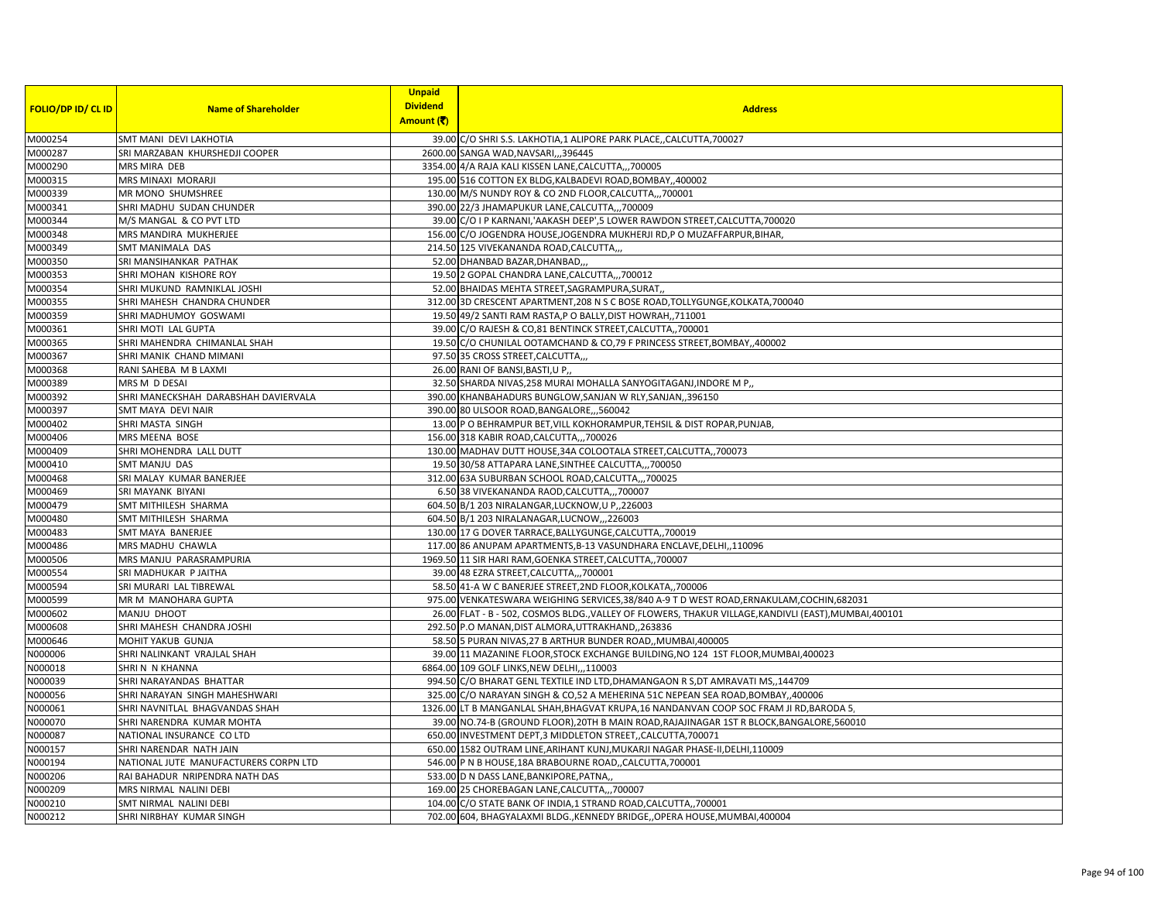| <b>FOLIO/DP ID/ CL ID</b> | <b>Name of Shareholder</b>            | <b>Unpaid</b><br><b>Dividend</b><br>Amount (そ) | <b>Address</b>                                                                                         |
|---------------------------|---------------------------------------|------------------------------------------------|--------------------------------------------------------------------------------------------------------|
| M000254                   | SMT MANI DEVI LAKHOTIA                |                                                | 39.00 C/O SHRI S.S. LAKHOTIA,1 ALIPORE PARK PLACE,,CALCUTTA,700027                                     |
| M000287                   | SRI MARZABAN KHURSHEDJI COOPER        |                                                | 2600.00 SANGA WAD, NAVSARI,,,396445                                                                    |
| M000290                   | MRS MIRA DEB                          |                                                | 3354.00 4/A RAJA KALI KISSEN LANE, CALCUTTA,,,700005                                                   |
| M000315                   | MRS MINAXI MORARJI                    |                                                | 195.00 516 COTTON EX BLDG, KALBADEVI ROAD, BOMBAY, ,400002                                             |
| M000339                   | MR MONO SHUMSHREE                     |                                                | 130.00 M/S NUNDY ROY & CO 2ND FLOOR, CALCUTTA,, 700001                                                 |
| M000341                   | SHRI MADHU SUDAN CHUNDER              |                                                | 390.00 22/3 JHAMAPUKUR LANE, CALCUTTA,,, 700009                                                        |
| M000344                   | M/S MANGAL & CO PVT LTD               |                                                | 39.00 C/O I P KARNANI, AAKASH DEEP', 5 LOWER RAWDON STREET, CALCUTTA, 700020                           |
| M000348                   | MRS MANDIRA MUKHERJEE                 |                                                | 156.00 C/O JOGENDRA HOUSE, JOGENDRA MUKHERJI RD, P O MUZAFFARPUR, BIHAR,                               |
| M000349                   | SMT MANIMALA DAS                      |                                                | 214.50 125 VIVEKANANDA ROAD, CALCUTTA,,,                                                               |
| M000350                   | SRI MANSIHANKAR PATHAK                |                                                | 52.00 DHANBAD BAZAR, DHANBAD,,                                                                         |
| M000353                   | SHRI MOHAN KISHORE ROY                |                                                | 19.50 2 GOPAL CHANDRA LANE, CALCUTTA,,, 700012                                                         |
| M000354                   | SHRI MUKUND RAMNIKLAL JOSHI           |                                                | 52.00 BHAIDAS MEHTA STREET, SAGRAMPURA, SURAT,                                                         |
| M000355                   | SHRI MAHESH CHANDRA CHUNDER           |                                                | 312.00 3D CRESCENT APARTMENT, 208 N S C BOSE ROAD, TOLLYGUNGE, KOLKATA, 700040                         |
| M000359                   | SHRI MADHUMOY GOSWAMI                 |                                                | 19.50 49/2 SANTI RAM RASTA, P O BALLY, DIST HOWRAH,, 711001                                            |
| M000361                   | SHRI MOTI LAL GUPTA                   |                                                | 39.00 C/O RAJESH & CO,81 BENTINCK STREET, CALCUTTA,, 700001                                            |
| M000365                   | SHRI MAHENDRA CHIMANLAL SHAH          |                                                | 19.50 C/O CHUNILAL OOTAMCHAND & CO, 79 F PRINCESS STREET, BOMBAY, 400002                               |
| M000367                   | SHRI MANIK CHAND MIMANI               |                                                | 97.50 35 CROSS STREET, CALCUTTA,,,                                                                     |
| M000368                   | RANI SAHEBA M B LAXMI                 |                                                | 26.00 RANI OF BANSI, BASTI, U P,                                                                       |
| M000389                   | MRS M D DESAI                         |                                                | 32.50 SHARDA NIVAS, 258 MURAI MOHALLA SANYOGITAGANJ, INDORE M P.,                                      |
| M000392                   | SHRI MANECKSHAH DARABSHAH DAVIERVALA  |                                                | 390.00 KHANBAHADURS BUNGLOW, SANJAN W RLY, SANJAN,, 396150                                             |
| M000397                   | SMT MAYA DEVI NAIR                    |                                                | 390.00 80 ULSOOR ROAD, BANGALORE, ,,560042                                                             |
| M000402                   | SHRI MASTA SINGH                      |                                                | 13.00 P O BEHRAMPUR BET, VILL KOKHORAMPUR, TEHSIL & DIST ROPAR, PUNJAB,                                |
| M000406                   | MRS MEENA BOSE                        |                                                | 156.00 318 KABIR ROAD, CALCUTTA, 700026                                                                |
| M000409                   | SHRI MOHENDRA LALL DUTT               |                                                | 130.00 MADHAV DUTT HOUSE, 34A COLOOTALA STREET, CALCUTTA,, 700073                                      |
| M000410                   | <b>SMT MANJU DAS</b>                  |                                                | 19.50 30/58 ATTAPARA LANE, SINTHEE CALCUTTA,,,700050                                                   |
| M000468                   | SRI MALAY KUMAR BANERJEE              |                                                | 312.00 63A SUBURBAN SCHOOL ROAD, CALCUTTA,,,700025                                                     |
| M000469                   | SRI MAYANK BIYANI                     |                                                | 6.50 38 VIVEKANANDA RAOD, CALCUTTA,,, 700007                                                           |
| M000479                   | SMT MITHILESH SHARMA                  |                                                | 604.50 B/1 203 NIRALANGAR, LUCKNOW, U P,, 226003                                                       |
| M000480                   | SMT MITHILESH SHARMA                  |                                                | 604.50 B/1 203 NIRALANAGAR, LUCNOW, ,, 226003                                                          |
| M000483                   | SMT MAYA BANERJEE                     |                                                | 130.00 17 G DOVER TARRACE, BALLYGUNGE, CALCUTTA,, 700019                                               |
| M000486                   | MRS MADHU CHAWLA                      |                                                | 117.00 86 ANUPAM APARTMENTS, B-13 VASUNDHARA ENCLAVE, DELHI, , 110096                                  |
| M000506                   | MRS MANJU PARASRAMPURIA               |                                                | 1969.50 11 SIR HARI RAM, GOENKA STREET, CALCUTTA,, 700007                                              |
| M000554                   | SRI MADHUKAR P JAITHA                 |                                                | 39.00 48 EZRA STREET, CALCUTTA,,, 700001                                                               |
| M000594                   | SRI MURARI LAL TIBREWAL               |                                                | 58.50 41-A W C BANERJEE STREET, 2ND FLOOR, KOLKATA,, 700006                                            |
| M000599                   | MR M MANOHARA GUPTA                   |                                                | 975.00 VENKATESWARA WEIGHING SERVICES, 38/840 A-9 T D WEST ROAD, ERNAKULAM, COCHIN, 682031             |
| M000602                   | MANJU DHOOT                           |                                                | 26.00 FLAT - B - 502, COSMOS BLDG., VALLEY OF FLOWERS, THAKUR VILLAGE, KANDIVLI (EAST), MUMBAI, 400101 |
| M000608                   | SHRI MAHESH CHANDRA JOSHI             |                                                | 292.50 P.O MANAN, DIST ALMORA, UTTRAKHAND, 263836                                                      |
| M000646                   | MOHIT YAKUB GUNJA                     |                                                | 58.50 5 PURAN NIVAS, 27 B ARTHUR BUNDER ROAD,, MUMBAI, 400005                                          |
| N000006                   | SHRI NALINKANT VRAJLAL SHAH           |                                                | 39.00 11 MAZANINE FLOOR, STOCK EXCHANGE BUILDING, NO 124 1ST FLOOR, MUMBAI, 400023                     |
| N000018                   | SHRIN N KHANNA                        |                                                | 6864.00 109 GOLF LINKS, NEW DELHI,,,110003                                                             |
| N000039                   | SHRI NARAYANDAS BHATTAR               |                                                | 994.50 C/O BHARAT GENL TEXTILE IND LTD, DHAMANGAON R S, DT AMRAVATI MS, ,144709                        |
| N000056                   | SHRI NARAYAN SINGH MAHESHWARI         |                                                | 325.00 C/O NARAYAN SINGH & CO,52 A MEHERINA 51C NEPEAN SEA ROAD, BOMBAY, 400006                        |
| N000061                   | SHRI NAVNITLAL BHAGVANDAS SHAH        |                                                | 1326.00 LT B MANGANLAL SHAH, BHAGVAT KRUPA, 16 NANDANVAN COOP SOC FRAM JI RD, BARODA 5                 |
| N000070                   | SHRI NARENDRA KUMAR MOHTA             |                                                | 39.00 NO.74-B (GROUND FLOOR), 20TH B MAIN ROAD, RAJAJINAGAR 1ST R BLOCK, BANGALORE, 560010             |
| N000087                   | NATIONAL INSURANCE CO LTD             |                                                | 650.00 INVESTMENT DEPT,3 MIDDLETON STREET, CALCUTTA, 700071                                            |
| N000157                   | SHRI NARENDAR NATH JAIN               |                                                | 650.00 1582 OUTRAM LINE, ARIHANT KUNJ, MUKARJI NAGAR PHASE-II, DELHI, 110009                           |
| N000194                   | NATIONAL JUTE MANUFACTURERS CORPN LTD |                                                | 546.00 P N B HOUSE, 18A BRABOURNE ROAD, CALCUTTA, 700001                                               |
| N000206                   | RAI BAHADUR NRIPENDRA NATH DAS        |                                                | 533.00 D N DASS LANE, BANKIPORE, PATNA,                                                                |
| N000209                   | MRS NIRMAL NALINI DEBI                |                                                | 169.00 25 CHOREBAGAN LANE, CALCUTTA,,,700007                                                           |
| N000210                   | SMT NIRMAL NALINI DEBI                |                                                | 104.00 C/O STATE BANK OF INDIA,1 STRAND ROAD, CALCUTTA,, 700001                                        |
| N000212                   | SHRI NIRBHAY KUMAR SINGH              |                                                | 702.00 604, BHAGYALAXMI BLDG., KENNEDY BRIDGE, OPERA HOUSE, MUMBAI, 400004                             |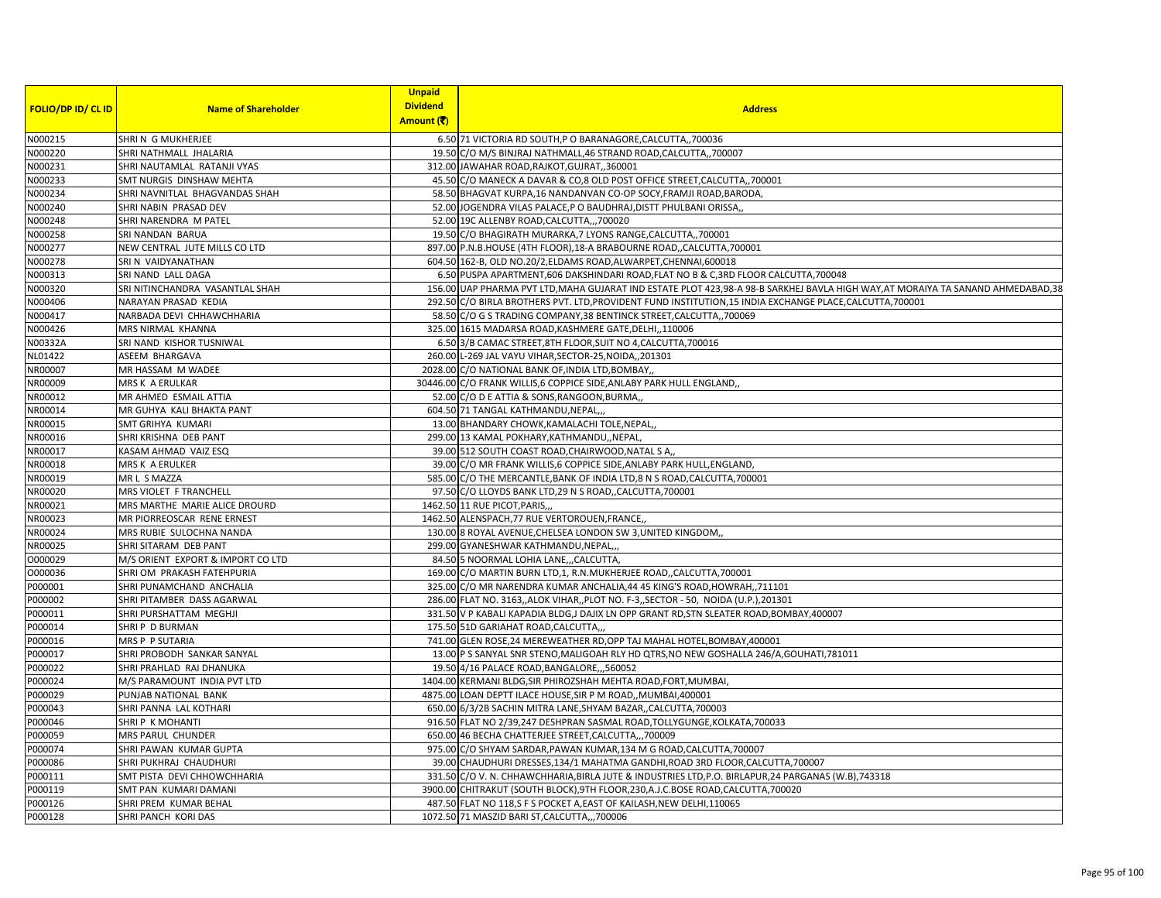|                           |                                   | <b>Unpaid</b>   |                                                                                                                                  |
|---------------------------|-----------------------------------|-----------------|----------------------------------------------------------------------------------------------------------------------------------|
| <b>FOLIO/DP ID/ CL ID</b> | <b>Name of Shareholder</b>        | <b>Dividend</b> | <b>Address</b>                                                                                                                   |
|                           |                                   | Amount (そ)      |                                                                                                                                  |
| N000215                   | SHRIN G MUKHERJEE                 |                 | 6.50 71 VICTORIA RD SOUTH, P O BARANAGORE, CALCUTTA,, 700036                                                                     |
| N000220                   | SHRI NATHMALL JHALARIA            |                 | 19.50 C/O M/S BINJRAJ NATHMALL,46 STRAND ROAD,CALCUTTA,,700007                                                                   |
| N000231                   | SHRI NAUTAMLAL RATANJI VYAS       |                 | 312.00 JAWAHAR ROAD, RAJKOT, GUJRAT, 360001                                                                                      |
| N000233                   | SMT NURGIS DINSHAW MEHTA          |                 | 45.50 C/O MANECK A DAVAR & CO,8 OLD POST OFFICE STREET, CALCUTTA,, 700001                                                        |
| N000234                   | SHRI NAVNITLAL BHAGVANDAS SHAH    |                 | 58.50 BHAGVAT KURPA,16 NANDANVAN CO-OP SOCY, FRAMJI ROAD, BARODA,                                                                |
| N000240                   | SHRI NABIN PRASAD DEV             |                 | 52.00 JOGENDRA VILAS PALACE, P O BAUDHRAJ, DISTT PHULBANI ORISSA,                                                                |
| N000248                   | SHRI NARENDRA M PATEL             |                 | 52.00 19C ALLENBY ROAD, CALCUTTA,,, 700020                                                                                       |
| N000258                   | SRI NANDAN BARUA                  |                 | 19.50 C/O BHAGIRATH MURARKA, 7 LYONS RANGE, CALCUTTA, 700001                                                                     |
| N000277                   | NEW CENTRAL JUTE MILLS CO LTD     |                 | 897.00 P.N.B.HOUSE (4TH FLOOR), 18-A BRABOURNE ROAD,, CALCUTTA, 700001                                                           |
| N000278                   | SRI N VAIDYANATHAN                |                 | 604.50 162-B, OLD NO.20/2, ELDAMS ROAD, ALWARPET, CHENNAI, 600018                                                                |
| N000313                   | SRI NAND LALL DAGA                |                 | 6.50 PUSPA APARTMENT, 606 DAKSHINDARI ROAD, FLAT NO B & C, 3RD FLOOR CALCUTTA, 700048                                            |
| N000320                   | SRI NITINCHANDRA VASANTLAL SHAH   |                 | 156.00 UAP PHARMA PVT LTD, MAHA GUJARAT IND ESTATE PLOT 423,98-A 98-B SARKHEJ BAVLA HIGH WAY, AT MORAIYA TA SANAND AHMEDABAD, 38 |
| N000406                   | NARAYAN PRASAD KEDIA              |                 | 292.50 C/O BIRLA BROTHERS PVT. LTD, PROVIDENT FUND INSTITUTION, 15 INDIA EXCHANGE PLACE, CALCUTTA, 700001                        |
| N000417                   | NARBADA DEVI CHHAWCHHARIA         |                 | 58.50 C/O G S TRADING COMPANY, 38 BENTINCK STREET, CALCUTTA, 700069                                                              |
| N000426                   | MRS NIRMAL KHANNA                 |                 | 325.00 1615 MADARSA ROAD, KASHMERE GATE, DELHI, ,110006                                                                          |
| N00332A                   | SRI NAND KISHOR TUSNIWAL          |                 | 6.50 3/B CAMAC STREET, 8TH FLOOR, SUIT NO 4, CALCUTTA, 700016                                                                    |
| NL01422                   | ASEEM BHARGAVA                    |                 | 260.00 L-269 JAL VAYU VIHAR, SECTOR-25, NOIDA,, 201301                                                                           |
| NR00007                   | MR HASSAM M WADEE                 |                 | 2028.00 C/O NATIONAL BANK OF, INDIA LTD, BOMBAY,                                                                                 |
| NR00009                   | MRS K A ERULKAR                   |                 | 30446.00 C/O FRANK WILLIS,6 COPPICE SIDE, ANLABY PARK HULL ENGLAND,                                                              |
| NR00012                   | MR AHMED ESMAIL ATTIA             |                 | 52.00 C/O D E ATTIA & SONS, RANGOON, BURMA,                                                                                      |
| NR00014                   | MR GUHYA KALI BHAKTA PANT         |                 | 604.50 71 TANGAL KATHMANDU, NEPAL,,                                                                                              |
| NR00015                   | SMT GRIHYA KUMARI                 |                 | 13.00 BHANDARY CHOWK, KAMALACHI TOLE, NEPAL,                                                                                     |
| NR00016                   | SHRI KRISHNA DEB PANT             |                 | 299.00 13 KAMAL POKHARY, KATHMANDU, , NEPAL                                                                                      |
| NR00017                   | KASAM AHMAD VAIZ ESQ              |                 | 39.00 512 SOUTH COAST ROAD, CHAIRWOOD, NATAL S A,                                                                                |
| NR00018                   | <b>MRS K A ERULKER</b>            |                 | 39.00 C/O MR FRANK WILLIS,6 COPPICE SIDE, ANLABY PARK HULL, ENGLAND,                                                             |
| NR00019                   | MR L S MAZZA                      |                 | 585.00 C/O THE MERCANTLE, BANK OF INDIA LTD, 8 N S ROAD, CALCUTTA, 700001                                                        |
| NR00020                   | MRS VIOLET F TRANCHELL            |                 | 97.50 C/O LLOYDS BANK LTD,29 N S ROAD,, CALCUTTA, 700001                                                                         |
| NR00021                   | MRS MARTHE MARIE ALICE DROURD     |                 | 1462.50 11 RUE PICOT, PARIS,,,                                                                                                   |
| NR00023                   | MR PIORREOSCAR RENE ERNEST        |                 | 1462.50 ALENSPACH, 77 RUE VERTOROUEN, FRANCE,                                                                                    |
| NR00024                   | MRS RUBIE SULOCHNA NANDA          |                 | 130.00 8 ROYAL AVENUE, CHELSEA LONDON SW 3, UNITED KINGDOM,                                                                      |
| NR00025                   | SHRI SITARAM DEB PANT             |                 | 299.00 GYANESHWAR KATHMANDU, NEPAL,,                                                                                             |
| 0000029                   | M/S ORIENT EXPORT & IMPORT CO LTD |                 | 84.50 5 NOORMAL LOHIA LANE, ,CALCUTTA                                                                                            |
| 0000036                   | SHRI OM PRAKASH FATEHPURIA        |                 | 169.00 C/O MARTIN BURN LTD,1, R.N.MUKHERJEE ROAD,,CALCUTTA,700001                                                                |
| P000001                   | SHRI PUNAMCHAND ANCHALIA          |                 | 325.00 C/O MR NARENDRA KUMAR ANCHALIA, 44 45 KING'S ROAD, HOWRAH, ,711101                                                        |
| P000002                   | SHRI PITAMBER DASS AGARWAL        |                 | 286.00 FLAT NO. 3163, ALOK VIHAR, PLOT NO. F-3, SECTOR - 50, NOIDA (U.P.), 201301                                                |
| P000011                   | SHRI PURSHATTAM MEGHJI            |                 | 331.50 V P KABALI KAPADIA BLDG, J DAJIX LN OPP GRANT RD, STN SLEATER ROAD, BOMBAY, 400007                                        |
| P000014                   | SHRIP D BURMAN                    |                 | 175.50 51D GARIAHAT ROAD, CALCUTTA,                                                                                              |
| P000016                   | MRS P P SUTARIA                   |                 | 741.00 GLEN ROSE, 24 MEREWEATHER RD, OPP TAJ MAHAL HOTEL, BOMBAY, 400001                                                         |
| P000017                   | SHRI PROBODH SANKAR SANYAL        |                 | 13.00 P S SANYAL SNR STENO, MALIGOAH RLY HD QTRS, NO NEW GOSHALLA 246/A, GOUHATI, 781011                                         |
| P000022                   | SHRI PRAHLAD RAI DHANUKA          |                 | 19.50 4/16 PALACE ROAD, BANGALORE, ,,560052                                                                                      |
| P000024                   | M/S PARAMOUNT INDIA PVT LTD       |                 | 1404.00 KERMANI BLDG, SIR PHIROZSHAH MEHTA ROAD, FORT, MUMBAI,                                                                   |
| P000029                   | PUNJAB NATIONAL BANK              |                 | 4875.00 LOAN DEPTT ILACE HOUSE, SIR P M ROAD, MUMBAI, 400001                                                                     |
| P000043                   | SHRI PANNA LAL KOTHARI            |                 | 650.00 6/3/2B SACHIN MITRA LANE, SHYAM BAZAR, , CALCUTTA, 700003                                                                 |
| P000046                   | SHRIP K MOHANTI                   |                 | 916.50 FLAT NO 2/39,247 DESHPRAN SASMAL ROAD, TOLLYGUNGE, KOLKATA, 700033                                                        |
| P000059                   | MRS PARUL CHUNDER                 |                 | 650.00 46 BECHA CHATTERJEE STREET, CALCUTTA,,, 700009                                                                            |
| P000074                   | SHRI PAWAN KUMAR GUPTA            |                 | 975.00 C/O SHYAM SARDAR, PAWAN KUMAR, 134 M G ROAD, CALCUTTA, 700007                                                             |
| P000086                   | SHRI PUKHRAJ CHAUDHURI            |                 | 39.00 CHAUDHURI DRESSES, 134/1 MAHATMA GANDHI, ROAD 3RD FLOOR, CALCUTTA, 700007                                                  |
| P000111                   | SMT PISTA DEVI CHHOWCHHARIA       |                 | 331.50 C/O V. N. CHHAWCHHARIA, BIRLA JUTE & INDUSTRIES LTD, P.O. BIRLAPUR, 24 PARGANAS (W.B), 743318                             |
| P000119                   | SMT PAN KUMARI DAMANI             |                 | 3900.00 CHITRAKUT (SOUTH BLOCK), 9TH FLOOR, 230, A.J.C.BOSE ROAD, CALCUTTA, 700020                                               |
| P000126                   | SHRI PREM KUMAR BEHAL             |                 | 487.50 FLAT NO 118,S F S POCKET A, EAST OF KAILASH, NEW DELHI, 110065                                                            |
| P000128                   | SHRI PANCH KORI DAS               |                 | 1072.50 71 MASZID BARI ST, CALCUTTA,, ,700006                                                                                    |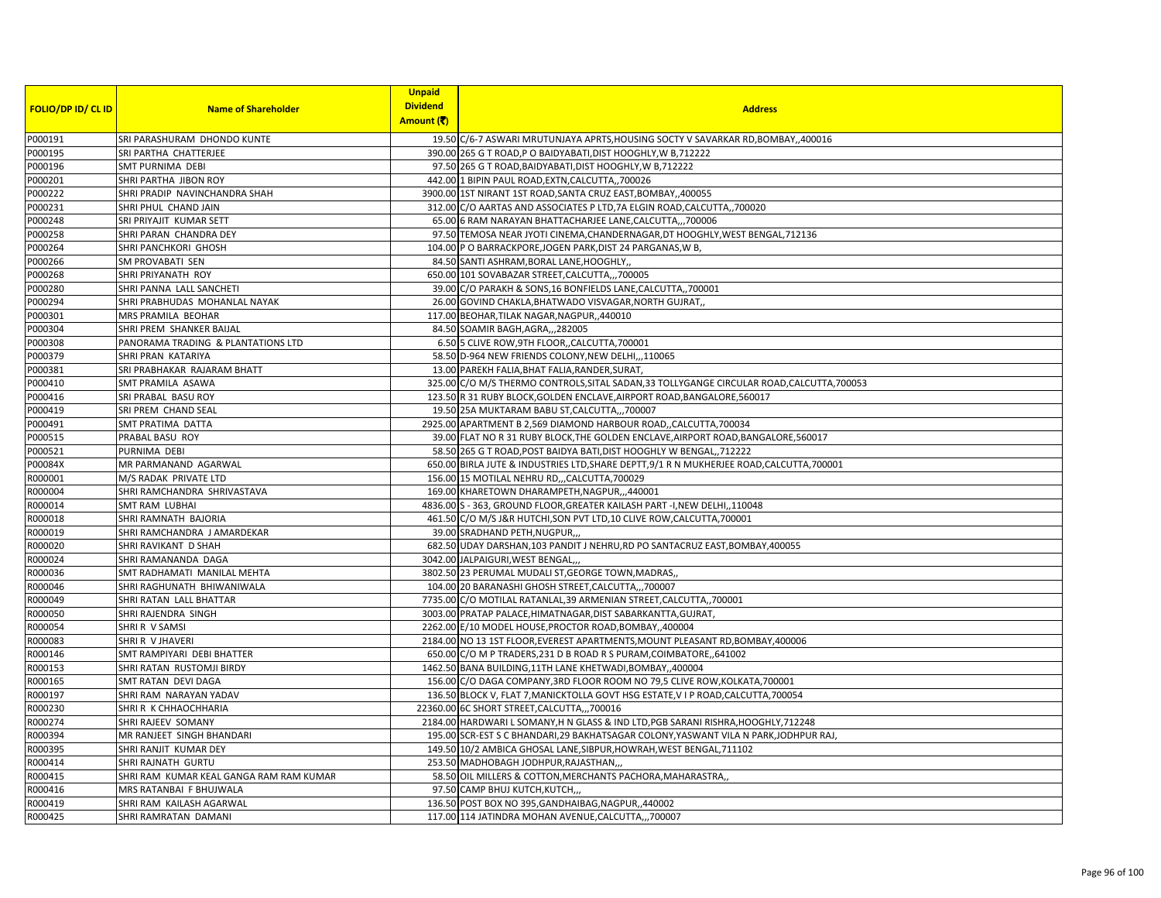|                           |                                         | <b>Unpaid</b><br><b>Dividend</b> |                                                                                            |
|---------------------------|-----------------------------------------|----------------------------------|--------------------------------------------------------------------------------------------|
| <b>FOLIO/DP ID/ CL ID</b> | <b>Name of Shareholder</b>              | Amount (そ)                       | <b>Address</b>                                                                             |
| P000191                   | SRI PARASHURAM DHONDO KUNTE             |                                  | 19.50 C/6-7 ASWARI MRUTUNJAYA APRTS, HOUSING SOCTY V SAVARKAR RD, BOMBAY, 400016           |
| P000195                   | SRI PARTHA CHATTERJEE                   |                                  | 390.00 265 G T ROAD, P O BAIDYABATI, DIST HOOGHLY, W B, 712222                             |
| P000196                   | SMT PURNIMA DEBI                        |                                  | 97.50 265 G T ROAD, BAIDYABATI, DIST HOOGHLY, W B, 712222                                  |
| P000201                   | SHRI PARTHA JIBON ROY                   |                                  | 442.00 1 BIPIN PAUL ROAD, EXTN, CALCUTTA,, 700026                                          |
| P000222                   | SHRI PRADIP NAVINCHANDRA SHAH           |                                  | 3900.00 1ST NIRANT 1ST ROAD, SANTA CRUZ EAST, BOMBAY, ,400055                              |
| P000231                   | SHRI PHUL CHAND JAIN                    |                                  | 312.00 C/O AARTAS AND ASSOCIATES P LTD, 7A ELGIN ROAD, CALCUTTA, 700020                    |
| P000248                   | SRI PRIYAJIT KUMAR SETT                 |                                  | 65.00 6 RAM NARAYAN BHATTACHARJEE LANE, CALCUTTA,,,700006                                  |
| P000258                   | SHRI PARAN CHANDRA DEY                  |                                  | 97.50 TEMOSA NEAR JYOTI CINEMA, CHANDERNAGAR, DT HOOGHLY, WEST BENGAL, 712136              |
| P000264                   | SHRI PANCHKORI GHOSH                    |                                  | 104.00 P O BARRACKPORE, JOGEN PARK, DIST 24 PARGANAS, W B,                                 |
| P000266                   | SM PROVABATI SEN                        |                                  | 84.50 SANTI ASHRAM, BORAL LANE, HOOGHLY,                                                   |
| P000268                   | SHRI PRIYANATH ROY                      |                                  | 650.00 101 SOVABAZAR STREET, CALCUTTA,,,700005                                             |
| P000280                   | SHRI PANNA LALL SANCHETI                |                                  | 39.00 C/O PARAKH & SONS, 16 BONFIELDS LANE, CALCUTTA,, 700001                              |
| P000294                   | SHRI PRABHUDAS MOHANLAL NAYAK           |                                  | 26.00 GOVIND CHAKLA, BHATWADO VISVAGAR, NORTH GUJRAT,                                      |
| P000301                   | MRS PRAMILA BEOHAR                      |                                  | 117.00 BEOHAR, TILAK NAGAR, NAGPUR, 440010                                                 |
| P000304                   | SHRI PREM SHANKER BAIJAL                |                                  | 84.50 SOAMIR BAGH, AGRA,, 282005                                                           |
| P000308                   | PANORAMA TRADING & PLANTATIONS LTD      |                                  | 6.50 5 CLIVE ROW, 9TH FLOOR, CALCUTTA, 700001                                              |
| P000379                   | SHRI PRAN KATARIYA                      |                                  | 58.50 D-964 NEW FRIENDS COLONY, NEW DELHI,,,110065                                         |
| P000381                   | SRI PRABHAKAR RAJARAM BHATT             |                                  | 13.00 PAREKH FALIA, BHAT FALIA, RANDER, SURAT,                                             |
| P000410                   | SMT PRAMILA ASAWA                       |                                  | 325.00 C/O M/S THERMO CONTROLS, SITAL SADAN, 33 TOLLYGANGE CIRCULAR ROAD, CALCUTTA, 700053 |
| P000416                   | SRI PRABAL BASU ROY                     |                                  | 123.50 R 31 RUBY BLOCK, GOLDEN ENCLAVE, AIRPORT ROAD, BANGALORE, 560017                    |
| P000419                   | SRI PREM CHAND SEAL                     |                                  | 19.50 25A MUKTARAM BABU ST, CALCUTTA,,, 700007                                             |
| P000491                   | SMT PRATIMA DATTA                       |                                  | 2925.00 APARTMENT B 2,569 DIAMOND HARBOUR ROAD, CALCUTTA, 700034                           |
| P000515                   | PRABAL BASU ROY                         |                                  | 39.00 FLAT NO R 31 RUBY BLOCK, THE GOLDEN ENCLAVE, AIRPORT ROAD, BANGALORE, 560017         |
| P000521                   | PURNIMA DEBI                            |                                  | 58.50 265 G T ROAD, POST BAIDYA BATI, DIST HOOGHLY W BENGAL, 712222                        |
| P00084X                   | MR PARMANAND AGARWAL                    |                                  | 650.00 BIRLA JUTE & INDUSTRIES LTD, SHARE DEPTT, 9/1 R N MUKHERJEE ROAD, CALCUTTA, 700001  |
| R000001                   | M/S RADAK PRIVATE LTD                   |                                  | 156.00 15 MOTILAL NEHRU RD,,,CALCUTTA,700029                                               |
| R000004                   | SHRI RAMCHANDRA SHRIVASTAVA             |                                  | 169.00 KHARETOWN DHARAMPETH, NAGPUR, ,,440001                                              |
| R000014                   | SMT RAM LUBHAI                          |                                  | 4836.00 S - 363, GROUND FLOOR, GREATER KAILASH PART -I, NEW DELHI, , 110048                |
| R000018                   | SHRI RAMNATH BAJORIA                    |                                  | 461.50 C/O M/S J&R HUTCHI, SON PVT LTD, 10 CLIVE ROW, CALCUTTA, 700001                     |
| R000019                   | SHRI RAMCHANDRA J AMARDEKAR             |                                  | 39.00 SRADHAND PETH, NUGPUR,                                                               |
| R000020                   | SHRI RAVIKANT D SHAH                    |                                  | 682.50 UDAY DARSHAN, 103 PANDIT J NEHRU, RD PO SANTACRUZ EAST, BOMBAY, 400055              |
| R000024                   | SHRI RAMANANDA DAGA                     |                                  | 3042.00 JALPAIGURI, WEST BENGAL,                                                           |
| R000036                   | SMT RADHAMATI MANILAL MEHTA             |                                  | 3802.50 23 PERUMAL MUDALI ST, GEORGE TOWN, MADRAS,                                         |
| R000046                   | SHRI RAGHUNATH BHIWANIWALA              |                                  | 104.00 20 BARANASHI GHOSH STREET, CALCUTTA,,, 700007                                       |
| R000049                   | SHRI RATAN LALL BHATTAR                 |                                  | 7735.00 C/O MOTILAL RATANLAL, 39 ARMENIAN STREET, CALCUTTA, 700001                         |
| R000050                   | SHRI RAJENDRA SINGH                     |                                  | 3003.00 PRATAP PALACE, HIMATNAGAR, DIST SABARKANTTA, GUJRAT,                               |
| R000054                   | SHRI R V SAMSI                          |                                  | 2262.00 E/10 MODEL HOUSE, PROCTOR ROAD, BOMBAY, ,400004                                    |
| R000083                   | SHRI R V JHAVERI                        |                                  | 2184.00 NO 13 1ST FLOOR, EVEREST APARTMENTS, MOUNT PLEASANT RD, BOMBAY, 400006             |
| R000146                   | SMT RAMPIYARI DEBI BHATTER              |                                  | 650.00 C/O M P TRADERS, 231 D B ROAD R S PURAM, COIMBATORE, 641002                         |
| R000153                   | SHRI RATAN RUSTOMJI BIRDY               |                                  | 1462.50 BANA BUILDING, 11TH LANE KHETWADI, BOMBAY,, 400004                                 |
| R000165                   | SMT RATAN DEVI DAGA                     |                                  | 156.00 C/O DAGA COMPANY, 3RD FLOOR ROOM NO 79,5 CLIVE ROW, KOLKATA, 700001                 |
| R000197                   | SHRI RAM NARAYAN YADAV                  |                                  | 136.50 BLOCK V, FLAT 7, MANICKTOLLA GOVT HSG ESTATE, V I P ROAD, CALCUTTA, 700054          |
| R000230                   | SHRI R K CHHAOCHHARIA                   |                                  | 22360.00 6C SHORT STREET, CALCUTTA,, 700016                                                |
| R000274                   | SHRI RAJEEV SOMANY                      |                                  | 2184.00 HARDWARI L SOMANY, H N GLASS & IND LTD, PGB SARANI RISHRA, HOOGHLY, 712248         |
| R000394                   | MR RANJEET SINGH BHANDARI               |                                  | 195.00 SCR-EST S C BHANDARI, 29 BAKHATSAGAR COLONY, YASWANT VILA N PARK, JODHPUR RAJ,      |
| R000395                   | SHRI RANJIT KUMAR DEY                   |                                  | 149.50 10/2 AMBICA GHOSAL LANE, SIBPUR, HOWRAH, WEST BENGAL, 711102                        |
| R000414                   | SHRI RAJNATH GURTU                      |                                  | 253.50 MADHOBAGH JODHPUR, RAJASTHAN,,,                                                     |
| R000415                   | SHRI RAM KUMAR KEAL GANGA RAM RAM KUMAR |                                  | 58.50 OIL MILLERS & COTTON, MERCHANTS PACHORA, MAHARASTRA,                                 |
| R000416                   | MRS RATANBAI F BHUJWALA                 |                                  | 97.50 CAMP BHUJ KUTCH, KUTCH,,                                                             |
| R000419                   | SHRI RAM KAILASH AGARWAL                |                                  | 136.50 POST BOX NO 395, GANDHAIBAG, NAGPUR, ,440002                                        |
| R000425                   | SHRI RAMRATAN DAMANI                    |                                  | 117.00 114 JATINDRA MOHAN AVENUE, CALCUTTA,,,700007                                        |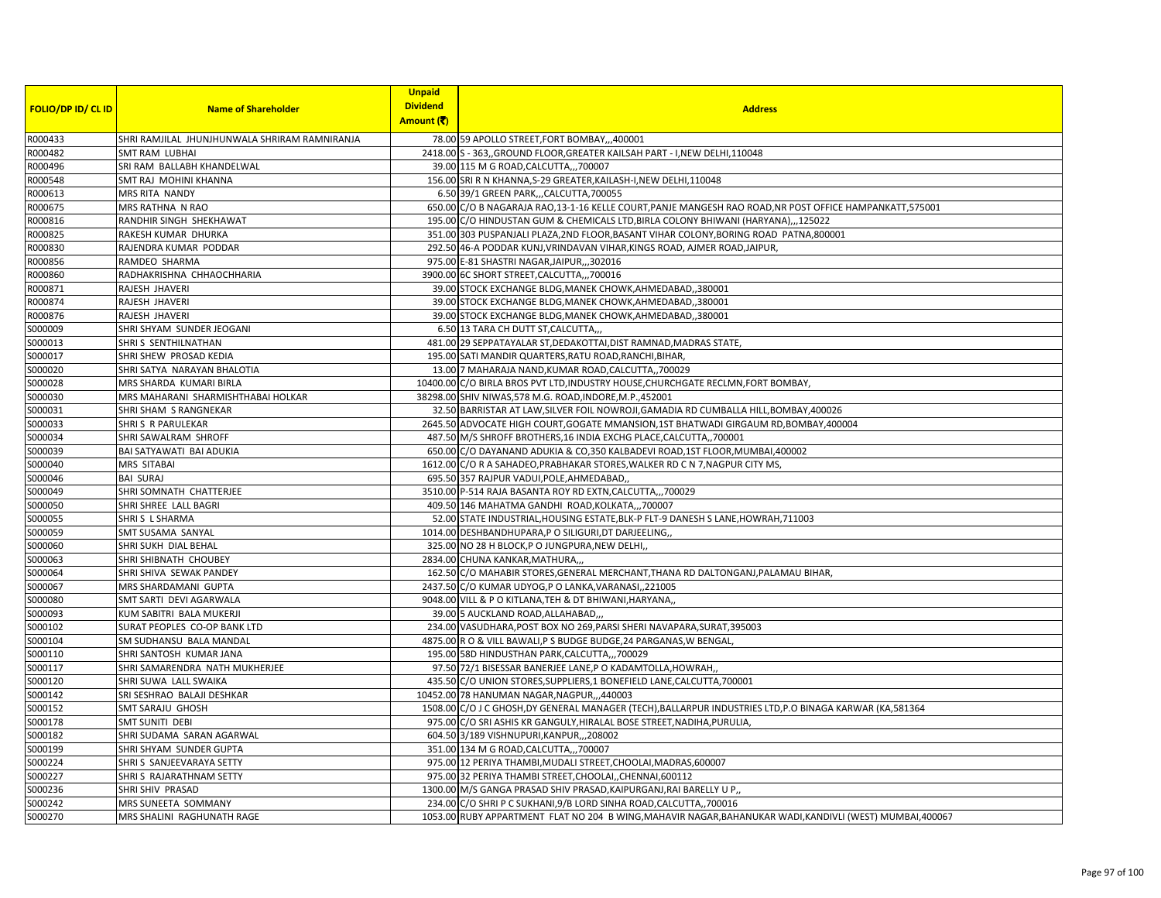| <b>FOLIO/DP ID/ CL ID</b> | <b>Name of Shareholder</b>                    | <b>Unpaid</b><br><b>Dividend</b><br>Amount (そ) | <b>Address</b>                                                                                            |
|---------------------------|-----------------------------------------------|------------------------------------------------|-----------------------------------------------------------------------------------------------------------|
| R000433                   | SHRI RAMJILAL JHUNJHUNWALA SHRIRAM RAMNIRANJA |                                                | 78.00 59 APOLLO STREET, FORT BOMBAY,,,400001                                                              |
| R000482                   | <b>SMT RAM LUBHAI</b>                         |                                                | 2418.00 S - 363, GROUND FLOOR, GREATER KAILSAH PART - I, NEW DELHI, 110048                                |
| R000496                   | SRI RAM BALLABH KHANDELWAL                    |                                                | 39.00 115 M G ROAD, CALCUTTA, ,, 700007                                                                   |
| R000548                   | SMT RAJ MOHINI KHANNA                         |                                                | 156.00 SRI R N KHANNA, S-29 GREATER, KAILASH-I, NEW DELHI, 110048                                         |
| R000613                   | MRS RITA NANDY                                |                                                | 6.50 39/1 GREEN PARK,,,CALCUTTA,700055                                                                    |
| R000675                   | MRS RATHNA N RAO                              |                                                | 650.00 C/O B NAGARAJA RAO, 13-1-16 KELLE COURT, PANJE MANGESH RAO ROAD, NR POST OFFICE HAMPANKATT, 575001 |
| R000816                   | RANDHIR SINGH SHEKHAWAT                       |                                                | 195.00 C/O HINDUSTAN GUM & CHEMICALS LTD, BIRLA COLONY BHIWANI (HARYANA),,,125022                         |
| R000825                   | RAKESH KUMAR DHURKA                           |                                                | 351.00 303 PUSPANJALI PLAZA, 2ND FLOOR, BASANT VIHAR COLONY, BORING ROAD PATNA, 800001                    |
| R000830                   | RAJENDRA KUMAR PODDAR                         |                                                | 292.50 46-A PODDAR KUNJ, VRINDAVAN VIHAR, KINGS ROAD, AJMER ROAD, JAIPUR,                                 |
| R000856                   | RAMDEO SHARMA                                 |                                                | 975.00 E-81 SHASTRI NAGAR, JAIPUR, ,, 302016                                                              |
| R000860                   | RADHAKRISHNA CHHAOCHHARIA                     |                                                | 3900.00 6C SHORT STREET, CALCUTTA,,,700016                                                                |
| R000871                   | RAJESH JHAVERI                                |                                                | 39.00 STOCK EXCHANGE BLDG, MANEK CHOWK, AHMEDABAD, ,380001                                                |
| R000874                   | RAJESH JHAVERI                                |                                                | 39.00 STOCK EXCHANGE BLDG, MANEK CHOWK, AHMEDABAD, ,380001                                                |
| R000876                   | RAJESH JHAVERI                                |                                                | 39.00 STOCK EXCHANGE BLDG, MANEK CHOWK, AHMEDABAD, 380001                                                 |
| S000009                   | SHRI SHYAM SUNDER JEOGANI                     |                                                | 6.50 13 TARA CH DUTT ST, CALCUTTA,                                                                        |
| S000013                   | SHRIS SENTHILNATHAN                           |                                                | 481.00 29 SEPPATAYALAR ST, DEDAKOTTAI, DIST RAMNAD, MADRAS STATE,                                         |
| S000017                   | SHRI SHEW PROSAD KEDIA                        |                                                | 195.00 SATI MANDIR QUARTERS, RATU ROAD, RANCHI, BIHAR,                                                    |
| S000020                   | SHRI SATYA NARAYAN BHALOTIA                   |                                                | 13.00 7 MAHARAJA NAND, KUMAR ROAD, CALCUTTA,, 700029                                                      |
| S000028                   | MRS SHARDA KUMARI BIRLA                       |                                                | 10400.00 C/O BIRLA BROS PVT LTD, INDUSTRY HOUSE, CHURCHGATE RECLMN, FORT BOMBAY,                          |
| S000030                   | MRS MAHARANI SHARMISHTHABAI HOLKAR            |                                                | 38298.00 SHIV NIWAS, 578 M.G. ROAD, INDORE, M.P., 452001                                                  |
| S000031                   | SHRI SHAM S RANGNEKAR                         |                                                | 32.50 BARRISTAR AT LAW, SILVER FOIL NOWROJI, GAMADIA RD CUMBALLA HILL, BOMBAY, 400026                     |
| S000033                   | SHRIS R PARULEKAR                             |                                                | 2645.50 ADVOCATE HIGH COURT, GOGATE MMANSION, 1ST BHATWADI GIRGAUM RD, BOMBAY, 400004                     |
| S000034                   | SHRI SAWALRAM SHROFF                          |                                                | 487.50 M/S SHROFF BROTHERS, 16 INDIA EXCHG PLACE, CALCUTTA, 700001                                        |
| S000039                   | BAI SATYAWATI BAI ADUKIA                      |                                                | 650.00 C/O DAYANAND ADUKIA & CO,350 KALBADEVI ROAD,1ST FLOOR, MUMBAI, 400002                              |
| S000040                   | MRS SITABAI                                   |                                                | 1612.00 C/O R A SAHADEO, PRABHAKAR STORES, WALKER RD C N 7, NAGPUR CITY MS,                               |
| S000046                   | <b>BAI SURAJ</b>                              |                                                | 695.50 357 RAJPUR VADUI, POLE, AHMEDABAD,                                                                 |
| S000049                   | SHRI SOMNATH CHATTERJEE                       |                                                | 3510.00 P-514 RAJA BASANTA ROY RD EXTN, CALCUTTA,,, 700029                                                |
| S000050                   | SHRI SHREE LALL BAGRI                         |                                                | 409.50 146 MAHATMA GANDHI ROAD, KOLKATA,,,700007                                                          |
| S000055                   | SHRIS L SHARMA                                |                                                | 52.00 STATE INDUSTRIAL, HOUSING ESTATE, BLK-P FLT-9 DANESH S LANE, HOWRAH, 711003                         |
| S000059                   | SMT SUSAMA SANYAL                             |                                                | 1014.00 DESHBANDHUPARA,P O SILIGURI,DT DARJEELING,                                                        |
| S000060                   | SHRI SUKH DIAL BEHAL                          |                                                | 325.00 NO 28 H BLOCK, P O JUNGPURA, NEW DELHI,                                                            |
| S000063                   | SHRI SHIBNATH CHOUBEY                         |                                                | 2834.00 CHUNA KANKAR, MATHURA,,                                                                           |
| S000064                   | SHRI SHIVA SEWAK PANDEY                       |                                                | 162.50 C/O MAHABIR STORES, GENERAL MERCHANT, THANA RD DALTONGANJ, PALAMAU BIHAR,                          |
| S000067                   | MRS SHARDAMANI GUPTA                          |                                                | 2437.50 C/O KUMAR UDYOG,P O LANKA, VARANASI, 221005                                                       |
| S000080                   | SMT SARTI DEVI AGARWALA                       |                                                | 9048.00 VILL & P O KITLANA, TEH & DT BHIWANI, HARYANA,                                                    |
| S000093                   | KUM SABITRI BALA MUKERJI                      |                                                | 39.00 5 AUCKLAND ROAD, ALLAHABAD,,,                                                                       |
| S000102                   | SURAT PEOPLES CO-OP BANK LTD                  |                                                | 234.00 VASUDHARA, POST BOX NO 269, PARSI SHERI NAVAPARA, SURAT, 395003                                    |
| S000104                   | SM SUDHANSU BALA MANDAL                       |                                                | 4875.00 R O & VILL BAWALI, P S BUDGE BUDGE, 24 PARGANAS, W BENGAL,                                        |
| S000110                   | SHRI SANTOSH KUMAR JANA                       |                                                | 195.00 58D HINDUSTHAN PARK, CALCUTTA,, 700029                                                             |
| S000117                   | SHRI SAMARENDRA NATH MUKHERJEE                |                                                | 97.50 72/1 BISESSAR BANERJEE LANE,P O KADAMTOLLA,HOWRAH,                                                  |
| S000120                   | SHRI SUWA LALL SWAIKA                         |                                                | 435.50 C/O UNION STORES, SUPPLIERS, 1 BONEFIELD LANE, CALCUTTA, 700001                                    |
| S000142                   | SRI SESHRAO BALAJI DESHKAR                    |                                                | 10452.00 78 HANUMAN NAGAR, NAGPUR, ,,440003                                                               |
| S000152                   | SMT SARAJU GHOSH                              |                                                | 1508.00 C/O J C GHOSH, DY GENERAL MANAGER (TECH), BALLARPUR INDUSTRIES LTD, P.O BINAGA KARWAR (KA, 581364 |
| S000178                   | <b>SMT SUNITI DEBI</b>                        |                                                | 975.00 C/O SRI ASHIS KR GANGULY, HIRALAL BOSE STREET, NADIHA, PURULIA                                     |
| S000182                   | SHRI SUDAMA SARAN AGARWAL                     |                                                | 604.50 3/189 VISHNUPURI, KANPUR, ,, 208002                                                                |
| S000199                   | SHRI SHYAM SUNDER GUPTA                       |                                                | 351.00 134 M G ROAD, CALCUTTA,,, 700007                                                                   |
| S000224                   | SHRI S SANJEEVARAYA SETTY                     |                                                | 975.00 12 PERIYA THAMBI, MUDALI STREET, CHOOLAI, MADRAS, 600007                                           |
| S000227                   | SHRI S RAJARATHNAM SETTY                      |                                                | 975.00 32 PERIYA THAMBI STREET, CHOOLAI, CHENNAI, 600112                                                  |
| S000236                   | SHRI SHIV PRASAD                              |                                                | 1300.00 M/S GANGA PRASAD SHIV PRASAD, KAIPURGANJ, RAI BARELLY U P,                                        |
| S000242                   | MRS SUNEETA SOMMANY                           |                                                | 234.00 C/O SHRI P C SUKHANI, 9/B LORD SINHA ROAD, CALCUTTA,, 700016                                       |
| S000270                   | MRS SHALINI RAGHUNATH RAGE                    |                                                | 1053.00 RUBY APPARTMENT FLAT NO 204 B WING, MAHAVIR NAGAR, BAHANUKAR WADI, KANDIVLI (WEST) MUMBAI, 400067 |
|                           |                                               |                                                |                                                                                                           |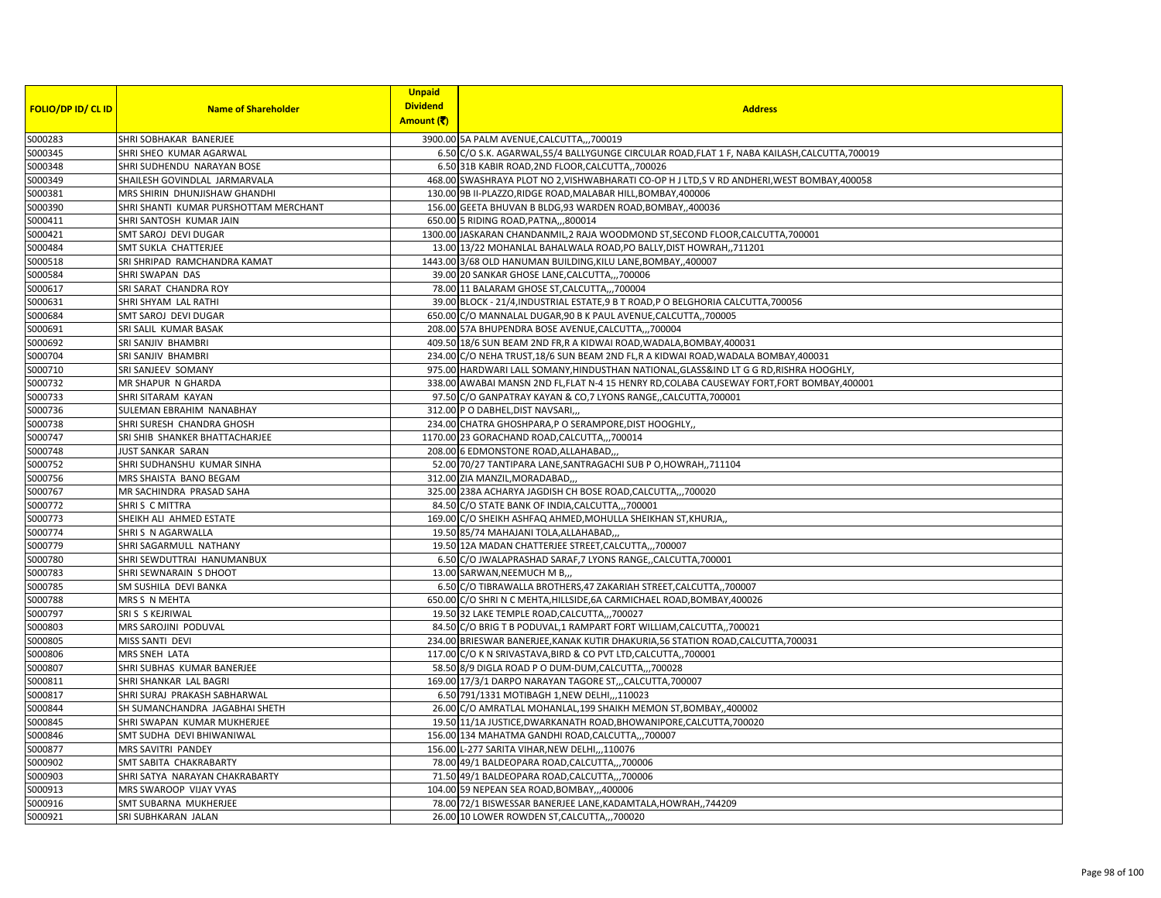| <b>FOLIO/DP ID/ CL ID</b> | <b>Name of Shareholder</b>            | <b>Unpaid</b><br><b>Dividend</b><br>Amount (そ) | <b>Address</b>                                                                                 |
|---------------------------|---------------------------------------|------------------------------------------------|------------------------------------------------------------------------------------------------|
| S000283                   | SHRI SOBHAKAR BANERJEE                |                                                | 3900.00 5A PALM AVENUE, CALCUTTA,,,700019                                                      |
| S000345                   | SHRI SHEO KUMAR AGARWAL               |                                                | 6.50 C/O S.K. AGARWAL, 55/4 BALLYGUNGE CIRCULAR ROAD, FLAT 1 F, NABA KAILASH, CALCUTTA, 700019 |
| S000348                   | SHRI SUDHENDU NARAYAN BOSE            |                                                | 6.50 31B KABIR ROAD, 2ND FLOOR, CALCUTTA, 700026                                               |
| S000349                   | SHAILESH GOVINDLAL JARMARVALA         |                                                | 468.00 SWASHRAYA PLOT NO 2, VISHWABHARATI CO-OP HJ LTD, S V RD ANDHERI, WEST BOMBAY, 400058    |
| S000381                   | MRS SHIRIN DHUNJISHAW GHANDHI         |                                                | 130.00 9B II-PLAZZO, RIDGE ROAD, MALABAR HILL, BOMBAY, 400006                                  |
| S000390                   | SHRI SHANTI KUMAR PURSHOTTAM MERCHANT |                                                | 156.00 GEETA BHUVAN B BLDG, 93 WARDEN ROAD, BOMBAY,, 400036                                    |
| S000411                   | SHRI SANTOSH KUMAR JAIN               |                                                | 650.00 5 RIDING ROAD, PATNA,,,800014                                                           |
| S000421                   | SMT SAROJ DEVI DUGAR                  |                                                | 1300.00 JASKARAN CHANDANMIL, 2 RAJA WOODMOND ST, SECOND FLOOR, CALCUTTA, 700001                |
| S000484                   | SMT SUKLA CHATTERJEE                  |                                                | 13.00 13/22 MOHANLAL BAHALWALA ROAD, PO BALLY, DIST HOWRAH,, 711201                            |
| S000518                   | SRI SHRIPAD RAMCHANDRA KAMAT          |                                                | 1443.00 3/68 OLD HANUMAN BUILDING, KILU LANE, BOMBAY, ,400007                                  |
| S000584                   | SHRI SWAPAN DAS                       |                                                | 39.00 20 SANKAR GHOSE LANE, CALCUTTA,,, 700006                                                 |
| S000617                   | SRI SARAT CHANDRA ROY                 |                                                | 78.00 11 BALARAM GHOSE ST, CALCUTTA,, ,700004                                                  |
| S000631                   | SHRI SHYAM LAL RATHI                  |                                                | 39.00 BLOCK - 21/4, INDUSTRIAL ESTATE, 9 B T ROAD, P O BELGHORIA CALCUTTA, 700056              |
| S000684                   | SMT SAROJ DEVI DUGAR                  |                                                | 650.00 C/O MANNALAL DUGAR,90 B K PAUL AVENUE, CALCUTTA,, 700005                                |
| S000691                   | SRI SALIL KUMAR BASAK                 |                                                | 208.00 57A BHUPENDRA BOSE AVENUE, CALCUTTA,,, 700004                                           |
| S000692                   | SRI SANJIV BHAMBRI                    |                                                | 409.50 18/6 SUN BEAM 2ND FR, R A KIDWAI ROAD, WADALA, BOMBAY, 400031                           |
| S000704                   | SRI SANJIV BHAMBRI                    |                                                | 234.00 C/O NEHA TRUST, 18/6 SUN BEAM 2ND FL, R A KIDWAI ROAD, WADALA BOMBAY, 400031            |
| S000710                   | SRI SANJEEV SOMANY                    |                                                | 975.00 HARDWARI LALL SOMANY, HINDUSTHAN NATIONAL, GLASS&IND LT G G RD, RISHRA HOOGHLY,         |
| S000732                   | MR SHAPUR N GHARDA                    |                                                | 338.00 AWABAI MANSN 2ND FL, FLAT N-4 15 HENRY RD, COLABA CAUSEWAY FORT, FORT BOMBAY, 400001    |
| S000733                   | SHRI SITARAM KAYAN                    |                                                | 97.50 C/O GANPATRAY KAYAN & CO, 7 LYONS RANGE,, CALCUTTA, 700001                               |
| S000736                   | SULEMAN EBRAHIM NANABHAY              |                                                | 312.00 P O DABHEL, DIST NAVSARI                                                                |
| S000738                   | SHRI SURESH CHANDRA GHOSH             |                                                | 234.00 CHATRA GHOSHPARA, P O SERAMPORE, DIST HOOGHLY,                                          |
| S000747                   | SRI SHIB SHANKER BHATTACHARJEE        |                                                | 1170.00 23 GORACHAND ROAD, CALCUTTA,,, 700014                                                  |
| S000748                   | JUST SANKAR SARAN                     |                                                | 208.00 6 EDMONSTONE ROAD, ALLAHABAD,                                                           |
| S000752                   | SHRI SUDHANSHU KUMAR SINHA            |                                                | 52.00 70/27 TANTIPARA LANE, SANTRAGACHI SUB P O, HOWRAH,, 711104                               |
| S000756                   | MRS SHAISTA BANO BEGAM                |                                                | 312.00 ZIA MANZIL, MORADABAD,                                                                  |
| S000767                   | MR SACHINDRA PRASAD SAHA              |                                                | 325.00 238A ACHARYA JAGDISH CH BOSE ROAD, CALCUTTA,,,700020                                    |
| S000772                   | SHRIS C MITTRA                        |                                                | 84.50 C/O STATE BANK OF INDIA, CALCUTTA,,, 700001                                              |
| S000773                   | SHEIKH ALI AHMED ESTATE               |                                                | 169.00 C/O SHEIKH ASHFAQ AHMED, MOHULLA SHEIKHAN ST, KHURJA,                                   |
| S000774                   | SHRIS N AGARWALLA                     |                                                | 19.50 85/74 MAHAJANI TOLA, ALLAHABAD,,                                                         |
| S000779                   | SHRI SAGARMULL NATHANY                |                                                | 19.50 12A MADAN CHATTERJEE STREET, CALCUTTA,,, 700007                                          |
| S000780                   | SHRI SEWDUTTRAI HANUMANBUX            |                                                | 6.50 C/O JWALAPRASHAD SARAF, 7 LYONS RANGE, CALCUTTA, 700001                                   |
| S000783                   | SHRI SEWNARAIN S DHOOT                |                                                | 13.00 SARWAN, NEEMUCH M B,,,                                                                   |
| S000785                   | SM SUSHILA DEVI BANKA                 |                                                | 6.50 C/O TIBRAWALLA BROTHERS, 47 ZAKARIAH STREET, CALCUTTA, 700007                             |
| S000788                   | MRS S N MEHTA                         |                                                | 650.00 C/O SHRI N C MEHTA, HILLSIDE, 6A CARMICHAEL ROAD, BOMBAY, 400026                        |
| S000797                   | SRIS S KEJRIWAL                       |                                                | 19.50 32 LAKE TEMPLE ROAD, CALCUTTA,,, 700027                                                  |
| S000803                   | MRS SAROJINI PODUVAL                  |                                                | 84.50 C/O BRIG T B PODUVAL, 1 RAMPART FORT WILLIAM, CALCUTTA,, 700021                          |
| S000805                   | MISS SANTI DEVI                       |                                                | 234.00 BRIESWAR BANERJEE, KANAK KUTIR DHAKURIA, 56 STATION ROAD, CALCUTTA, 700031              |
| S000806                   | MRS SNEH LATA                         |                                                | 117.00 C/O K N SRIVASTAVA, BIRD & CO PVT LTD, CALCUTTA, 700001                                 |
| S000807                   | SHRI SUBHAS KUMAR BANERJEE            |                                                | 58.50 8/9 DIGLA ROAD P O DUM-DUM, CALCUTTA,,, 700028                                           |
| S000811                   | SHRI SHANKAR LAL BAGRI                |                                                | 169.00 17/3/1 DARPO NARAYAN TAGORE ST,,,CALCUTTA,700007                                        |
| S000817                   | SHRI SURAJ PRAKASH SABHARWAL          |                                                | 6.50 791/1331 MOTIBAGH 1, NEW DELHI, ,, 110023                                                 |
| S000844                   | SH SUMANCHANDRA JAGABHAI SHETH        |                                                | 26.00 C/O AMRATLAL MOHANLAL, 199 SHAIKH MEMON ST, BOMBAY, 400002                               |
| S000845                   | SHRI SWAPAN KUMAR MUKHERJEE           |                                                | 19.50 11/1A JUSTICE, DWARKANATH ROAD, BHOWANIPORE, CALCUTTA, 700020                            |
| S000846                   | SMT SUDHA DEVI BHIWANIWAL             |                                                | 156.00 134 MAHATMA GANDHI ROAD, CALCUTTA,,, 700007                                             |
| S000877                   | MRS SAVITRI PANDEY                    |                                                | 156.00 L-277 SARITA VIHAR, NEW DELHI,,, 110076                                                 |
| S000902                   | SMT SABITA CHAKRABARTY                |                                                | 78.00 49/1 BALDEOPARA ROAD, CALCUTTA,,,700006                                                  |
| S000903                   | SHRI SATYA NARAYAN CHAKRABARTY        |                                                | 71.50 49/1 BALDEOPARA ROAD, CALCUTTA,,,700006                                                  |
| S000913                   | MRS SWAROOP VIJAY VYAS                |                                                | 104.00 59 NEPEAN SEA ROAD, BOMBAY,,,400006                                                     |
| S000916                   | SMT SUBARNA MUKHERJEE                 |                                                | 78.00 72/1 BISWESSAR BANERJEE LANE, KADAMTALA, HOWRAH, ,744209                                 |
| S000921                   | SRI SUBHKARAN JALAN                   |                                                | 26.00 10 LOWER ROWDEN ST, CALCUTTA,, 700020                                                    |
|                           |                                       |                                                |                                                                                                |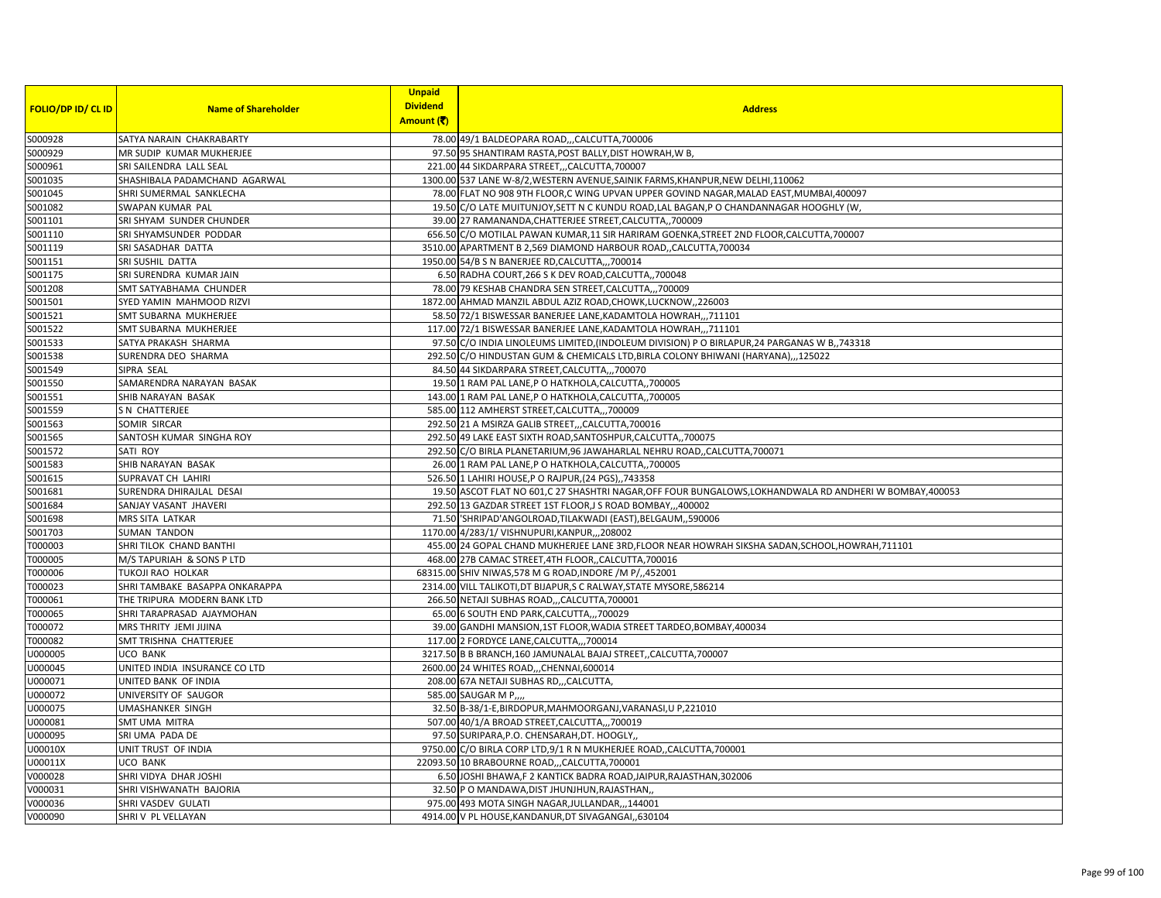| <b>FOLIO/DP ID/ CL ID</b> | <b>Name of Shareholder</b>     | <b>Unpaid</b><br><b>Dividend</b> | <b>Address</b>                                                                                           |
|---------------------------|--------------------------------|----------------------------------|----------------------------------------------------------------------------------------------------------|
|                           |                                | Amount (そ)                       |                                                                                                          |
| S000928                   | SATYA NARAIN CHAKRABARTY       |                                  | 78.00 49/1 BALDEOPARA ROAD,,,CALCUTTA,700006                                                             |
| S000929                   | MR SUDIP KUMAR MUKHERJEE       |                                  | 97.50 95 SHANTIRAM RASTA, POST BALLY, DIST HOWRAH, W B,                                                  |
| S000961                   | SRI SAILENDRA LALL SEAL        |                                  | 221.00 44 SIKDARPARA STREET,,,CALCUTTA,700007                                                            |
| S001035                   | SHASHIBALA PADAMCHAND AGARWAL  |                                  | 1300.00 537 LANE W-8/2, WESTERN AVENUE, SAINIK FARMS, KHANPUR, NEW DELHI, 110062                         |
| S001045                   | SHRI SUMERMAL SANKLECHA        |                                  | 78.00 FLAT NO 908 9TH FLOOR,C WING UPVAN UPPER GOVIND NAGAR, MALAD EAST, MUMBAI, 400097                  |
| S001082                   | SWAPAN KUMAR PAL               |                                  | 19.50 C/O LATE MUITUNJOY, SETT N C KUNDU ROAD, LAL BAGAN, P O CHANDANNAGAR HOOGHLY (W,                   |
| S001101                   | SRI SHYAM SUNDER CHUNDER       |                                  | 39.00 27 RAMANANDA, CHATTERJEE STREET, CALCUTTA,, 700009                                                 |
| S001110                   | SRI SHYAMSUNDER PODDAR         |                                  | 656.50 C/O MOTILAL PAWAN KUMAR,11 SIR HARIRAM GOENKA, STREET 2ND FLOOR, CALCUTTA, 700007                 |
| S001119                   | SRI SASADHAR DATTA             |                                  | 3510.00 APARTMENT B 2,569 DIAMOND HARBOUR ROAD,, CALCUTTA, 700034                                        |
| S001151                   | SRI SUSHIL DATTA               |                                  | 1950.00 54/B S N BANERJEE RD, CALCUTTA,,, 700014                                                         |
| S001175                   | SRI SURENDRA KUMAR JAIN        |                                  | 6.50 RADHA COURT, 266 S K DEV ROAD, CALCUTTA,, 700048                                                    |
| S001208                   | SMT SATYABHAMA CHUNDER         |                                  | 78.00 79 KESHAB CHANDRA SEN STREET, CALCUTTA,,, 700009                                                   |
| S001501                   | SYED YAMIN MAHMOOD RIZVI       |                                  | 1872.00 AHMAD MANZIL ABDUL AZIZ ROAD, CHOWK, LUCKNOW, 226003                                             |
| S001521                   | SMT SUBARNA MUKHERJEE          |                                  | 58.50 72/1 BISWESSAR BANERJEE LANE, KADAMTOLA HOWRAH,,,711101                                            |
| S001522                   | SMT SUBARNA MUKHERJEE          |                                  | 117.00 72/1 BISWESSAR BANERJEE LANE, KADAMTOLA HOWRAH,,,711101                                           |
| S001533                   | SATYA PRAKASH SHARMA           |                                  | 97.50 C/O INDIA LINOLEUMS LIMITED, (INDOLEUM DIVISION) P O BIRLAPUR, 24 PARGANAS W B,, 743318            |
| S001538                   | SURENDRA DEO SHARMA            |                                  | 292.50 C/O HINDUSTAN GUM & CHEMICALS LTD, BIRLA COLONY BHIWANI (HARYANA),,,125022                        |
| S001549                   | SIPRA SEAL                     |                                  | 84.50 44 SIKDARPARA STREET, CALCUTTA,,, 700070                                                           |
| S001550                   | SAMARENDRA NARAYAN BASAK       |                                  | 19.50 1 RAM PAL LANE, P O HATKHOLA, CALCUTTA,, 700005                                                    |
| S001551                   | SHIB NARAYAN BASAK             |                                  | 143.00 1 RAM PAL LANE, P O HATKHOLA, CALCUTTA,, 700005                                                   |
| S001559                   | S N CHATTERJEE                 |                                  | 585.00 112 AMHERST STREET, CALCUTTA,,,700009                                                             |
| S001563                   | SOMIR SIRCAR                   |                                  | 292.50 21 A MSIRZA GALIB STREET,,,CALCUTTA,700016                                                        |
| S001565                   | SANTOSH KUMAR SINGHA ROY       |                                  | 292.50 49 LAKE EAST SIXTH ROAD, SANTOSHPUR, CALCUTTA,, 700075                                            |
| S001572                   | SATI ROY                       |                                  | 292.50 C/O BIRLA PLANETARIUM, 96 JAWAHARLAL NEHRU ROAD,, CALCUTTA, 700071                                |
| S001583                   | SHIB NARAYAN BASAK             |                                  | 26.00 1 RAM PAL LANE, P O HATKHOLA, CALCUTTA,, 700005                                                    |
| S001615                   | SUPRAVAT CH LAHIRI             |                                  | 526.50 1 LAHIRI HOUSE, P O RAJPUR, (24 PGS), 743358                                                      |
| S001681                   | SURENDRA DHIRAJLAL DESAI       |                                  | 19.50 ASCOT FLAT NO 601,C 27 SHASHTRI NAGAR, OFF FOUR BUNGALOWS, LOKHANDWALA RD ANDHERI W BOMBAY, 400053 |
| S001684                   | SANJAY VASANT JHAVERI          |                                  | 292.50 13 GAZDAR STREET 1ST FLOOR, J S ROAD BOMBAY,,,400002                                              |
| S001698                   | MRS SITA LATKAR                |                                  | 71.50 'SHRIPAD'ANGOLROAD, TILAKWADI (EAST), BELGAUM, ,590006                                             |
| S001703                   | <b>SUMAN TANDON</b>            |                                  | 1170.00 4/283/1/ VISHNUPURI, KANPUR, ,, 208002                                                           |
| T000003                   | SHRI TILOK CHAND BANTHI        |                                  | 455.00 24 GOPAL CHAND MUKHERJEE LANE 3RD, FLOOR NEAR HOWRAH SIKSHA SADAN, SCHOOL, HOWRAH, 711101         |
| T000005                   | M/S TAPURIAH & SONS P LTD      |                                  | 468.00 27B CAMAC STREET, 4TH FLOOR, CALCUTTA, 700016                                                     |
| T000006                   | TUKOJI RAO HOLKAR              |                                  | 68315.00 SHIV NIWAS, 578 M G ROAD, INDORE / M P/, 452001                                                 |
| T000023                   | SHRI TAMBAKE BASAPPA ONKARAPPA |                                  | 2314.00 VILL TALIKOTI, DT BIJAPUR, S C RALWAY, STATE MYSORE, 586214                                      |
| T000061                   | THE TRIPURA MODERN BANK LTD    |                                  | 266.50 NETAJI SUBHAS ROAD,,,CALCUTTA,700001                                                              |
| T000065                   | SHRI TARAPRASAD AJAYMOHAN      |                                  | 65.00 6 SOUTH END PARK, CALCUTTA,, 700029                                                                |
| T000072                   | MRS THRITY JEMI JIJINA         |                                  | 39.00 GANDHI MANSION, 1ST FLOOR, WADIA STREET TARDEO, BOMBAY, 400034                                     |
| T000082                   | SMT TRISHNA CHATTERJEE         |                                  | 117.00 2 FORDYCE LANE, CALCUTTA,,, 700014                                                                |
| U000005                   | <b>UCO BANK</b>                |                                  | 3217.50 B B BRANCH, 160 JAMUNALAL BAJAJ STREET, CALCUTTA, 700007                                         |
| U000045                   | UNITED INDIA INSURANCE CO LTD  |                                  | 2600.00 24 WHITES ROAD,,,CHENNAI,600014                                                                  |
| U000071                   | UNITED BANK OF INDIA           |                                  | 208.00 67A NETAJI SUBHAS RD,,,CALCUTTA,                                                                  |
| U000072                   | UNIVERSITY OF SAUGOR           |                                  | 585.00 SAUGAR M P,,,,                                                                                    |
| U000075                   | UMASHANKER SINGH               |                                  | 32.50 B-38/1-E, BIRDOPUR, MAHMOORGANJ, VARANASI, U P, 221010                                             |
| U000081                   | SMT UMA MITRA                  |                                  | 507.00 40/1/A BROAD STREET, CALCUTTA,,, 700019                                                           |
| U000095                   | SRI UMA PADA DE                |                                  | 97.50 SURIPARA, P.O. CHENSARAH, DT. HOOGLY,                                                              |
| U00010X                   | UNIT TRUST OF INDIA            |                                  | 9750.00 C/O BIRLA CORP LTD, 9/1 R N MUKHERJEE ROAD,, CALCUTTA, 700001                                    |
| U00011X                   | <b>UCO BANK</b>                |                                  | 22093.50 10 BRABOURNE ROAD,,,CALCUTTA,700001                                                             |
| V000028                   | SHRI VIDYA DHAR JOSHI          |                                  | 6.50 JOSHI BHAWA,F 2 KANTICK BADRA ROAD, JAIPUR, RAJASTHAN, 302006                                       |
| V000031                   | SHRI VISHWANATH BAJORIA        |                                  | 32.50 P O MANDAWA, DIST JHUNJHUN, RAJASTHAN,                                                             |
| V000036                   | SHRI VASDEV GULATI             |                                  | 975.00 493 MOTA SINGH NAGAR, JULLANDAR, ,, 144001                                                        |
| V000090                   | SHRIV PL VELLAYAN              |                                  | 4914.00 V PL HOUSE, KANDANUR, DT SIVAGANGAI, 630104                                                      |